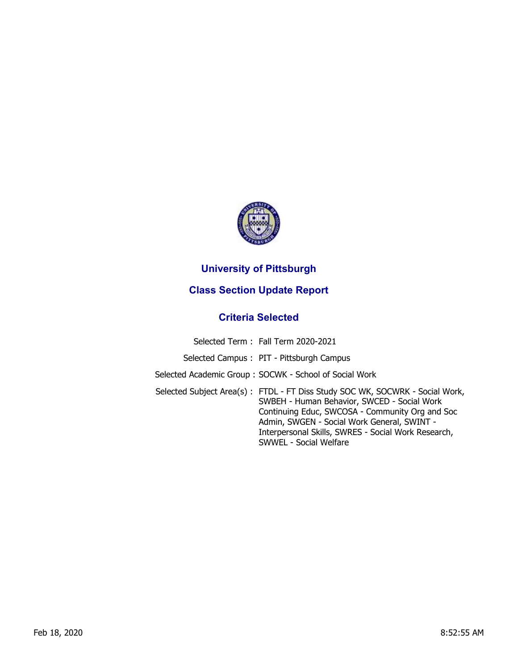

## **University of Pittsburgh**

## **Class Section Update Report**

## **Criteria Selected**

| Selected Term: Fall Term 2020-2021                                                                                                                                                                                                                                                                             |
|----------------------------------------------------------------------------------------------------------------------------------------------------------------------------------------------------------------------------------------------------------------------------------------------------------------|
| Selected Campus: PIT - Pittsburgh Campus                                                                                                                                                                                                                                                                       |
| Selected Academic Group: SOCWK - School of Social Work                                                                                                                                                                                                                                                         |
| Selected Subject Area(s): FTDL - FT Diss Study SOC WK, SOCWRK - Social Work,<br>SWBEH - Human Behavior, SWCED - Social Work<br>Continuing Educ, SWCOSA - Community Org and Soc<br>Admin, SWGEN - Social Work General, SWINT -<br>Interpersonal Skills, SWRES - Social Work Research,<br>SWWEL - Social Welfare |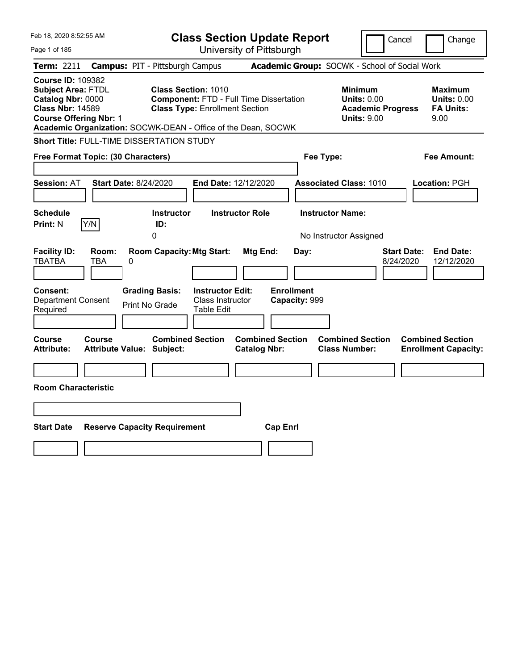| Feb 18, 2020 8:52:55 AM                                                                                                                |                                                               |                                                                             |                                                                  | <b>Class Section Update Report</b>             |                                            |                                                            | Cancel                          | Change                                                           |
|----------------------------------------------------------------------------------------------------------------------------------------|---------------------------------------------------------------|-----------------------------------------------------------------------------|------------------------------------------------------------------|------------------------------------------------|--------------------------------------------|------------------------------------------------------------|---------------------------------|------------------------------------------------------------------|
| Page 1 of 185                                                                                                                          |                                                               |                                                                             |                                                                  | University of Pittsburgh                       |                                            |                                                            |                                 |                                                                  |
| <b>Term: 2211</b>                                                                                                                      | <b>Campus: PIT - Pittsburgh Campus</b>                        |                                                                             |                                                                  |                                                |                                            | Academic Group: SOCWK - School of Social Work              |                                 |                                                                  |
| <b>Course ID: 109382</b><br><b>Subject Area: FTDL</b><br>Catalog Nbr: 0000<br><b>Class Nbr: 14589</b><br><b>Course Offering Nbr: 1</b> | Academic Organization: SOCWK-DEAN - Office of the Dean, SOCWK | <b>Class Section: 1010</b>                                                  | <b>Class Type: Enrollment Section</b>                            | <b>Component: FTD - Full Time Dissertation</b> |                                            | <b>Minimum</b><br><b>Units: 0.00</b><br><b>Units: 9.00</b> | <b>Academic Progress</b>        | <b>Maximum</b><br><b>Units: 0.00</b><br><b>FA Units:</b><br>9.00 |
|                                                                                                                                        | Short Title: FULL-TIME DISSERTATION STUDY                     |                                                                             |                                                                  |                                                |                                            |                                                            |                                 |                                                                  |
|                                                                                                                                        | Free Format Topic: (30 Characters)                            |                                                                             |                                                                  |                                                | Fee Type:                                  |                                                            |                                 | Fee Amount:                                                      |
| Session: AT                                                                                                                            | <b>Start Date: 8/24/2020</b>                                  |                                                                             | End Date: 12/12/2020                                             |                                                |                                            | <b>Associated Class: 1010</b>                              |                                 | Location: PGH                                                    |
| <b>Schedule</b>                                                                                                                        |                                                               | <b>Instructor</b>                                                           |                                                                  | <b>Instructor Role</b>                         |                                            | <b>Instructor Name:</b>                                    |                                 |                                                                  |
| <b>Print: N</b>                                                                                                                        | Y/N                                                           | ID:<br>$\overline{0}$                                                       |                                                                  |                                                |                                            | No Instructor Assigned                                     |                                 |                                                                  |
| <b>Facility ID:</b><br>TBATBA<br><b>Consent:</b><br><b>Department Consent</b><br>Required                                              | Room:<br>0<br>TBA                                             | <b>Room Capacity: Mtg Start:</b><br><b>Grading Basis:</b><br>Print No Grade | <b>Instructor Edit:</b><br>Class Instructor<br><b>Table Edit</b> | Mtg End:                                       | Day:<br><b>Enrollment</b><br>Capacity: 999 |                                                            | <b>Start Date:</b><br>8/24/2020 | <b>End Date:</b><br>12/12/2020                                   |
|                                                                                                                                        |                                                               |                                                                             |                                                                  |                                                |                                            |                                                            |                                 |                                                                  |
| Course<br><b>Attribute:</b><br><b>Room Characteristic</b>                                                                              | Course<br><b>Attribute Value: Subject:</b>                    | <b>Combined Section</b>                                                     |                                                                  | <b>Combined Section</b><br><b>Catalog Nbr:</b> |                                            | <b>Combined Section</b><br><b>Class Number:</b>            |                                 | <b>Combined Section</b><br><b>Enrollment Capacity:</b>           |
|                                                                                                                                        |                                                               |                                                                             |                                                                  |                                                |                                            |                                                            |                                 |                                                                  |
|                                                                                                                                        |                                                               |                                                                             |                                                                  |                                                |                                            |                                                            |                                 |                                                                  |
| <b>Start Date</b>                                                                                                                      | <b>Reserve Capacity Requirement</b>                           |                                                                             |                                                                  | <b>Cap Enrl</b>                                |                                            |                                                            |                                 |                                                                  |
|                                                                                                                                        |                                                               |                                                                             |                                                                  |                                                |                                            |                                                            |                                 |                                                                  |
|                                                                                                                                        |                                                               |                                                                             |                                                                  |                                                |                                            |                                                            |                                 |                                                                  |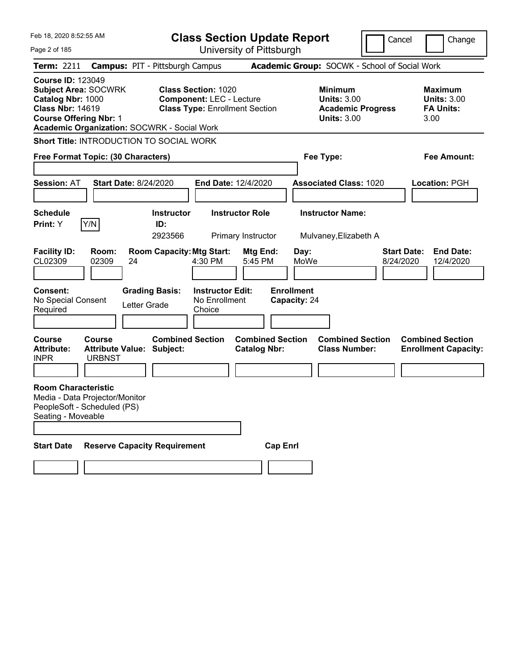| Feb 18, 2020 8:52:55 AM                                                                                                                                                                        |                                                                                                      | <b>Class Section Update Report</b>                                       |                                                                                        | Cancel                          | Change                                                           |
|------------------------------------------------------------------------------------------------------------------------------------------------------------------------------------------------|------------------------------------------------------------------------------------------------------|--------------------------------------------------------------------------|----------------------------------------------------------------------------------------|---------------------------------|------------------------------------------------------------------|
| Page 2 of 185                                                                                                                                                                                  |                                                                                                      | University of Pittsburgh                                                 |                                                                                        |                                 |                                                                  |
| <b>Term: 2211</b>                                                                                                                                                                              | <b>Campus: PIT - Pittsburgh Campus</b>                                                               |                                                                          | Academic Group: SOCWK - School of Social Work                                          |                                 |                                                                  |
| <b>Course ID: 123049</b><br><b>Subject Area: SOCWRK</b><br>Catalog Nbr: 1000<br><b>Class Nbr: 14619</b><br><b>Course Offering Nbr: 1</b><br><b>Academic Organization: SOCWRK - Social Work</b> | <b>Class Section: 1020</b>                                                                           | <b>Component: LEC - Lecture</b><br><b>Class Type: Enrollment Section</b> | <b>Minimum</b><br><b>Units: 3.00</b><br><b>Academic Progress</b><br><b>Units: 3.00</b> |                                 | <b>Maximum</b><br><b>Units: 3.00</b><br><b>FA Units:</b><br>3.00 |
| Short Title: INTRODUCTION TO SOCIAL WORK                                                                                                                                                       |                                                                                                      |                                                                          |                                                                                        |                                 |                                                                  |
| Free Format Topic: (30 Characters)                                                                                                                                                             |                                                                                                      |                                                                          | Fee Type:                                                                              |                                 | <b>Fee Amount:</b>                                               |
| <b>Session: AT</b>                                                                                                                                                                             | <b>Start Date: 8/24/2020</b>                                                                         | <b>End Date: 12/4/2020</b>                                               | <b>Associated Class: 1020</b>                                                          |                                 | <b>Location: PGH</b>                                             |
| <b>Schedule</b>                                                                                                                                                                                | <b>Instructor</b>                                                                                    | <b>Instructor Role</b>                                                   | <b>Instructor Name:</b>                                                                |                                 |                                                                  |
| Y/N<br>Print: Y                                                                                                                                                                                | ID:<br>2923566                                                                                       | Primary Instructor                                                       | Mulvaney, Elizabeth A                                                                  |                                 |                                                                  |
| <b>Facility ID:</b><br>Room:<br>CL02309<br>02309<br>Consent:<br>No Special Consent<br>Required                                                                                                 | <b>Room Capacity: Mtg Start:</b><br>4:30 PM<br>24<br><b>Grading Basis:</b><br>Letter Grade<br>Choice | Mtg End:<br>5:45 PM<br><b>Instructor Edit:</b><br>No Enrollment          | Day:<br>MoWe<br><b>Enrollment</b><br>Capacity: 24                                      | <b>Start Date:</b><br>8/24/2020 | <b>End Date:</b><br>12/4/2020                                    |
| <b>Course</b><br>Course<br><b>Attribute:</b><br><b>INPR</b><br><b>URBNST</b>                                                                                                                   | <b>Combined Section</b><br><b>Attribute Value: Subject:</b>                                          | <b>Combined Section</b><br><b>Catalog Nbr:</b>                           | <b>Combined Section</b><br><b>Class Number:</b>                                        |                                 | <b>Combined Section</b><br><b>Enrollment Capacity:</b>           |
| <b>Room Characteristic</b><br>Media - Data Projector/Monitor<br>PeopleSoft - Scheduled (PS)<br>Seating - Moveable                                                                              |                                                                                                      |                                                                          |                                                                                        |                                 |                                                                  |
| <b>Start Date</b>                                                                                                                                                                              | <b>Reserve Capacity Requirement</b>                                                                  | <b>Cap Enrl</b>                                                          |                                                                                        |                                 |                                                                  |
|                                                                                                                                                                                                |                                                                                                      |                                                                          |                                                                                        |                                 |                                                                  |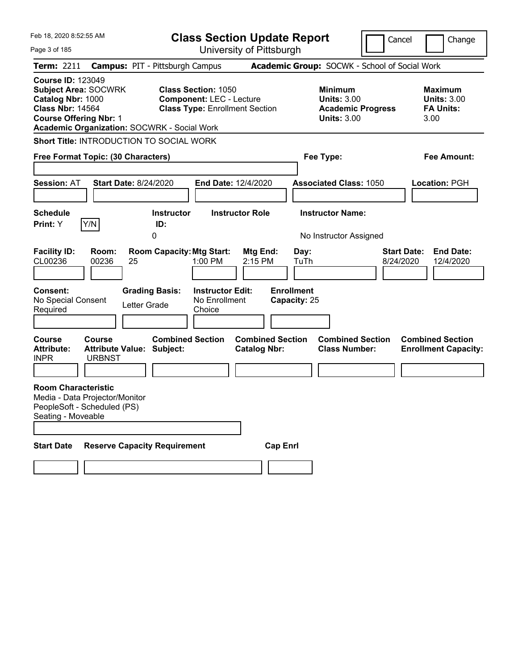| Feb 18, 2020 8:52:55 AM                                                                                                                                                                        |                                                                                 | <b>Class Section Update Report</b>                                                                     |                                                |                                                                                        | Cancel                          | Change                                                           |
|------------------------------------------------------------------------------------------------------------------------------------------------------------------------------------------------|---------------------------------------------------------------------------------|--------------------------------------------------------------------------------------------------------|------------------------------------------------|----------------------------------------------------------------------------------------|---------------------------------|------------------------------------------------------------------|
| Page 3 of 185                                                                                                                                                                                  |                                                                                 | University of Pittsburgh                                                                               |                                                |                                                                                        |                                 |                                                                  |
| <b>Term: 2211</b>                                                                                                                                                                              | <b>Campus: PIT - Pittsburgh Campus</b>                                          |                                                                                                        |                                                | Academic Group: SOCWK - School of Social Work                                          |                                 |                                                                  |
| <b>Course ID: 123049</b><br><b>Subject Area: SOCWRK</b><br>Catalog Nbr: 1000<br><b>Class Nbr: 14564</b><br><b>Course Offering Nbr: 1</b><br><b>Academic Organization: SOCWRK - Social Work</b> |                                                                                 | <b>Class Section: 1050</b><br><b>Component: LEC - Lecture</b><br><b>Class Type: Enrollment Section</b> |                                                | <b>Minimum</b><br><b>Units: 3.00</b><br><b>Academic Progress</b><br><b>Units: 3.00</b> |                                 | <b>Maximum</b><br><b>Units: 3.00</b><br><b>FA Units:</b><br>3.00 |
| Short Title: INTRODUCTION TO SOCIAL WORK                                                                                                                                                       |                                                                                 |                                                                                                        |                                                |                                                                                        |                                 |                                                                  |
| Free Format Topic: (30 Characters)                                                                                                                                                             |                                                                                 |                                                                                                        |                                                | Fee Type:                                                                              |                                 | <b>Fee Amount:</b>                                               |
| <b>Session: AT</b>                                                                                                                                                                             | <b>Start Date: 8/24/2020</b>                                                    | <b>End Date: 12/4/2020</b>                                                                             |                                                | <b>Associated Class: 1050</b>                                                          |                                 | <b>Location: PGH</b>                                             |
| <b>Schedule</b>                                                                                                                                                                                | <b>Instructor</b>                                                               | <b>Instructor Role</b>                                                                                 |                                                | <b>Instructor Name:</b>                                                                |                                 |                                                                  |
| Y/N<br>Print: Y                                                                                                                                                                                | ID:<br>0                                                                        |                                                                                                        |                                                | No Instructor Assigned                                                                 |                                 |                                                                  |
| <b>Facility ID:</b><br>Room:<br>CL00236<br>00236<br>Consent:<br>No Special Consent<br>Required                                                                                                 | <b>Room Capacity: Mtg Start:</b><br>25<br><b>Grading Basis:</b><br>Letter Grade | 1:00 PM<br><b>Instructor Edit:</b><br>No Enrollment<br>Choice                                          | Mtg End:<br>2:15 PM                            | Day:<br>TuTh<br><b>Enrollment</b><br>Capacity: 25                                      | <b>Start Date:</b><br>8/24/2020 | <b>End Date:</b><br>12/4/2020                                    |
| <b>Course</b><br>Course<br><b>Attribute:</b><br><b>INPR</b><br><b>URBNST</b><br><b>Room Characteristic</b>                                                                                     | <b>Attribute Value: Subject:</b>                                                | <b>Combined Section</b>                                                                                | <b>Combined Section</b><br><b>Catalog Nbr:</b> | <b>Combined Section</b><br><b>Class Number:</b>                                        |                                 | <b>Combined Section</b><br><b>Enrollment Capacity:</b>           |
| Media - Data Projector/Monitor<br>PeopleSoft - Scheduled (PS)<br>Seating - Moveable                                                                                                            |                                                                                 |                                                                                                        |                                                |                                                                                        |                                 |                                                                  |
| <b>Start Date</b>                                                                                                                                                                              | <b>Reserve Capacity Requirement</b>                                             |                                                                                                        | <b>Cap Enrl</b>                                |                                                                                        |                                 |                                                                  |
|                                                                                                                                                                                                |                                                                                 |                                                                                                        |                                                |                                                                                        |                                 |                                                                  |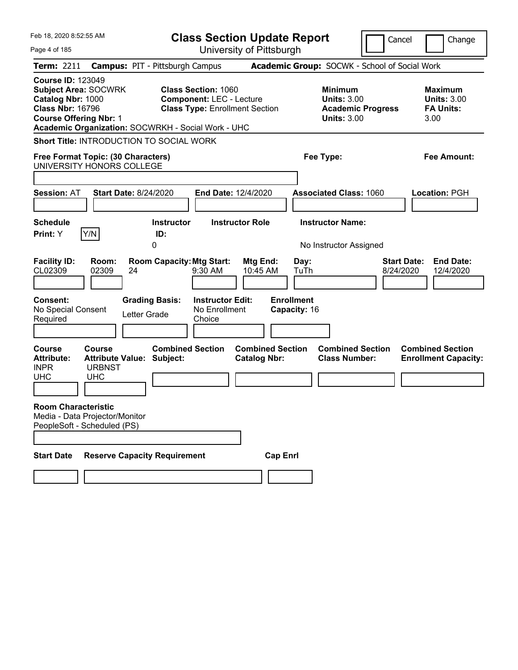| Feb 18, 2020 8:52:55 AM                                                                                                                                                                        | <b>Class Section Update Report</b>                                                                     | Cancel                                                                                 | Change                                                           |
|------------------------------------------------------------------------------------------------------------------------------------------------------------------------------------------------|--------------------------------------------------------------------------------------------------------|----------------------------------------------------------------------------------------|------------------------------------------------------------------|
| Page 4 of 185                                                                                                                                                                                  | University of Pittsburgh                                                                               |                                                                                        |                                                                  |
| <b>Term: 2211</b><br><b>Campus: PIT - Pittsburgh Campus</b>                                                                                                                                    |                                                                                                        | Academic Group: SOCWK - School of Social Work                                          |                                                                  |
| <b>Course ID: 123049</b><br><b>Subject Area: SOCWRK</b><br>Catalog Nbr: 1000<br><b>Class Nbr: 16796</b><br><b>Course Offering Nbr: 1</b><br>Academic Organization: SOCWRKH - Social Work - UHC | <b>Class Section: 1060</b><br><b>Component: LEC - Lecture</b><br><b>Class Type: Enrollment Section</b> | <b>Minimum</b><br><b>Units: 3.00</b><br><b>Academic Progress</b><br><b>Units: 3.00</b> | <b>Maximum</b><br><b>Units: 3.00</b><br><b>FA Units:</b><br>3.00 |
| <b>Short Title: INTRODUCTION TO SOCIAL WORK</b>                                                                                                                                                |                                                                                                        |                                                                                        |                                                                  |
| Free Format Topic: (30 Characters)                                                                                                                                                             |                                                                                                        | Fee Type:                                                                              | <b>Fee Amount:</b>                                               |
| UNIVERSITY HONORS COLLEGE                                                                                                                                                                      |                                                                                                        |                                                                                        |                                                                  |
| <b>Session: AT</b><br><b>Start Date: 8/24/2020</b>                                                                                                                                             | End Date: 12/4/2020                                                                                    | <b>Associated Class: 1060</b>                                                          | Location: PGH                                                    |
|                                                                                                                                                                                                |                                                                                                        |                                                                                        |                                                                  |
| <b>Schedule</b><br>Y/N<br>Print: Y<br>ID:                                                                                                                                                      | <b>Instructor Role</b><br><b>Instructor</b>                                                            | <b>Instructor Name:</b>                                                                |                                                                  |
| 0                                                                                                                                                                                              |                                                                                                        | No Instructor Assigned                                                                 |                                                                  |
| <b>Facility ID:</b><br>Room:<br>CL02309<br>02309<br>24                                                                                                                                         | <b>Room Capacity: Mtg Start:</b><br>Mtg End:<br>$9:30$ AM<br>10:45 AM                                  | Day:<br>8/24/2020<br>TuTh                                                              | <b>End Date:</b><br><b>Start Date:</b><br>12/4/2020              |
| <b>Consent:</b><br><b>Grading Basis:</b><br>No Special Consent<br>Letter Grade<br>Required                                                                                                     | <b>Instructor Edit:</b><br>No Enrollment<br>Choice                                                     | <b>Enrollment</b><br>Capacity: 16                                                      |                                                                  |
| <b>Course</b><br>Course<br><b>Attribute Value: Subject:</b><br><b>Attribute:</b><br><b>INPR</b><br><b>URBNST</b><br><b>UHC</b><br><b>UHC</b>                                                   | <b>Combined Section</b><br><b>Combined Section</b><br><b>Catalog Nbr:</b>                              | <b>Combined Section</b><br><b>Class Number:</b>                                        | <b>Combined Section</b><br><b>Enrollment Capacity:</b>           |
| <b>Room Characteristic</b><br>Media - Data Projector/Monitor<br>PeopleSoft - Scheduled (PS)                                                                                                    |                                                                                                        |                                                                                        |                                                                  |
|                                                                                                                                                                                                |                                                                                                        |                                                                                        |                                                                  |
| <b>Start Date</b><br><b>Reserve Capacity Requirement</b>                                                                                                                                       | <b>Cap Enrl</b>                                                                                        |                                                                                        |                                                                  |
|                                                                                                                                                                                                |                                                                                                        |                                                                                        |                                                                  |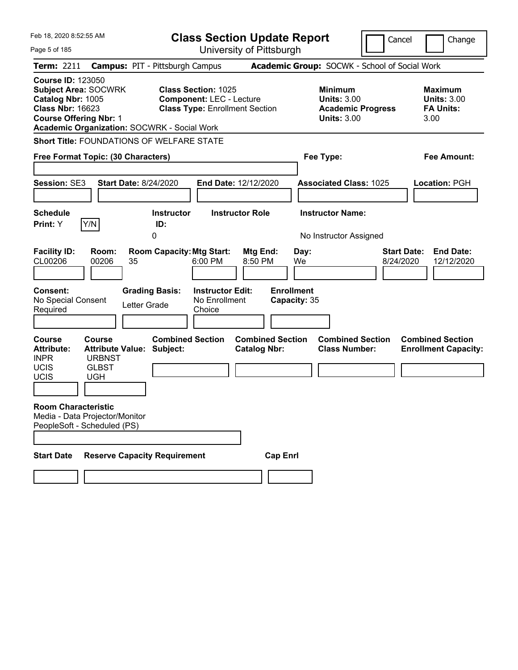| Feb 18, 2020 8:52:55 AM                                                                                                                                                                        |                                                                                                                                                  | <b>Class Section Update Report</b>                                     |                                                                                        | Cancel<br>Change                                                  |
|------------------------------------------------------------------------------------------------------------------------------------------------------------------------------------------------|--------------------------------------------------------------------------------------------------------------------------------------------------|------------------------------------------------------------------------|----------------------------------------------------------------------------------------|-------------------------------------------------------------------|
| Page 5 of 185                                                                                                                                                                                  |                                                                                                                                                  | University of Pittsburgh                                               |                                                                                        |                                                                   |
| <b>Term: 2211</b>                                                                                                                                                                              | <b>Campus: PIT - Pittsburgh Campus</b>                                                                                                           |                                                                        | Academic Group: SOCWK - School of Social Work                                          |                                                                   |
| <b>Course ID: 123050</b><br><b>Subject Area: SOCWRK</b><br>Catalog Nbr: 1005<br><b>Class Nbr: 16623</b><br><b>Course Offering Nbr: 1</b><br><b>Academic Organization: SOCWRK - Social Work</b> | <b>Class Section: 1025</b><br><b>Component: LEC - Lecture</b><br><b>Class Type: Enrollment Section</b>                                           |                                                                        | <b>Minimum</b><br><b>Units: 3.00</b><br><b>Academic Progress</b><br><b>Units: 3.00</b> | <b>Maximum</b><br><b>Units: 3.00</b><br><b>FA Units:</b><br>3.00  |
|                                                                                                                                                                                                | <b>Short Title: FOUNDATIONS OF WELFARE STATE</b>                                                                                                 |                                                                        |                                                                                        |                                                                   |
| Free Format Topic: (30 Characters)                                                                                                                                                             |                                                                                                                                                  |                                                                        | Fee Type:                                                                              | <b>Fee Amount:</b>                                                |
| <b>Session: SE3</b>                                                                                                                                                                            | <b>Start Date: 8/24/2020</b>                                                                                                                     | End Date: 12/12/2020                                                   | <b>Associated Class: 1025</b>                                                          | <b>Location: PGH</b>                                              |
| <b>Schedule</b>                                                                                                                                                                                | <b>Instructor</b>                                                                                                                                | <b>Instructor Role</b>                                                 | <b>Instructor Name:</b>                                                                |                                                                   |
| Y/N<br>Print: Y                                                                                                                                                                                | ID:<br>0                                                                                                                                         |                                                                        | No Instructor Assigned                                                                 |                                                                   |
| <b>Facility ID:</b><br>Room:<br>CL00206<br>00206<br>Consent:<br>No Special Consent<br>Required                                                                                                 | <b>Room Capacity: Mtg Start:</b><br>35<br>6:00 PM<br><b>Instructor Edit:</b><br><b>Grading Basis:</b><br>No Enrollment<br>Letter Grade<br>Choice | Mtg End:<br>Day:<br>8:50 PM<br>We<br><b>Enrollment</b><br>Capacity: 35 |                                                                                        | <b>Start Date:</b><br><b>End Date:</b><br>12/12/2020<br>8/24/2020 |
| <b>Course</b><br><b>Course</b><br><b>Attribute Value:</b><br><b>Attribute:</b><br><b>INPR</b><br><b>URBNST</b><br><b>UCIS</b><br><b>GLBST</b><br><b>UCIS</b><br><b>UGH</b>                     | <b>Combined Section</b><br>Subject:                                                                                                              | <b>Combined Section</b><br><b>Catalog Nbr:</b>                         | <b>Combined Section</b><br><b>Class Number:</b>                                        | <b>Combined Section</b><br><b>Enrollment Capacity:</b>            |
| <b>Room Characteristic</b><br>Media - Data Projector/Monitor<br>PeopleSoft - Scheduled (PS)                                                                                                    |                                                                                                                                                  |                                                                        |                                                                                        |                                                                   |
| <b>Start Date</b>                                                                                                                                                                              | <b>Reserve Capacity Requirement</b>                                                                                                              | <b>Cap Enrl</b>                                                        |                                                                                        |                                                                   |
|                                                                                                                                                                                                |                                                                                                                                                  |                                                                        |                                                                                        |                                                                   |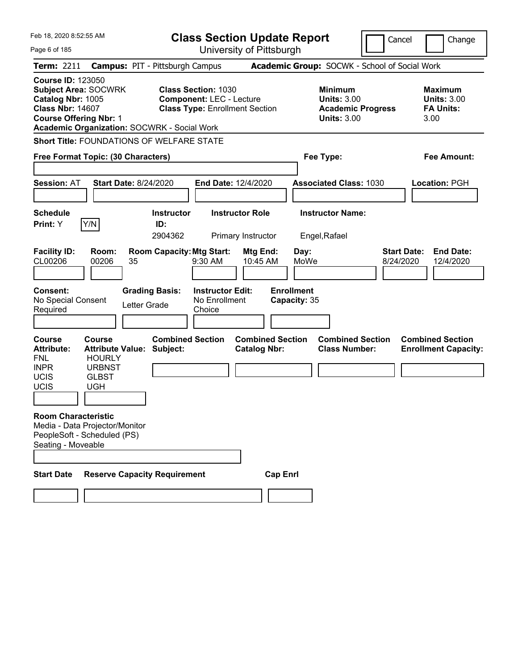| Feb 18, 2020 8:52:55 AM                                                                                   |                                                                                                   |                                                                                 |                                                               | <b>Class Section Update Report</b>             |                                                   |                                                                                        | Cancel                          | Change                                                           |
|-----------------------------------------------------------------------------------------------------------|---------------------------------------------------------------------------------------------------|---------------------------------------------------------------------------------|---------------------------------------------------------------|------------------------------------------------|---------------------------------------------------|----------------------------------------------------------------------------------------|---------------------------------|------------------------------------------------------------------|
| Page 6 of 185                                                                                             |                                                                                                   |                                                                                 |                                                               | University of Pittsburgh                       |                                                   |                                                                                        |                                 |                                                                  |
| <b>Term: 2211</b>                                                                                         |                                                                                                   | <b>Campus: PIT - Pittsburgh Campus</b>                                          |                                                               |                                                |                                                   | Academic Group: SOCWK - School of Social Work                                          |                                 |                                                                  |
| <b>Course ID: 123050</b><br>Catalog Nbr: 1005<br><b>Class Nbr: 14607</b><br><b>Course Offering Nbr: 1</b> | <b>Subject Area: SOCWRK</b>                                                                       | <b>Academic Organization: SOCWRK - Social Work</b>                              | <b>Class Section: 1030</b><br><b>Component: LEC - Lecture</b> | <b>Class Type: Enrollment Section</b>          |                                                   | <b>Minimum</b><br><b>Units: 3.00</b><br><b>Academic Progress</b><br><b>Units: 3.00</b> |                                 | <b>Maximum</b><br><b>Units: 3.00</b><br><b>FA Units:</b><br>3.00 |
|                                                                                                           |                                                                                                   | <b>Short Title: FOUNDATIONS OF WELFARE STATE</b>                                |                                                               |                                                |                                                   |                                                                                        |                                 |                                                                  |
|                                                                                                           | Free Format Topic: (30 Characters)                                                                |                                                                                 |                                                               |                                                |                                                   | Fee Type:                                                                              |                                 | Fee Amount:                                                      |
| <b>Session: AT</b>                                                                                        |                                                                                                   | <b>Start Date: 8/24/2020</b>                                                    |                                                               | End Date: 12/4/2020                            |                                                   | <b>Associated Class: 1030</b>                                                          |                                 | Location: PGH                                                    |
| <b>Schedule</b>                                                                                           |                                                                                                   | <b>Instructor</b>                                                               |                                                               | <b>Instructor Role</b>                         |                                                   | <b>Instructor Name:</b>                                                                |                                 |                                                                  |
| Print: Y                                                                                                  | Y/N                                                                                               | ID:<br>2904362                                                                  |                                                               | Primary Instructor                             |                                                   | Engel, Rafael                                                                          |                                 |                                                                  |
| <b>Facility ID:</b><br>CL00206<br><b>Consent:</b><br>No Special Consent<br>Required                       | Room:<br>00206                                                                                    | <b>Room Capacity: Mtg Start:</b><br>35<br><b>Grading Basis:</b><br>Letter Grade | 9:30 AM<br><b>Instructor Edit:</b><br>No Enrollment<br>Choice | Mtg End:<br>10:45 AM                           | Day:<br>MoWe<br><b>Enrollment</b><br>Capacity: 35 |                                                                                        | <b>Start Date:</b><br>8/24/2020 | <b>End Date:</b><br>12/4/2020                                    |
| <b>Course</b><br><b>Attribute:</b><br><b>FNL</b><br><b>INPR</b><br><b>UCIS</b><br>UCIS                    | Course<br><b>Attribute Value:</b><br><b>HOURLY</b><br><b>URBNST</b><br><b>GLBST</b><br><b>UGH</b> | <b>Combined Section</b><br>Subject:                                             |                                                               | <b>Combined Section</b><br><b>Catalog Nbr:</b> |                                                   | <b>Combined Section</b><br><b>Class Number:</b>                                        |                                 | <b>Combined Section</b><br><b>Enrollment Capacity:</b>           |
| <b>Room Characteristic</b><br>Seating - Moveable<br><b>Start Date</b>                                     | Media - Data Projector/Monitor<br>PeopleSoft - Scheduled (PS)                                     | <b>Reserve Capacity Requirement</b>                                             |                                                               | <b>Cap Enrl</b>                                |                                                   |                                                                                        |                                 |                                                                  |
|                                                                                                           |                                                                                                   |                                                                                 |                                                               |                                                |                                                   |                                                                                        |                                 |                                                                  |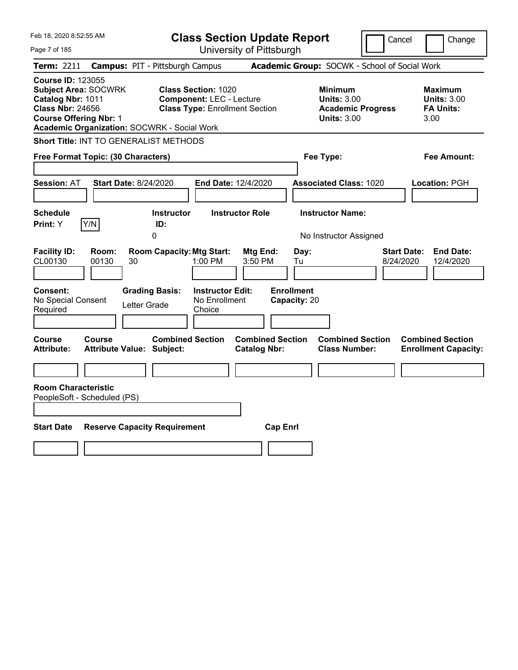| Feb 18, 2020 8:52:55 AM                                                                                                                                                                        | <b>Class Section Update Report</b>                                                                     |                                                                                        | Cancel<br>Change                                                 |
|------------------------------------------------------------------------------------------------------------------------------------------------------------------------------------------------|--------------------------------------------------------------------------------------------------------|----------------------------------------------------------------------------------------|------------------------------------------------------------------|
| Page 7 of 185                                                                                                                                                                                  | University of Pittsburgh                                                                               |                                                                                        |                                                                  |
| <b>Term: 2211</b>                                                                                                                                                                              | <b>Campus: PIT - Pittsburgh Campus</b>                                                                 | Academic Group: SOCWK - School of Social Work                                          |                                                                  |
| <b>Course ID: 123055</b><br><b>Subject Area: SOCWRK</b><br>Catalog Nbr: 1011<br><b>Class Nbr: 24656</b><br><b>Course Offering Nbr: 1</b><br><b>Academic Organization: SOCWRK - Social Work</b> | <b>Class Section: 1020</b><br><b>Component: LEC - Lecture</b><br><b>Class Type: Enrollment Section</b> | <b>Minimum</b><br><b>Units: 3.00</b><br><b>Academic Progress</b><br><b>Units: 3.00</b> | <b>Maximum</b><br><b>Units: 3.00</b><br><b>FA Units:</b><br>3.00 |
| Short Title: INT TO GENERALIST METHODS                                                                                                                                                         |                                                                                                        |                                                                                        |                                                                  |
| Free Format Topic: (30 Characters)                                                                                                                                                             |                                                                                                        | Fee Type:                                                                              | Fee Amount:                                                      |
| <b>Session: AT</b><br><b>Start Date: 8/24/2020</b>                                                                                                                                             | End Date: 12/4/2020                                                                                    | <b>Associated Class: 1020</b>                                                          | Location: PGH                                                    |
| <b>Schedule</b><br>Print: Y<br>Y/N                                                                                                                                                             | <b>Instructor Role</b><br><b>Instructor</b><br>ID:<br>$\overline{0}$                                   | <b>Instructor Name:</b><br>No Instructor Assigned                                      |                                                                  |
| <b>Facility ID:</b><br>Room:<br>CL00130<br>30<br>00130                                                                                                                                         | <b>Room Capacity: Mtg Start:</b><br>Mtg End:<br>$1:00$ PM<br>3:50 PM                                   | Day:<br>Tu                                                                             | <b>End Date:</b><br><b>Start Date:</b><br>8/24/2020<br>12/4/2020 |
| Consent:<br>No Special Consent<br>Letter Grade<br>Required                                                                                                                                     | <b>Grading Basis:</b><br><b>Instructor Edit:</b><br>No Enrollment<br>Choice                            | <b>Enrollment</b><br>Capacity: 20                                                      |                                                                  |
| Course<br>Course<br><b>Attribute:</b><br><b>Attribute Value: Subject:</b>                                                                                                                      | <b>Combined Section</b><br><b>Catalog Nbr:</b>                                                         | <b>Combined Section</b><br><b>Combined Section</b><br><b>Class Number:</b>             | <b>Combined Section</b><br><b>Enrollment Capacity:</b>           |
|                                                                                                                                                                                                |                                                                                                        |                                                                                        |                                                                  |
| <b>Room Characteristic</b><br>PeopleSoft - Scheduled (PS)                                                                                                                                      |                                                                                                        |                                                                                        |                                                                  |
| <b>Start Date</b><br><b>Reserve Capacity Requirement</b>                                                                                                                                       |                                                                                                        | <b>Cap Enrl</b>                                                                        |                                                                  |
|                                                                                                                                                                                                |                                                                                                        |                                                                                        |                                                                  |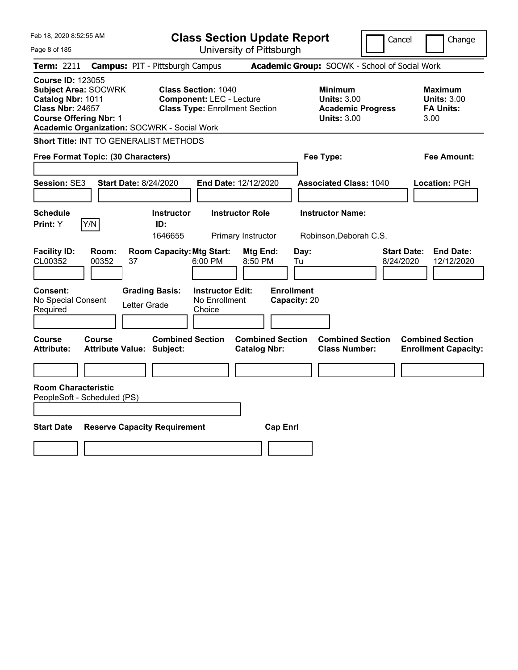| Feb 18, 2020 8:52:55 AM                                                                                                                                                                        | <b>Class Section Update Report</b>                                                                     |                                                                                                   | Cancel<br>Change                                                  |
|------------------------------------------------------------------------------------------------------------------------------------------------------------------------------------------------|--------------------------------------------------------------------------------------------------------|---------------------------------------------------------------------------------------------------|-------------------------------------------------------------------|
| Page 8 of 185                                                                                                                                                                                  | University of Pittsburgh                                                                               |                                                                                                   |                                                                   |
| <b>Term: 2211</b>                                                                                                                                                                              | <b>Campus: PIT - Pittsburgh Campus</b>                                                                 | Academic Group: SOCWK - School of Social Work                                                     |                                                                   |
| <b>Course ID: 123055</b><br><b>Subject Area: SOCWRK</b><br>Catalog Nbr: 1011<br><b>Class Nbr: 24657</b><br><b>Course Offering Nbr: 1</b><br><b>Academic Organization: SOCWRK - Social Work</b> | <b>Class Section: 1040</b><br><b>Component: LEC - Lecture</b><br><b>Class Type: Enrollment Section</b> | <b>Minimum</b><br><b>Units: 3.00</b><br><b>Academic Progress</b><br><b>Units: 3.00</b>            | <b>Maximum</b><br><b>Units: 3.00</b><br><b>FA Units:</b><br>3.00  |
| Short Title: INT TO GENERALIST METHODS                                                                                                                                                         |                                                                                                        |                                                                                                   |                                                                   |
| Free Format Topic: (30 Characters)                                                                                                                                                             |                                                                                                        | Fee Type:                                                                                         | Fee Amount:                                                       |
| Session: SE3                                                                                                                                                                                   | <b>Start Date: 8/24/2020</b><br>End Date: 12/12/2020                                                   | <b>Associated Class: 1040</b>                                                                     | Location: PGH                                                     |
| <b>Schedule</b>                                                                                                                                                                                | <b>Instructor Role</b><br><b>Instructor</b>                                                            | <b>Instructor Name:</b>                                                                           |                                                                   |
| Print: Y<br>Y/N                                                                                                                                                                                | ID:<br>1646655<br>Primary Instructor                                                                   | Robinson, Deborah C.S.                                                                            |                                                                   |
| <b>Facility ID:</b><br>Room:<br>CL00352<br>00352                                                                                                                                               | <b>Room Capacity: Mtg Start:</b><br>37<br>6:00 PM                                                      | Mtg End:<br>Day:<br>8:50 PM<br>Tu                                                                 | <b>End Date:</b><br><b>Start Date:</b><br>8/24/2020<br>12/12/2020 |
| <b>Consent:</b><br>No Special Consent<br>Required                                                                                                                                              | <b>Grading Basis:</b><br><b>Instructor Edit:</b><br>No Enrollment<br>Letter Grade<br>Choice            | <b>Enrollment</b><br>Capacity: 20                                                                 |                                                                   |
| Course<br>Course<br><b>Attribute:</b>                                                                                                                                                          | <b>Combined Section</b><br><b>Attribute Value: Subject:</b>                                            | <b>Combined Section</b><br><b>Combined Section</b><br><b>Catalog Nbr:</b><br><b>Class Number:</b> | <b>Combined Section</b><br><b>Enrollment Capacity:</b>            |
|                                                                                                                                                                                                |                                                                                                        |                                                                                                   |                                                                   |
| <b>Room Characteristic</b><br>PeopleSoft - Scheduled (PS)                                                                                                                                      |                                                                                                        |                                                                                                   |                                                                   |
| <b>Start Date</b>                                                                                                                                                                              | <b>Reserve Capacity Requirement</b>                                                                    | <b>Cap Enrl</b>                                                                                   |                                                                   |
|                                                                                                                                                                                                |                                                                                                        |                                                                                                   |                                                                   |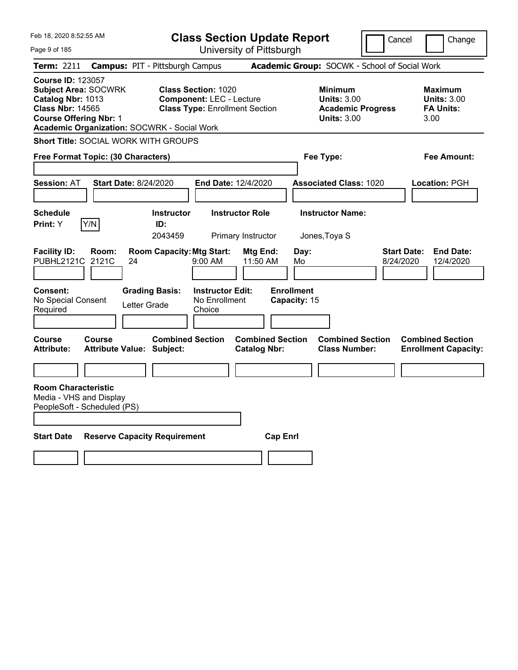| <b>Class Section Update Report</b><br>Cancel                                                                                                                                                                                                                                                                                                                                                       | Change                                                           |
|----------------------------------------------------------------------------------------------------------------------------------------------------------------------------------------------------------------------------------------------------------------------------------------------------------------------------------------------------------------------------------------------------|------------------------------------------------------------------|
| University of Pittsburgh<br>Page 9 of 185                                                                                                                                                                                                                                                                                                                                                          |                                                                  |
| Academic Group: SOCWK - School of Social Work<br>Term: 2211<br><b>Campus: PIT - Pittsburgh Campus</b>                                                                                                                                                                                                                                                                                              |                                                                  |
| <b>Course ID: 123057</b><br><b>Subject Area: SOCWRK</b><br><b>Class Section: 1020</b><br><b>Minimum</b><br>Catalog Nbr: 1013<br><b>Units: 3.00</b><br><b>Component: LEC - Lecture</b><br><b>Class Nbr: 14565</b><br><b>Class Type: Enrollment Section</b><br><b>Academic Progress</b><br><b>Course Offering Nbr: 1</b><br><b>Units: 3.00</b><br><b>Academic Organization: SOCWRK - Social Work</b> | <b>Maximum</b><br><b>Units: 3.00</b><br><b>FA Units:</b><br>3.00 |
| <b>Short Title: SOCIAL WORK WITH GROUPS</b>                                                                                                                                                                                                                                                                                                                                                        |                                                                  |
| Fee Type:<br>Free Format Topic: (30 Characters)                                                                                                                                                                                                                                                                                                                                                    | Fee Amount:                                                      |
|                                                                                                                                                                                                                                                                                                                                                                                                    |                                                                  |
| <b>Start Date: 8/24/2020</b><br>End Date: 12/4/2020<br><b>Associated Class: 1020</b><br><b>Session: AT</b>                                                                                                                                                                                                                                                                                         | Location: PGH                                                    |
|                                                                                                                                                                                                                                                                                                                                                                                                    |                                                                  |
| <b>Schedule</b><br><b>Instructor Name:</b><br><b>Instructor</b><br><b>Instructor Role</b>                                                                                                                                                                                                                                                                                                          |                                                                  |
| Y/N<br>Print: Y<br>ID:<br>2043459<br>Primary Instructor<br>Jones, Toya S                                                                                                                                                                                                                                                                                                                           |                                                                  |
| <b>Facility ID:</b><br><b>Room Capacity: Mtg Start:</b><br>Day:<br><b>Start Date:</b><br>Room:<br>Mtg End:<br>PUBHL2121C<br>2121C<br>9:00 AM<br>11:50 AM<br>Mo<br>8/24/2020<br>24<br><b>Enrollment</b><br>Consent:<br><b>Grading Basis:</b><br><b>Instructor Edit:</b><br>No Special Consent<br>No Enrollment<br>Capacity: 15<br>Letter Grade<br>Required<br>Choice                                | <b>End Date:</b><br>12/4/2020                                    |
| <b>Combined Section</b><br><b>Combined Section</b><br><b>Combined Section</b><br><b>Course</b><br><b>Course</b><br><b>Attribute:</b><br><b>Attribute Value: Subject:</b><br><b>Catalog Nbr:</b><br><b>Class Number:</b>                                                                                                                                                                            | <b>Combined Section</b><br><b>Enrollment Capacity:</b>           |
|                                                                                                                                                                                                                                                                                                                                                                                                    |                                                                  |
| <b>Room Characteristic</b><br>Media - VHS and Display<br>PeopleSoft - Scheduled (PS)                                                                                                                                                                                                                                                                                                               |                                                                  |
| <b>Start Date</b><br><b>Reserve Capacity Requirement</b><br><b>Cap Enrl</b>                                                                                                                                                                                                                                                                                                                        |                                                                  |
|                                                                                                                                                                                                                                                                                                                                                                                                    |                                                                  |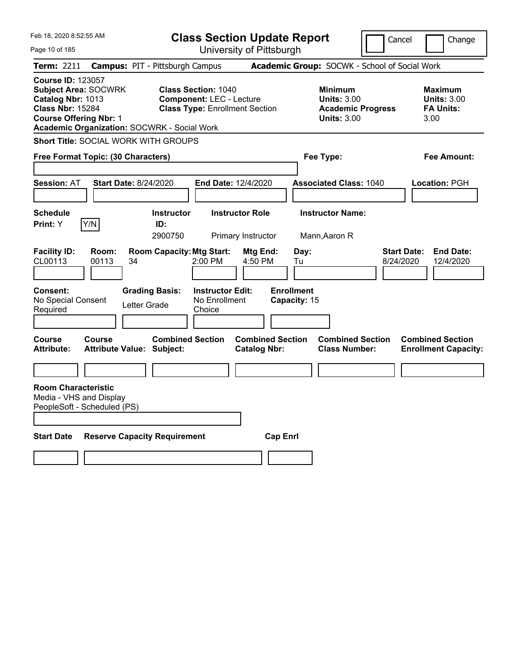| Feb 18, 2020 8:52:55 AM                                                                                                                                                                        | <b>Class Section Update Report</b>                                                                     |                                                |                                                                                        | Cancel                          | Change                                                           |
|------------------------------------------------------------------------------------------------------------------------------------------------------------------------------------------------|--------------------------------------------------------------------------------------------------------|------------------------------------------------|----------------------------------------------------------------------------------------|---------------------------------|------------------------------------------------------------------|
| Page 10 of 185                                                                                                                                                                                 |                                                                                                        | University of Pittsburgh                       |                                                                                        |                                 |                                                                  |
| Term: 2211                                                                                                                                                                                     | <b>Campus: PIT - Pittsburgh Campus</b>                                                                 |                                                | Academic Group: SOCWK - School of Social Work                                          |                                 |                                                                  |
| <b>Course ID: 123057</b><br><b>Subject Area: SOCWRK</b><br>Catalog Nbr: 1013<br><b>Class Nbr: 15284</b><br><b>Course Offering Nbr: 1</b><br><b>Academic Organization: SOCWRK - Social Work</b> | <b>Class Section: 1040</b><br><b>Component: LEC - Lecture</b><br><b>Class Type: Enrollment Section</b> |                                                | <b>Minimum</b><br><b>Units: 3.00</b><br><b>Academic Progress</b><br><b>Units: 3.00</b> |                                 | <b>Maximum</b><br><b>Units: 3.00</b><br><b>FA Units:</b><br>3.00 |
| <b>Short Title: SOCIAL WORK WITH GROUPS</b>                                                                                                                                                    |                                                                                                        |                                                |                                                                                        |                                 |                                                                  |
| Free Format Topic: (30 Characters)                                                                                                                                                             |                                                                                                        |                                                | Fee Type:                                                                              |                                 | Fee Amount:                                                      |
|                                                                                                                                                                                                |                                                                                                        |                                                |                                                                                        |                                 |                                                                  |
| <b>Start Date: 8/24/2020</b><br><b>Session: AT</b>                                                                                                                                             | End Date: 12/4/2020                                                                                    |                                                | <b>Associated Class: 1040</b>                                                          |                                 | <b>Location: PGH</b>                                             |
| <b>Schedule</b><br>Y/N<br>Print: Y                                                                                                                                                             | <b>Instructor</b><br><b>Instructor Role</b><br>ID:<br>2900750                                          | Primary Instructor                             | <b>Instructor Name:</b><br>Mann, Aaron R                                               |                                 |                                                                  |
| <b>Facility ID:</b><br>Room:<br>CL00113<br>00113<br>34                                                                                                                                         | <b>Room Capacity: Mtg Start:</b><br>2:00 PM                                                            | Mtg End:<br>4:50 PM                            | Day:<br>Tu                                                                             | <b>Start Date:</b><br>8/24/2020 | <b>End Date:</b><br>12/4/2020                                    |
| Consent:<br>No Special Consent<br>Required                                                                                                                                                     | <b>Grading Basis:</b><br><b>Instructor Edit:</b><br>No Enrollment<br>Letter Grade<br>Choice            | <b>Enrollment</b>                              | Capacity: 15                                                                           |                                 |                                                                  |
| <b>Course</b><br><b>Course</b><br><b>Attribute:</b><br><b>Attribute Value: Subject:</b>                                                                                                        | <b>Combined Section</b>                                                                                | <b>Combined Section</b><br><b>Catalog Nbr:</b> | <b>Combined Section</b><br><b>Class Number:</b>                                        |                                 | <b>Combined Section</b><br><b>Enrollment Capacity:</b>           |
|                                                                                                                                                                                                |                                                                                                        |                                                |                                                                                        |                                 |                                                                  |
| <b>Room Characteristic</b><br>Media - VHS and Display<br>PeopleSoft - Scheduled (PS)                                                                                                           |                                                                                                        |                                                |                                                                                        |                                 |                                                                  |
| <b>Start Date</b>                                                                                                                                                                              | <b>Reserve Capacity Requirement</b>                                                                    | <b>Cap Enrl</b>                                |                                                                                        |                                 |                                                                  |
|                                                                                                                                                                                                |                                                                                                        |                                                |                                                                                        |                                 |                                                                  |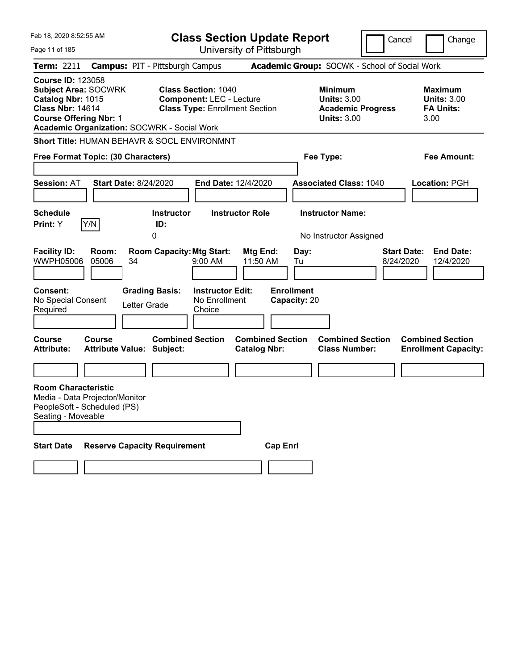| Feb 18, 2020 8:52:55 AM<br>Page 11 of 185                                                                                                                                                      |                                            |                                                           |                                                                                                        | <b>Class Section Update Report</b><br>University of Pittsburgh |                                                 |                                                                                        | Cancel | Change                                                           |
|------------------------------------------------------------------------------------------------------------------------------------------------------------------------------------------------|--------------------------------------------|-----------------------------------------------------------|--------------------------------------------------------------------------------------------------------|----------------------------------------------------------------|-------------------------------------------------|----------------------------------------------------------------------------------------|--------|------------------------------------------------------------------|
| <b>Term: 2211</b>                                                                                                                                                                              | <b>Campus: PIT - Pittsburgh Campus</b>     |                                                           |                                                                                                        |                                                                |                                                 | Academic Group: SOCWK - School of Social Work                                          |        |                                                                  |
| <b>Course ID: 123058</b><br><b>Subject Area: SOCWRK</b><br>Catalog Nbr: 1015<br><b>Class Nbr: 14614</b><br><b>Course Offering Nbr: 1</b><br><b>Academic Organization: SOCWRK - Social Work</b> |                                            |                                                           | <b>Class Section: 1040</b><br><b>Component: LEC - Lecture</b><br><b>Class Type: Enrollment Section</b> |                                                                |                                                 | <b>Minimum</b><br><b>Units: 3.00</b><br><b>Academic Progress</b><br><b>Units: 3.00</b> |        | <b>Maximum</b><br><b>Units: 3.00</b><br><b>FA Units:</b><br>3.00 |
| <b>Short Title: HUMAN BEHAVR &amp; SOCL ENVIRONMNT</b><br>Free Format Topic: (30 Characters)                                                                                                   |                                            |                                                           |                                                                                                        |                                                                |                                                 | Fee Type:                                                                              |        | <b>Fee Amount:</b>                                               |
| <b>Session: AT</b>                                                                                                                                                                             | <b>Start Date: 8/24/2020</b>               |                                                           | <b>End Date: 12/4/2020</b>                                                                             |                                                                |                                                 | <b>Associated Class: 1040</b>                                                          |        | <b>Location: PGH</b>                                             |
| <b>Schedule</b><br>Y/N<br><b>Print:</b> Y                                                                                                                                                      |                                            | Instructor<br>ID:<br>0                                    |                                                                                                        | <b>Instructor Role</b>                                         |                                                 | <b>Instructor Name:</b><br>No Instructor Assigned                                      |        |                                                                  |
| <b>Facility ID:</b><br>WWPH05006<br><b>Consent:</b><br>No Special Consent<br>Required                                                                                                          | Room:<br>05006<br>34<br>Letter Grade       | <b>Room Capacity: Mtg Start:</b><br><b>Grading Basis:</b> | $9:00$ AM<br><b>Instructor Edit:</b><br>No Enrollment<br>Choice                                        | Mtg End:<br>11:50 AM                                           | Day:<br>Tu<br><b>Enrollment</b><br>Capacity: 20 |                                                                                        |        | <b>Start Date:</b><br><b>End Date:</b><br>8/24/2020<br>12/4/2020 |
| <b>Course</b><br><b>Attribute:</b>                                                                                                                                                             | Course<br><b>Attribute Value: Subject:</b> | <b>Combined Section</b>                                   |                                                                                                        | <b>Combined Section</b><br><b>Catalog Nbr:</b>                 |                                                 | <b>Combined Section</b><br><b>Class Number:</b>                                        |        | <b>Combined Section</b><br><b>Enrollment Capacity:</b>           |
| <b>Room Characteristic</b><br>Media - Data Projector/Monitor<br>PeopleSoft - Scheduled (PS)<br>Seating - Moveable                                                                              |                                            |                                                           |                                                                                                        |                                                                |                                                 |                                                                                        |        |                                                                  |
| <b>Start Date</b>                                                                                                                                                                              | <b>Reserve Capacity Requirement</b>        |                                                           |                                                                                                        | <b>Cap Enrl</b>                                                |                                                 |                                                                                        |        |                                                                  |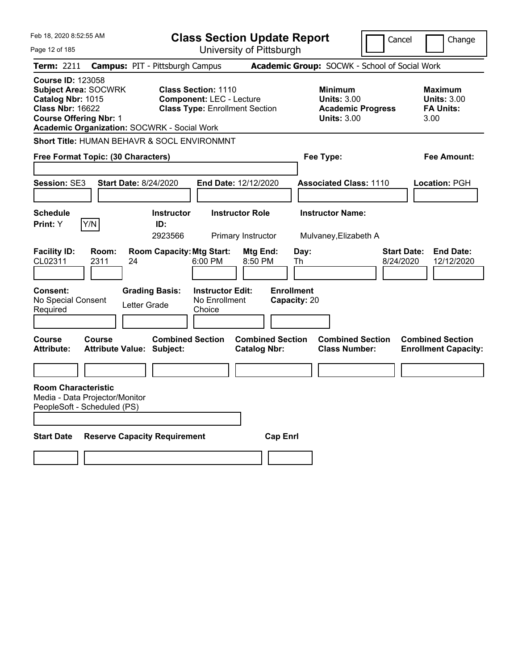| Feb 18, 2020 8:52:55 AM                                                                                                                                                                 |                                                   |                                     | <b>Class Section Update Report</b>                                                                     |                                                |                   |              |                                                                                        | Cancel                          |                                                                  | Change                         |
|-----------------------------------------------------------------------------------------------------------------------------------------------------------------------------------------|---------------------------------------------------|-------------------------------------|--------------------------------------------------------------------------------------------------------|------------------------------------------------|-------------------|--------------|----------------------------------------------------------------------------------------|---------------------------------|------------------------------------------------------------------|--------------------------------|
| Page 12 of 185                                                                                                                                                                          |                                                   |                                     | University of Pittsburgh                                                                               |                                                |                   |              |                                                                                        |                                 |                                                                  |                                |
| Term: 2211                                                                                                                                                                              | <b>Campus: PIT - Pittsburgh Campus</b>            |                                     |                                                                                                        |                                                |                   |              | Academic Group: SOCWK - School of Social Work                                          |                                 |                                                                  |                                |
| <b>Course ID: 123058</b><br><b>Subject Area: SOCWRK</b><br>Catalog Nbr: 1015<br><b>Class Nbr: 16622</b><br><b>Course Offering Nbr: 1</b><br>Academic Organization: SOCWRK - Social Work |                                                   |                                     | <b>Class Section: 1110</b><br><b>Component: LEC - Lecture</b><br><b>Class Type: Enrollment Section</b> |                                                |                   |              | <b>Minimum</b><br><b>Units: 3.00</b><br><b>Academic Progress</b><br><b>Units: 3.00</b> |                                 | <b>Maximum</b><br><b>Units: 3.00</b><br><b>FA Units:</b><br>3.00 |                                |
| Short Title: HUMAN BEHAVR & SOCL ENVIRONMNT                                                                                                                                             |                                                   |                                     |                                                                                                        |                                                |                   |              |                                                                                        |                                 |                                                                  |                                |
| Free Format Topic: (30 Characters)                                                                                                                                                      |                                                   |                                     |                                                                                                        |                                                |                   |              | Fee Type:                                                                              |                                 |                                                                  | Fee Amount:                    |
| <b>Session: SE3</b>                                                                                                                                                                     | <b>Start Date: 8/24/2020</b>                      |                                     | End Date: 12/12/2020                                                                                   |                                                |                   |              | <b>Associated Class: 1110</b>                                                          |                                 | Location: PGH                                                    |                                |
| <b>Schedule</b><br>Y/N<br>Print: Y                                                                                                                                                      |                                                   | <b>Instructor</b><br>ID:<br>2923566 |                                                                                                        | <b>Instructor Role</b><br>Primary Instructor   |                   |              | <b>Instructor Name:</b><br>Mulvaney, Elizabeth A                                       |                                 |                                                                  |                                |
| <b>Facility ID:</b><br>CL02311                                                                                                                                                          | Room:<br>2311<br>24                               | <b>Room Capacity: Mtg Start:</b>    | 6:00 PM                                                                                                | Mtg End:<br>8:50 PM                            |                   | Day:<br>Th   |                                                                                        | <b>Start Date:</b><br>8/24/2020 |                                                                  | <b>End Date:</b><br>12/12/2020 |
| Consent:<br>No Special Consent<br>Required                                                                                                                                              | Letter Grade                                      | <b>Grading Basis:</b>               | <b>Instructor Edit:</b><br>No Enrollment<br>Choice                                                     |                                                | <b>Enrollment</b> | Capacity: 20 |                                                                                        |                                 |                                                                  |                                |
| <b>Course</b><br><b>Attribute:</b>                                                                                                                                                      | <b>Course</b><br><b>Attribute Value: Subject:</b> | <b>Combined Section</b>             |                                                                                                        | <b>Combined Section</b><br><b>Catalog Nbr:</b> |                   |              | <b>Combined Section</b><br><b>Class Number:</b>                                        |                                 | <b>Combined Section</b>                                          | <b>Enrollment Capacity:</b>    |
|                                                                                                                                                                                         |                                                   |                                     |                                                                                                        |                                                |                   |              |                                                                                        |                                 |                                                                  |                                |
| <b>Room Characteristic</b><br>Media - Data Projector/Monitor<br>PeopleSoft - Scheduled (PS)                                                                                             |                                                   |                                     |                                                                                                        |                                                |                   |              |                                                                                        |                                 |                                                                  |                                |
| <b>Start Date</b>                                                                                                                                                                       | <b>Reserve Capacity Requirement</b>               |                                     |                                                                                                        |                                                | <b>Cap Enrl</b>   |              |                                                                                        |                                 |                                                                  |                                |
|                                                                                                                                                                                         |                                                   |                                     |                                                                                                        |                                                |                   |              |                                                                                        |                                 |                                                                  |                                |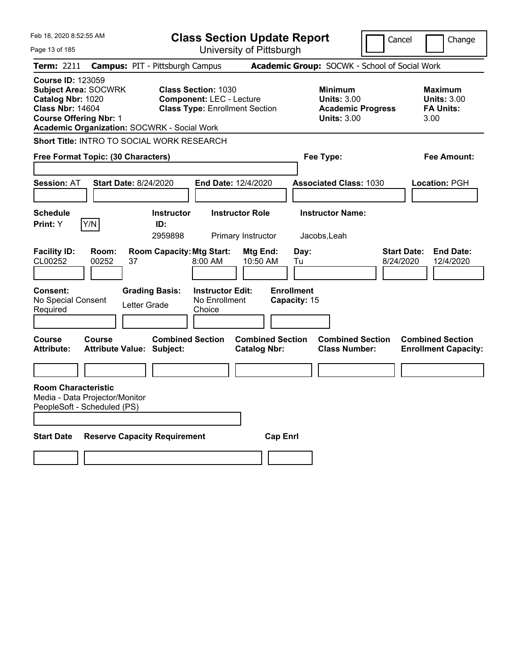| Feb 18, 2020 8:52:55 AM                                                                                                                  |                                                               |                                                           | <b>Class Section Update Report</b>                                                                     |                                                |                                                 |                                                                                        | Cancel                                        | Change                                                           |  |
|------------------------------------------------------------------------------------------------------------------------------------------|---------------------------------------------------------------|-----------------------------------------------------------|--------------------------------------------------------------------------------------------------------|------------------------------------------------|-------------------------------------------------|----------------------------------------------------------------------------------------|-----------------------------------------------|------------------------------------------------------------------|--|
| Page 13 of 185                                                                                                                           |                                                               |                                                           |                                                                                                        | University of Pittsburgh                       |                                                 |                                                                                        |                                               |                                                                  |  |
| Term: 2211                                                                                                                               | <b>Campus: PIT - Pittsburgh Campus</b>                        |                                                           |                                                                                                        |                                                |                                                 |                                                                                        | Academic Group: SOCWK - School of Social Work |                                                                  |  |
| <b>Course ID: 123059</b><br><b>Subject Area: SOCWRK</b><br>Catalog Nbr: 1020<br><b>Class Nbr: 14604</b><br><b>Course Offering Nbr: 1</b> | <b>Academic Organization: SOCWRK - Social Work</b>            |                                                           | <b>Class Section: 1030</b><br><b>Component: LEC - Lecture</b><br><b>Class Type: Enrollment Section</b> |                                                |                                                 | <b>Minimum</b><br><b>Units: 3.00</b><br><b>Academic Progress</b><br><b>Units: 3.00</b> |                                               | <b>Maximum</b><br><b>Units: 3.00</b><br><b>FA Units:</b><br>3.00 |  |
|                                                                                                                                          | Short Title: INTRO TO SOCIAL WORK RESEARCH                    |                                                           |                                                                                                        |                                                |                                                 |                                                                                        |                                               |                                                                  |  |
|                                                                                                                                          | Free Format Topic: (30 Characters)                            |                                                           |                                                                                                        |                                                |                                                 | Fee Type:                                                                              |                                               | Fee Amount:                                                      |  |
|                                                                                                                                          |                                                               |                                                           |                                                                                                        |                                                |                                                 |                                                                                        |                                               |                                                                  |  |
| <b>Session: AT</b>                                                                                                                       | <b>Start Date: 8/24/2020</b>                                  |                                                           | <b>End Date: 12/4/2020</b>                                                                             |                                                |                                                 | <b>Associated Class: 1030</b>                                                          |                                               | Location: PGH                                                    |  |
|                                                                                                                                          |                                                               |                                                           |                                                                                                        |                                                |                                                 |                                                                                        |                                               |                                                                  |  |
| <b>Schedule</b>                                                                                                                          |                                                               | <b>Instructor</b>                                         |                                                                                                        | <b>Instructor Role</b>                         |                                                 | <b>Instructor Name:</b>                                                                |                                               |                                                                  |  |
| Print: Y                                                                                                                                 | Y/N                                                           | ID:<br>2959898                                            |                                                                                                        | Primary Instructor                             |                                                 | Jacobs, Leah                                                                           |                                               |                                                                  |  |
| <b>Facility ID:</b><br>CL00252<br><b>Consent:</b><br>No Special Consent<br>Required                                                      | Room:<br>00252<br>37<br>Letter Grade                          | <b>Room Capacity: Mtg Start:</b><br><b>Grading Basis:</b> | 8:00 AM<br><b>Instructor Edit:</b><br>No Enrollment<br>Choice                                          | Mtg End:<br>10:50 AM                           | Day:<br>Tu<br><b>Enrollment</b><br>Capacity: 15 |                                                                                        | <b>Start Date:</b><br>8/24/2020               | <b>End Date:</b><br>12/4/2020                                    |  |
| <b>Course</b><br><b>Attribute:</b>                                                                                                       | <b>Course</b><br><b>Attribute Value: Subject:</b>             | <b>Combined Section</b>                                   |                                                                                                        | <b>Combined Section</b><br><b>Catalog Nbr:</b> |                                                 | <b>Combined Section</b><br><b>Class Number:</b>                                        |                                               | <b>Combined Section</b><br><b>Enrollment Capacity:</b>           |  |
|                                                                                                                                          |                                                               |                                                           |                                                                                                        |                                                |                                                 |                                                                                        |                                               |                                                                  |  |
| <b>Room Characteristic</b>                                                                                                               | Media - Data Projector/Monitor<br>PeopleSoft - Scheduled (PS) |                                                           |                                                                                                        |                                                |                                                 |                                                                                        |                                               |                                                                  |  |
| <b>Start Date</b>                                                                                                                        | <b>Reserve Capacity Requirement</b>                           |                                                           |                                                                                                        |                                                | <b>Cap Enri</b>                                 |                                                                                        |                                               |                                                                  |  |
|                                                                                                                                          |                                                               |                                                           |                                                                                                        |                                                |                                                 |                                                                                        |                                               |                                                                  |  |
|                                                                                                                                          |                                                               |                                                           |                                                                                                        |                                                |                                                 |                                                                                        |                                               |                                                                  |  |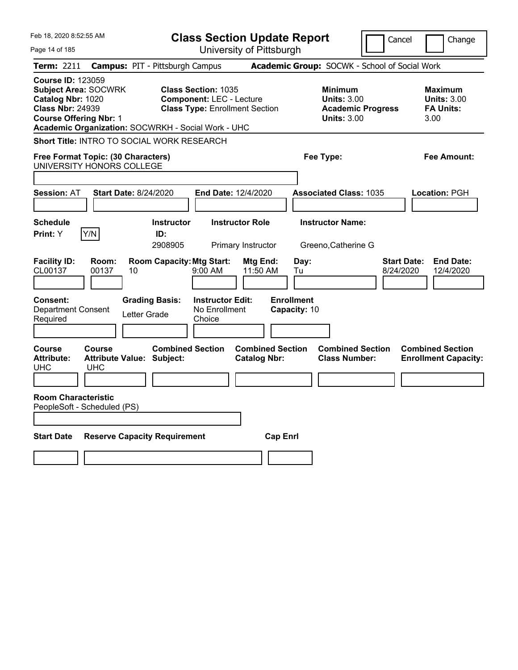| Feb 18, 2020 8:52:55 AM<br>Page 14 of 185                                                                                                                                                      | <b>Class Section Update Report</b><br>University of Pittsburgh                                         | Cancel                                                                                 | Change                                                           |
|------------------------------------------------------------------------------------------------------------------------------------------------------------------------------------------------|--------------------------------------------------------------------------------------------------------|----------------------------------------------------------------------------------------|------------------------------------------------------------------|
| <b>Term: 2211</b>                                                                                                                                                                              | <b>Campus: PIT - Pittsburgh Campus</b>                                                                 | Academic Group: SOCWK - School of Social Work                                          |                                                                  |
| <b>Course ID: 123059</b><br><b>Subject Area: SOCWRK</b><br>Catalog Nbr: 1020<br><b>Class Nbr: 24939</b><br><b>Course Offering Nbr: 1</b><br>Academic Organization: SOCWRKH - Social Work - UHC | <b>Class Section: 1035</b><br><b>Component: LEC - Lecture</b><br><b>Class Type: Enrollment Section</b> | <b>Minimum</b><br><b>Units: 3.00</b><br><b>Academic Progress</b><br><b>Units: 3.00</b> | <b>Maximum</b><br><b>Units: 3.00</b><br><b>FA Units:</b><br>3.00 |
| <b>Short Title: INTRO TO SOCIAL WORK RESEARCH</b>                                                                                                                                              |                                                                                                        |                                                                                        |                                                                  |
| Free Format Topic: (30 Characters)<br>UNIVERSITY HONORS COLLEGE                                                                                                                                |                                                                                                        | Fee Type:                                                                              | <b>Fee Amount:</b>                                               |
| <b>Session: AT</b><br><b>Start Date: 8/24/2020</b>                                                                                                                                             | <b>End Date: 12/4/2020</b>                                                                             | <b>Associated Class: 1035</b>                                                          | Location: PGH                                                    |
| <b>Schedule</b><br>Y/N<br>Print: Y                                                                                                                                                             | <b>Instructor Role</b><br><b>Instructor</b><br>ID:<br>2908905<br>Primary Instructor                    | <b>Instructor Name:</b><br>Greeno, Catherine G                                         |                                                                  |
| <b>Facility ID:</b><br>Room:<br>CL00137<br>00137<br>10                                                                                                                                         | <b>Room Capacity: Mtg Start:</b><br>Mtg End:<br>11:50 AM<br>$9:00$ AM                                  | <b>Start Date:</b><br>Day:<br>8/24/2020<br>Tu                                          | <b>End Date:</b><br>12/4/2020                                    |
| <b>Consent:</b><br><b>Grading Basis:</b><br><b>Department Consent</b><br>Letter Grade<br>Required                                                                                              | <b>Instructor Edit:</b><br>No Enrollment<br>Choice                                                     | <b>Enrollment</b><br>Capacity: 10                                                      |                                                                  |
| <b>Course</b><br>Course<br><b>Attribute:</b><br><b>Attribute Value: Subject:</b><br><b>UHC</b><br><b>UHC</b>                                                                                   | <b>Combined Section</b><br><b>Combined Section</b><br><b>Catalog Nbr:</b>                              | <b>Combined Section</b><br><b>Class Number:</b>                                        | <b>Combined Section</b><br><b>Enrollment Capacity:</b>           |
| <b>Room Characteristic</b><br>PeopleSoft - Scheduled (PS)                                                                                                                                      |                                                                                                        |                                                                                        |                                                                  |
| <b>Reserve Capacity Requirement</b><br><b>Start Date</b>                                                                                                                                       | <b>Cap Enrl</b>                                                                                        |                                                                                        |                                                                  |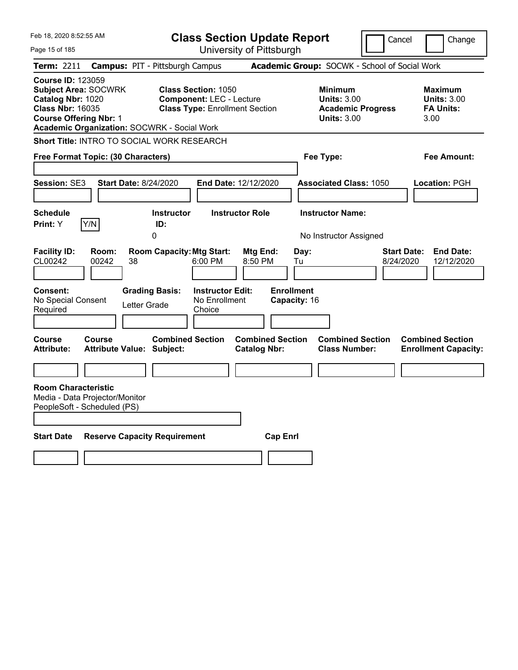| Feb 18, 2020 8:52:55 AM                                                                                                                                                                        |                                            |                                  | <b>Class Section Update Report</b>                                       |                                                |                                                            |                                                 | Cancel<br>Change                                                  |
|------------------------------------------------------------------------------------------------------------------------------------------------------------------------------------------------|--------------------------------------------|----------------------------------|--------------------------------------------------------------------------|------------------------------------------------|------------------------------------------------------------|-------------------------------------------------|-------------------------------------------------------------------|
| Page 15 of 185                                                                                                                                                                                 |                                            |                                  | University of Pittsburgh                                                 |                                                |                                                            |                                                 |                                                                   |
| Term: 2211                                                                                                                                                                                     | <b>Campus: PIT - Pittsburgh Campus</b>     |                                  |                                                                          |                                                |                                                            | Academic Group: SOCWK - School of Social Work   |                                                                   |
| <b>Course ID: 123059</b><br><b>Subject Area: SOCWRK</b><br>Catalog Nbr: 1020<br><b>Class Nbr: 16035</b><br><b>Course Offering Nbr: 1</b><br><b>Academic Organization: SOCWRK - Social Work</b> |                                            | <b>Class Section: 1050</b>       | <b>Component: LEC - Lecture</b><br><b>Class Type: Enrollment Section</b> |                                                | <b>Minimum</b><br><b>Units: 3.00</b><br><b>Units: 3.00</b> | <b>Academic Progress</b>                        | <b>Maximum</b><br><b>Units: 3.00</b><br><b>FA Units:</b><br>3.00  |
| Short Title: INTRO TO SOCIAL WORK RESEARCH                                                                                                                                                     |                                            |                                  |                                                                          |                                                |                                                            |                                                 |                                                                   |
| Free Format Topic: (30 Characters)                                                                                                                                                             |                                            |                                  |                                                                          |                                                | Fee Type:                                                  |                                                 | Fee Amount:                                                       |
| Session: SE3                                                                                                                                                                                   | <b>Start Date: 8/24/2020</b>               |                                  | <b>End Date: 12/12/2020</b>                                              |                                                |                                                            | <b>Associated Class: 1050</b>                   | Location: PGH                                                     |
| <b>Schedule</b><br>Y/N<br>Print: Y                                                                                                                                                             | 0                                          | <b>Instructor</b><br>ID:         | <b>Instructor Role</b>                                                   |                                                | <b>Instructor Name:</b>                                    | No Instructor Assigned                          |                                                                   |
| <b>Facility ID:</b><br>CL00242                                                                                                                                                                 | Room:<br>00242<br>38                       | <b>Room Capacity: Mtg Start:</b> | 6:00 PM                                                                  | Mtg End:<br>8:50 PM                            | Day:<br>Tu                                                 |                                                 | <b>Start Date:</b><br><b>End Date:</b><br>8/24/2020<br>12/12/2020 |
| <b>Consent:</b><br>No Special Consent<br>Required                                                                                                                                              | <b>Grading Basis:</b><br>Letter Grade      |                                  | <b>Instructor Edit:</b><br>No Enrollment<br>Choice                       |                                                | <b>Enrollment</b><br>Capacity: 16                          |                                                 |                                                                   |
| Course<br><b>Attribute:</b>                                                                                                                                                                    | Course<br><b>Attribute Value: Subject:</b> | <b>Combined Section</b>          |                                                                          | <b>Combined Section</b><br><b>Catalog Nbr:</b> |                                                            | <b>Combined Section</b><br><b>Class Number:</b> | <b>Combined Section</b><br><b>Enrollment Capacity:</b>            |
|                                                                                                                                                                                                |                                            |                                  |                                                                          |                                                |                                                            |                                                 |                                                                   |
| <b>Room Characteristic</b><br>Media - Data Projector/Monitor<br>PeopleSoft - Scheduled (PS)                                                                                                    |                                            |                                  |                                                                          |                                                |                                                            |                                                 |                                                                   |
| <b>Start Date</b>                                                                                                                                                                              | <b>Reserve Capacity Requirement</b>        |                                  |                                                                          | <b>Cap Enrl</b>                                |                                                            |                                                 |                                                                   |
|                                                                                                                                                                                                |                                            |                                  |                                                                          |                                                |                                                            |                                                 |                                                                   |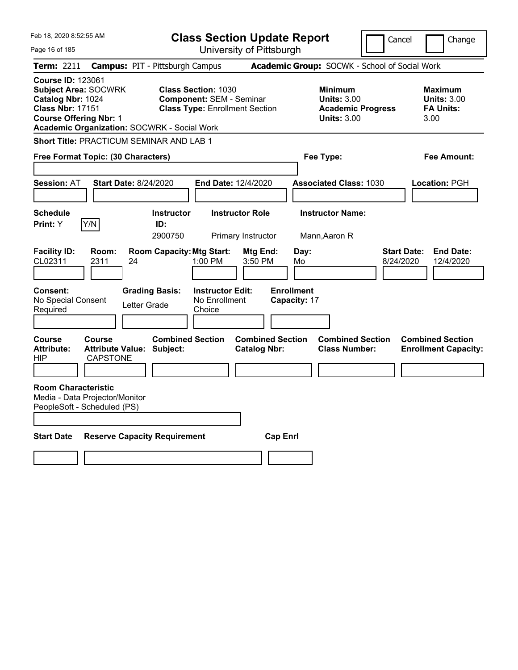| Feb 18, 2020 8:52:55 AM                                                                                                                  |                                                     | <b>Class Section Update Report</b>                                                                     |                                                            | Cancel                                          | Change                                                           |
|------------------------------------------------------------------------------------------------------------------------------------------|-----------------------------------------------------|--------------------------------------------------------------------------------------------------------|------------------------------------------------------------|-------------------------------------------------|------------------------------------------------------------------|
| Page 16 of 185                                                                                                                           |                                                     | University of Pittsburgh                                                                               |                                                            |                                                 |                                                                  |
| Term: 2211                                                                                                                               | <b>Campus: PIT - Pittsburgh Campus</b>              |                                                                                                        | Academic Group: SOCWK - School of Social Work              |                                                 |                                                                  |
| <b>Course ID: 123061</b><br><b>Subject Area: SOCWRK</b><br>Catalog Nbr: 1024<br><b>Class Nbr: 17151</b><br><b>Course Offering Nbr: 1</b> | <b>Academic Organization: SOCWRK - Social Work</b>  | <b>Class Section: 1030</b><br><b>Component: SEM - Seminar</b><br><b>Class Type: Enrollment Section</b> | <b>Minimum</b><br><b>Units: 3.00</b><br><b>Units: 3.00</b> | <b>Academic Progress</b>                        | <b>Maximum</b><br><b>Units: 3.00</b><br><b>FA Units:</b><br>3.00 |
|                                                                                                                                          | <b>Short Title: PRACTICUM SEMINAR AND LAB 1</b>     |                                                                                                        |                                                            |                                                 |                                                                  |
| Free Format Topic: (30 Characters)                                                                                                       |                                                     |                                                                                                        | Fee Type:                                                  |                                                 | <b>Fee Amount:</b>                                               |
| <b>Session: AT</b>                                                                                                                       | <b>Start Date: 8/24/2020</b>                        | <b>End Date: 12/4/2020</b>                                                                             | <b>Associated Class: 1030</b>                              |                                                 | Location: PGH                                                    |
| <b>Schedule</b><br>Y/N<br>Print: Y                                                                                                       | <b>Instructor</b><br>ID:<br>2900750                 | <b>Instructor Role</b><br>Primary Instructor                                                           | <b>Instructor Name:</b><br>Mann,Aaron R                    |                                                 |                                                                  |
| <b>Facility ID:</b><br>Room:<br>CL02311<br>2311                                                                                          | <b>Room Capacity: Mtg Start:</b><br>24              | Mtg End:<br>1:00 PM<br>3:50 PM                                                                         | Day:<br>Mo                                                 | Start Date:<br>8/24/2020                        | <b>End Date:</b><br>12/4/2020                                    |
| <b>Consent:</b><br>No Special Consent<br>Required                                                                                        | <b>Grading Basis:</b><br>Letter Grade               | <b>Instructor Edit:</b><br>No Enrollment<br>Choice                                                     | <b>Enrollment</b><br>Capacity: 17                          |                                                 |                                                                  |
| <b>Course</b><br><b>Course</b><br><b>Attribute:</b><br>HIP                                                                               | <b>Attribute Value: Subject:</b><br><b>CAPSTONE</b> | <b>Combined Section</b><br><b>Catalog Nbr:</b>                                                         | <b>Combined Section</b>                                    | <b>Combined Section</b><br><b>Class Number:</b> | <b>Combined Section</b><br><b>Enrollment Capacity:</b>           |
| <b>Room Characteristic</b><br>Media - Data Projector/Monitor<br>PeopleSoft - Scheduled (PS)                                              |                                                     |                                                                                                        |                                                            |                                                 |                                                                  |
| <b>Start Date</b>                                                                                                                        | <b>Reserve Capacity Requirement</b>                 |                                                                                                        | <b>Cap Enri</b>                                            |                                                 |                                                                  |
|                                                                                                                                          |                                                     |                                                                                                        |                                                            |                                                 |                                                                  |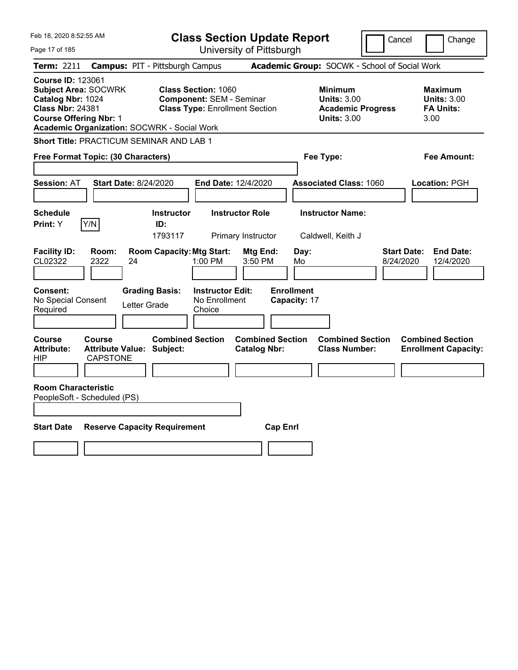| Feb 18, 2020 8:52:55 AM                                                                                                                                                                        | <b>Class Section Update Report</b>                                                                     | Cancel                                                                                 | Change                                                           |
|------------------------------------------------------------------------------------------------------------------------------------------------------------------------------------------------|--------------------------------------------------------------------------------------------------------|----------------------------------------------------------------------------------------|------------------------------------------------------------------|
| Page 17 of 185                                                                                                                                                                                 | University of Pittsburgh                                                                               |                                                                                        |                                                                  |
| Term: 2211                                                                                                                                                                                     | <b>Campus: PIT - Pittsburgh Campus</b>                                                                 | Academic Group: SOCWK - School of Social Work                                          |                                                                  |
| <b>Course ID: 123061</b><br><b>Subject Area: SOCWRK</b><br>Catalog Nbr: 1024<br><b>Class Nbr: 24381</b><br><b>Course Offering Nbr: 1</b><br><b>Academic Organization: SOCWRK - Social Work</b> | <b>Class Section: 1060</b><br><b>Component: SEM - Seminar</b><br><b>Class Type: Enrollment Section</b> | <b>Minimum</b><br><b>Units: 3.00</b><br><b>Academic Progress</b><br><b>Units: 3.00</b> | <b>Maximum</b><br><b>Units: 3.00</b><br><b>FA Units:</b><br>3.00 |
| <b>Short Title: PRACTICUM SEMINAR AND LAB 1</b>                                                                                                                                                |                                                                                                        |                                                                                        |                                                                  |
| Free Format Topic: (30 Characters)                                                                                                                                                             |                                                                                                        | Fee Type:                                                                              | Fee Amount:                                                      |
| <b>Session: AT</b><br><b>Start Date: 8/24/2020</b>                                                                                                                                             | End Date: 12/4/2020                                                                                    | <b>Associated Class: 1060</b>                                                          | Location: PGH                                                    |
| <b>Schedule</b><br>Y/N<br>Print: Y                                                                                                                                                             | <b>Instructor Role</b><br><b>Instructor</b><br>ID:<br>1793117<br>Primary Instructor                    | <b>Instructor Name:</b><br>Caldwell, Keith J                                           |                                                                  |
| <b>Facility ID:</b><br>Room:<br>CL02322<br>2322<br>24                                                                                                                                          | <b>Room Capacity: Mtg Start:</b><br>Mtg End:<br>1:00 PM<br>3:50 PM                                     | Day:<br>Mo<br>8/24/2020                                                                | <b>Start Date:</b><br><b>End Date:</b><br>12/4/2020              |
| Consent:<br>No Special Consent<br>Letter Grade<br>Required                                                                                                                                     | <b>Grading Basis:</b><br><b>Instructor Edit:</b><br>No Enrollment<br>Choice                            | <b>Enrollment</b><br>Capacity: 17                                                      |                                                                  |
| Course<br><b>Course</b><br><b>Attribute Value: Subject:</b><br><b>Attribute:</b><br><b>CAPSTONE</b><br>HIP                                                                                     | <b>Combined Section</b><br><b>Catalog Nbr:</b>                                                         | <b>Combined Section</b><br><b>Combined Section</b><br><b>Class Number:</b>             | <b>Combined Section</b><br><b>Enrollment Capacity:</b>           |
| <b>Room Characteristic</b><br>PeopleSoft - Scheduled (PS)                                                                                                                                      |                                                                                                        |                                                                                        |                                                                  |
| <b>Start Date</b><br><b>Reserve Capacity Requirement</b>                                                                                                                                       |                                                                                                        | <b>Cap Enrl</b>                                                                        |                                                                  |
|                                                                                                                                                                                                |                                                                                                        |                                                                                        |                                                                  |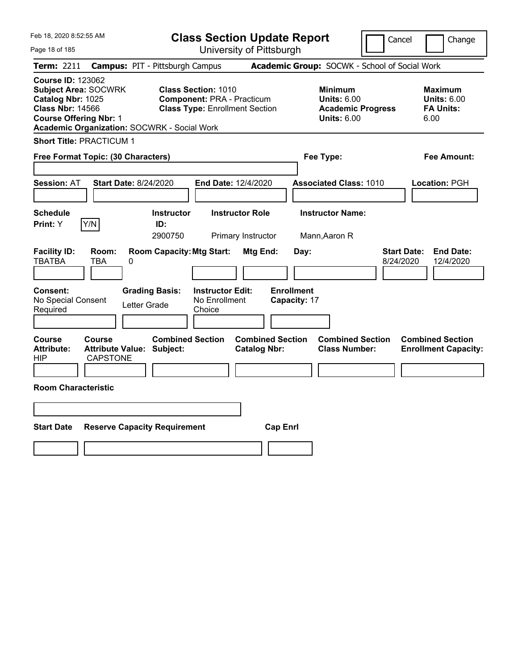| Feb 18, 2020 8:52:55 AM                                                                                                                                                                 | <b>Class Section Update Report</b>                                                                       |                                                                                                   | Cancel<br>Change                                                                             |
|-----------------------------------------------------------------------------------------------------------------------------------------------------------------------------------------|----------------------------------------------------------------------------------------------------------|---------------------------------------------------------------------------------------------------|----------------------------------------------------------------------------------------------|
| Page 18 of 185                                                                                                                                                                          | University of Pittsburgh                                                                                 |                                                                                                   |                                                                                              |
| Term: 2211                                                                                                                                                                              | <b>Campus: PIT - Pittsburgh Campus</b>                                                                   | Academic Group: SOCWK - School of Social Work                                                     |                                                                                              |
| <b>Course ID: 123062</b><br><b>Subject Area: SOCWRK</b><br>Catalog Nbr: 1025<br><b>Class Nbr: 14566</b><br><b>Course Offering Nbr: 1</b><br>Academic Organization: SOCWRK - Social Work | <b>Class Section: 1010</b><br><b>Component: PRA - Practicum</b><br><b>Class Type: Enrollment Section</b> | <b>Minimum</b><br><b>Units: 6.00</b><br><b>Units: 6.00</b>                                        | <b>Maximum</b><br><b>Units: 6.00</b><br><b>Academic Progress</b><br><b>FA Units:</b><br>6.00 |
| <b>Short Title: PRACTICUM 1</b>                                                                                                                                                         |                                                                                                          |                                                                                                   |                                                                                              |
| Free Format Topic: (30 Characters)                                                                                                                                                      |                                                                                                          | Fee Type:                                                                                         | Fee Amount:                                                                                  |
| <b>Start Date: 8/24/2020</b><br><b>Session: AT</b>                                                                                                                                      | End Date: 12/4/2020                                                                                      | <b>Associated Class: 1010</b>                                                                     | Location: PGH                                                                                |
| <b>Schedule</b><br>Y/N<br>Print: Y                                                                                                                                                      | <b>Instructor</b><br><b>Instructor Role</b><br>ID:<br>2900750<br>Primary Instructor                      | <b>Instructor Name:</b><br>Mann, Aaron R                                                          |                                                                                              |
| <b>Facility ID:</b><br>Room:<br><b>TBATBA</b><br>TBA<br>0                                                                                                                               | <b>Room Capacity: Mtg Start:</b>                                                                         | <b>Mtg End:</b><br>Day:                                                                           | <b>Start Date:</b><br><b>End Date:</b><br>8/24/2020<br>12/4/2020                             |
| <b>Consent:</b><br>No Special Consent<br>Letter Grade<br>Required                                                                                                                       | <b>Grading Basis:</b><br><b>Instructor Edit:</b><br>No Enrollment<br>Choice                              | <b>Enrollment</b><br>Capacity: 17                                                                 |                                                                                              |
| Course<br>Course<br><b>Attribute:</b><br><b>Attribute Value: Subject:</b><br><b>CAPSTONE</b><br>HIP                                                                                     | <b>Combined Section</b>                                                                                  | <b>Combined Section</b><br><b>Combined Section</b><br><b>Catalog Nbr:</b><br><b>Class Number:</b> | <b>Combined Section</b><br><b>Enrollment Capacity:</b>                                       |
| <b>Room Characteristic</b>                                                                                                                                                              |                                                                                                          |                                                                                                   |                                                                                              |
|                                                                                                                                                                                         |                                                                                                          |                                                                                                   |                                                                                              |
| <b>Start Date</b><br><b>Reserve Capacity Requirement</b>                                                                                                                                |                                                                                                          | <b>Cap Enrl</b>                                                                                   |                                                                                              |
|                                                                                                                                                                                         |                                                                                                          |                                                                                                   |                                                                                              |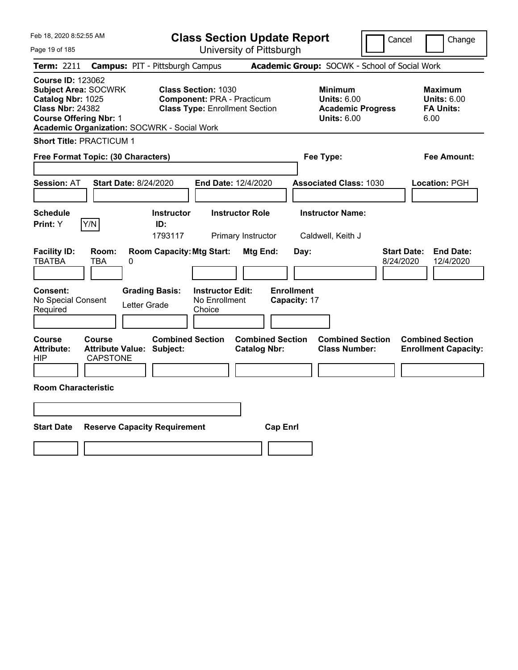| Feb 18, 2020 8:52:55 AM                                                                                                                                                                        | <b>Class Section Update Report</b>                                                                       |                                                                                                   | Cancel<br>Change                                                 |
|------------------------------------------------------------------------------------------------------------------------------------------------------------------------------------------------|----------------------------------------------------------------------------------------------------------|---------------------------------------------------------------------------------------------------|------------------------------------------------------------------|
| Page 19 of 185                                                                                                                                                                                 | University of Pittsburgh                                                                                 |                                                                                                   |                                                                  |
| Term: 2211                                                                                                                                                                                     | <b>Campus: PIT - Pittsburgh Campus</b>                                                                   | Academic Group: SOCWK - School of Social Work                                                     |                                                                  |
| <b>Course ID: 123062</b><br><b>Subject Area: SOCWRK</b><br>Catalog Nbr: 1025<br><b>Class Nbr: 24382</b><br><b>Course Offering Nbr: 1</b><br><b>Academic Organization: SOCWRK - Social Work</b> | <b>Class Section: 1030</b><br><b>Component: PRA - Practicum</b><br><b>Class Type: Enrollment Section</b> | <b>Minimum</b><br><b>Units: 6.00</b><br><b>Academic Progress</b><br><b>Units: 6.00</b>            | <b>Maximum</b><br><b>Units: 6.00</b><br><b>FA Units:</b><br>6.00 |
| <b>Short Title: PRACTICUM 1</b>                                                                                                                                                                |                                                                                                          |                                                                                                   |                                                                  |
| Free Format Topic: (30 Characters)                                                                                                                                                             |                                                                                                          | Fee Type:                                                                                         | Fee Amount:                                                      |
| <b>Session: AT</b><br><b>Start Date: 8/24/2020</b>                                                                                                                                             | End Date: 12/4/2020                                                                                      | <b>Associated Class: 1030</b>                                                                     | Location: PGH                                                    |
| <b>Schedule</b><br>Y/N<br>Print: Y                                                                                                                                                             | <b>Instructor Role</b><br><b>Instructor</b><br>ID:<br>1793117<br>Primary Instructor                      | <b>Instructor Name:</b><br>Caldwell, Keith J                                                      |                                                                  |
| <b>Facility ID:</b><br>Room:<br><b>TBATBA</b><br>TBA<br>0                                                                                                                                      | <b>Room Capacity: Mtg Start:</b>                                                                         | <b>Mtg End:</b><br>Day:                                                                           | <b>Start Date:</b><br><b>End Date:</b><br>8/24/2020<br>12/4/2020 |
| Consent:<br>No Special Consent<br>Letter Grade<br>Required                                                                                                                                     | <b>Grading Basis:</b><br><b>Instructor Edit:</b><br>No Enrollment<br>Choice                              | <b>Enrollment</b><br>Capacity: 17                                                                 |                                                                  |
| Course<br><b>Course</b><br>Attribute Value: Subject:<br><b>Attribute:</b><br><b>CAPSTONE</b><br>HIP                                                                                            | <b>Combined Section</b>                                                                                  | <b>Combined Section</b><br><b>Combined Section</b><br><b>Catalog Nbr:</b><br><b>Class Number:</b> | <b>Combined Section</b><br><b>Enrollment Capacity:</b>           |
| <b>Room Characteristic</b>                                                                                                                                                                     |                                                                                                          |                                                                                                   |                                                                  |
|                                                                                                                                                                                                |                                                                                                          |                                                                                                   |                                                                  |
| <b>Start Date</b><br><b>Reserve Capacity Requirement</b>                                                                                                                                       |                                                                                                          | <b>Cap Enrl</b>                                                                                   |                                                                  |
|                                                                                                                                                                                                |                                                                                                          |                                                                                                   |                                                                  |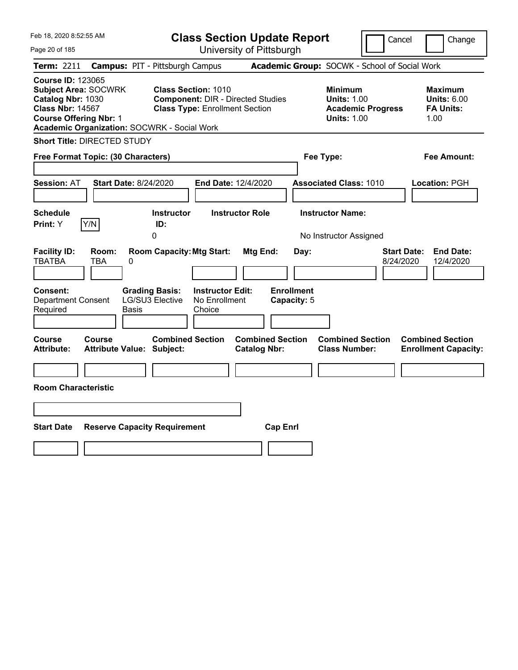| Feb 18, 2020 8:52:55 AM                                                                                                                                                                        | <b>Class Section Update Report</b>                                                                              | Cancel                                                                                 | Change                                                           |
|------------------------------------------------------------------------------------------------------------------------------------------------------------------------------------------------|-----------------------------------------------------------------------------------------------------------------|----------------------------------------------------------------------------------------|------------------------------------------------------------------|
| Page 20 of 185                                                                                                                                                                                 | University of Pittsburgh                                                                                        |                                                                                        |                                                                  |
| <b>Term: 2211</b>                                                                                                                                                                              | <b>Campus: PIT - Pittsburgh Campus</b>                                                                          | Academic Group: SOCWK - School of Social Work                                          |                                                                  |
| <b>Course ID: 123065</b><br><b>Subject Area: SOCWRK</b><br>Catalog Nbr: 1030<br><b>Class Nbr: 14567</b><br><b>Course Offering Nbr: 1</b><br><b>Academic Organization: SOCWRK - Social Work</b> | <b>Class Section: 1010</b><br><b>Component: DIR - Directed Studies</b><br><b>Class Type: Enrollment Section</b> | <b>Minimum</b><br><b>Units: 1.00</b><br><b>Academic Progress</b><br><b>Units: 1.00</b> | <b>Maximum</b><br><b>Units: 6.00</b><br><b>FA Units:</b><br>1.00 |
| <b>Short Title: DIRECTED STUDY</b>                                                                                                                                                             |                                                                                                                 |                                                                                        |                                                                  |
| Free Format Topic: (30 Characters)                                                                                                                                                             |                                                                                                                 | Fee Type:                                                                              | Fee Amount:                                                      |
| <b>Start Date: 8/24/2020</b><br><b>Session: AT</b>                                                                                                                                             | End Date: 12/4/2020                                                                                             | <b>Associated Class: 1010</b>                                                          | Location: PGH                                                    |
| <b>Schedule</b><br>Y/N<br><b>Print:</b> Y                                                                                                                                                      | <b>Instructor</b><br><b>Instructor Role</b><br>ID:                                                              | <b>Instructor Name:</b>                                                                |                                                                  |
|                                                                                                                                                                                                | 0                                                                                                               | No Instructor Assigned                                                                 |                                                                  |
| <b>Facility ID:</b><br>Room:<br><b>TBATBA</b><br>TBA<br>0<br>Consent:<br><b>Grading Basis:</b><br>LG/SU3 Elective<br>Department Consent<br>Required<br>Basis                                   | <b>Room Capacity: Mtg Start:</b><br>Mtg End:<br><b>Instructor Edit:</b><br>No Enrollment<br>Choice              | <b>Start Date:</b><br>Day:<br>8/24/2020<br><b>Enrollment</b><br>Capacity: 5            | <b>End Date:</b><br>12/4/2020                                    |
| Course<br>Course<br><b>Attribute:</b><br><b>Attribute Value: Subject:</b>                                                                                                                      | <b>Combined Section</b><br><b>Combined Section</b><br><b>Catalog Nbr:</b>                                       | <b>Combined Section</b><br><b>Class Number:</b>                                        | <b>Combined Section</b><br><b>Enrollment Capacity:</b>           |
| <b>Room Characteristic</b>                                                                                                                                                                     |                                                                                                                 |                                                                                        |                                                                  |
| <b>Start Date</b><br><b>Reserve Capacity Requirement</b>                                                                                                                                       | <b>Cap Enrl</b>                                                                                                 |                                                                                        |                                                                  |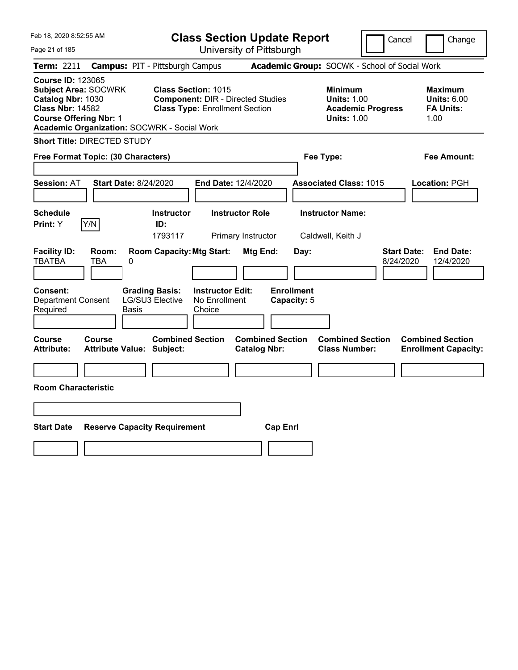| Feb 18, 2020 8:52:55 AM                                                                                                                                                                 |                                                                                                                 | <b>Class Section Update Report</b>             | Cancel                                                                                 | Change                                                           |
|-----------------------------------------------------------------------------------------------------------------------------------------------------------------------------------------|-----------------------------------------------------------------------------------------------------------------|------------------------------------------------|----------------------------------------------------------------------------------------|------------------------------------------------------------------|
| Page 21 of 185                                                                                                                                                                          |                                                                                                                 | University of Pittsburgh                       |                                                                                        |                                                                  |
| Term: 2211                                                                                                                                                                              | <b>Campus: PIT - Pittsburgh Campus</b>                                                                          |                                                | Academic Group: SOCWK - School of Social Work                                          |                                                                  |
| <b>Course ID: 123065</b><br><b>Subject Area: SOCWRK</b><br>Catalog Nbr: 1030<br><b>Class Nbr: 14582</b><br><b>Course Offering Nbr: 1</b><br>Academic Organization: SOCWRK - Social Work | <b>Class Section: 1015</b><br><b>Component: DIR - Directed Studies</b><br><b>Class Type: Enrollment Section</b> |                                                | <b>Minimum</b><br><b>Units: 1.00</b><br><b>Academic Progress</b><br><b>Units: 1.00</b> | <b>Maximum</b><br><b>Units: 6.00</b><br><b>FA Units:</b><br>1.00 |
| <b>Short Title: DIRECTED STUDY</b>                                                                                                                                                      |                                                                                                                 |                                                |                                                                                        |                                                                  |
| Free Format Topic: (30 Characters)                                                                                                                                                      |                                                                                                                 |                                                | Fee Type:                                                                              | Fee Amount:                                                      |
| <b>Start Date: 8/24/2020</b><br><b>Session: AT</b>                                                                                                                                      | End Date: 12/4/2020                                                                                             |                                                | <b>Associated Class: 1015</b>                                                          | Location: PGH                                                    |
| <b>Schedule</b><br>Y/N<br>Print: Y                                                                                                                                                      | <b>Instructor</b><br>ID:<br>1793117                                                                             | <b>Instructor Role</b><br>Primary Instructor   | <b>Instructor Name:</b><br>Caldwell, Keith J                                           |                                                                  |
| <b>Facility ID:</b><br>Room:<br><b>TBATBA</b><br>0<br>TBA                                                                                                                               | <b>Room Capacity: Mtg Start:</b>                                                                                | Mtg End:<br>Day:                               | 8/24/2020                                                                              | <b>Start Date:</b><br><b>End Date:</b><br>12/4/2020              |
| Consent:<br><b>Department Consent</b><br>Required<br>Basis                                                                                                                              | <b>Grading Basis:</b><br><b>Instructor Edit:</b><br>LG/SU3 Elective<br>No Enrollment<br>Choice                  | <b>Enrollment</b><br>Capacity: 5               |                                                                                        |                                                                  |
| Course<br>Course<br><b>Attribute:</b><br><b>Attribute Value: Subject:</b>                                                                                                               | <b>Combined Section</b>                                                                                         | <b>Combined Section</b><br><b>Catalog Nbr:</b> | <b>Combined Section</b><br><b>Class Number:</b>                                        | <b>Combined Section</b><br><b>Enrollment Capacity:</b>           |
| <b>Room Characteristic</b>                                                                                                                                                              |                                                                                                                 |                                                |                                                                                        |                                                                  |
|                                                                                                                                                                                         |                                                                                                                 |                                                |                                                                                        |                                                                  |
| <b>Start Date</b>                                                                                                                                                                       | <b>Reserve Capacity Requirement</b>                                                                             | <b>Cap Enrl</b>                                |                                                                                        |                                                                  |
|                                                                                                                                                                                         |                                                                                                                 |                                                |                                                                                        |                                                                  |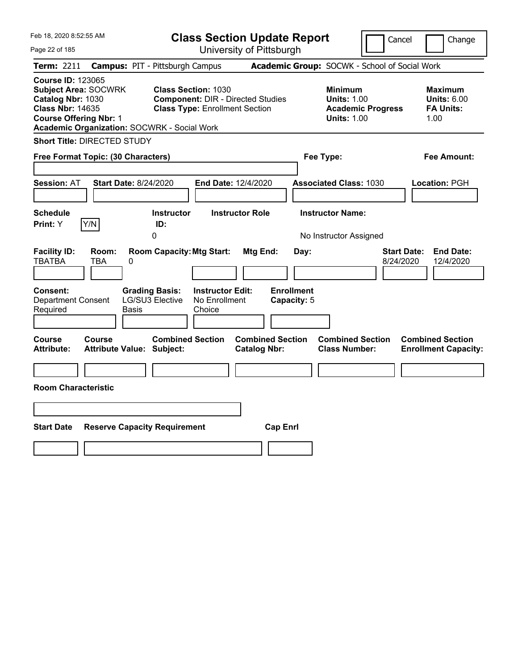| Feb 18, 2020 8:52:55 AM                                                                                                                                                                 |                                                                                                                 | <b>Class Section Update Report</b>             | Cancel                                                                                 | Change                                                           |
|-----------------------------------------------------------------------------------------------------------------------------------------------------------------------------------------|-----------------------------------------------------------------------------------------------------------------|------------------------------------------------|----------------------------------------------------------------------------------------|------------------------------------------------------------------|
| Page 22 of 185                                                                                                                                                                          |                                                                                                                 | University of Pittsburgh                       |                                                                                        |                                                                  |
| Term: 2211                                                                                                                                                                              | <b>Campus: PIT - Pittsburgh Campus</b>                                                                          |                                                | Academic Group: SOCWK - School of Social Work                                          |                                                                  |
| <b>Course ID: 123065</b><br><b>Subject Area: SOCWRK</b><br>Catalog Nbr: 1030<br><b>Class Nbr: 14635</b><br><b>Course Offering Nbr: 1</b><br>Academic Organization: SOCWRK - Social Work | <b>Class Section: 1030</b><br><b>Component: DIR - Directed Studies</b><br><b>Class Type: Enrollment Section</b> |                                                | <b>Minimum</b><br><b>Units: 1.00</b><br><b>Academic Progress</b><br><b>Units: 1.00</b> | <b>Maximum</b><br><b>Units: 6.00</b><br><b>FA Units:</b><br>1.00 |
| <b>Short Title: DIRECTED STUDY</b>                                                                                                                                                      |                                                                                                                 |                                                |                                                                                        |                                                                  |
| Free Format Topic: (30 Characters)                                                                                                                                                      |                                                                                                                 |                                                | Fee Type:                                                                              | Fee Amount:                                                      |
| <b>Start Date: 8/24/2020</b><br><b>Session: AT</b>                                                                                                                                      | End Date: 12/4/2020                                                                                             |                                                | <b>Associated Class: 1030</b>                                                          | Location: PGH                                                    |
| <b>Schedule</b><br>Y/N<br><b>Print:</b> Y                                                                                                                                               | <b>Instructor</b><br><b>Instructor Role</b><br>ID:<br>0                                                         |                                                | <b>Instructor Name:</b><br>No Instructor Assigned                                      |                                                                  |
| <b>Facility ID:</b><br>Room:<br><b>TBATBA</b><br>TBA<br>0                                                                                                                               | <b>Room Capacity: Mtg Start:</b>                                                                                | <b>Mtg End:</b><br>Day:                        | 8/24/2020                                                                              | <b>Start Date:</b><br><b>End Date:</b><br>12/4/2020              |
| <b>Consent:</b><br><b>Department Consent</b><br>Required<br>Basis                                                                                                                       | <b>Instructor Edit:</b><br><b>Grading Basis:</b><br>LG/SU3 Elective<br>No Enrollment<br>Choice                  | <b>Enrollment</b><br>Capacity: 5               |                                                                                        |                                                                  |
| Course<br>Course<br><b>Attribute:</b><br><b>Attribute Value: Subject:</b>                                                                                                               | <b>Combined Section</b>                                                                                         | <b>Combined Section</b><br><b>Catalog Nbr:</b> | <b>Combined Section</b><br><b>Class Number:</b>                                        | <b>Combined Section</b><br><b>Enrollment Capacity:</b>           |
| <b>Room Characteristic</b>                                                                                                                                                              |                                                                                                                 |                                                |                                                                                        |                                                                  |
|                                                                                                                                                                                         |                                                                                                                 |                                                |                                                                                        |                                                                  |
|                                                                                                                                                                                         |                                                                                                                 |                                                |                                                                                        |                                                                  |
| <b>Start Date</b>                                                                                                                                                                       | <b>Reserve Capacity Requirement</b>                                                                             | <b>Cap Enrl</b>                                |                                                                                        |                                                                  |
|                                                                                                                                                                                         |                                                                                                                 |                                                |                                                                                        |                                                                  |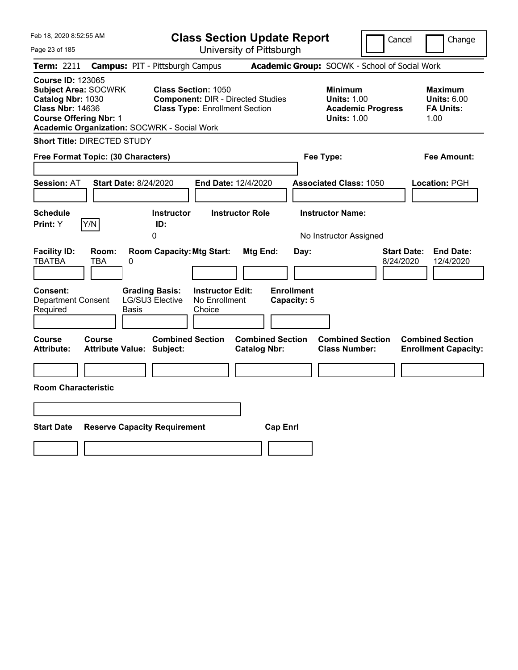| Feb 18, 2020 8:52:55 AM                                                                                                                                                                 | <b>Class Section Update Report</b>                                                                                                 |                                                             | Cancel                                                                                 | Change                                                           |
|-----------------------------------------------------------------------------------------------------------------------------------------------------------------------------------------|------------------------------------------------------------------------------------------------------------------------------------|-------------------------------------------------------------|----------------------------------------------------------------------------------------|------------------------------------------------------------------|
| Page 23 of 185                                                                                                                                                                          | University of Pittsburgh                                                                                                           |                                                             |                                                                                        |                                                                  |
| Term: 2211                                                                                                                                                                              | <b>Campus: PIT - Pittsburgh Campus</b>                                                                                             |                                                             | Academic Group: SOCWK - School of Social Work                                          |                                                                  |
| <b>Course ID: 123065</b><br><b>Subject Area: SOCWRK</b><br>Catalog Nbr: 1030<br><b>Class Nbr: 14636</b><br><b>Course Offering Nbr: 1</b><br>Academic Organization: SOCWRK - Social Work | <b>Class Section: 1050</b><br><b>Component: DIR - Directed Studies</b><br><b>Class Type: Enrollment Section</b>                    |                                                             | <b>Minimum</b><br><b>Units: 1.00</b><br><b>Academic Progress</b><br><b>Units: 1.00</b> | <b>Maximum</b><br><b>Units: 6.00</b><br><b>FA Units:</b><br>1.00 |
| <b>Short Title: DIRECTED STUDY</b>                                                                                                                                                      |                                                                                                                                    |                                                             |                                                                                        |                                                                  |
| Free Format Topic: (30 Characters)                                                                                                                                                      |                                                                                                                                    | Fee Type:                                                   |                                                                                        | Fee Amount:                                                      |
| <b>Start Date: 8/24/2020</b><br><b>Session: AT</b>                                                                                                                                      | End Date: 12/4/2020                                                                                                                |                                                             | <b>Associated Class: 1050</b>                                                          | Location: PGH                                                    |
| <b>Schedule</b>                                                                                                                                                                         | <b>Instructor</b><br><b>Instructor Role</b>                                                                                        |                                                             | <b>Instructor Name:</b>                                                                |                                                                  |
| Y/N<br><b>Print:</b> Y                                                                                                                                                                  | ID:<br>0                                                                                                                           |                                                             | No Instructor Assigned                                                                 |                                                                  |
| <b>Facility ID:</b><br>Room:<br><b>TBATBA</b><br>TBA<br>0<br><b>Consent:</b><br><b>Department Consent</b><br>Required<br>Basis                                                          | <b>Room Capacity: Mtg Start:</b><br><b>Instructor Edit:</b><br><b>Grading Basis:</b><br>LG/SU3 Elective<br>No Enrollment<br>Choice | <b>Mtg End:</b><br>Day:<br><b>Enrollment</b><br>Capacity: 5 | <b>Start Date:</b><br>8/24/2020                                                        | <b>End Date:</b><br>12/4/2020                                    |
| Course<br>Course<br><b>Attribute:</b><br><b>Attribute Value: Subject:</b>                                                                                                               | <b>Combined Section</b><br><b>Catalog Nbr:</b>                                                                                     | <b>Combined Section</b>                                     | <b>Combined Section</b><br><b>Class Number:</b>                                        | <b>Combined Section</b><br><b>Enrollment Capacity:</b>           |
|                                                                                                                                                                                         |                                                                                                                                    |                                                             |                                                                                        |                                                                  |
| <b>Room Characteristic</b>                                                                                                                                                              |                                                                                                                                    |                                                             |                                                                                        |                                                                  |
|                                                                                                                                                                                         |                                                                                                                                    |                                                             |                                                                                        |                                                                  |
| <b>Start Date</b><br><b>Reserve Capacity Requirement</b>                                                                                                                                |                                                                                                                                    | <b>Cap Enrl</b>                                             |                                                                                        |                                                                  |
|                                                                                                                                                                                         |                                                                                                                                    |                                                             |                                                                                        |                                                                  |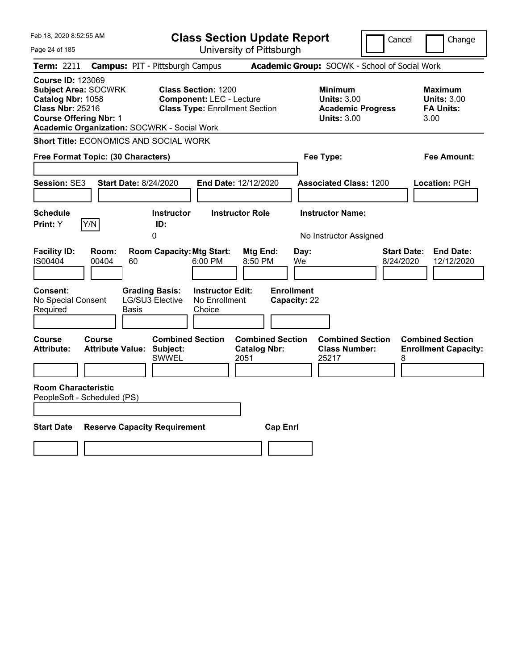| Feb 18, 2020 8:52:55 AM                                                                                                                                                                 | <b>Class Section Update Report</b>                                                                                                                 |                                                                                        | Cancel<br>Change                                                  |
|-----------------------------------------------------------------------------------------------------------------------------------------------------------------------------------------|----------------------------------------------------------------------------------------------------------------------------------------------------|----------------------------------------------------------------------------------------|-------------------------------------------------------------------|
| Page 24 of 185                                                                                                                                                                          | University of Pittsburgh                                                                                                                           |                                                                                        |                                                                   |
| <b>Term: 2211</b>                                                                                                                                                                       | <b>Campus: PIT - Pittsburgh Campus</b>                                                                                                             | Academic Group: SOCWK - School of Social Work                                          |                                                                   |
| <b>Course ID: 123069</b><br><b>Subject Area: SOCWRK</b><br>Catalog Nbr: 1058<br><b>Class Nbr: 25216</b><br><b>Course Offering Nbr: 1</b><br>Academic Organization: SOCWRK - Social Work | <b>Class Section: 1200</b><br><b>Component: LEC - Lecture</b><br><b>Class Type: Enrollment Section</b>                                             | <b>Minimum</b><br><b>Units: 3.00</b><br><b>Academic Progress</b><br><b>Units: 3.00</b> | <b>Maximum</b><br><b>Units: 3.00</b><br><b>FA Units:</b><br>3.00  |
| Short Title: ECONOMICS AND SOCIAL WORK                                                                                                                                                  |                                                                                                                                                    |                                                                                        |                                                                   |
| Free Format Topic: (30 Characters)                                                                                                                                                      |                                                                                                                                                    | Fee Type:                                                                              | Fee Amount:                                                       |
| Session: SE3<br><b>Start Date: 8/24/2020</b><br><b>Schedule</b>                                                                                                                         | End Date: 12/12/2020<br><b>Instructor Role</b><br><b>Instructor</b>                                                                                | <b>Associated Class: 1200</b><br><b>Instructor Name:</b>                               | Location: PGH                                                     |
| Y/N<br><b>Print:</b> Y                                                                                                                                                                  | ID:<br>0                                                                                                                                           | No Instructor Assigned                                                                 |                                                                   |
| <b>Facility ID:</b><br>Room:<br>IS00404<br>00404<br>60<br>Consent:<br><b>Grading Basis:</b><br>No Special Consent<br>Required<br>Basis                                                  | <b>Room Capacity: Mtg Start:</b><br><b>Mtg End:</b><br>6:00 PM<br>8:50 PM<br><b>Instructor Edit:</b><br>LG/SU3 Elective<br>No Enrollment<br>Choice | Day:<br>We<br><b>Enrollment</b><br>Capacity: 22                                        | <b>Start Date:</b><br><b>End Date:</b><br>8/24/2020<br>12/12/2020 |
| <b>Course</b><br>Course<br><b>Attribute Value: Subject:</b><br><b>Attribute:</b><br><b>Room Characteristic</b>                                                                          | <b>Combined Section</b><br><b>Catalog Nbr:</b><br><b>SWWEL</b><br>2051                                                                             | <b>Combined Section</b><br><b>Combined Section</b><br><b>Class Number:</b><br>25217    | <b>Combined Section</b><br><b>Enrollment Capacity:</b><br>8       |
| PeopleSoft - Scheduled (PS)                                                                                                                                                             |                                                                                                                                                    |                                                                                        |                                                                   |
| <b>Start Date</b><br><b>Reserve Capacity Requirement</b>                                                                                                                                |                                                                                                                                                    | <b>Cap Enrl</b>                                                                        |                                                                   |
|                                                                                                                                                                                         |                                                                                                                                                    |                                                                                        |                                                                   |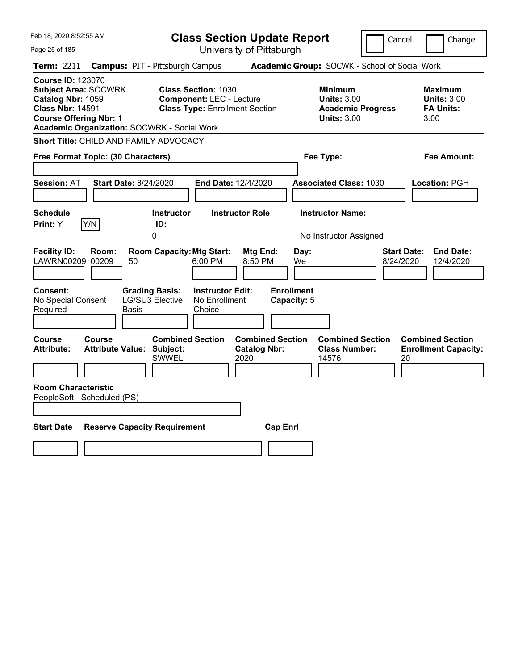| Feb 18, 2020 8:52:55 AM                                                                                                                                                                        | <b>Class Section Update Report</b>                                                                     |                                                                                        | Cancel<br>Change                                                 |
|------------------------------------------------------------------------------------------------------------------------------------------------------------------------------------------------|--------------------------------------------------------------------------------------------------------|----------------------------------------------------------------------------------------|------------------------------------------------------------------|
| Page 25 of 185                                                                                                                                                                                 | University of Pittsburgh                                                                               |                                                                                        |                                                                  |
| Term: 2211                                                                                                                                                                                     | <b>Campus: PIT - Pittsburgh Campus</b>                                                                 | Academic Group: SOCWK - School of Social Work                                          |                                                                  |
| <b>Course ID: 123070</b><br><b>Subject Area: SOCWRK</b><br>Catalog Nbr: 1059<br><b>Class Nbr: 14591</b><br><b>Course Offering Nbr: 1</b><br><b>Academic Organization: SOCWRK - Social Work</b> | <b>Class Section: 1030</b><br><b>Component: LEC - Lecture</b><br><b>Class Type: Enrollment Section</b> | <b>Minimum</b><br><b>Units: 3.00</b><br><b>Academic Progress</b><br><b>Units: 3.00</b> | <b>Maximum</b><br><b>Units: 3.00</b><br><b>FA Units:</b><br>3.00 |
| <b>Short Title: CHILD AND FAMILY ADVOCACY</b>                                                                                                                                                  |                                                                                                        |                                                                                        |                                                                  |
| Free Format Topic: (30 Characters)                                                                                                                                                             |                                                                                                        | Fee Type:                                                                              | Fee Amount:                                                      |
| Session: AT<br><b>Start Date: 8/24/2020</b>                                                                                                                                                    | End Date: 12/4/2020                                                                                    | <b>Associated Class: 1030</b>                                                          | Location: PGH                                                    |
| <b>Schedule</b><br>Y/N<br>Print: Y                                                                                                                                                             | <b>Instructor Role</b><br><b>Instructor</b><br>ID:                                                     | <b>Instructor Name:</b>                                                                |                                                                  |
|                                                                                                                                                                                                | 0                                                                                                      | No Instructor Assigned                                                                 |                                                                  |
| <b>Facility ID:</b><br>Room:<br>LAWRN00209 00209<br>50<br>Consent:<br><b>Grading Basis:</b>                                                                                                    | <b>Room Capacity: Mtg Start:</b><br>Mtg End:<br>6:00 PM<br>8:50 PM<br><b>Instructor Edit:</b>          | Day:<br>We<br><b>Enrollment</b>                                                        | <b>End Date:</b><br><b>Start Date:</b><br>8/24/2020<br>12/4/2020 |
| LG/SU3 Elective<br>No Special Consent<br>Required<br><b>Basis</b>                                                                                                                              | No Enrollment<br>Choice                                                                                | Capacity: 5                                                                            |                                                                  |
|                                                                                                                                                                                                |                                                                                                        |                                                                                        |                                                                  |
| Course<br><b>Course</b><br><b>Attribute Value: Subject:</b><br><b>Attribute:</b>                                                                                                               | <b>Combined Section</b><br><b>Combined Section</b><br><b>Catalog Nbr:</b><br>2020<br><b>SWWEL</b>      | <b>Combined Section</b><br><b>Class Number:</b><br>14576                               | <b>Combined Section</b><br><b>Enrollment Capacity:</b><br>20     |
| <b>Room Characteristic</b>                                                                                                                                                                     |                                                                                                        |                                                                                        |                                                                  |
| PeopleSoft - Scheduled (PS)                                                                                                                                                                    |                                                                                                        |                                                                                        |                                                                  |
| <b>Start Date</b><br><b>Reserve Capacity Requirement</b>                                                                                                                                       |                                                                                                        | <b>Cap Enrl</b>                                                                        |                                                                  |
|                                                                                                                                                                                                |                                                                                                        |                                                                                        |                                                                  |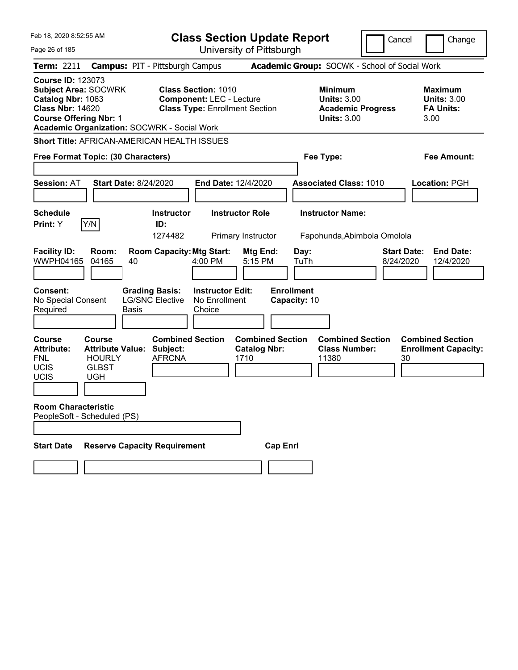| Feb 18, 2020 8:52:55 AM                                                                                                                  |                                                                       | <b>Class Section Update Report</b>                                                                     |                                                |                                                                                        | Cancel<br>Change                                                 |
|------------------------------------------------------------------------------------------------------------------------------------------|-----------------------------------------------------------------------|--------------------------------------------------------------------------------------------------------|------------------------------------------------|----------------------------------------------------------------------------------------|------------------------------------------------------------------|
| Page 26 of 185                                                                                                                           |                                                                       | University of Pittsburgh                                                                               |                                                |                                                                                        |                                                                  |
| Term: 2211                                                                                                                               | <b>Campus: PIT - Pittsburgh Campus</b>                                |                                                                                                        |                                                | Academic Group: SOCWK - School of Social Work                                          |                                                                  |
| <b>Course ID: 123073</b><br><b>Subject Area: SOCWRK</b><br>Catalog Nbr: 1063<br><b>Class Nbr: 14620</b><br><b>Course Offering Nbr: 1</b> | <b>Academic Organization: SOCWRK - Social Work</b>                    | <b>Class Section: 1010</b><br><b>Component: LEC - Lecture</b><br><b>Class Type: Enrollment Section</b> |                                                | <b>Minimum</b><br><b>Units: 3.00</b><br><b>Academic Progress</b><br><b>Units: 3.00</b> | <b>Maximum</b><br><b>Units: 3.00</b><br><b>FA Units:</b><br>3.00 |
|                                                                                                                                          | Short Title: AFRICAN-AMERICAN HEALTH ISSUES                           |                                                                                                        |                                                |                                                                                        |                                                                  |
|                                                                                                                                          | Free Format Topic: (30 Characters)                                    |                                                                                                        |                                                | Fee Type:                                                                              | <b>Fee Amount:</b>                                               |
|                                                                                                                                          |                                                                       |                                                                                                        |                                                |                                                                                        |                                                                  |
| <b>Session: AT</b>                                                                                                                       | <b>Start Date: 8/24/2020</b>                                          | <b>End Date: 12/4/2020</b>                                                                             |                                                | <b>Associated Class: 1010</b>                                                          | Location: PGH                                                    |
| <b>Schedule</b>                                                                                                                          | <b>Instructor</b>                                                     | <b>Instructor Role</b>                                                                                 |                                                | <b>Instructor Name:</b>                                                                |                                                                  |
| Y/N<br>Print: Y                                                                                                                          | ID:                                                                   |                                                                                                        |                                                |                                                                                        |                                                                  |
|                                                                                                                                          | 1274482                                                               | Primary Instructor                                                                                     |                                                | Fapohunda, Abimbola Omolola                                                            |                                                                  |
| <b>Facility ID:</b><br><b>WWPH04165</b>                                                                                                  | Room:<br><b>Room Capacity: Mtg Start:</b><br>04165<br>40              | 5:15 PM<br>$4:00$ PM                                                                                   | Mtg End:<br>Day:<br>TuTh                       |                                                                                        | <b>Start Date:</b><br><b>End Date:</b><br>8/24/2020<br>12/4/2020 |
| <b>Consent:</b><br>No Special Consent<br>Required                                                                                        | <b>Grading Basis:</b><br><b>LG/SNC Elective</b><br>Basis              | <b>Instructor Edit:</b><br>No Enrollment<br>Choice                                                     | <b>Enrollment</b><br>Capacity: 10              |                                                                                        |                                                                  |
| <b>Course</b><br>Course<br><b>Attribute:</b><br><b>FNL</b><br><b>UCIS</b><br><b>GLBST</b><br><b>UCIS</b><br><b>UGH</b>                   | <b>Attribute Value:</b><br>Subject:<br><b>AFRCNA</b><br><b>HOURLY</b> | <b>Combined Section</b><br>1710                                                                        | <b>Combined Section</b><br><b>Catalog Nbr:</b> | <b>Combined Section</b><br><b>Class Number:</b><br>11380                               | <b>Combined Section</b><br><b>Enrollment Capacity:</b><br>30     |
| <b>Room Characteristic</b><br>PeopleSoft - Scheduled (PS)                                                                                |                                                                       |                                                                                                        |                                                |                                                                                        |                                                                  |
| <b>Start Date</b>                                                                                                                        | <b>Reserve Capacity Requirement</b>                                   |                                                                                                        | <b>Cap Enrl</b>                                |                                                                                        |                                                                  |
|                                                                                                                                          |                                                                       |                                                                                                        |                                                |                                                                                        |                                                                  |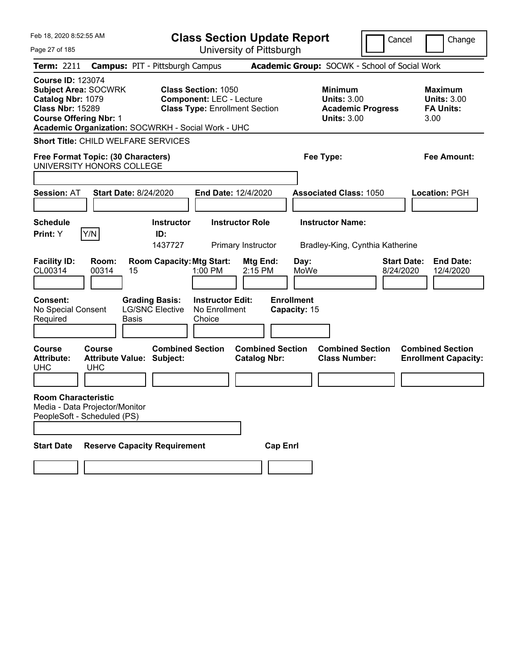| Feb 18, 2020 8:52:55 AM<br>Page 27 of 185                                                                                                                                                      |                                                                 | <b>Class Section Update Report</b><br>University of Pittsburgh                                         |                                                                                        | Cancel                          | Change                                                           |
|------------------------------------------------------------------------------------------------------------------------------------------------------------------------------------------------|-----------------------------------------------------------------|--------------------------------------------------------------------------------------------------------|----------------------------------------------------------------------------------------|---------------------------------|------------------------------------------------------------------|
| <b>Term: 2211</b>                                                                                                                                                                              | <b>Campus: PIT - Pittsburgh Campus</b>                          |                                                                                                        | Academic Group: SOCWK - School of Social Work                                          |                                 |                                                                  |
| <b>Course ID: 123074</b><br><b>Subject Area: SOCWRK</b><br>Catalog Nbr: 1079<br><b>Class Nbr: 15289</b><br><b>Course Offering Nbr: 1</b><br>Academic Organization: SOCWRKH - Social Work - UHC |                                                                 | <b>Class Section: 1050</b><br><b>Component: LEC - Lecture</b><br><b>Class Type: Enrollment Section</b> | <b>Minimum</b><br><b>Units: 3.00</b><br><b>Academic Progress</b><br><b>Units: 3.00</b> |                                 | <b>Maximum</b><br><b>Units: 3.00</b><br><b>FA Units:</b><br>3.00 |
| <b>Short Title: CHILD WELFARE SERVICES</b>                                                                                                                                                     |                                                                 |                                                                                                        |                                                                                        |                                 |                                                                  |
| Free Format Topic: (30 Characters)<br>UNIVERSITY HONORS COLLEGE                                                                                                                                |                                                                 |                                                                                                        | Fee Type:                                                                              |                                 | Fee Amount:                                                      |
| <b>Session: AT</b>                                                                                                                                                                             | <b>Start Date: 8/24/2020</b>                                    | End Date: 12/4/2020                                                                                    | <b>Associated Class: 1050</b>                                                          |                                 | Location: PGH                                                    |
| <b>Schedule</b><br>Y/N<br>Print: Y                                                                                                                                                             | <b>Instructor</b><br>ID:<br>1437727                             | <b>Instructor Role</b><br>Primary Instructor                                                           | <b>Instructor Name:</b><br>Bradley-King, Cynthia Katherine                             |                                 |                                                                  |
| <b>Facility ID:</b><br>Room:<br>CL00314<br>00314<br><b>Consent:</b>                                                                                                                            | <b>Room Capacity: Mtg Start:</b><br>15<br><b>Grading Basis:</b> | Mtg End:<br>1:00 PM<br>2:15 PM<br><b>Instructor Edit:</b>                                              | Day:<br>MoWe<br><b>Enrollment</b>                                                      | <b>Start Date:</b><br>8/24/2020 | <b>End Date:</b><br>12/4/2020                                    |
| No Special Consent<br>Required<br><b>Basis</b>                                                                                                                                                 | <b>LG/SNC Elective</b>                                          | No Enrollment<br>Choice                                                                                | Capacity: 15                                                                           |                                 |                                                                  |
| <b>Course</b><br>Course<br><b>Attribute:</b><br><b>UHC</b><br><b>UHC</b>                                                                                                                       | <b>Combined Section</b><br><b>Attribute Value: Subject:</b>     | <b>Combined Section</b><br><b>Catalog Nbr:</b>                                                         | <b>Combined Section</b><br><b>Class Number:</b>                                        |                                 | <b>Combined Section</b><br><b>Enrollment Capacity:</b>           |
| <b>Room Characteristic</b><br>Media - Data Projector/Monitor<br>PeopleSoft - Scheduled (PS)                                                                                                    |                                                                 |                                                                                                        |                                                                                        |                                 |                                                                  |
| <b>Start Date</b>                                                                                                                                                                              | <b>Reserve Capacity Requirement</b>                             |                                                                                                        | <b>Cap Enrl</b>                                                                        |                                 |                                                                  |
|                                                                                                                                                                                                |                                                                 |                                                                                                        |                                                                                        |                                 |                                                                  |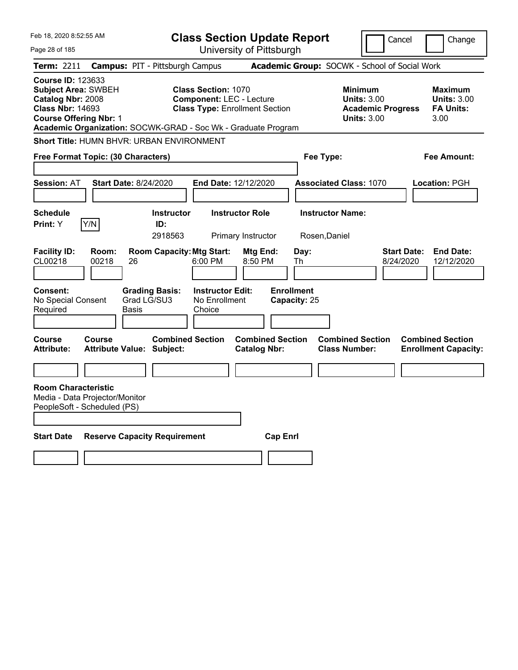| Feb 18, 2020 8:52:55 AM                                                                                                                                                                                  |                                               |                                                    | <b>Class Section Update Report</b>                                       |                                          |                                                                                        | Cancel<br>Change                                                  |
|----------------------------------------------------------------------------------------------------------------------------------------------------------------------------------------------------------|-----------------------------------------------|----------------------------------------------------|--------------------------------------------------------------------------|------------------------------------------|----------------------------------------------------------------------------------------|-------------------------------------------------------------------|
| Page 28 of 185                                                                                                                                                                                           |                                               |                                                    | University of Pittsburgh                                                 |                                          |                                                                                        |                                                                   |
| <b>Term: 2211</b>                                                                                                                                                                                        | <b>Campus: PIT - Pittsburgh Campus</b>        |                                                    |                                                                          |                                          | Academic Group: SOCWK - School of Social Work                                          |                                                                   |
| <b>Course ID: 123633</b><br><b>Subject Area: SWBEH</b><br>Catalog Nbr: 2008<br><b>Class Nbr: 14693</b><br><b>Course Offering Nbr: 1</b><br>Academic Organization: SOCWK-GRAD - Soc Wk - Graduate Program |                                               | <b>Class Section: 1070</b>                         | <b>Component: LEC - Lecture</b><br><b>Class Type: Enrollment Section</b> |                                          | <b>Minimum</b><br><b>Units: 3.00</b><br><b>Academic Progress</b><br><b>Units: 3.00</b> | <b>Maximum</b><br><b>Units: 3.00</b><br><b>FA Units:</b><br>3.00  |
| Short Title: HUMN BHVR: URBAN ENVIRONMENT                                                                                                                                                                |                                               |                                                    |                                                                          |                                          |                                                                                        |                                                                   |
| Free Format Topic: (30 Characters)                                                                                                                                                                       |                                               |                                                    |                                                                          | Fee Type:                                |                                                                                        | <b>Fee Amount:</b>                                                |
|                                                                                                                                                                                                          |                                               |                                                    |                                                                          |                                          |                                                                                        |                                                                   |
| <b>Session: AT</b>                                                                                                                                                                                       | <b>Start Date: 8/24/2020</b>                  |                                                    | End Date: 12/12/2020                                                     |                                          | <b>Associated Class: 1070</b>                                                          | <b>Location: PGH</b>                                              |
| <b>Schedule</b><br>Y/N<br>Print: Y                                                                                                                                                                       | ID:                                           | <b>Instructor</b><br>2918563                       | <b>Instructor Role</b><br>Primary Instructor                             | <b>Instructor Name:</b><br>Rosen, Daniel |                                                                                        |                                                                   |
| <b>Facility ID:</b><br>CL00218<br>00218                                                                                                                                                                  | Room:<br>26                                   | <b>Room Capacity: Mtg Start:</b><br>6:00 PM        | Mtg End:<br>8:50 PM                                                      | Day:<br>Th                               |                                                                                        | <b>Start Date:</b><br><b>End Date:</b><br>8/24/2020<br>12/12/2020 |
| <b>Consent:</b><br>No Special Consent<br>Required                                                                                                                                                        | <b>Grading Basis:</b><br>Grad LG/SU3<br>Basis | <b>Instructor Edit:</b><br>No Enrollment<br>Choice |                                                                          | <b>Enrollment</b><br>Capacity: 25        |                                                                                        |                                                                   |
| <b>Course</b><br>Course<br><b>Attribute:</b>                                                                                                                                                             | <b>Attribute Value: Subject:</b>              | <b>Combined Section</b>                            | <b>Combined Section</b><br><b>Catalog Nbr:</b>                           |                                          | <b>Combined Section</b><br><b>Class Number:</b>                                        | <b>Combined Section</b><br><b>Enrollment Capacity:</b>            |
|                                                                                                                                                                                                          |                                               |                                                    |                                                                          |                                          |                                                                                        |                                                                   |
| <b>Room Characteristic</b><br>Media - Data Projector/Monitor<br>PeopleSoft - Scheduled (PS)                                                                                                              |                                               |                                                    |                                                                          |                                          |                                                                                        |                                                                   |
| <b>Start Date</b>                                                                                                                                                                                        | <b>Reserve Capacity Requirement</b>           |                                                    | <b>Cap Enrl</b>                                                          |                                          |                                                                                        |                                                                   |
|                                                                                                                                                                                                          |                                               |                                                    |                                                                          |                                          |                                                                                        |                                                                   |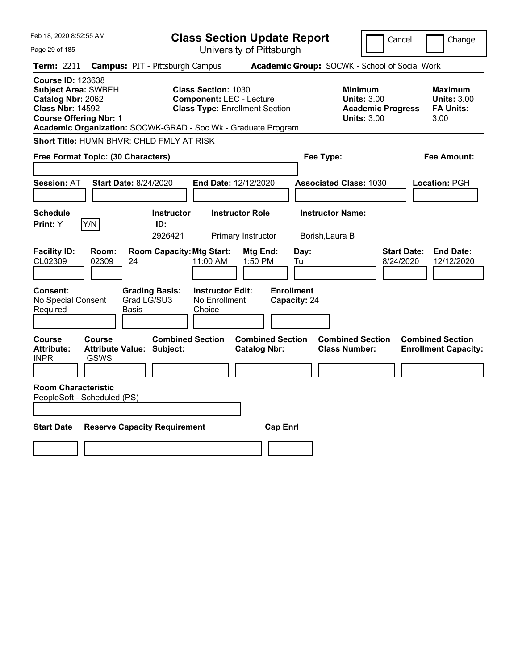| Feb 18, 2020 8:52:55 AM                                                                                                                                                                                  |                                                                                         |                                                                                                        | <b>Class Section Update Report</b>                                     |                                                 | Cancel                                                               | Change                                                    |
|----------------------------------------------------------------------------------------------------------------------------------------------------------------------------------------------------------|-----------------------------------------------------------------------------------------|--------------------------------------------------------------------------------------------------------|------------------------------------------------------------------------|-------------------------------------------------|----------------------------------------------------------------------|-----------------------------------------------------------|
| Page 29 of 185                                                                                                                                                                                           |                                                                                         |                                                                                                        | University of Pittsburgh                                               |                                                 |                                                                      |                                                           |
| Term: 2211                                                                                                                                                                                               | <b>Campus: PIT - Pittsburgh Campus</b>                                                  |                                                                                                        | Academic Group: SOCWK - School of Social Work                          |                                                 |                                                                      |                                                           |
| <b>Course ID: 123638</b><br><b>Subject Area: SWBEH</b><br>Catalog Nbr: 2062<br><b>Class Nbr: 14592</b><br><b>Course Offering Nbr: 1</b><br>Academic Organization: SOCWK-GRAD - Soc Wk - Graduate Program |                                                                                         | <b>Class Section: 1030</b><br><b>Component: LEC - Lecture</b><br><b>Class Type: Enrollment Section</b> |                                                                        | Minimum                                         | <b>Units: 3.00</b><br><b>Academic Progress</b><br><b>Units: 3.00</b> | Maximum<br><b>Units: 3.00</b><br><b>FA Units:</b><br>3.00 |
| <b>Short Title: HUMN BHVR: CHLD FMLY AT RISK</b>                                                                                                                                                         |                                                                                         |                                                                                                        |                                                                        |                                                 |                                                                      |                                                           |
| Free Format Topic: (30 Characters)                                                                                                                                                                       |                                                                                         |                                                                                                        |                                                                        | Fee Type:                                       |                                                                      | Fee Amount:                                               |
| <b>Session: AT</b>                                                                                                                                                                                       | <b>Start Date: 8/24/2020</b>                                                            | End Date: 12/12/2020                                                                                   |                                                                        | <b>Associated Class: 1030</b>                   |                                                                      | Location: PGH                                             |
| <b>Schedule</b><br>Y/N<br>Print: Y                                                                                                                                                                       | <b>Instructor</b><br>ID:                                                                | <b>Instructor Role</b>                                                                                 |                                                                        | <b>Instructor Name:</b>                         |                                                                      |                                                           |
|                                                                                                                                                                                                          | 2926421                                                                                 | Primary Instructor                                                                                     |                                                                        | Borish, Laura B                                 |                                                                      |                                                           |
| <b>Facility ID:</b><br>Room:<br>CL02309<br>02309<br>Consent:<br>No Special Consent<br>Required                                                                                                           | <b>Room Capacity: Mtg Start:</b><br>24<br><b>Grading Basis:</b><br>Grad LG/SU3<br>Basis | 11:00 AM<br><b>Instructor Edit:</b><br>No Enrollment<br>Choice                                         | Mtg End:<br>Day:<br>1:50 PM<br>Tu<br><b>Enrollment</b><br>Capacity: 24 |                                                 | <b>Start Date:</b><br>8/24/2020                                      | <b>End Date:</b><br>12/12/2020                            |
|                                                                                                                                                                                                          |                                                                                         |                                                                                                        |                                                                        |                                                 |                                                                      |                                                           |
| Course<br>Course<br><b>Attribute:</b><br><b>GSWS</b><br><b>INPR</b>                                                                                                                                      | <b>Combined Section</b><br>Attribute Value: Subject:                                    |                                                                                                        | <b>Combined Section</b><br><b>Catalog Nbr:</b>                         | <b>Combined Section</b><br><b>Class Number:</b> |                                                                      | <b>Combined Section</b><br><b>Enrollment Capacity:</b>    |
| <b>Room Characteristic</b>                                                                                                                                                                               |                                                                                         |                                                                                                        |                                                                        |                                                 |                                                                      |                                                           |
| PeopleSoft - Scheduled (PS)                                                                                                                                                                              |                                                                                         |                                                                                                        |                                                                        |                                                 |                                                                      |                                                           |
| <b>Start Date</b>                                                                                                                                                                                        | <b>Reserve Capacity Requirement</b>                                                     |                                                                                                        | <b>Cap Enrl</b>                                                        |                                                 |                                                                      |                                                           |
|                                                                                                                                                                                                          |                                                                                         |                                                                                                        |                                                                        |                                                 |                                                                      |                                                           |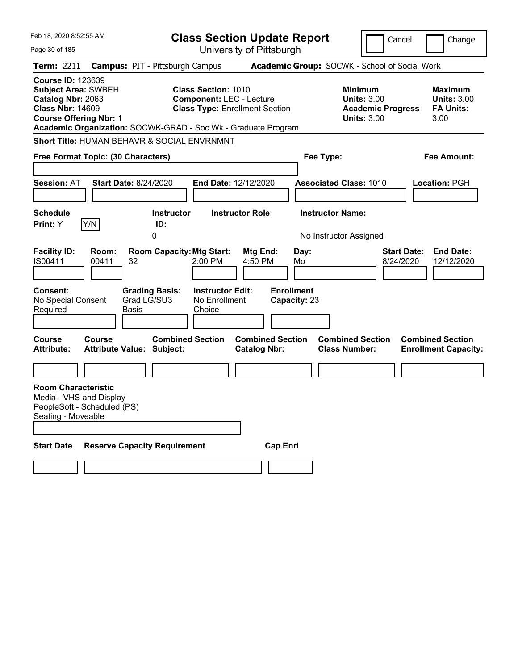| Feb 18, 2020 8:52:55 AM<br><b>Class Section Update Report</b><br>Cancel<br>University of Pittsburgh<br>Page 30 of 185                   |                |                                                                                                |                                                               |                                                                          |                                                 |                                                                                        | Change                                                            |
|-----------------------------------------------------------------------------------------------------------------------------------------|----------------|------------------------------------------------------------------------------------------------|---------------------------------------------------------------|--------------------------------------------------------------------------|-------------------------------------------------|----------------------------------------------------------------------------------------|-------------------------------------------------------------------|
| <b>Term: 2211</b>                                                                                                                       |                | <b>Campus: PIT - Pittsburgh Campus</b>                                                         |                                                               |                                                                          |                                                 | Academic Group: SOCWK - School of Social Work                                          |                                                                   |
| <b>Course ID: 123639</b><br><b>Subject Area: SWBEH</b><br>Catalog Nbr: 2063<br><b>Class Nbr: 14609</b><br><b>Course Offering Nbr: 1</b> |                | Academic Organization: SOCWK-GRAD - Soc Wk - Graduate Program                                  | <b>Class Section: 1010</b>                                    | <b>Component: LEC - Lecture</b><br><b>Class Type: Enrollment Section</b> |                                                 | <b>Minimum</b><br><b>Units: 3.00</b><br><b>Academic Progress</b><br><b>Units: 3.00</b> | <b>Maximum</b><br><b>Units: 3.00</b><br><b>FA Units:</b><br>3.00  |
|                                                                                                                                         |                | <b>Short Title: HUMAN BEHAVR &amp; SOCIAL ENVRNMNT</b>                                         |                                                               |                                                                          |                                                 |                                                                                        |                                                                   |
| Free Format Topic: (30 Characters)                                                                                                      |                |                                                                                                |                                                               |                                                                          | Fee Type:                                       |                                                                                        | <b>Fee Amount:</b>                                                |
| <b>Session: AT</b>                                                                                                                      |                | <b>Start Date: 8/24/2020</b>                                                                   |                                                               | <b>End Date: 12/12/2020</b>                                              |                                                 | <b>Associated Class: 1010</b>                                                          | Location: PGH                                                     |
| <b>Schedule</b>                                                                                                                         |                | <b>Instructor</b>                                                                              |                                                               | <b>Instructor Role</b>                                                   | <b>Instructor Name:</b>                         |                                                                                        |                                                                   |
| Print: Y                                                                                                                                | Y/N            | ID:<br>0                                                                                       |                                                               |                                                                          |                                                 | No Instructor Assigned                                                                 |                                                                   |
| <b>Facility ID:</b><br>IS00411<br>Consent:<br>No Special Consent<br>Required                                                            | Room:<br>00411 | <b>Room Capacity: Mtg Start:</b><br>32<br><b>Grading Basis:</b><br>Grad LG/SU3<br><b>Basis</b> | 2:00 PM<br><b>Instructor Edit:</b><br>No Enrollment<br>Choice | Mtg End:<br>4:50 PM                                                      | Day:<br>Mo<br><b>Enrollment</b><br>Capacity: 23 |                                                                                        | <b>Start Date:</b><br><b>End Date:</b><br>8/24/2020<br>12/12/2020 |
| <b>Course</b><br><b>Attribute:</b>                                                                                                      | <b>Course</b>  | <b>Combined Section</b><br><b>Attribute Value: Subject:</b>                                    |                                                               | <b>Combined Section</b><br><b>Catalog Nbr:</b>                           |                                                 | <b>Combined Section</b><br><b>Class Number:</b>                                        | <b>Combined Section</b><br><b>Enrollment Capacity:</b>            |
|                                                                                                                                         |                |                                                                                                |                                                               |                                                                          |                                                 |                                                                                        |                                                                   |
| <b>Room Characteristic</b><br>Media - VHS and Display<br>PeopleSoft - Scheduled (PS)<br>Seating - Moveable<br><b>Start Date</b>         |                | <b>Reserve Capacity Requirement</b>                                                            |                                                               | <b>Cap Enrl</b>                                                          |                                                 |                                                                                        |                                                                   |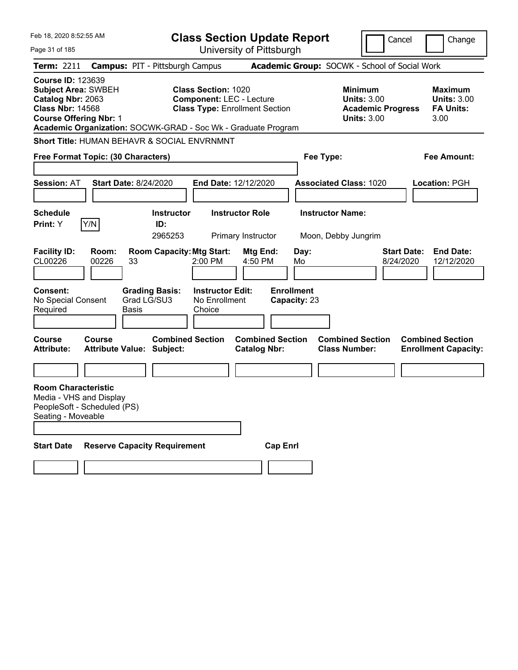| Page 31 of 185                                                                                                                          | Feb 18, 2020 8:52:55 AM<br><b>Class Section Update Report</b><br>Cancel<br>University of Pittsburgh |                                                                 |                                    |                                                                          |                                 |                                                                                        | Change                                                            |
|-----------------------------------------------------------------------------------------------------------------------------------------|-----------------------------------------------------------------------------------------------------|-----------------------------------------------------------------|------------------------------------|--------------------------------------------------------------------------|---------------------------------|----------------------------------------------------------------------------------------|-------------------------------------------------------------------|
| <b>Term: 2211</b>                                                                                                                       |                                                                                                     | <b>Campus: PIT - Pittsburgh Campus</b>                          |                                    |                                                                          |                                 | Academic Group: SOCWK - School of Social Work                                          |                                                                   |
| <b>Course ID: 123639</b><br><b>Subject Area: SWBEH</b><br>Catalog Nbr: 2063<br><b>Class Nbr: 14568</b><br><b>Course Offering Nbr: 1</b> |                                                                                                     | Academic Organization: SOCWK-GRAD - Soc Wk - Graduate Program   | <b>Class Section: 1020</b>         | <b>Component: LEC - Lecture</b><br><b>Class Type: Enrollment Section</b> |                                 | <b>Minimum</b><br><b>Units: 3.00</b><br><b>Academic Progress</b><br><b>Units: 3.00</b> | <b>Maximum</b><br><b>Units: 3.00</b><br><b>FA Units:</b><br>3.00  |
|                                                                                                                                         |                                                                                                     | <b>Short Title: HUMAN BEHAVR &amp; SOCIAL ENVRNMNT</b>          |                                    |                                                                          |                                 |                                                                                        |                                                                   |
|                                                                                                                                         | Free Format Topic: (30 Characters)                                                                  |                                                                 |                                    |                                                                          | Fee Type:                       |                                                                                        | <b>Fee Amount:</b>                                                |
| <b>Session: AT</b>                                                                                                                      |                                                                                                     | <b>Start Date: 8/24/2020</b>                                    |                                    | End Date: 12/12/2020                                                     |                                 | <b>Associated Class: 1020</b>                                                          | Location: PGH                                                     |
| <b>Schedule</b>                                                                                                                         |                                                                                                     | <b>Instructor</b>                                               |                                    | <b>Instructor Role</b>                                                   | <b>Instructor Name:</b>         |                                                                                        |                                                                   |
| Print: Y                                                                                                                                | Y/N                                                                                                 | ID:<br>2965253                                                  |                                    | Primary Instructor                                                       |                                 | Moon, Debby Jungrim                                                                    |                                                                   |
| <b>Facility ID:</b><br>CL00226<br>Consent:                                                                                              | Room:<br>00226                                                                                      | <b>Room Capacity: Mtg Start:</b><br>33<br><b>Grading Basis:</b> | 2:00 PM<br><b>Instructor Edit:</b> | Mtg End:<br>4:50 PM                                                      | Day:<br>Mo<br><b>Enrollment</b> |                                                                                        | <b>Start Date:</b><br><b>End Date:</b><br>8/24/2020<br>12/12/2020 |
| No Special Consent<br>Required                                                                                                          |                                                                                                     | Grad LG/SU3<br><b>Basis</b>                                     | No Enrollment<br>Choice            |                                                                          | Capacity: 23                    |                                                                                        |                                                                   |
| <b>Course</b><br><b>Attribute:</b>                                                                                                      | <b>Course</b>                                                                                       | <b>Combined Section</b><br><b>Attribute Value: Subject:</b>     |                                    | <b>Combined Section</b><br><b>Catalog Nbr:</b>                           |                                 | <b>Combined Section</b><br><b>Class Number:</b>                                        | <b>Combined Section</b><br><b>Enrollment Capacity:</b>            |
|                                                                                                                                         |                                                                                                     |                                                                 |                                    |                                                                          |                                 |                                                                                        |                                                                   |
| <b>Room Characteristic</b><br>Seating - Moveable                                                                                        | Media - VHS and Display<br>PeopleSoft - Scheduled (PS)                                              |                                                                 |                                    |                                                                          |                                 |                                                                                        |                                                                   |
| <b>Start Date</b>                                                                                                                       |                                                                                                     | <b>Reserve Capacity Requirement</b>                             |                                    | <b>Cap Enrl</b>                                                          |                                 |                                                                                        |                                                                   |
|                                                                                                                                         |                                                                                                     |                                                                 |                                    |                                                                          |                                 |                                                                                        |                                                                   |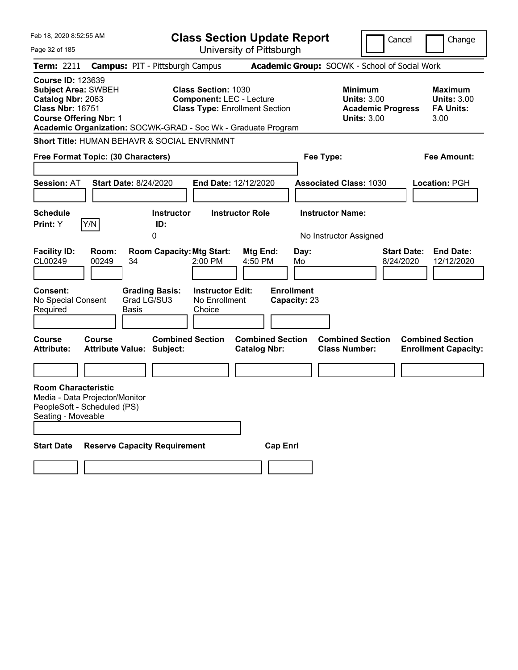| Feb 18, 2020 8:52:55 AM                                                                                                                 |     |                                                                                                                                                                                                                                        |                                                                                                                                                                   |                                                                                                                                                                                                                   |                                                                                                                                                                                                                                                             | Cancel<br>Change                                                                                                                                                                                    |
|-----------------------------------------------------------------------------------------------------------------------------------------|-----|----------------------------------------------------------------------------------------------------------------------------------------------------------------------------------------------------------------------------------------|-------------------------------------------------------------------------------------------------------------------------------------------------------------------|-------------------------------------------------------------------------------------------------------------------------------------------------------------------------------------------------------------------|-------------------------------------------------------------------------------------------------------------------------------------------------------------------------------------------------------------------------------------------------------------|-----------------------------------------------------------------------------------------------------------------------------------------------------------------------------------------------------|
|                                                                                                                                         |     |                                                                                                                                                                                                                                        |                                                                                                                                                                   |                                                                                                                                                                                                                   |                                                                                                                                                                                                                                                             |                                                                                                                                                                                                     |
|                                                                                                                                         |     |                                                                                                                                                                                                                                        |                                                                                                                                                                   |                                                                                                                                                                                                                   |                                                                                                                                                                                                                                                             |                                                                                                                                                                                                     |
| <b>Course ID: 123639</b><br><b>Subject Area: SWBEH</b><br>Catalog Nbr: 2063<br><b>Class Nbr: 16751</b><br><b>Course Offering Nbr: 1</b> |     |                                                                                                                                                                                                                                        |                                                                                                                                                                   |                                                                                                                                                                                                                   | <b>Minimum</b><br><b>Units: 3.00</b><br><b>Academic Progress</b><br><b>Units: 3.00</b>                                                                                                                                                                      | <b>Maximum</b><br><b>Units: 3.00</b><br><b>FA Units:</b><br>3.00                                                                                                                                    |
|                                                                                                                                         |     |                                                                                                                                                                                                                                        |                                                                                                                                                                   |                                                                                                                                                                                                                   |                                                                                                                                                                                                                                                             |                                                                                                                                                                                                     |
|                                                                                                                                         |     |                                                                                                                                                                                                                                        |                                                                                                                                                                   |                                                                                                                                                                                                                   |                                                                                                                                                                                                                                                             | <b>Fee Amount:</b>                                                                                                                                                                                  |
|                                                                                                                                         |     |                                                                                                                                                                                                                                        |                                                                                                                                                                   |                                                                                                                                                                                                                   |                                                                                                                                                                                                                                                             | Location: PGH                                                                                                                                                                                       |
|                                                                                                                                         |     |                                                                                                                                                                                                                                        |                                                                                                                                                                   |                                                                                                                                                                                                                   |                                                                                                                                                                                                                                                             |                                                                                                                                                                                                     |
|                                                                                                                                         | 0   |                                                                                                                                                                                                                                        |                                                                                                                                                                   |                                                                                                                                                                                                                   |                                                                                                                                                                                                                                                             |                                                                                                                                                                                                     |
| Room:<br>00249<br>No Special Consent                                                                                                    | 34  | 2:00 PM<br>Choice                                                                                                                                                                                                                      | Mtg End:<br>4:50 PM                                                                                                                                               | Day:<br>Mo                                                                                                                                                                                                        |                                                                                                                                                                                                                                                             | <b>Start Date:</b><br><b>End Date:</b><br>8/24/2020<br>12/12/2020                                                                                                                                   |
| <b>Course</b>                                                                                                                           |     |                                                                                                                                                                                                                                        | <b>Catalog Nbr:</b>                                                                                                                                               |                                                                                                                                                                                                                   |                                                                                                                                                                                                                                                             | <b>Combined Section</b><br><b>Enrollment Capacity:</b>                                                                                                                                              |
|                                                                                                                                         |     |                                                                                                                                                                                                                                        |                                                                                                                                                                   |                                                                                                                                                                                                                   |                                                                                                                                                                                                                                                             |                                                                                                                                                                                                     |
| <b>Room Characteristic</b><br>Seating - Moveable                                                                                        |     |                                                                                                                                                                                                                                        |                                                                                                                                                                   |                                                                                                                                                                                                                   |                                                                                                                                                                                                                                                             |                                                                                                                                                                                                     |
|                                                                                                                                         | Y/N | Free Format Topic: (30 Characters)<br><b>Start Date: 8/24/2020</b><br>ID:<br><b>Grading Basis:</b><br>Grad LG/SU3<br><b>Basis</b><br><b>Attribute Value: Subject:</b><br>Media - Data Projector/Monitor<br>PeopleSoft - Scheduled (PS) | <b>Campus: PIT - Pittsburgh Campus</b><br><b>Instructor</b><br><b>Room Capacity: Mtg Start:</b><br><b>Combined Section</b><br><b>Reserve Capacity Requirement</b> | <b>Class Section: 1030</b><br><b>Component: LEC - Lecture</b><br>Short Title: HUMAN BEHAVR & SOCIAL ENVRNMNT<br><b>End Date: 12/12/2020</b><br><b>Instructor Role</b><br><b>Instructor Edit:</b><br>No Enrollment | <b>Class Section Update Report</b><br>University of Pittsburgh<br><b>Class Type: Enrollment Section</b><br>Academic Organization: SOCWK-GRAD - Soc Wk - Graduate Program<br><b>Enrollment</b><br>Capacity: 23<br><b>Combined Section</b><br><b>Cap Enrl</b> | Academic Group: SOCWK - School of Social Work<br>Fee Type:<br><b>Associated Class: 1030</b><br><b>Instructor Name:</b><br>No Instructor Assigned<br><b>Combined Section</b><br><b>Class Number:</b> |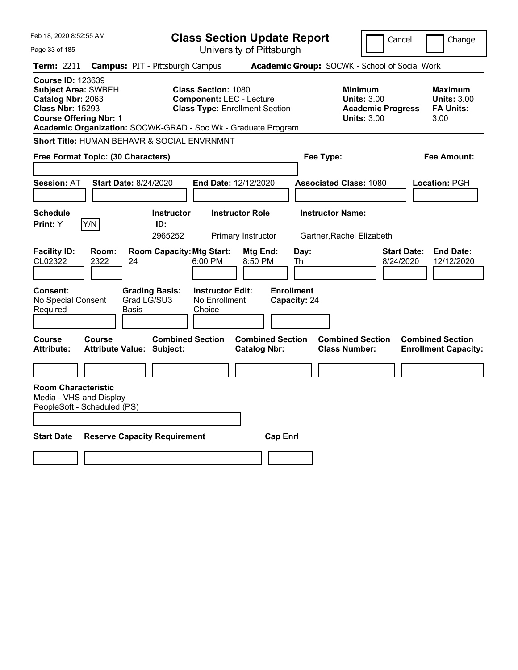| Feb 18, 2020 8:52:55 AM                                                                                                                 |               |                                                               |                                                                                                        |                                                | <b>Class Section Update Report</b> |                                                                                        | Cancel                          | Change                                                    |
|-----------------------------------------------------------------------------------------------------------------------------------------|---------------|---------------------------------------------------------------|--------------------------------------------------------------------------------------------------------|------------------------------------------------|------------------------------------|----------------------------------------------------------------------------------------|---------------------------------|-----------------------------------------------------------|
| Page 33 of 185                                                                                                                          |               | University of Pittsburgh                                      |                                                                                                        |                                                |                                    |                                                                                        |                                 |                                                           |
| Term: 2211                                                                                                                              |               | <b>Campus: PIT - Pittsburgh Campus</b>                        |                                                                                                        |                                                |                                    | Academic Group: SOCWK - School of Social Work                                          |                                 |                                                           |
| <b>Course ID: 123639</b><br><b>Subject Area: SWBEH</b><br>Catalog Nbr: 2063<br><b>Class Nbr: 15293</b><br><b>Course Offering Nbr: 1</b> |               | Academic Organization: SOCWK-GRAD - Soc Wk - Graduate Program | <b>Class Section: 1080</b><br><b>Component: LEC - Lecture</b><br><b>Class Type: Enrollment Section</b> |                                                |                                    | <b>Minimum</b><br><b>Units: 3.00</b><br><b>Academic Progress</b><br><b>Units: 3.00</b> |                                 | Maximum<br><b>Units: 3.00</b><br><b>FA Units:</b><br>3.00 |
|                                                                                                                                         |               | <b>Short Title: HUMAN BEHAVR &amp; SOCIAL ENVRNMNT</b>        |                                                                                                        |                                                |                                    |                                                                                        |                                 |                                                           |
| Free Format Topic: (30 Characters)                                                                                                      |               |                                                               |                                                                                                        |                                                | Fee Type:                          |                                                                                        |                                 | Fee Amount:                                               |
|                                                                                                                                         |               |                                                               |                                                                                                        |                                                |                                    |                                                                                        |                                 |                                                           |
| <b>Session: AT</b>                                                                                                                      |               | <b>Start Date: 8/24/2020</b>                                  | End Date: 12/12/2020                                                                                   |                                                |                                    | <b>Associated Class: 1080</b>                                                          |                                 | Location: PGH                                             |
| <b>Schedule</b><br><b>Print:</b> Y                                                                                                      | Y/N           | <b>Instructor</b><br>ID:<br>2965252                           |                                                                                                        | <b>Instructor Role</b><br>Primary Instructor   |                                    | <b>Instructor Name:</b><br>Gartner, Rachel Elizabeth                                   |                                 |                                                           |
| <b>Facility ID:</b><br>CL02322                                                                                                          | Room:<br>2322 | <b>Room Capacity: Mtg Start:</b><br>24                        | 6:00 PM                                                                                                | Mtg End:<br>8:50 PM                            | Day:<br>Th                         |                                                                                        | <b>Start Date:</b><br>8/24/2020 | <b>End Date:</b><br>12/12/2020                            |
| <b>Consent:</b><br>No Special Consent<br>Required                                                                                       |               | <b>Grading Basis:</b><br>Grad LG/SU3<br>Basis                 | <b>Instructor Edit:</b><br>No Enrollment<br>Choice                                                     |                                                | <b>Enrollment</b><br>Capacity: 24  |                                                                                        |                                 |                                                           |
| Course<br><b>Attribute:</b>                                                                                                             | Course        | <b>Combined Section</b><br><b>Attribute Value: Subject:</b>   |                                                                                                        | <b>Combined Section</b><br><b>Catalog Nbr:</b> |                                    | <b>Combined Section</b><br><b>Class Number:</b>                                        |                                 | <b>Combined Section</b><br><b>Enrollment Capacity:</b>    |
|                                                                                                                                         |               |                                                               |                                                                                                        |                                                |                                    |                                                                                        |                                 |                                                           |
| <b>Room Characteristic</b><br>Media - VHS and Display<br>PeopleSoft - Scheduled (PS)                                                    |               |                                                               |                                                                                                        |                                                |                                    |                                                                                        |                                 |                                                           |
| <b>Start Date</b>                                                                                                                       |               | <b>Reserve Capacity Requirement</b>                           |                                                                                                        |                                                | <b>Cap Enri</b>                    |                                                                                        |                                 |                                                           |
|                                                                                                                                         |               |                                                               |                                                                                                        |                                                |                                    |                                                                                        |                                 |                                                           |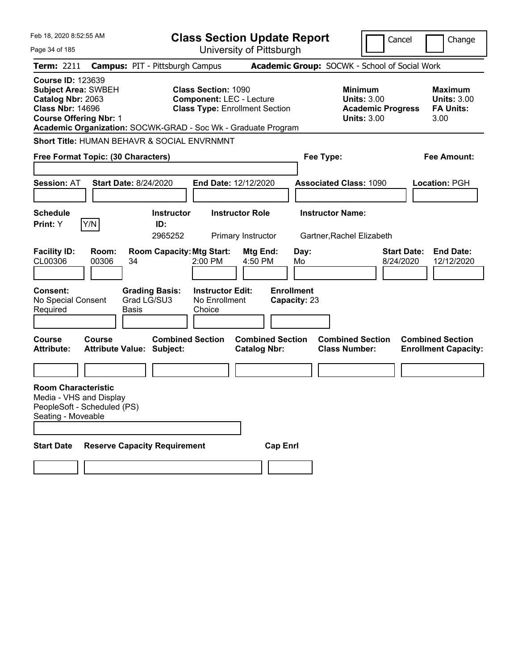| Feb 18, 2020 8:52:55 AM<br><b>Class Section Update Report</b><br>Cancel<br>University of Pittsburgh<br>Page 34 of 185 |  |                                                                                      |                                                               |                                                    |                                                                          | Change                            |                                                                                        |                                 |                                                                  |
|-----------------------------------------------------------------------------------------------------------------------|--|--------------------------------------------------------------------------------------|---------------------------------------------------------------|----------------------------------------------------|--------------------------------------------------------------------------|-----------------------------------|----------------------------------------------------------------------------------------|---------------------------------|------------------------------------------------------------------|
| <b>Term: 2211</b>                                                                                                     |  |                                                                                      | <b>Campus: PIT - Pittsburgh Campus</b>                        |                                                    |                                                                          |                                   | Academic Group: SOCWK - School of Social Work                                          |                                 |                                                                  |
| <b>Course ID: 123639</b><br>Catalog Nbr: 2063<br><b>Class Nbr: 14696</b>                                              |  | <b>Subject Area: SWBEH</b><br><b>Course Offering Nbr: 1</b>                          | Academic Organization: SOCWK-GRAD - Soc Wk - Graduate Program | <b>Class Section: 1090</b>                         | <b>Component: LEC - Lecture</b><br><b>Class Type: Enrollment Section</b> |                                   | <b>Minimum</b><br><b>Units: 3.00</b><br><b>Academic Progress</b><br><b>Units: 3.00</b> |                                 | <b>Maximum</b><br><b>Units: 3.00</b><br><b>FA Units:</b><br>3.00 |
|                                                                                                                       |  |                                                                                      | Short Title: HUMAN BEHAVR & SOCIAL ENVRNMNT                   |                                                    |                                                                          |                                   |                                                                                        |                                 |                                                                  |
|                                                                                                                       |  | Free Format Topic: (30 Characters)                                                   |                                                               |                                                    |                                                                          | Fee Type:                         |                                                                                        |                                 | <b>Fee Amount:</b>                                               |
| <b>Session: AT</b>                                                                                                    |  |                                                                                      | <b>Start Date: 8/24/2020</b>                                  |                                                    | End Date: 12/12/2020                                                     |                                   | <b>Associated Class: 1090</b>                                                          |                                 | Location: PGH                                                    |
| <b>Schedule</b><br>Print: Y                                                                                           |  | Y/N                                                                                  | <b>Instructor</b><br>ID:<br>2965252                           |                                                    | <b>Instructor Role</b><br>Primary Instructor                             |                                   | <b>Instructor Name:</b><br>Gartner, Rachel Elizabeth                                   |                                 |                                                                  |
| <b>Facility ID:</b><br>CL00306                                                                                        |  | Room:<br>00306                                                                       | <b>Room Capacity: Mtg Start:</b><br>34                        | 2:00 PM                                            | Mtg End:<br>4:50 PM                                                      | Day:<br>Mo                        |                                                                                        | <b>Start Date:</b><br>8/24/2020 | <b>End Date:</b><br>12/12/2020                                   |
| Consent:<br>No Special Consent<br>Required                                                                            |  |                                                                                      | <b>Grading Basis:</b><br>Grad LG/SU3<br><b>Basis</b>          | <b>Instructor Edit:</b><br>No Enrollment<br>Choice |                                                                          | <b>Enrollment</b><br>Capacity: 23 |                                                                                        |                                 |                                                                  |
| <b>Course</b><br><b>Attribute:</b>                                                                                    |  | <b>Course</b>                                                                        | <b>Combined Section</b><br><b>Attribute Value: Subject:</b>   |                                                    | <b>Combined Section</b><br><b>Catalog Nbr:</b>                           |                                   | <b>Combined Section</b><br><b>Class Number:</b>                                        |                                 | <b>Combined Section</b><br><b>Enrollment Capacity:</b>           |
|                                                                                                                       |  |                                                                                      |                                                               |                                                    |                                                                          |                                   |                                                                                        |                                 |                                                                  |
| Seating - Moveable                                                                                                    |  | <b>Room Characteristic</b><br>Media - VHS and Display<br>PeopleSoft - Scheduled (PS) |                                                               |                                                    |                                                                          |                                   |                                                                                        |                                 |                                                                  |
| <b>Start Date</b>                                                                                                     |  |                                                                                      | <b>Reserve Capacity Requirement</b>                           |                                                    | <b>Cap Enrl</b>                                                          |                                   |                                                                                        |                                 |                                                                  |
|                                                                                                                       |  |                                                                                      |                                                               |                                                    |                                                                          |                                   |                                                                                        |                                 |                                                                  |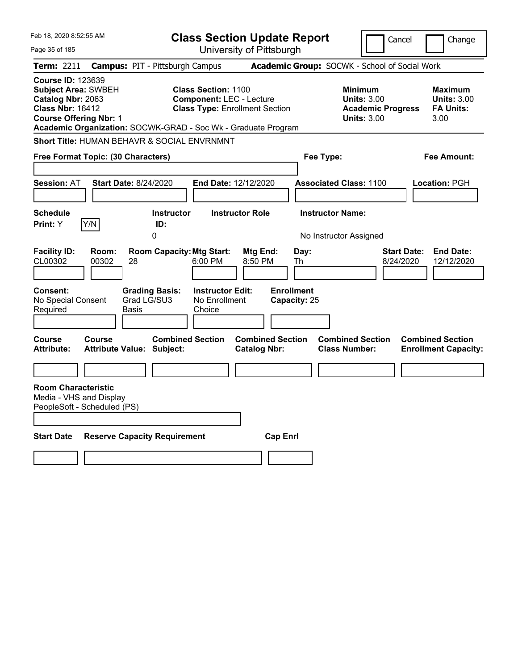| University of Pittsburgh<br>Page 35 of 185                                                                                                                                                                                                                                                                                                                                                                   |                                                           |
|--------------------------------------------------------------------------------------------------------------------------------------------------------------------------------------------------------------------------------------------------------------------------------------------------------------------------------------------------------------------------------------------------------------|-----------------------------------------------------------|
|                                                                                                                                                                                                                                                                                                                                                                                                              |                                                           |
| <b>Campus: PIT - Pittsburgh Campus</b><br>Academic Group: SOCWK - School of Social Work<br>Term: 2211                                                                                                                                                                                                                                                                                                        |                                                           |
| <b>Course ID: 123639</b><br><b>Subject Area: SWBEH</b><br><b>Class Section: 1100</b><br><b>Minimum</b><br><b>Units: 3.00</b><br>Catalog Nbr: 2063<br><b>Component: LEC - Lecture</b><br><b>Class Nbr: 16412</b><br><b>Class Type: Enrollment Section</b><br><b>Academic Progress</b><br><b>Course Offering Nbr: 1</b><br><b>Units: 3.00</b><br>Academic Organization: SOCWK-GRAD - Soc Wk - Graduate Program | Maximum<br><b>Units: 3.00</b><br><b>FA Units:</b><br>3.00 |
| <b>Short Title: HUMAN BEHAVR &amp; SOCIAL ENVRNMNT</b>                                                                                                                                                                                                                                                                                                                                                       |                                                           |
| Free Format Topic: (30 Characters)<br>Fee Type:                                                                                                                                                                                                                                                                                                                                                              | Fee Amount:                                               |
|                                                                                                                                                                                                                                                                                                                                                                                                              |                                                           |
| <b>Start Date: 8/24/2020</b><br><b>Session: AT</b><br><b>End Date: 12/12/2020</b><br><b>Associated Class: 1100</b>                                                                                                                                                                                                                                                                                           | Location: PGH                                             |
| <b>Schedule</b><br><b>Instructor Role</b><br><b>Instructor Name:</b><br><b>Instructor</b>                                                                                                                                                                                                                                                                                                                    |                                                           |
| Y/N<br>Print: Y<br>ID:                                                                                                                                                                                                                                                                                                                                                                                       |                                                           |
| 0<br>No Instructor Assigned                                                                                                                                                                                                                                                                                                                                                                                  |                                                           |
| <b>Facility ID:</b><br>Room:<br><b>Room Capacity: Mtg Start:</b><br><b>Start Date:</b><br>Mtg End:<br>Day:<br>CL00302<br>00302<br>6:00 PM<br>8/24/2020<br>28<br>8:50 PM<br>Th                                                                                                                                                                                                                                | <b>End Date:</b><br>12/12/2020                            |
| <b>Enrollment</b><br><b>Grading Basis:</b><br><b>Instructor Edit:</b><br><b>Consent:</b><br>No Special Consent<br>Grad LG/SU3<br>No Enrollment<br>Capacity: 25<br>Required<br>Basis<br>Choice                                                                                                                                                                                                                |                                                           |
| <b>Course</b><br><b>Combined Section</b><br><b>Combined Section</b><br><b>Combined Section</b><br><b>Combined Section</b><br><b>Course</b><br><b>Catalog Nbr:</b><br><b>Class Number:</b><br><b>Attribute:</b><br><b>Attribute Value: Subject:</b>                                                                                                                                                           | <b>Enrollment Capacity:</b>                               |
|                                                                                                                                                                                                                                                                                                                                                                                                              |                                                           |
| <b>Room Characteristic</b><br>Media - VHS and Display<br>PeopleSoft - Scheduled (PS)                                                                                                                                                                                                                                                                                                                         |                                                           |
| <b>Start Date</b><br><b>Reserve Capacity Requirement</b><br><b>Cap Enri</b>                                                                                                                                                                                                                                                                                                                                  |                                                           |
|                                                                                                                                                                                                                                                                                                                                                                                                              |                                                           |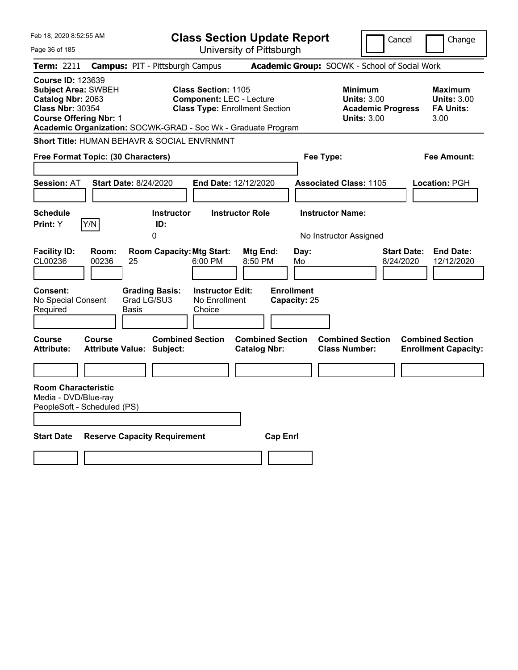| Feb 18, 2020 8:52:55 AM                                                                                                                                                                                  |                                                             |                                                               | <b>Class Section Update Report</b>             |                                   |                                                                                        | Cancel                          | Change                                                    |
|----------------------------------------------------------------------------------------------------------------------------------------------------------------------------------------------------------|-------------------------------------------------------------|---------------------------------------------------------------|------------------------------------------------|-----------------------------------|----------------------------------------------------------------------------------------|---------------------------------|-----------------------------------------------------------|
| Page 36 of 185                                                                                                                                                                                           |                                                             |                                                               | University of Pittsburgh                       |                                   |                                                                                        |                                 |                                                           |
| Term: 2211                                                                                                                                                                                               | <b>Campus: PIT - Pittsburgh Campus</b>                      |                                                               |                                                |                                   | Academic Group: SOCWK - School of Social Work                                          |                                 |                                                           |
| <b>Course ID: 123639</b><br><b>Subject Area: SWBEH</b><br>Catalog Nbr: 2063<br><b>Class Nbr: 30354</b><br><b>Course Offering Nbr: 1</b><br>Academic Organization: SOCWK-GRAD - Soc Wk - Graduate Program |                                                             | <b>Class Section: 1105</b><br><b>Component: LEC - Lecture</b> | <b>Class Type: Enrollment Section</b>          |                                   | <b>Minimum</b><br><b>Units: 3.00</b><br><b>Academic Progress</b><br><b>Units: 3.00</b> |                                 | Maximum<br><b>Units: 3.00</b><br><b>FA Units:</b><br>3.00 |
| <b>Short Title: HUMAN BEHAVR &amp; SOCIAL ENVRNMNT</b>                                                                                                                                                   |                                                             |                                                               |                                                |                                   |                                                                                        |                                 |                                                           |
| Free Format Topic: (30 Characters)                                                                                                                                                                       |                                                             |                                                               |                                                | Fee Type:                         |                                                                                        |                                 | Fee Amount:                                               |
|                                                                                                                                                                                                          |                                                             |                                                               |                                                |                                   |                                                                                        |                                 |                                                           |
| <b>Session: AT</b>                                                                                                                                                                                       | <b>Start Date: 8/24/2020</b>                                | <b>End Date: 12/12/2020</b>                                   |                                                |                                   | <b>Associated Class: 1105</b>                                                          |                                 | Location: PGH                                             |
| <b>Schedule</b>                                                                                                                                                                                          | <b>Instructor</b>                                           | <b>Instructor Role</b>                                        |                                                | <b>Instructor Name:</b>           |                                                                                        |                                 |                                                           |
| Y/N<br>Print: Y                                                                                                                                                                                          | ID:                                                         |                                                               |                                                |                                   |                                                                                        |                                 |                                                           |
|                                                                                                                                                                                                          | 0                                                           |                                                               |                                                |                                   | No Instructor Assigned                                                                 |                                 |                                                           |
| <b>Facility ID:</b><br>Room:<br>CL00236<br>00236                                                                                                                                                         | <b>Room Capacity: Mtg Start:</b><br>25                      | 6:00 PM                                                       | Mtg End:<br>8:50 PM                            | Day:<br>Mo                        |                                                                                        | <b>Start Date:</b><br>8/24/2020 | <b>End Date:</b><br>12/12/2020                            |
| <b>Consent:</b><br>No Special Consent<br>Required                                                                                                                                                        | <b>Grading Basis:</b><br>Grad LG/SU3<br>Basis               | <b>Instructor Edit:</b><br>No Enrollment<br>Choice            |                                                | <b>Enrollment</b><br>Capacity: 25 |                                                                                        |                                 |                                                           |
| <b>Course</b><br>Course<br><b>Attribute:</b>                                                                                                                                                             | <b>Combined Section</b><br><b>Attribute Value: Subject:</b> |                                                               | <b>Combined Section</b><br><b>Catalog Nbr:</b> |                                   | <b>Combined Section</b><br><b>Class Number:</b>                                        |                                 | <b>Combined Section</b><br><b>Enrollment Capacity:</b>    |
|                                                                                                                                                                                                          |                                                             |                                                               |                                                |                                   |                                                                                        |                                 |                                                           |
| <b>Room Characteristic</b><br>Media - DVD/Blue-ray<br>PeopleSoft - Scheduled (PS)                                                                                                                        |                                                             |                                                               |                                                |                                   |                                                                                        |                                 |                                                           |
| <b>Start Date</b>                                                                                                                                                                                        | <b>Reserve Capacity Requirement</b>                         |                                                               | <b>Cap Enri</b>                                |                                   |                                                                                        |                                 |                                                           |
|                                                                                                                                                                                                          |                                                             |                                                               |                                                |                                   |                                                                                        |                                 |                                                           |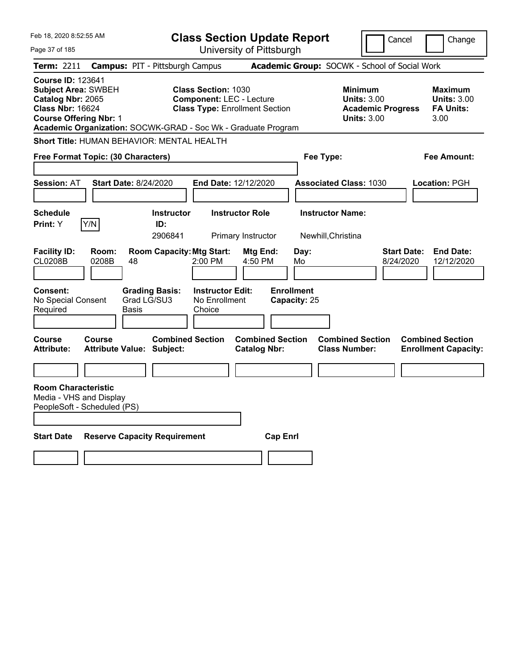| Feb 18, 2020 8:52:55 AM                                                                                                                 |                                                               | <b>Class Section Update Report</b>                                                                     |                                                |                                               |                                                                                        | Cancel<br>Change                                                  |
|-----------------------------------------------------------------------------------------------------------------------------------------|---------------------------------------------------------------|--------------------------------------------------------------------------------------------------------|------------------------------------------------|-----------------------------------------------|----------------------------------------------------------------------------------------|-------------------------------------------------------------------|
| Page 37 of 185                                                                                                                          |                                                               |                                                                                                        | University of Pittsburgh                       |                                               |                                                                                        |                                                                   |
| <b>Term: 2211</b>                                                                                                                       | <b>Campus: PIT - Pittsburgh Campus</b>                        |                                                                                                        |                                                |                                               | Academic Group: SOCWK - School of Social Work                                          |                                                                   |
| <b>Course ID: 123641</b><br><b>Subject Area: SWBEH</b><br>Catalog Nbr: 2065<br><b>Class Nbr: 16624</b><br><b>Course Offering Nbr: 1</b> | Academic Organization: SOCWK-GRAD - Soc Wk - Graduate Program | <b>Class Section: 1030</b><br><b>Component: LEC - Lecture</b><br><b>Class Type: Enrollment Section</b> |                                                |                                               | <b>Minimum</b><br><b>Units: 3.00</b><br><b>Academic Progress</b><br><b>Units: 3.00</b> | <b>Maximum</b><br><b>Units: 3.00</b><br><b>FA Units:</b><br>3.00  |
|                                                                                                                                         | Short Title: HUMAN BEHAVIOR: MENTAL HEALTH                    |                                                                                                        |                                                |                                               |                                                                                        |                                                                   |
| Free Format Topic: (30 Characters)                                                                                                      |                                                               |                                                                                                        | Fee Type:                                      |                                               | <b>Fee Amount:</b>                                                                     |                                                                   |
|                                                                                                                                         |                                                               |                                                                                                        |                                                |                                               |                                                                                        |                                                                   |
| <b>Session: AT</b>                                                                                                                      | <b>Start Date: 8/24/2020</b>                                  | End Date: 12/12/2020                                                                                   |                                                |                                               | <b>Associated Class: 1030</b>                                                          | <b>Location: PGH</b>                                              |
| <b>Schedule</b><br>Y/N<br>Print: Y                                                                                                      | <b>Instructor</b><br>ID:<br>2906841                           | <b>Instructor Role</b><br>Primary Instructor                                                           |                                                | <b>Instructor Name:</b><br>Newhill, Christina |                                                                                        |                                                                   |
| <b>Facility ID:</b><br>Room:<br><b>CL0208B</b><br>0208B                                                                                 | <b>Room Capacity: Mtg Start:</b><br>48                        | 2:00 PM                                                                                                | Mtg End:<br>4:50 PM                            | Day:<br>Mo                                    |                                                                                        | <b>Start Date:</b><br><b>End Date:</b><br>8/24/2020<br>12/12/2020 |
| <b>Consent:</b><br>No Special Consent<br>Required                                                                                       | <b>Grading Basis:</b><br>Grad LG/SU3<br>Basis                 | <b>Instructor Edit:</b><br>No Enrollment<br>Choice                                                     |                                                | <b>Enrollment</b><br>Capacity: 25             |                                                                                        |                                                                   |
| <b>Course</b><br>Course<br><b>Attribute:</b>                                                                                            | <b>Combined Section</b><br><b>Attribute Value: Subject:</b>   |                                                                                                        | <b>Combined Section</b><br><b>Catalog Nbr:</b> |                                               | <b>Combined Section</b><br><b>Class Number:</b>                                        | <b>Combined Section</b><br><b>Enrollment Capacity:</b>            |
|                                                                                                                                         |                                                               |                                                                                                        |                                                |                                               |                                                                                        |                                                                   |
| <b>Room Characteristic</b><br>Media - VHS and Display<br>PeopleSoft - Scheduled (PS)                                                    |                                                               |                                                                                                        |                                                |                                               |                                                                                        |                                                                   |
| <b>Start Date</b>                                                                                                                       | <b>Reserve Capacity Requirement</b>                           |                                                                                                        | <b>Cap Enrl</b>                                |                                               |                                                                                        |                                                                   |
|                                                                                                                                         |                                                               |                                                                                                        |                                                |                                               |                                                                                        |                                                                   |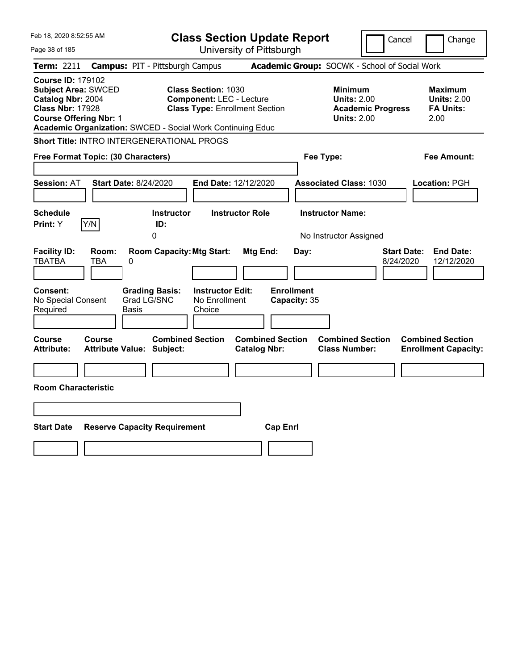| Feb 18, 2020 8:52:55 AM                                                                                                                 |                                                                                                                                                                      | <b>Class Section Update Report</b>                    |                                                                                        | Cancel<br>Change                                                  |
|-----------------------------------------------------------------------------------------------------------------------------------------|----------------------------------------------------------------------------------------------------------------------------------------------------------------------|-------------------------------------------------------|----------------------------------------------------------------------------------------|-------------------------------------------------------------------|
| Page 38 of 185                                                                                                                          |                                                                                                                                                                      | University of Pittsburgh                              |                                                                                        |                                                                   |
| Term: 2211                                                                                                                              | <b>Campus: PIT - Pittsburgh Campus</b>                                                                                                                               |                                                       | Academic Group: SOCWK - School of Social Work                                          |                                                                   |
| <b>Course ID: 179102</b><br><b>Subject Area: SWCED</b><br>Catalog Nbr: 2004<br><b>Class Nbr: 17928</b><br><b>Course Offering Nbr: 1</b> | <b>Class Section: 1030</b><br><b>Component: LEC - Lecture</b><br><b>Class Type: Enrollment Section</b><br>Academic Organization: SWCED - Social Work Continuing Educ |                                                       | <b>Minimum</b><br><b>Units: 2.00</b><br><b>Academic Progress</b><br><b>Units: 2.00</b> | <b>Maximum</b><br><b>Units: 2.00</b><br><b>FA Units:</b><br>2.00  |
|                                                                                                                                         | <b>Short Title: INTRO INTERGENERATIONAL PROGS</b>                                                                                                                    |                                                       |                                                                                        |                                                                   |
| Free Format Topic: (30 Characters)                                                                                                      |                                                                                                                                                                      |                                                       | Fee Type:                                                                              | Fee Amount:                                                       |
| <b>Session: AT</b>                                                                                                                      | <b>Start Date: 8/24/2020</b>                                                                                                                                         | End Date: 12/12/2020                                  | <b>Associated Class: 1030</b>                                                          | Location: PGH                                                     |
| <b>Schedule</b><br>Y/N<br>Print: Y                                                                                                      | <b>Instructor</b><br>ID:<br>0                                                                                                                                        | <b>Instructor Role</b>                                | <b>Instructor Name:</b><br>No Instructor Assigned                                      |                                                                   |
| <b>Facility ID:</b><br>Room:<br><b>TBATBA</b><br>TBA<br><b>Consent:</b><br>No Special Consent<br>Required                               | <b>Room Capacity: Mtg Start:</b><br>0<br><b>Grading Basis:</b><br><b>Instructor Edit:</b><br>Grad LG/SNC<br>No Enrollment<br>Basis<br>Choice                         | Mtg End:<br>Day:<br><b>Enrollment</b><br>Capacity: 35 |                                                                                        | <b>Start Date:</b><br><b>End Date:</b><br>12/12/2020<br>8/24/2020 |
| Course<br>Course<br>Attribute:<br><b>Room Characteristic</b>                                                                            | <b>Combined Section</b><br><b>Attribute Value: Subject:</b>                                                                                                          | <b>Combined Section</b><br><b>Catalog Nbr:</b>        | <b>Combined Section</b><br><b>Class Number:</b>                                        | <b>Combined Section</b><br><b>Enrollment Capacity:</b>            |
|                                                                                                                                         |                                                                                                                                                                      |                                                       |                                                                                        |                                                                   |
| <b>Start Date</b>                                                                                                                       | <b>Reserve Capacity Requirement</b>                                                                                                                                  | <b>Cap Enrl</b>                                       |                                                                                        |                                                                   |
|                                                                                                                                         |                                                                                                                                                                      |                                                       |                                                                                        |                                                                   |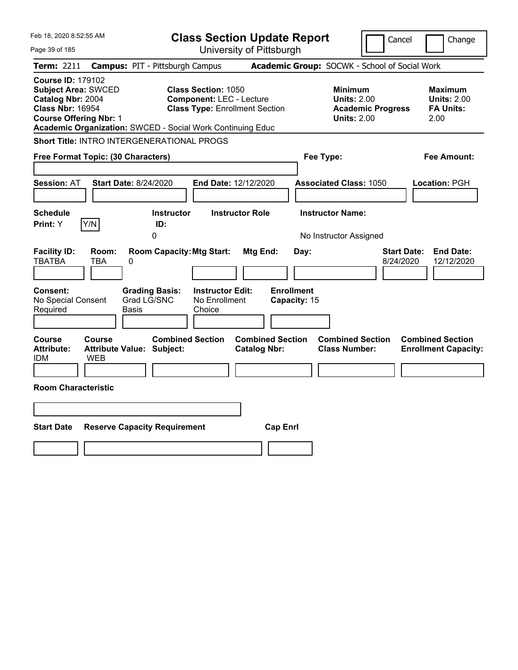| Feb 18, 2020 8:52:55 AM                                                                                                                 |                                                                                                                                                                             | <b>Class Section Update Report</b>             |                                                                                        | Cancel<br>Change                                                  |
|-----------------------------------------------------------------------------------------------------------------------------------------|-----------------------------------------------------------------------------------------------------------------------------------------------------------------------------|------------------------------------------------|----------------------------------------------------------------------------------------|-------------------------------------------------------------------|
| Page 39 of 185                                                                                                                          |                                                                                                                                                                             | University of Pittsburgh                       |                                                                                        |                                                                   |
| Term: 2211                                                                                                                              | <b>Campus: PIT - Pittsburgh Campus</b>                                                                                                                                      |                                                | Academic Group: SOCWK - School of Social Work                                          |                                                                   |
| <b>Course ID: 179102</b><br><b>Subject Area: SWCED</b><br>Catalog Nbr: 2004<br><b>Class Nbr: 16954</b><br><b>Course Offering Nbr: 1</b> | <b>Class Section: 1050</b><br><b>Component: LEC - Lecture</b><br><b>Class Type: Enrollment Section</b><br><b>Academic Organization: SWCED - Social Work Continuing Educ</b> |                                                | <b>Minimum</b><br><b>Units: 2.00</b><br><b>Academic Progress</b><br><b>Units: 2.00</b> | Maximum<br><b>Units: 2.00</b><br><b>FA Units:</b><br>2.00         |
|                                                                                                                                         | <b>Short Title: INTRO INTERGENERATIONAL PROGS</b>                                                                                                                           |                                                |                                                                                        |                                                                   |
| Free Format Topic: (30 Characters)                                                                                                      |                                                                                                                                                                             |                                                | Fee Type:                                                                              | Fee Amount:                                                       |
| <b>Session: AT</b>                                                                                                                      | <b>Start Date: 8/24/2020</b>                                                                                                                                                | End Date: 12/12/2020                           | <b>Associated Class: 1050</b>                                                          | Location: PGH                                                     |
| <b>Schedule</b><br>Y/N<br>Print: Y                                                                                                      | <b>Instructor</b><br>ID:<br>0                                                                                                                                               | <b>Instructor Role</b>                         | <b>Instructor Name:</b><br>No Instructor Assigned                                      |                                                                   |
| <b>Facility ID:</b><br>Room:<br><b>TBATBA</b><br><b>TBA</b>                                                                             | <b>Room Capacity: Mtg Start:</b><br>0                                                                                                                                       | Mtg End:<br>Day:                               |                                                                                        | <b>End Date:</b><br><b>Start Date:</b><br>8/24/2020<br>12/12/2020 |
| Consent:<br>No Special Consent<br>Required                                                                                              | <b>Instructor Edit:</b><br><b>Grading Basis:</b><br>Grad LG/SNC<br>No Enrollment<br>Basis<br>Choice                                                                         | <b>Enrollment</b><br>Capacity: 15              |                                                                                        |                                                                   |
| Course<br>Course<br><b>Attribute:</b><br><b>IDM</b><br><b>WEB</b>                                                                       | <b>Combined Section</b><br><b>Attribute Value: Subject:</b>                                                                                                                 | <b>Combined Section</b><br><b>Catalog Nbr:</b> | <b>Combined Section</b><br><b>Class Number:</b>                                        | <b>Combined Section</b><br><b>Enrollment Capacity:</b>            |
| <b>Room Characteristic</b>                                                                                                              |                                                                                                                                                                             |                                                |                                                                                        |                                                                   |
|                                                                                                                                         |                                                                                                                                                                             |                                                |                                                                                        |                                                                   |
| <b>Start Date</b>                                                                                                                       | <b>Reserve Capacity Requirement</b>                                                                                                                                         | <b>Cap Enrl</b>                                |                                                                                        |                                                                   |
|                                                                                                                                         |                                                                                                                                                                             |                                                |                                                                                        |                                                                   |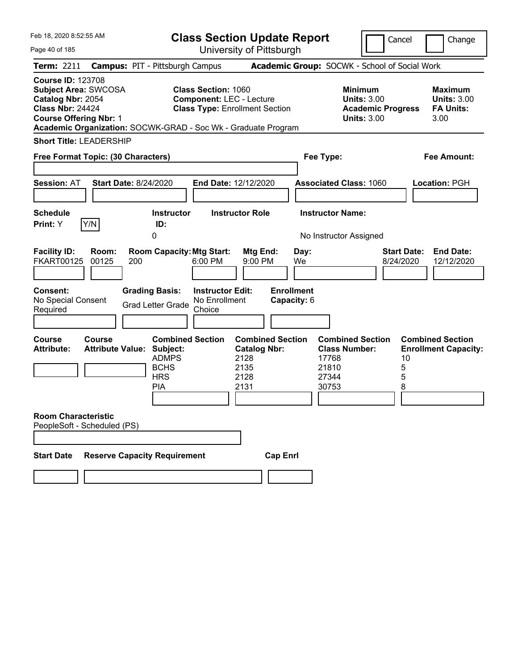| Feb 18, 2020 8:52:55 AM                                                                                                                                                                                   |                                   |                              |                                                                                                |                                                                                                        |                                                     | <b>Class Section Update Report</b>            |                                                          |                                                                                        | Cancel                          | Change                                                           |
|-----------------------------------------------------------------------------------------------------------------------------------------------------------------------------------------------------------|-----------------------------------|------------------------------|------------------------------------------------------------------------------------------------|--------------------------------------------------------------------------------------------------------|-----------------------------------------------------|-----------------------------------------------|----------------------------------------------------------|----------------------------------------------------------------------------------------|---------------------------------|------------------------------------------------------------------|
| Page 40 of 185                                                                                                                                                                                            |                                   |                              |                                                                                                |                                                                                                        |                                                     | University of Pittsburgh                      |                                                          |                                                                                        |                                 |                                                                  |
| Term: 2211                                                                                                                                                                                                |                                   |                              | <b>Campus: PIT - Pittsburgh Campus</b>                                                         |                                                                                                        |                                                     | Academic Group: SOCWK - School of Social Work |                                                          |                                                                                        |                                 |                                                                  |
| <b>Course ID: 123708</b><br><b>Subject Area: SWCOSA</b><br>Catalog Nbr: 2054<br><b>Class Nbr: 24424</b><br><b>Course Offering Nbr: 1</b><br>Academic Organization: SOCWK-GRAD - Soc Wk - Graduate Program |                                   |                              |                                                                                                | <b>Class Section: 1060</b><br><b>Component: LEC - Lecture</b><br><b>Class Type: Enrollment Section</b> |                                                     |                                               |                                                          | <b>Minimum</b><br><b>Units: 3.00</b><br><b>Academic Progress</b><br><b>Units: 3.00</b> |                                 | <b>Maximum</b><br><b>Units: 3.00</b><br><b>FA Units:</b><br>3.00 |
| <b>Short Title: LEADERSHIP</b>                                                                                                                                                                            |                                   |                              |                                                                                                |                                                                                                        |                                                     |                                               |                                                          |                                                                                        |                                 |                                                                  |
| Free Format Topic: (30 Characters)                                                                                                                                                                        |                                   |                              |                                                                                                |                                                                                                        |                                                     |                                               | Fee Type:                                                |                                                                                        |                                 | <b>Fee Amount:</b>                                               |
| <b>Session: AT</b>                                                                                                                                                                                        |                                   | <b>Start Date: 8/24/2020</b> |                                                                                                | End Date: 12/12/2020                                                                                   |                                                     |                                               |                                                          | <b>Associated Class: 1060</b>                                                          |                                 | Location: PGH                                                    |
| <b>Schedule</b><br>Print: Y                                                                                                                                                                               | Y/N                               |                              | <b>Instructor</b><br>ID:                                                                       |                                                                                                        | <b>Instructor Role</b>                              |                                               | <b>Instructor Name:</b>                                  |                                                                                        |                                 |                                                                  |
|                                                                                                                                                                                                           |                                   |                              | 0                                                                                              |                                                                                                        |                                                     |                                               | No Instructor Assigned                                   |                                                                                        |                                 |                                                                  |
| <b>Facility ID:</b><br><b>FKART00125</b>                                                                                                                                                                  | Room:<br>00125                    | 200                          | <b>Room Capacity: Mtg Start:</b>                                                               | 6:00 PM                                                                                                | Mtg End:<br>9:00 PM                                 | Day:<br>We                                    |                                                          |                                                                                        | <b>Start Date:</b><br>8/24/2020 | <b>End Date:</b><br>12/12/2020                                   |
| Consent:<br>No Special Consent<br>Required                                                                                                                                                                |                                   |                              | <b>Grading Basis:</b><br><b>Grad Letter Grade</b>                                              | <b>Instructor Edit:</b><br>No Enrollment<br>Choice                                                     |                                                     | <b>Enrollment</b><br>Capacity: 6              |                                                          |                                                                                        |                                 |                                                                  |
| <b>Course</b><br><b>Attribute:</b>                                                                                                                                                                        | Course<br><b>Attribute Value:</b> |                              | <b>Combined Section</b><br>Subject:<br><b>ADMPS</b><br><b>BCHS</b><br><b>HRS</b><br><b>PIA</b> |                                                                                                        | <b>Catalog Nbr:</b><br>2128<br>2135<br>2128<br>2131 | <b>Combined Section</b>                       | <b>Class Number:</b><br>17768<br>21810<br>27344<br>30753 | <b>Combined Section</b>                                                                | 10<br>5<br>5<br>8               | <b>Combined Section</b><br><b>Enrollment Capacity:</b>           |
| <b>Room Characteristic</b><br>PeopleSoft - Scheduled (PS)                                                                                                                                                 |                                   |                              |                                                                                                |                                                                                                        |                                                     |                                               |                                                          |                                                                                        |                                 |                                                                  |
| <b>Start Date</b>                                                                                                                                                                                         |                                   |                              | <b>Reserve Capacity Requirement</b>                                                            |                                                                                                        |                                                     | <b>Cap Enrl</b>                               |                                                          |                                                                                        |                                 |                                                                  |
|                                                                                                                                                                                                           |                                   |                              |                                                                                                |                                                                                                        |                                                     |                                               |                                                          |                                                                                        |                                 |                                                                  |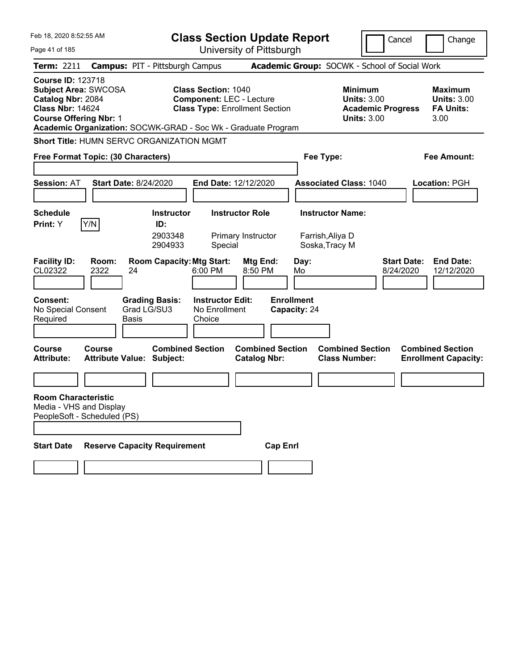| Feb 18, 2020 8:52:55 AM<br>Page 41 of 185                                                                                                |                      |                                                                                                                     |                                                               | <b>Class Section Update Report</b><br>University of Pittsburgh |                                   |                                                            | Cancel                          | Change                                                           |
|------------------------------------------------------------------------------------------------------------------------------------------|----------------------|---------------------------------------------------------------------------------------------------------------------|---------------------------------------------------------------|----------------------------------------------------------------|-----------------------------------|------------------------------------------------------------|---------------------------------|------------------------------------------------------------------|
| <b>Term: 2211</b>                                                                                                                        |                      | <b>Campus: PIT - Pittsburgh Campus</b>                                                                              |                                                               |                                                                |                                   | Academic Group: SOCWK - School of Social Work              |                                 |                                                                  |
| <b>Course ID: 123718</b><br><b>Subject Area: SWCOSA</b><br>Catalog Nbr: 2084<br><b>Class Nbr: 14624</b><br><b>Course Offering Nbr: 1</b> |                      | Academic Organization: SOCWK-GRAD - Soc Wk - Graduate Program                                                       | <b>Class Section: 1040</b><br><b>Component: LEC - Lecture</b> | <b>Class Type: Enrollment Section</b>                          |                                   | <b>Minimum</b><br><b>Units: 3.00</b><br><b>Units: 3.00</b> | <b>Academic Progress</b>        | <b>Maximum</b><br><b>Units: 3.00</b><br><b>FA Units:</b><br>3.00 |
|                                                                                                                                          |                      | <b>Short Title: HUMN SERVC ORGANIZATION MGMT</b>                                                                    |                                                               |                                                                |                                   |                                                            |                                 |                                                                  |
| Free Format Topic: (30 Characters)                                                                                                       |                      |                                                                                                                     |                                                               |                                                                |                                   | Fee Type:                                                  |                                 | <b>Fee Amount:</b>                                               |
| <b>Session: AT</b>                                                                                                                       |                      | <b>Start Date: 8/24/2020</b>                                                                                        | <b>End Date: 12/12/2020</b>                                   |                                                                |                                   | <b>Associated Class: 1040</b>                              |                                 | <b>Location: PGH</b>                                             |
| <b>Schedule</b>                                                                                                                          |                      | <b>Instructor</b>                                                                                                   |                                                               | <b>Instructor Role</b>                                         |                                   | <b>Instructor Name:</b>                                    |                                 |                                                                  |
| <b>Print:</b> Y<br><b>Facility ID:</b><br>CL02322                                                                                        | Y/N<br>Room:<br>2322 | ID:<br>2903348<br>2904933<br><b>Room Capacity: Mtg Start:</b><br>24                                                 | Special<br>6:00 PM                                            | Primary Instructor<br>Mtg End:<br>8:50 PM                      | Day:<br>Mo                        | Farrish, Aliya D<br>Soska, Tracy M                         | <b>Start Date:</b><br>8/24/2020 | <b>End Date:</b><br>12/12/2020                                   |
| Consent:<br>No Special Consent<br>Required<br>Course<br><b>Attribute:</b>                                                                | Course               | <b>Grading Basis:</b><br>Grad LG/SU3<br><b>Basis</b><br><b>Combined Section</b><br><b>Attribute Value: Subject:</b> | <b>Instructor Edit:</b><br>No Enrollment<br>Choice            | <b>Combined Section</b><br><b>Catalog Nbr:</b>                 | <b>Enrollment</b><br>Capacity: 24 | <b>Combined Section</b><br><b>Class Number:</b>            |                                 | <b>Combined Section</b><br><b>Enrollment Capacity:</b>           |
| <b>Room Characteristic</b><br>Media - VHS and Display<br>PeopleSoft - Scheduled (PS)<br><b>Start Date</b>                                |                      | <b>Reserve Capacity Requirement</b>                                                                                 |                                                               | <b>Cap Enrl</b>                                                |                                   |                                                            |                                 |                                                                  |
|                                                                                                                                          |                      |                                                                                                                     |                                                               |                                                                |                                   |                                                            |                                 |                                                                  |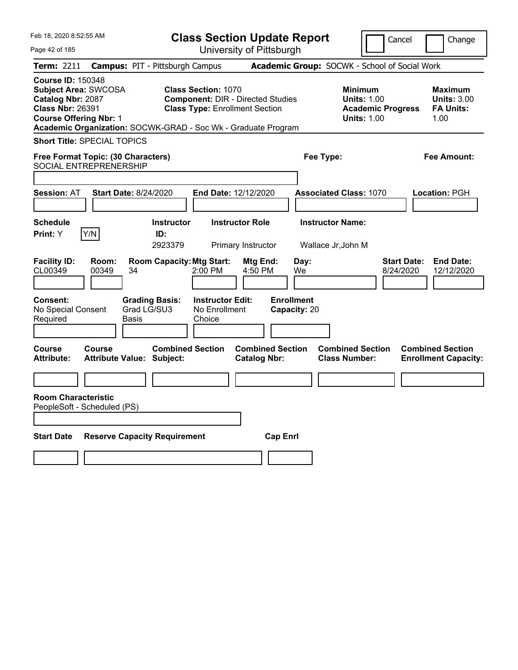| Feb 18, 2020 8:52:55 AM                                                                                                                                                                                   | <b>Class Section Update Report</b>                                                                              |                                                | Cancel                                                                                 | Change                                                            |
|-----------------------------------------------------------------------------------------------------------------------------------------------------------------------------------------------------------|-----------------------------------------------------------------------------------------------------------------|------------------------------------------------|----------------------------------------------------------------------------------------|-------------------------------------------------------------------|
| Page 42 of 185                                                                                                                                                                                            |                                                                                                                 | University of Pittsburgh                       |                                                                                        |                                                                   |
| <b>Term: 2211</b>                                                                                                                                                                                         | <b>Campus: PIT - Pittsburgh Campus</b>                                                                          | Academic Group: SOCWK - School of Social Work  |                                                                                        |                                                                   |
| <b>Course ID: 150348</b><br><b>Subject Area: SWCOSA</b><br>Catalog Nbr: 2087<br><b>Class Nbr: 26391</b><br><b>Course Offering Nbr: 1</b><br>Academic Organization: SOCWK-GRAD - Soc Wk - Graduate Program | <b>Class Section: 1070</b><br><b>Component: DIR - Directed Studies</b><br><b>Class Type: Enrollment Section</b> |                                                | <b>Minimum</b><br><b>Units: 1.00</b><br><b>Academic Progress</b><br><b>Units: 1.00</b> | <b>Maximum</b><br><b>Units: 3.00</b><br><b>FA Units:</b><br>1.00  |
| <b>Short Title: SPECIAL TOPICS</b>                                                                                                                                                                        |                                                                                                                 |                                                |                                                                                        |                                                                   |
| Free Format Topic: (30 Characters)<br>SOCIAL ENTREPRENERSHIP                                                                                                                                              |                                                                                                                 | Fee Type:                                      |                                                                                        | Fee Amount:                                                       |
| <b>Session: AT</b><br><b>Start Date: 8/24/2020</b>                                                                                                                                                        | End Date: 12/12/2020                                                                                            |                                                | <b>Associated Class: 1070</b>                                                          | Location: PGH                                                     |
| <b>Schedule</b><br>Y/N<br>Print: Y                                                                                                                                                                        | <b>Instructor Role</b><br><b>Instructor</b><br>ID:<br>2923379<br>Primary Instructor                             |                                                | <b>Instructor Name:</b><br>Wallace Jr, John M                                          |                                                                   |
| <b>Facility ID:</b><br>Room:<br>CL00349<br>00349<br>34                                                                                                                                                    | <b>Room Capacity: Mtg Start:</b><br>2:00 PM                                                                     | Day:<br>Mtg End:<br>4:50 PM<br>We              |                                                                                        | <b>Start Date:</b><br><b>End Date:</b><br>8/24/2020<br>12/12/2020 |
| <b>Grading Basis:</b><br><b>Consent:</b><br>Grad LG/SU3<br>No Special Consent<br>Required<br>Basis                                                                                                        | <b>Instructor Edit:</b><br>No Enrollment<br>Choice                                                              | <b>Enrollment</b><br>Capacity: 20              |                                                                                        |                                                                   |
| Course<br>Course<br><b>Attribute:</b><br><b>Attribute Value: Subject:</b>                                                                                                                                 | <b>Combined Section</b>                                                                                         | <b>Combined Section</b><br><b>Catalog Nbr:</b> | <b>Combined Section</b><br><b>Class Number:</b>                                        | <b>Combined Section</b><br><b>Enrollment Capacity:</b>            |
|                                                                                                                                                                                                           |                                                                                                                 |                                                |                                                                                        |                                                                   |
| <b>Room Characteristic</b><br>PeopleSoft - Scheduled (PS)                                                                                                                                                 |                                                                                                                 |                                                |                                                                                        |                                                                   |
| <b>Start Date</b><br><b>Reserve Capacity Requirement</b>                                                                                                                                                  |                                                                                                                 | <b>Cap Enrl</b>                                |                                                                                        |                                                                   |
|                                                                                                                                                                                                           |                                                                                                                 |                                                |                                                                                        |                                                                   |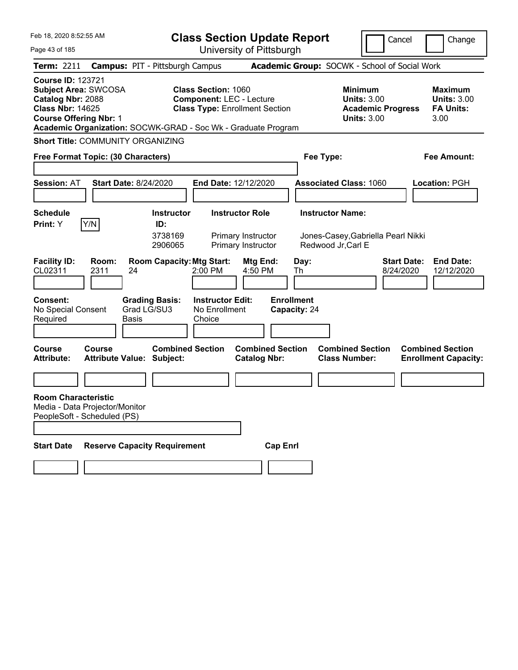| Feb 18, 2020 8:52:55 AM                                                                                                                  |                             |                                                                                                              |                                                               | <b>Class Section Update Report</b>                              |                                   |                                                                                        | Cancel                          | Change                                                           |
|------------------------------------------------------------------------------------------------------------------------------------------|-----------------------------|--------------------------------------------------------------------------------------------------------------|---------------------------------------------------------------|-----------------------------------------------------------------|-----------------------------------|----------------------------------------------------------------------------------------|---------------------------------|------------------------------------------------------------------|
| Page 43 of 185                                                                                                                           |                             |                                                                                                              |                                                               | University of Pittsburgh                                        |                                   |                                                                                        |                                 |                                                                  |
| <b>Term: 2211</b>                                                                                                                        |                             | <b>Campus: PIT - Pittsburgh Campus</b>                                                                       |                                                               |                                                                 |                                   | Academic Group: SOCWK - School of Social Work                                          |                                 |                                                                  |
| <b>Course ID: 123721</b><br><b>Subject Area: SWCOSA</b><br>Catalog Nbr: 2088<br><b>Class Nbr: 14625</b><br><b>Course Offering Nbr: 1</b> |                             | Academic Organization: SOCWK-GRAD - Soc Wk - Graduate Program                                                | <b>Class Section: 1060</b><br><b>Component: LEC - Lecture</b> | <b>Class Type: Enrollment Section</b>                           |                                   | <b>Minimum</b><br><b>Units: 3.00</b><br><b>Academic Progress</b><br><b>Units: 3.00</b> |                                 | <b>Maximum</b><br><b>Units: 3.00</b><br><b>FA Units:</b><br>3.00 |
|                                                                                                                                          |                             | <b>Short Title: COMMUNITY ORGANIZING</b>                                                                     |                                                               |                                                                 |                                   |                                                                                        |                                 |                                                                  |
| Free Format Topic: (30 Characters)                                                                                                       |                             |                                                                                                              |                                                               |                                                                 |                                   | Fee Type:                                                                              |                                 | <b>Fee Amount:</b>                                               |
| <b>Session: AT</b>                                                                                                                       |                             | <b>Start Date: 8/24/2020</b>                                                                                 | End Date: 12/12/2020                                          |                                                                 |                                   | <b>Associated Class: 1060</b>                                                          |                                 | Location: PGH                                                    |
| <b>Schedule</b>                                                                                                                          |                             | <b>Instructor</b>                                                                                            |                                                               | <b>Instructor Role</b>                                          |                                   | <b>Instructor Name:</b>                                                                |                                 |                                                                  |
| Print: Y<br><b>Facility ID:</b><br>CL02311                                                                                               | Y/N<br>Room:<br>2311        | ID:<br>3738169<br>2906065<br><b>Room Capacity: Mtg Start:</b><br>24                                          | 2:00 PM                                                       | Primary Instructor<br>Primary Instructor<br>Mtg End:<br>4:50 PM | Day:<br>Th                        | Jones-Casey, Gabriella Pearl Nikki<br>Redwood Jr, Carl E                               | <b>Start Date:</b><br>8/24/2020 | <b>End Date:</b><br>12/12/2020                                   |
| Consent:<br>No Special Consent<br>Required<br><b>Course</b><br><b>Attribute:</b>                                                         | <b>Course</b>               | <b>Grading Basis:</b><br>Grad LG/SU3<br>Basis<br><b>Combined Section</b><br><b>Attribute Value: Subject:</b> | <b>Instructor Edit:</b><br>No Enrollment<br>Choice            | <b>Combined Section</b><br><b>Catalog Nbr:</b>                  | <b>Enrollment</b><br>Capacity: 24 | <b>Combined Section</b><br><b>Class Number:</b>                                        |                                 | <b>Combined Section</b><br><b>Enrollment Capacity:</b>           |
|                                                                                                                                          |                             |                                                                                                              |                                                               |                                                                 |                                   |                                                                                        |                                 |                                                                  |
| <b>Room Characteristic</b><br>Media - Data Projector/Monitor                                                                             | PeopleSoft - Scheduled (PS) |                                                                                                              |                                                               |                                                                 |                                   |                                                                                        |                                 |                                                                  |
| <b>Start Date</b>                                                                                                                        |                             | <b>Reserve Capacity Requirement</b>                                                                          |                                                               | <b>Cap Enrl</b>                                                 |                                   |                                                                                        |                                 |                                                                  |
|                                                                                                                                          |                             |                                                                                                              |                                                               |                                                                 |                                   |                                                                                        |                                 |                                                                  |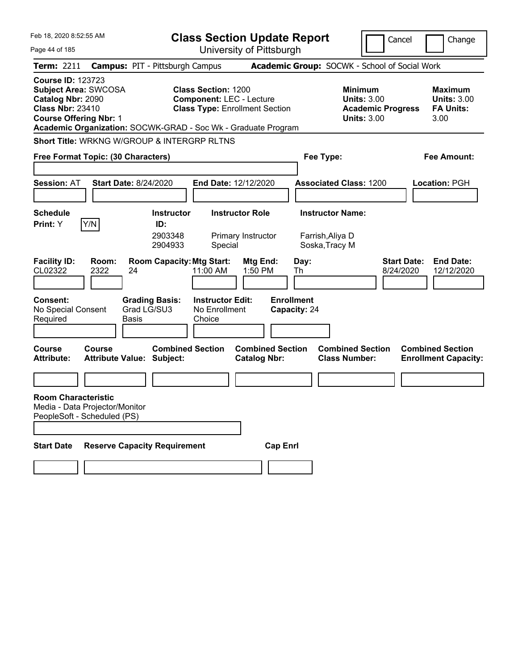| Feb 18, 2020 8:52:55 AM                                                                                                                  |               |                                                               |                                                               | <b>Class Section Update Report</b>             |                                   |                                                                                        | Cancel                          | Change                                                           |
|------------------------------------------------------------------------------------------------------------------------------------------|---------------|---------------------------------------------------------------|---------------------------------------------------------------|------------------------------------------------|-----------------------------------|----------------------------------------------------------------------------------------|---------------------------------|------------------------------------------------------------------|
| Page 44 of 185                                                                                                                           |               |                                                               |                                                               | University of Pittsburgh                       |                                   |                                                                                        |                                 |                                                                  |
| Term: 2211                                                                                                                               |               | <b>Campus: PIT - Pittsburgh Campus</b>                        |                                                               |                                                |                                   | Academic Group: SOCWK - School of Social Work                                          |                                 |                                                                  |
| <b>Course ID: 123723</b><br><b>Subject Area: SWCOSA</b><br>Catalog Nbr: 2090<br><b>Class Nbr: 23410</b><br><b>Course Offering Nbr: 1</b> |               | Academic Organization: SOCWK-GRAD - Soc Wk - Graduate Program | <b>Class Section: 1200</b><br><b>Component: LEC - Lecture</b> | <b>Class Type: Enrollment Section</b>          |                                   | <b>Minimum</b><br><b>Units: 3.00</b><br><b>Academic Progress</b><br><b>Units: 3.00</b> |                                 | <b>Maximum</b><br><b>Units: 3.00</b><br><b>FA Units:</b><br>3.00 |
|                                                                                                                                          |               | Short Title: WRKNG W/GROUP & INTERGRP RLTNS                   |                                                               |                                                |                                   |                                                                                        |                                 |                                                                  |
| Free Format Topic: (30 Characters)                                                                                                       |               |                                                               |                                                               |                                                |                                   | Fee Type:                                                                              |                                 | <b>Fee Amount:</b>                                               |
| <b>Session: AT</b>                                                                                                                       |               | <b>Start Date: 8/24/2020</b>                                  | <b>End Date: 12/12/2020</b>                                   |                                                |                                   | <b>Associated Class: 1200</b>                                                          |                                 | Location: PGH                                                    |
| <b>Schedule</b>                                                                                                                          |               | <b>Instructor</b>                                             |                                                               | <b>Instructor Role</b>                         |                                   | <b>Instructor Name:</b>                                                                |                                 |                                                                  |
| Print: Y                                                                                                                                 | Y/N           | ID:<br>2903348<br>2904933                                     | Special                                                       | Primary Instructor                             |                                   | Farrish, Aliya D<br>Soska, Tracy M                                                     |                                 |                                                                  |
| <b>Facility ID:</b><br>CL02322                                                                                                           | Room:<br>2322 | <b>Room Capacity: Mtg Start:</b><br>24                        | 11:00 AM                                                      | Mtg End:<br>1:50 PM                            | Day:<br>Th                        |                                                                                        | <b>Start Date:</b><br>8/24/2020 | <b>End Date:</b><br>12/12/2020                                   |
| Consent:<br>No Special Consent<br>Required                                                                                               |               | <b>Grading Basis:</b><br>Grad LG/SU3<br><b>Basis</b>          | <b>Instructor Edit:</b><br>No Enrollment<br>Choice            |                                                | <b>Enrollment</b><br>Capacity: 24 |                                                                                        |                                 |                                                                  |
| Course<br><b>Attribute:</b>                                                                                                              | Course        | <b>Combined Section</b><br><b>Attribute Value: Subject:</b>   |                                                               | <b>Combined Section</b><br><b>Catalog Nbr:</b> |                                   | <b>Combined Section</b><br><b>Class Number:</b>                                        |                                 | <b>Combined Section</b><br><b>Enrollment Capacity:</b>           |
|                                                                                                                                          |               |                                                               |                                                               |                                                |                                   |                                                                                        |                                 |                                                                  |
| <b>Room Characteristic</b><br>Media - Data Projector/Monitor<br>PeopleSoft - Scheduled (PS)                                              |               |                                                               |                                                               |                                                |                                   |                                                                                        |                                 |                                                                  |
| <b>Start Date</b>                                                                                                                        |               | <b>Reserve Capacity Requirement</b>                           |                                                               | <b>Cap Enrl</b>                                |                                   |                                                                                        |                                 |                                                                  |
|                                                                                                                                          |               |                                                               |                                                               |                                                |                                   |                                                                                        |                                 |                                                                  |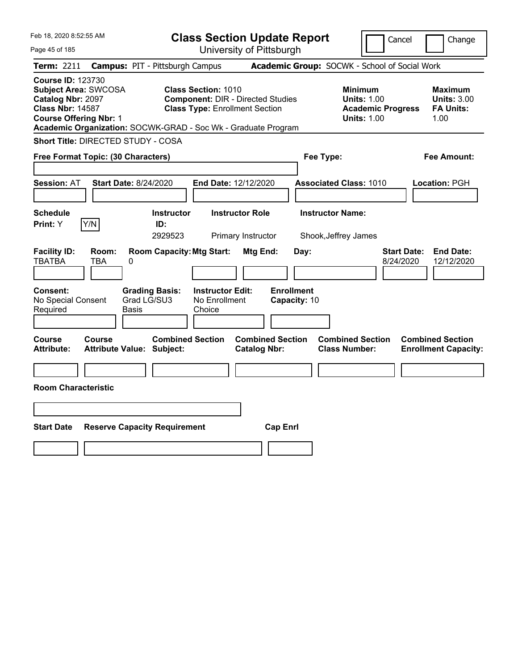| Feb 18, 2020 8:52:55 AM                                                                                                                                                                                   |                                                             |                                                                                                                 | <b>Class Section Update Report</b>             |                                                            | Cancel                          | Change                                                           |
|-----------------------------------------------------------------------------------------------------------------------------------------------------------------------------------------------------------|-------------------------------------------------------------|-----------------------------------------------------------------------------------------------------------------|------------------------------------------------|------------------------------------------------------------|---------------------------------|------------------------------------------------------------------|
| Page 45 of 185                                                                                                                                                                                            |                                                             |                                                                                                                 | University of Pittsburgh                       |                                                            |                                 |                                                                  |
| <b>Term: 2211</b>                                                                                                                                                                                         | <b>Campus: PIT - Pittsburgh Campus</b>                      |                                                                                                                 | Academic Group: SOCWK - School of Social Work  |                                                            |                                 |                                                                  |
| <b>Course ID: 123730</b><br>Subject Area: SWCOSA<br><b>Catalog Nbr: 2097</b><br><b>Class Nbr: 14587</b><br><b>Course Offering Nbr: 1</b><br>Academic Organization: SOCWK-GRAD - Soc Wk - Graduate Program |                                                             | <b>Class Section: 1010</b><br><b>Component: DIR - Directed Studies</b><br><b>Class Type: Enrollment Section</b> |                                                | <b>Minimum</b><br><b>Units: 1.00</b><br><b>Units: 1.00</b> | <b>Academic Progress</b>        | <b>Maximum</b><br><b>Units: 3.00</b><br><b>FA Units:</b><br>1.00 |
| Short Title: DIRECTED STUDY - COSA                                                                                                                                                                        |                                                             |                                                                                                                 |                                                |                                                            |                                 |                                                                  |
| Free Format Topic: (30 Characters)                                                                                                                                                                        |                                                             |                                                                                                                 |                                                | Fee Type:                                                  |                                 | Fee Amount:                                                      |
| <b>Session: AT</b>                                                                                                                                                                                        | <b>Start Date: 8/24/2020</b>                                | <b>End Date: 12/12/2020</b>                                                                                     |                                                | <b>Associated Class: 1010</b>                              |                                 | Location: PGH                                                    |
| <b>Schedule</b><br>Y/N<br>Print: Y                                                                                                                                                                        | <b>Instructor</b><br>ID:<br>2929523                         | <b>Instructor Role</b><br>Primary Instructor                                                                    |                                                | <b>Instructor Name:</b><br>Shook, Jeffrey James            |                                 |                                                                  |
| <b>Facility ID:</b><br>Room:<br><b>TBATBA</b><br>TBA                                                                                                                                                      | <b>Room Capacity: Mtg Start:</b><br>0                       |                                                                                                                 | Mtg End:<br>Day:                               |                                                            | <b>Start Date:</b><br>8/24/2020 | <b>End Date:</b><br>12/12/2020                                   |
| <b>Consent:</b><br>No Special Consent<br>Required                                                                                                                                                         | <b>Grading Basis:</b><br>Grad LG/SU3<br>Basis               | <b>Instructor Edit:</b><br>No Enrollment<br>Choice                                                              | <b>Enrollment</b><br>Capacity: 10              |                                                            |                                 |                                                                  |
| Course<br>Course<br><b>Attribute:</b>                                                                                                                                                                     | <b>Combined Section</b><br><b>Attribute Value: Subject:</b> |                                                                                                                 | <b>Combined Section</b><br><b>Catalog Nbr:</b> | <b>Combined Section</b><br><b>Class Number:</b>            |                                 | <b>Combined Section</b><br><b>Enrollment Capacity:</b>           |
|                                                                                                                                                                                                           |                                                             |                                                                                                                 |                                                |                                                            |                                 |                                                                  |
| <b>Room Characteristic</b>                                                                                                                                                                                |                                                             |                                                                                                                 |                                                |                                                            |                                 |                                                                  |
|                                                                                                                                                                                                           |                                                             |                                                                                                                 |                                                |                                                            |                                 |                                                                  |
| <b>Start Date</b>                                                                                                                                                                                         | <b>Reserve Capacity Requirement</b>                         |                                                                                                                 | <b>Cap Enrl</b>                                |                                                            |                                 |                                                                  |
|                                                                                                                                                                                                           |                                                             |                                                                                                                 |                                                |                                                            |                                 |                                                                  |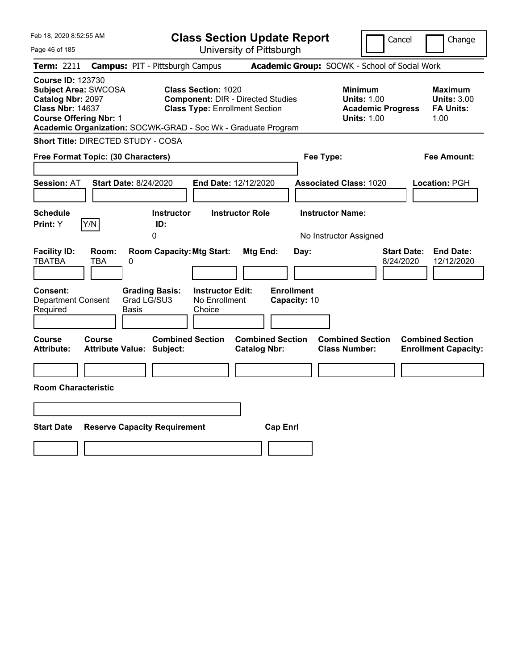| Feb 18, 2020 8:52:55 AM                                                                                                                                                                                   |                                                                                                                 | <b>Class Section Update Report</b>             |                                                                                        | Cancel<br>Change                                                  |
|-----------------------------------------------------------------------------------------------------------------------------------------------------------------------------------------------------------|-----------------------------------------------------------------------------------------------------------------|------------------------------------------------|----------------------------------------------------------------------------------------|-------------------------------------------------------------------|
| Page 46 of 185                                                                                                                                                                                            |                                                                                                                 | University of Pittsburgh                       |                                                                                        |                                                                   |
| Term: 2211                                                                                                                                                                                                | <b>Campus: PIT - Pittsburgh Campus</b>                                                                          |                                                | Academic Group: SOCWK - School of Social Work                                          |                                                                   |
| <b>Course ID: 123730</b><br>Subject Area: SWCOSA<br><b>Catalog Nbr: 2097</b><br><b>Class Nbr: 14637</b><br><b>Course Offering Nbr: 1</b><br>Academic Organization: SOCWK-GRAD - Soc Wk - Graduate Program | <b>Class Section: 1020</b><br><b>Component: DIR - Directed Studies</b><br><b>Class Type: Enrollment Section</b> |                                                | <b>Minimum</b><br><b>Units: 1.00</b><br><b>Academic Progress</b><br><b>Units: 1.00</b> | <b>Maximum</b><br><b>Units: 3.00</b><br><b>FA Units:</b><br>1.00  |
| Short Title: DIRECTED STUDY - COSA                                                                                                                                                                        |                                                                                                                 |                                                |                                                                                        |                                                                   |
| Free Format Topic: (30 Characters)                                                                                                                                                                        |                                                                                                                 |                                                | Fee Type:                                                                              | Fee Amount:                                                       |
| <b>Start Date: 8/24/2020</b><br><b>Session: AT</b><br><b>Schedule</b>                                                                                                                                     | <b>End Date: 12/12/2020</b><br>Instructor                                                                       | <b>Instructor Role</b>                         | <b>Associated Class: 1020</b><br><b>Instructor Name:</b>                               | Location: PGH                                                     |
| Y/N<br>Print: Y                                                                                                                                                                                           | ID:                                                                                                             |                                                |                                                                                        |                                                                   |
|                                                                                                                                                                                                           | 0                                                                                                               |                                                | No Instructor Assigned                                                                 |                                                                   |
| <b>Facility ID:</b><br>Room:<br><b>TBATBA</b><br>TBA<br>0                                                                                                                                                 | <b>Room Capacity: Mtg Start:</b>                                                                                | Mtg End:<br>Day:                               |                                                                                        | <b>Start Date:</b><br><b>End Date:</b><br>12/12/2020<br>8/24/2020 |
| <b>Consent:</b><br><b>Department Consent</b><br>Required<br>Basis                                                                                                                                         | <b>Grading Basis:</b><br><b>Instructor Edit:</b><br>Grad LG/SU3<br>No Enrollment<br>Choice                      | <b>Enrollment</b><br>Capacity: 10              |                                                                                        |                                                                   |
| Course<br>Course<br><b>Attribute Value: Subject:</b><br><b>Attribute:</b>                                                                                                                                 | <b>Combined Section</b>                                                                                         | <b>Combined Section</b><br><b>Catalog Nbr:</b> | <b>Combined Section</b><br><b>Class Number:</b>                                        | <b>Combined Section</b><br><b>Enrollment Capacity:</b>            |
|                                                                                                                                                                                                           |                                                                                                                 |                                                |                                                                                        |                                                                   |
| <b>Room Characteristic</b>                                                                                                                                                                                |                                                                                                                 |                                                |                                                                                        |                                                                   |
|                                                                                                                                                                                                           |                                                                                                                 |                                                |                                                                                        |                                                                   |
| <b>Start Date</b>                                                                                                                                                                                         | <b>Reserve Capacity Requirement</b>                                                                             | <b>Cap Enrl</b>                                |                                                                                        |                                                                   |
|                                                                                                                                                                                                           |                                                                                                                 |                                                |                                                                                        |                                                                   |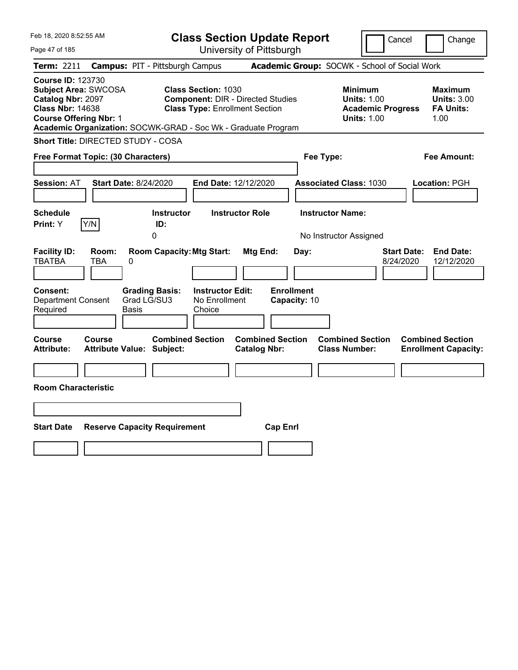| Feb 18, 2020 8:52:55 AM                                                                                                                                                                                   |                                                                                                                 | <b>Class Section Update Report</b>             | Cancel                                                                                 | Change                                                           |
|-----------------------------------------------------------------------------------------------------------------------------------------------------------------------------------------------------------|-----------------------------------------------------------------------------------------------------------------|------------------------------------------------|----------------------------------------------------------------------------------------|------------------------------------------------------------------|
| Page 47 of 185                                                                                                                                                                                            |                                                                                                                 | University of Pittsburgh                       |                                                                                        |                                                                  |
| Term: 2211                                                                                                                                                                                                | <b>Campus: PIT - Pittsburgh Campus</b>                                                                          |                                                | Academic Group: SOCWK - School of Social Work                                          |                                                                  |
| <b>Course ID: 123730</b><br><b>Subject Area: SWCOSA</b><br>Catalog Nbr: 2097<br><b>Class Nbr: 14638</b><br><b>Course Offering Nbr: 1</b><br>Academic Organization: SOCWK-GRAD - Soc Wk - Graduate Program | <b>Class Section: 1030</b><br><b>Component: DIR - Directed Studies</b><br><b>Class Type: Enrollment Section</b> |                                                | <b>Minimum</b><br><b>Units: 1.00</b><br><b>Academic Progress</b><br><b>Units: 1.00</b> | <b>Maximum</b><br><b>Units: 3.00</b><br><b>FA Units:</b><br>1.00 |
| Short Title: DIRECTED STUDY - COSA                                                                                                                                                                        |                                                                                                                 |                                                |                                                                                        |                                                                  |
| Free Format Topic: (30 Characters)                                                                                                                                                                        |                                                                                                                 |                                                | Fee Type:                                                                              | Fee Amount:                                                      |
| <b>Session: AT</b><br><b>Start Date: 8/24/2020</b>                                                                                                                                                        | End Date: 12/12/2020                                                                                            |                                                | <b>Associated Class: 1030</b>                                                          | Location: PGH                                                    |
| <b>Schedule</b><br>Y/N<br>Print: Y                                                                                                                                                                        | <b>Instructor</b><br>ID:<br>0                                                                                   | <b>Instructor Role</b>                         | <b>Instructor Name:</b><br>No Instructor Assigned                                      |                                                                  |
| <b>Facility ID:</b><br>Room:<br><b>TBATBA</b><br><b>TBA</b><br>0                                                                                                                                          | <b>Room Capacity: Mtg Start:</b>                                                                                | Mtg End:<br>Day:                               | <b>Start Date:</b><br>8/24/2020                                                        | <b>End Date:</b><br>12/12/2020                                   |
| <b>Consent:</b><br><b>Department Consent</b><br>Required<br>Basis                                                                                                                                         | <b>Instructor Edit:</b><br><b>Grading Basis:</b><br>Grad LG/SU3<br>No Enrollment<br>Choice                      | <b>Enrollment</b><br>Capacity: 10              |                                                                                        |                                                                  |
| <b>Course</b><br>Course<br><b>Attribute:</b><br><b>Attribute Value: Subject:</b>                                                                                                                          | <b>Combined Section</b>                                                                                         | <b>Combined Section</b><br><b>Catalog Nbr:</b> | <b>Combined Section</b><br><b>Class Number:</b>                                        | <b>Combined Section</b><br><b>Enrollment Capacity:</b>           |
|                                                                                                                                                                                                           |                                                                                                                 |                                                |                                                                                        |                                                                  |
| <b>Room Characteristic</b>                                                                                                                                                                                |                                                                                                                 |                                                |                                                                                        |                                                                  |
|                                                                                                                                                                                                           |                                                                                                                 |                                                |                                                                                        |                                                                  |
| <b>Start Date</b>                                                                                                                                                                                         | <b>Reserve Capacity Requirement</b>                                                                             | <b>Cap Enrl</b>                                |                                                                                        |                                                                  |
|                                                                                                                                                                                                           |                                                                                                                 |                                                |                                                                                        |                                                                  |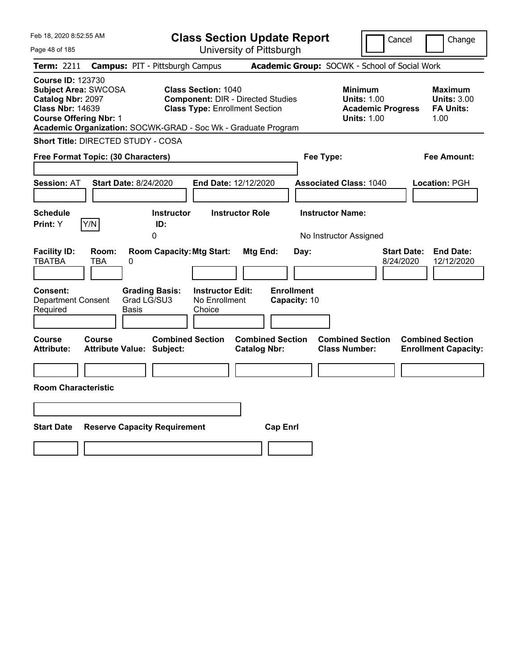| Feb 18, 2020 8:52:55 AM                                                                                                                                                                                   |                                                                | <b>Class Section Update Report</b>                                                                              |                           |                                                            | Cancel                          | Change                                                    |
|-----------------------------------------------------------------------------------------------------------------------------------------------------------------------------------------------------------|----------------------------------------------------------------|-----------------------------------------------------------------------------------------------------------------|---------------------------|------------------------------------------------------------|---------------------------------|-----------------------------------------------------------|
| Page 48 of 185                                                                                                                                                                                            |                                                                | University of Pittsburgh                                                                                        |                           |                                                            |                                 |                                                           |
| Term: 2211                                                                                                                                                                                                | <b>Campus: PIT - Pittsburgh Campus</b>                         |                                                                                                                 |                           | Academic Group: SOCWK - School of Social Work              |                                 |                                                           |
| <b>Course ID: 123730</b><br><b>Subject Area: SWCOSA</b><br>Catalog Nbr: 2097<br><b>Class Nbr: 14639</b><br><b>Course Offering Nbr: 1</b><br>Academic Organization: SOCWK-GRAD - Soc Wk - Graduate Program |                                                                | <b>Class Section: 1040</b><br><b>Component: DIR - Directed Studies</b><br><b>Class Type: Enrollment Section</b> |                           | <b>Minimum</b><br><b>Units: 1.00</b><br><b>Units: 1.00</b> | <b>Academic Progress</b>        | Maximum<br><b>Units: 3.00</b><br><b>FA Units:</b><br>1.00 |
| Short Title: DIRECTED STUDY - COSA                                                                                                                                                                        |                                                                |                                                                                                                 |                           |                                                            |                                 |                                                           |
| Free Format Topic: (30 Characters)                                                                                                                                                                        |                                                                |                                                                                                                 |                           | Fee Type:                                                  |                                 | Fee Amount:                                               |
| <b>Session: AT</b><br><b>Schedule</b>                                                                                                                                                                     | <b>Start Date: 8/24/2020</b><br><b>Instructor</b>              | End Date: 12/12/2020<br><b>Instructor Role</b>                                                                  |                           | <b>Associated Class: 1040</b><br><b>Instructor Name:</b>   |                                 | <b>Location: PGH</b>                                      |
| Y/N<br>Print: Y                                                                                                                                                                                           | ID:                                                            |                                                                                                                 |                           |                                                            |                                 |                                                           |
|                                                                                                                                                                                                           | 0                                                              |                                                                                                                 |                           | No Instructor Assigned                                     |                                 |                                                           |
| <b>Facility ID:</b><br>Room:<br><b>TBATBA</b><br>TBA<br><b>Consent:</b>                                                                                                                                   | <b>Room Capacity: Mtg Start:</b><br>0<br><b>Grading Basis:</b> | Mtg End:<br><b>Instructor Edit:</b>                                                                             | Day:<br><b>Enrollment</b> |                                                            | <b>Start Date:</b><br>8/24/2020 | <b>End Date:</b><br>12/12/2020                            |
| <b>Department Consent</b><br>Required                                                                                                                                                                     | Grad LG/SU3<br>Basis                                           | No Enrollment<br>Choice                                                                                         | Capacity: 10              |                                                            |                                 |                                                           |
| Course<br><b>Course</b><br><b>Attribute:</b>                                                                                                                                                              | <b>Combined Section</b><br><b>Attribute Value: Subject:</b>    | <b>Catalog Nbr:</b>                                                                                             | <b>Combined Section</b>   | <b>Combined Section</b><br><b>Class Number:</b>            |                                 | <b>Combined Section</b><br><b>Enrollment Capacity:</b>    |
|                                                                                                                                                                                                           |                                                                |                                                                                                                 |                           |                                                            |                                 |                                                           |
| <b>Room Characteristic</b>                                                                                                                                                                                |                                                                |                                                                                                                 |                           |                                                            |                                 |                                                           |
|                                                                                                                                                                                                           |                                                                |                                                                                                                 |                           |                                                            |                                 |                                                           |
| <b>Start Date</b>                                                                                                                                                                                         | <b>Reserve Capacity Requirement</b>                            |                                                                                                                 | <b>Cap Enrl</b>           |                                                            |                                 |                                                           |
|                                                                                                                                                                                                           |                                                                |                                                                                                                 |                           |                                                            |                                 |                                                           |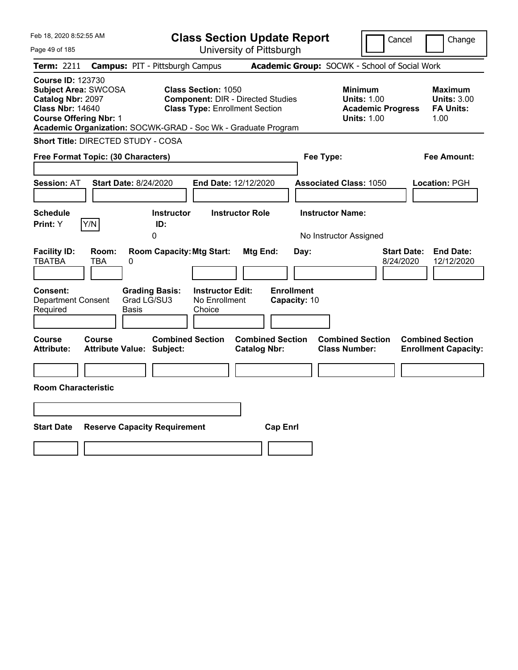| Feb 18, 2020 8:52:55 AM                                                                                                                  |                                                                                                                                                                                  | <b>Class Section Update Report</b>             | Cancel                                                                                 | Change                                                    |
|------------------------------------------------------------------------------------------------------------------------------------------|----------------------------------------------------------------------------------------------------------------------------------------------------------------------------------|------------------------------------------------|----------------------------------------------------------------------------------------|-----------------------------------------------------------|
| Page 49 of 185                                                                                                                           |                                                                                                                                                                                  | University of Pittsburgh                       |                                                                                        |                                                           |
| Term: 2211                                                                                                                               | <b>Campus: PIT - Pittsburgh Campus</b>                                                                                                                                           |                                                | Academic Group: SOCWK - School of Social Work                                          |                                                           |
| <b>Course ID: 123730</b><br><b>Subject Area: SWCOSA</b><br>Catalog Nbr: 2097<br><b>Class Nbr: 14640</b><br><b>Course Offering Nbr: 1</b> | <b>Class Section: 1050</b><br><b>Component: DIR - Directed Studies</b><br><b>Class Type: Enrollment Section</b><br>Academic Organization: SOCWK-GRAD - Soc Wk - Graduate Program |                                                | <b>Minimum</b><br><b>Units: 1.00</b><br><b>Academic Progress</b><br><b>Units: 1.00</b> | Maximum<br><b>Units: 3.00</b><br><b>FA Units:</b><br>1.00 |
| Short Title: DIRECTED STUDY - COSA                                                                                                       |                                                                                                                                                                                  |                                                |                                                                                        |                                                           |
| Free Format Topic: (30 Characters)                                                                                                       |                                                                                                                                                                                  |                                                | Fee Type:                                                                              | Fee Amount:                                               |
| <b>Session: AT</b>                                                                                                                       | Start Date: 8/24/2020                                                                                                                                                            | End Date: 12/12/2020                           | <b>Associated Class: 1050</b>                                                          | Location: PGH                                             |
| <b>Schedule</b><br>Y/N<br>Print: Y                                                                                                       | <b>Instructor</b><br>ID:<br>0                                                                                                                                                    | <b>Instructor Role</b>                         | <b>Instructor Name:</b><br>No Instructor Assigned                                      |                                                           |
| <b>Facility ID:</b><br>Room:<br><b>TBATBA</b><br>TBA<br>0<br>Consent:                                                                    | <b>Room Capacity: Mtg Start:</b><br><b>Grading Basis:</b><br><b>Instructor Edit:</b>                                                                                             | Mtg End:<br>Day:<br><b>Enrollment</b>          | <b>Start Date:</b><br>8/24/2020                                                        | <b>End Date:</b><br>12/12/2020                            |
| <b>Department Consent</b><br>Required<br><b>Basis</b>                                                                                    | Grad LG/SU3<br>No Enrollment<br>Choice                                                                                                                                           | Capacity: 10                                   |                                                                                        |                                                           |
| Course<br>Course<br><b>Attribute:</b>                                                                                                    | <b>Combined Section</b><br><b>Attribute Value: Subject:</b>                                                                                                                      | <b>Combined Section</b><br><b>Catalog Nbr:</b> | <b>Combined Section</b><br><b>Class Number:</b>                                        | <b>Combined Section</b><br><b>Enrollment Capacity:</b>    |
| <b>Room Characteristic</b>                                                                                                               |                                                                                                                                                                                  |                                                |                                                                                        |                                                           |
|                                                                                                                                          |                                                                                                                                                                                  |                                                |                                                                                        |                                                           |
| <b>Start Date</b>                                                                                                                        | <b>Reserve Capacity Requirement</b>                                                                                                                                              | <b>Cap Enrl</b>                                |                                                                                        |                                                           |
|                                                                                                                                          |                                                                                                                                                                                  |                                                |                                                                                        |                                                           |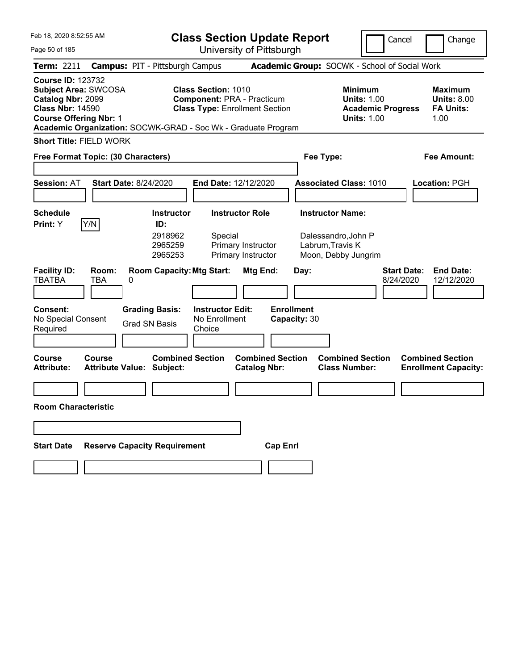| Feb 18, 2020 8:52:55 AM                                                                                                                  |                            |                                                                                                                                |                                                               | <b>Class Section Update Report</b>                                         |                                           |                                                                                        | Cancel                          | Change                                                           |
|------------------------------------------------------------------------------------------------------------------------------------------|----------------------------|--------------------------------------------------------------------------------------------------------------------------------|---------------------------------------------------------------|----------------------------------------------------------------------------|-------------------------------------------|----------------------------------------------------------------------------------------|---------------------------------|------------------------------------------------------------------|
| Page 50 of 185                                                                                                                           |                            |                                                                                                                                |                                                               | University of Pittsburgh                                                   |                                           |                                                                                        |                                 |                                                                  |
| Term: 2211                                                                                                                               |                            | <b>Campus: PIT - Pittsburgh Campus</b>                                                                                         |                                                               |                                                                            |                                           | Academic Group: SOCWK - School of Social Work                                          |                                 |                                                                  |
| <b>Course ID: 123732</b><br><b>Subject Area: SWCOSA</b><br>Catalog Nbr: 2099<br><b>Class Nbr: 14590</b><br><b>Course Offering Nbr: 1</b> |                            | Academic Organization: SOCWK-GRAD - Soc Wk - Graduate Program                                                                  | <b>Class Section: 1010</b>                                    | <b>Component: PRA - Practicum</b><br><b>Class Type: Enrollment Section</b> |                                           | <b>Minimum</b><br><b>Units: 1.00</b><br><b>Academic Progress</b><br><b>Units: 1.00</b> |                                 | <b>Maximum</b><br><b>Units: 8.00</b><br><b>FA Units:</b><br>1.00 |
| <b>Short Title: FIELD WORK</b>                                                                                                           |                            |                                                                                                                                |                                                               |                                                                            |                                           |                                                                                        |                                 |                                                                  |
| Free Format Topic: (30 Characters)                                                                                                       |                            |                                                                                                                                |                                                               |                                                                            |                                           | Fee Type:                                                                              |                                 | <b>Fee Amount:</b>                                               |
| <b>Session: AT</b>                                                                                                                       |                            | <b>Start Date: 8/24/2020</b>                                                                                                   |                                                               | End Date: 12/12/2020                                                       |                                           | <b>Associated Class: 1010</b>                                                          |                                 | Location: PGH                                                    |
| <b>Schedule</b>                                                                                                                          |                            | <b>Instructor</b>                                                                                                              |                                                               | <b>Instructor Role</b>                                                     |                                           | <b>Instructor Name:</b>                                                                |                                 |                                                                  |
| Print: Y<br><b>Facility ID:</b><br><b>TBATBA</b><br><b>Consent:</b><br>No Special Consent<br>Required                                    | Y/N<br>Room:<br><b>TBA</b> | ID:<br>2918962<br>2965259<br>2965253<br><b>Room Capacity: Mtg Start:</b><br>0<br><b>Grading Basis:</b><br><b>Grad SN Basis</b> | Special<br><b>Instructor Edit:</b><br>No Enrollment<br>Choice | Primary Instructor<br>Primary Instructor<br>Mtg End:                       | Day:<br><b>Enrollment</b><br>Capacity: 30 | Dalessandro, John P<br>Labrum, Travis K<br>Moon, Debby Jungrim                         | <b>Start Date:</b><br>8/24/2020 | <b>End Date:</b><br>12/12/2020                                   |
| <b>Course</b><br><b>Attribute:</b>                                                                                                       | <b>Course</b>              | <b>Combined Section</b><br><b>Attribute Value: Subject:</b>                                                                    |                                                               | <b>Combined Section</b><br><b>Catalog Nbr:</b>                             |                                           | <b>Combined Section</b><br><b>Class Number:</b>                                        |                                 | <b>Combined Section</b><br><b>Enrollment Capacity:</b>           |
| <b>Room Characteristic</b>                                                                                                               |                            |                                                                                                                                |                                                               |                                                                            |                                           |                                                                                        |                                 |                                                                  |
|                                                                                                                                          |                            |                                                                                                                                |                                                               |                                                                            |                                           |                                                                                        |                                 |                                                                  |
| <b>Start Date</b>                                                                                                                        |                            | <b>Reserve Capacity Requirement</b>                                                                                            |                                                               | <b>Cap Enrl</b>                                                            |                                           |                                                                                        |                                 |                                                                  |
|                                                                                                                                          |                            |                                                                                                                                |                                                               |                                                                            |                                           |                                                                                        |                                 |                                                                  |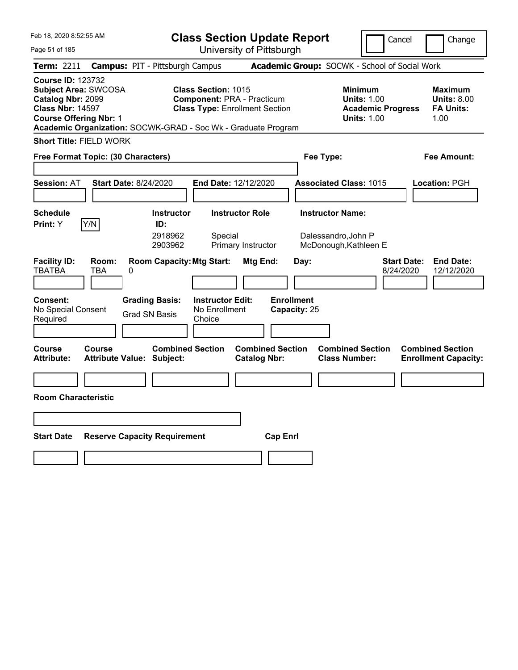| Feb 18, 2020 8:52:55 AM                                                                                                                  |                     |                                                               | <b>Class Section Update Report</b>                                                                       |                                                |                                   |                                                 | Cancel                                                                          | Change                                                    |
|------------------------------------------------------------------------------------------------------------------------------------------|---------------------|---------------------------------------------------------------|----------------------------------------------------------------------------------------------------------|------------------------------------------------|-----------------------------------|-------------------------------------------------|---------------------------------------------------------------------------------|-----------------------------------------------------------|
| Page 51 of 185                                                                                                                           |                     |                                                               |                                                                                                          | University of Pittsburgh                       |                                   |                                                 |                                                                                 |                                                           |
| Term: 2211                                                                                                                               |                     | <b>Campus: PIT - Pittsburgh Campus</b>                        |                                                                                                          |                                                |                                   | Academic Group: SOCWK - School of Social Work   |                                                                                 |                                                           |
| <b>Course ID: 123732</b><br><b>Subject Area: SWCOSA</b><br>Catalog Nbr: 2099<br><b>Class Nbr: 14597</b><br><b>Course Offering Nbr: 1</b> |                     | Academic Organization: SOCWK-GRAD - Soc Wk - Graduate Program | <b>Class Section: 1015</b><br><b>Component: PRA - Practicum</b><br><b>Class Type: Enrollment Section</b> |                                                |                                   |                                                 | Minimum<br><b>Units: 1.00</b><br><b>Academic Progress</b><br><b>Units: 1.00</b> | Maximum<br><b>Units: 8.00</b><br><b>FA Units:</b><br>1.00 |
| <b>Short Title: FIELD WORK</b>                                                                                                           |                     |                                                               |                                                                                                          |                                                |                                   |                                                 |                                                                                 |                                                           |
| Free Format Topic: (30 Characters)                                                                                                       |                     |                                                               |                                                                                                          |                                                |                                   | Fee Type:                                       |                                                                                 | Fee Amount:                                               |
|                                                                                                                                          |                     |                                                               |                                                                                                          |                                                |                                   |                                                 |                                                                                 |                                                           |
| <b>Session: AT</b>                                                                                                                       |                     | <b>Start Date: 8/24/2020</b>                                  | End Date: 12/12/2020                                                                                     |                                                |                                   | <b>Associated Class: 1015</b>                   |                                                                                 | <b>Location: PGH</b>                                      |
|                                                                                                                                          |                     |                                                               |                                                                                                          |                                                |                                   |                                                 |                                                                                 |                                                           |
| <b>Schedule</b>                                                                                                                          |                     | <b>Instructor</b>                                             |                                                                                                          | <b>Instructor Role</b>                         |                                   | <b>Instructor Name:</b>                         |                                                                                 |                                                           |
| <b>Print:</b> Y                                                                                                                          | Y/N                 | ID:<br>2918962<br>2903962                                     | Special                                                                                                  | Primary Instructor                             |                                   | Dalessandro, John P<br>McDonough, Kathleen E    |                                                                                 |                                                           |
| <b>Facility ID:</b><br><b>TBATBA</b>                                                                                                     | Room:<br><b>TBA</b> | <b>Room Capacity: Mtg Start:</b><br>0                         |                                                                                                          | Mtg End:                                       | Day:                              |                                                 | <b>Start Date:</b><br>8/24/2020                                                 | <b>End Date:</b><br>12/12/2020                            |
| <b>Consent:</b><br>No Special Consent<br>Required                                                                                        |                     | <b>Grading Basis:</b><br><b>Grad SN Basis</b>                 | <b>Instructor Edit:</b><br>No Enrollment<br>Choice                                                       |                                                | <b>Enrollment</b><br>Capacity: 25 |                                                 |                                                                                 |                                                           |
| <b>Course</b><br><b>Attribute:</b>                                                                                                       | <b>Course</b>       | <b>Combined Section</b><br><b>Attribute Value: Subject:</b>   |                                                                                                          | <b>Combined Section</b><br><b>Catalog Nbr:</b> |                                   | <b>Combined Section</b><br><b>Class Number:</b> |                                                                                 | <b>Combined Section</b><br><b>Enrollment Capacity:</b>    |
|                                                                                                                                          |                     |                                                               |                                                                                                          |                                                |                                   |                                                 |                                                                                 |                                                           |
| <b>Room Characteristic</b>                                                                                                               |                     |                                                               |                                                                                                          |                                                |                                   |                                                 |                                                                                 |                                                           |
|                                                                                                                                          |                     |                                                               |                                                                                                          |                                                |                                   |                                                 |                                                                                 |                                                           |
| <b>Start Date</b>                                                                                                                        |                     | <b>Reserve Capacity Requirement</b>                           |                                                                                                          |                                                | <b>Cap Enrl</b>                   |                                                 |                                                                                 |                                                           |
|                                                                                                                                          |                     |                                                               |                                                                                                          |                                                |                                   |                                                 |                                                                                 |                                                           |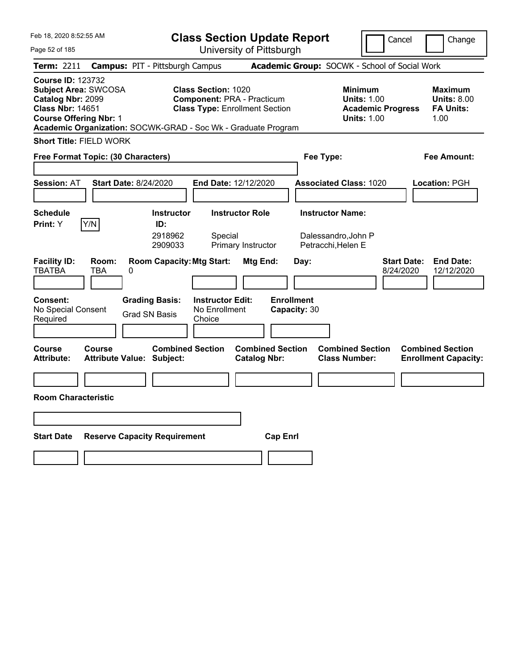| Feb 18, 2020 8:52:55 AM                                                                                                                  |               |                                                               | <b>Class Section Update Report</b>                                                                       |                                                |                                   |                                                                      |                                                                                        | Cancel                          | Change                                                    |
|------------------------------------------------------------------------------------------------------------------------------------------|---------------|---------------------------------------------------------------|----------------------------------------------------------------------------------------------------------|------------------------------------------------|-----------------------------------|----------------------------------------------------------------------|----------------------------------------------------------------------------------------|---------------------------------|-----------------------------------------------------------|
| Page 52 of 185                                                                                                                           |               |                                                               |                                                                                                          | University of Pittsburgh                       |                                   |                                                                      |                                                                                        |                                 |                                                           |
| Term: 2211                                                                                                                               |               | <b>Campus: PIT - Pittsburgh Campus</b>                        |                                                                                                          |                                                |                                   |                                                                      | Academic Group: SOCWK - School of Social Work                                          |                                 |                                                           |
| <b>Course ID: 123732</b><br><b>Subject Area: SWCOSA</b><br>Catalog Nbr: 2099<br><b>Class Nbr: 14651</b><br><b>Course Offering Nbr: 1</b> |               | Academic Organization: SOCWK-GRAD - Soc Wk - Graduate Program | <b>Class Section: 1020</b><br><b>Component: PRA - Practicum</b><br><b>Class Type: Enrollment Section</b> |                                                |                                   |                                                                      | <b>Minimum</b><br><b>Units: 1.00</b><br><b>Academic Progress</b><br><b>Units: 1.00</b> |                                 | Maximum<br><b>Units: 8.00</b><br><b>FA Units:</b><br>1.00 |
| <b>Short Title: FIELD WORK</b>                                                                                                           |               |                                                               |                                                                                                          |                                                |                                   |                                                                      |                                                                                        |                                 |                                                           |
| Free Format Topic: (30 Characters)                                                                                                       |               |                                                               |                                                                                                          |                                                |                                   | Fee Type:                                                            |                                                                                        |                                 | Fee Amount:                                               |
|                                                                                                                                          |               |                                                               |                                                                                                          |                                                |                                   |                                                                      |                                                                                        |                                 |                                                           |
| <b>Session: AT</b>                                                                                                                       |               | <b>Start Date: 8/24/2020</b>                                  | End Date: 12/12/2020                                                                                     |                                                |                                   | <b>Associated Class: 1020</b>                                        |                                                                                        |                                 | Location: PGH                                             |
| <b>Schedule</b><br>Print: Y                                                                                                              | Y/N           | <b>Instructor</b><br>ID:<br>2918962<br>2909033                | Special                                                                                                  | <b>Instructor Role</b><br>Primary Instructor   |                                   | <b>Instructor Name:</b><br>Dalessandro, John P<br>Petracchi, Helen E |                                                                                        |                                 |                                                           |
| <b>Facility ID:</b><br><b>TBATBA</b>                                                                                                     | Room:<br>TBA  | <b>Room Capacity: Mtg Start:</b><br>0                         |                                                                                                          | Mtg End:                                       | Day:                              |                                                                      |                                                                                        | <b>Start Date:</b><br>8/24/2020 | <b>End Date:</b><br>12/12/2020                            |
| <b>Consent:</b><br>No Special Consent<br>Required                                                                                        |               | <b>Grading Basis:</b><br>Grad SN Basis                        | <b>Instructor Edit:</b><br>No Enrollment<br>Choice                                                       |                                                | <b>Enrollment</b><br>Capacity: 30 |                                                                      |                                                                                        |                                 |                                                           |
| <b>Course</b><br><b>Attribute:</b>                                                                                                       | <b>Course</b> | <b>Combined Section</b><br><b>Attribute Value: Subject:</b>   |                                                                                                          | <b>Combined Section</b><br><b>Catalog Nbr:</b> |                                   | <b>Class Number:</b>                                                 | <b>Combined Section</b>                                                                |                                 | <b>Combined Section</b><br><b>Enrollment Capacity:</b>    |
|                                                                                                                                          |               |                                                               |                                                                                                          |                                                |                                   |                                                                      |                                                                                        |                                 |                                                           |
| <b>Room Characteristic</b>                                                                                                               |               |                                                               |                                                                                                          |                                                |                                   |                                                                      |                                                                                        |                                 |                                                           |
|                                                                                                                                          |               |                                                               |                                                                                                          |                                                |                                   |                                                                      |                                                                                        |                                 |                                                           |
| <b>Start Date</b>                                                                                                                        |               | <b>Reserve Capacity Requirement</b>                           |                                                                                                          |                                                | <b>Cap Enrl</b>                   |                                                                      |                                                                                        |                                 |                                                           |
|                                                                                                                                          |               |                                                               |                                                                                                          |                                                |                                   |                                                                      |                                                                                        |                                 |                                                           |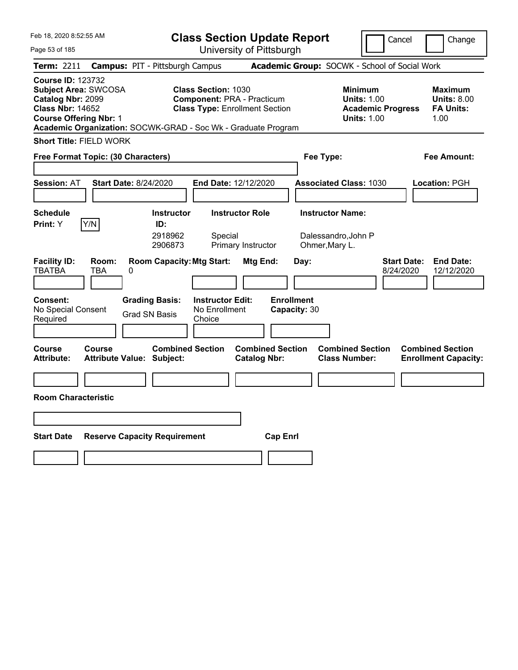| Feb 18, 2020 8:52:55 AM                                                                                                                                                                                   |                                        | <b>Class Section Update Report</b>                 |                                                                            |                                   |                                                                                        | Cancel<br>Change                                                  |
|-----------------------------------------------------------------------------------------------------------------------------------------------------------------------------------------------------------|----------------------------------------|----------------------------------------------------|----------------------------------------------------------------------------|-----------------------------------|----------------------------------------------------------------------------------------|-------------------------------------------------------------------|
| Page 53 of 185                                                                                                                                                                                            |                                        |                                                    | University of Pittsburgh                                                   |                                   |                                                                                        |                                                                   |
| Term: 2211                                                                                                                                                                                                | <b>Campus: PIT - Pittsburgh Campus</b> |                                                    |                                                                            |                                   | Academic Group: SOCWK - School of Social Work                                          |                                                                   |
| <b>Course ID: 123732</b><br><b>Subject Area: SWCOSA</b><br>Catalog Nbr: 2099<br><b>Class Nbr: 14652</b><br><b>Course Offering Nbr: 1</b><br>Academic Organization: SOCWK-GRAD - Soc Wk - Graduate Program |                                        | <b>Class Section: 1030</b>                         | <b>Component: PRA - Practicum</b><br><b>Class Type: Enrollment Section</b> |                                   | <b>Minimum</b><br><b>Units: 1.00</b><br><b>Academic Progress</b><br><b>Units: 1.00</b> | Maximum<br><b>Units: 8.00</b><br><b>FA Units:</b><br>1.00         |
| <b>Short Title: FIELD WORK</b>                                                                                                                                                                            |                                        |                                                    |                                                                            |                                   |                                                                                        |                                                                   |
| Free Format Topic: (30 Characters)                                                                                                                                                                        |                                        |                                                    |                                                                            | Fee Type:                         |                                                                                        | Fee Amount:                                                       |
|                                                                                                                                                                                                           |                                        |                                                    |                                                                            |                                   |                                                                                        |                                                                   |
| <b>Session: AT</b>                                                                                                                                                                                        | <b>Start Date: 8/24/2020</b>           |                                                    | End Date: 12/12/2020                                                       |                                   | <b>Associated Class: 1030</b>                                                          | Location: PGH                                                     |
|                                                                                                                                                                                                           |                                        |                                                    |                                                                            |                                   |                                                                                        |                                                                   |
| <b>Schedule</b><br>Y/N<br>Print: Y                                                                                                                                                                        | ID:                                    | <b>Instructor</b>                                  | <b>Instructor Role</b>                                                     | <b>Instructor Name:</b>           |                                                                                        |                                                                   |
|                                                                                                                                                                                                           |                                        | 2918962<br>Special<br>2906873                      | Primary Instructor                                                         | Ohmer, Mary L.                    | Dalessandro, John P                                                                    |                                                                   |
| <b>Facility ID:</b><br><b>TBATBA</b><br>TBA                                                                                                                                                               | Room:<br>0                             | <b>Room Capacity: Mtg Start:</b>                   | Mtg End:                                                                   | Day:                              |                                                                                        | <b>Start Date:</b><br><b>End Date:</b><br>8/24/2020<br>12/12/2020 |
| <b>Consent:</b><br>No Special Consent<br>Required                                                                                                                                                         | <b>Grading Basis:</b><br>Grad SN Basis | <b>Instructor Edit:</b><br>No Enrollment<br>Choice |                                                                            | <b>Enrollment</b><br>Capacity: 30 |                                                                                        |                                                                   |
| <b>Course</b><br><b>Course</b><br><b>Attribute:</b>                                                                                                                                                       | <b>Attribute Value: Subject:</b>       | <b>Combined Section</b>                            | <b>Combined Section</b><br><b>Catalog Nbr:</b>                             |                                   | <b>Combined Section</b><br><b>Class Number:</b>                                        | <b>Combined Section</b><br><b>Enrollment Capacity:</b>            |
|                                                                                                                                                                                                           |                                        |                                                    |                                                                            |                                   |                                                                                        |                                                                   |
| <b>Room Characteristic</b>                                                                                                                                                                                |                                        |                                                    |                                                                            |                                   |                                                                                        |                                                                   |
|                                                                                                                                                                                                           |                                        |                                                    |                                                                            |                                   |                                                                                        |                                                                   |
| <b>Start Date</b>                                                                                                                                                                                         | <b>Reserve Capacity Requirement</b>    |                                                    | <b>Cap Enrl</b>                                                            |                                   |                                                                                        |                                                                   |
|                                                                                                                                                                                                           |                                        |                                                    |                                                                            |                                   |                                                                                        |                                                                   |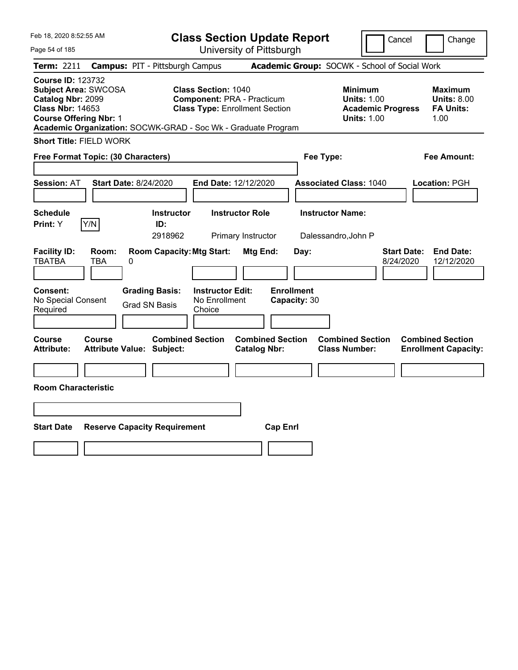| Feb 18, 2020 8:52:55 AM                                                                                                                                                                                   |                                            |                                                           |                                                                                                          |                                              | <b>Class Section Update Report</b> |                                                 | Cancel                                                                          |                                 | Change                                                    |
|-----------------------------------------------------------------------------------------------------------------------------------------------------------------------------------------------------------|--------------------------------------------|-----------------------------------------------------------|----------------------------------------------------------------------------------------------------------|----------------------------------------------|------------------------------------|-------------------------------------------------|---------------------------------------------------------------------------------|---------------------------------|-----------------------------------------------------------|
| Page 54 of 185                                                                                                                                                                                            |                                            |                                                           |                                                                                                          |                                              | University of Pittsburgh           |                                                 |                                                                                 |                                 |                                                           |
| <b>Term: 2211</b>                                                                                                                                                                                         |                                            | <b>Campus: PIT - Pittsburgh Campus</b>                    |                                                                                                          |                                              |                                    | Academic Group: SOCWK - School of Social Work   |                                                                                 |                                 |                                                           |
| <b>Course ID: 123732</b><br><b>Subject Area: SWCOSA</b><br>Catalog Nbr: 2099<br><b>Class Nbr: 14653</b><br><b>Course Offering Nbr: 1</b><br>Academic Organization: SOCWK-GRAD - Soc Wk - Graduate Program |                                            |                                                           | <b>Class Section: 1040</b><br><b>Component: PRA - Practicum</b><br><b>Class Type: Enrollment Section</b> |                                              |                                    |                                                 | Minimum<br><b>Units: 1.00</b><br><b>Academic Progress</b><br><b>Units: 1.00</b> |                                 | Maximum<br><b>Units: 8.00</b><br><b>FA Units:</b><br>1.00 |
| <b>Short Title: FIELD WORK</b>                                                                                                                                                                            |                                            |                                                           |                                                                                                          |                                              |                                    |                                                 |                                                                                 |                                 |                                                           |
| Free Format Topic: (30 Characters)                                                                                                                                                                        |                                            |                                                           |                                                                                                          |                                              |                                    | Fee Type:                                       |                                                                                 |                                 | Fee Amount:                                               |
| <b>Session: AT</b>                                                                                                                                                                                        | <b>Start Date: 8/24/2020</b>               |                                                           | End Date: 12/12/2020                                                                                     |                                              |                                    | <b>Associated Class: 1040</b>                   |                                                                                 |                                 | Location: PGH                                             |
| <b>Schedule</b><br>Y/N<br>Print: Y                                                                                                                                                                        |                                            | <b>Instructor</b><br>ID:<br>2918962                       |                                                                                                          | <b>Instructor Role</b><br>Primary Instructor |                                    | <b>Instructor Name:</b><br>Dalessandro, John P  |                                                                                 |                                 |                                                           |
| <b>Facility ID:</b><br><b>TBATBA</b><br>Consent:                                                                                                                                                          | Room:<br>TBA<br>0                          | <b>Room Capacity: Mtg Start:</b><br><b>Grading Basis:</b> | <b>Instructor Edit:</b>                                                                                  | Mtg End:                                     | Day:<br><b>Enrollment</b>          |                                                 |                                                                                 | <b>Start Date:</b><br>8/24/2020 | <b>End Date:</b><br>12/12/2020                            |
| No Special Consent<br>Required                                                                                                                                                                            |                                            | <b>Grad SN Basis</b>                                      | No Enrollment<br>Choice                                                                                  |                                              | Capacity: 30                       |                                                 |                                                                                 |                                 |                                                           |
| Course<br><b>Attribute:</b>                                                                                                                                                                               | Course<br><b>Attribute Value: Subject:</b> | <b>Combined Section</b>                                   |                                                                                                          | <b>Catalog Nbr:</b>                          | <b>Combined Section</b>            | <b>Combined Section</b><br><b>Class Number:</b> |                                                                                 |                                 | <b>Combined Section</b><br><b>Enrollment Capacity:</b>    |
| <b>Room Characteristic</b>                                                                                                                                                                                |                                            |                                                           |                                                                                                          |                                              |                                    |                                                 |                                                                                 |                                 |                                                           |
|                                                                                                                                                                                                           |                                            |                                                           |                                                                                                          |                                              |                                    |                                                 |                                                                                 |                                 |                                                           |
| <b>Start Date</b>                                                                                                                                                                                         |                                            | <b>Reserve Capacity Requirement</b>                       |                                                                                                          |                                              | <b>Cap Enrl</b>                    |                                                 |                                                                                 |                                 |                                                           |
|                                                                                                                                                                                                           |                                            |                                                           |                                                                                                          |                                              |                                    |                                                 |                                                                                 |                                 |                                                           |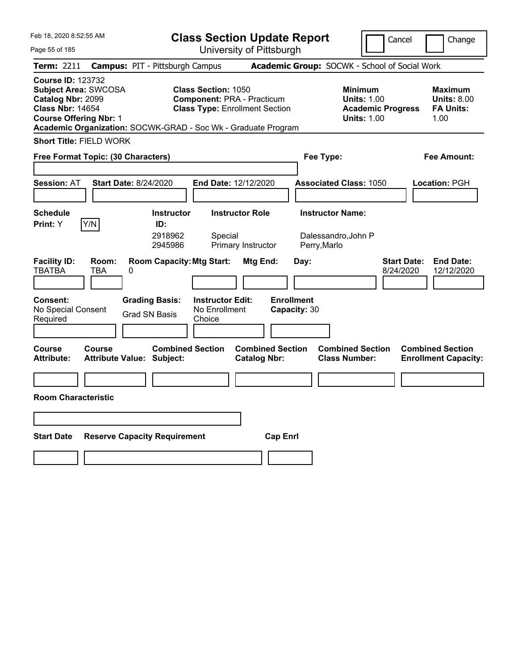| Feb 18, 2020 8:52:55 AM                                                                                                                                                                                   |                                                             |                                                    | <b>Class Section Update Report</b>                                         |                                   |                                                                                        | Cancel                          | Change                                                    |
|-----------------------------------------------------------------------------------------------------------------------------------------------------------------------------------------------------------|-------------------------------------------------------------|----------------------------------------------------|----------------------------------------------------------------------------|-----------------------------------|----------------------------------------------------------------------------------------|---------------------------------|-----------------------------------------------------------|
| Page 55 of 185                                                                                                                                                                                            |                                                             |                                                    | University of Pittsburgh                                                   |                                   |                                                                                        |                                 |                                                           |
| Term: 2211                                                                                                                                                                                                | <b>Campus: PIT - Pittsburgh Campus</b>                      |                                                    |                                                                            |                                   | Academic Group: SOCWK - School of Social Work                                          |                                 |                                                           |
| <b>Course ID: 123732</b><br><b>Subject Area: SWCOSA</b><br>Catalog Nbr: 2099<br><b>Class Nbr: 14654</b><br><b>Course Offering Nbr: 1</b><br>Academic Organization: SOCWK-GRAD - Soc Wk - Graduate Program |                                                             | <b>Class Section: 1050</b>                         | <b>Component: PRA - Practicum</b><br><b>Class Type: Enrollment Section</b> |                                   | <b>Minimum</b><br><b>Units: 1.00</b><br><b>Academic Progress</b><br><b>Units: 1.00</b> |                                 | Maximum<br><b>Units: 8.00</b><br><b>FA Units:</b><br>1.00 |
| <b>Short Title: FIELD WORK</b>                                                                                                                                                                            |                                                             |                                                    |                                                                            |                                   |                                                                                        |                                 |                                                           |
| Free Format Topic: (30 Characters)                                                                                                                                                                        |                                                             |                                                    |                                                                            |                                   | Fee Type:                                                                              |                                 | Fee Amount:                                               |
|                                                                                                                                                                                                           |                                                             |                                                    |                                                                            |                                   |                                                                                        |                                 |                                                           |
| <b>Session: AT</b>                                                                                                                                                                                        | <b>Start Date: 8/24/2020</b>                                | End Date: 12/12/2020                               |                                                                            |                                   | <b>Associated Class: 1050</b>                                                          |                                 | Location: PGH                                             |
|                                                                                                                                                                                                           |                                                             |                                                    |                                                                            |                                   |                                                                                        |                                 |                                                           |
| <b>Schedule</b><br>Y/N<br>Print: Y                                                                                                                                                                        | <b>Instructor</b><br>ID:                                    |                                                    | <b>Instructor Role</b>                                                     |                                   | <b>Instructor Name:</b>                                                                |                                 |                                                           |
|                                                                                                                                                                                                           | 2918962<br>2945986                                          | Special                                            | Primary Instructor                                                         |                                   | Dalessandro, John P<br>Perry, Marlo                                                    |                                 |                                                           |
| <b>Facility ID:</b><br>Room:<br><b>TBATBA</b><br>TBA                                                                                                                                                      | <b>Room Capacity: Mtg Start:</b><br>0                       |                                                    | Mtg End:                                                                   | Day:                              |                                                                                        | <b>Start Date:</b><br>8/24/2020 | <b>End Date:</b><br>12/12/2020                            |
| <b>Consent:</b><br>No Special Consent<br>Required                                                                                                                                                         | <b>Grading Basis:</b><br>Grad SN Basis                      | <b>Instructor Edit:</b><br>No Enrollment<br>Choice |                                                                            | <b>Enrollment</b><br>Capacity: 30 |                                                                                        |                                 |                                                           |
| <b>Course</b><br><b>Course</b><br><b>Attribute:</b>                                                                                                                                                       | <b>Combined Section</b><br><b>Attribute Value: Subject:</b> |                                                    | <b>Combined Section</b><br><b>Catalog Nbr:</b>                             |                                   | <b>Combined Section</b><br><b>Class Number:</b>                                        |                                 | <b>Combined Section</b><br><b>Enrollment Capacity:</b>    |
|                                                                                                                                                                                                           |                                                             |                                                    |                                                                            |                                   |                                                                                        |                                 |                                                           |
| <b>Room Characteristic</b>                                                                                                                                                                                |                                                             |                                                    |                                                                            |                                   |                                                                                        |                                 |                                                           |
|                                                                                                                                                                                                           |                                                             |                                                    |                                                                            |                                   |                                                                                        |                                 |                                                           |
| <b>Start Date</b>                                                                                                                                                                                         | <b>Reserve Capacity Requirement</b>                         |                                                    | <b>Cap Enrl</b>                                                            |                                   |                                                                                        |                                 |                                                           |
|                                                                                                                                                                                                           |                                                             |                                                    |                                                                            |                                   |                                                                                        |                                 |                                                           |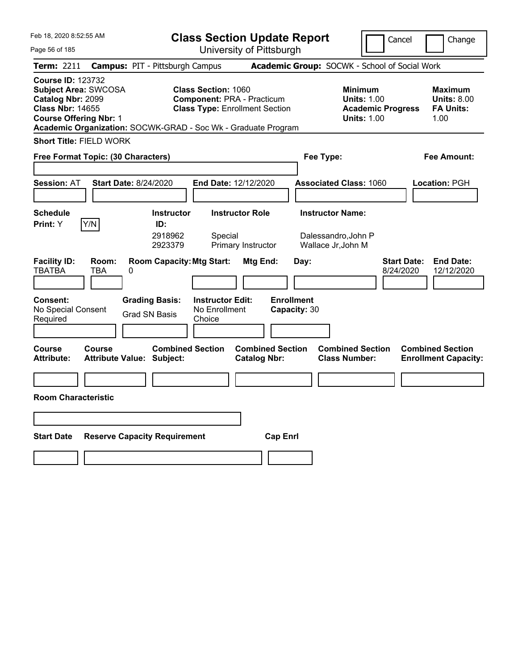| Feb 18, 2020 8:52:55 AM                                                                                                                  |                     |                                                               | <b>Class Section Update Report</b>                                                                       |                                                |                                   |                                                 | Cancel                                         | Change                                                    |
|------------------------------------------------------------------------------------------------------------------------------------------|---------------------|---------------------------------------------------------------|----------------------------------------------------------------------------------------------------------|------------------------------------------------|-----------------------------------|-------------------------------------------------|------------------------------------------------|-----------------------------------------------------------|
| Page 56 of 185                                                                                                                           |                     |                                                               |                                                                                                          | University of Pittsburgh                       |                                   |                                                 |                                                |                                                           |
| Term: 2211                                                                                                                               |                     | <b>Campus: PIT - Pittsburgh Campus</b>                        |                                                                                                          |                                                |                                   | Academic Group: SOCWK - School of Social Work   |                                                |                                                           |
| <b>Course ID: 123732</b><br><b>Subject Area: SWCOSA</b><br>Catalog Nbr: 2099<br><b>Class Nbr: 14655</b><br><b>Course Offering Nbr: 1</b> |                     | Academic Organization: SOCWK-GRAD - Soc Wk - Graduate Program | <b>Class Section: 1060</b><br><b>Component: PRA - Practicum</b><br><b>Class Type: Enrollment Section</b> |                                                |                                   | Minimum<br><b>Units: 1.00</b>                   | <b>Units: 1.00</b><br><b>Academic Progress</b> | Maximum<br><b>Units: 8.00</b><br><b>FA Units:</b><br>1.00 |
| <b>Short Title: FIELD WORK</b>                                                                                                           |                     |                                                               |                                                                                                          |                                                |                                   |                                                 |                                                |                                                           |
| Free Format Topic: (30 Characters)                                                                                                       |                     |                                                               |                                                                                                          |                                                |                                   | Fee Type:                                       |                                                | Fee Amount:                                               |
|                                                                                                                                          |                     |                                                               |                                                                                                          |                                                |                                   |                                                 |                                                |                                                           |
| <b>Session: AT</b>                                                                                                                       |                     | <b>Start Date: 8/24/2020</b>                                  | End Date: 12/12/2020                                                                                     |                                                |                                   | <b>Associated Class: 1060</b>                   |                                                | Location: PGH                                             |
|                                                                                                                                          |                     |                                                               |                                                                                                          |                                                |                                   |                                                 |                                                |                                                           |
| <b>Schedule</b>                                                                                                                          |                     | <b>Instructor</b>                                             |                                                                                                          | <b>Instructor Role</b>                         |                                   | <b>Instructor Name:</b>                         |                                                |                                                           |
| <b>Print:</b> Y                                                                                                                          | Y/N                 | ID:<br>2918962<br>2923379                                     | Special                                                                                                  | Primary Instructor                             |                                   | Dalessandro, John P<br>Wallace Jr, John M       |                                                |                                                           |
| <b>Facility ID:</b><br><b>TBATBA</b>                                                                                                     | Room:<br><b>TBA</b> | <b>Room Capacity: Mtg Start:</b><br>0                         |                                                                                                          | Mtg End:                                       | Day:                              |                                                 | <b>Start Date:</b><br>8/24/2020                | <b>End Date:</b><br>12/12/2020                            |
| <b>Consent:</b><br>No Special Consent<br>Required                                                                                        |                     | <b>Grading Basis:</b><br><b>Grad SN Basis</b>                 | <b>Instructor Edit:</b><br>No Enrollment<br>Choice                                                       |                                                | <b>Enrollment</b><br>Capacity: 30 |                                                 |                                                |                                                           |
| Course<br>Attribute:                                                                                                                     | Course              | <b>Combined Section</b><br><b>Attribute Value: Subject:</b>   |                                                                                                          | <b>Combined Section</b><br><b>Catalog Nbr:</b> |                                   | <b>Combined Section</b><br><b>Class Number:</b> |                                                | <b>Combined Section</b><br><b>Enrollment Capacity:</b>    |
|                                                                                                                                          |                     |                                                               |                                                                                                          |                                                |                                   |                                                 |                                                |                                                           |
| <b>Room Characteristic</b>                                                                                                               |                     |                                                               |                                                                                                          |                                                |                                   |                                                 |                                                |                                                           |
|                                                                                                                                          |                     |                                                               |                                                                                                          |                                                |                                   |                                                 |                                                |                                                           |
| <b>Start Date</b>                                                                                                                        |                     | <b>Reserve Capacity Requirement</b>                           |                                                                                                          |                                                | <b>Cap Enri</b>                   |                                                 |                                                |                                                           |
|                                                                                                                                          |                     |                                                               |                                                                                                          |                                                |                                   |                                                 |                                                |                                                           |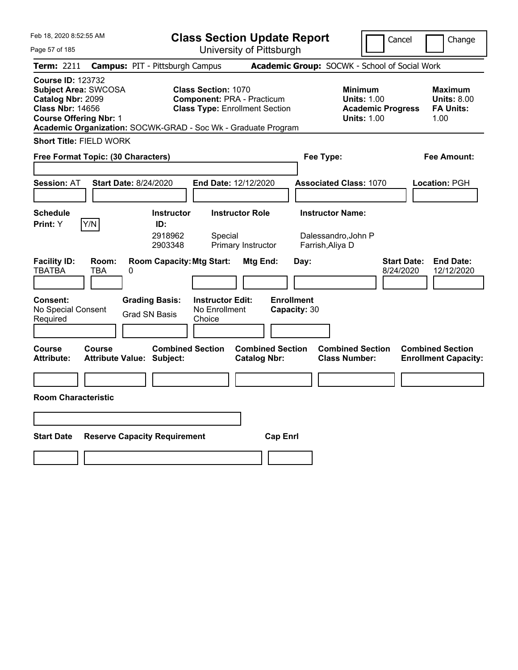| Feb 18, 2020 8:52:55 AM                                                                                                                                                                                   |                                                             |                                                    | <b>Class Section Update Report</b>                                         |                                   |                                                                                        | Cancel                          | Change                                                    |
|-----------------------------------------------------------------------------------------------------------------------------------------------------------------------------------------------------------|-------------------------------------------------------------|----------------------------------------------------|----------------------------------------------------------------------------|-----------------------------------|----------------------------------------------------------------------------------------|---------------------------------|-----------------------------------------------------------|
| Page 57 of 185                                                                                                                                                                                            |                                                             |                                                    | University of Pittsburgh                                                   |                                   |                                                                                        |                                 |                                                           |
| Term: 2211                                                                                                                                                                                                | <b>Campus: PIT - Pittsburgh Campus</b>                      |                                                    |                                                                            |                                   | Academic Group: SOCWK - School of Social Work                                          |                                 |                                                           |
| <b>Course ID: 123732</b><br><b>Subject Area: SWCOSA</b><br>Catalog Nbr: 2099<br><b>Class Nbr: 14656</b><br><b>Course Offering Nbr: 1</b><br>Academic Organization: SOCWK-GRAD - Soc Wk - Graduate Program |                                                             | <b>Class Section: 1070</b>                         | <b>Component: PRA - Practicum</b><br><b>Class Type: Enrollment Section</b> |                                   | <b>Minimum</b><br><b>Units: 1.00</b><br><b>Academic Progress</b><br><b>Units: 1.00</b> |                                 | Maximum<br><b>Units: 8.00</b><br><b>FA Units:</b><br>1.00 |
| <b>Short Title: FIELD WORK</b>                                                                                                                                                                            |                                                             |                                                    |                                                                            |                                   |                                                                                        |                                 |                                                           |
| Free Format Topic: (30 Characters)                                                                                                                                                                        |                                                             |                                                    |                                                                            | Fee Type:                         |                                                                                        |                                 | Fee Amount:                                               |
|                                                                                                                                                                                                           |                                                             |                                                    |                                                                            |                                   |                                                                                        |                                 |                                                           |
| <b>Session: AT</b>                                                                                                                                                                                        | <b>Start Date: 8/24/2020</b>                                | End Date: 12/12/2020                               |                                                                            |                                   | <b>Associated Class: 1070</b>                                                          |                                 | Location: PGH                                             |
|                                                                                                                                                                                                           |                                                             |                                                    |                                                                            |                                   |                                                                                        |                                 |                                                           |
| <b>Schedule</b><br>Y/N<br>Print: Y                                                                                                                                                                        | <b>Instructor</b><br>ID:                                    |                                                    | <b>Instructor Role</b>                                                     |                                   | <b>Instructor Name:</b>                                                                |                                 |                                                           |
|                                                                                                                                                                                                           | 2918962<br>2903348                                          | Special                                            | Primary Instructor                                                         |                                   | Dalessandro, John P<br>Farrish, Aliya D                                                |                                 |                                                           |
| <b>Facility ID:</b><br>Room:<br><b>TBATBA</b><br>TBA                                                                                                                                                      | <b>Room Capacity: Mtg Start:</b><br>0                       |                                                    | Mtg End:                                                                   | Day:                              |                                                                                        | <b>Start Date:</b><br>8/24/2020 | <b>End Date:</b><br>12/12/2020                            |
| <b>Consent:</b><br>No Special Consent<br>Required                                                                                                                                                         | <b>Grading Basis:</b><br>Grad SN Basis                      | <b>Instructor Edit:</b><br>No Enrollment<br>Choice |                                                                            | <b>Enrollment</b><br>Capacity: 30 |                                                                                        |                                 |                                                           |
| <b>Course</b><br><b>Course</b><br><b>Attribute:</b>                                                                                                                                                       | <b>Combined Section</b><br><b>Attribute Value: Subject:</b> |                                                    | <b>Combined Section</b><br><b>Catalog Nbr:</b>                             |                                   | <b>Combined Section</b><br><b>Class Number:</b>                                        |                                 | <b>Combined Section</b><br><b>Enrollment Capacity:</b>    |
|                                                                                                                                                                                                           |                                                             |                                                    |                                                                            |                                   |                                                                                        |                                 |                                                           |
| <b>Room Characteristic</b>                                                                                                                                                                                |                                                             |                                                    |                                                                            |                                   |                                                                                        |                                 |                                                           |
|                                                                                                                                                                                                           |                                                             |                                                    |                                                                            |                                   |                                                                                        |                                 |                                                           |
| <b>Start Date</b>                                                                                                                                                                                         | <b>Reserve Capacity Requirement</b>                         |                                                    | <b>Cap Enrl</b>                                                            |                                   |                                                                                        |                                 |                                                           |
|                                                                                                                                                                                                           |                                                             |                                                    |                                                                            |                                   |                                                                                        |                                 |                                                           |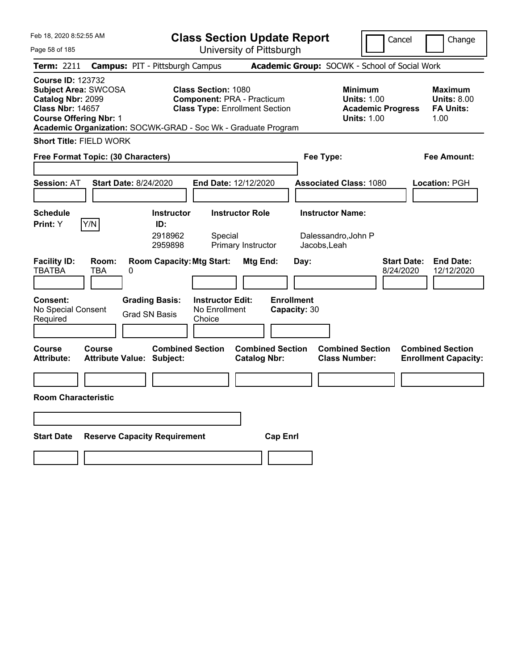| Feb 18, 2020 8:52:55 AM                                                                                                                                                                                   |                                                             |                                                    | <b>Class Section Update Report</b>                                         |                                   |                                                                                        | Cancel                          | Change                                                    |
|-----------------------------------------------------------------------------------------------------------------------------------------------------------------------------------------------------------|-------------------------------------------------------------|----------------------------------------------------|----------------------------------------------------------------------------|-----------------------------------|----------------------------------------------------------------------------------------|---------------------------------|-----------------------------------------------------------|
| Page 58 of 185                                                                                                                                                                                            |                                                             |                                                    | University of Pittsburgh                                                   |                                   |                                                                                        |                                 |                                                           |
| Term: 2211                                                                                                                                                                                                | <b>Campus: PIT - Pittsburgh Campus</b>                      |                                                    |                                                                            |                                   | Academic Group: SOCWK - School of Social Work                                          |                                 |                                                           |
| <b>Course ID: 123732</b><br><b>Subject Area: SWCOSA</b><br>Catalog Nbr: 2099<br><b>Class Nbr: 14657</b><br><b>Course Offering Nbr: 1</b><br>Academic Organization: SOCWK-GRAD - Soc Wk - Graduate Program |                                                             | <b>Class Section: 1080</b>                         | <b>Component: PRA - Practicum</b><br><b>Class Type: Enrollment Section</b> |                                   | <b>Minimum</b><br><b>Units: 1.00</b><br><b>Academic Progress</b><br><b>Units: 1.00</b> |                                 | Maximum<br><b>Units: 8.00</b><br><b>FA Units:</b><br>1.00 |
| <b>Short Title: FIELD WORK</b>                                                                                                                                                                            |                                                             |                                                    |                                                                            |                                   |                                                                                        |                                 |                                                           |
| Free Format Topic: (30 Characters)                                                                                                                                                                        |                                                             |                                                    |                                                                            | Fee Type:                         |                                                                                        |                                 | Fee Amount:                                               |
|                                                                                                                                                                                                           |                                                             |                                                    |                                                                            |                                   |                                                                                        |                                 |                                                           |
| <b>Session: AT</b>                                                                                                                                                                                        | <b>Start Date: 8/24/2020</b>                                | End Date: 12/12/2020                               |                                                                            |                                   | <b>Associated Class: 1080</b>                                                          |                                 | Location: PGH                                             |
|                                                                                                                                                                                                           |                                                             |                                                    |                                                                            |                                   |                                                                                        |                                 |                                                           |
| <b>Schedule</b><br>Y/N<br>Print: Y                                                                                                                                                                        | <b>Instructor</b><br>ID:                                    |                                                    | <b>Instructor Role</b>                                                     |                                   | <b>Instructor Name:</b>                                                                |                                 |                                                           |
|                                                                                                                                                                                                           | 2918962<br>2959898                                          | Special                                            | Primary Instructor                                                         |                                   | Dalessandro, John P<br>Jacobs, Leah                                                    |                                 |                                                           |
| <b>Facility ID:</b><br>Room:<br><b>TBATBA</b><br>TBA                                                                                                                                                      | <b>Room Capacity: Mtg Start:</b><br>0                       |                                                    | Mtg End:                                                                   | Day:                              |                                                                                        | <b>Start Date:</b><br>8/24/2020 | <b>End Date:</b><br>12/12/2020                            |
| <b>Consent:</b><br>No Special Consent<br>Required                                                                                                                                                         | <b>Grading Basis:</b><br>Grad SN Basis                      | <b>Instructor Edit:</b><br>No Enrollment<br>Choice |                                                                            | <b>Enrollment</b><br>Capacity: 30 |                                                                                        |                                 |                                                           |
| <b>Course</b><br><b>Course</b><br><b>Attribute:</b>                                                                                                                                                       | <b>Combined Section</b><br><b>Attribute Value: Subject:</b> |                                                    | <b>Combined Section</b><br><b>Catalog Nbr:</b>                             |                                   | <b>Combined Section</b><br><b>Class Number:</b>                                        |                                 | <b>Combined Section</b><br><b>Enrollment Capacity:</b>    |
|                                                                                                                                                                                                           |                                                             |                                                    |                                                                            |                                   |                                                                                        |                                 |                                                           |
| <b>Room Characteristic</b>                                                                                                                                                                                |                                                             |                                                    |                                                                            |                                   |                                                                                        |                                 |                                                           |
|                                                                                                                                                                                                           |                                                             |                                                    |                                                                            |                                   |                                                                                        |                                 |                                                           |
| <b>Start Date</b>                                                                                                                                                                                         | <b>Reserve Capacity Requirement</b>                         |                                                    | <b>Cap Enrl</b>                                                            |                                   |                                                                                        |                                 |                                                           |
|                                                                                                                                                                                                           |                                                             |                                                    |                                                                            |                                   |                                                                                        |                                 |                                                           |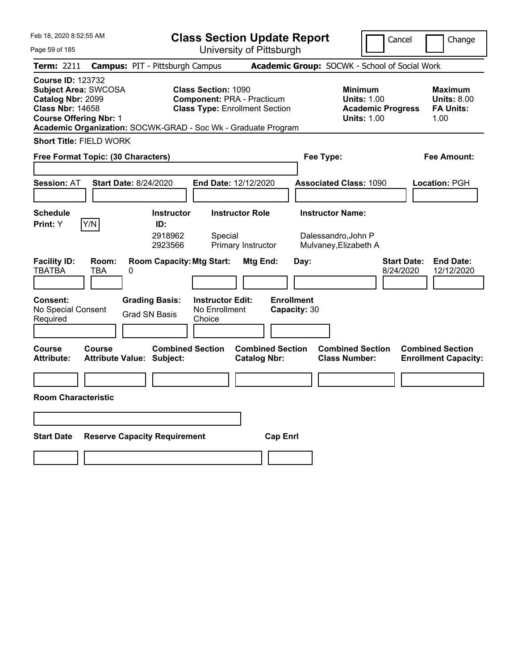| Feb 18, 2020 8:52:55 AM                                                                                                                                                                                   |                                                             |                                                    | <b>Class Section Update Report</b>                                         |                                   |                                                                                        | Cancel                          | Change                                                    |
|-----------------------------------------------------------------------------------------------------------------------------------------------------------------------------------------------------------|-------------------------------------------------------------|----------------------------------------------------|----------------------------------------------------------------------------|-----------------------------------|----------------------------------------------------------------------------------------|---------------------------------|-----------------------------------------------------------|
| Page 59 of 185                                                                                                                                                                                            |                                                             |                                                    | University of Pittsburgh                                                   |                                   |                                                                                        |                                 |                                                           |
| Term: 2211                                                                                                                                                                                                | <b>Campus: PIT - Pittsburgh Campus</b>                      |                                                    |                                                                            |                                   | Academic Group: SOCWK - School of Social Work                                          |                                 |                                                           |
| <b>Course ID: 123732</b><br><b>Subject Area: SWCOSA</b><br>Catalog Nbr: 2099<br><b>Class Nbr: 14658</b><br><b>Course Offering Nbr: 1</b><br>Academic Organization: SOCWK-GRAD - Soc Wk - Graduate Program |                                                             | <b>Class Section: 1090</b>                         | <b>Component: PRA - Practicum</b><br><b>Class Type: Enrollment Section</b> |                                   | <b>Minimum</b><br><b>Units: 1.00</b><br><b>Academic Progress</b><br><b>Units: 1.00</b> |                                 | Maximum<br><b>Units: 8.00</b><br><b>FA Units:</b><br>1.00 |
| <b>Short Title: FIELD WORK</b>                                                                                                                                                                            |                                                             |                                                    |                                                                            |                                   |                                                                                        |                                 |                                                           |
| Free Format Topic: (30 Characters)                                                                                                                                                                        |                                                             |                                                    |                                                                            | Fee Type:                         |                                                                                        |                                 | Fee Amount:                                               |
|                                                                                                                                                                                                           |                                                             |                                                    |                                                                            |                                   |                                                                                        |                                 |                                                           |
| <b>Session: AT</b>                                                                                                                                                                                        | <b>Start Date: 8/24/2020</b>                                | End Date: 12/12/2020                               |                                                                            |                                   | <b>Associated Class: 1090</b>                                                          |                                 | Location: PGH                                             |
|                                                                                                                                                                                                           |                                                             |                                                    |                                                                            |                                   |                                                                                        |                                 |                                                           |
| <b>Schedule</b><br>Y/N                                                                                                                                                                                    | <b>Instructor</b><br>ID:                                    |                                                    | <b>Instructor Role</b>                                                     |                                   | <b>Instructor Name:</b>                                                                |                                 |                                                           |
| Print: Y                                                                                                                                                                                                  | 2918962<br>2923566                                          | Special                                            | Primary Instructor                                                         |                                   | Dalessandro, John P<br>Mulvaney, Elizabeth A                                           |                                 |                                                           |
| <b>Facility ID:</b><br>Room:<br><b>TBATBA</b><br>TBA                                                                                                                                                      | <b>Room Capacity: Mtg Start:</b><br>0                       |                                                    | Mtg End:                                                                   | Day:                              |                                                                                        | <b>Start Date:</b><br>8/24/2020 | <b>End Date:</b><br>12/12/2020                            |
| <b>Consent:</b><br>No Special Consent<br>Required                                                                                                                                                         | <b>Grading Basis:</b><br>Grad SN Basis                      | <b>Instructor Edit:</b><br>No Enrollment<br>Choice |                                                                            | <b>Enrollment</b><br>Capacity: 30 |                                                                                        |                                 |                                                           |
| <b>Course</b><br><b>Course</b><br><b>Attribute:</b>                                                                                                                                                       | <b>Combined Section</b><br><b>Attribute Value: Subject:</b> |                                                    | <b>Combined Section</b><br><b>Catalog Nbr:</b>                             |                                   | <b>Combined Section</b><br><b>Class Number:</b>                                        |                                 | <b>Combined Section</b><br><b>Enrollment Capacity:</b>    |
|                                                                                                                                                                                                           |                                                             |                                                    |                                                                            |                                   |                                                                                        |                                 |                                                           |
| <b>Room Characteristic</b>                                                                                                                                                                                |                                                             |                                                    |                                                                            |                                   |                                                                                        |                                 |                                                           |
|                                                                                                                                                                                                           |                                                             |                                                    |                                                                            |                                   |                                                                                        |                                 |                                                           |
| <b>Start Date</b>                                                                                                                                                                                         | <b>Reserve Capacity Requirement</b>                         |                                                    | <b>Cap Enrl</b>                                                            |                                   |                                                                                        |                                 |                                                           |
|                                                                                                                                                                                                           |                                                             |                                                    |                                                                            |                                   |                                                                                        |                                 |                                                           |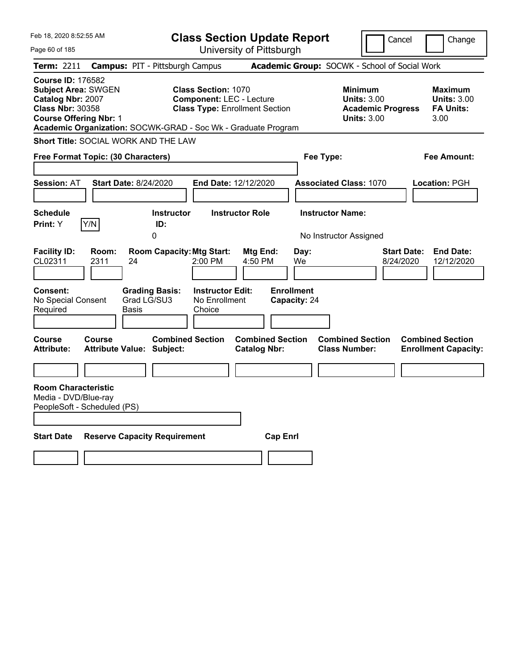| Feb 18, 2020 8:52:55 AM                                                                                                                 |                                                               | <b>Class Section Update Report</b>                                                                     |                                                              |                                                   | Cancel                                                                                 | Change                                                           |
|-----------------------------------------------------------------------------------------------------------------------------------------|---------------------------------------------------------------|--------------------------------------------------------------------------------------------------------|--------------------------------------------------------------|---------------------------------------------------|----------------------------------------------------------------------------------------|------------------------------------------------------------------|
| Page 60 of 185                                                                                                                          |                                                               | University of Pittsburgh                                                                               |                                                              |                                                   |                                                                                        |                                                                  |
| <b>Term: 2211</b>                                                                                                                       | <b>Campus: PIT - Pittsburgh Campus</b>                        |                                                                                                        |                                                              | Academic Group: SOCWK - School of Social Work     |                                                                                        |                                                                  |
| <b>Course ID: 176582</b><br><b>Subject Area: SWGEN</b><br>Catalog Nbr: 2007<br><b>Class Nbr: 30358</b><br><b>Course Offering Nbr: 1</b> | Academic Organization: SOCWK-GRAD - Soc Wk - Graduate Program | <b>Class Section: 1070</b><br><b>Component: LEC - Lecture</b><br><b>Class Type: Enrollment Section</b> |                                                              |                                                   | <b>Minimum</b><br><b>Units: 3.00</b><br><b>Academic Progress</b><br><b>Units: 3.00</b> | <b>Maximum</b><br><b>Units: 3.00</b><br><b>FA Units:</b><br>3.00 |
|                                                                                                                                         | <b>Short Title: SOCIAL WORK AND THE LAW</b>                   |                                                                                                        |                                                              |                                                   |                                                                                        |                                                                  |
| Free Format Topic: (30 Characters)                                                                                                      |                                                               |                                                                                                        |                                                              | Fee Type:                                         |                                                                                        | Fee Amount:                                                      |
| <b>Session: AT</b>                                                                                                                      | <b>Start Date: 8/24/2020</b>                                  | <b>End Date: 12/12/2020</b>                                                                            |                                                              | <b>Associated Class: 1070</b>                     |                                                                                        | <b>Location: PGH</b>                                             |
| <b>Schedule</b><br>Y/N<br>Print: Y                                                                                                      | <b>Instructor</b><br>ID:<br>0                                 | <b>Instructor Role</b>                                                                                 |                                                              | <b>Instructor Name:</b><br>No Instructor Assigned |                                                                                        |                                                                  |
| <b>Facility ID:</b><br>Room:<br>CL02311<br>2311                                                                                         | <b>Room Capacity: Mtg Start:</b><br>24                        | 2:00 PM                                                                                                | Mtg End:<br>4:50 PM                                          | Day:<br>We                                        | 8/24/2020                                                                              | <b>End Date:</b><br><b>Start Date:</b><br>12/12/2020             |
| Consent:<br>No Special Consent<br>Required<br>Course<br>Course                                                                          | <b>Grading Basis:</b><br>Grad LG/SU3<br>Basis                 | <b>Instructor Edit:</b><br>No Enrollment<br>Choice<br><b>Combined Section</b>                          | <b>Enrollment</b><br>Capacity: 24<br><b>Combined Section</b> |                                                   | <b>Combined Section</b>                                                                | <b>Combined Section</b>                                          |
| <b>Attribute:</b>                                                                                                                       | <b>Attribute Value: Subject:</b>                              |                                                                                                        | <b>Catalog Nbr:</b>                                          | <b>Class Number:</b>                              |                                                                                        | <b>Enrollment Capacity:</b>                                      |
|                                                                                                                                         |                                                               |                                                                                                        |                                                              |                                                   |                                                                                        |                                                                  |
| <b>Room Characteristic</b><br>Media - DVD/Blue-ray<br>PeopleSoft - Scheduled (PS)                                                       |                                                               |                                                                                                        |                                                              |                                                   |                                                                                        |                                                                  |
| <b>Start Date</b>                                                                                                                       | <b>Reserve Capacity Requirement</b>                           |                                                                                                        | <b>Cap Enri</b>                                              |                                                   |                                                                                        |                                                                  |
|                                                                                                                                         |                                                               |                                                                                                        |                                                              |                                                   |                                                                                        |                                                                  |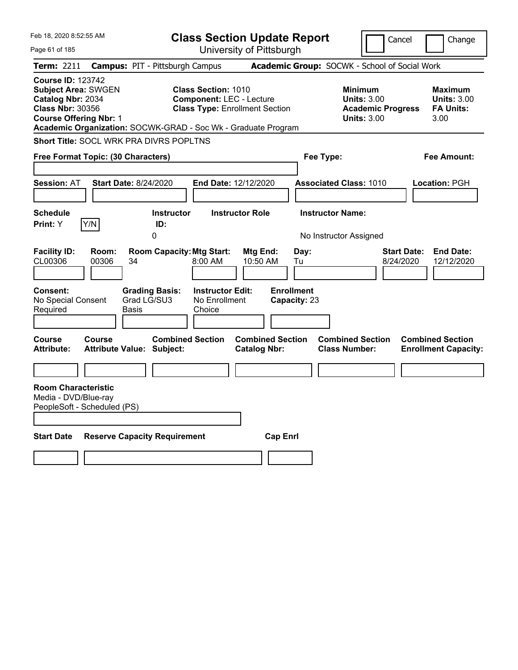| Feb 18, 2020 8:52:55 AM                                                                                                                                                                                  |                                                             | <b>Class Section Update Report</b>                                                                     |                                                |                                   |                                                                                        | Cancel<br>Change                                                  |
|----------------------------------------------------------------------------------------------------------------------------------------------------------------------------------------------------------|-------------------------------------------------------------|--------------------------------------------------------------------------------------------------------|------------------------------------------------|-----------------------------------|----------------------------------------------------------------------------------------|-------------------------------------------------------------------|
| Page 61 of 185                                                                                                                                                                                           |                                                             |                                                                                                        | University of Pittsburgh                       |                                   |                                                                                        |                                                                   |
| Term: 2211                                                                                                                                                                                               | <b>Campus: PIT - Pittsburgh Campus</b>                      |                                                                                                        |                                                |                                   | Academic Group: SOCWK - School of Social Work                                          |                                                                   |
| <b>Course ID: 123742</b><br><b>Subject Area: SWGEN</b><br>Catalog Nbr: 2034<br><b>Class Nbr: 30356</b><br><b>Course Offering Nbr: 1</b><br>Academic Organization: SOCWK-GRAD - Soc Wk - Graduate Program |                                                             | <b>Class Section: 1010</b><br><b>Component: LEC - Lecture</b><br><b>Class Type: Enrollment Section</b> |                                                |                                   | <b>Minimum</b><br><b>Units: 3.00</b><br><b>Academic Progress</b><br><b>Units: 3.00</b> | <b>Maximum</b><br><b>Units: 3.00</b><br><b>FA Units:</b><br>3.00  |
| <b>Short Title: SOCL WRK PRA DIVRS POPLTNS</b>                                                                                                                                                           |                                                             |                                                                                                        |                                                |                                   |                                                                                        |                                                                   |
| Free Format Topic: (30 Characters)                                                                                                                                                                       |                                                             |                                                                                                        |                                                | Fee Type:                         |                                                                                        | <b>Fee Amount:</b>                                                |
| <b>Session: AT</b>                                                                                                                                                                                       | <b>Start Date: 8/24/2020</b>                                | <b>End Date: 12/12/2020</b>                                                                            |                                                |                                   | <b>Associated Class: 1010</b>                                                          | Location: PGH                                                     |
| <b>Schedule</b><br>Y/N<br><b>Print:</b> Y                                                                                                                                                                | <b>Instructor</b><br>ID:<br>0                               | <b>Instructor Role</b>                                                                                 |                                                |                                   | <b>Instructor Name:</b><br>No Instructor Assigned                                      |                                                                   |
| <b>Facility ID:</b><br>Room:<br>CL00306<br>00306                                                                                                                                                         | <b>Room Capacity: Mtg Start:</b><br>34                      | 8:00 AM                                                                                                | Mtg End:<br>10:50 AM                           | Day:<br>Tu                        |                                                                                        | <b>End Date:</b><br><b>Start Date:</b><br>8/24/2020<br>12/12/2020 |
| <b>Consent:</b><br>No Special Consent<br>Required                                                                                                                                                        | <b>Grading Basis:</b><br>Grad LG/SU3<br>Basis               | <b>Instructor Edit:</b><br>No Enrollment<br>Choice                                                     |                                                | <b>Enrollment</b><br>Capacity: 23 |                                                                                        |                                                                   |
| Course<br>Course<br><b>Attribute:</b>                                                                                                                                                                    | <b>Combined Section</b><br><b>Attribute Value: Subject:</b> |                                                                                                        | <b>Combined Section</b><br><b>Catalog Nbr:</b> |                                   | <b>Combined Section</b><br><b>Class Number:</b>                                        | <b>Combined Section</b><br><b>Enrollment Capacity:</b>            |
|                                                                                                                                                                                                          |                                                             |                                                                                                        |                                                |                                   |                                                                                        |                                                                   |
| <b>Room Characteristic</b><br>Media - DVD/Blue-ray<br>PeopleSoft - Scheduled (PS)                                                                                                                        |                                                             |                                                                                                        |                                                |                                   |                                                                                        |                                                                   |
| <b>Start Date</b>                                                                                                                                                                                        | <b>Reserve Capacity Requirement</b>                         |                                                                                                        | <b>Cap Enrl</b>                                |                                   |                                                                                        |                                                                   |
|                                                                                                                                                                                                          |                                                             |                                                                                                        |                                                |                                   |                                                                                        |                                                                   |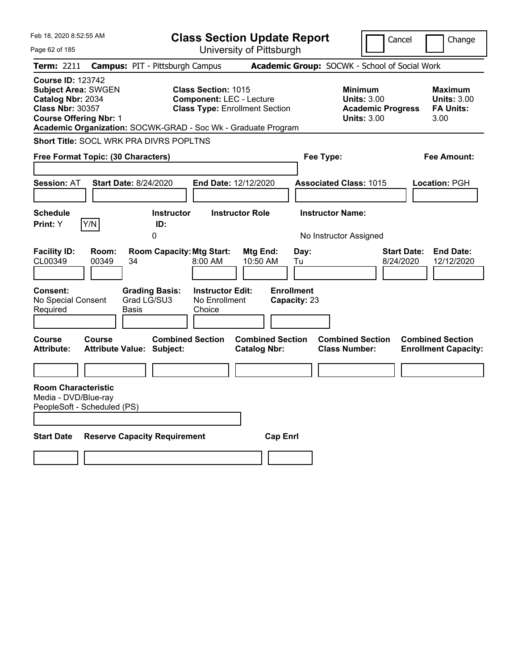| Feb 18, 2020 8:52:55 AM                                                                                                                 |                |                                                                                         |                                                               | <b>Class Section Update Report</b>             |                                                 |                                                            | Cancel                   |                    | Change                                                           |
|-----------------------------------------------------------------------------------------------------------------------------------------|----------------|-----------------------------------------------------------------------------------------|---------------------------------------------------------------|------------------------------------------------|-------------------------------------------------|------------------------------------------------------------|--------------------------|--------------------|------------------------------------------------------------------|
| Page 62 of 185                                                                                                                          |                |                                                                                         |                                                               | University of Pittsburgh                       |                                                 |                                                            |                          |                    |                                                                  |
| Term: 2211                                                                                                                              |                | <b>Campus: PIT - Pittsburgh Campus</b>                                                  |                                                               |                                                |                                                 | Academic Group: SOCWK - School of Social Work              |                          |                    |                                                                  |
| <b>Course ID: 123742</b><br><b>Subject Area: SWGEN</b><br>Catalog Nbr: 2034<br><b>Class Nbr: 30357</b><br><b>Course Offering Nbr: 1</b> |                | Academic Organization: SOCWK-GRAD - Soc Wk - Graduate Program                           | <b>Class Section: 1015</b><br><b>Component: LEC - Lecture</b> | <b>Class Type: Enrollment Section</b>          |                                                 | <b>Minimum</b><br><b>Units: 3.00</b><br><b>Units: 3.00</b> | <b>Academic Progress</b> |                    | <b>Maximum</b><br><b>Units: 3.00</b><br><b>FA Units:</b><br>3.00 |
|                                                                                                                                         |                | Short Title: SOCL WRK PRA DIVRS POPLTNS                                                 |                                                               |                                                |                                                 |                                                            |                          |                    |                                                                  |
| Free Format Topic: (30 Characters)                                                                                                      |                |                                                                                         |                                                               |                                                | Fee Type:                                       |                                                            |                          |                    | Fee Amount:                                                      |
|                                                                                                                                         |                |                                                                                         |                                                               |                                                |                                                 |                                                            |                          |                    |                                                                  |
| <b>Session: AT</b>                                                                                                                      |                | <b>Start Date: 8/24/2020</b>                                                            | <b>End Date: 12/12/2020</b>                                   |                                                |                                                 | <b>Associated Class: 1015</b>                              |                          |                    | <b>Location: PGH</b>                                             |
|                                                                                                                                         |                |                                                                                         |                                                               |                                                |                                                 |                                                            |                          |                    |                                                                  |
| <b>Schedule</b>                                                                                                                         |                | <b>Instructor</b>                                                                       |                                                               | <b>Instructor Role</b>                         |                                                 | <b>Instructor Name:</b>                                    |                          |                    |                                                                  |
| <b>Print: Y</b>                                                                                                                         | Y/N            | ID:<br>0                                                                                |                                                               |                                                |                                                 | No Instructor Assigned                                     |                          |                    |                                                                  |
| <b>Facility ID:</b><br>CL00349<br><b>Consent:</b><br>No Special Consent<br>Required                                                     | Room:<br>00349 | <b>Room Capacity: Mtg Start:</b><br>34<br><b>Grading Basis:</b><br>Grad LG/SU3<br>Basis | 8:00 AM<br><b>Instructor Edit:</b><br>No Enrollment<br>Choice | Mtg End:<br>10:50 AM                           | Day:<br>Tu<br><b>Enrollment</b><br>Capacity: 23 |                                                            | 8/24/2020                | <b>Start Date:</b> | <b>End Date:</b><br>12/12/2020                                   |
|                                                                                                                                         |                |                                                                                         |                                                               |                                                |                                                 |                                                            |                          |                    |                                                                  |
| Course<br><b>Attribute:</b>                                                                                                             | Course         | <b>Combined Section</b><br><b>Attribute Value: Subject:</b>                             |                                                               | <b>Combined Section</b><br><b>Catalog Nbr:</b> |                                                 | <b>Combined Section</b><br><b>Class Number:</b>            |                          |                    | <b>Combined Section</b><br><b>Enrollment Capacity:</b>           |
|                                                                                                                                         |                |                                                                                         |                                                               |                                                |                                                 |                                                            |                          |                    |                                                                  |
| <b>Room Characteristic</b><br>Media - DVD/Blue-ray<br>PeopleSoft - Scheduled (PS)                                                       |                |                                                                                         |                                                               |                                                |                                                 |                                                            |                          |                    |                                                                  |
| <b>Start Date</b>                                                                                                                       |                | <b>Reserve Capacity Requirement</b>                                                     |                                                               | <b>Cap Enrl</b>                                |                                                 |                                                            |                          |                    |                                                                  |
|                                                                                                                                         |                |                                                                                         |                                                               |                                                |                                                 |                                                            |                          |                    |                                                                  |
|                                                                                                                                         |                |                                                                                         |                                                               |                                                |                                                 |                                                            |                          |                    |                                                                  |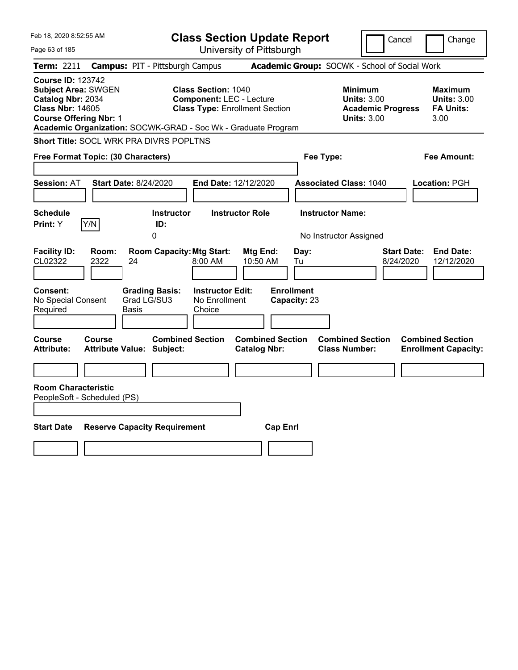| Feb 18, 2020 8:52:55 AM                                                                                                                 |                                                                                                                                | <b>Class Section Update Report</b>             |                                                                                        | Cancel<br>Change                                                  |
|-----------------------------------------------------------------------------------------------------------------------------------------|--------------------------------------------------------------------------------------------------------------------------------|------------------------------------------------|----------------------------------------------------------------------------------------|-------------------------------------------------------------------|
| Page 63 of 185                                                                                                                          |                                                                                                                                | University of Pittsburgh                       |                                                                                        |                                                                   |
| <b>Term: 2211</b>                                                                                                                       | <b>Campus: PIT - Pittsburgh Campus</b>                                                                                         |                                                | Academic Group: SOCWK - School of Social Work                                          |                                                                   |
| <b>Course ID: 123742</b><br><b>Subject Area: SWGEN</b><br>Catalog Nbr: 2034<br><b>Class Nbr: 14605</b><br><b>Course Offering Nbr: 1</b> | <b>Class Section: 1040</b><br><b>Component: LEC - Lecture</b><br>Academic Organization: SOCWK-GRAD - Soc Wk - Graduate Program | <b>Class Type: Enrollment Section</b>          | <b>Minimum</b><br><b>Units: 3.00</b><br><b>Academic Progress</b><br><b>Units: 3.00</b> | <b>Maximum</b><br><b>Units: 3.00</b><br><b>FA Units:</b><br>3.00  |
| Short Title: SOCL WRK PRA DIVRS POPLTNS                                                                                                 |                                                                                                                                |                                                |                                                                                        |                                                                   |
| Free Format Topic: (30 Characters)                                                                                                      |                                                                                                                                |                                                | Fee Type:                                                                              | <b>Fee Amount:</b>                                                |
| <b>Session: AT</b>                                                                                                                      | <b>Start Date: 8/24/2020</b>                                                                                                   | End Date: 12/12/2020                           | <b>Associated Class: 1040</b>                                                          | Location: PGH                                                     |
| <b>Schedule</b><br>Y/N<br>Print: Y                                                                                                      | <b>Instructor</b><br>ID:<br>0                                                                                                  | <b>Instructor Role</b>                         | <b>Instructor Name:</b><br>No Instructor Assigned                                      |                                                                   |
| <b>Facility ID:</b><br>Room:<br>CL02322<br>2322                                                                                         | <b>Room Capacity: Mtg Start:</b><br>24<br>8:00 AM                                                                              | Mtg End:<br>Day:<br>10:50 AM<br>Tu             |                                                                                        | <b>End Date:</b><br><b>Start Date:</b><br>8/24/2020<br>12/12/2020 |
| Consent:<br>No Special Consent<br>Required                                                                                              | <b>Grading Basis:</b><br><b>Instructor Edit:</b><br>Grad LG/SU3<br>No Enrollment<br>Choice<br>Basis                            | <b>Enrollment</b><br>Capacity: 23              |                                                                                        |                                                                   |
| Course<br>Course<br>Attribute:                                                                                                          | <b>Combined Section</b><br><b>Attribute Value: Subject:</b>                                                                    | <b>Combined Section</b><br><b>Catalog Nbr:</b> | <b>Combined Section</b><br><b>Class Number:</b>                                        | <b>Combined Section</b><br><b>Enrollment Capacity:</b>            |
| <b>Room Characteristic</b><br>PeopleSoft - Scheduled (PS)                                                                               |                                                                                                                                |                                                |                                                                                        |                                                                   |
| <b>Start Date</b>                                                                                                                       | <b>Reserve Capacity Requirement</b>                                                                                            | <b>Cap Enrl</b>                                |                                                                                        |                                                                   |
|                                                                                                                                         |                                                                                                                                |                                                |                                                                                        |                                                                   |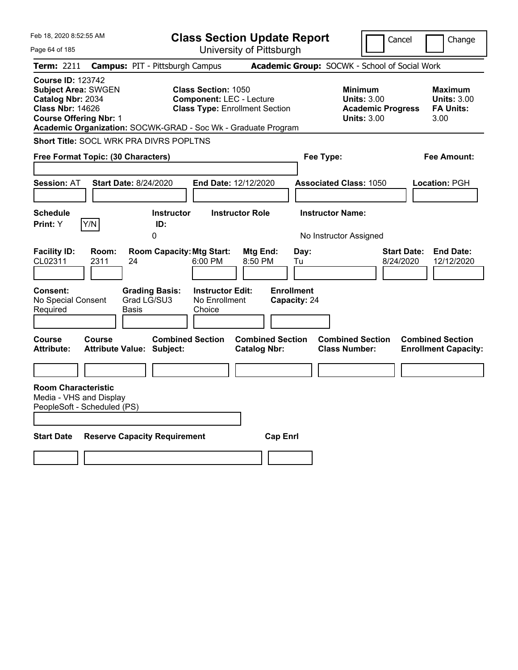| Feb 18, 2020 8:52:55 AM                                                                                                                                                                                  |                                                             | <b>Class Section Update Report</b>                                       |                                                   | Cancel                                                                                 | Change                                                           |
|----------------------------------------------------------------------------------------------------------------------------------------------------------------------------------------------------------|-------------------------------------------------------------|--------------------------------------------------------------------------|---------------------------------------------------|----------------------------------------------------------------------------------------|------------------------------------------------------------------|
| Page 64 of 185                                                                                                                                                                                           |                                                             | University of Pittsburgh                                                 |                                                   |                                                                                        |                                                                  |
| Term: 2211                                                                                                                                                                                               | <b>Campus: PIT - Pittsburgh Campus</b>                      |                                                                          | Academic Group: SOCWK - School of Social Work     |                                                                                        |                                                                  |
| <b>Course ID: 123742</b><br><b>Subject Area: SWGEN</b><br>Catalog Nbr: 2034<br><b>Class Nbr: 14626</b><br><b>Course Offering Nbr: 1</b><br>Academic Organization: SOCWK-GRAD - Soc Wk - Graduate Program | <b>Class Section: 1050</b>                                  | <b>Component: LEC - Lecture</b><br><b>Class Type: Enrollment Section</b> |                                                   | <b>Minimum</b><br><b>Units: 3.00</b><br><b>Academic Progress</b><br><b>Units: 3.00</b> | <b>Maximum</b><br><b>Units: 3.00</b><br><b>FA Units:</b><br>3.00 |
| <b>Short Title: SOCL WRK PRA DIVRS POPLTNS</b>                                                                                                                                                           |                                                             |                                                                          |                                                   |                                                                                        |                                                                  |
| Free Format Topic: (30 Characters)                                                                                                                                                                       |                                                             |                                                                          | Fee Type:                                         |                                                                                        | <b>Fee Amount:</b>                                               |
| <b>Session: AT</b><br><b>Start Date: 8/24/2020</b>                                                                                                                                                       |                                                             | <b>End Date: 12/12/2020</b>                                              | <b>Associated Class: 1050</b>                     |                                                                                        | Location: PGH                                                    |
|                                                                                                                                                                                                          |                                                             |                                                                          |                                                   |                                                                                        |                                                                  |
| <b>Schedule</b><br>Y/N<br><b>Print:</b> Y                                                                                                                                                                | <b>Instructor</b><br>ID:<br>0                               | <b>Instructor Role</b>                                                   | <b>Instructor Name:</b><br>No Instructor Assigned |                                                                                        |                                                                  |
| <b>Facility ID:</b><br>Room:<br>CL02311<br>2311<br>24                                                                                                                                                    | <b>Room Capacity: Mtg Start:</b><br>6:00 PM                 | Mtg End:<br>8:50 PM                                                      | Day:<br>Tu                                        | <b>Start Date:</b><br>8/24/2020                                                        | <b>End Date:</b><br>12/12/2020                                   |
| <b>Consent:</b><br>No Special Consent<br>Required<br>Basis                                                                                                                                               | <b>Grading Basis:</b><br>Grad LG/SU3<br>Choice              | <b>Instructor Edit:</b><br>No Enrollment                                 | <b>Enrollment</b><br>Capacity: 24                 |                                                                                        |                                                                  |
| Course<br>Course<br><b>Attribute:</b>                                                                                                                                                                    | <b>Combined Section</b><br><b>Attribute Value: Subject:</b> | <b>Combined Section</b><br><b>Catalog Nbr:</b>                           | <b>Class Number:</b>                              | <b>Combined Section</b>                                                                | <b>Combined Section</b><br><b>Enrollment Capacity:</b>           |
|                                                                                                                                                                                                          |                                                             |                                                                          |                                                   |                                                                                        |                                                                  |
| <b>Room Characteristic</b><br>Media - VHS and Display<br>PeopleSoft - Scheduled (PS)                                                                                                                     |                                                             |                                                                          |                                                   |                                                                                        |                                                                  |
| <b>Start Date</b>                                                                                                                                                                                        | <b>Reserve Capacity Requirement</b>                         |                                                                          | <b>Cap Enrl</b>                                   |                                                                                        |                                                                  |
|                                                                                                                                                                                                          |                                                             |                                                                          |                                                   |                                                                                        |                                                                  |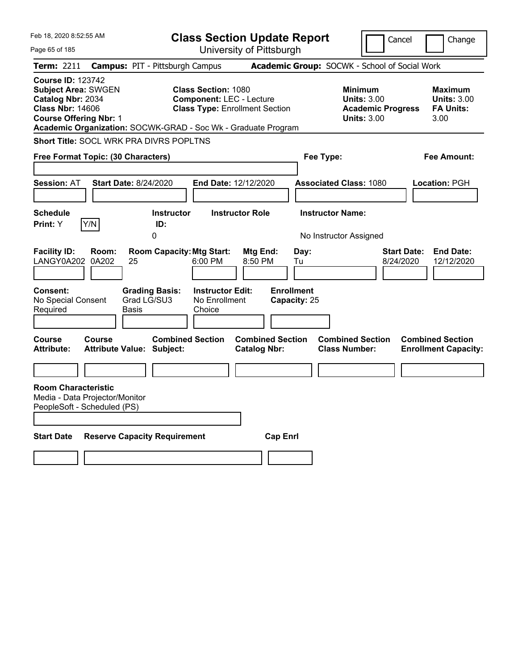| Feb 18, 2020 8:52:55 AM                                                                                                                 |                                    |                                                                          |                                                               | <b>Class Section Update Report</b>             |                                                 |                                                                                        | Cancel                          | Change                                                           |
|-----------------------------------------------------------------------------------------------------------------------------------------|------------------------------------|--------------------------------------------------------------------------|---------------------------------------------------------------|------------------------------------------------|-------------------------------------------------|----------------------------------------------------------------------------------------|---------------------------------|------------------------------------------------------------------|
| Page 65 of 185                                                                                                                          |                                    |                                                                          |                                                               | University of Pittsburgh                       |                                                 |                                                                                        |                                 |                                                                  |
| Term: 2211                                                                                                                              |                                    | <b>Campus: PIT - Pittsburgh Campus</b>                                   |                                                               |                                                |                                                 | Academic Group: SOCWK - School of Social Work                                          |                                 |                                                                  |
| <b>Course ID: 123742</b><br><b>Subject Area: SWGEN</b><br>Catalog Nbr: 2034<br><b>Class Nbr: 14606</b><br><b>Course Offering Nbr: 1</b> |                                    | Academic Organization: SOCWK-GRAD - Soc Wk - Graduate Program            | <b>Class Section: 1080</b><br><b>Component: LEC - Lecture</b> | <b>Class Type: Enrollment Section</b>          |                                                 | <b>Minimum</b><br><b>Units: 3.00</b><br><b>Academic Progress</b><br><b>Units: 3.00</b> |                                 | <b>Maximum</b><br><b>Units: 3.00</b><br><b>FA Units:</b><br>3.00 |
|                                                                                                                                         |                                    | <b>Short Title: SOCL WRK PRA DIVRS POPLTNS</b>                           |                                                               |                                                |                                                 |                                                                                        |                                 |                                                                  |
|                                                                                                                                         | Free Format Topic: (30 Characters) |                                                                          |                                                               |                                                | Fee Type:                                       |                                                                                        |                                 | Fee Amount:                                                      |
|                                                                                                                                         |                                    |                                                                          |                                                               |                                                |                                                 |                                                                                        |                                 |                                                                  |
| <b>Session: AT</b>                                                                                                                      | <b>Start Date: 8/24/2020</b>       |                                                                          | End Date: 12/12/2020                                          |                                                |                                                 | <b>Associated Class: 1080</b>                                                          |                                 | <b>Location: PGH</b>                                             |
|                                                                                                                                         |                                    |                                                                          |                                                               |                                                |                                                 |                                                                                        |                                 |                                                                  |
| <b>Schedule</b>                                                                                                                         |                                    | <b>Instructor</b>                                                        |                                                               | <b>Instructor Role</b>                         |                                                 | <b>Instructor Name:</b>                                                                |                                 |                                                                  |
| Print: Y                                                                                                                                | Y/N                                | ID:<br>0                                                                 |                                                               |                                                |                                                 | No Instructor Assigned                                                                 |                                 |                                                                  |
| <b>Facility ID:</b><br>LANGY0A202<br><b>Consent:</b><br>No Special Consent<br>Required                                                  | Room:<br>0A202<br>25<br>Basis      | <b>Room Capacity: Mtg Start:</b><br><b>Grading Basis:</b><br>Grad LG/SU3 | 6:00 PM<br><b>Instructor Edit:</b><br>No Enrollment<br>Choice | Mtg End:<br>8:50 PM                            | Day:<br>Tu<br><b>Enrollment</b><br>Capacity: 25 |                                                                                        | <b>Start Date:</b><br>8/24/2020 | <b>End Date:</b><br>12/12/2020                                   |
| Course<br><b>Attribute:</b>                                                                                                             | Course                             | <b>Combined Section</b><br><b>Attribute Value: Subject:</b>              |                                                               | <b>Combined Section</b><br><b>Catalog Nbr:</b> |                                                 | <b>Combined Section</b><br><b>Class Number:</b>                                        |                                 | <b>Combined Section</b><br><b>Enrollment Capacity:</b>           |
|                                                                                                                                         |                                    |                                                                          |                                                               |                                                |                                                 |                                                                                        |                                 |                                                                  |
| <b>Room Characteristic</b><br>Media - Data Projector/Monitor<br>PeopleSoft - Scheduled (PS)                                             |                                    |                                                                          |                                                               |                                                |                                                 |                                                                                        |                                 |                                                                  |
| <b>Start Date</b>                                                                                                                       |                                    | <b>Reserve Capacity Requirement</b>                                      |                                                               | <b>Cap Enrl</b>                                |                                                 |                                                                                        |                                 |                                                                  |
|                                                                                                                                         |                                    |                                                                          |                                                               |                                                |                                                 |                                                                                        |                                 |                                                                  |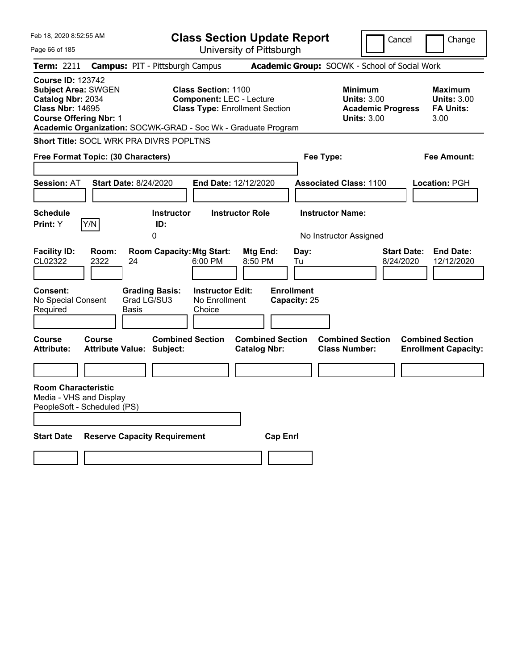| Feb 18, 2020 8:52:55 AM                                                                                                                                                                                  | <b>Class Section Update Report</b>                                                                     |                                                          |                                                 | Cancel                                                               | Change                                                           |
|----------------------------------------------------------------------------------------------------------------------------------------------------------------------------------------------------------|--------------------------------------------------------------------------------------------------------|----------------------------------------------------------|-------------------------------------------------|----------------------------------------------------------------------|------------------------------------------------------------------|
| Page 66 of 185                                                                                                                                                                                           |                                                                                                        | University of Pittsburgh                                 |                                                 |                                                                      |                                                                  |
| <b>Campus: PIT - Pittsburgh Campus</b><br><b>Term: 2211</b>                                                                                                                                              |                                                                                                        |                                                          | Academic Group: SOCWK - School of Social Work   |                                                                      |                                                                  |
| <b>Course ID: 123742</b><br><b>Subject Area: SWGEN</b><br>Catalog Nbr: 2034<br><b>Class Nbr: 14695</b><br><b>Course Offering Nbr: 1</b><br>Academic Organization: SOCWK-GRAD - Soc Wk - Graduate Program | <b>Class Section: 1100</b><br><b>Component: LEC - Lecture</b><br><b>Class Type: Enrollment Section</b> |                                                          | <b>Minimum</b>                                  | <b>Units: 3.00</b><br><b>Academic Progress</b><br><b>Units: 3.00</b> | <b>Maximum</b><br><b>Units: 3.00</b><br><b>FA Units:</b><br>3.00 |
| Short Title: SOCL WRK PRA DIVRS POPLTNS                                                                                                                                                                  |                                                                                                        |                                                          |                                                 |                                                                      |                                                                  |
| Free Format Topic: (30 Characters)                                                                                                                                                                       |                                                                                                        |                                                          | Fee Type:                                       |                                                                      | Fee Amount:                                                      |
|                                                                                                                                                                                                          |                                                                                                        |                                                          |                                                 |                                                                      |                                                                  |
| <b>Start Date: 8/24/2020</b><br><b>Session: AT</b>                                                                                                                                                       | End Date: 12/12/2020                                                                                   |                                                          | <b>Associated Class: 1100</b>                   |                                                                      | Location: PGH                                                    |
|                                                                                                                                                                                                          |                                                                                                        |                                                          |                                                 |                                                                      |                                                                  |
| <b>Schedule</b><br>Y/N<br><b>Print:</b> Y                                                                                                                                                                | <b>Instructor</b>                                                                                      | <b>Instructor Role</b>                                   | <b>Instructor Name:</b>                         |                                                                      |                                                                  |
| 0                                                                                                                                                                                                        | ID:                                                                                                    |                                                          | No Instructor Assigned                          |                                                                      |                                                                  |
| <b>Facility ID:</b><br>Room:<br>CL02322<br>2322<br>24<br><b>Consent:</b><br><b>Grading Basis:</b><br>No Special Consent<br>Grad LG/SU3                                                                   | <b>Room Capacity: Mtg Start:</b><br>6:00 PM<br><b>Instructor Edit:</b><br>No Enrollment                | Mtg End:<br>8:50 PM<br><b>Enrollment</b><br>Capacity: 25 | Day:<br>Tu                                      | Start Date:<br>8/24/2020                                             | <b>End Date:</b><br>12/12/2020                                   |
| Required<br>Basis                                                                                                                                                                                        | Choice                                                                                                 |                                                          |                                                 |                                                                      |                                                                  |
| <b>Course</b><br><b>Course</b><br><b>Attribute Value: Subject:</b><br><b>Attribute:</b>                                                                                                                  | <b>Combined Section</b>                                                                                | <b>Combined Section</b><br><b>Catalog Nbr:</b>           | <b>Combined Section</b><br><b>Class Number:</b> |                                                                      | <b>Combined Section</b><br><b>Enrollment Capacity:</b>           |
| <b>Room Characteristic</b><br>Media - VHS and Display<br>PeopleSoft - Scheduled (PS)                                                                                                                     |                                                                                                        |                                                          |                                                 |                                                                      |                                                                  |
| <b>Start Date</b><br><b>Reserve Capacity Requirement</b>                                                                                                                                                 |                                                                                                        | <b>Cap Enrl</b>                                          |                                                 |                                                                      |                                                                  |
|                                                                                                                                                                                                          |                                                                                                        |                                                          |                                                 |                                                                      |                                                                  |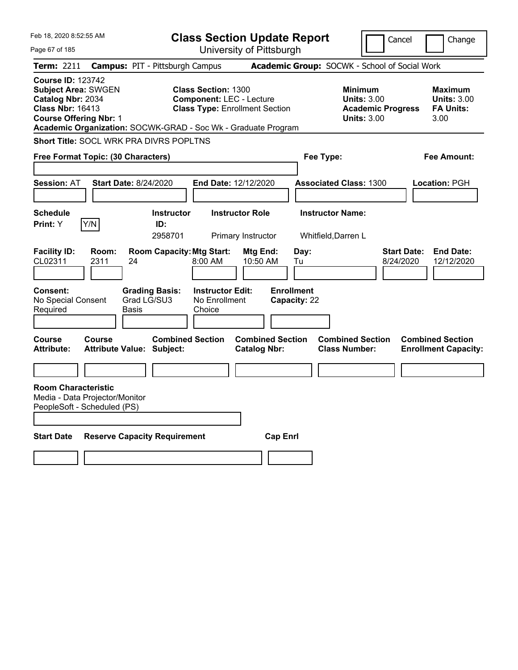| Feb 18, 2020 8:52:55 AM                                                                                                                 |                                                               | <b>Class Section Update Report</b>                                                                     |                                                |                                                                                 | Cancel<br>Change                                                  |
|-----------------------------------------------------------------------------------------------------------------------------------------|---------------------------------------------------------------|--------------------------------------------------------------------------------------------------------|------------------------------------------------|---------------------------------------------------------------------------------|-------------------------------------------------------------------|
| Page 67 of 185                                                                                                                          |                                                               | University of Pittsburgh                                                                               |                                                |                                                                                 |                                                                   |
| Term: 2211                                                                                                                              | <b>Campus: PIT - Pittsburgh Campus</b>                        |                                                                                                        |                                                | Academic Group: SOCWK - School of Social Work                                   |                                                                   |
| <b>Course ID: 123742</b><br><b>Subject Area: SWGEN</b><br>Catalog Nbr: 2034<br><b>Class Nbr: 16413</b><br><b>Course Offering Nbr: 1</b> | Academic Organization: SOCWK-GRAD - Soc Wk - Graduate Program | <b>Class Section: 1300</b><br><b>Component: LEC - Lecture</b><br><b>Class Type: Enrollment Section</b> |                                                | Minimum<br><b>Units: 3.00</b><br><b>Academic Progress</b><br><b>Units: 3.00</b> | Maximum<br><b>Units: 3.00</b><br><b>FA Units:</b><br>3.00         |
|                                                                                                                                         | <b>Short Title: SOCL WRK PRA DIVRS POPLTNS</b>                |                                                                                                        |                                                |                                                                                 |                                                                   |
| Free Format Topic: (30 Characters)                                                                                                      |                                                               |                                                                                                        |                                                | Fee Type:                                                                       | Fee Amount:                                                       |
| <b>Session: AT</b>                                                                                                                      | Start Date: 8/24/2020                                         | <b>End Date: 12/12/2020</b>                                                                            |                                                | <b>Associated Class: 1300</b>                                                   | Location: PGH                                                     |
| <b>Schedule</b><br>Y/N<br><b>Print:</b> Y                                                                                               | <b>Instructor</b><br>ID:<br>2958701                           | <b>Instructor Role</b><br>Primary Instructor                                                           |                                                | <b>Instructor Name:</b><br>Whitfield, Darren L                                  |                                                                   |
| <b>Facility ID:</b><br>Room:<br>CL02311<br>2311                                                                                         | <b>Room Capacity: Mtg Start:</b><br>24                        | $8:00 \, \text{AM}$                                                                                    | Day:<br>Mtg End:<br>10:50 AM<br>Tu             |                                                                                 | <b>Start Date:</b><br><b>End Date:</b><br>8/24/2020<br>12/12/2020 |
| <b>Consent:</b><br>No Special Consent<br>Required                                                                                       | <b>Grading Basis:</b><br>Grad LG/SU3<br>Basis                 | <b>Instructor Edit:</b><br>No Enrollment<br>Choice                                                     | <b>Enrollment</b><br>Capacity: 22              |                                                                                 |                                                                   |
| Course<br>Course<br><b>Attribute:</b>                                                                                                   | <b>Attribute Value: Subject:</b>                              | <b>Combined Section</b>                                                                                | <b>Combined Section</b><br><b>Catalog Nbr:</b> | <b>Combined Section</b><br><b>Class Number:</b>                                 | <b>Combined Section</b><br><b>Enrollment Capacity:</b>            |
|                                                                                                                                         |                                                               |                                                                                                        |                                                |                                                                                 |                                                                   |
| <b>Room Characteristic</b><br>Media - Data Projector/Monitor<br>PeopleSoft - Scheduled (PS)                                             |                                                               |                                                                                                        |                                                |                                                                                 |                                                                   |
| <b>Start Date</b>                                                                                                                       | <b>Reserve Capacity Requirement</b>                           |                                                                                                        | <b>Cap Enrl</b>                                |                                                                                 |                                                                   |
|                                                                                                                                         |                                                               |                                                                                                        |                                                |                                                                                 |                                                                   |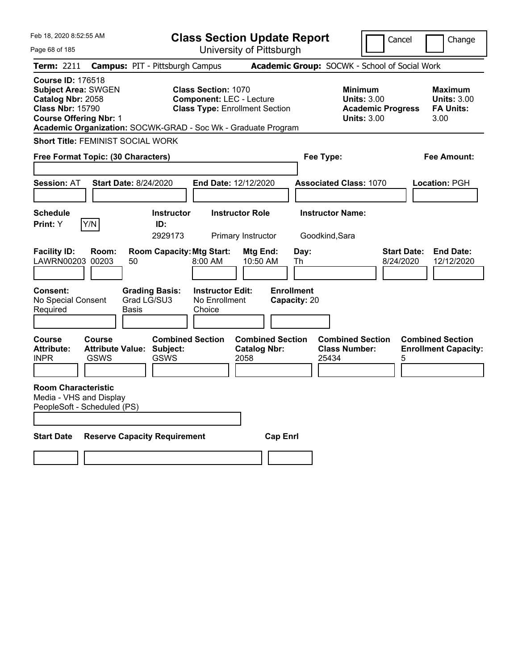| Feb 18, 2020 8:52:55 AM                                                                                                                 |                                                        |                                                                                |                                                               | <b>Class Section Update Report</b>                     |                                                 |                                                                                 | Cancel                          | Change                                                    |
|-----------------------------------------------------------------------------------------------------------------------------------------|--------------------------------------------------------|--------------------------------------------------------------------------------|---------------------------------------------------------------|--------------------------------------------------------|-------------------------------------------------|---------------------------------------------------------------------------------|---------------------------------|-----------------------------------------------------------|
| Page 68 of 185                                                                                                                          |                                                        |                                                                                |                                                               | University of Pittsburgh                               |                                                 |                                                                                 |                                 |                                                           |
| Term: 2211                                                                                                                              |                                                        | <b>Campus: PIT - Pittsburgh Campus</b>                                         |                                                               |                                                        |                                                 | Academic Group: SOCWK - School of Social Work                                   |                                 |                                                           |
| <b>Course ID: 176518</b><br><b>Subject Area: SWGEN</b><br>Catalog Nbr: 2058<br><b>Class Nbr: 15790</b><br><b>Course Offering Nbr: 1</b> |                                                        | Academic Organization: SOCWK-GRAD - Soc Wk - Graduate Program                  | <b>Class Section: 1070</b><br><b>Component: LEC - Lecture</b> | <b>Class Type: Enrollment Section</b>                  |                                                 | Minimum<br><b>Units: 3.00</b><br><b>Academic Progress</b><br><b>Units: 3.00</b> |                                 | Maximum<br><b>Units: 3.00</b><br><b>FA Units:</b><br>3.00 |
|                                                                                                                                         |                                                        | <b>Short Title: FEMINIST SOCIAL WORK</b>                                       |                                                               |                                                        |                                                 |                                                                                 |                                 |                                                           |
|                                                                                                                                         | <b>Free Format Topic: (30 Characters)</b>              |                                                                                |                                                               |                                                        | Fee Type:                                       |                                                                                 |                                 | Fee Amount:                                               |
|                                                                                                                                         |                                                        |                                                                                |                                                               |                                                        |                                                 |                                                                                 |                                 |                                                           |
| <b>Session: AT</b>                                                                                                                      |                                                        | <b>Start Date: 8/24/2020</b>                                                   | End Date: 12/12/2020                                          |                                                        |                                                 | <b>Associated Class: 1070</b>                                                   |                                 | <b>Location: PGH</b>                                      |
|                                                                                                                                         |                                                        |                                                                                |                                                               |                                                        |                                                 |                                                                                 |                                 |                                                           |
| <b>Schedule</b>                                                                                                                         |                                                        | <b>Instructor</b>                                                              |                                                               | <b>Instructor Role</b>                                 |                                                 | <b>Instructor Name:</b>                                                         |                                 |                                                           |
| <b>Print:</b> Y                                                                                                                         | Y/N                                                    | ID:<br>2929173                                                                 |                                                               | Primary Instructor                                     | Goodkind, Sara                                  |                                                                                 |                                 |                                                           |
| <b>Facility ID:</b><br>LAWRN00203<br>Consent:<br>No Special Consent                                                                     | Room:<br>00203                                         | <b>Room Capacity: Mtg Start:</b><br>50<br><b>Grading Basis:</b><br>Grad LG/SU3 | 8:00 AM<br><b>Instructor Edit:</b><br>No Enrollment           | Mtg End:<br>10:50 AM                                   | Day:<br>Th<br><b>Enrollment</b><br>Capacity: 20 |                                                                                 | <b>Start Date:</b><br>8/24/2020 | <b>End Date:</b><br>12/12/2020                            |
| Required                                                                                                                                |                                                        | Basis                                                                          | Choice                                                        |                                                        |                                                 |                                                                                 |                                 |                                                           |
| <b>Course</b><br><b>Attribute:</b><br><b>INPR</b>                                                                                       | <b>Course</b><br><b>Attribute Value:</b><br>GSWS       | <b>Combined Section</b><br>Subject:<br><b>GSWS</b>                             |                                                               | <b>Combined Section</b><br><b>Catalog Nbr:</b><br>2058 | 25434                                           | <b>Combined Section</b><br><b>Class Number:</b>                                 | 5                               | <b>Combined Section</b><br><b>Enrollment Capacity:</b>    |
| <b>Room Characteristic</b>                                                                                                              | Media - VHS and Display<br>PeopleSoft - Scheduled (PS) |                                                                                |                                                               |                                                        |                                                 |                                                                                 |                                 |                                                           |
| <b>Start Date</b>                                                                                                                       |                                                        | <b>Reserve Capacity Requirement</b>                                            |                                                               | <b>Cap Enri</b>                                        |                                                 |                                                                                 |                                 |                                                           |
|                                                                                                                                         |                                                        |                                                                                |                                                               |                                                        |                                                 |                                                                                 |                                 |                                                           |
|                                                                                                                                         |                                                        |                                                                                |                                                               |                                                        |                                                 |                                                                                 |                                 |                                                           |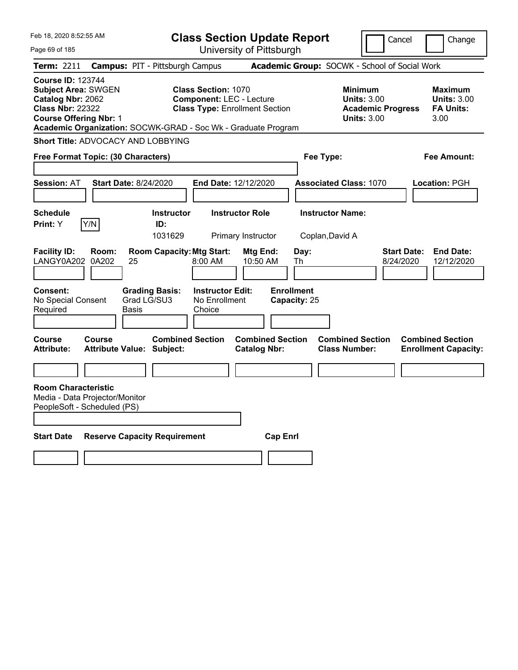| Feb 18, 2020 8:52:55 AM                                                                                                                 |                                    |                                                                                         |                                                               | <b>Class Section Update Report</b>             |                                                 |                                                                                        | Cancel                          | Change                                                    |
|-----------------------------------------------------------------------------------------------------------------------------------------|------------------------------------|-----------------------------------------------------------------------------------------|---------------------------------------------------------------|------------------------------------------------|-------------------------------------------------|----------------------------------------------------------------------------------------|---------------------------------|-----------------------------------------------------------|
| Page 69 of 185                                                                                                                          |                                    |                                                                                         |                                                               | University of Pittsburgh                       |                                                 |                                                                                        |                                 |                                                           |
| Term: 2211                                                                                                                              |                                    | <b>Campus: PIT - Pittsburgh Campus</b>                                                  |                                                               |                                                |                                                 | Academic Group: SOCWK - School of Social Work                                          |                                 |                                                           |
| <b>Course ID: 123744</b><br><b>Subject Area: SWGEN</b><br>Catalog Nbr: 2062<br><b>Class Nbr: 22322</b><br><b>Course Offering Nbr: 1</b> |                                    | Academic Organization: SOCWK-GRAD - Soc Wk - Graduate Program                           | <b>Class Section: 1070</b><br><b>Component: LEC - Lecture</b> | <b>Class Type: Enrollment Section</b>          |                                                 | <b>Minimum</b><br><b>Units: 3.00</b><br><b>Academic Progress</b><br><b>Units: 3.00</b> |                                 | Maximum<br><b>Units: 3.00</b><br><b>FA Units:</b><br>3.00 |
|                                                                                                                                         |                                    | Short Title: ADVOCACY AND LOBBYING                                                      |                                                               |                                                |                                                 |                                                                                        |                                 |                                                           |
|                                                                                                                                         | Free Format Topic: (30 Characters) |                                                                                         |                                                               |                                                | Fee Type:                                       |                                                                                        |                                 | Fee Amount:                                               |
|                                                                                                                                         |                                    |                                                                                         |                                                               |                                                |                                                 |                                                                                        |                                 |                                                           |
| <b>Session: AT</b>                                                                                                                      |                                    | <b>Start Date: 8/24/2020</b>                                                            | <b>End Date: 12/12/2020</b>                                   |                                                |                                                 | <b>Associated Class: 1070</b>                                                          |                                 | Location: PGH                                             |
|                                                                                                                                         |                                    |                                                                                         |                                                               |                                                |                                                 |                                                                                        |                                 |                                                           |
| <b>Schedule</b><br><b>Print:</b> Y                                                                                                      | Y/N                                | <b>Instructor</b><br>ID:                                                                |                                                               | <b>Instructor Role</b>                         | <b>Instructor Name:</b>                         |                                                                                        |                                 |                                                           |
|                                                                                                                                         |                                    | 1031629                                                                                 |                                                               | Primary Instructor                             | Coplan, David A                                 |                                                                                        |                                 |                                                           |
| <b>Facility ID:</b><br>LANGY0A202<br><b>Consent:</b><br>No Special Consent<br>Required                                                  | Room:<br>0A202                     | <b>Room Capacity: Mtg Start:</b><br>25<br><b>Grading Basis:</b><br>Grad LG/SU3<br>Basis | 8:00 AM<br><b>Instructor Edit:</b><br>No Enrollment<br>Choice | Mtg End:<br>10:50 AM                           | Day:<br>Th<br><b>Enrollment</b><br>Capacity: 25 |                                                                                        | <b>Start Date:</b><br>8/24/2020 | <b>End Date:</b><br>12/12/2020                            |
|                                                                                                                                         |                                    |                                                                                         |                                                               |                                                |                                                 |                                                                                        |                                 |                                                           |
| <b>Course</b><br><b>Attribute:</b>                                                                                                      | <b>Course</b>                      | <b>Combined Section</b><br><b>Attribute Value: Subject:</b>                             |                                                               | <b>Combined Section</b><br><b>Catalog Nbr:</b> |                                                 | <b>Combined Section</b><br><b>Class Number:</b>                                        |                                 | <b>Combined Section</b><br><b>Enrollment Capacity:</b>    |
|                                                                                                                                         |                                    |                                                                                         |                                                               |                                                |                                                 |                                                                                        |                                 |                                                           |
| <b>Room Characteristic</b><br>Media - Data Projector/Monitor<br>PeopleSoft - Scheduled (PS)                                             |                                    |                                                                                         |                                                               |                                                |                                                 |                                                                                        |                                 |                                                           |
| <b>Start Date</b>                                                                                                                       |                                    | <b>Reserve Capacity Requirement</b>                                                     |                                                               | <b>Cap Enri</b>                                |                                                 |                                                                                        |                                 |                                                           |
|                                                                                                                                         |                                    |                                                                                         |                                                               |                                                |                                                 |                                                                                        |                                 |                                                           |
|                                                                                                                                         |                                    |                                                                                         |                                                               |                                                |                                                 |                                                                                        |                                 |                                                           |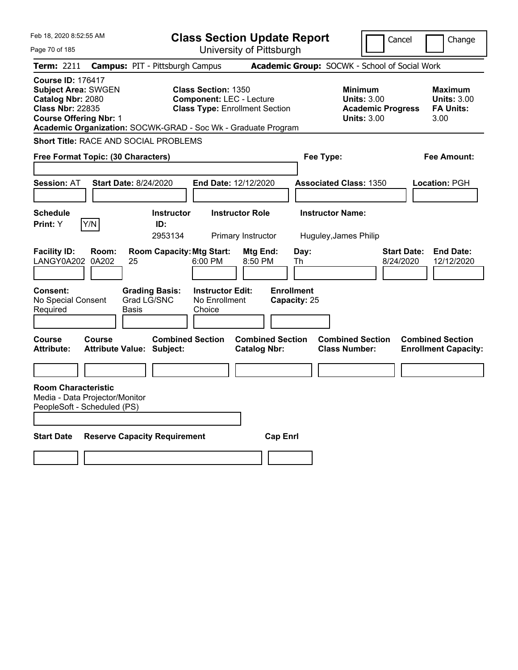| Feb 18, 2020 8:52:55 AM                                                                                                                                                                                  |                                                                 | <b>Class Section Update Report</b>                                                                     |                                                |                                 |                                                                                        | Cancel<br>Change                                                  |
|----------------------------------------------------------------------------------------------------------------------------------------------------------------------------------------------------------|-----------------------------------------------------------------|--------------------------------------------------------------------------------------------------------|------------------------------------------------|---------------------------------|----------------------------------------------------------------------------------------|-------------------------------------------------------------------|
| Page 70 of 185                                                                                                                                                                                           |                                                                 |                                                                                                        | University of Pittsburgh                       |                                 |                                                                                        |                                                                   |
| <b>Term: 2211</b>                                                                                                                                                                                        | <b>Campus: PIT - Pittsburgh Campus</b>                          |                                                                                                        |                                                |                                 | Academic Group: SOCWK - School of Social Work                                          |                                                                   |
| <b>Course ID: 176417</b><br><b>Subject Area: SWGEN</b><br>Catalog Nbr: 2080<br><b>Class Nbr: 22835</b><br><b>Course Offering Nbr: 1</b><br>Academic Organization: SOCWK-GRAD - Soc Wk - Graduate Program |                                                                 | <b>Class Section: 1350</b><br><b>Component: LEC - Lecture</b><br><b>Class Type: Enrollment Section</b> |                                                |                                 | <b>Minimum</b><br><b>Units: 3.00</b><br><b>Academic Progress</b><br><b>Units: 3.00</b> | Maximum<br><b>Units: 3.00</b><br><b>FA Units:</b><br>3.00         |
| <b>Short Title: RACE AND SOCIAL PROBLEMS</b>                                                                                                                                                             |                                                                 |                                                                                                        |                                                |                                 |                                                                                        |                                                                   |
| Free Format Topic: (30 Characters)                                                                                                                                                                       |                                                                 |                                                                                                        |                                                | Fee Type:                       |                                                                                        | Fee Amount:                                                       |
|                                                                                                                                                                                                          |                                                                 |                                                                                                        |                                                |                                 |                                                                                        |                                                                   |
| <b>Session: AT</b>                                                                                                                                                                                       | <b>Start Date: 8/24/2020</b>                                    | <b>End Date: 12/12/2020</b>                                                                            |                                                |                                 | <b>Associated Class: 1350</b>                                                          | <b>Location: PGH</b>                                              |
|                                                                                                                                                                                                          |                                                                 |                                                                                                        |                                                |                                 |                                                                                        |                                                                   |
| <b>Schedule</b>                                                                                                                                                                                          | <b>Instructor</b>                                               |                                                                                                        | <b>Instructor Role</b>                         | <b>Instructor Name:</b>         |                                                                                        |                                                                   |
| Y/N<br><b>Print:</b> Y                                                                                                                                                                                   | ID:<br>2953134                                                  |                                                                                                        | Primary Instructor                             |                                 | Huguley, James Philip                                                                  |                                                                   |
| <b>Facility ID:</b><br>Room:<br>LANGY0A202<br>0A202<br><b>Consent:</b>                                                                                                                                   | <b>Room Capacity: Mtg Start:</b><br>25<br><b>Grading Basis:</b> | 6:00 PM<br><b>Instructor Edit:</b>                                                                     | Mtg End:<br>8:50 PM                            | Day:<br>Th<br><b>Enrollment</b> |                                                                                        | <b>Start Date:</b><br><b>End Date:</b><br>8/24/2020<br>12/12/2020 |
| No Special Consent<br>Required                                                                                                                                                                           | Grad LG/SNC<br>Basis                                            | No Enrollment<br>Choice                                                                                |                                                | Capacity: 25                    |                                                                                        |                                                                   |
| <b>Course</b><br><b>Course</b><br><b>Attribute:</b>                                                                                                                                                      | <b>Combined Section</b><br><b>Attribute Value: Subject:</b>     |                                                                                                        | <b>Combined Section</b><br><b>Catalog Nbr:</b> |                                 | <b>Combined Section</b><br><b>Class Number:</b>                                        | <b>Combined Section</b><br><b>Enrollment Capacity:</b>            |
|                                                                                                                                                                                                          |                                                                 |                                                                                                        |                                                |                                 |                                                                                        |                                                                   |
| <b>Room Characteristic</b><br>Media - Data Projector/Monitor<br>PeopleSoft - Scheduled (PS)                                                                                                              |                                                                 |                                                                                                        |                                                |                                 |                                                                                        |                                                                   |
| <b>Start Date</b>                                                                                                                                                                                        | <b>Reserve Capacity Requirement</b>                             |                                                                                                        | <b>Cap Enri</b>                                |                                 |                                                                                        |                                                                   |
|                                                                                                                                                                                                          |                                                                 |                                                                                                        |                                                |                                 |                                                                                        |                                                                   |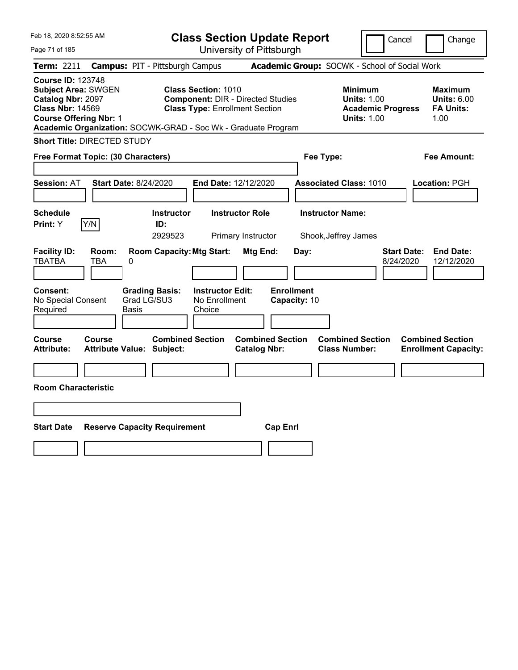| Feb 18, 2020 8:52:55 AM                                                                                                                                                                                  |                                                             |                                                                                                                 | <b>Class Section Update Report</b>             |                                                            | Cancel                          | Change                                                    |
|----------------------------------------------------------------------------------------------------------------------------------------------------------------------------------------------------------|-------------------------------------------------------------|-----------------------------------------------------------------------------------------------------------------|------------------------------------------------|------------------------------------------------------------|---------------------------------|-----------------------------------------------------------|
| Page 71 of 185                                                                                                                                                                                           |                                                             | University of Pittsburgh                                                                                        |                                                |                                                            |                                 |                                                           |
| Term: 2211                                                                                                                                                                                               | <b>Campus: PIT - Pittsburgh Campus</b>                      |                                                                                                                 |                                                | Academic Group: SOCWK - School of Social Work              |                                 |                                                           |
| <b>Course ID: 123748</b><br><b>Subject Area: SWGEN</b><br>Catalog Nbr: 2097<br><b>Class Nbr: 14569</b><br><b>Course Offering Nbr: 1</b><br>Academic Organization: SOCWK-GRAD - Soc Wk - Graduate Program |                                                             | <b>Class Section: 1010</b><br><b>Component: DIR - Directed Studies</b><br><b>Class Type: Enrollment Section</b> |                                                | <b>Minimum</b><br><b>Units: 1.00</b><br><b>Units: 1.00</b> | <b>Academic Progress</b>        | Maximum<br><b>Units: 6.00</b><br><b>FA Units:</b><br>1.00 |
| <b>Short Title: DIRECTED STUDY</b>                                                                                                                                                                       |                                                             |                                                                                                                 |                                                |                                                            |                                 |                                                           |
| Free Format Topic: (30 Characters)                                                                                                                                                                       |                                                             |                                                                                                                 |                                                | Fee Type:                                                  |                                 | <b>Fee Amount:</b>                                        |
| <b>Session: AT</b>                                                                                                                                                                                       | <b>Start Date: 8/24/2020</b>                                | End Date: 12/12/2020                                                                                            |                                                | <b>Associated Class: 1010</b>                              |                                 | <b>Location: PGH</b>                                      |
| <b>Schedule</b><br>Y/N<br>Print: Y                                                                                                                                                                       | <b>Instructor</b><br>ID:<br>2929523                         | <b>Instructor Role</b><br>Primary Instructor                                                                    |                                                | <b>Instructor Name:</b><br>Shook, Jeffrey James            |                                 |                                                           |
| <b>Facility ID:</b><br>Room:<br><b>TBATBA</b><br>TBA                                                                                                                                                     | <b>Room Capacity: Mtg Start:</b><br>0                       |                                                                                                                 | Mtg End:<br>Day:                               |                                                            | <b>Start Date:</b><br>8/24/2020 | <b>End Date:</b><br>12/12/2020                            |
| <b>Consent:</b><br>No Special Consent<br>Required                                                                                                                                                        | <b>Grading Basis:</b><br>Grad LG/SU3<br><b>Basis</b>        | <b>Instructor Edit:</b><br>No Enrollment<br>Choice                                                              | <b>Enrollment</b><br>Capacity: 10              |                                                            |                                 |                                                           |
| Course<br><b>Course</b><br><b>Attribute:</b>                                                                                                                                                             | <b>Combined Section</b><br><b>Attribute Value: Subject:</b> |                                                                                                                 | <b>Combined Section</b><br><b>Catalog Nbr:</b> | <b>Combined Section</b><br><b>Class Number:</b>            |                                 | <b>Combined Section</b><br><b>Enrollment Capacity:</b>    |
|                                                                                                                                                                                                          |                                                             |                                                                                                                 |                                                |                                                            |                                 |                                                           |
| <b>Room Characteristic</b>                                                                                                                                                                               |                                                             |                                                                                                                 |                                                |                                                            |                                 |                                                           |
|                                                                                                                                                                                                          |                                                             |                                                                                                                 |                                                |                                                            |                                 |                                                           |
| <b>Start Date</b>                                                                                                                                                                                        | <b>Reserve Capacity Requirement</b>                         |                                                                                                                 | <b>Cap Enrl</b>                                |                                                            |                                 |                                                           |
|                                                                                                                                                                                                          |                                                             |                                                                                                                 |                                                |                                                            |                                 |                                                           |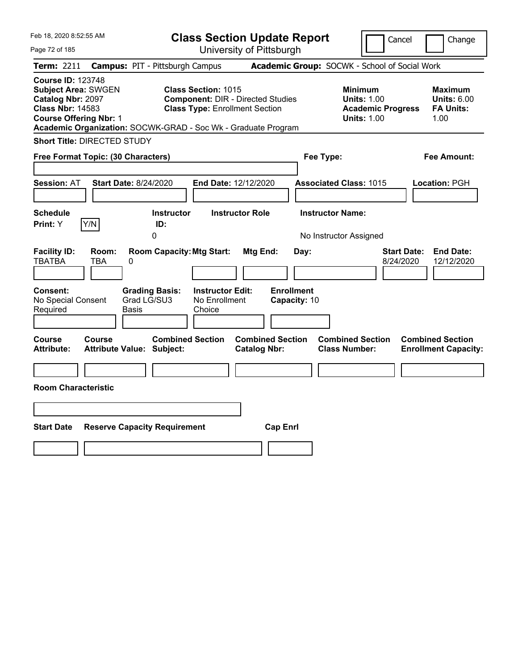| Feb 18, 2020 8:52:55 AM                                                                                                                 |                                                                                                                                              | <b>Class Section Update Report</b>                    | Cancel                                                                                 | Change                                                    |
|-----------------------------------------------------------------------------------------------------------------------------------------|----------------------------------------------------------------------------------------------------------------------------------------------|-------------------------------------------------------|----------------------------------------------------------------------------------------|-----------------------------------------------------------|
| Page 72 of 185                                                                                                                          |                                                                                                                                              | University of Pittsburgh                              |                                                                                        |                                                           |
| Term: 2211                                                                                                                              | <b>Campus: PIT - Pittsburgh Campus</b>                                                                                                       |                                                       | Academic Group: SOCWK - School of Social Work                                          |                                                           |
| <b>Course ID: 123748</b><br><b>Subject Area: SWGEN</b><br>Catalog Nbr: 2097<br><b>Class Nbr: 14583</b><br><b>Course Offering Nbr: 1</b> | <b>Class Section: 1015</b><br><b>Class Type: Enrollment Section</b><br>Academic Organization: SOCWK-GRAD - Soc Wk - Graduate Program         | <b>Component: DIR - Directed Studies</b>              | <b>Minimum</b><br><b>Units: 1.00</b><br><b>Academic Progress</b><br><b>Units: 1.00</b> | Maximum<br><b>Units: 6.00</b><br><b>FA Units:</b><br>1.00 |
| <b>Short Title: DIRECTED STUDY</b>                                                                                                      |                                                                                                                                              |                                                       |                                                                                        |                                                           |
| Free Format Topic: (30 Characters)                                                                                                      |                                                                                                                                              |                                                       | Fee Type:                                                                              | Fee Amount:                                               |
| <b>Session: AT</b>                                                                                                                      | <b>Start Date: 8/24/2020</b>                                                                                                                 | End Date: 12/12/2020                                  | <b>Associated Class: 1015</b>                                                          | Location: PGH                                             |
| <b>Schedule</b><br>Print: Y<br>Y/N                                                                                                      | <b>Instructor</b><br>ID:                                                                                                                     | <b>Instructor Role</b>                                | <b>Instructor Name:</b>                                                                |                                                           |
|                                                                                                                                         | 0                                                                                                                                            |                                                       | No Instructor Assigned                                                                 |                                                           |
| <b>Facility ID:</b><br>Room:<br><b>TBATBA</b><br>TBA<br><b>Consent:</b><br>No Special Consent<br>Required                               | <b>Room Capacity: Mtg Start:</b><br>0<br><b>Instructor Edit:</b><br><b>Grading Basis:</b><br>Grad LG/SU3<br>No Enrollment<br>Basis<br>Choice | Mtg End:<br>Day:<br><b>Enrollment</b><br>Capacity: 10 | 8/24/2020                                                                              | <b>End Date:</b><br><b>Start Date:</b><br>12/12/2020      |
|                                                                                                                                         |                                                                                                                                              |                                                       |                                                                                        |                                                           |
| Course<br>Course<br><b>Attribute:</b>                                                                                                   | <b>Combined Section</b><br><b>Attribute Value: Subject:</b>                                                                                  | <b>Combined Section</b><br><b>Catalog Nbr:</b>        | <b>Combined Section</b><br><b>Class Number:</b>                                        | <b>Combined Section</b><br><b>Enrollment Capacity:</b>    |
|                                                                                                                                         |                                                                                                                                              |                                                       |                                                                                        |                                                           |
| <b>Room Characteristic</b>                                                                                                              |                                                                                                                                              |                                                       |                                                                                        |                                                           |
|                                                                                                                                         |                                                                                                                                              |                                                       |                                                                                        |                                                           |
| <b>Start Date</b>                                                                                                                       | <b>Reserve Capacity Requirement</b>                                                                                                          | <b>Cap Enrl</b>                                       |                                                                                        |                                                           |
|                                                                                                                                         |                                                                                                                                              |                                                       |                                                                                        |                                                           |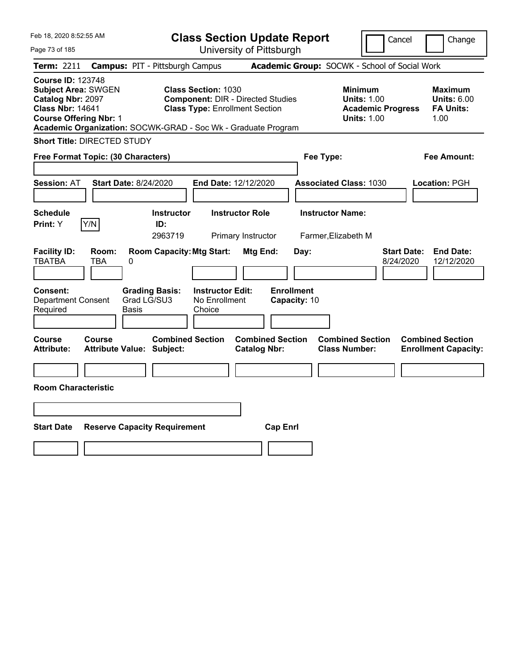| Feb 18, 2020 8:52:55 AM                                                                                                                                                                                  |                                                             | <b>Class Section Update Report</b>                                                |                                                                                        | Change<br>Cancel                                                  |
|----------------------------------------------------------------------------------------------------------------------------------------------------------------------------------------------------------|-------------------------------------------------------------|-----------------------------------------------------------------------------------|----------------------------------------------------------------------------------------|-------------------------------------------------------------------|
| Page 73 of 185                                                                                                                                                                                           |                                                             | University of Pittsburgh                                                          |                                                                                        |                                                                   |
| Term: 2211                                                                                                                                                                                               | <b>Campus: PIT - Pittsburgh Campus</b>                      |                                                                                   | Academic Group: SOCWK - School of Social Work                                          |                                                                   |
| <b>Course ID: 123748</b><br><b>Subject Area: SWGEN</b><br>Catalog Nbr: 2097<br><b>Class Nbr: 14641</b><br><b>Course Offering Nbr: 1</b><br>Academic Organization: SOCWK-GRAD - Soc Wk - Graduate Program | <b>Class Section: 1030</b>                                  | <b>Component: DIR - Directed Studies</b><br><b>Class Type: Enrollment Section</b> | <b>Minimum</b><br><b>Units: 1.00</b><br><b>Academic Progress</b><br><b>Units: 1.00</b> | Maximum<br><b>Units: 6.00</b><br><b>FA Units:</b><br>1.00         |
| <b>Short Title: DIRECTED STUDY</b>                                                                                                                                                                       |                                                             |                                                                                   |                                                                                        |                                                                   |
| Free Format Topic: (30 Characters)                                                                                                                                                                       |                                                             |                                                                                   | Fee Type:                                                                              | <b>Fee Amount:</b>                                                |
| <b>Session: AT</b>                                                                                                                                                                                       | <b>Start Date: 8/24/2020</b>                                | End Date: 12/12/2020                                                              | <b>Associated Class: 1030</b>                                                          | Location: PGH                                                     |
| <b>Schedule</b><br>Y/N<br>Print: Y                                                                                                                                                                       | <b>Instructor</b><br>ID:<br>2963719                         | <b>Instructor Role</b><br>Primary Instructor                                      | <b>Instructor Name:</b><br>Farmer, Elizabeth M                                         |                                                                   |
| <b>Facility ID:</b><br>Room:<br><b>TBATBA</b><br>TBA                                                                                                                                                     | <b>Room Capacity: Mtg Start:</b><br>0                       | Mtg End:<br>Day:                                                                  |                                                                                        | <b>End Date:</b><br><b>Start Date:</b><br>8/24/2020<br>12/12/2020 |
| <b>Consent:</b><br><b>Department Consent</b><br>Required                                                                                                                                                 | <b>Grading Basis:</b><br>Grad LG/SU3<br>Basis<br>Choice     | <b>Enrollment</b><br><b>Instructor Edit:</b><br>No Enrollment<br>Capacity: 10     |                                                                                        |                                                                   |
| <b>Course</b><br>Course<br><b>Attribute:</b>                                                                                                                                                             | <b>Combined Section</b><br><b>Attribute Value: Subject:</b> | <b>Combined Section</b><br><b>Catalog Nbr:</b>                                    | <b>Combined Section</b><br><b>Class Number:</b>                                        | <b>Combined Section</b><br><b>Enrollment Capacity:</b>            |
|                                                                                                                                                                                                          |                                                             |                                                                                   |                                                                                        |                                                                   |
| <b>Room Characteristic</b>                                                                                                                                                                               |                                                             |                                                                                   |                                                                                        |                                                                   |
|                                                                                                                                                                                                          |                                                             |                                                                                   |                                                                                        |                                                                   |
| <b>Start Date</b>                                                                                                                                                                                        | <b>Reserve Capacity Requirement</b>                         | <b>Cap Enrl</b>                                                                   |                                                                                        |                                                                   |
|                                                                                                                                                                                                          |                                                             |                                                                                   |                                                                                        |                                                                   |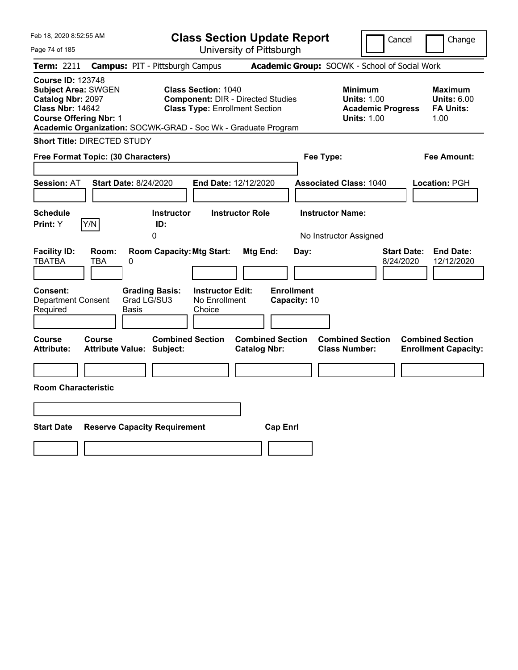| Feb 18, 2020 8:52:55 AM                                                                                                                 |                                                                                                                                              | <b>Class Section Update Report</b>                    | Cancel                                                                                 | Change                                                    |
|-----------------------------------------------------------------------------------------------------------------------------------------|----------------------------------------------------------------------------------------------------------------------------------------------|-------------------------------------------------------|----------------------------------------------------------------------------------------|-----------------------------------------------------------|
| Page 74 of 185                                                                                                                          |                                                                                                                                              | University of Pittsburgh                              |                                                                                        |                                                           |
| Term: 2211                                                                                                                              | <b>Campus: PIT - Pittsburgh Campus</b>                                                                                                       |                                                       | Academic Group: SOCWK - School of Social Work                                          |                                                           |
| <b>Course ID: 123748</b><br><b>Subject Area: SWGEN</b><br>Catalog Nbr: 2097<br><b>Class Nbr: 14642</b><br><b>Course Offering Nbr: 1</b> | <b>Class Section: 1040</b><br><b>Class Type: Enrollment Section</b><br>Academic Organization: SOCWK-GRAD - Soc Wk - Graduate Program         | <b>Component: DIR - Directed Studies</b>              | <b>Minimum</b><br><b>Units: 1.00</b><br><b>Academic Progress</b><br><b>Units: 1.00</b> | Maximum<br><b>Units: 6.00</b><br><b>FA Units:</b><br>1.00 |
| <b>Short Title: DIRECTED STUDY</b>                                                                                                      |                                                                                                                                              |                                                       |                                                                                        |                                                           |
| Free Format Topic: (30 Characters)                                                                                                      |                                                                                                                                              |                                                       | Fee Type:                                                                              | Fee Amount:                                               |
| <b>Session: AT</b>                                                                                                                      | <b>Start Date: 8/24/2020</b>                                                                                                                 | End Date: 12/12/2020                                  | <b>Associated Class: 1040</b>                                                          | Location: PGH                                             |
| <b>Schedule</b><br>Print: Y<br>Y/N                                                                                                      | <b>Instructor</b><br>ID:                                                                                                                     | <b>Instructor Role</b>                                | <b>Instructor Name:</b>                                                                |                                                           |
|                                                                                                                                         | 0                                                                                                                                            |                                                       | No Instructor Assigned                                                                 |                                                           |
| <b>Facility ID:</b><br>Room:<br><b>TBATBA</b><br>TBA<br><b>Consent:</b><br><b>Department Consent</b><br>Required                        | <b>Room Capacity: Mtg Start:</b><br>0<br><b>Instructor Edit:</b><br><b>Grading Basis:</b><br>Grad LG/SU3<br>No Enrollment<br>Basis<br>Choice | Mtg End:<br>Day:<br><b>Enrollment</b><br>Capacity: 10 | 8/24/2020                                                                              | <b>End Date:</b><br><b>Start Date:</b><br>12/12/2020      |
|                                                                                                                                         |                                                                                                                                              |                                                       |                                                                                        |                                                           |
| Course<br>Course<br><b>Attribute:</b>                                                                                                   | <b>Combined Section</b><br><b>Attribute Value: Subject:</b>                                                                                  | <b>Combined Section</b><br><b>Catalog Nbr:</b>        | <b>Combined Section</b><br><b>Class Number:</b>                                        | <b>Combined Section</b><br><b>Enrollment Capacity:</b>    |
|                                                                                                                                         |                                                                                                                                              |                                                       |                                                                                        |                                                           |
| <b>Room Characteristic</b>                                                                                                              |                                                                                                                                              |                                                       |                                                                                        |                                                           |
|                                                                                                                                         |                                                                                                                                              |                                                       |                                                                                        |                                                           |
| <b>Start Date</b>                                                                                                                       | <b>Reserve Capacity Requirement</b>                                                                                                          | <b>Cap Enrl</b>                                       |                                                                                        |                                                           |
|                                                                                                                                         |                                                                                                                                              |                                                       |                                                                                        |                                                           |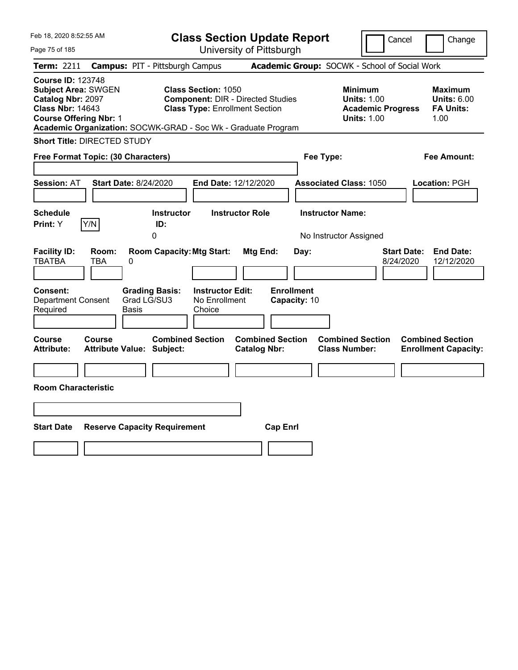| Feb 18, 2020 8:52:55 AM                                                                                                                 |                                                                                                                                              | <b>Class Section Update Report</b>                    | Cancel                                                                                 | Change                                                    |
|-----------------------------------------------------------------------------------------------------------------------------------------|----------------------------------------------------------------------------------------------------------------------------------------------|-------------------------------------------------------|----------------------------------------------------------------------------------------|-----------------------------------------------------------|
| Page 75 of 185                                                                                                                          |                                                                                                                                              | University of Pittsburgh                              |                                                                                        |                                                           |
| Term: 2211                                                                                                                              | <b>Campus: PIT - Pittsburgh Campus</b>                                                                                                       |                                                       | Academic Group: SOCWK - School of Social Work                                          |                                                           |
| <b>Course ID: 123748</b><br><b>Subject Area: SWGEN</b><br>Catalog Nbr: 2097<br><b>Class Nbr: 14643</b><br><b>Course Offering Nbr: 1</b> | <b>Class Section: 1050</b><br><b>Class Type: Enrollment Section</b><br>Academic Organization: SOCWK-GRAD - Soc Wk - Graduate Program         | <b>Component: DIR - Directed Studies</b>              | <b>Minimum</b><br><b>Units: 1.00</b><br><b>Academic Progress</b><br><b>Units: 1.00</b> | Maximum<br><b>Units: 6.00</b><br><b>FA Units:</b><br>1.00 |
| <b>Short Title: DIRECTED STUDY</b>                                                                                                      |                                                                                                                                              |                                                       |                                                                                        |                                                           |
| Free Format Topic: (30 Characters)                                                                                                      |                                                                                                                                              |                                                       | Fee Type:                                                                              | Fee Amount:                                               |
| <b>Session: AT</b><br><b>Schedule</b>                                                                                                   | <b>Start Date: 8/24/2020</b><br><b>Instructor</b>                                                                                            | End Date: 12/12/2020<br><b>Instructor Role</b>        | <b>Associated Class: 1050</b><br><b>Instructor Name:</b>                               | <b>Location: PGH</b>                                      |
| Y/N<br>Print: Y                                                                                                                         | ID:<br>0                                                                                                                                     |                                                       | No Instructor Assigned                                                                 |                                                           |
| <b>Facility ID:</b><br>Room:<br><b>TBATBA</b><br>TBA<br><b>Consent:</b><br><b>Department Consent</b><br>Required                        | <b>Room Capacity: Mtg Start:</b><br>0<br><b>Grading Basis:</b><br><b>Instructor Edit:</b><br>Grad LG/SU3<br>No Enrollment<br>Basis<br>Choice | Mtg End:<br>Day:<br><b>Enrollment</b><br>Capacity: 10 | <b>Start Date:</b><br>8/24/2020                                                        | <b>End Date:</b><br>12/12/2020                            |
| Course<br><b>Course</b><br><b>Attribute:</b>                                                                                            | <b>Combined Section</b><br><b>Attribute Value: Subject:</b>                                                                                  | <b>Combined Section</b><br><b>Catalog Nbr:</b>        | <b>Combined Section</b><br><b>Class Number:</b>                                        | <b>Combined Section</b><br><b>Enrollment Capacity:</b>    |
|                                                                                                                                         |                                                                                                                                              |                                                       |                                                                                        |                                                           |
| <b>Room Characteristic</b>                                                                                                              |                                                                                                                                              |                                                       |                                                                                        |                                                           |
|                                                                                                                                         |                                                                                                                                              |                                                       |                                                                                        |                                                           |
| <b>Start Date</b>                                                                                                                       | <b>Reserve Capacity Requirement</b>                                                                                                          | <b>Cap Enrl</b>                                       |                                                                                        |                                                           |
|                                                                                                                                         |                                                                                                                                              |                                                       |                                                                                        |                                                           |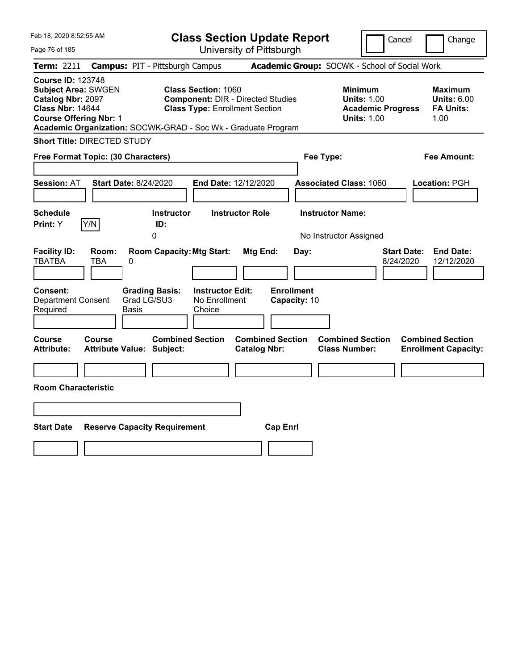| Feb 18, 2020 8:52:55 AM |                                                                                                                                                                                                                     |                                                                                                                                                                                                      |                                                                                        | <b>Class Section Update Report</b>                                                                         |                                                                                                                                                                                                                                                                                                | Cancel                                         | Change                                                                                                                                                                                                                                                                                                              |
|-------------------------|---------------------------------------------------------------------------------------------------------------------------------------------------------------------------------------------------------------------|------------------------------------------------------------------------------------------------------------------------------------------------------------------------------------------------------|----------------------------------------------------------------------------------------|------------------------------------------------------------------------------------------------------------|------------------------------------------------------------------------------------------------------------------------------------------------------------------------------------------------------------------------------------------------------------------------------------------------|------------------------------------------------|---------------------------------------------------------------------------------------------------------------------------------------------------------------------------------------------------------------------------------------------------------------------------------------------------------------------|
|                         |                                                                                                                                                                                                                     |                                                                                                                                                                                                      |                                                                                        |                                                                                                            |                                                                                                                                                                                                                                                                                                |                                                |                                                                                                                                                                                                                                                                                                                     |
|                         |                                                                                                                                                                                                                     |                                                                                                                                                                                                      |                                                                                        |                                                                                                            |                                                                                                                                                                                                                                                                                                |                                                |                                                                                                                                                                                                                                                                                                                     |
|                         |                                                                                                                                                                                                                     |                                                                                                                                                                                                      |                                                                                        |                                                                                                            |                                                                                                                                                                                                                                                                                                |                                                | Maximum<br><b>Units: 6.00</b><br><b>FA Units:</b><br>1.00                                                                                                                                                                                                                                                           |
|                         |                                                                                                                                                                                                                     |                                                                                                                                                                                                      |                                                                                        |                                                                                                            |                                                                                                                                                                                                                                                                                                |                                                |                                                                                                                                                                                                                                                                                                                     |
|                         |                                                                                                                                                                                                                     |                                                                                                                                                                                                      |                                                                                        |                                                                                                            |                                                                                                                                                                                                                                                                                                |                                                | Fee Amount:                                                                                                                                                                                                                                                                                                         |
|                         |                                                                                                                                                                                                                     |                                                                                                                                                                                                      |                                                                                        |                                                                                                            |                                                                                                                                                                                                                                                                                                |                                                | Location: PGH                                                                                                                                                                                                                                                                                                       |
|                         |                                                                                                                                                                                                                     |                                                                                                                                                                                                      |                                                                                        |                                                                                                            |                                                                                                                                                                                                                                                                                                |                                                |                                                                                                                                                                                                                                                                                                                     |
|                         | 0                                                                                                                                                                                                                   |                                                                                                                                                                                                      |                                                                                        |                                                                                                            |                                                                                                                                                                                                                                                                                                |                                                |                                                                                                                                                                                                                                                                                                                     |
| Room:<br>TBA<br>0       |                                                                                                                                                                                                                     | Choice                                                                                                                                                                                               |                                                                                        | Day:                                                                                                       |                                                                                                                                                                                                                                                                                                |                                                | <b>End Date:</b><br>12/12/2020                                                                                                                                                                                                                                                                                      |
|                         |                                                                                                                                                                                                                     |                                                                                                                                                                                                      |                                                                                        |                                                                                                            |                                                                                                                                                                                                                                                                                                |                                                | <b>Combined Section</b><br><b>Enrollment Capacity:</b>                                                                                                                                                                                                                                                              |
|                         |                                                                                                                                                                                                                     |                                                                                                                                                                                                      |                                                                                        |                                                                                                            |                                                                                                                                                                                                                                                                                                |                                                |                                                                                                                                                                                                                                                                                                                     |
|                         |                                                                                                                                                                                                                     |                                                                                                                                                                                                      | <b>Cap Enrl</b>                                                                        |                                                                                                            |                                                                                                                                                                                                                                                                                                |                                                |                                                                                                                                                                                                                                                                                                                     |
|                         | <b>Course ID: 123748</b><br><b>Subject Area: SWGEN</b><br>Catalog Nbr: 2097<br><b>Class Nbr: 14644</b><br><b>Course Offering Nbr: 1</b><br>Y/N<br><b>Department Consent</b><br>Course<br><b>Room Characteristic</b> | <b>Short Title: DIRECTED STUDY</b><br>Free Format Topic: (30 Characters)<br><b>Start Date: 8/24/2020</b><br>ID:<br><b>Grading Basis:</b><br>Grad LG/SU3<br>Basis<br><b>Attribute Value: Subject:</b> | <b>Campus: PIT - Pittsburgh Campus</b><br><b>Instructor</b><br><b>Combined Section</b> | <b>Class Section: 1060</b><br><b>Room Capacity: Mtg Start:</b><br><b>Instructor Edit:</b><br>No Enrollment | University of Pittsburgh<br><b>Component: DIR - Directed Studies</b><br><b>Class Type: Enrollment Section</b><br>Academic Organization: SOCWK-GRAD - Soc Wk - Graduate Program<br>End Date: 12/12/2020<br><b>Instructor Role</b><br>Mtg End:<br><b>Combined Section</b><br><b>Catalog Nbr:</b> | Fee Type:<br><b>Enrollment</b><br>Capacity: 10 | Academic Group: SOCWK - School of Social Work<br><b>Minimum</b><br><b>Units: 1.00</b><br><b>Academic Progress</b><br><b>Units: 1.00</b><br><b>Associated Class: 1060</b><br><b>Instructor Name:</b><br>No Instructor Assigned<br><b>Start Date:</b><br>8/24/2020<br><b>Combined Section</b><br><b>Class Number:</b> |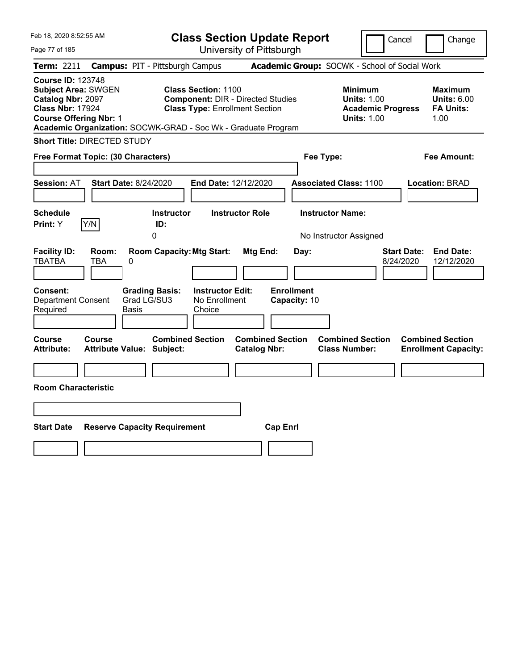| Feb 18, 2020 8:52:55 AM                                                                                                                 |                                                                                                                                                                                  | <b>Class Section Update Report</b>                    | Cancel                                                                                 | Change                                                    |
|-----------------------------------------------------------------------------------------------------------------------------------------|----------------------------------------------------------------------------------------------------------------------------------------------------------------------------------|-------------------------------------------------------|----------------------------------------------------------------------------------------|-----------------------------------------------------------|
| Page 77 of 185                                                                                                                          |                                                                                                                                                                                  | University of Pittsburgh                              |                                                                                        |                                                           |
| Term: 2211                                                                                                                              | <b>Campus: PIT - Pittsburgh Campus</b>                                                                                                                                           |                                                       | Academic Group: SOCWK - School of Social Work                                          |                                                           |
| <b>Course ID: 123748</b><br><b>Subject Area: SWGEN</b><br>Catalog Nbr: 2097<br><b>Class Nbr: 17924</b><br><b>Course Offering Nbr: 1</b> | <b>Class Section: 1100</b><br><b>Component: DIR - Directed Studies</b><br><b>Class Type: Enrollment Section</b><br>Academic Organization: SOCWK-GRAD - Soc Wk - Graduate Program |                                                       | <b>Minimum</b><br><b>Units: 1.00</b><br><b>Academic Progress</b><br><b>Units: 1.00</b> | Maximum<br><b>Units: 6.00</b><br><b>FA Units:</b><br>1.00 |
| <b>Short Title: DIRECTED STUDY</b>                                                                                                      |                                                                                                                                                                                  |                                                       |                                                                                        |                                                           |
| Free Format Topic: (30 Characters)                                                                                                      |                                                                                                                                                                                  |                                                       | Fee Type:                                                                              | Fee Amount:                                               |
| <b>Session: AT</b><br><b>Schedule</b><br>Y/N<br>Print: Y                                                                                | <b>Start Date: 8/24/2020</b><br>End Date: 12/12/2020<br><b>Instructor</b><br>ID:                                                                                                 | <b>Instructor Role</b>                                | <b>Associated Class: 1100</b><br><b>Instructor Name:</b>                               | Location: BRAD                                            |
|                                                                                                                                         | 0                                                                                                                                                                                |                                                       | No Instructor Assigned                                                                 |                                                           |
| <b>Facility ID:</b><br>Room:<br><b>TBATBA</b><br>TBA<br><b>Consent:</b><br><b>Department Consent</b>                                    | <b>Room Capacity: Mtg Start:</b><br>0<br><b>Grading Basis:</b><br><b>Instructor Edit:</b><br>Grad LG/SU3<br>No Enrollment                                                        | Mtg End:<br>Day:<br><b>Enrollment</b><br>Capacity: 10 | <b>Start Date:</b><br>8/24/2020                                                        | <b>End Date:</b><br>12/12/2020                            |
| Required                                                                                                                                | Basis<br>Choice                                                                                                                                                                  |                                                       |                                                                                        |                                                           |
| Course<br><b>Course</b><br><b>Attribute:</b>                                                                                            | <b>Combined Section</b><br><b>Attribute Value: Subject:</b>                                                                                                                      | <b>Combined Section</b><br><b>Catalog Nbr:</b>        | <b>Combined Section</b><br><b>Class Number:</b>                                        | <b>Combined Section</b><br><b>Enrollment Capacity:</b>    |
| <b>Room Characteristic</b>                                                                                                              |                                                                                                                                                                                  |                                                       |                                                                                        |                                                           |
|                                                                                                                                         |                                                                                                                                                                                  |                                                       |                                                                                        |                                                           |
| <b>Start Date</b>                                                                                                                       | <b>Reserve Capacity Requirement</b>                                                                                                                                              | <b>Cap Enrl</b>                                       |                                                                                        |                                                           |
|                                                                                                                                         |                                                                                                                                                                                  |                                                       |                                                                                        |                                                           |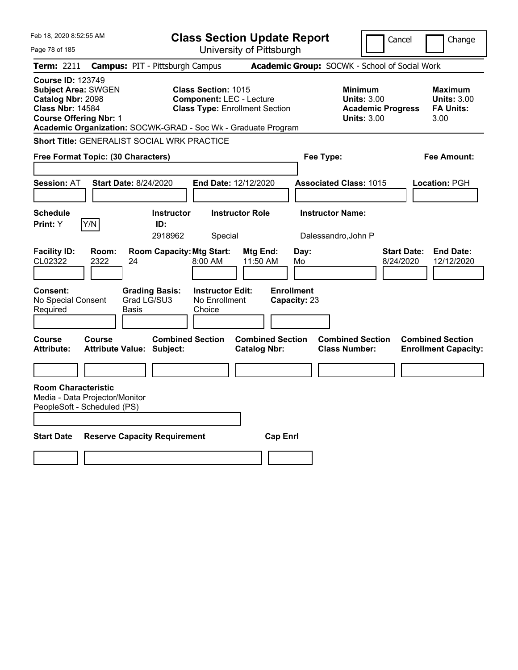| Feb 18, 2020 8:52:55 AM                                                                                                                 |                                                               | <b>Class Section Update Report</b>                                                                     |                                                |                                   |                                                                                        | Cancel<br>Change                                                  |
|-----------------------------------------------------------------------------------------------------------------------------------------|---------------------------------------------------------------|--------------------------------------------------------------------------------------------------------|------------------------------------------------|-----------------------------------|----------------------------------------------------------------------------------------|-------------------------------------------------------------------|
| Page 78 of 185                                                                                                                          |                                                               | University of Pittsburgh                                                                               |                                                |                                   |                                                                                        |                                                                   |
| Term: 2211                                                                                                                              | <b>Campus: PIT - Pittsburgh Campus</b>                        |                                                                                                        |                                                |                                   | Academic Group: SOCWK - School of Social Work                                          |                                                                   |
| <b>Course ID: 123749</b><br><b>Subject Area: SWGEN</b><br>Catalog Nbr: 2098<br><b>Class Nbr: 14584</b><br><b>Course Offering Nbr: 1</b> | Academic Organization: SOCWK-GRAD - Soc Wk - Graduate Program | <b>Class Section: 1015</b><br><b>Component: LEC - Lecture</b><br><b>Class Type: Enrollment Section</b> |                                                |                                   | <b>Minimum</b><br><b>Units: 3.00</b><br><b>Academic Progress</b><br><b>Units: 3.00</b> | <b>Maximum</b><br><b>Units: 3.00</b><br><b>FA Units:</b><br>3.00  |
|                                                                                                                                         | Short Title: GENERALIST SOCIAL WRK PRACTICE                   |                                                                                                        |                                                |                                   |                                                                                        |                                                                   |
| Free Format Topic: (30 Characters)                                                                                                      |                                                               |                                                                                                        |                                                | Fee Type:                         |                                                                                        | Fee Amount:                                                       |
|                                                                                                                                         |                                                               |                                                                                                        |                                                |                                   |                                                                                        |                                                                   |
| <b>Session: AT</b>                                                                                                                      | <b>Start Date: 8/24/2020</b>                                  | End Date: 12/12/2020                                                                                   |                                                |                                   | <b>Associated Class: 1015</b>                                                          | <b>Location: PGH</b>                                              |
| <b>Schedule</b>                                                                                                                         | <b>Instructor</b>                                             | <b>Instructor Role</b>                                                                                 |                                                | <b>Instructor Name:</b>           |                                                                                        |                                                                   |
| Y/N<br><b>Print:</b> Y                                                                                                                  | ID:                                                           |                                                                                                        |                                                |                                   |                                                                                        |                                                                   |
|                                                                                                                                         | 2918962                                                       | Special                                                                                                |                                                | Dalessandro, John P               |                                                                                        |                                                                   |
| <b>Facility ID:</b><br>Room:<br>CL02322<br>2322                                                                                         | <b>Room Capacity: Mtg Start:</b><br>24                        | 8:00 AM                                                                                                | Mtg End:<br>11:50 AM                           | Day:<br>Mo                        |                                                                                        | <b>Start Date:</b><br><b>End Date:</b><br>8/24/2020<br>12/12/2020 |
| <b>Consent:</b><br>No Special Consent<br>Required                                                                                       | <b>Grading Basis:</b><br>Grad LG/SU3<br>Basis                 | <b>Instructor Edit:</b><br>No Enrollment<br>Choice                                                     |                                                | <b>Enrollment</b><br>Capacity: 23 |                                                                                        |                                                                   |
| <b>Course</b><br><b>Course</b><br><b>Attribute:</b>                                                                                     | <b>Combined Section</b><br><b>Attribute Value: Subject:</b>   |                                                                                                        | <b>Combined Section</b><br><b>Catalog Nbr:</b> |                                   | <b>Combined Section</b><br><b>Class Number:</b>                                        | <b>Combined Section</b><br><b>Enrollment Capacity:</b>            |
|                                                                                                                                         |                                                               |                                                                                                        |                                                |                                   |                                                                                        |                                                                   |
| <b>Room Characteristic</b><br>Media - Data Projector/Monitor<br>PeopleSoft - Scheduled (PS)                                             |                                                               |                                                                                                        |                                                |                                   |                                                                                        |                                                                   |
| <b>Start Date</b>                                                                                                                       | <b>Reserve Capacity Requirement</b>                           |                                                                                                        | <b>Cap Enrl</b>                                |                                   |                                                                                        |                                                                   |
|                                                                                                                                         |                                                               |                                                                                                        |                                                |                                   |                                                                                        |                                                                   |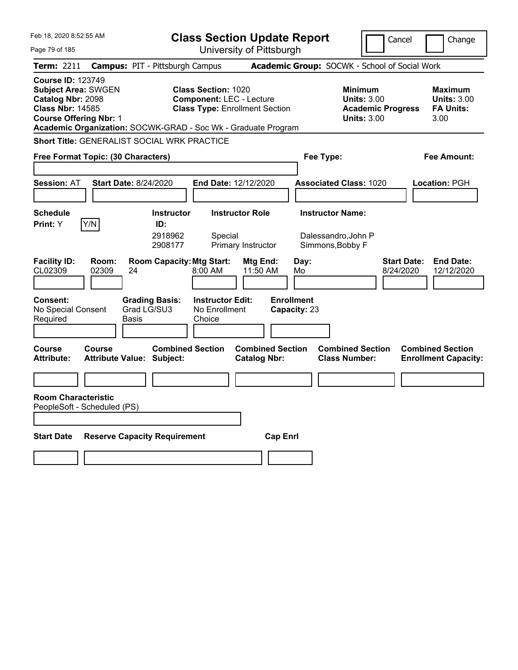| Feb 18, 2020 8:52:55 AM                                                                                                                                                                                  |                                                             | <b>Class Section Update Report</b>                                                                     |                                                |                                                                    | Cancel                          | Change                                                           |
|----------------------------------------------------------------------------------------------------------------------------------------------------------------------------------------------------------|-------------------------------------------------------------|--------------------------------------------------------------------------------------------------------|------------------------------------------------|--------------------------------------------------------------------|---------------------------------|------------------------------------------------------------------|
| Page 79 of 185                                                                                                                                                                                           |                                                             | University of Pittsburgh                                                                               |                                                |                                                                    |                                 |                                                                  |
| Term: 2211                                                                                                                                                                                               | <b>Campus: PIT - Pittsburgh Campus</b>                      |                                                                                                        |                                                | Academic Group: SOCWK - School of Social Work                      |                                 |                                                                  |
| <b>Course ID: 123749</b><br><b>Subject Area: SWGEN</b><br>Catalog Nbr: 2098<br><b>Class Nbr: 14585</b><br><b>Course Offering Nbr: 1</b><br>Academic Organization: SOCWK-GRAD - Soc Wk - Graduate Program |                                                             | <b>Class Section: 1020</b><br><b>Component: LEC - Lecture</b><br><b>Class Type: Enrollment Section</b> |                                                | <b>Minimum</b><br><b>Units: 3.00</b><br><b>Units: 3.00</b>         | <b>Academic Progress</b>        | <b>Maximum</b><br><b>Units: 3.00</b><br><b>FA Units:</b><br>3.00 |
| Short Title: GENERALIST SOCIAL WRK PRACTICE                                                                                                                                                              |                                                             |                                                                                                        |                                                |                                                                    |                                 |                                                                  |
| Free Format Topic: (30 Characters)                                                                                                                                                                       |                                                             |                                                                                                        |                                                | Fee Type:                                                          |                                 | Fee Amount:                                                      |
| <b>Session: AT</b>                                                                                                                                                                                       | <b>Start Date: 8/24/2020</b>                                | End Date: 12/12/2020                                                                                   |                                                | <b>Associated Class: 1020</b>                                      |                                 | <b>Location: PGH</b>                                             |
| <b>Schedule</b><br>Y/N<br>Print: Y                                                                                                                                                                       | <b>Instructor</b><br>ID:<br>2918962<br>2908177              | <b>Instructor Role</b><br>Special<br>Primary Instructor                                                |                                                | <b>Instructor Name:</b><br>Dalessandro, John P<br>Simmons, Bobby F |                                 |                                                                  |
| <b>Facility ID:</b><br>Room:<br>CL02309<br>02309                                                                                                                                                         | <b>Room Capacity: Mtg Start:</b><br>24                      | 8:00 AM                                                                                                | Mtg End:<br>Day:<br>11:50 AM<br>Mo             |                                                                    | <b>Start Date:</b><br>8/24/2020 | <b>End Date:</b><br>12/12/2020                                   |
| <b>Consent:</b><br>No Special Consent<br>Required                                                                                                                                                        | <b>Grading Basis:</b><br>Grad LG/SU3<br>Basis               | <b>Instructor Edit:</b><br>No Enrollment<br>Choice                                                     | <b>Enrollment</b><br>Capacity: 23              |                                                                    |                                 |                                                                  |
| <b>Course</b><br>Course<br><b>Attribute:</b>                                                                                                                                                             | <b>Combined Section</b><br><b>Attribute Value: Subject:</b> |                                                                                                        | <b>Combined Section</b><br><b>Catalog Nbr:</b> | <b>Combined Section</b><br><b>Class Number:</b>                    |                                 | <b>Combined Section</b><br><b>Enrollment Capacity:</b>           |
| <b>Room Characteristic</b><br>PeopleSoft - Scheduled (PS)                                                                                                                                                |                                                             |                                                                                                        |                                                |                                                                    |                                 |                                                                  |
| <b>Start Date</b>                                                                                                                                                                                        | <b>Reserve Capacity Requirement</b>                         |                                                                                                        | <b>Cap Enrl</b>                                |                                                                    |                                 |                                                                  |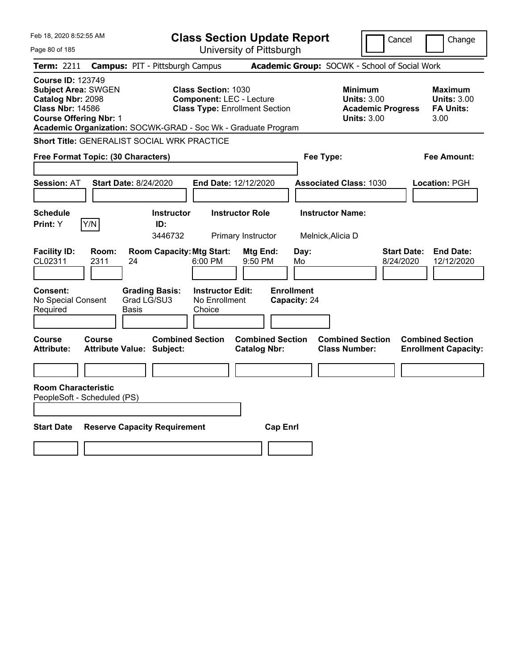| Feb 18, 2020 8:52:55 AM                                                                                                                 |                                                               |                                                               | <b>Class Section Update Report</b>             |                                              |                                                                                        | Cancel<br>Change                                                  |
|-----------------------------------------------------------------------------------------------------------------------------------------|---------------------------------------------------------------|---------------------------------------------------------------|------------------------------------------------|----------------------------------------------|----------------------------------------------------------------------------------------|-------------------------------------------------------------------|
| Page 80 of 185                                                                                                                          |                                                               |                                                               | University of Pittsburgh                       |                                              |                                                                                        |                                                                   |
| Term: 2211                                                                                                                              | <b>Campus: PIT - Pittsburgh Campus</b>                        |                                                               |                                                |                                              | Academic Group: SOCWK - School of Social Work                                          |                                                                   |
| <b>Course ID: 123749</b><br><b>Subject Area: SWGEN</b><br>Catalog Nbr: 2098<br><b>Class Nbr: 14586</b><br><b>Course Offering Nbr: 1</b> | Academic Organization: SOCWK-GRAD - Soc Wk - Graduate Program | <b>Class Section: 1030</b><br><b>Component: LEC - Lecture</b> | <b>Class Type: Enrollment Section</b>          |                                              | <b>Minimum</b><br><b>Units: 3.00</b><br><b>Academic Progress</b><br><b>Units: 3.00</b> | Maximum<br><b>Units: 3.00</b><br><b>FA Units:</b><br>3.00         |
|                                                                                                                                         | Short Title: GENERALIST SOCIAL WRK PRACTICE                   |                                                               |                                                |                                              |                                                                                        |                                                                   |
| Free Format Topic: (30 Characters)                                                                                                      |                                                               |                                                               |                                                | Fee Type:                                    |                                                                                        | Fee Amount:                                                       |
| <b>Session: AT</b>                                                                                                                      | Start Date: 8/24/2020                                         | <b>End Date: 12/12/2020</b>                                   |                                                | <b>Associated Class: 1030</b>                |                                                                                        | <b>Location: PGH</b>                                              |
| <b>Schedule</b><br>Y/N<br><b>Print:</b> Y                                                                                               | <b>Instructor</b><br>ID:<br>3446732                           |                                                               | <b>Instructor Role</b><br>Primary Instructor   | <b>Instructor Name:</b><br>Melnick, Alicia D |                                                                                        |                                                                   |
| <b>Facility ID:</b><br>Room:<br>CL02311<br>2311                                                                                         | <b>Room Capacity: Mtg Start:</b><br>24                        | 6:00 PM                                                       | Mtg End:<br>9:50 PM                            | Day:<br>Mo                                   |                                                                                        | <b>Start Date:</b><br><b>End Date:</b><br>8/24/2020<br>12/12/2020 |
| Consent:<br>No Special Consent<br>Required                                                                                              | <b>Grading Basis:</b><br>Grad LG/SU3<br>Basis                 | <b>Instructor Edit:</b><br>No Enrollment<br>Choice            |                                                | <b>Enrollment</b><br>Capacity: 24            |                                                                                        |                                                                   |
| Course<br>Course<br><b>Attribute:</b>                                                                                                   | <b>Combined Section</b><br><b>Attribute Value: Subject:</b>   |                                                               | <b>Combined Section</b><br><b>Catalog Nbr:</b> |                                              | <b>Combined Section</b><br><b>Class Number:</b>                                        | <b>Combined Section</b><br><b>Enrollment Capacity:</b>            |
|                                                                                                                                         |                                                               |                                                               |                                                |                                              |                                                                                        |                                                                   |
| <b>Room Characteristic</b><br>PeopleSoft - Scheduled (PS)                                                                               |                                                               |                                                               |                                                |                                              |                                                                                        |                                                                   |
|                                                                                                                                         |                                                               |                                                               |                                                |                                              |                                                                                        |                                                                   |
| <b>Start Date</b>                                                                                                                       | <b>Reserve Capacity Requirement</b>                           |                                                               | <b>Cap Enrl</b>                                |                                              |                                                                                        |                                                                   |
|                                                                                                                                         |                                                               |                                                               |                                                |                                              |                                                                                        |                                                                   |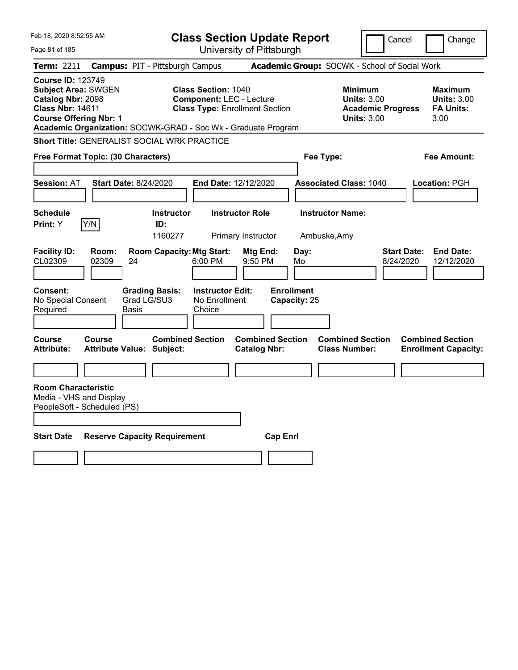| Feb 18, 2020 8:52:55 AM                                                                                                                 |                |                                                               | <b>Class Section Update Report</b>                                                                     |                                                |                                   |                                                            | Cancel                   |                                                                  | Change |
|-----------------------------------------------------------------------------------------------------------------------------------------|----------------|---------------------------------------------------------------|--------------------------------------------------------------------------------------------------------|------------------------------------------------|-----------------------------------|------------------------------------------------------------|--------------------------|------------------------------------------------------------------|--------|
| Page 81 of 185                                                                                                                          |                |                                                               |                                                                                                        | University of Pittsburgh                       |                                   |                                                            |                          |                                                                  |        |
| <b>Term: 2211</b>                                                                                                                       |                | <b>Campus: PIT - Pittsburgh Campus</b>                        |                                                                                                        |                                                |                                   | Academic Group: SOCWK - School of Social Work              |                          |                                                                  |        |
| <b>Course ID: 123749</b><br><b>Subject Area: SWGEN</b><br>Catalog Nbr: 2098<br><b>Class Nbr: 14611</b><br><b>Course Offering Nbr: 1</b> |                | Academic Organization: SOCWK-GRAD - Soc Wk - Graduate Program | <b>Class Section: 1040</b><br><b>Component: LEC - Lecture</b><br><b>Class Type: Enrollment Section</b> |                                                |                                   | <b>Minimum</b><br><b>Units: 3.00</b><br><b>Units: 3.00</b> | <b>Academic Progress</b> | <b>Maximum</b><br><b>Units: 3.00</b><br><b>FA Units:</b><br>3.00 |        |
|                                                                                                                                         |                | Short Title: GENERALIST SOCIAL WRK PRACTICE                   |                                                                                                        |                                                |                                   |                                                            |                          |                                                                  |        |
| Free Format Topic: (30 Characters)                                                                                                      |                |                                                               |                                                                                                        |                                                | Fee Type:                         |                                                            |                          | Fee Amount:                                                      |        |
| <b>Session: AT</b>                                                                                                                      |                | <b>Start Date: 8/24/2020</b>                                  | End Date: 12/12/2020                                                                                   |                                                |                                   | <b>Associated Class: 1040</b>                              |                          | Location: PGH                                                    |        |
| <b>Schedule</b><br><b>Print:</b> Y                                                                                                      | Y/N            | <b>Instructor</b><br>ID:<br>1160277                           |                                                                                                        | <b>Instructor Role</b><br>Primary Instructor   |                                   | <b>Instructor Name:</b><br>Ambuske, Amy                    |                          |                                                                  |        |
| <b>Facility ID:</b><br>CL02309                                                                                                          | Room:<br>02309 | <b>Room Capacity: Mtg Start:</b><br>24                        | 6:00 PM                                                                                                | Mtg End:<br>9:50 PM                            | Day:<br>Mo                        |                                                            | Start Date:<br>8/24/2020 | <b>End Date:</b><br>12/12/2020                                   |        |
| <b>Consent:</b><br>No Special Consent<br>Required                                                                                       |                | <b>Grading Basis:</b><br>Grad LG/SU3<br>Basis                 | <b>Instructor Edit:</b><br>No Enrollment<br>Choice                                                     |                                                | <b>Enrollment</b><br>Capacity: 25 |                                                            |                          |                                                                  |        |
| <b>Course</b><br><b>Attribute:</b>                                                                                                      | <b>Course</b>  | <b>Combined Section</b><br><b>Attribute Value: Subject:</b>   |                                                                                                        | <b>Combined Section</b><br><b>Catalog Nbr:</b> |                                   | <b>Combined Section</b><br><b>Class Number:</b>            |                          | <b>Combined Section</b><br><b>Enrollment Capacity:</b>           |        |
|                                                                                                                                         |                |                                                               |                                                                                                        |                                                |                                   |                                                            |                          |                                                                  |        |
| <b>Room Characteristic</b><br>Media - VHS and Display<br>PeopleSoft - Scheduled (PS)                                                    |                |                                                               |                                                                                                        |                                                |                                   |                                                            |                          |                                                                  |        |
| <b>Start Date</b>                                                                                                                       |                | <b>Reserve Capacity Requirement</b>                           |                                                                                                        | <b>Cap Enrl</b>                                |                                   |                                                            |                          |                                                                  |        |
|                                                                                                                                         |                |                                                               |                                                                                                        |                                                |                                   |                                                            |                          |                                                                  |        |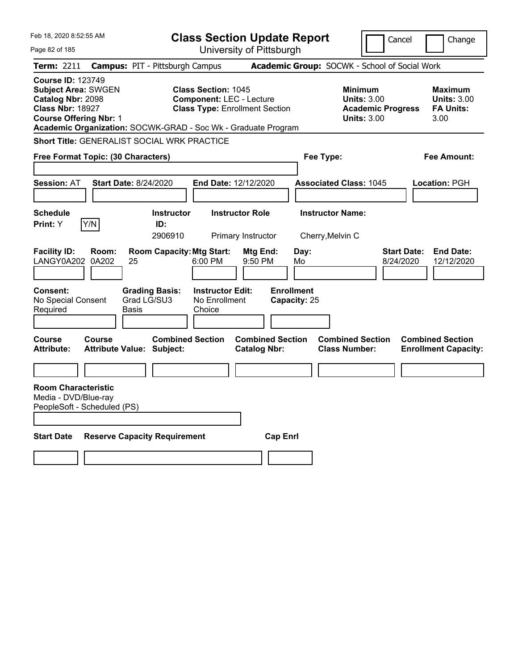| Feb 18, 2020 8:52:55 AM                                                                                                                 |               |                                                               |                                                               | <b>Class Section Update Report</b>             |                                   |                                                                                        | Cancel                          | Change                                                           |
|-----------------------------------------------------------------------------------------------------------------------------------------|---------------|---------------------------------------------------------------|---------------------------------------------------------------|------------------------------------------------|-----------------------------------|----------------------------------------------------------------------------------------|---------------------------------|------------------------------------------------------------------|
| Page 82 of 185                                                                                                                          |               |                                                               |                                                               | University of Pittsburgh                       |                                   |                                                                                        |                                 |                                                                  |
| <b>Term: 2211</b>                                                                                                                       |               | <b>Campus: PIT - Pittsburgh Campus</b>                        |                                                               |                                                |                                   | Academic Group: SOCWK - School of Social Work                                          |                                 |                                                                  |
| <b>Course ID: 123749</b><br><b>Subject Area: SWGEN</b><br>Catalog Nbr: 2098<br><b>Class Nbr: 18927</b><br><b>Course Offering Nbr: 1</b> |               | Academic Organization: SOCWK-GRAD - Soc Wk - Graduate Program | <b>Class Section: 1045</b><br><b>Component: LEC - Lecture</b> | <b>Class Type: Enrollment Section</b>          |                                   | <b>Minimum</b><br><b>Units: 3.00</b><br><b>Academic Progress</b><br><b>Units: 3.00</b> |                                 | <b>Maximum</b><br><b>Units: 3.00</b><br><b>FA Units:</b><br>3.00 |
|                                                                                                                                         |               | Short Title: GENERALIST SOCIAL WRK PRACTICE                   |                                                               |                                                |                                   |                                                                                        |                                 |                                                                  |
| Free Format Topic: (30 Characters)                                                                                                      |               |                                                               |                                                               |                                                | Fee Type:                         |                                                                                        |                                 | <b>Fee Amount:</b>                                               |
|                                                                                                                                         |               |                                                               |                                                               |                                                |                                   |                                                                                        |                                 |                                                                  |
| <b>Session: AT</b>                                                                                                                      |               | <b>Start Date: 8/24/2020</b>                                  | End Date: 12/12/2020                                          |                                                |                                   | <b>Associated Class: 1045</b>                                                          |                                 | <b>Location: PGH</b>                                             |
| <b>Schedule</b><br>Print: Y                                                                                                             | Y/N           | <b>Instructor</b><br>ID:<br>2906910                           |                                                               | <b>Instructor Role</b><br>Primary Instructor   |                                   | <b>Instructor Name:</b><br>Cherry, Melvin C                                            |                                 |                                                                  |
| <b>Facility ID:</b><br>LANGY0A202 0A202                                                                                                 | Room:         | <b>Room Capacity: Mtg Start:</b><br>25                        | 6:00 PM                                                       | Mtg End:<br>9:50 PM                            | Day:<br>Mo                        |                                                                                        | <b>Start Date:</b><br>8/24/2020 | <b>End Date:</b><br>12/12/2020                                   |
| <b>Consent:</b><br>No Special Consent<br>Required                                                                                       |               | <b>Grading Basis:</b><br>Grad LG/SU3<br>Basis                 | <b>Instructor Edit:</b><br>No Enrollment<br>Choice            |                                                | <b>Enrollment</b><br>Capacity: 25 |                                                                                        |                                 |                                                                  |
| Course<br><b>Attribute:</b>                                                                                                             | <b>Course</b> | <b>Combined Section</b><br><b>Attribute Value: Subject:</b>   |                                                               | <b>Combined Section</b><br><b>Catalog Nbr:</b> |                                   | <b>Combined Section</b><br><b>Class Number:</b>                                        |                                 | <b>Combined Section</b><br><b>Enrollment Capacity:</b>           |
|                                                                                                                                         |               |                                                               |                                                               |                                                |                                   |                                                                                        |                                 |                                                                  |
| <b>Room Characteristic</b><br>Media - DVD/Blue-ray<br>PeopleSoft - Scheduled (PS)                                                       |               |                                                               |                                                               |                                                |                                   |                                                                                        |                                 |                                                                  |
| <b>Start Date</b>                                                                                                                       |               | <b>Reserve Capacity Requirement</b>                           |                                                               | <b>Cap Enrl</b>                                |                                   |                                                                                        |                                 |                                                                  |
|                                                                                                                                         |               |                                                               |                                                               |                                                |                                   |                                                                                        |                                 |                                                                  |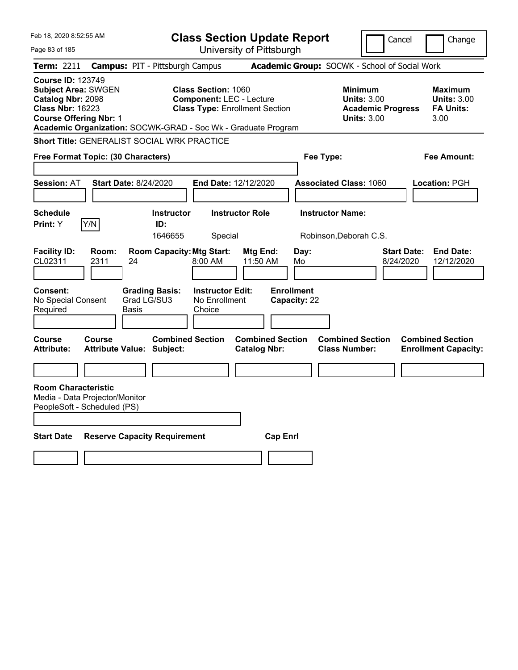| Feb 18, 2020 8:52:55 AM                                                                                                                 |                                                               | <b>Class Section Update Report</b>                                                                     |                                                |                                   |                                                                                        | Cancel<br>Change                                                  |
|-----------------------------------------------------------------------------------------------------------------------------------------|---------------------------------------------------------------|--------------------------------------------------------------------------------------------------------|------------------------------------------------|-----------------------------------|----------------------------------------------------------------------------------------|-------------------------------------------------------------------|
| Page 83 of 185                                                                                                                          |                                                               |                                                                                                        | University of Pittsburgh                       |                                   |                                                                                        |                                                                   |
| Term: 2211                                                                                                                              | <b>Campus: PIT - Pittsburgh Campus</b>                        |                                                                                                        |                                                |                                   | Academic Group: SOCWK - School of Social Work                                          |                                                                   |
| <b>Course ID: 123749</b><br><b>Subject Area: SWGEN</b><br>Catalog Nbr: 2098<br><b>Class Nbr: 16223</b><br><b>Course Offering Nbr: 1</b> | Academic Organization: SOCWK-GRAD - Soc Wk - Graduate Program | <b>Class Section: 1060</b><br><b>Component: LEC - Lecture</b><br><b>Class Type: Enrollment Section</b> |                                                |                                   | <b>Minimum</b><br><b>Units: 3.00</b><br><b>Academic Progress</b><br><b>Units: 3.00</b> | <b>Maximum</b><br><b>Units: 3.00</b><br><b>FA Units:</b><br>3.00  |
|                                                                                                                                         | Short Title: GENERALIST SOCIAL WRK PRACTICE                   |                                                                                                        |                                                |                                   |                                                                                        |                                                                   |
| Free Format Topic: (30 Characters)                                                                                                      |                                                               |                                                                                                        |                                                | Fee Type:                         |                                                                                        | Fee Amount:                                                       |
|                                                                                                                                         |                                                               |                                                                                                        |                                                |                                   |                                                                                        |                                                                   |
| <b>Session: AT</b>                                                                                                                      | <b>Start Date: 8/24/2020</b>                                  | End Date: 12/12/2020                                                                                   |                                                |                                   | <b>Associated Class: 1060</b>                                                          | <b>Location: PGH</b>                                              |
| <b>Schedule</b>                                                                                                                         | <b>Instructor</b>                                             | <b>Instructor Role</b>                                                                                 |                                                | <b>Instructor Name:</b>           |                                                                                        |                                                                   |
| Y/N<br>Print: Y                                                                                                                         | ID:                                                           |                                                                                                        |                                                |                                   |                                                                                        |                                                                   |
|                                                                                                                                         | 1646655                                                       | Special                                                                                                |                                                |                                   | Robinson, Deborah C.S.                                                                 |                                                                   |
| <b>Facility ID:</b><br>Room:<br>CL02311<br>2311                                                                                         | <b>Room Capacity: Mtg Start:</b><br>24                        | 8:00 AM                                                                                                | Mtg End:<br>11:50 AM                           | Day:<br>Mo                        |                                                                                        | <b>End Date:</b><br><b>Start Date:</b><br>8/24/2020<br>12/12/2020 |
| <b>Consent:</b><br>No Special Consent<br>Required                                                                                       | <b>Grading Basis:</b><br>Grad LG/SU3<br>Basis                 | <b>Instructor Edit:</b><br>No Enrollment<br>Choice                                                     |                                                | <b>Enrollment</b><br>Capacity: 22 |                                                                                        |                                                                   |
| <b>Course</b><br>Course<br><b>Attribute:</b>                                                                                            | <b>Combined Section</b><br>Attribute Value: Subject:          |                                                                                                        | <b>Combined Section</b><br><b>Catalog Nbr:</b> |                                   | <b>Combined Section</b><br><b>Class Number:</b>                                        | <b>Combined Section</b><br><b>Enrollment Capacity:</b>            |
|                                                                                                                                         |                                                               |                                                                                                        |                                                |                                   |                                                                                        |                                                                   |
| <b>Room Characteristic</b><br>Media - Data Projector/Monitor<br>PeopleSoft - Scheduled (PS)                                             |                                                               |                                                                                                        |                                                |                                   |                                                                                        |                                                                   |
| <b>Start Date</b>                                                                                                                       | <b>Reserve Capacity Requirement</b>                           |                                                                                                        | <b>Cap Enrl</b>                                |                                   |                                                                                        |                                                                   |
|                                                                                                                                         |                                                               |                                                                                                        |                                                |                                   |                                                                                        |                                                                   |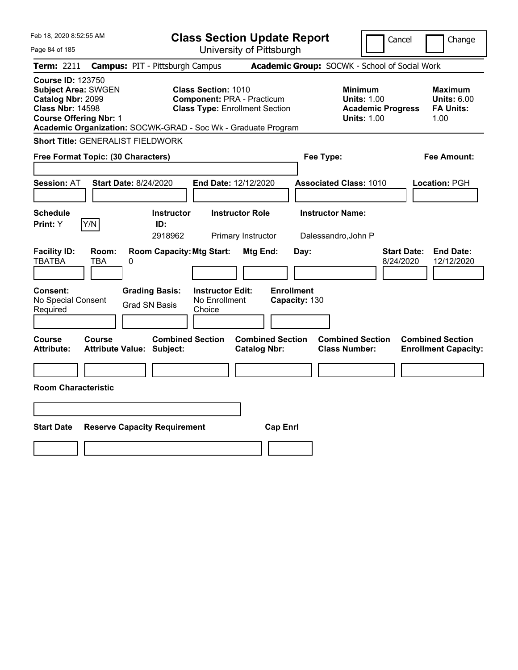| Feb 18, 2020 8:52:55 AM                                                                                                                                                                                  |                                            |                                               | <b>Class Section Update Report</b>                                                                       |                                              |                                    |                                                |                                                                                        | Cancel                          | Change                                                    |
|----------------------------------------------------------------------------------------------------------------------------------------------------------------------------------------------------------|--------------------------------------------|-----------------------------------------------|----------------------------------------------------------------------------------------------------------|----------------------------------------------|------------------------------------|------------------------------------------------|----------------------------------------------------------------------------------------|---------------------------------|-----------------------------------------------------------|
| Page 84 of 185                                                                                                                                                                                           |                                            |                                               |                                                                                                          |                                              | University of Pittsburgh           |                                                |                                                                                        |                                 |                                                           |
| <b>Term: 2211</b>                                                                                                                                                                                        | <b>Campus: PIT - Pittsburgh Campus</b>     |                                               |                                                                                                          |                                              |                                    |                                                | Academic Group: SOCWK - School of Social Work                                          |                                 |                                                           |
| <b>Course ID: 123750</b><br><b>Subject Area: SWGEN</b><br>Catalog Nbr: 2099<br><b>Class Nbr: 14598</b><br><b>Course Offering Nbr: 1</b><br>Academic Organization: SOCWK-GRAD - Soc Wk - Graduate Program |                                            |                                               | <b>Class Section: 1010</b><br><b>Component: PRA - Practicum</b><br><b>Class Type: Enrollment Section</b> |                                              |                                    |                                                | <b>Minimum</b><br><b>Units: 1.00</b><br><b>Academic Progress</b><br><b>Units: 1.00</b> |                                 | Maximum<br><b>Units: 6.00</b><br><b>FA Units:</b><br>1.00 |
| <b>Short Title: GENERALIST FIELDWORK</b>                                                                                                                                                                 |                                            |                                               |                                                                                                          |                                              |                                    |                                                |                                                                                        |                                 |                                                           |
| Free Format Topic: (30 Characters)                                                                                                                                                                       |                                            |                                               |                                                                                                          |                                              |                                    | Fee Type:                                      |                                                                                        |                                 | Fee Amount:                                               |
| <b>Session: AT</b>                                                                                                                                                                                       | <b>Start Date: 8/24/2020</b>               |                                               | End Date: 12/12/2020                                                                                     |                                              |                                    |                                                | <b>Associated Class: 1010</b>                                                          |                                 | Location: PGH                                             |
| <b>Schedule</b><br>Y/N<br>Print: Y                                                                                                                                                                       |                                            | <b>Instructor</b><br>ID:<br>2918962           |                                                                                                          | <b>Instructor Role</b><br>Primary Instructor |                                    | <b>Instructor Name:</b><br>Dalessandro, John P |                                                                                        |                                 |                                                           |
| <b>Facility ID:</b><br><b>TBATBA</b>                                                                                                                                                                     | Room:<br><b>TBA</b><br>0                   | <b>Room Capacity: Mtg Start:</b>              |                                                                                                          | Mtg End:                                     | Day:                               |                                                |                                                                                        | <b>Start Date:</b><br>8/24/2020 | <b>End Date:</b><br>12/12/2020                            |
| Consent:<br>No Special Consent<br>Required                                                                                                                                                               |                                            | <b>Grading Basis:</b><br><b>Grad SN Basis</b> | <b>Instructor Edit:</b><br>No Enrollment<br>Choice                                                       |                                              | <b>Enrollment</b><br>Capacity: 130 |                                                |                                                                                        |                                 |                                                           |
| Course<br>Attribute:                                                                                                                                                                                     | Course<br><b>Attribute Value: Subject:</b> | <b>Combined Section</b>                       |                                                                                                          | <b>Catalog Nbr:</b>                          | <b>Combined Section</b>            |                                                | <b>Combined Section</b><br><b>Class Number:</b>                                        |                                 | <b>Combined Section</b><br><b>Enrollment Capacity:</b>    |
| <b>Room Characteristic</b>                                                                                                                                                                               |                                            |                                               |                                                                                                          |                                              |                                    |                                                |                                                                                        |                                 |                                                           |
|                                                                                                                                                                                                          |                                            |                                               |                                                                                                          |                                              |                                    |                                                |                                                                                        |                                 |                                                           |
| <b>Start Date</b>                                                                                                                                                                                        | <b>Reserve Capacity Requirement</b>        |                                               |                                                                                                          |                                              | <b>Cap Enrl</b>                    |                                                |                                                                                        |                                 |                                                           |
|                                                                                                                                                                                                          |                                            |                                               |                                                                                                          |                                              |                                    |                                                |                                                                                        |                                 |                                                           |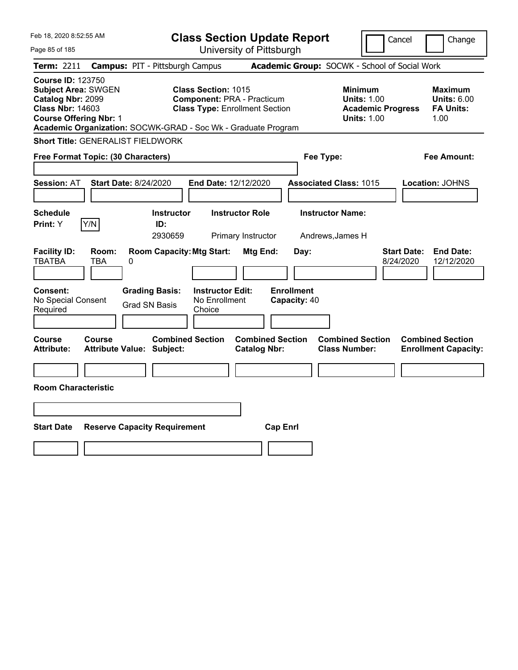| Feb 18, 2020 8:52:55 AM                                                                                                                 |              |                                                                | <b>Class Section Update Report</b>                                                                       |                                                |                                   |           |                                                 |                                                                      | Cancel                          | Change                                                    |
|-----------------------------------------------------------------------------------------------------------------------------------------|--------------|----------------------------------------------------------------|----------------------------------------------------------------------------------------------------------|------------------------------------------------|-----------------------------------|-----------|-------------------------------------------------|----------------------------------------------------------------------|---------------------------------|-----------------------------------------------------------|
| Page 85 of 185                                                                                                                          |              |                                                                |                                                                                                          | University of Pittsburgh                       |                                   |           |                                                 |                                                                      |                                 |                                                           |
| Term: 2211                                                                                                                              |              | <b>Campus: PIT - Pittsburgh Campus</b>                         |                                                                                                          |                                                |                                   |           | Academic Group: SOCWK - School of Social Work   |                                                                      |                                 |                                                           |
| <b>Course ID: 123750</b><br><b>Subject Area: SWGEN</b><br>Catalog Nbr: 2099<br><b>Class Nbr: 14603</b><br><b>Course Offering Nbr: 1</b> |              | Academic Organization: SOCWK-GRAD - Soc Wk - Graduate Program  | <b>Class Section: 1015</b><br><b>Component: PRA - Practicum</b><br><b>Class Type: Enrollment Section</b> |                                                |                                   |           | <b>Minimum</b>                                  | <b>Units: 1.00</b><br><b>Academic Progress</b><br><b>Units: 1.00</b> |                                 | Maximum<br><b>Units: 6.00</b><br><b>FA Units:</b><br>1.00 |
|                                                                                                                                         |              | <b>Short Title: GENERALIST FIELDWORK</b>                       |                                                                                                          |                                                |                                   |           |                                                 |                                                                      |                                 |                                                           |
| Free Format Topic: (30 Characters)                                                                                                      |              |                                                                |                                                                                                          |                                                |                                   | Fee Type: |                                                 |                                                                      |                                 | Fee Amount:                                               |
| <b>Session: AT</b>                                                                                                                      |              | <b>Start Date: 8/24/2020</b>                                   | End Date: 12/12/2020                                                                                     |                                                |                                   |           | <b>Associated Class: 1015</b>                   |                                                                      |                                 | Location: JOHNS                                           |
| <b>Schedule</b><br>Print: Y                                                                                                             | Y/N          | <b>Instructor</b><br>ID:                                       |                                                                                                          | <b>Instructor Role</b>                         |                                   |           | <b>Instructor Name:</b>                         |                                                                      |                                 |                                                           |
|                                                                                                                                         |              | 2930659                                                        |                                                                                                          | Primary Instructor                             |                                   |           | Andrews, James H                                |                                                                      |                                 |                                                           |
| <b>Facility ID:</b><br><b>TBATBA</b><br>Consent:<br>No Special Consent                                                                  | Room:<br>TBA | <b>Room Capacity: Mtg Start:</b><br>0<br><b>Grading Basis:</b> | <b>Instructor Edit:</b><br>No Enrollment                                                                 | <b>Mtg End:</b>                                | <b>Enrollment</b><br>Capacity: 40 | Day:      |                                                 |                                                                      | <b>Start Date:</b><br>8/24/2020 | <b>End Date:</b><br>12/12/2020                            |
| Required                                                                                                                                |              | <b>Grad SN Basis</b>                                           | Choice                                                                                                   |                                                |                                   |           |                                                 |                                                                      |                                 |                                                           |
|                                                                                                                                         |              |                                                                |                                                                                                          |                                                |                                   |           |                                                 |                                                                      |                                 |                                                           |
| Course<br><b>Attribute:</b>                                                                                                             | Course       | <b>Combined Section</b><br><b>Attribute Value: Subject:</b>    |                                                                                                          | <b>Combined Section</b><br><b>Catalog Nbr:</b> |                                   |           | <b>Combined Section</b><br><b>Class Number:</b> |                                                                      |                                 | <b>Combined Section</b><br><b>Enrollment Capacity:</b>    |
|                                                                                                                                         |              |                                                                |                                                                                                          |                                                |                                   |           |                                                 |                                                                      |                                 |                                                           |
| <b>Room Characteristic</b>                                                                                                              |              |                                                                |                                                                                                          |                                                |                                   |           |                                                 |                                                                      |                                 |                                                           |
|                                                                                                                                         |              |                                                                |                                                                                                          |                                                |                                   |           |                                                 |                                                                      |                                 |                                                           |
| <b>Start Date</b>                                                                                                                       |              | <b>Reserve Capacity Requirement</b>                            |                                                                                                          |                                                | <b>Cap Enrl</b>                   |           |                                                 |                                                                      |                                 |                                                           |
|                                                                                                                                         |              |                                                                |                                                                                                          |                                                |                                   |           |                                                 |                                                                      |                                 |                                                           |
|                                                                                                                                         |              |                                                                |                                                                                                          |                                                |                                   |           |                                                 |                                                                      |                                 |                                                           |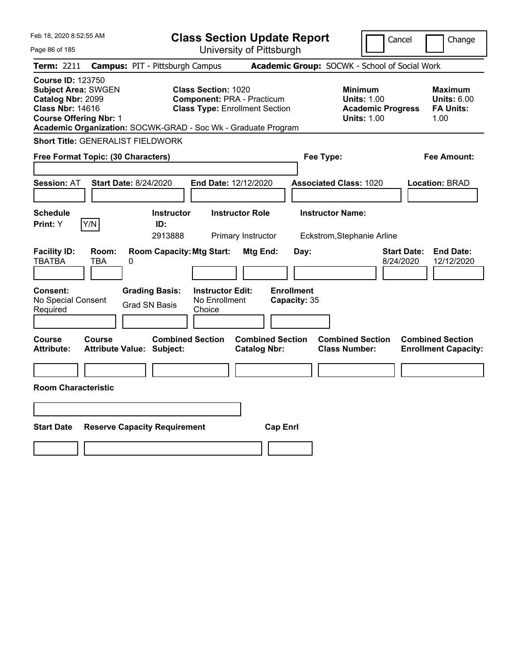| Feb 18, 2020 8:52:55 AM                                                                                                                                                                                  |                                            |                                               |                                                                                                          |                                              | <b>Class Section Update Report</b> |                                                       |                                                                                        | Cancel                          | Change                                                    |
|----------------------------------------------------------------------------------------------------------------------------------------------------------------------------------------------------------|--------------------------------------------|-----------------------------------------------|----------------------------------------------------------------------------------------------------------|----------------------------------------------|------------------------------------|-------------------------------------------------------|----------------------------------------------------------------------------------------|---------------------------------|-----------------------------------------------------------|
| Page 86 of 185                                                                                                                                                                                           |                                            |                                               |                                                                                                          |                                              | University of Pittsburgh           |                                                       |                                                                                        |                                 |                                                           |
| <b>Term: 2211</b>                                                                                                                                                                                        | <b>Campus: PIT - Pittsburgh Campus</b>     |                                               |                                                                                                          |                                              |                                    | Academic Group: SOCWK - School of Social Work         |                                                                                        |                                 |                                                           |
| <b>Course ID: 123750</b><br><b>Subject Area: SWGEN</b><br>Catalog Nbr: 2099<br><b>Class Nbr: 14616</b><br><b>Course Offering Nbr: 1</b><br>Academic Organization: SOCWK-GRAD - Soc Wk - Graduate Program |                                            |                                               | <b>Class Section: 1020</b><br><b>Component: PRA - Practicum</b><br><b>Class Type: Enrollment Section</b> |                                              |                                    |                                                       | <b>Minimum</b><br><b>Units: 1.00</b><br><b>Academic Progress</b><br><b>Units: 1.00</b> |                                 | Maximum<br><b>Units: 6.00</b><br><b>FA Units:</b><br>1.00 |
| <b>Short Title: GENERALIST FIELDWORK</b>                                                                                                                                                                 |                                            |                                               |                                                                                                          |                                              |                                    |                                                       |                                                                                        |                                 |                                                           |
| Free Format Topic: (30 Characters)                                                                                                                                                                       |                                            |                                               |                                                                                                          |                                              |                                    | Fee Type:                                             |                                                                                        |                                 | Fee Amount:                                               |
| <b>Session: AT</b>                                                                                                                                                                                       | <b>Start Date: 8/24/2020</b>               |                                               | End Date: 12/12/2020                                                                                     |                                              |                                    | <b>Associated Class: 1020</b>                         |                                                                                        |                                 | <b>Location: BRAD</b>                                     |
| <b>Schedule</b><br>Y/N<br>Print: Y                                                                                                                                                                       |                                            | <b>Instructor</b><br>ID:<br>2913888           |                                                                                                          | <b>Instructor Role</b><br>Primary Instructor |                                    | <b>Instructor Name:</b><br>Eckstrom, Stephanie Arline |                                                                                        |                                 |                                                           |
| <b>Facility ID:</b><br><b>TBATBA</b>                                                                                                                                                                     | Room:<br>TBA<br>0                          | <b>Room Capacity: Mtg Start:</b>              |                                                                                                          | Mtg End:                                     | Day:                               |                                                       |                                                                                        | <b>Start Date:</b><br>8/24/2020 | <b>End Date:</b><br>12/12/2020                            |
| <b>Consent:</b><br>No Special Consent<br>Required                                                                                                                                                        |                                            | <b>Grading Basis:</b><br><b>Grad SN Basis</b> | <b>Instructor Edit:</b><br>No Enrollment<br>Choice                                                       |                                              | <b>Enrollment</b><br>Capacity: 35  |                                                       |                                                                                        |                                 |                                                           |
| Course<br><b>Attribute:</b>                                                                                                                                                                              | Course<br><b>Attribute Value: Subject:</b> | <b>Combined Section</b>                       |                                                                                                          | <b>Catalog Nbr:</b>                          | <b>Combined Section</b>            | <b>Combined Section</b><br><b>Class Number:</b>       |                                                                                        |                                 | <b>Combined Section</b><br><b>Enrollment Capacity:</b>    |
|                                                                                                                                                                                                          |                                            |                                               |                                                                                                          |                                              |                                    |                                                       |                                                                                        |                                 |                                                           |
| <b>Room Characteristic</b>                                                                                                                                                                               |                                            |                                               |                                                                                                          |                                              |                                    |                                                       |                                                                                        |                                 |                                                           |
|                                                                                                                                                                                                          |                                            |                                               |                                                                                                          |                                              |                                    |                                                       |                                                                                        |                                 |                                                           |
| <b>Start Date</b>                                                                                                                                                                                        | <b>Reserve Capacity Requirement</b>        |                                               |                                                                                                          |                                              | <b>Cap Enrl</b>                    |                                                       |                                                                                        |                                 |                                                           |
|                                                                                                                                                                                                          |                                            |                                               |                                                                                                          |                                              |                                    |                                                       |                                                                                        |                                 |                                                           |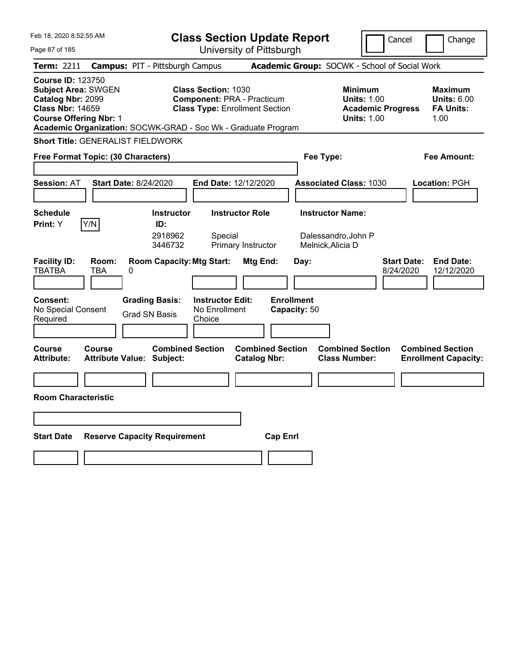| Feb 18, 2020 8:52:55 AM                                                                                                                 |                                                               | <b>Class Section Update Report</b>                                                                       |                                                |                                              |                                                                                 | Cancel                          | Change                                                    |
|-----------------------------------------------------------------------------------------------------------------------------------------|---------------------------------------------------------------|----------------------------------------------------------------------------------------------------------|------------------------------------------------|----------------------------------------------|---------------------------------------------------------------------------------|---------------------------------|-----------------------------------------------------------|
| Page 87 of 185                                                                                                                          |                                                               |                                                                                                          | University of Pittsburgh                       |                                              |                                                                                 |                                 |                                                           |
| Term: 2211                                                                                                                              | <b>Campus: PIT - Pittsburgh Campus</b>                        |                                                                                                          |                                                |                                              | Academic Group: SOCWK - School of Social Work                                   |                                 |                                                           |
| <b>Course ID: 123750</b><br><b>Subject Area: SWGEN</b><br>Catalog Nbr: 2099<br><b>Class Nbr: 14659</b><br><b>Course Offering Nbr: 1</b> | Academic Organization: SOCWK-GRAD - Soc Wk - Graduate Program | <b>Class Section: 1030</b><br><b>Component: PRA - Practicum</b><br><b>Class Type: Enrollment Section</b> |                                                |                                              | Minimum<br><b>Units: 1.00</b><br><b>Academic Progress</b><br><b>Units: 1.00</b> |                                 | Maximum<br><b>Units: 6.00</b><br><b>FA Units:</b><br>1.00 |
|                                                                                                                                         | <b>Short Title: GENERALIST FIELDWORK</b>                      |                                                                                                          |                                                |                                              |                                                                                 |                                 |                                                           |
| Free Format Topic: (30 Characters)                                                                                                      |                                                               |                                                                                                          |                                                | Fee Type:                                    |                                                                                 |                                 | Fee Amount:                                               |
| <b>Session: AT</b>                                                                                                                      | <b>Start Date: 8/24/2020</b>                                  | End Date: 12/12/2020                                                                                     |                                                |                                              | <b>Associated Class: 1030</b>                                                   |                                 | <b>Location: PGH</b>                                      |
| <b>Schedule</b><br>Y/N<br><b>Print:</b> Y                                                                                               | <b>Instructor</b><br>ID:<br>2918962<br>3446732                | Special                                                                                                  | <b>Instructor Role</b><br>Primary Instructor   | <b>Instructor Name:</b><br>Melnick, Alicia D | Dalessandro,John P                                                              |                                 |                                                           |
| <b>Facility ID:</b><br>Room:<br><b>TBATBA</b><br><b>TBA</b>                                                                             | <b>Room Capacity: Mtg Start:</b><br>0                         |                                                                                                          | Mtg End:                                       | Day:                                         |                                                                                 | <b>Start Date:</b><br>8/24/2020 | <b>End Date:</b><br>12/12/2020                            |
| <b>Consent:</b><br>No Special Consent<br>Required                                                                                       | <b>Grading Basis:</b><br><b>Grad SN Basis</b>                 | <b>Instructor Edit:</b><br>No Enrollment<br>Choice                                                       |                                                | <b>Enrollment</b><br>Capacity: 50            |                                                                                 |                                 |                                                           |
| <b>Course</b><br><b>Course</b><br><b>Attribute:</b>                                                                                     | <b>Attribute Value: Subject:</b>                              | <b>Combined Section</b>                                                                                  | <b>Combined Section</b><br><b>Catalog Nbr:</b> |                                              | <b>Combined Section</b><br><b>Class Number:</b>                                 |                                 | <b>Combined Section</b><br><b>Enrollment Capacity:</b>    |
|                                                                                                                                         |                                                               |                                                                                                          |                                                |                                              |                                                                                 |                                 |                                                           |
| <b>Room Characteristic</b>                                                                                                              |                                                               |                                                                                                          |                                                |                                              |                                                                                 |                                 |                                                           |
|                                                                                                                                         |                                                               |                                                                                                          |                                                |                                              |                                                                                 |                                 |                                                           |
| <b>Start Date</b>                                                                                                                       | <b>Reserve Capacity Requirement</b>                           |                                                                                                          | <b>Cap Enrl</b>                                |                                              |                                                                                 |                                 |                                                           |
|                                                                                                                                         |                                                               |                                                                                                          |                                                |                                              |                                                                                 |                                 |                                                           |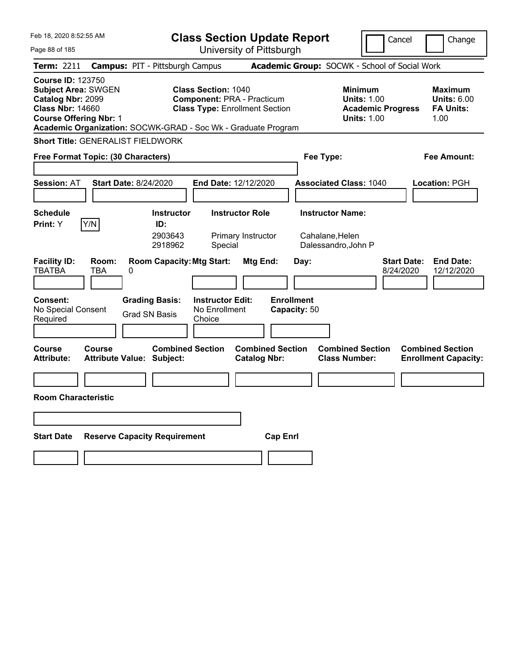| Feb 18, 2020 8:52:55 AM                                                                                                                 |                     |                                                               |                                                    | <b>Class Section Update Report</b>                                         |                                   |                                                                   | Cancel                          | Change                                                    |
|-----------------------------------------------------------------------------------------------------------------------------------------|---------------------|---------------------------------------------------------------|----------------------------------------------------|----------------------------------------------------------------------------|-----------------------------------|-------------------------------------------------------------------|---------------------------------|-----------------------------------------------------------|
| Page 88 of 185                                                                                                                          |                     |                                                               |                                                    | University of Pittsburgh                                                   |                                   |                                                                   |                                 |                                                           |
| Term: 2211                                                                                                                              |                     | <b>Campus: PIT - Pittsburgh Campus</b>                        |                                                    |                                                                            |                                   | Academic Group: SOCWK - School of Social Work                     |                                 |                                                           |
| <b>Course ID: 123750</b><br><b>Subject Area: SWGEN</b><br>Catalog Nbr: 2099<br><b>Class Nbr: 14660</b><br><b>Course Offering Nbr: 1</b> |                     | Academic Organization: SOCWK-GRAD - Soc Wk - Graduate Program | <b>Class Section: 1040</b>                         | <b>Component: PRA - Practicum</b><br><b>Class Type: Enrollment Section</b> |                                   | Minimum<br><b>Units: 1.00</b><br><b>Units: 1.00</b>               | <b>Academic Progress</b>        | Maximum<br><b>Units: 6.00</b><br><b>FA Units:</b><br>1.00 |
|                                                                                                                                         |                     | <b>Short Title: GENERALIST FIELDWORK</b>                      |                                                    |                                                                            |                                   |                                                                   |                                 |                                                           |
| Free Format Topic: (30 Characters)                                                                                                      |                     |                                                               |                                                    |                                                                            |                                   | Fee Type:                                                         |                                 | Fee Amount:                                               |
| <b>Session: AT</b>                                                                                                                      |                     | <b>Start Date: 8/24/2020</b>                                  |                                                    | End Date: 12/12/2020                                                       |                                   | <b>Associated Class: 1040</b>                                     |                                 | <b>Location: PGH</b>                                      |
| <b>Schedule</b><br><b>Print:</b> Y                                                                                                      | Y/N                 | <b>Instructor</b><br>ID:<br>2903643<br>2918962                | Special                                            | <b>Instructor Role</b><br>Primary Instructor                               |                                   | <b>Instructor Name:</b><br>Cahalane, Helen<br>Dalessandro, John P |                                 |                                                           |
| <b>Facility ID:</b><br><b>TBATBA</b>                                                                                                    | Room:<br><b>TBA</b> | <b>Room Capacity: Mtg Start:</b><br>0                         |                                                    | Mtg End:                                                                   | Day:                              |                                                                   | <b>Start Date:</b><br>8/24/2020 | <b>End Date:</b><br>12/12/2020                            |
| <b>Consent:</b><br>No Special Consent<br>Required                                                                                       |                     | <b>Grading Basis:</b><br><b>Grad SN Basis</b>                 | <b>Instructor Edit:</b><br>No Enrollment<br>Choice |                                                                            | <b>Enrollment</b><br>Capacity: 50 |                                                                   |                                 |                                                           |
| <b>Course</b><br><b>Attribute:</b>                                                                                                      | <b>Course</b>       | <b>Combined Section</b><br><b>Attribute Value: Subject:</b>   |                                                    | <b>Combined Section</b><br><b>Catalog Nbr:</b>                             |                                   | <b>Combined Section</b><br><b>Class Number:</b>                   |                                 | <b>Combined Section</b><br><b>Enrollment Capacity:</b>    |
|                                                                                                                                         |                     |                                                               |                                                    |                                                                            |                                   |                                                                   |                                 |                                                           |
| <b>Room Characteristic</b>                                                                                                              |                     |                                                               |                                                    |                                                                            |                                   |                                                                   |                                 |                                                           |
|                                                                                                                                         |                     |                                                               |                                                    |                                                                            |                                   |                                                                   |                                 |                                                           |
| <b>Start Date</b>                                                                                                                       |                     | <b>Reserve Capacity Requirement</b>                           |                                                    |                                                                            | <b>Cap Enrl</b>                   |                                                                   |                                 |                                                           |
|                                                                                                                                         |                     |                                                               |                                                    |                                                                            |                                   |                                                                   |                                 |                                                           |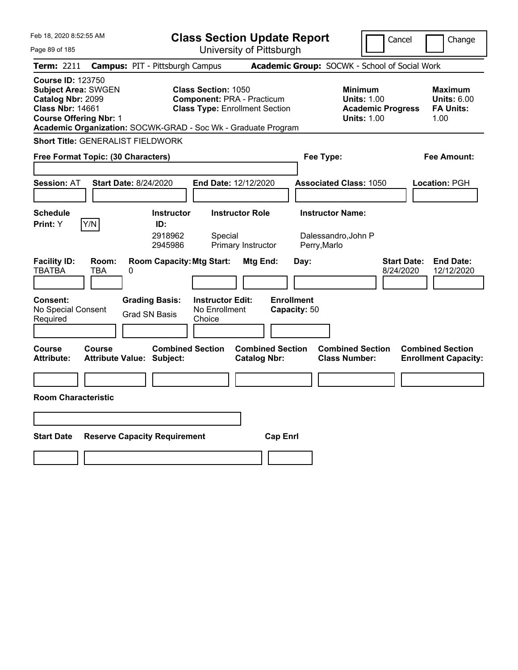| Feb 18, 2020 8:52:55 AM                                                                                                                                                                                  |                                                   |                                                | <b>Class Section Update Report</b>                                                                       |                                                |                                   |                                                               | Cancel                                                                          | Change                                                    |
|----------------------------------------------------------------------------------------------------------------------------------------------------------------------------------------------------------|---------------------------------------------------|------------------------------------------------|----------------------------------------------------------------------------------------------------------|------------------------------------------------|-----------------------------------|---------------------------------------------------------------|---------------------------------------------------------------------------------|-----------------------------------------------------------|
| Page 89 of 185                                                                                                                                                                                           |                                                   |                                                |                                                                                                          | University of Pittsburgh                       |                                   |                                                               |                                                                                 |                                                           |
| Term: 2211                                                                                                                                                                                               | <b>Campus: PIT - Pittsburgh Campus</b>            |                                                |                                                                                                          |                                                |                                   | Academic Group: SOCWK - School of Social Work                 |                                                                                 |                                                           |
| <b>Course ID: 123750</b><br><b>Subject Area: SWGEN</b><br>Catalog Nbr: 2099<br><b>Class Nbr: 14661</b><br><b>Course Offering Nbr: 1</b><br>Academic Organization: SOCWK-GRAD - Soc Wk - Graduate Program |                                                   |                                                | <b>Class Section: 1050</b><br><b>Component: PRA - Practicum</b><br><b>Class Type: Enrollment Section</b> |                                                |                                   |                                                               | Minimum<br><b>Units: 1.00</b><br><b>Academic Progress</b><br><b>Units: 1.00</b> | Maximum<br><b>Units: 6.00</b><br><b>FA Units:</b><br>1.00 |
| <b>Short Title: GENERALIST FIELDWORK</b>                                                                                                                                                                 |                                                   |                                                |                                                                                                          |                                                |                                   |                                                               |                                                                                 |                                                           |
| Free Format Topic: (30 Characters)                                                                                                                                                                       |                                                   |                                                |                                                                                                          |                                                |                                   | Fee Type:                                                     |                                                                                 | Fee Amount:                                               |
| <b>Session: AT</b>                                                                                                                                                                                       | <b>Start Date: 8/24/2020</b>                      |                                                | End Date: 12/12/2020                                                                                     |                                                |                                   | <b>Associated Class: 1050</b>                                 |                                                                                 | <b>Location: PGH</b>                                      |
| <b>Schedule</b><br>Y/N<br><b>Print:</b> Y                                                                                                                                                                |                                                   | <b>Instructor</b><br>ID:<br>2918962<br>2945986 | Special                                                                                                  | <b>Instructor Role</b><br>Primary Instructor   |                                   | <b>Instructor Name:</b><br>Dalessandro,John P<br>Perry, Marlo |                                                                                 |                                                           |
| <b>Facility ID:</b><br><b>TBATBA</b>                                                                                                                                                                     | Room:<br><b>TBA</b><br>0                          | <b>Room Capacity: Mtg Start:</b>               |                                                                                                          | Mtg End:                                       | Day:                              |                                                               | <b>Start Date:</b><br>8/24/2020                                                 | <b>End Date:</b><br>12/12/2020                            |
| <b>Consent:</b><br>No Special Consent<br>Required                                                                                                                                                        |                                                   | <b>Grading Basis:</b><br><b>Grad SN Basis</b>  | <b>Instructor Edit:</b><br>No Enrollment<br>Choice                                                       |                                                | <b>Enrollment</b><br>Capacity: 50 |                                                               |                                                                                 |                                                           |
| <b>Course</b><br><b>Attribute:</b>                                                                                                                                                                       | <b>Course</b><br><b>Attribute Value: Subject:</b> | <b>Combined Section</b>                        |                                                                                                          | <b>Combined Section</b><br><b>Catalog Nbr:</b> |                                   | <b>Combined Section</b><br><b>Class Number:</b>               |                                                                                 | <b>Combined Section</b><br><b>Enrollment Capacity:</b>    |
|                                                                                                                                                                                                          |                                                   |                                                |                                                                                                          |                                                |                                   |                                                               |                                                                                 |                                                           |
| <b>Room Characteristic</b>                                                                                                                                                                               |                                                   |                                                |                                                                                                          |                                                |                                   |                                                               |                                                                                 |                                                           |
|                                                                                                                                                                                                          |                                                   |                                                |                                                                                                          |                                                |                                   |                                                               |                                                                                 |                                                           |
| <b>Start Date</b>                                                                                                                                                                                        | <b>Reserve Capacity Requirement</b>               |                                                |                                                                                                          |                                                | <b>Cap Enrl</b>                   |                                                               |                                                                                 |                                                           |
|                                                                                                                                                                                                          |                                                   |                                                |                                                                                                          |                                                |                                   |                                                               |                                                                                 |                                                           |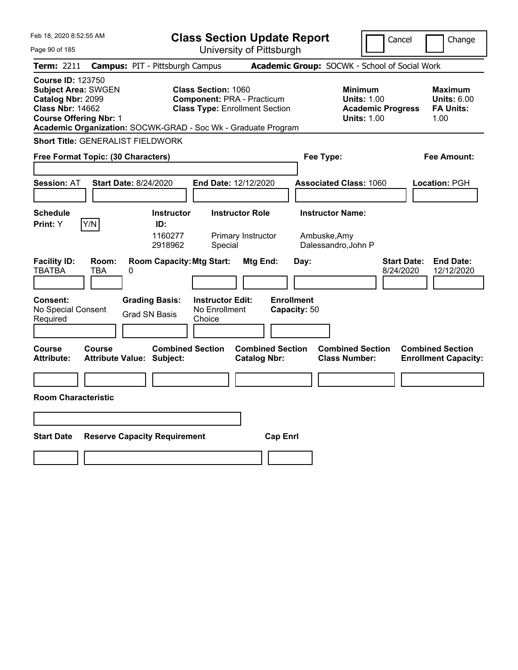| Feb 18, 2020 8:52:55 AM                                                                                                                 |                                                               | <b>Class Section Update Report</b>                                                                       |                                                |                                     | Cancel                                                                          | Change                                                    |
|-----------------------------------------------------------------------------------------------------------------------------------------|---------------------------------------------------------------|----------------------------------------------------------------------------------------------------------|------------------------------------------------|-------------------------------------|---------------------------------------------------------------------------------|-----------------------------------------------------------|
| Page 90 of 185                                                                                                                          |                                                               |                                                                                                          | University of Pittsburgh                       |                                     |                                                                                 |                                                           |
| Term: 2211                                                                                                                              | <b>Campus: PIT - Pittsburgh Campus</b>                        |                                                                                                          |                                                |                                     | Academic Group: SOCWK - School of Social Work                                   |                                                           |
| <b>Course ID: 123750</b><br><b>Subject Area: SWGEN</b><br>Catalog Nbr: 2099<br><b>Class Nbr: 14662</b><br><b>Course Offering Nbr: 1</b> | Academic Organization: SOCWK-GRAD - Soc Wk - Graduate Program | <b>Class Section: 1060</b><br><b>Component: PRA - Practicum</b><br><b>Class Type: Enrollment Section</b> |                                                |                                     | Minimum<br><b>Units: 1.00</b><br><b>Academic Progress</b><br><b>Units: 1.00</b> | Maximum<br><b>Units: 6.00</b><br><b>FA Units:</b><br>1.00 |
|                                                                                                                                         | <b>Short Title: GENERALIST FIELDWORK</b>                      |                                                                                                          |                                                |                                     |                                                                                 |                                                           |
| Free Format Topic: (30 Characters)                                                                                                      |                                                               |                                                                                                          |                                                | Fee Type:                           |                                                                                 | Fee Amount:                                               |
|                                                                                                                                         |                                                               |                                                                                                          |                                                |                                     |                                                                                 |                                                           |
| <b>Session: AT</b>                                                                                                                      | <b>Start Date: 8/24/2020</b>                                  | End Date: 12/12/2020                                                                                     |                                                | <b>Associated Class: 1060</b>       |                                                                                 | <b>Location: PGH</b>                                      |
|                                                                                                                                         |                                                               |                                                                                                          |                                                |                                     |                                                                                 |                                                           |
| <b>Schedule</b>                                                                                                                         | <b>Instructor</b>                                             | <b>Instructor Role</b>                                                                                   |                                                | <b>Instructor Name:</b>             |                                                                                 |                                                           |
| Y/N<br><b>Print:</b> Y                                                                                                                  | ID:<br>1160277<br>2918962                                     | Special                                                                                                  | Primary Instructor                             | Ambuske, Amy<br>Dalessandro, John P |                                                                                 |                                                           |
| <b>Facility ID:</b><br>Room:<br><b>TBATBA</b><br><b>TBA</b>                                                                             | <b>Room Capacity: Mtg Start:</b><br>0                         |                                                                                                          | Mtg End:                                       | Day:                                | <b>Start Date:</b><br>8/24/2020                                                 | <b>End Date:</b><br>12/12/2020                            |
| <b>Consent:</b><br>No Special Consent<br>Required                                                                                       | <b>Grading Basis:</b><br><b>Grad SN Basis</b>                 | <b>Instructor Edit:</b><br>No Enrollment<br>Choice                                                       |                                                | <b>Enrollment</b><br>Capacity: 50   |                                                                                 |                                                           |
| <b>Course</b><br><b>Course</b><br><b>Attribute:</b>                                                                                     | <b>Attribute Value: Subject:</b>                              | <b>Combined Section</b>                                                                                  | <b>Combined Section</b><br><b>Catalog Nbr:</b> |                                     | <b>Combined Section</b><br><b>Class Number:</b>                                 | <b>Combined Section</b><br><b>Enrollment Capacity:</b>    |
|                                                                                                                                         |                                                               |                                                                                                          |                                                |                                     |                                                                                 |                                                           |
| <b>Room Characteristic</b>                                                                                                              |                                                               |                                                                                                          |                                                |                                     |                                                                                 |                                                           |
|                                                                                                                                         |                                                               |                                                                                                          |                                                |                                     |                                                                                 |                                                           |
| <b>Start Date</b>                                                                                                                       | <b>Reserve Capacity Requirement</b>                           |                                                                                                          | <b>Cap Enrl</b>                                |                                     |                                                                                 |                                                           |
|                                                                                                                                         |                                                               |                                                                                                          |                                                |                                     |                                                                                 |                                                           |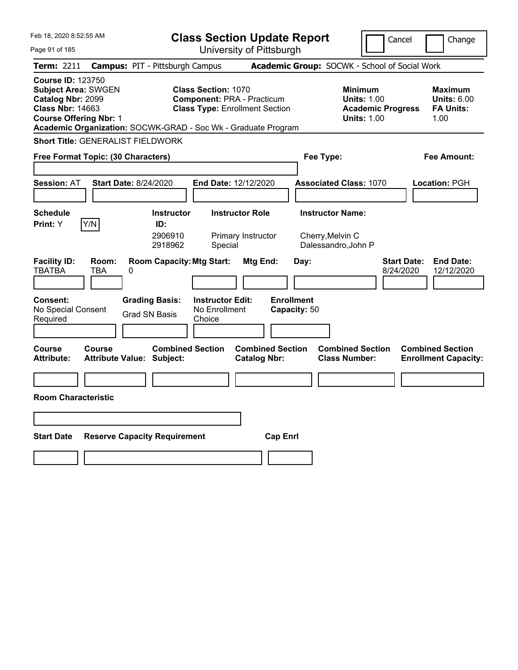| Feb 18, 2020 8:52:55 AM                                                                                                                                                                                  |                                                                                        |                                                    | <b>Class Section Update Report</b>                                         |                                           |                                                                                        | Cancel                          | Change                                                    |
|----------------------------------------------------------------------------------------------------------------------------------------------------------------------------------------------------------|----------------------------------------------------------------------------------------|----------------------------------------------------|----------------------------------------------------------------------------|-------------------------------------------|----------------------------------------------------------------------------------------|---------------------------------|-----------------------------------------------------------|
| Page 91 of 185                                                                                                                                                                                           |                                                                                        |                                                    | University of Pittsburgh                                                   |                                           |                                                                                        |                                 |                                                           |
| Term: 2211                                                                                                                                                                                               | <b>Campus: PIT - Pittsburgh Campus</b>                                                 |                                                    |                                                                            |                                           | Academic Group: SOCWK - School of Social Work                                          |                                 |                                                           |
| <b>Course ID: 123750</b><br><b>Subject Area: SWGEN</b><br>Catalog Nbr: 2099<br><b>Class Nbr: 14663</b><br><b>Course Offering Nbr: 1</b><br>Academic Organization: SOCWK-GRAD - Soc Wk - Graduate Program |                                                                                        | <b>Class Section: 1070</b>                         | <b>Component: PRA - Practicum</b><br><b>Class Type: Enrollment Section</b> |                                           | <b>Minimum</b><br><b>Units: 1.00</b><br><b>Academic Progress</b><br><b>Units: 1.00</b> |                                 | Maximum<br><b>Units: 6.00</b><br><b>FA Units:</b><br>1.00 |
| <b>Short Title: GENERALIST FIELDWORK</b>                                                                                                                                                                 |                                                                                        |                                                    |                                                                            |                                           |                                                                                        |                                 |                                                           |
| Free Format Topic: (30 Characters)                                                                                                                                                                       |                                                                                        |                                                    |                                                                            | Fee Type:                                 |                                                                                        |                                 | Fee Amount:                                               |
|                                                                                                                                                                                                          |                                                                                        |                                                    |                                                                            |                                           |                                                                                        |                                 |                                                           |
| <b>Session: AT</b>                                                                                                                                                                                       | <b>Start Date: 8/24/2020</b>                                                           | <b>End Date: 12/12/2020</b>                        |                                                                            |                                           | <b>Associated Class: 1070</b>                                                          |                                 | Location: PGH                                             |
|                                                                                                                                                                                                          |                                                                                        |                                                    |                                                                            |                                           |                                                                                        |                                 |                                                           |
| <b>Schedule</b>                                                                                                                                                                                          | <b>Instructor</b>                                                                      |                                                    | <b>Instructor Role</b>                                                     | <b>Instructor Name:</b>                   |                                                                                        |                                 |                                                           |
| Y/N<br>Print: Y                                                                                                                                                                                          | ID:                                                                                    |                                                    |                                                                            |                                           |                                                                                        |                                 |                                                           |
|                                                                                                                                                                                                          | 2906910<br>2918962                                                                     | Special                                            | Primary Instructor                                                         | Cherry, Melvin C                          | Dalessandro, John P                                                                    |                                 |                                                           |
| <b>Facility ID:</b><br>Room:<br><b>TBATBA</b><br><b>TBA</b><br><b>Consent:</b><br>No Special Consent<br>Required                                                                                         | <b>Room Capacity: Mtg Start:</b><br>0<br><b>Grading Basis:</b><br><b>Grad SN Basis</b> | <b>Instructor Edit:</b><br>No Enrollment<br>Choice | Mtg End:                                                                   | Day:<br><b>Enrollment</b><br>Capacity: 50 |                                                                                        | <b>Start Date:</b><br>8/24/2020 | <b>End Date:</b><br>12/12/2020                            |
| Course<br>Course<br><b>Attribute:</b>                                                                                                                                                                    | <b>Combined Section</b><br>Attribute Value: Subject:                                   |                                                    | <b>Combined Section</b><br><b>Catalog Nbr:</b>                             |                                           | <b>Combined Section</b><br><b>Class Number:</b>                                        |                                 | <b>Combined Section</b><br><b>Enrollment Capacity:</b>    |
|                                                                                                                                                                                                          |                                                                                        |                                                    |                                                                            |                                           |                                                                                        |                                 |                                                           |
| <b>Room Characteristic</b>                                                                                                                                                                               |                                                                                        |                                                    |                                                                            |                                           |                                                                                        |                                 |                                                           |
|                                                                                                                                                                                                          |                                                                                        |                                                    |                                                                            |                                           |                                                                                        |                                 |                                                           |
| <b>Start Date</b>                                                                                                                                                                                        | <b>Reserve Capacity Requirement</b>                                                    |                                                    | <b>Cap Enrl</b>                                                            |                                           |                                                                                        |                                 |                                                           |
|                                                                                                                                                                                                          |                                                                                        |                                                    |                                                                            |                                           |                                                                                        |                                 |                                                           |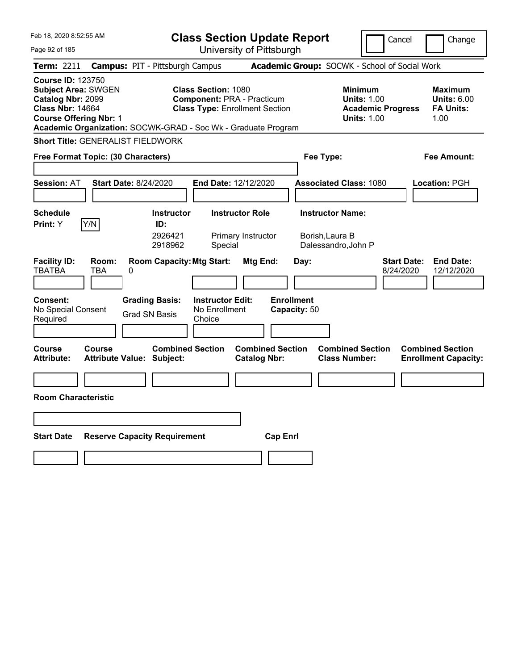| Feb 18, 2020 8:52:55 AM                                                                                                                 |                     |                                                               |                                                    | <b>Class Section Update Report</b>                                         |                                   |                                                                   | Cancel                          | Change                                                    |
|-----------------------------------------------------------------------------------------------------------------------------------------|---------------------|---------------------------------------------------------------|----------------------------------------------------|----------------------------------------------------------------------------|-----------------------------------|-------------------------------------------------------------------|---------------------------------|-----------------------------------------------------------|
| Page 92 of 185                                                                                                                          |                     |                                                               |                                                    | University of Pittsburgh                                                   |                                   |                                                                   |                                 |                                                           |
| Term: 2211                                                                                                                              |                     | <b>Campus: PIT - Pittsburgh Campus</b>                        |                                                    |                                                                            |                                   | Academic Group: SOCWK - School of Social Work                     |                                 |                                                           |
| <b>Course ID: 123750</b><br><b>Subject Area: SWGEN</b><br>Catalog Nbr: 2099<br><b>Class Nbr: 14664</b><br><b>Course Offering Nbr: 1</b> |                     | Academic Organization: SOCWK-GRAD - Soc Wk - Graduate Program | <b>Class Section: 1080</b>                         | <b>Component: PRA - Practicum</b><br><b>Class Type: Enrollment Section</b> |                                   | Minimum<br><b>Units: 1.00</b><br><b>Units: 1.00</b>               | <b>Academic Progress</b>        | Maximum<br><b>Units: 6.00</b><br><b>FA Units:</b><br>1.00 |
|                                                                                                                                         |                     | <b>Short Title: GENERALIST FIELDWORK</b>                      |                                                    |                                                                            |                                   |                                                                   |                                 |                                                           |
| Free Format Topic: (30 Characters)                                                                                                      |                     |                                                               |                                                    |                                                                            |                                   | Fee Type:                                                         |                                 | Fee Amount:                                               |
| <b>Session: AT</b>                                                                                                                      |                     | <b>Start Date: 8/24/2020</b>                                  |                                                    | End Date: 12/12/2020                                                       |                                   | <b>Associated Class: 1080</b>                                     |                                 | <b>Location: PGH</b>                                      |
| <b>Schedule</b><br><b>Print:</b> Y                                                                                                      | Y/N                 | <b>Instructor</b><br>ID:<br>2926421<br>2918962                | Special                                            | <b>Instructor Role</b><br>Primary Instructor                               |                                   | <b>Instructor Name:</b><br>Borish, Laura B<br>Dalessandro, John P |                                 |                                                           |
| <b>Facility ID:</b><br><b>TBATBA</b>                                                                                                    | Room:<br><b>TBA</b> | <b>Room Capacity: Mtg Start:</b><br>0                         |                                                    | Mtg End:                                                                   | Day:                              |                                                                   | <b>Start Date:</b><br>8/24/2020 | <b>End Date:</b><br>12/12/2020                            |
| <b>Consent:</b><br>No Special Consent<br>Required                                                                                       |                     | <b>Grading Basis:</b><br><b>Grad SN Basis</b>                 | <b>Instructor Edit:</b><br>No Enrollment<br>Choice |                                                                            | <b>Enrollment</b><br>Capacity: 50 |                                                                   |                                 |                                                           |
| <b>Course</b><br><b>Attribute:</b>                                                                                                      | <b>Course</b>       | <b>Combined Section</b><br><b>Attribute Value: Subject:</b>   |                                                    | <b>Combined Section</b><br><b>Catalog Nbr:</b>                             |                                   | <b>Combined Section</b><br><b>Class Number:</b>                   |                                 | <b>Combined Section</b><br><b>Enrollment Capacity:</b>    |
|                                                                                                                                         |                     |                                                               |                                                    |                                                                            |                                   |                                                                   |                                 |                                                           |
| <b>Room Characteristic</b>                                                                                                              |                     |                                                               |                                                    |                                                                            |                                   |                                                                   |                                 |                                                           |
|                                                                                                                                         |                     |                                                               |                                                    |                                                                            |                                   |                                                                   |                                 |                                                           |
| <b>Start Date</b>                                                                                                                       |                     | <b>Reserve Capacity Requirement</b>                           |                                                    |                                                                            | <b>Cap Enrl</b>                   |                                                                   |                                 |                                                           |
|                                                                                                                                         |                     |                                                               |                                                    |                                                                            |                                   |                                                                   |                                 |                                                           |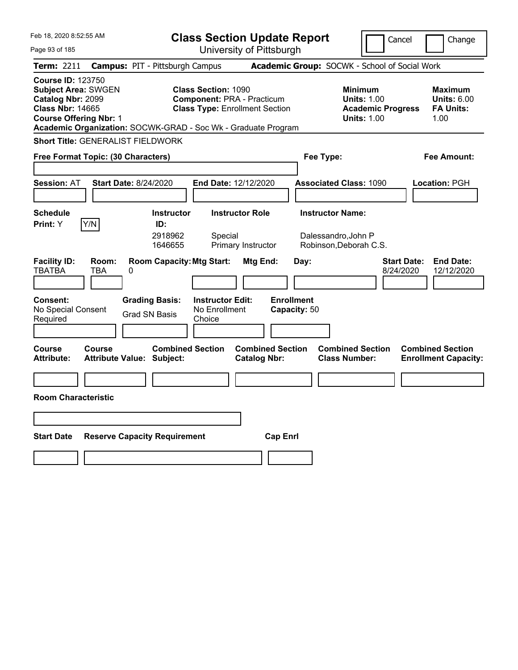| Feb 18, 2020 8:52:55 AM                                                                                                                                                                                  |                                                      |                                                    | <b>Class Section Update Report</b>                                         |                                   |                                                                                        | Cancel                          | Change                                                    |
|----------------------------------------------------------------------------------------------------------------------------------------------------------------------------------------------------------|------------------------------------------------------|----------------------------------------------------|----------------------------------------------------------------------------|-----------------------------------|----------------------------------------------------------------------------------------|---------------------------------|-----------------------------------------------------------|
| Page 93 of 185                                                                                                                                                                                           |                                                      |                                                    | University of Pittsburgh                                                   |                                   |                                                                                        |                                 |                                                           |
| Term: 2211                                                                                                                                                                                               | <b>Campus: PIT - Pittsburgh Campus</b>               |                                                    |                                                                            |                                   | Academic Group: SOCWK - School of Social Work                                          |                                 |                                                           |
| <b>Course ID: 123750</b><br><b>Subject Area: SWGEN</b><br>Catalog Nbr: 2099<br><b>Class Nbr: 14665</b><br><b>Course Offering Nbr: 1</b><br>Academic Organization: SOCWK-GRAD - Soc Wk - Graduate Program |                                                      | <b>Class Section: 1090</b>                         | <b>Component: PRA - Practicum</b><br><b>Class Type: Enrollment Section</b> |                                   | <b>Minimum</b><br><b>Units: 1.00</b><br><b>Academic Progress</b><br><b>Units: 1.00</b> |                                 | Maximum<br><b>Units: 6.00</b><br><b>FA Units:</b><br>1.00 |
| <b>Short Title: GENERALIST FIELDWORK</b>                                                                                                                                                                 |                                                      |                                                    |                                                                            |                                   |                                                                                        |                                 |                                                           |
| Free Format Topic: (30 Characters)                                                                                                                                                                       |                                                      |                                                    |                                                                            | Fee Type:                         |                                                                                        |                                 | Fee Amount:                                               |
|                                                                                                                                                                                                          |                                                      |                                                    |                                                                            |                                   |                                                                                        |                                 |                                                           |
| <b>Session: AT</b>                                                                                                                                                                                       | <b>Start Date: 8/24/2020</b>                         | <b>End Date: 12/12/2020</b>                        |                                                                            |                                   | <b>Associated Class: 1090</b>                                                          |                                 | Location: PGH                                             |
|                                                                                                                                                                                                          |                                                      |                                                    |                                                                            |                                   |                                                                                        |                                 |                                                           |
| <b>Schedule</b>                                                                                                                                                                                          | <b>Instructor</b>                                    |                                                    | <b>Instructor Role</b>                                                     |                                   | <b>Instructor Name:</b>                                                                |                                 |                                                           |
| Y/N<br>Print: Y                                                                                                                                                                                          | ID:<br>2918962<br>1646655                            | Special                                            | Primary Instructor                                                         |                                   | Dalessandro, John P<br>Robinson, Deborah C.S.                                          |                                 |                                                           |
| <b>Facility ID:</b><br>Room:<br><b>TBATBA</b><br><b>TBA</b>                                                                                                                                              | <b>Room Capacity: Mtg Start:</b><br>0                |                                                    | Mtg End:                                                                   | Day:                              |                                                                                        | <b>Start Date:</b><br>8/24/2020 | <b>End Date:</b><br>12/12/2020                            |
| <b>Consent:</b><br>No Special Consent<br>Required                                                                                                                                                        | <b>Grading Basis:</b><br><b>Grad SN Basis</b>        | <b>Instructor Edit:</b><br>No Enrollment<br>Choice |                                                                            | <b>Enrollment</b><br>Capacity: 50 |                                                                                        |                                 |                                                           |
| Course<br>Course<br><b>Attribute:</b>                                                                                                                                                                    | <b>Combined Section</b><br>Attribute Value: Subject: |                                                    | <b>Combined Section</b><br><b>Catalog Nbr:</b>                             |                                   | <b>Combined Section</b><br><b>Class Number:</b>                                        |                                 | <b>Combined Section</b><br><b>Enrollment Capacity:</b>    |
|                                                                                                                                                                                                          |                                                      |                                                    |                                                                            |                                   |                                                                                        |                                 |                                                           |
| <b>Room Characteristic</b>                                                                                                                                                                               |                                                      |                                                    |                                                                            |                                   |                                                                                        |                                 |                                                           |
|                                                                                                                                                                                                          |                                                      |                                                    |                                                                            |                                   |                                                                                        |                                 |                                                           |
| <b>Start Date</b>                                                                                                                                                                                        | <b>Reserve Capacity Requirement</b>                  |                                                    | <b>Cap Enrl</b>                                                            |                                   |                                                                                        |                                 |                                                           |
|                                                                                                                                                                                                          |                                                      |                                                    |                                                                            |                                   |                                                                                        |                                 |                                                           |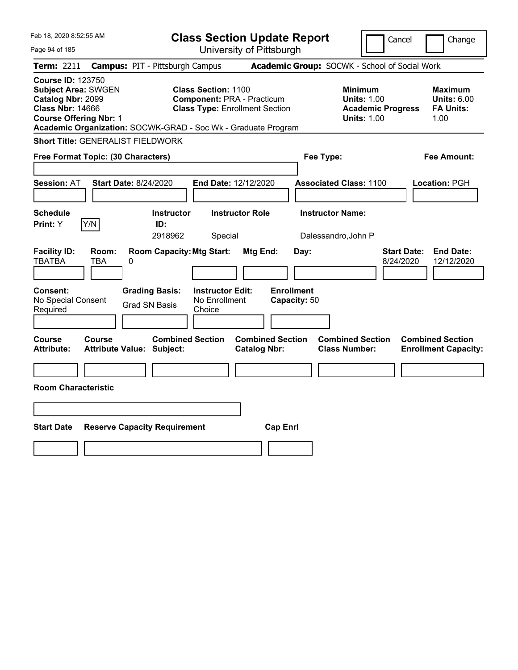| Feb 18, 2020 8:52:55 AM                                                                                                                                                                                  |                                            |                                     |                                                                                                          |                        | <b>Class Section Update Report</b> |                                                 |                                                                                        | Cancel                          | Change                                                    |
|----------------------------------------------------------------------------------------------------------------------------------------------------------------------------------------------------------|--------------------------------------------|-------------------------------------|----------------------------------------------------------------------------------------------------------|------------------------|------------------------------------|-------------------------------------------------|----------------------------------------------------------------------------------------|---------------------------------|-----------------------------------------------------------|
| Page 94 of 185                                                                                                                                                                                           |                                            |                                     |                                                                                                          |                        | University of Pittsburgh           |                                                 |                                                                                        |                                 |                                                           |
| <b>Term: 2211</b>                                                                                                                                                                                        | <b>Campus: PIT - Pittsburgh Campus</b>     |                                     |                                                                                                          |                        |                                    | Academic Group: SOCWK - School of Social Work   |                                                                                        |                                 |                                                           |
| <b>Course ID: 123750</b><br><b>Subject Area: SWGEN</b><br>Catalog Nbr: 2099<br><b>Class Nbr: 14666</b><br><b>Course Offering Nbr: 1</b><br>Academic Organization: SOCWK-GRAD - Soc Wk - Graduate Program |                                            |                                     | <b>Class Section: 1100</b><br><b>Component: PRA - Practicum</b><br><b>Class Type: Enrollment Section</b> |                        |                                    |                                                 | <b>Minimum</b><br><b>Units: 1.00</b><br><b>Academic Progress</b><br><b>Units: 1.00</b> |                                 | Maximum<br><b>Units: 6.00</b><br><b>FA Units:</b><br>1.00 |
| <b>Short Title: GENERALIST FIELDWORK</b>                                                                                                                                                                 |                                            |                                     |                                                                                                          |                        |                                    |                                                 |                                                                                        |                                 |                                                           |
| Free Format Topic: (30 Characters)                                                                                                                                                                       |                                            |                                     |                                                                                                          |                        |                                    | Fee Type:                                       |                                                                                        |                                 | Fee Amount:                                               |
| <b>Session: AT</b>                                                                                                                                                                                       | <b>Start Date: 8/24/2020</b>               |                                     | End Date: 12/12/2020                                                                                     |                        |                                    | <b>Associated Class: 1100</b>                   |                                                                                        |                                 | Location: PGH                                             |
| <b>Schedule</b><br>Y/N<br>Print: Y                                                                                                                                                                       |                                            | <b>Instructor</b><br>ID:<br>2918962 | Special                                                                                                  | <b>Instructor Role</b> |                                    | <b>Instructor Name:</b><br>Dalessandro, John P  |                                                                                        |                                 |                                                           |
| <b>Facility ID:</b><br><b>TBATBA</b>                                                                                                                                                                     | Room:<br><b>TBA</b><br>0                   | <b>Room Capacity: Mtg Start:</b>    |                                                                                                          | Mtg End:               | Day:                               |                                                 |                                                                                        | <b>Start Date:</b><br>8/24/2020 | <b>End Date:</b><br>12/12/2020                            |
| Consent:<br>No Special Consent<br>Required                                                                                                                                                               | <b>Grad SN Basis</b>                       | <b>Grading Basis:</b>               | <b>Instructor Edit:</b><br>No Enrollment<br>Choice                                                       |                        | <b>Enrollment</b><br>Capacity: 50  |                                                 |                                                                                        |                                 |                                                           |
| Course<br>Attribute:                                                                                                                                                                                     | Course<br><b>Attribute Value: Subject:</b> | <b>Combined Section</b>             |                                                                                                          | <b>Catalog Nbr:</b>    | <b>Combined Section</b>            | <b>Combined Section</b><br><b>Class Number:</b> |                                                                                        |                                 | <b>Combined Section</b><br><b>Enrollment Capacity:</b>    |
| <b>Room Characteristic</b>                                                                                                                                                                               |                                            |                                     |                                                                                                          |                        |                                    |                                                 |                                                                                        |                                 |                                                           |
|                                                                                                                                                                                                          |                                            |                                     |                                                                                                          |                        |                                    |                                                 |                                                                                        |                                 |                                                           |
| <b>Start Date</b>                                                                                                                                                                                        | <b>Reserve Capacity Requirement</b>        |                                     |                                                                                                          |                        | <b>Cap Enrl</b>                    |                                                 |                                                                                        |                                 |                                                           |
|                                                                                                                                                                                                          |                                            |                                     |                                                                                                          |                        |                                    |                                                 |                                                                                        |                                 |                                                           |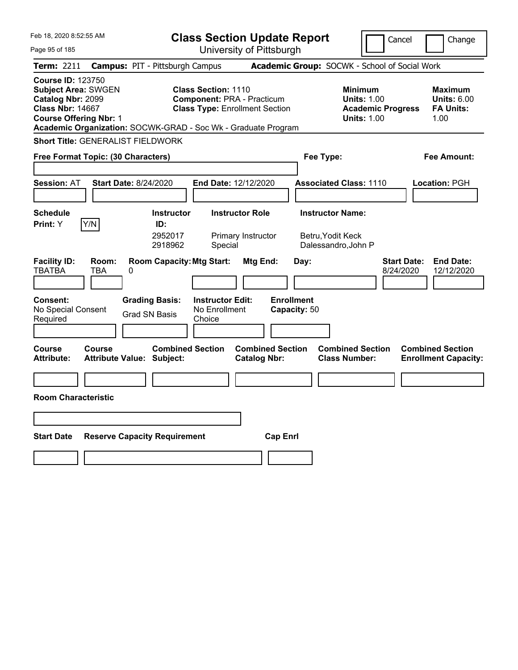| Feb 18, 2020 8:52:55 AM                                                                                                                                                                                  |                                                      |                                                    | <b>Class Section Update Report</b>                                         |                                   |                                                                                        | Cancel                          | Change                                                    |
|----------------------------------------------------------------------------------------------------------------------------------------------------------------------------------------------------------|------------------------------------------------------|----------------------------------------------------|----------------------------------------------------------------------------|-----------------------------------|----------------------------------------------------------------------------------------|---------------------------------|-----------------------------------------------------------|
| Page 95 of 185                                                                                                                                                                                           |                                                      |                                                    | University of Pittsburgh                                                   |                                   |                                                                                        |                                 |                                                           |
| Term: 2211                                                                                                                                                                                               | <b>Campus: PIT - Pittsburgh Campus</b>               |                                                    |                                                                            |                                   | Academic Group: SOCWK - School of Social Work                                          |                                 |                                                           |
| <b>Course ID: 123750</b><br><b>Subject Area: SWGEN</b><br>Catalog Nbr: 2099<br><b>Class Nbr: 14667</b><br><b>Course Offering Nbr: 1</b><br>Academic Organization: SOCWK-GRAD - Soc Wk - Graduate Program |                                                      | <b>Class Section: 1110</b>                         | <b>Component: PRA - Practicum</b><br><b>Class Type: Enrollment Section</b> |                                   | <b>Minimum</b><br><b>Units: 1.00</b><br><b>Academic Progress</b><br><b>Units: 1.00</b> |                                 | Maximum<br><b>Units: 6.00</b><br><b>FA Units:</b><br>1.00 |
| <b>Short Title: GENERALIST FIELDWORK</b>                                                                                                                                                                 |                                                      |                                                    |                                                                            |                                   |                                                                                        |                                 |                                                           |
| Free Format Topic: (30 Characters)                                                                                                                                                                       |                                                      |                                                    |                                                                            | Fee Type:                         |                                                                                        |                                 | Fee Amount:                                               |
|                                                                                                                                                                                                          |                                                      |                                                    |                                                                            |                                   |                                                                                        |                                 |                                                           |
| <b>Session: AT</b>                                                                                                                                                                                       | <b>Start Date: 8/24/2020</b>                         | <b>End Date: 12/12/2020</b>                        |                                                                            |                                   | <b>Associated Class: 1110</b>                                                          |                                 | Location: PGH                                             |
|                                                                                                                                                                                                          |                                                      |                                                    |                                                                            |                                   |                                                                                        |                                 |                                                           |
| <b>Schedule</b>                                                                                                                                                                                          | <b>Instructor</b>                                    |                                                    | <b>Instructor Role</b>                                                     |                                   | <b>Instructor Name:</b>                                                                |                                 |                                                           |
| Y/N<br>Print: Y                                                                                                                                                                                          | ID:<br>2952017<br>2918962                            | Special                                            | Primary Instructor                                                         |                                   | Betru, Yodit Keck<br>Dalessandro, John P                                               |                                 |                                                           |
| <b>Facility ID:</b><br>Room:<br><b>TBATBA</b><br><b>TBA</b>                                                                                                                                              | <b>Room Capacity: Mtg Start:</b><br>0                |                                                    | Mtg End:                                                                   | Day:                              |                                                                                        | <b>Start Date:</b><br>8/24/2020 | <b>End Date:</b><br>12/12/2020                            |
| <b>Consent:</b><br>No Special Consent<br>Required                                                                                                                                                        | <b>Grading Basis:</b><br><b>Grad SN Basis</b>        | <b>Instructor Edit:</b><br>No Enrollment<br>Choice |                                                                            | <b>Enrollment</b><br>Capacity: 50 |                                                                                        |                                 |                                                           |
| Course<br>Course<br><b>Attribute:</b>                                                                                                                                                                    | <b>Combined Section</b><br>Attribute Value: Subject: |                                                    | <b>Combined Section</b><br><b>Catalog Nbr:</b>                             |                                   | <b>Combined Section</b><br><b>Class Number:</b>                                        |                                 | <b>Combined Section</b><br><b>Enrollment Capacity:</b>    |
|                                                                                                                                                                                                          |                                                      |                                                    |                                                                            |                                   |                                                                                        |                                 |                                                           |
| <b>Room Characteristic</b>                                                                                                                                                                               |                                                      |                                                    |                                                                            |                                   |                                                                                        |                                 |                                                           |
|                                                                                                                                                                                                          |                                                      |                                                    |                                                                            |                                   |                                                                                        |                                 |                                                           |
| <b>Start Date</b>                                                                                                                                                                                        | <b>Reserve Capacity Requirement</b>                  |                                                    | <b>Cap Enrl</b>                                                            |                                   |                                                                                        |                                 |                                                           |
|                                                                                                                                                                                                          |                                                      |                                                    |                                                                            |                                   |                                                                                        |                                 |                                                           |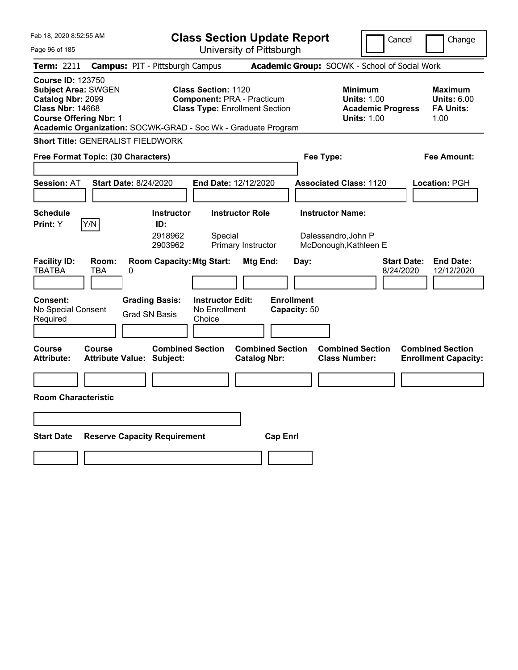| Feb 18, 2020 8:52:55 AM                                                                                                                                                                                  |                                                      |                                                    | <b>Class Section Update Report</b>                                         |                                   |                                                            | Cancel                          | Change                                                    |
|----------------------------------------------------------------------------------------------------------------------------------------------------------------------------------------------------------|------------------------------------------------------|----------------------------------------------------|----------------------------------------------------------------------------|-----------------------------------|------------------------------------------------------------|---------------------------------|-----------------------------------------------------------|
| Page 96 of 185                                                                                                                                                                                           |                                                      |                                                    | University of Pittsburgh                                                   |                                   |                                                            |                                 |                                                           |
| Term: 2211                                                                                                                                                                                               | <b>Campus: PIT - Pittsburgh Campus</b>               |                                                    |                                                                            |                                   | Academic Group: SOCWK - School of Social Work              |                                 |                                                           |
| <b>Course ID: 123750</b><br><b>Subject Area: SWGEN</b><br>Catalog Nbr: 2099<br><b>Class Nbr: 14668</b><br><b>Course Offering Nbr: 1</b><br>Academic Organization: SOCWK-GRAD - Soc Wk - Graduate Program |                                                      | <b>Class Section: 1120</b>                         | <b>Component: PRA - Practicum</b><br><b>Class Type: Enrollment Section</b> |                                   | <b>Minimum</b><br><b>Units: 1.00</b><br><b>Units: 1.00</b> | <b>Academic Progress</b>        | Maximum<br><b>Units: 6.00</b><br><b>FA Units:</b><br>1.00 |
| <b>Short Title: GENERALIST FIELDWORK</b>                                                                                                                                                                 |                                                      |                                                    |                                                                            |                                   |                                                            |                                 |                                                           |
| Free Format Topic: (30 Characters)                                                                                                                                                                       |                                                      |                                                    |                                                                            |                                   | Fee Type:                                                  |                                 | Fee Amount:                                               |
|                                                                                                                                                                                                          |                                                      |                                                    |                                                                            |                                   |                                                            |                                 |                                                           |
| <b>Session: AT</b>                                                                                                                                                                                       | <b>Start Date: 8/24/2020</b>                         | <b>End Date: 12/12/2020</b>                        |                                                                            |                                   | <b>Associated Class: 1120</b>                              |                                 | Location: PGH                                             |
|                                                                                                                                                                                                          |                                                      |                                                    |                                                                            |                                   |                                                            |                                 |                                                           |
| <b>Schedule</b>                                                                                                                                                                                          | <b>Instructor</b>                                    |                                                    | <b>Instructor Role</b>                                                     |                                   | <b>Instructor Name:</b>                                    |                                 |                                                           |
| Y/N<br>Print: Y                                                                                                                                                                                          | ID:<br>2918962<br>2903962                            | Special                                            | Primary Instructor                                                         |                                   | Dalessandro, John P<br>McDonough, Kathleen E               |                                 |                                                           |
| <b>Facility ID:</b><br>Room:<br><b>TBATBA</b><br><b>TBA</b>                                                                                                                                              | <b>Room Capacity: Mtg Start:</b><br>0                |                                                    | Mtg End:                                                                   | Day:                              |                                                            | <b>Start Date:</b><br>8/24/2020 | <b>End Date:</b><br>12/12/2020                            |
| <b>Consent:</b><br>No Special Consent<br>Required                                                                                                                                                        | <b>Grading Basis:</b><br><b>Grad SN Basis</b>        | <b>Instructor Edit:</b><br>No Enrollment<br>Choice |                                                                            | <b>Enrollment</b><br>Capacity: 50 |                                                            |                                 |                                                           |
| Course<br>Course<br><b>Attribute:</b>                                                                                                                                                                    | <b>Combined Section</b><br>Attribute Value: Subject: |                                                    | <b>Combined Section</b><br><b>Catalog Nbr:</b>                             |                                   | <b>Combined Section</b><br><b>Class Number:</b>            |                                 | <b>Combined Section</b><br><b>Enrollment Capacity:</b>    |
|                                                                                                                                                                                                          |                                                      |                                                    |                                                                            |                                   |                                                            |                                 |                                                           |
| <b>Room Characteristic</b>                                                                                                                                                                               |                                                      |                                                    |                                                                            |                                   |                                                            |                                 |                                                           |
|                                                                                                                                                                                                          |                                                      |                                                    |                                                                            |                                   |                                                            |                                 |                                                           |
| <b>Start Date</b>                                                                                                                                                                                        | <b>Reserve Capacity Requirement</b>                  |                                                    | <b>Cap Enrl</b>                                                            |                                   |                                                            |                                 |                                                           |
|                                                                                                                                                                                                          |                                                      |                                                    |                                                                            |                                   |                                                            |                                 |                                                           |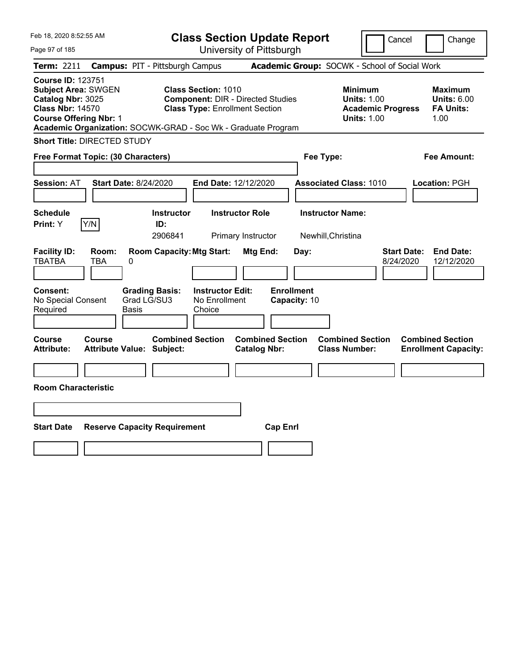| Feb 18, 2020 8:52:55 AM                                                                                                                 |                                                               | <b>Class Section Update Report</b>                                                                              |                                                |                                                                                        | Change<br>Cancel                                                  |
|-----------------------------------------------------------------------------------------------------------------------------------------|---------------------------------------------------------------|-----------------------------------------------------------------------------------------------------------------|------------------------------------------------|----------------------------------------------------------------------------------------|-------------------------------------------------------------------|
| Page 97 of 185                                                                                                                          |                                                               | University of Pittsburgh                                                                                        |                                                |                                                                                        |                                                                   |
| <b>Term: 2211</b>                                                                                                                       | <b>Campus: PIT - Pittsburgh Campus</b>                        |                                                                                                                 |                                                | Academic Group: SOCWK - School of Social Work                                          |                                                                   |
| <b>Course ID: 123751</b><br><b>Subject Area: SWGEN</b><br>Catalog Nbr: 3025<br><b>Class Nbr: 14570</b><br><b>Course Offering Nbr: 1</b> | Academic Organization: SOCWK-GRAD - Soc Wk - Graduate Program | <b>Class Section: 1010</b><br><b>Component: DIR - Directed Studies</b><br><b>Class Type: Enrollment Section</b> |                                                | <b>Minimum</b><br><b>Units: 1.00</b><br><b>Academic Progress</b><br><b>Units: 1.00</b> | Maximum<br><b>Units: 6.00</b><br><b>FA Units:</b><br>1.00         |
| <b>Short Title: DIRECTED STUDY</b>                                                                                                      |                                                               |                                                                                                                 |                                                |                                                                                        |                                                                   |
| Free Format Topic: (30 Characters)                                                                                                      |                                                               |                                                                                                                 |                                                | Fee Type:                                                                              | Fee Amount:                                                       |
| <b>Session: AT</b>                                                                                                                      | <b>Start Date: 8/24/2020</b>                                  | End Date: 12/12/2020                                                                                            |                                                | <b>Associated Class: 1010</b>                                                          | Location: PGH                                                     |
| <b>Schedule</b><br>Y/N<br>Print: Y                                                                                                      | <b>Instructor</b><br>ID:<br>2906841                           | <b>Instructor Role</b><br>Primary Instructor                                                                    |                                                | <b>Instructor Name:</b><br>Newhill, Christina                                          |                                                                   |
| <b>Facility ID:</b><br>Room:<br><b>TBATBA</b><br>TBA                                                                                    | <b>Room Capacity: Mtg Start:</b><br>0                         |                                                                                                                 | Mtg End:<br>Day:                               |                                                                                        | <b>Start Date:</b><br><b>End Date:</b><br>8/24/2020<br>12/12/2020 |
| <b>Consent:</b><br>No Special Consent<br>Required                                                                                       | <b>Grading Basis:</b><br>Grad LG/SU3<br>Basis                 | <b>Instructor Edit:</b><br>No Enrollment<br>Choice                                                              | <b>Enrollment</b><br>Capacity: 10              |                                                                                        |                                                                   |
| Course<br>Course<br><b>Attribute:</b>                                                                                                   | <b>Combined Section</b><br><b>Attribute Value: Subject:</b>   |                                                                                                                 | <b>Combined Section</b><br><b>Catalog Nbr:</b> | <b>Combined Section</b><br><b>Class Number:</b>                                        | <b>Combined Section</b><br><b>Enrollment Capacity:</b>            |
| <b>Room Characteristic</b>                                                                                                              |                                                               |                                                                                                                 |                                                |                                                                                        |                                                                   |
|                                                                                                                                         |                                                               |                                                                                                                 |                                                |                                                                                        |                                                                   |
|                                                                                                                                         |                                                               |                                                                                                                 |                                                |                                                                                        |                                                                   |
| <b>Start Date</b>                                                                                                                       | <b>Reserve Capacity Requirement</b>                           |                                                                                                                 | <b>Cap Enrl</b>                                |                                                                                        |                                                                   |
|                                                                                                                                         |                                                               |                                                                                                                 |                                                |                                                                                        |                                                                   |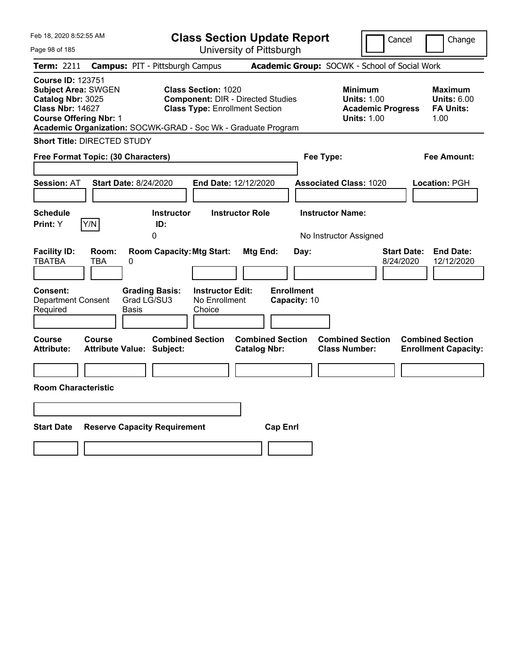| Feb 18, 2020 8:52:55 AM                                                                                                                 |                                                                                             | <b>Class Section Update Report</b>                                                |                                                   | Cancel                                                                                 | Change                                                    |
|-----------------------------------------------------------------------------------------------------------------------------------------|---------------------------------------------------------------------------------------------|-----------------------------------------------------------------------------------|---------------------------------------------------|----------------------------------------------------------------------------------------|-----------------------------------------------------------|
| Page 98 of 185                                                                                                                          |                                                                                             | University of Pittsburgh                                                          |                                                   |                                                                                        |                                                           |
| <b>Term: 2211</b>                                                                                                                       | <b>Campus: PIT - Pittsburgh Campus</b>                                                      |                                                                                   | Academic Group: SOCWK - School of Social Work     |                                                                                        |                                                           |
| <b>Course ID: 123751</b><br><b>Subject Area: SWGEN</b><br>Catalog Nbr: 3025<br><b>Class Nbr: 14627</b><br><b>Course Offering Nbr: 1</b> | <b>Class Section: 1020</b><br>Academic Organization: SOCWK-GRAD - Soc Wk - Graduate Program | <b>Component: DIR - Directed Studies</b><br><b>Class Type: Enrollment Section</b> |                                                   | <b>Minimum</b><br><b>Units: 1.00</b><br><b>Academic Progress</b><br><b>Units: 1.00</b> | Maximum<br><b>Units: 6.00</b><br><b>FA Units:</b><br>1.00 |
| <b>Short Title: DIRECTED STUDY</b>                                                                                                      |                                                                                             |                                                                                   |                                                   |                                                                                        |                                                           |
| Free Format Topic: (30 Characters)                                                                                                      |                                                                                             |                                                                                   | Fee Type:                                         |                                                                                        | Fee Amount:                                               |
| <b>Session: AT</b>                                                                                                                      | <b>Start Date: 8/24/2020</b>                                                                | End Date: 12/12/2020                                                              | <b>Associated Class: 1020</b>                     |                                                                                        | Location: PGH                                             |
| <b>Schedule</b><br>Print: Y<br>Y/N                                                                                                      | <b>Instructor</b><br>ID:<br>0                                                               | <b>Instructor Role</b>                                                            | <b>Instructor Name:</b><br>No Instructor Assigned |                                                                                        |                                                           |
| <b>Facility ID:</b><br>Room:<br><b>TBATBA</b><br>TBA<br><b>Consent:</b><br><b>Department Consent</b>                                    | <b>Room Capacity: Mtg Start:</b><br>0<br><b>Grading Basis:</b><br>Grad LG/SU3               | Mtg End:<br><b>Instructor Edit:</b><br>No Enrollment                              | Day:<br><b>Enrollment</b><br>Capacity: 10         | <b>Start Date:</b><br>8/24/2020                                                        | <b>End Date:</b><br>12/12/2020                            |
| Required                                                                                                                                | Basis<br>Choice                                                                             |                                                                                   |                                                   |                                                                                        |                                                           |
| Course<br>Course<br><b>Attribute:</b>                                                                                                   | <b>Combined Section</b><br><b>Attribute Value: Subject:</b>                                 | <b>Combined Section</b><br><b>Catalog Nbr:</b>                                    | <b>Combined Section</b><br><b>Class Number:</b>   |                                                                                        | <b>Combined Section</b><br><b>Enrollment Capacity:</b>    |
| <b>Room Characteristic</b>                                                                                                              |                                                                                             |                                                                                   |                                                   |                                                                                        |                                                           |
|                                                                                                                                         |                                                                                             |                                                                                   |                                                   |                                                                                        |                                                           |
| <b>Start Date</b>                                                                                                                       | <b>Reserve Capacity Requirement</b>                                                         | <b>Cap Enrl</b>                                                                   |                                                   |                                                                                        |                                                           |
|                                                                                                                                         |                                                                                             |                                                                                   |                                                   |                                                                                        |                                                           |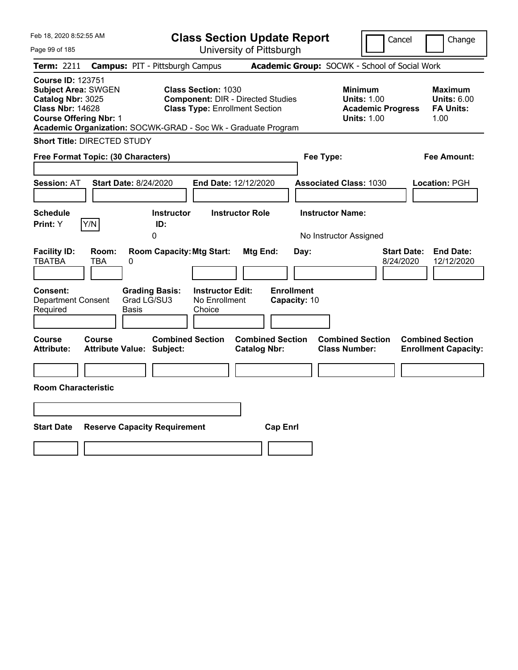| Feb 18, 2020 8:52:55 AM                                                                                                                 |                                                                                             | <b>Class Section Update Report</b>                                                | Cancel                                                                                 | Change                                                    |
|-----------------------------------------------------------------------------------------------------------------------------------------|---------------------------------------------------------------------------------------------|-----------------------------------------------------------------------------------|----------------------------------------------------------------------------------------|-----------------------------------------------------------|
| Page 99 of 185                                                                                                                          |                                                                                             | University of Pittsburgh                                                          |                                                                                        |                                                           |
| Term: 2211                                                                                                                              | <b>Campus: PIT - Pittsburgh Campus</b>                                                      |                                                                                   | Academic Group: SOCWK - School of Social Work                                          |                                                           |
| <b>Course ID: 123751</b><br><b>Subject Area: SWGEN</b><br>Catalog Nbr: 3025<br><b>Class Nbr: 14628</b><br><b>Course Offering Nbr: 1</b> | <b>Class Section: 1030</b><br>Academic Organization: SOCWK-GRAD - Soc Wk - Graduate Program | <b>Component: DIR - Directed Studies</b><br><b>Class Type: Enrollment Section</b> | <b>Minimum</b><br><b>Units: 1.00</b><br><b>Academic Progress</b><br><b>Units: 1.00</b> | Maximum<br><b>Units: 6.00</b><br><b>FA Units:</b><br>1.00 |
| <b>Short Title: DIRECTED STUDY</b>                                                                                                      |                                                                                             |                                                                                   |                                                                                        |                                                           |
| Free Format Topic: (30 Characters)                                                                                                      |                                                                                             |                                                                                   | Fee Type:                                                                              | Fee Amount:                                               |
| <b>Session: AT</b>                                                                                                                      | <b>Start Date: 8/24/2020</b>                                                                | End Date: 12/12/2020                                                              | <b>Associated Class: 1030</b>                                                          | Location: PGH                                             |
| <b>Schedule</b><br>Print: Y<br>Y/N                                                                                                      | <b>Instructor</b><br>ID:<br>0                                                               | <b>Instructor Role</b>                                                            | <b>Instructor Name:</b><br>No Instructor Assigned                                      |                                                           |
| <b>Facility ID:</b><br>Room:<br><b>TBATBA</b><br>TBA<br><b>Consent:</b>                                                                 | <b>Room Capacity: Mtg Start:</b><br>0<br><b>Grading Basis:</b><br>Grad LG/SU3               | Mtg End:<br>Day:<br><b>Enrollment</b><br><b>Instructor Edit:</b>                  | 8/24/2020                                                                              | <b>End Date:</b><br><b>Start Date:</b><br>12/12/2020      |
| <b>Department Consent</b><br>Required                                                                                                   | Basis<br>Choice                                                                             | No Enrollment<br>Capacity: 10                                                     |                                                                                        |                                                           |
| Course<br>Course<br><b>Attribute:</b>                                                                                                   | <b>Combined Section</b><br><b>Attribute Value: Subject:</b>                                 | <b>Combined Section</b><br><b>Catalog Nbr:</b>                                    | <b>Combined Section</b><br><b>Class Number:</b>                                        | <b>Combined Section</b><br><b>Enrollment Capacity:</b>    |
|                                                                                                                                         |                                                                                             |                                                                                   |                                                                                        |                                                           |
| <b>Room Characteristic</b>                                                                                                              |                                                                                             |                                                                                   |                                                                                        |                                                           |
|                                                                                                                                         |                                                                                             |                                                                                   |                                                                                        |                                                           |
| <b>Start Date</b>                                                                                                                       | <b>Reserve Capacity Requirement</b>                                                         | <b>Cap Enrl</b>                                                                   |                                                                                        |                                                           |
|                                                                                                                                         |                                                                                             |                                                                                   |                                                                                        |                                                           |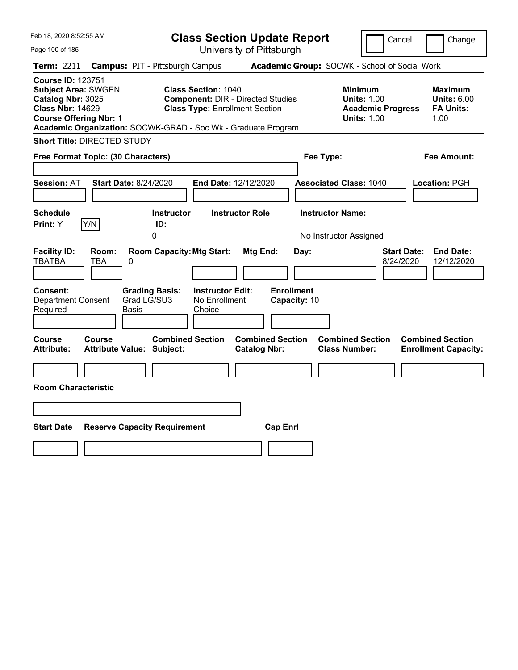| Feb 18, 2020 8:52:55 AM |                                                                                                                                                                                                                     |                                                                                                                                                                                                           |                                                                                        | <b>Class Section Update Report</b>                                                                                                   |                                                                                                                                                                                                                                                                      | Cancel                                         | Change                                                                                                                                                                                                                                                                                        |
|-------------------------|---------------------------------------------------------------------------------------------------------------------------------------------------------------------------------------------------------------------|-----------------------------------------------------------------------------------------------------------------------------------------------------------------------------------------------------------|----------------------------------------------------------------------------------------|--------------------------------------------------------------------------------------------------------------------------------------|----------------------------------------------------------------------------------------------------------------------------------------------------------------------------------------------------------------------------------------------------------------------|------------------------------------------------|-----------------------------------------------------------------------------------------------------------------------------------------------------------------------------------------------------------------------------------------------------------------------------------------------|
|                         |                                                                                                                                                                                                                     |                                                                                                                                                                                                           |                                                                                        |                                                                                                                                      |                                                                                                                                                                                                                                                                      |                                                |                                                                                                                                                                                                                                                                                               |
|                         |                                                                                                                                                                                                                     |                                                                                                                                                                                                           |                                                                                        |                                                                                                                                      |                                                                                                                                                                                                                                                                      |                                                |                                                                                                                                                                                                                                                                                               |
|                         |                                                                                                                                                                                                                     |                                                                                                                                                                                                           |                                                                                        |                                                                                                                                      |                                                                                                                                                                                                                                                                      |                                                | Maximum<br><b>Units: 6.00</b><br><b>FA Units:</b><br>1.00                                                                                                                                                                                                                                     |
|                         |                                                                                                                                                                                                                     |                                                                                                                                                                                                           |                                                                                        |                                                                                                                                      |                                                                                                                                                                                                                                                                      |                                                |                                                                                                                                                                                                                                                                                               |
|                         |                                                                                                                                                                                                                     |                                                                                                                                                                                                           |                                                                                        |                                                                                                                                      |                                                                                                                                                                                                                                                                      |                                                | Fee Amount:                                                                                                                                                                                                                                                                                   |
|                         |                                                                                                                                                                                                                     |                                                                                                                                                                                                           |                                                                                        |                                                                                                                                      |                                                                                                                                                                                                                                                                      |                                                | Location: PGH                                                                                                                                                                                                                                                                                 |
|                         |                                                                                                                                                                                                                     |                                                                                                                                                                                                           |                                                                                        |                                                                                                                                      |                                                                                                                                                                                                                                                                      |                                                |                                                                                                                                                                                                                                                                                               |
|                         | 0                                                                                                                                                                                                                   |                                                                                                                                                                                                           |                                                                                        |                                                                                                                                      |                                                                                                                                                                                                                                                                      |                                                |                                                                                                                                                                                                                                                                                               |
| Room:<br>TBA            |                                                                                                                                                                                                                     | Choice                                                                                                                                                                                                    |                                                                                        | Day:                                                                                                                                 |                                                                                                                                                                                                                                                                      |                                                | <b>End Date:</b><br><b>Start Date:</b><br>12/12/2020                                                                                                                                                                                                                                          |
|                         |                                                                                                                                                                                                                     |                                                                                                                                                                                                           |                                                                                        |                                                                                                                                      |                                                                                                                                                                                                                                                                      |                                                | <b>Combined Section</b><br><b>Enrollment Capacity:</b>                                                                                                                                                                                                                                        |
|                         |                                                                                                                                                                                                                     |                                                                                                                                                                                                           |                                                                                        |                                                                                                                                      |                                                                                                                                                                                                                                                                      |                                                |                                                                                                                                                                                                                                                                                               |
|                         |                                                                                                                                                                                                                     |                                                                                                                                                                                                           |                                                                                        |                                                                                                                                      |                                                                                                                                                                                                                                                                      |                                                |                                                                                                                                                                                                                                                                                               |
|                         | <b>Course ID: 123751</b><br><b>Subject Area: SWGEN</b><br>Catalog Nbr: 3025<br><b>Class Nbr: 14629</b><br><b>Course Offering Nbr: 1</b><br>Y/N<br><b>Department Consent</b><br>Course<br><b>Room Characteristic</b> | <b>Short Title: DIRECTED STUDY</b><br>Free Format Topic: (30 Characters)<br><b>Start Date: 8/24/2020</b><br>ID:<br>0<br><b>Grading Basis:</b><br>Grad LG/SU3<br>Basis<br><b>Attribute Value: Subject:</b> | <b>Campus: PIT - Pittsburgh Campus</b><br><b>Instructor</b><br><b>Combined Section</b> | <b>Class Section: 1040</b><br><b>Instructor Role</b><br><b>Room Capacity: Mtg Start:</b><br><b>Instructor Edit:</b><br>No Enrollment | University of Pittsburgh<br><b>Component: DIR - Directed Studies</b><br><b>Class Type: Enrollment Section</b><br>Academic Organization: SOCWK-GRAD - Soc Wk - Graduate Program<br>End Date: 12/12/2020<br>Mtg End:<br><b>Combined Section</b><br><b>Catalog Nbr:</b> | Fee Type:<br><b>Enrollment</b><br>Capacity: 10 | Academic Group: SOCWK - School of Social Work<br><b>Minimum</b><br><b>Units: 1.00</b><br><b>Academic Progress</b><br><b>Units: 1.00</b><br><b>Associated Class: 1040</b><br><b>Instructor Name:</b><br>No Instructor Assigned<br>8/24/2020<br><b>Combined Section</b><br><b>Class Number:</b> |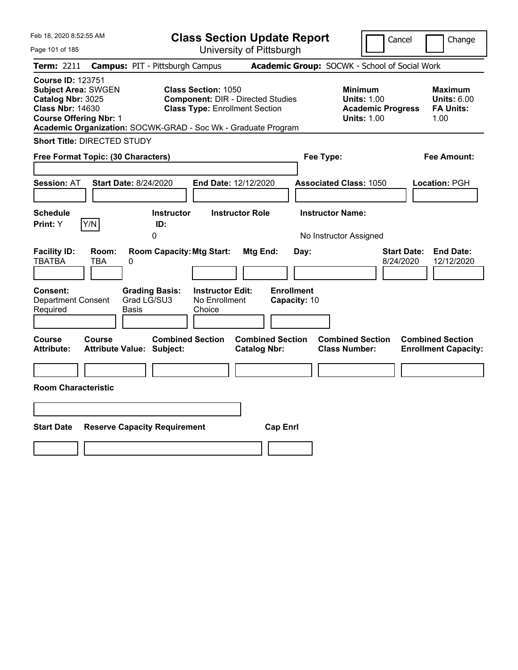| Feb 18, 2020 8:52:55 AM                                                                                                                 |                                                                                                                                                                                  | <b>Class Section Update Report</b>                    | Cancel                                                                                 | Change                                                    |
|-----------------------------------------------------------------------------------------------------------------------------------------|----------------------------------------------------------------------------------------------------------------------------------------------------------------------------------|-------------------------------------------------------|----------------------------------------------------------------------------------------|-----------------------------------------------------------|
| Page 101 of 185                                                                                                                         |                                                                                                                                                                                  | University of Pittsburgh                              |                                                                                        |                                                           |
| Term: 2211                                                                                                                              | <b>Campus: PIT - Pittsburgh Campus</b>                                                                                                                                           |                                                       | Academic Group: SOCWK - School of Social Work                                          |                                                           |
| <b>Course ID: 123751</b><br><b>Subject Area: SWGEN</b><br>Catalog Nbr: 3025<br><b>Class Nbr: 14630</b><br><b>Course Offering Nbr: 1</b> | <b>Class Section: 1050</b><br><b>Component: DIR - Directed Studies</b><br><b>Class Type: Enrollment Section</b><br>Academic Organization: SOCWK-GRAD - Soc Wk - Graduate Program |                                                       | <b>Minimum</b><br><b>Units: 1.00</b><br><b>Academic Progress</b><br><b>Units: 1.00</b> | Maximum<br><b>Units: 6.00</b><br><b>FA Units:</b><br>1.00 |
| <b>Short Title: DIRECTED STUDY</b>                                                                                                      |                                                                                                                                                                                  |                                                       |                                                                                        |                                                           |
| Free Format Topic: (30 Characters)                                                                                                      |                                                                                                                                                                                  |                                                       | Fee Type:                                                                              | Fee Amount:                                               |
| <b>Session: AT</b><br><b>Schedule</b>                                                                                                   | <b>Start Date: 8/24/2020</b><br><b>Instructor</b>                                                                                                                                | End Date: 12/12/2020<br><b>Instructor Role</b>        | <b>Associated Class: 1050</b><br><b>Instructor Name:</b>                               | Location: PGH                                             |
| Y/N<br>Print: Y                                                                                                                         | ID:                                                                                                                                                                              |                                                       |                                                                                        |                                                           |
|                                                                                                                                         | 0                                                                                                                                                                                |                                                       | No Instructor Assigned                                                                 |                                                           |
| <b>Facility ID:</b><br>Room:<br><b>TBATBA</b><br>TBA<br><b>Consent:</b><br><b>Department Consent</b><br>Required                        | <b>Room Capacity: Mtg Start:</b><br>0<br><b>Instructor Edit:</b><br><b>Grading Basis:</b><br>Grad LG/SU3<br>No Enrollment<br>Basis<br>Choice                                     | Mtg End:<br>Day:<br><b>Enrollment</b><br>Capacity: 10 | 8/24/2020                                                                              | <b>End Date:</b><br><b>Start Date:</b><br>12/12/2020      |
| Course<br>Course<br><b>Attribute:</b><br><b>Room Characteristic</b>                                                                     | <b>Combined Section</b><br><b>Attribute Value: Subject:</b>                                                                                                                      | <b>Combined Section</b><br><b>Catalog Nbr:</b>        | <b>Combined Section</b><br><b>Class Number:</b>                                        | <b>Combined Section</b><br><b>Enrollment Capacity:</b>    |
|                                                                                                                                         |                                                                                                                                                                                  |                                                       |                                                                                        |                                                           |
| <b>Start Date</b>                                                                                                                       | <b>Reserve Capacity Requirement</b>                                                                                                                                              | <b>Cap Enrl</b>                                       |                                                                                        |                                                           |
|                                                                                                                                         |                                                                                                                                                                                  |                                                       |                                                                                        |                                                           |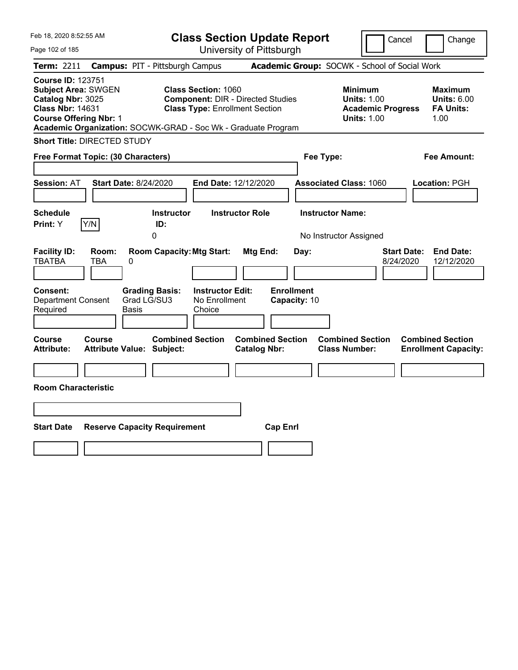| Feb 18, 2020 8:52:55 AM                                                                                                                 |                                                                                                                                              | <b>Class Section Update Report</b>                    | Cancel                                                                                 | Change                                                    |
|-----------------------------------------------------------------------------------------------------------------------------------------|----------------------------------------------------------------------------------------------------------------------------------------------|-------------------------------------------------------|----------------------------------------------------------------------------------------|-----------------------------------------------------------|
| Page 102 of 185                                                                                                                         |                                                                                                                                              | University of Pittsburgh                              |                                                                                        |                                                           |
| Term: 2211                                                                                                                              | <b>Campus: PIT - Pittsburgh Campus</b>                                                                                                       |                                                       | Academic Group: SOCWK - School of Social Work                                          |                                                           |
| <b>Course ID: 123751</b><br><b>Subject Area: SWGEN</b><br>Catalog Nbr: 3025<br><b>Class Nbr: 14631</b><br><b>Course Offering Nbr: 1</b> | <b>Class Section: 1060</b><br><b>Class Type: Enrollment Section</b><br>Academic Organization: SOCWK-GRAD - Soc Wk - Graduate Program         | <b>Component: DIR - Directed Studies</b>              | <b>Minimum</b><br><b>Units: 1.00</b><br><b>Academic Progress</b><br><b>Units: 1.00</b> | Maximum<br><b>Units: 6.00</b><br><b>FA Units:</b><br>1.00 |
| <b>Short Title: DIRECTED STUDY</b>                                                                                                      |                                                                                                                                              |                                                       |                                                                                        |                                                           |
| Free Format Topic: (30 Characters)                                                                                                      |                                                                                                                                              |                                                       | Fee Type:                                                                              | Fee Amount:                                               |
| <b>Session: AT</b>                                                                                                                      | <b>Start Date: 8/24/2020</b>                                                                                                                 | End Date: 12/12/2020                                  | <b>Associated Class: 1060</b>                                                          | Location: PGH                                             |
| <b>Schedule</b>                                                                                                                         | <b>Instructor</b>                                                                                                                            | <b>Instructor Role</b>                                | <b>Instructor Name:</b>                                                                |                                                           |
| Y/N<br>Print: Y                                                                                                                         | ID:<br>0                                                                                                                                     |                                                       | No Instructor Assigned                                                                 |                                                           |
| <b>Facility ID:</b><br>Room:<br><b>TBATBA</b><br>TBA<br><b>Consent:</b><br><b>Department Consent</b><br>Required                        | <b>Room Capacity: Mtg Start:</b><br>0<br><b>Instructor Edit:</b><br><b>Grading Basis:</b><br>Grad LG/SU3<br>No Enrollment<br>Basis<br>Choice | Mtg End:<br>Day:<br><b>Enrollment</b><br>Capacity: 10 | <b>Start Date:</b><br>8/24/2020                                                        | <b>End Date:</b><br>12/12/2020                            |
| Course<br>Course<br><b>Attribute:</b>                                                                                                   | <b>Combined Section</b><br><b>Attribute Value: Subject:</b>                                                                                  | <b>Combined Section</b><br><b>Catalog Nbr:</b>        | <b>Combined Section</b><br><b>Class Number:</b>                                        | <b>Combined Section</b><br><b>Enrollment Capacity:</b>    |
|                                                                                                                                         |                                                                                                                                              |                                                       |                                                                                        |                                                           |
| <b>Room Characteristic</b>                                                                                                              |                                                                                                                                              |                                                       |                                                                                        |                                                           |
|                                                                                                                                         |                                                                                                                                              |                                                       |                                                                                        |                                                           |
| <b>Start Date</b>                                                                                                                       | <b>Reserve Capacity Requirement</b>                                                                                                          | <b>Cap Enrl</b>                                       |                                                                                        |                                                           |
|                                                                                                                                         |                                                                                                                                              |                                                       |                                                                                        |                                                           |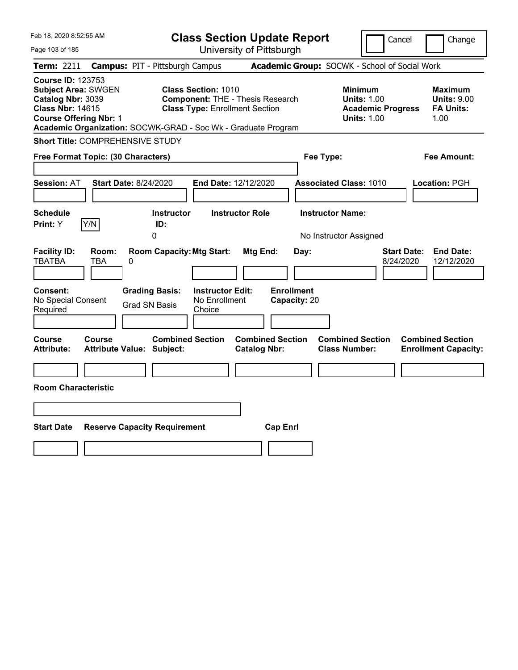| Feb 18, 2020 8:52:55 AM                                                                                                                                                                                  |                                                             | <b>Class Section Update Report</b>                                               |                                                            | Cancel<br>Change                                                                             |
|----------------------------------------------------------------------------------------------------------------------------------------------------------------------------------------------------------|-------------------------------------------------------------|----------------------------------------------------------------------------------|------------------------------------------------------------|----------------------------------------------------------------------------------------------|
| Page 103 of 185                                                                                                                                                                                          |                                                             | University of Pittsburgh                                                         |                                                            |                                                                                              |
| Term: 2211                                                                                                                                                                                               | <b>Campus: PIT - Pittsburgh Campus</b>                      |                                                                                  | Academic Group: SOCWK - School of Social Work              |                                                                                              |
| <b>Course ID: 123753</b><br><b>Subject Area: SWGEN</b><br>Catalog Nbr: 3039<br><b>Class Nbr: 14615</b><br><b>Course Offering Nbr: 1</b><br>Academic Organization: SOCWK-GRAD - Soc Wk - Graduate Program | <b>Class Section: 1010</b>                                  | <b>Component: THE - Thesis Research</b><br><b>Class Type: Enrollment Section</b> | <b>Minimum</b><br><b>Units: 1.00</b><br><b>Units: 1.00</b> | <b>Maximum</b><br><b>Units: 9.00</b><br><b>Academic Progress</b><br><b>FA Units:</b><br>1.00 |
| Short Title: COMPREHENSIVE STUDY                                                                                                                                                                         |                                                             |                                                                                  |                                                            |                                                                                              |
| Free Format Topic: (30 Characters)                                                                                                                                                                       |                                                             |                                                                                  | Fee Type:                                                  | Fee Amount:                                                                                  |
| <b>Session: AT</b><br><b>Schedule</b>                                                                                                                                                                    | <b>Start Date: 8/24/2020</b><br>Instructor                  | <b>End Date: 12/12/2020</b><br><b>Instructor Role</b>                            | <b>Associated Class: 1010</b><br><b>Instructor Name:</b>   | Location: PGH                                                                                |
| Y/N<br>Print: Y                                                                                                                                                                                          | ID:                                                         |                                                                                  |                                                            |                                                                                              |
| <b>Facility ID:</b><br>Room:<br><b>TBATBA</b><br>TBA                                                                                                                                                     | <b>Room Capacity: Mtg Start:</b><br>0                       | Mtg End:                                                                         | No Instructor Assigned<br>Day:                             | <b>Start Date:</b><br><b>End Date:</b><br>12/12/2020<br>8/24/2020                            |
| <b>Consent:</b><br>No Special Consent<br>Required                                                                                                                                                        | <b>Grading Basis:</b><br><b>Grad SN Basis</b><br>Choice     | <b>Enrollment</b><br><b>Instructor Edit:</b><br>No Enrollment<br>Capacity: 20    |                                                            |                                                                                              |
| Course<br>Course<br><b>Attribute:</b>                                                                                                                                                                    | <b>Combined Section</b><br><b>Attribute Value: Subject:</b> | <b>Combined Section</b><br><b>Catalog Nbr:</b>                                   | <b>Combined Section</b><br><b>Class Number:</b>            | <b>Combined Section</b><br><b>Enrollment Capacity:</b>                                       |
|                                                                                                                                                                                                          |                                                             |                                                                                  |                                                            |                                                                                              |
| <b>Room Characteristic</b>                                                                                                                                                                               |                                                             |                                                                                  |                                                            |                                                                                              |
|                                                                                                                                                                                                          |                                                             |                                                                                  |                                                            |                                                                                              |
| <b>Start Date</b>                                                                                                                                                                                        | <b>Reserve Capacity Requirement</b>                         | <b>Cap Enrl</b>                                                                  |                                                            |                                                                                              |
|                                                                                                                                                                                                          |                                                             |                                                                                  |                                                            |                                                                                              |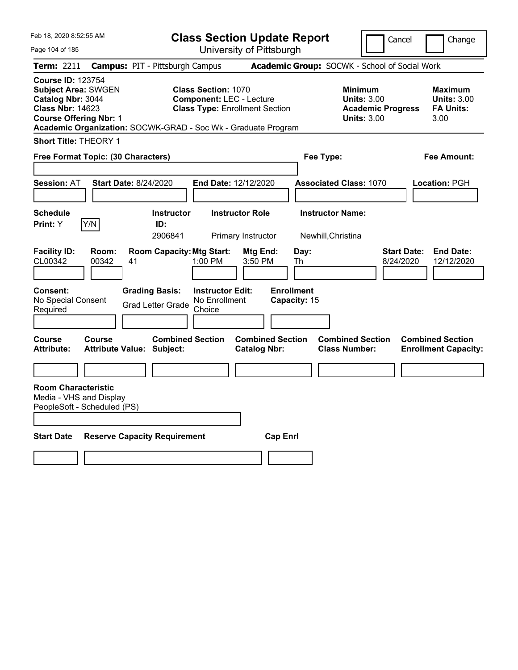| Feb 18, 2020 8:52:55 AM                                                                                                                                                                                  |                              |                                                             |                                                               | <b>Class Section Update Report</b>             |                                   |                         |                                                                                 | Cancel                          | Change                                                    |
|----------------------------------------------------------------------------------------------------------------------------------------------------------------------------------------------------------|------------------------------|-------------------------------------------------------------|---------------------------------------------------------------|------------------------------------------------|-----------------------------------|-------------------------|---------------------------------------------------------------------------------|---------------------------------|-----------------------------------------------------------|
| Page 104 of 185                                                                                                                                                                                          |                              |                                                             |                                                               | University of Pittsburgh                       |                                   |                         |                                                                                 |                                 |                                                           |
| Term: 2211                                                                                                                                                                                               |                              | <b>Campus: PIT - Pittsburgh Campus</b>                      |                                                               |                                                |                                   |                         | Academic Group: SOCWK - School of Social Work                                   |                                 |                                                           |
| <b>Course ID: 123754</b><br><b>Subject Area: SWGEN</b><br>Catalog Nbr: 3044<br><b>Class Nbr: 14623</b><br><b>Course Offering Nbr: 1</b><br>Academic Organization: SOCWK-GRAD - Soc Wk - Graduate Program |                              |                                                             | <b>Class Section: 1070</b><br><b>Component: LEC - Lecture</b> | <b>Class Type: Enrollment Section</b>          |                                   |                         | Minimum<br><b>Units: 3.00</b><br><b>Academic Progress</b><br><b>Units: 3.00</b> |                                 | Maximum<br><b>Units: 3.00</b><br><b>FA Units:</b><br>3.00 |
| <b>Short Title: THEORY 1</b>                                                                                                                                                                             |                              |                                                             |                                                               |                                                |                                   |                         |                                                                                 |                                 |                                                           |
| Free Format Topic: (30 Characters)                                                                                                                                                                       |                              |                                                             |                                                               |                                                |                                   | Fee Type:               |                                                                                 |                                 | Fee Amount:                                               |
|                                                                                                                                                                                                          |                              |                                                             |                                                               |                                                |                                   |                         |                                                                                 |                                 |                                                           |
| <b>Session: AT</b>                                                                                                                                                                                       | <b>Start Date: 8/24/2020</b> |                                                             | End Date: 12/12/2020                                          |                                                |                                   |                         | <b>Associated Class: 1070</b>                                                   |                                 | Location: PGH                                             |
| <b>Schedule</b>                                                                                                                                                                                          |                              | <b>Instructor</b>                                           |                                                               | <b>Instructor Role</b>                         |                                   | <b>Instructor Name:</b> |                                                                                 |                                 |                                                           |
| Y/N<br>Print: Y                                                                                                                                                                                          |                              | ID:<br>2906841                                              |                                                               | Primary Instructor                             |                                   | Newhill, Christina      |                                                                                 |                                 |                                                           |
| <b>Facility ID:</b><br>CL00342                                                                                                                                                                           | Room:<br>00342<br>41         | <b>Room Capacity: Mtg Start:</b>                            | 1:00 PM                                                       | Mtg End:<br>3:50 PM                            | Day:<br>Th                        |                         |                                                                                 | <b>Start Date:</b><br>8/24/2020 | <b>End Date:</b><br>12/12/2020                            |
| <b>Consent:</b><br>No Special Consent<br>Required                                                                                                                                                        |                              | <b>Grading Basis:</b><br><b>Grad Letter Grade</b>           | <b>Instructor Edit:</b><br>No Enrollment<br>Choice            |                                                | <b>Enrollment</b><br>Capacity: 15 |                         |                                                                                 |                                 |                                                           |
| <b>Course</b><br><b>Attribute:</b>                                                                                                                                                                       | Course                       | <b>Combined Section</b><br><b>Attribute Value: Subject:</b> |                                                               | <b>Combined Section</b><br><b>Catalog Nbr:</b> |                                   |                         | <b>Combined Section</b><br><b>Class Number:</b>                                 |                                 | <b>Combined Section</b><br><b>Enrollment Capacity:</b>    |
|                                                                                                                                                                                                          |                              |                                                             |                                                               |                                                |                                   |                         |                                                                                 |                                 |                                                           |
| <b>Room Characteristic</b><br>Media - VHS and Display<br>PeopleSoft - Scheduled (PS)                                                                                                                     |                              |                                                             |                                                               |                                                |                                   |                         |                                                                                 |                                 |                                                           |
| <b>Start Date</b>                                                                                                                                                                                        |                              | <b>Reserve Capacity Requirement</b>                         |                                                               |                                                | <b>Cap Enrl</b>                   |                         |                                                                                 |                                 |                                                           |
|                                                                                                                                                                                                          |                              |                                                             |                                                               |                                                |                                   |                         |                                                                                 |                                 |                                                           |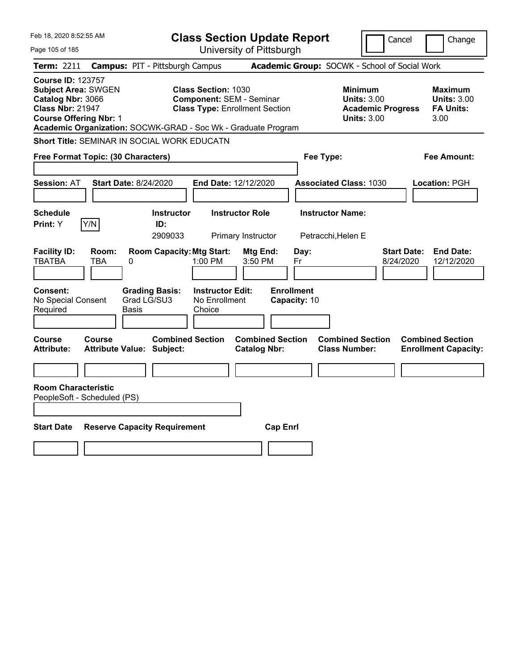| Feb 18, 2020 8:52:55 AM                                                                                                                                                                                  |                                                   |                                     |                                                    | <b>Class Section Update Report</b>                                       |                                   |                                                 | Cancel                                                                                 |                                 | Change                                                    |
|----------------------------------------------------------------------------------------------------------------------------------------------------------------------------------------------------------|---------------------------------------------------|-------------------------------------|----------------------------------------------------|--------------------------------------------------------------------------|-----------------------------------|-------------------------------------------------|----------------------------------------------------------------------------------------|---------------------------------|-----------------------------------------------------------|
| Page 105 of 185                                                                                                                                                                                          |                                                   |                                     |                                                    | University of Pittsburgh                                                 |                                   |                                                 |                                                                                        |                                 |                                                           |
| <b>Term: 2211</b>                                                                                                                                                                                        | <b>Campus: PIT - Pittsburgh Campus</b>            |                                     |                                                    |                                                                          |                                   | Academic Group: SOCWK - School of Social Work   |                                                                                        |                                 |                                                           |
| <b>Course ID: 123757</b><br><b>Subject Area: SWGEN</b><br>Catalog Nbr: 3066<br><b>Class Nbr: 21947</b><br><b>Course Offering Nbr: 1</b><br>Academic Organization: SOCWK-GRAD - Soc Wk - Graduate Program |                                                   |                                     | <b>Class Section: 1030</b>                         | <b>Component: SEM - Seminar</b><br><b>Class Type: Enrollment Section</b> |                                   |                                                 | <b>Minimum</b><br><b>Units: 3.00</b><br><b>Academic Progress</b><br><b>Units: 3.00</b> |                                 | Maximum<br><b>Units: 3.00</b><br><b>FA Units:</b><br>3.00 |
| <b>Short Title: SEMINAR IN SOCIAL WORK EDUCATN</b>                                                                                                                                                       |                                                   |                                     |                                                    |                                                                          |                                   |                                                 |                                                                                        |                                 |                                                           |
| Free Format Topic: (30 Characters)                                                                                                                                                                       |                                                   |                                     |                                                    |                                                                          |                                   | Fee Type:                                       |                                                                                        |                                 | Fee Amount:                                               |
| <b>Session: AT</b>                                                                                                                                                                                       | <b>Start Date: 8/24/2020</b>                      |                                     |                                                    | End Date: 12/12/2020                                                     |                                   | <b>Associated Class: 1030</b>                   |                                                                                        |                                 | Location: PGH                                             |
| Schedule<br>Y/N<br>Print: Y                                                                                                                                                                              |                                                   | <b>Instructor</b><br>ID:<br>2909033 |                                                    | <b>Instructor Role</b><br>Primary Instructor                             |                                   | <b>Instructor Name:</b><br>Petracchi, Helen E   |                                                                                        |                                 |                                                           |
| <b>Facility ID:</b><br><b>TBATBA</b>                                                                                                                                                                     | Room:<br><b>TBA</b><br>0                          | <b>Room Capacity: Mtg Start:</b>    | 1:00 PM                                            | Mtg End:<br>3:50 PM                                                      | Day:<br>Fr                        |                                                 |                                                                                        | <b>Start Date:</b><br>8/24/2020 | <b>End Date:</b><br>12/12/2020                            |
| <b>Consent:</b><br>No Special Consent<br>Required                                                                                                                                                        | Grad LG/SU3<br>Basis                              | <b>Grading Basis:</b>               | <b>Instructor Edit:</b><br>No Enrollment<br>Choice |                                                                          | <b>Enrollment</b><br>Capacity: 10 |                                                 |                                                                                        |                                 |                                                           |
| <b>Course</b><br><b>Attribute:</b>                                                                                                                                                                       | <b>Course</b><br><b>Attribute Value: Subject:</b> | <b>Combined Section</b>             |                                                    | <b>Combined Section</b><br><b>Catalog Nbr:</b>                           |                                   | <b>Combined Section</b><br><b>Class Number:</b> |                                                                                        |                                 | <b>Combined Section</b><br><b>Enrollment Capacity:</b>    |
|                                                                                                                                                                                                          |                                                   |                                     |                                                    |                                                                          |                                   |                                                 |                                                                                        |                                 |                                                           |
| <b>Room Characteristic</b><br>PeopleSoft - Scheduled (PS)                                                                                                                                                |                                                   |                                     |                                                    |                                                                          |                                   |                                                 |                                                                                        |                                 |                                                           |
|                                                                                                                                                                                                          |                                                   |                                     |                                                    |                                                                          |                                   |                                                 |                                                                                        |                                 |                                                           |
| <b>Start Date</b>                                                                                                                                                                                        | <b>Reserve Capacity Requirement</b>               |                                     |                                                    |                                                                          | <b>Cap Enrl</b>                   |                                                 |                                                                                        |                                 |                                                           |
|                                                                                                                                                                                                          |                                                   |                                     |                                                    |                                                                          |                                   |                                                 |                                                                                        |                                 |                                                           |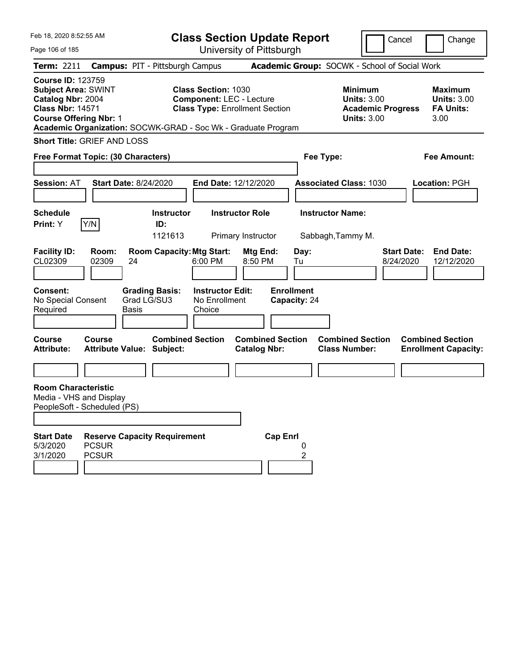| Feb 18, 2020 8:52:55 AM<br>Page 106 of 185                                                                                              |                              |                                                               |                                                               | <b>Class Section Update Report</b><br>University of Pittsburgh |                                               |                                                                                        | Cancel                          | Change                                                           |
|-----------------------------------------------------------------------------------------------------------------------------------------|------------------------------|---------------------------------------------------------------|---------------------------------------------------------------|----------------------------------------------------------------|-----------------------------------------------|----------------------------------------------------------------------------------------|---------------------------------|------------------------------------------------------------------|
| <b>Term: 2211</b>                                                                                                                       |                              | <b>Campus: PIT - Pittsburgh Campus</b>                        |                                                               |                                                                | Academic Group: SOCWK - School of Social Work |                                                                                        |                                 |                                                                  |
| <b>Course ID: 123759</b><br><b>Subject Area: SWINT</b><br>Catalog Nbr: 2004<br><b>Class Nbr: 14571</b><br><b>Course Offering Nbr: 1</b> |                              | Academic Organization: SOCWK-GRAD - Soc Wk - Graduate Program | <b>Class Section: 1030</b><br><b>Component: LEC - Lecture</b> | <b>Class Type: Enrollment Section</b>                          |                                               | <b>Minimum</b><br><b>Units: 3.00</b><br><b>Academic Progress</b><br><b>Units: 3.00</b> |                                 | <b>Maximum</b><br><b>Units: 3.00</b><br><b>FA Units:</b><br>3.00 |
| <b>Short Title: GRIEF AND LOSS</b>                                                                                                      |                              |                                                               |                                                               |                                                                |                                               |                                                                                        |                                 |                                                                  |
| Free Format Topic: (30 Characters)                                                                                                      |                              |                                                               |                                                               |                                                                | Fee Type:                                     |                                                                                        |                                 | <b>Fee Amount:</b>                                               |
| <b>Session: AT</b>                                                                                                                      |                              | <b>Start Date: 8/24/2020</b>                                  | End Date: 12/12/2020                                          |                                                                |                                               | <b>Associated Class: 1030</b>                                                          |                                 | Location: PGH                                                    |
| <b>Schedule</b>                                                                                                                         |                              | <b>Instructor</b>                                             |                                                               | <b>Instructor Role</b>                                         | <b>Instructor Name:</b>                       |                                                                                        |                                 |                                                                  |
| Print: Y                                                                                                                                | Y/N                          | ID:<br>1121613                                                |                                                               | Primary Instructor                                             |                                               | Sabbagh, Tammy M.                                                                      |                                 |                                                                  |
| <b>Facility ID:</b><br>CL02309                                                                                                          | Room:<br>02309               | <b>Room Capacity: Mtg Start:</b><br>24                        | 6:00 PM                                                       | Mtg End:<br>8:50 PM                                            | Day:<br>Tu                                    |                                                                                        | <b>Start Date:</b><br>8/24/2020 | <b>End Date:</b><br>12/12/2020                                   |
| Consent:<br>No Special Consent<br>Required                                                                                              |                              | <b>Grading Basis:</b><br>Grad LG/SU3<br><b>Basis</b>          | <b>Instructor Edit:</b><br>No Enrollment<br>Choice            |                                                                | <b>Enrollment</b><br>Capacity: 24             |                                                                                        |                                 |                                                                  |
| <b>Course</b><br><b>Attribute:</b>                                                                                                      | <b>Course</b>                | <b>Combined Section</b><br><b>Attribute Value: Subject:</b>   |                                                               | <b>Combined Section</b><br><b>Catalog Nbr:</b>                 |                                               | <b>Combined Section</b><br><b>Class Number:</b>                                        |                                 | <b>Combined Section</b><br><b>Enrollment Capacity:</b>           |
|                                                                                                                                         |                              |                                                               |                                                               |                                                                |                                               |                                                                                        |                                 |                                                                  |
| <b>Room Characteristic</b><br>Media - VHS and Display<br>PeopleSoft - Scheduled (PS)                                                    |                              |                                                               |                                                               |                                                                |                                               |                                                                                        |                                 |                                                                  |
| <b>Start Date</b><br>5/3/2020<br>3/1/2020                                                                                               | <b>PCSUR</b><br><b>PCSUR</b> | <b>Reserve Capacity Requirement</b>                           |                                                               | <b>Cap Enrl</b>                                                | 0<br>2                                        |                                                                                        |                                 |                                                                  |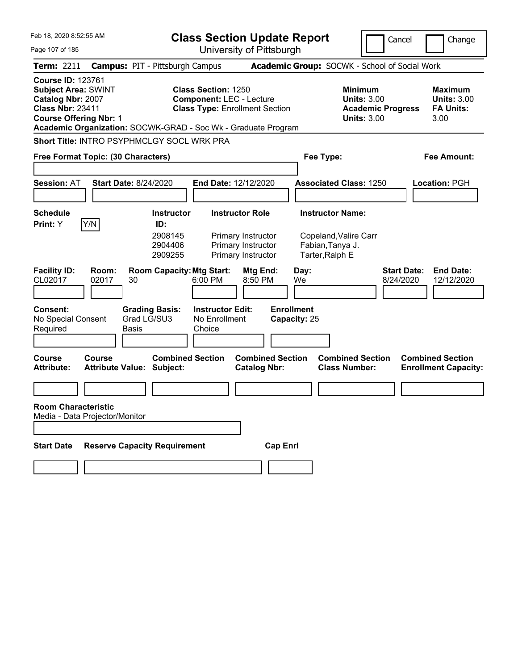| Feb 18, 2020 8:52:55 AM                                                                                                                                                                                  | <b>Class Section Update Report</b>                                                                                                                                                                                          |                                                                                                                 | Cancel<br>Change                                                  |
|----------------------------------------------------------------------------------------------------------------------------------------------------------------------------------------------------------|-----------------------------------------------------------------------------------------------------------------------------------------------------------------------------------------------------------------------------|-----------------------------------------------------------------------------------------------------------------|-------------------------------------------------------------------|
| Page 107 of 185                                                                                                                                                                                          | University of Pittsburgh                                                                                                                                                                                                    |                                                                                                                 |                                                                   |
| <b>Campus: PIT - Pittsburgh Campus</b><br><b>Term: 2211</b>                                                                                                                                              |                                                                                                                                                                                                                             | Academic Group: SOCWK - School of Social Work                                                                   |                                                                   |
| <b>Course ID: 123761</b><br><b>Subject Area: SWINT</b><br>Catalog Nbr: 2007<br><b>Class Nbr: 23411</b><br><b>Course Offering Nbr: 1</b><br>Academic Organization: SOCWK-GRAD - Soc Wk - Graduate Program | <b>Class Section: 1250</b><br><b>Component: LEC - Lecture</b><br><b>Class Type: Enrollment Section</b>                                                                                                                      | <b>Minimum</b><br><b>Units: 3.00</b><br><b>Academic Progress</b><br><b>Units: 3.00</b>                          | <b>Maximum</b><br><b>Units: 3.00</b><br><b>FA Units:</b><br>3.00  |
| Short Title: INTRO PSYPHMCLGY SOCL WRK PRA                                                                                                                                                               |                                                                                                                                                                                                                             |                                                                                                                 |                                                                   |
| Free Format Topic: (30 Characters)                                                                                                                                                                       |                                                                                                                                                                                                                             | Fee Type:                                                                                                       | <b>Fee Amount:</b>                                                |
| <b>Start Date: 8/24/2020</b><br><b>Session: AT</b>                                                                                                                                                       | End Date: 12/12/2020                                                                                                                                                                                                        | <b>Associated Class: 1250</b>                                                                                   | <b>Location: PGH</b>                                              |
| <b>Schedule</b>                                                                                                                                                                                          | <b>Instructor Role</b><br><b>Instructor</b>                                                                                                                                                                                 | <b>Instructor Name:</b>                                                                                         |                                                                   |
| Y/N<br>Print: Y<br>ID:<br><b>Facility ID:</b><br>Room:<br>CL02017<br>02017<br>30<br><b>Consent:</b><br><b>Grading Basis:</b><br>Grad LG/SU3<br>No Special Consent<br>Required<br><b>Basis</b>            | 2908145<br>Primary Instructor<br>2904406<br>Primary Instructor<br>2909255<br>Primary Instructor<br><b>Room Capacity: Mtg Start:</b><br>Mtg End:<br>8:50 PM<br>6:00 PM<br><b>Instructor Edit:</b><br>No Enrollment<br>Choice | Copeland, Valire Carr<br>Fabian, Tanya J.<br>Tarter, Ralph E<br>Day:<br>We<br><b>Enrollment</b><br>Capacity: 25 | <b>Start Date:</b><br><b>End Date:</b><br>8/24/2020<br>12/12/2020 |
|                                                                                                                                                                                                          |                                                                                                                                                                                                                             |                                                                                                                 |                                                                   |
| <b>Course</b><br>Course<br><b>Attribute Value: Subject:</b><br><b>Attribute:</b>                                                                                                                         | <b>Combined Section</b><br><b>Combined Section</b><br><b>Catalog Nbr:</b>                                                                                                                                                   | <b>Combined Section</b><br><b>Class Number:</b>                                                                 | <b>Combined Section</b><br><b>Enrollment Capacity:</b>            |
| <b>Room Characteristic</b><br>Media - Data Projector/Monitor                                                                                                                                             |                                                                                                                                                                                                                             |                                                                                                                 |                                                                   |
| <b>Reserve Capacity Requirement</b><br><b>Start Date</b>                                                                                                                                                 |                                                                                                                                                                                                                             | <b>Cap Enrl</b>                                                                                                 |                                                                   |
|                                                                                                                                                                                                          |                                                                                                                                                                                                                             |                                                                                                                 |                                                                   |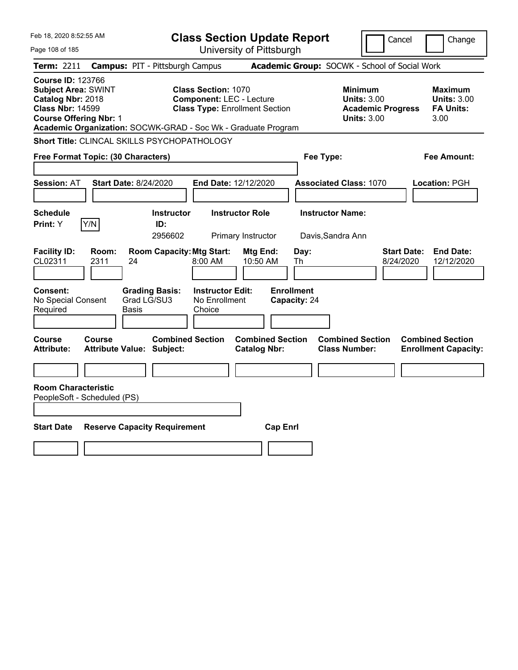| Feb 18, 2020 8:52:55 AM                                                                                                                                                                                  |                                                                 |                                                               | <b>Class Section Update Report</b>             |                                 |                                                                                        | Cancel<br>Change                                                  |
|----------------------------------------------------------------------------------------------------------------------------------------------------------------------------------------------------------|-----------------------------------------------------------------|---------------------------------------------------------------|------------------------------------------------|---------------------------------|----------------------------------------------------------------------------------------|-------------------------------------------------------------------|
| Page 108 of 185                                                                                                                                                                                          |                                                                 |                                                               | University of Pittsburgh                       |                                 |                                                                                        |                                                                   |
| Term: 2211                                                                                                                                                                                               | <b>Campus: PIT - Pittsburgh Campus</b>                          |                                                               |                                                |                                 | Academic Group: SOCWK - School of Social Work                                          |                                                                   |
| <b>Course ID: 123766</b><br><b>Subject Area: SWINT</b><br>Catalog Nbr: 2018<br><b>Class Nbr: 14599</b><br><b>Course Offering Nbr: 1</b><br>Academic Organization: SOCWK-GRAD - Soc Wk - Graduate Program |                                                                 | <b>Class Section: 1070</b><br><b>Component: LEC - Lecture</b> | <b>Class Type: Enrollment Section</b>          |                                 | <b>Minimum</b><br><b>Units: 3.00</b><br><b>Academic Progress</b><br><b>Units: 3.00</b> | Maximum<br><b>Units: 3.00</b><br><b>FA Units:</b><br>3.00         |
| Short Title: CLINCAL SKILLS PSYCHOPATHOLOGY                                                                                                                                                              |                                                                 |                                                               |                                                |                                 |                                                                                        |                                                                   |
| Free Format Topic: (30 Characters)                                                                                                                                                                       |                                                                 |                                                               |                                                | Fee Type:                       |                                                                                        | Fee Amount:                                                       |
| <b>Session: AT</b>                                                                                                                                                                                       | <b>Start Date: 8/24/2020</b>                                    | End Date: 12/12/2020                                          |                                                |                                 | <b>Associated Class: 1070</b>                                                          | Location: PGH                                                     |
| Schedule<br>Y/N<br>Print: Y                                                                                                                                                                              | <b>Instructor</b><br>ID:<br>2956602                             |                                                               | <b>Instructor Role</b><br>Primary Instructor   |                                 | <b>Instructor Name:</b><br>Davis, Sandra Ann                                           |                                                                   |
| <b>Facility ID:</b><br>Room:<br>CL02311<br>2311<br><b>Consent:</b>                                                                                                                                       | <b>Room Capacity: Mtg Start:</b><br>24<br><b>Grading Basis:</b> | 8:00 AM<br><b>Instructor Edit:</b>                            | Mtg End:<br>10:50 AM                           | Day:<br>Th<br><b>Enrollment</b> |                                                                                        | <b>End Date:</b><br><b>Start Date:</b><br>8/24/2020<br>12/12/2020 |
| No Special Consent<br>Required                                                                                                                                                                           | Grad LG/SU3<br>Basis                                            | No Enrollment<br>Choice                                       |                                                | Capacity: 24                    |                                                                                        |                                                                   |
| <b>Course</b><br>Course<br><b>Attribute:</b>                                                                                                                                                             | <b>Combined Section</b><br><b>Attribute Value: Subject:</b>     |                                                               | <b>Combined Section</b><br><b>Catalog Nbr:</b> |                                 | <b>Combined Section</b><br><b>Class Number:</b>                                        | <b>Combined Section</b><br><b>Enrollment Capacity:</b>            |
| <b>Room Characteristic</b><br>PeopleSoft - Scheduled (PS)                                                                                                                                                |                                                                 |                                                               |                                                |                                 |                                                                                        |                                                                   |
| <b>Start Date</b>                                                                                                                                                                                        | <b>Reserve Capacity Requirement</b>                             |                                                               | <b>Cap Enrl</b>                                |                                 |                                                                                        |                                                                   |
|                                                                                                                                                                                                          |                                                                 |                                                               |                                                |                                 |                                                                                        |                                                                   |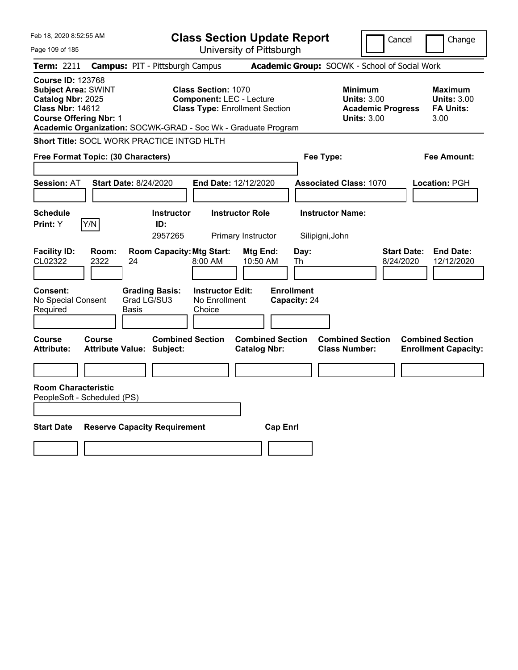| Feb 18, 2020 8:52:55 AM                                                                                                                 |                                                                                                                                | <b>Class Section Update Report</b>             |                                                                                        | Cancel<br>Change                                                  |
|-----------------------------------------------------------------------------------------------------------------------------------------|--------------------------------------------------------------------------------------------------------------------------------|------------------------------------------------|----------------------------------------------------------------------------------------|-------------------------------------------------------------------|
| Page 109 of 185                                                                                                                         |                                                                                                                                | University of Pittsburgh                       |                                                                                        |                                                                   |
| <b>Term: 2211</b>                                                                                                                       | <b>Campus: PIT - Pittsburgh Campus</b>                                                                                         |                                                | Academic Group: SOCWK - School of Social Work                                          |                                                                   |
| <b>Course ID: 123768</b><br><b>Subject Area: SWINT</b><br>Catalog Nbr: 2025<br><b>Class Nbr: 14612</b><br><b>Course Offering Nbr: 1</b> | <b>Class Section: 1070</b><br><b>Component: LEC - Lecture</b><br>Academic Organization: SOCWK-GRAD - Soc Wk - Graduate Program | <b>Class Type: Enrollment Section</b>          | <b>Minimum</b><br><b>Units: 3.00</b><br><b>Academic Progress</b><br><b>Units: 3.00</b> | <b>Maximum</b><br><b>Units: 3.00</b><br><b>FA Units:</b><br>3.00  |
|                                                                                                                                         | Short Title: SOCL WORK PRACTICE INTGD HLTH                                                                                     |                                                |                                                                                        |                                                                   |
| Free Format Topic: (30 Characters)                                                                                                      |                                                                                                                                |                                                | Fee Type:                                                                              | <b>Fee Amount:</b>                                                |
| <b>Session: AT</b>                                                                                                                      | <b>Start Date: 8/24/2020</b>                                                                                                   | End Date: 12/12/2020                           | <b>Associated Class: 1070</b>                                                          | Location: PGH                                                     |
| <b>Schedule</b><br>Y/N<br>Print: Y                                                                                                      | <b>Instructor</b><br>ID:<br>2957265                                                                                            | <b>Instructor Role</b><br>Primary Instructor   | <b>Instructor Name:</b><br>Silipigni, John                                             |                                                                   |
| <b>Facility ID:</b><br>Room:<br>CL02322<br>2322                                                                                         | <b>Room Capacity: Mtg Start:</b><br>24<br>8:00 AM                                                                              | Mtg End:<br>Day:<br>10:50 AM<br>Th             |                                                                                        | <b>Start Date:</b><br><b>End Date:</b><br>8/24/2020<br>12/12/2020 |
| Consent:<br>No Special Consent<br>Required                                                                                              | <b>Grading Basis:</b><br><b>Instructor Edit:</b><br>Grad LG/SU3<br>No Enrollment<br>Choice<br>Basis                            | <b>Enrollment</b><br>Capacity: 24              |                                                                                        |                                                                   |
| Course<br>Course<br>Attribute:                                                                                                          | <b>Combined Section</b><br><b>Attribute Value: Subject:</b>                                                                    | <b>Combined Section</b><br><b>Catalog Nbr:</b> | <b>Combined Section</b><br><b>Class Number:</b>                                        | <b>Combined Section</b><br><b>Enrollment Capacity:</b>            |
| <b>Room Characteristic</b><br>PeopleSoft - Scheduled (PS)                                                                               |                                                                                                                                |                                                |                                                                                        |                                                                   |
| <b>Start Date</b>                                                                                                                       | <b>Reserve Capacity Requirement</b>                                                                                            | <b>Cap Enrl</b>                                |                                                                                        |                                                                   |
|                                                                                                                                         |                                                                                                                                |                                                |                                                                                        |                                                                   |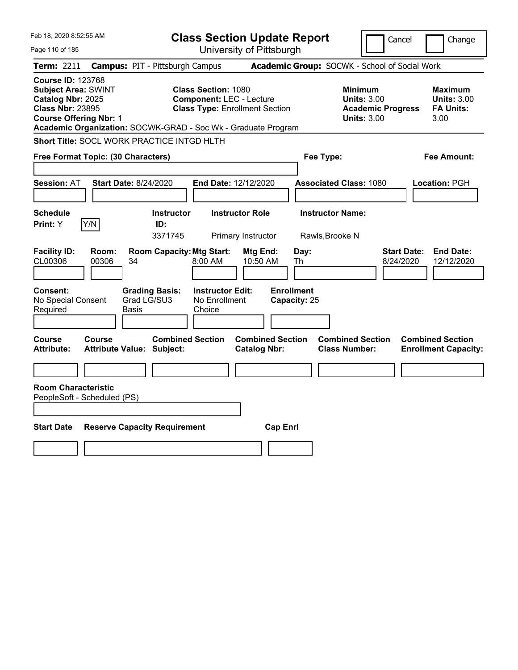| Feb 18, 2020 8:52:55 AM                                                                                                                                                                                  |                                                                                                     | <b>Class Section Update Report</b>             |                                                                                        | Cancel<br>Change                                                  |
|----------------------------------------------------------------------------------------------------------------------------------------------------------------------------------------------------------|-----------------------------------------------------------------------------------------------------|------------------------------------------------|----------------------------------------------------------------------------------------|-------------------------------------------------------------------|
| Page 110 of 185                                                                                                                                                                                          |                                                                                                     | University of Pittsburgh                       |                                                                                        |                                                                   |
| <b>Term: 2211</b>                                                                                                                                                                                        | <b>Campus: PIT - Pittsburgh Campus</b>                                                              |                                                | Academic Group: SOCWK - School of Social Work                                          |                                                                   |
| <b>Course ID: 123768</b><br><b>Subject Area: SWINT</b><br>Catalog Nbr: 2025<br><b>Class Nbr: 23895</b><br><b>Course Offering Nbr: 1</b><br>Academic Organization: SOCWK-GRAD - Soc Wk - Graduate Program | <b>Class Section: 1080</b><br><b>Component: LEC - Lecture</b>                                       | <b>Class Type: Enrollment Section</b>          | <b>Minimum</b><br><b>Units: 3.00</b><br><b>Academic Progress</b><br><b>Units: 3.00</b> | Maximum<br><b>Units: 3.00</b><br><b>FA Units:</b><br>3.00         |
| Short Title: SOCL WORK PRACTICE INTGD HLTH                                                                                                                                                               |                                                                                                     |                                                |                                                                                        |                                                                   |
| Free Format Topic: (30 Characters)                                                                                                                                                                       |                                                                                                     |                                                | Fee Type:                                                                              | Fee Amount:                                                       |
| <b>Session: AT</b>                                                                                                                                                                                       | <b>Start Date: 8/24/2020</b>                                                                        | End Date: 12/12/2020                           | <b>Associated Class: 1080</b>                                                          | Location: PGH                                                     |
| <b>Schedule</b>                                                                                                                                                                                          | <b>Instructor</b>                                                                                   | <b>Instructor Role</b>                         | <b>Instructor Name:</b>                                                                |                                                                   |
| Y/N<br>Print: Y                                                                                                                                                                                          | ID:<br>3371745                                                                                      | Primary Instructor                             | Rawls, Brooke N                                                                        |                                                                   |
| <b>Facility ID:</b><br>Room:<br>CL00306<br>00306                                                                                                                                                         | <b>Room Capacity: Mtg Start:</b><br>34<br>8:00 AM                                                   | Mtg End:<br>Day:<br>10:50 AM<br>Th             |                                                                                        | <b>Start Date:</b><br><b>End Date:</b><br>8/24/2020<br>12/12/2020 |
| <b>Consent:</b><br>No Special Consent<br>Required                                                                                                                                                        | <b>Grading Basis:</b><br><b>Instructor Edit:</b><br>Grad LG/SU3<br>No Enrollment<br>Choice<br>Basis | <b>Enrollment</b><br>Capacity: 25              |                                                                                        |                                                                   |
| Course<br>Course<br><b>Attribute:</b>                                                                                                                                                                    | <b>Combined Section</b><br><b>Attribute Value: Subject:</b>                                         | <b>Combined Section</b><br><b>Catalog Nbr:</b> | <b>Combined Section</b><br><b>Class Number:</b>                                        | <b>Combined Section</b><br><b>Enrollment Capacity:</b>            |
|                                                                                                                                                                                                          |                                                                                                     |                                                |                                                                                        |                                                                   |
| <b>Room Characteristic</b><br>PeopleSoft - Scheduled (PS)                                                                                                                                                |                                                                                                     |                                                |                                                                                        |                                                                   |
| <b>Start Date</b>                                                                                                                                                                                        | <b>Reserve Capacity Requirement</b>                                                                 | <b>Cap Enrl</b>                                |                                                                                        |                                                                   |
|                                                                                                                                                                                                          |                                                                                                     |                                                |                                                                                        |                                                                   |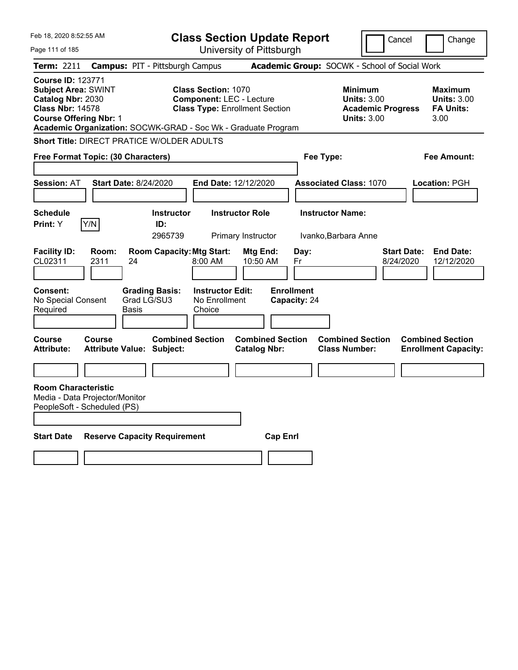| Feb 18, 2020 8:52:55 AM                                                                                                                                                                                  |                                                                          | <b>Class Section Update Report</b>                                                                     |                          |                                   |                                                                                        | Cancel<br>Change                                                  |
|----------------------------------------------------------------------------------------------------------------------------------------------------------------------------------------------------------|--------------------------------------------------------------------------|--------------------------------------------------------------------------------------------------------|--------------------------|-----------------------------------|----------------------------------------------------------------------------------------|-------------------------------------------------------------------|
| Page 111 of 185                                                                                                                                                                                          |                                                                          |                                                                                                        | University of Pittsburgh |                                   |                                                                                        |                                                                   |
| <b>Term: 2211</b>                                                                                                                                                                                        | <b>Campus: PIT - Pittsburgh Campus</b>                                   |                                                                                                        |                          |                                   | Academic Group: SOCWK - School of Social Work                                          |                                                                   |
| <b>Course ID: 123771</b><br><b>Subject Area: SWINT</b><br>Catalog Nbr: 2030<br><b>Class Nbr: 14578</b><br><b>Course Offering Nbr: 1</b><br>Academic Organization: SOCWK-GRAD - Soc Wk - Graduate Program |                                                                          | <b>Class Section: 1070</b><br><b>Component: LEC - Lecture</b><br><b>Class Type: Enrollment Section</b> |                          |                                   | <b>Minimum</b><br><b>Units: 3.00</b><br><b>Academic Progress</b><br><b>Units: 3.00</b> | <b>Maximum</b><br><b>Units: 3.00</b><br><b>FA Units:</b><br>3.00  |
| <b>Short Title: DIRECT PRATICE W/OLDER ADULTS</b>                                                                                                                                                        |                                                                          |                                                                                                        |                          |                                   |                                                                                        |                                                                   |
| <b>Free Format Topic: (30 Characters)</b>                                                                                                                                                                |                                                                          |                                                                                                        |                          | Fee Type:                         |                                                                                        | <b>Fee Amount:</b>                                                |
| <b>Session: AT</b>                                                                                                                                                                                       | <b>Start Date: 8/24/2020</b>                                             | End Date: 12/12/2020                                                                                   |                          |                                   | <b>Associated Class: 1070</b>                                                          | Location: PGH                                                     |
| <b>Schedule</b><br>Y/N<br>Print: Y                                                                                                                                                                       | <b>Instructor</b><br>ID:<br>2965739                                      | <b>Instructor Role</b>                                                                                 | Primary Instructor       | <b>Instructor Name:</b>           | Ivanko, Barbara Anne                                                                   |                                                                   |
| <b>Facility ID:</b><br>Room:<br>CL02311<br>2311                                                                                                                                                          | <b>Room Capacity: Mtg Start:</b><br>24                                   | 8:00 AM                                                                                                | Mtg End:<br>10:50 AM     | Day:<br>Fr                        |                                                                                        | <b>Start Date:</b><br><b>End Date:</b><br>8/24/2020<br>12/12/2020 |
| <b>Consent:</b><br>No Special Consent<br>Required<br>Course<br>Course                                                                                                                                    | <b>Grading Basis:</b><br>Grad LG/SU3<br>Basis<br><b>Combined Section</b> | <b>Instructor Edit:</b><br>No Enrollment<br>Choice                                                     | <b>Combined Section</b>  | <b>Enrollment</b><br>Capacity: 24 | <b>Combined Section</b>                                                                | <b>Combined Section</b>                                           |
| <b>Attribute:</b>                                                                                                                                                                                        | Attribute Value: Subject:                                                |                                                                                                        | <b>Catalog Nbr:</b>      |                                   | <b>Class Number:</b>                                                                   | <b>Enrollment Capacity:</b>                                       |
|                                                                                                                                                                                                          |                                                                          |                                                                                                        |                          |                                   |                                                                                        |                                                                   |
| <b>Room Characteristic</b><br>Media - Data Projector/Monitor<br>PeopleSoft - Scheduled (PS)                                                                                                              |                                                                          |                                                                                                        |                          |                                   |                                                                                        |                                                                   |
| <b>Start Date</b>                                                                                                                                                                                        | <b>Reserve Capacity Requirement</b>                                      |                                                                                                        | <b>Cap Enrl</b>          |                                   |                                                                                        |                                                                   |
|                                                                                                                                                                                                          |                                                                          |                                                                                                        |                          |                                   |                                                                                        |                                                                   |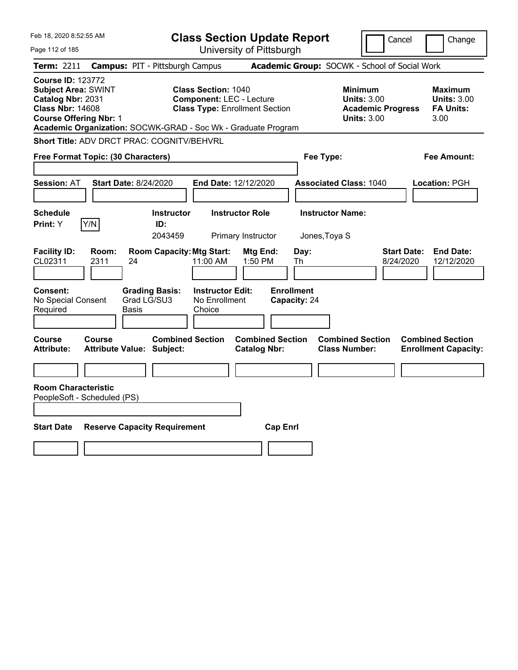| Feb 18, 2020 8:52:55 AM                                                                                                                 |                                                                                                                                | <b>Class Section Update Report</b>             |                                                                                        | Cancel<br>Change                                                  |
|-----------------------------------------------------------------------------------------------------------------------------------------|--------------------------------------------------------------------------------------------------------------------------------|------------------------------------------------|----------------------------------------------------------------------------------------|-------------------------------------------------------------------|
| Page 112 of 185                                                                                                                         |                                                                                                                                | University of Pittsburgh                       |                                                                                        |                                                                   |
| Term: 2211                                                                                                                              | <b>Campus: PIT - Pittsburgh Campus</b>                                                                                         |                                                | Academic Group: SOCWK - School of Social Work                                          |                                                                   |
| <b>Course ID: 123772</b><br><b>Subject Area: SWINT</b><br>Catalog Nbr: 2031<br><b>Class Nbr: 14608</b><br><b>Course Offering Nbr: 1</b> | <b>Class Section: 1040</b><br><b>Component: LEC - Lecture</b><br>Academic Organization: SOCWK-GRAD - Soc Wk - Graduate Program | <b>Class Type: Enrollment Section</b>          | <b>Minimum</b><br><b>Units: 3.00</b><br><b>Academic Progress</b><br><b>Units: 3.00</b> | Maximum<br><b>Units: 3.00</b><br><b>FA Units:</b><br>3.00         |
|                                                                                                                                         | <b>Short Title: ADV DRCT PRAC: COGNITV/BEHVRL</b>                                                                              |                                                |                                                                                        |                                                                   |
| Free Format Topic: (30 Characters)                                                                                                      |                                                                                                                                |                                                | Fee Type:                                                                              | Fee Amount:                                                       |
| <b>Session: AT</b>                                                                                                                      | <b>Start Date: 8/24/2020</b>                                                                                                   | End Date: 12/12/2020                           | <b>Associated Class: 1040</b>                                                          | Location: PGH                                                     |
| <b>Schedule</b><br>Y/N<br><b>Print:</b> Y                                                                                               | <b>Instructor</b><br>ID:<br>2043459                                                                                            | <b>Instructor Role</b><br>Primary Instructor   | <b>Instructor Name:</b><br>Jones, Toya S                                               |                                                                   |
| <b>Facility ID:</b><br>Room:<br>CL02311<br>2311                                                                                         | <b>Room Capacity: Mtg Start:</b><br>24<br>11:00 AM                                                                             | Mtg End:<br>Day:<br>1:50 PM<br>Th              |                                                                                        | <b>Start Date:</b><br><b>End Date:</b><br>8/24/2020<br>12/12/2020 |
| Consent:<br>No Special Consent<br>Required                                                                                              | <b>Grading Basis:</b><br><b>Instructor Edit:</b><br>Grad LG/SU3<br>No Enrollment<br>Basis<br>Choice                            | <b>Enrollment</b><br>Capacity: 24              |                                                                                        |                                                                   |
| Course<br>Course<br><b>Attribute:</b>                                                                                                   | <b>Combined Section</b><br><b>Attribute Value: Subject:</b>                                                                    | <b>Combined Section</b><br><b>Catalog Nbr:</b> | <b>Combined Section</b><br><b>Class Number:</b>                                        | <b>Combined Section</b><br><b>Enrollment Capacity:</b>            |
| <b>Room Characteristic</b><br>PeopleSoft - Scheduled (PS)                                                                               |                                                                                                                                |                                                |                                                                                        |                                                                   |
| <b>Start Date</b>                                                                                                                       | <b>Reserve Capacity Requirement</b>                                                                                            | <b>Cap Enrl</b>                                |                                                                                        |                                                                   |
|                                                                                                                                         |                                                                                                                                |                                                |                                                                                        |                                                                   |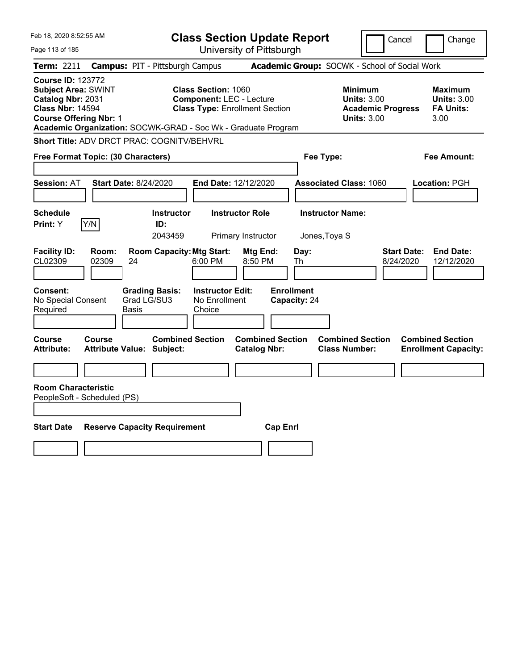| Feb 18, 2020 8:52:55 AM                                                                                                                                                                                  |                                                             |                                                               | <b>Class Section Update Report</b>             |                                   |                                                                                 | Cancel<br>Change                                                  |
|----------------------------------------------------------------------------------------------------------------------------------------------------------------------------------------------------------|-------------------------------------------------------------|---------------------------------------------------------------|------------------------------------------------|-----------------------------------|---------------------------------------------------------------------------------|-------------------------------------------------------------------|
| Page 113 of 185                                                                                                                                                                                          |                                                             |                                                               | University of Pittsburgh                       |                                   |                                                                                 |                                                                   |
| <b>Term: 2211</b>                                                                                                                                                                                        | <b>Campus: PIT - Pittsburgh Campus</b>                      |                                                               |                                                |                                   | Academic Group: SOCWK - School of Social Work                                   |                                                                   |
| <b>Course ID: 123772</b><br><b>Subject Area: SWINT</b><br>Catalog Nbr: 2031<br><b>Class Nbr: 14594</b><br><b>Course Offering Nbr: 1</b><br>Academic Organization: SOCWK-GRAD - Soc Wk - Graduate Program |                                                             | <b>Class Section: 1060</b><br><b>Component: LEC - Lecture</b> | <b>Class Type: Enrollment Section</b>          |                                   | Minimum<br><b>Units: 3.00</b><br><b>Academic Progress</b><br><b>Units: 3.00</b> | Maximum<br><b>Units: 3.00</b><br><b>FA Units:</b><br>3.00         |
| <b>Short Title: ADV DRCT PRAC: COGNITV/BEHVRL</b>                                                                                                                                                        |                                                             |                                                               |                                                |                                   |                                                                                 |                                                                   |
| Free Format Topic: (30 Characters)                                                                                                                                                                       |                                                             |                                                               |                                                | Fee Type:                         |                                                                                 | Fee Amount:                                                       |
| <b>Session: AT</b>                                                                                                                                                                                       | <b>Start Date: 8/24/2020</b>                                | End Date: 12/12/2020                                          |                                                |                                   | <b>Associated Class: 1060</b>                                                   | Location: PGH                                                     |
| <b>Schedule</b><br>Y/N<br>Print: Y                                                                                                                                                                       | <b>Instructor</b><br>ID:<br>2043459                         |                                                               | <b>Instructor Role</b><br>Primary Instructor   | Jones, Toya S                     | <b>Instructor Name:</b>                                                         |                                                                   |
| <b>Facility ID:</b><br>Room:<br>CL02309<br>02309                                                                                                                                                         | <b>Room Capacity: Mtg Start:</b><br>24                      | 6:00 PM                                                       | Mtg End:<br>8:50 PM                            | Day:<br>Th                        |                                                                                 | <b>Start Date:</b><br><b>End Date:</b><br>8/24/2020<br>12/12/2020 |
| <b>Consent:</b><br>No Special Consent<br>Required                                                                                                                                                        | <b>Grading Basis:</b><br>Grad LG/SU3<br>Basis               | <b>Instructor Edit:</b><br>No Enrollment<br>Choice            |                                                | <b>Enrollment</b><br>Capacity: 24 |                                                                                 |                                                                   |
| Course<br>Course<br><b>Attribute:</b>                                                                                                                                                                    | <b>Combined Section</b><br><b>Attribute Value: Subject:</b> |                                                               | <b>Combined Section</b><br><b>Catalog Nbr:</b> |                                   | <b>Combined Section</b><br><b>Class Number:</b>                                 | <b>Combined Section</b><br><b>Enrollment Capacity:</b>            |
| <b>Room Characteristic</b><br>PeopleSoft - Scheduled (PS)                                                                                                                                                |                                                             |                                                               |                                                |                                   |                                                                                 |                                                                   |
| <b>Start Date</b>                                                                                                                                                                                        | <b>Reserve Capacity Requirement</b>                         |                                                               | <b>Cap Enrl</b>                                |                                   |                                                                                 |                                                                   |
|                                                                                                                                                                                                          |                                                             |                                                               |                                                |                                   |                                                                                 |                                                                   |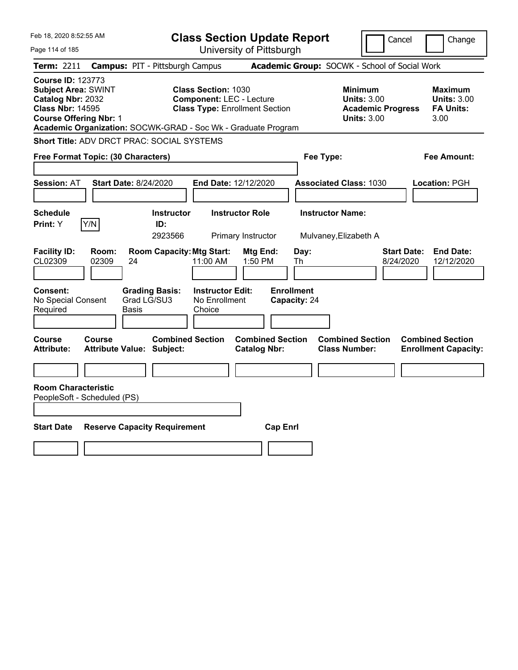| Feb 18, 2020 8:52:55 AM                                                                                                                                                                                  |                                            |                                                           |                                                      |                                                                          | <b>Class Section Update Report</b>              |                                                  | Cancel                                                                                 |                                 | Change                                                    |
|----------------------------------------------------------------------------------------------------------------------------------------------------------------------------------------------------------|--------------------------------------------|-----------------------------------------------------------|------------------------------------------------------|--------------------------------------------------------------------------|-------------------------------------------------|--------------------------------------------------|----------------------------------------------------------------------------------------|---------------------------------|-----------------------------------------------------------|
| Page 114 of 185                                                                                                                                                                                          |                                            |                                                           |                                                      | University of Pittsburgh                                                 |                                                 |                                                  |                                                                                        |                                 |                                                           |
| Term: 2211                                                                                                                                                                                               | <b>Campus: PIT - Pittsburgh Campus</b>     |                                                           |                                                      |                                                                          |                                                 | Academic Group: SOCWK - School of Social Work    |                                                                                        |                                 |                                                           |
| <b>Course ID: 123773</b><br><b>Subject Area: SWINT</b><br>Catalog Nbr: 2032<br><b>Class Nbr: 14595</b><br><b>Course Offering Nbr: 1</b><br>Academic Organization: SOCWK-GRAD - Soc Wk - Graduate Program |                                            |                                                           | <b>Class Section: 1030</b>                           | <b>Component: LEC - Lecture</b><br><b>Class Type: Enrollment Section</b> |                                                 |                                                  | <b>Minimum</b><br><b>Units: 3.00</b><br><b>Academic Progress</b><br><b>Units: 3.00</b> |                                 | Maximum<br><b>Units: 3.00</b><br><b>FA Units:</b><br>3.00 |
| Short Title: ADV DRCT PRAC: SOCIAL SYSTEMS                                                                                                                                                               |                                            |                                                           |                                                      |                                                                          |                                                 |                                                  |                                                                                        |                                 |                                                           |
| Free Format Topic: (30 Characters)                                                                                                                                                                       |                                            |                                                           |                                                      |                                                                          |                                                 | Fee Type:                                        |                                                                                        |                                 | Fee Amount:                                               |
| <b>Session: AT</b>                                                                                                                                                                                       | <b>Start Date: 8/24/2020</b>               |                                                           |                                                      | End Date: 12/12/2020                                                     |                                                 | <b>Associated Class: 1030</b>                    |                                                                                        |                                 | Location: PGH                                             |
| Schedule<br>Y/N<br>Print: Y                                                                                                                                                                              |                                            | <b>Instructor</b><br>ID:<br>2923566                       |                                                      | <b>Instructor Role</b><br>Primary Instructor                             |                                                 | <b>Instructor Name:</b><br>Mulvaney, Elizabeth A |                                                                                        |                                 |                                                           |
| <b>Facility ID:</b><br>CL02309<br><b>Consent:</b><br>No Special Consent                                                                                                                                  | Room:<br>02309<br>24<br>Grad LG/SU3        | <b>Room Capacity: Mtg Start:</b><br><b>Grading Basis:</b> | 11:00 AM<br><b>Instructor Edit:</b><br>No Enrollment | Mtg End:<br>1:50 PM                                                      | Day:<br>Th<br><b>Enrollment</b><br>Capacity: 24 |                                                  |                                                                                        | <b>Start Date:</b><br>8/24/2020 | <b>End Date:</b><br>12/12/2020                            |
| Required                                                                                                                                                                                                 | Basis                                      |                                                           | Choice                                               |                                                                          |                                                 |                                                  |                                                                                        |                                 |                                                           |
| <b>Course</b><br><b>Attribute:</b>                                                                                                                                                                       | Course<br><b>Attribute Value: Subject:</b> | <b>Combined Section</b>                                   |                                                      | <b>Combined Section</b><br><b>Catalog Nbr:</b>                           |                                                 | <b>Combined Section</b><br><b>Class Number:</b>  |                                                                                        |                                 | <b>Combined Section</b><br><b>Enrollment Capacity:</b>    |
| <b>Room Characteristic</b><br>PeopleSoft - Scheduled (PS)                                                                                                                                                |                                            |                                                           |                                                      |                                                                          |                                                 |                                                  |                                                                                        |                                 |                                                           |
| <b>Start Date</b>                                                                                                                                                                                        | <b>Reserve Capacity Requirement</b>        |                                                           |                                                      |                                                                          | <b>Cap Enrl</b>                                 |                                                  |                                                                                        |                                 |                                                           |
|                                                                                                                                                                                                          |                                            |                                                           |                                                      |                                                                          |                                                 |                                                  |                                                                                        |                                 |                                                           |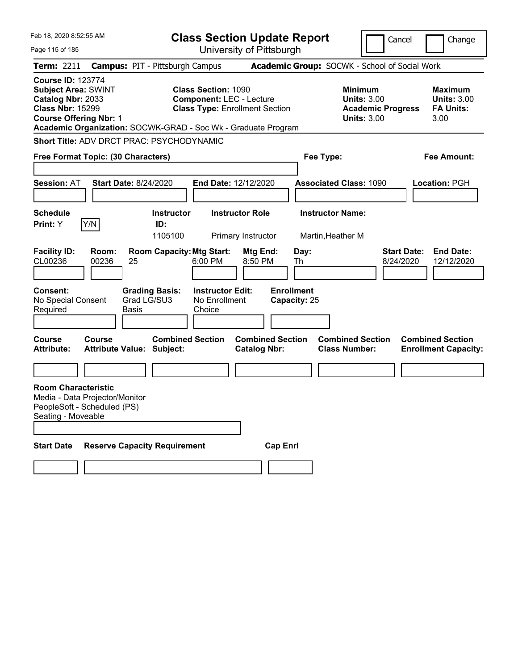| Feb 18, 2020 8:52:55 AM                                                                                                                 |                |                                                                                                |                                                               | <b>Class Section Update Report</b>                                       |                                                 |                                                                                        | Cancel                          | Change                                                           |
|-----------------------------------------------------------------------------------------------------------------------------------------|----------------|------------------------------------------------------------------------------------------------|---------------------------------------------------------------|--------------------------------------------------------------------------|-------------------------------------------------|----------------------------------------------------------------------------------------|---------------------------------|------------------------------------------------------------------|
| Page 115 of 185                                                                                                                         |                |                                                                                                |                                                               | University of Pittsburgh                                                 |                                                 |                                                                                        |                                 |                                                                  |
| Term: 2211                                                                                                                              |                | <b>Campus: PIT - Pittsburgh Campus</b>                                                         |                                                               |                                                                          | Academic Group: SOCWK - School of Social Work   |                                                                                        |                                 |                                                                  |
| <b>Course ID: 123774</b><br><b>Subject Area: SWINT</b><br>Catalog Nbr: 2033<br><b>Class Nbr: 15299</b><br><b>Course Offering Nbr: 1</b> |                | Academic Organization: SOCWK-GRAD - Soc Wk - Graduate Program                                  | <b>Class Section: 1090</b>                                    | <b>Component: LEC - Lecture</b><br><b>Class Type: Enrollment Section</b> |                                                 | <b>Minimum</b><br><b>Units: 3.00</b><br><b>Academic Progress</b><br><b>Units: 3.00</b> |                                 | <b>Maximum</b><br><b>Units: 3.00</b><br><b>FA Units:</b><br>3.00 |
|                                                                                                                                         |                | Short Title: ADV DRCT PRAC: PSYCHODYNAMIC                                                      |                                                               |                                                                          |                                                 |                                                                                        |                                 |                                                                  |
| Free Format Topic: (30 Characters)                                                                                                      |                |                                                                                                |                                                               |                                                                          | Fee Type:                                       |                                                                                        |                                 | <b>Fee Amount:</b>                                               |
| <b>Session: AT</b>                                                                                                                      |                | <b>Start Date: 8/24/2020</b>                                                                   |                                                               | <b>End Date: 12/12/2020</b>                                              |                                                 | <b>Associated Class: 1090</b>                                                          |                                 | Location: PGH                                                    |
| <b>Schedule</b>                                                                                                                         |                | <b>Instructor</b>                                                                              |                                                               | <b>Instructor Role</b>                                                   | <b>Instructor Name:</b>                         |                                                                                        |                                 |                                                                  |
| Print: Y                                                                                                                                | Y/N            | ID:<br>1105100                                                                                 |                                                               | Primary Instructor                                                       | Martin, Heather M                               |                                                                                        |                                 |                                                                  |
| <b>Facility ID:</b><br>CL00236<br><b>Consent:</b><br>No Special Consent<br>Required                                                     | Room:<br>00236 | <b>Room Capacity: Mtg Start:</b><br>25<br><b>Grading Basis:</b><br>Grad LG/SU3<br><b>Basis</b> | 6:00 PM<br><b>Instructor Edit:</b><br>No Enrollment<br>Choice | Mtg End:<br>8:50 PM                                                      | Day:<br>Th<br><b>Enrollment</b><br>Capacity: 25 |                                                                                        | <b>Start Date:</b><br>8/24/2020 | <b>End Date:</b><br>12/12/2020                                   |
| <b>Course</b><br><b>Attribute:</b>                                                                                                      | Course         | <b>Combined Section</b><br><b>Attribute Value: Subject:</b>                                    |                                                               | <b>Combined Section</b><br><b>Catalog Nbr:</b>                           |                                                 | <b>Combined Section</b><br><b>Class Number:</b>                                        |                                 | <b>Combined Section</b><br><b>Enrollment Capacity:</b>           |
|                                                                                                                                         |                |                                                                                                |                                                               |                                                                          |                                                 |                                                                                        |                                 |                                                                  |
| <b>Room Characteristic</b><br>Media - Data Projector/Monitor<br>PeopleSoft - Scheduled (PS)<br>Seating - Moveable<br><b>Start Date</b>  |                | <b>Reserve Capacity Requirement</b>                                                            |                                                               | <b>Cap Enrl</b>                                                          |                                                 |                                                                                        |                                 |                                                                  |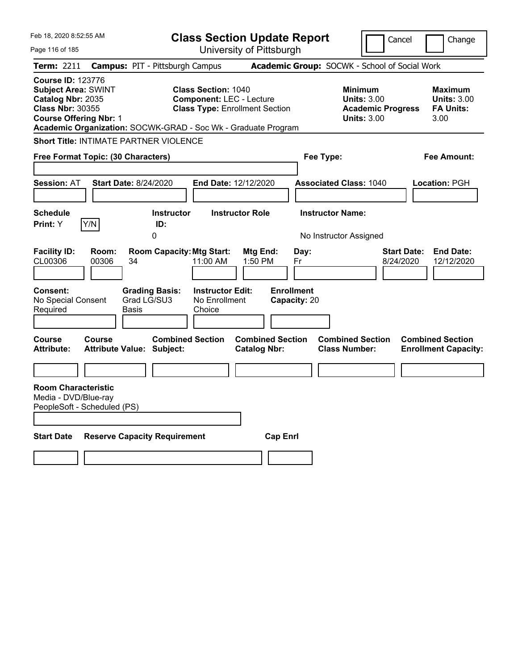| Feb 18, 2020 8:52:55 AM                                                                                                                                                                                  |                                                             |                                                               | <b>Class Section Update Report</b>             |                                   |                                                                                 | Cancel<br>Change                                                  |
|----------------------------------------------------------------------------------------------------------------------------------------------------------------------------------------------------------|-------------------------------------------------------------|---------------------------------------------------------------|------------------------------------------------|-----------------------------------|---------------------------------------------------------------------------------|-------------------------------------------------------------------|
| Page 116 of 185                                                                                                                                                                                          |                                                             |                                                               | University of Pittsburgh                       |                                   |                                                                                 |                                                                   |
| Term: 2211                                                                                                                                                                                               | <b>Campus: PIT - Pittsburgh Campus</b>                      |                                                               |                                                |                                   | Academic Group: SOCWK - School of Social Work                                   |                                                                   |
| <b>Course ID: 123776</b><br><b>Subject Area: SWINT</b><br>Catalog Nbr: 2035<br><b>Class Nbr: 30355</b><br><b>Course Offering Nbr: 1</b><br>Academic Organization: SOCWK-GRAD - Soc Wk - Graduate Program |                                                             | <b>Class Section: 1040</b><br><b>Component: LEC - Lecture</b> | <b>Class Type: Enrollment Section</b>          |                                   | Minimum<br><b>Units: 3.00</b><br><b>Academic Progress</b><br><b>Units: 3.00</b> | Maximum<br><b>Units: 3.00</b><br><b>FA Units:</b><br>3.00         |
| <b>Short Title: INTIMATE PARTNER VIOLENCE</b>                                                                                                                                                            |                                                             |                                                               |                                                |                                   |                                                                                 |                                                                   |
| Free Format Topic: (30 Characters)                                                                                                                                                                       |                                                             |                                                               |                                                | Fee Type:                         |                                                                                 | Fee Amount:                                                       |
| <b>Session: AT</b>                                                                                                                                                                                       | <b>Start Date: 8/24/2020</b>                                | End Date: 12/12/2020                                          |                                                |                                   | <b>Associated Class: 1040</b>                                                   | <b>Location: PGH</b>                                              |
| <b>Schedule</b><br>Y/N<br><b>Print:</b> Y                                                                                                                                                                | <b>Instructor</b><br>ID:<br>0                               |                                                               | <b>Instructor Role</b>                         | <b>Instructor Name:</b>           | No Instructor Assigned                                                          |                                                                   |
| <b>Facility ID:</b><br>Room:<br>CL00306<br>00306                                                                                                                                                         | <b>Room Capacity: Mtg Start:</b><br>34                      | 11:00 AM                                                      | Mtg End:<br>1:50 PM                            | Day:<br>Fr                        |                                                                                 | <b>Start Date:</b><br><b>End Date:</b><br>8/24/2020<br>12/12/2020 |
| Consent:<br>No Special Consent<br>Required                                                                                                                                                               | <b>Grading Basis:</b><br>Grad LG/SU3<br>Basis               | <b>Instructor Edit:</b><br>No Enrollment<br>Choice            |                                                | <b>Enrollment</b><br>Capacity: 20 |                                                                                 |                                                                   |
| <b>Course</b><br><b>Course</b><br><b>Attribute:</b>                                                                                                                                                      | <b>Combined Section</b><br><b>Attribute Value: Subject:</b> |                                                               | <b>Combined Section</b><br><b>Catalog Nbr:</b> |                                   | <b>Combined Section</b><br><b>Class Number:</b>                                 | <b>Combined Section</b><br><b>Enrollment Capacity:</b>            |
|                                                                                                                                                                                                          |                                                             |                                                               |                                                |                                   |                                                                                 |                                                                   |
| <b>Room Characteristic</b><br>Media - DVD/Blue-ray<br>PeopleSoft - Scheduled (PS)                                                                                                                        |                                                             |                                                               |                                                |                                   |                                                                                 |                                                                   |
| <b>Start Date</b>                                                                                                                                                                                        | <b>Reserve Capacity Requirement</b>                         |                                                               | <b>Cap Enrl</b>                                |                                   |                                                                                 |                                                                   |
|                                                                                                                                                                                                          |                                                             |                                                               |                                                |                                   |                                                                                 |                                                                   |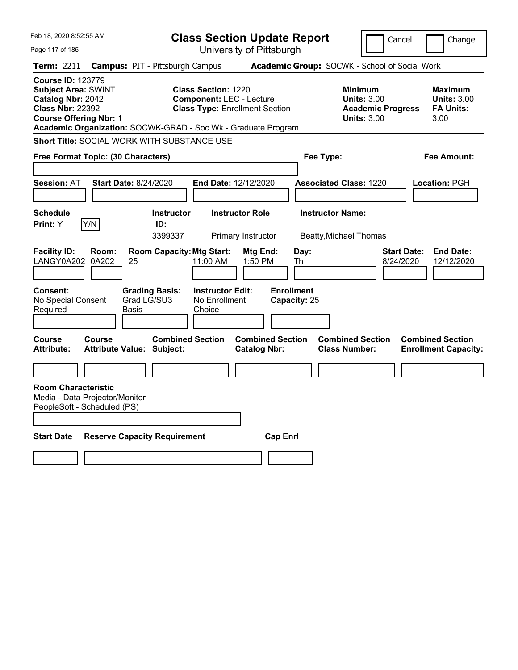| Feb 18, 2020 8:52:55 AM                                                                                                                                                                                  |                                                   |                                     | <b>Class Section Update Report</b>                                                                     |                                                |                                   |                         |                                                                                        | Cancel                          | Change                                                           |
|----------------------------------------------------------------------------------------------------------------------------------------------------------------------------------------------------------|---------------------------------------------------|-------------------------------------|--------------------------------------------------------------------------------------------------------|------------------------------------------------|-----------------------------------|-------------------------|----------------------------------------------------------------------------------------|---------------------------------|------------------------------------------------------------------|
| Page 117 of 185                                                                                                                                                                                          |                                                   |                                     |                                                                                                        | University of Pittsburgh                       |                                   |                         |                                                                                        |                                 |                                                                  |
| <b>Term: 2211</b>                                                                                                                                                                                        | <b>Campus: PIT - Pittsburgh Campus</b>            |                                     |                                                                                                        |                                                |                                   |                         | Academic Group: SOCWK - School of Social Work                                          |                                 |                                                                  |
| <b>Course ID: 123779</b><br><b>Subject Area: SWINT</b><br>Catalog Nbr: 2042<br><b>Class Nbr: 22392</b><br><b>Course Offering Nbr: 1</b><br>Academic Organization: SOCWK-GRAD - Soc Wk - Graduate Program |                                                   |                                     | <b>Class Section: 1220</b><br><b>Component: LEC - Lecture</b><br><b>Class Type: Enrollment Section</b> |                                                |                                   |                         | <b>Minimum</b><br><b>Units: 3.00</b><br><b>Academic Progress</b><br><b>Units: 3.00</b> |                                 | <b>Maximum</b><br><b>Units: 3.00</b><br><b>FA Units:</b><br>3.00 |
| Short Title: SOCIAL WORK WITH SUBSTANCE USE                                                                                                                                                              |                                                   |                                     |                                                                                                        |                                                |                                   |                         |                                                                                        |                                 |                                                                  |
| Free Format Topic: (30 Characters)                                                                                                                                                                       |                                                   |                                     |                                                                                                        |                                                |                                   | Fee Type:               |                                                                                        |                                 | <b>Fee Amount:</b>                                               |
|                                                                                                                                                                                                          |                                                   |                                     |                                                                                                        |                                                |                                   |                         |                                                                                        |                                 |                                                                  |
| <b>Session: AT</b>                                                                                                                                                                                       | <b>Start Date: 8/24/2020</b>                      |                                     | End Date: 12/12/2020                                                                                   |                                                |                                   |                         | <b>Associated Class: 1220</b>                                                          |                                 | <b>Location: PGH</b>                                             |
| <b>Schedule</b><br>Y/N<br>Print: Y                                                                                                                                                                       |                                                   | <b>Instructor</b><br>ID:<br>3399337 |                                                                                                        | <b>Instructor Role</b><br>Primary Instructor   |                                   | <b>Instructor Name:</b> | <b>Beatty, Michael Thomas</b>                                                          |                                 |                                                                  |
| <b>Facility ID:</b><br>LANGY0A202 0A202                                                                                                                                                                  | Room:<br>25                                       | <b>Room Capacity: Mtg Start:</b>    | 11:00 AM                                                                                               | Mtg End:<br>1:50 PM                            | Day:<br>Th                        |                         |                                                                                        | <b>Start Date:</b><br>8/24/2020 | <b>End Date:</b><br>12/12/2020                                   |
| <b>Consent:</b><br>No Special Consent<br>Required                                                                                                                                                        | Grad LG/SU3<br>Basis                              | <b>Grading Basis:</b>               | <b>Instructor Edit:</b><br>No Enrollment<br>Choice                                                     |                                                | <b>Enrollment</b><br>Capacity: 25 |                         |                                                                                        |                                 |                                                                  |
| Course<br><b>Attribute:</b>                                                                                                                                                                              | <b>Course</b><br><b>Attribute Value: Subject:</b> | <b>Combined Section</b>             |                                                                                                        | <b>Combined Section</b><br><b>Catalog Nbr:</b> |                                   |                         | <b>Combined Section</b><br><b>Class Number:</b>                                        |                                 | <b>Combined Section</b><br><b>Enrollment Capacity:</b>           |
|                                                                                                                                                                                                          |                                                   |                                     |                                                                                                        |                                                |                                   |                         |                                                                                        |                                 |                                                                  |
| <b>Room Characteristic</b><br>Media - Data Projector/Monitor<br>PeopleSoft - Scheduled (PS)                                                                                                              |                                                   |                                     |                                                                                                        |                                                |                                   |                         |                                                                                        |                                 |                                                                  |
| <b>Start Date</b>                                                                                                                                                                                        | <b>Reserve Capacity Requirement</b>               |                                     |                                                                                                        |                                                | <b>Cap Enrl</b>                   |                         |                                                                                        |                                 |                                                                  |
|                                                                                                                                                                                                          |                                                   |                                     |                                                                                                        |                                                |                                   |                         |                                                                                        |                                 |                                                                  |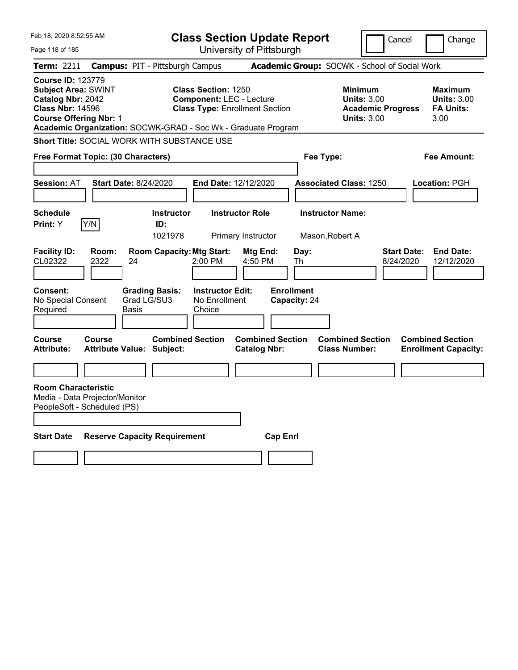| Feb 18, 2020 8:52:55 AM                                                                                                                                                                                  |                                                   |                                                                          |                                                               | <b>Class Section Update Report</b>             |                                                 |                                                            | Cancel                          | Change                                                           |  |
|----------------------------------------------------------------------------------------------------------------------------------------------------------------------------------------------------------|---------------------------------------------------|--------------------------------------------------------------------------|---------------------------------------------------------------|------------------------------------------------|-------------------------------------------------|------------------------------------------------------------|---------------------------------|------------------------------------------------------------------|--|
| Page 118 of 185                                                                                                                                                                                          |                                                   |                                                                          |                                                               | University of Pittsburgh                       |                                                 |                                                            |                                 |                                                                  |  |
| Term: 2211                                                                                                                                                                                               |                                                   | <b>Campus: PIT - Pittsburgh Campus</b>                                   |                                                               |                                                |                                                 | Academic Group: SOCWK - School of Social Work              |                                 |                                                                  |  |
| <b>Course ID: 123779</b><br><b>Subject Area: SWINT</b><br>Catalog Nbr: 2042<br><b>Class Nbr: 14596</b><br><b>Course Offering Nbr: 1</b><br>Academic Organization: SOCWK-GRAD - Soc Wk - Graduate Program |                                                   |                                                                          | <b>Class Section: 1250</b><br><b>Component: LEC - Lecture</b> | <b>Class Type: Enrollment Section</b>          |                                                 | <b>Minimum</b><br><b>Units: 3.00</b><br><b>Units: 3.00</b> | <b>Academic Progress</b>        | <b>Maximum</b><br><b>Units: 3.00</b><br><b>FA Units:</b><br>3.00 |  |
| <b>Short Title: SOCIAL WORK WITH SUBSTANCE USE</b>                                                                                                                                                       |                                                   |                                                                          |                                                               |                                                |                                                 |                                                            |                                 |                                                                  |  |
| Free Format Topic: (30 Characters)                                                                                                                                                                       |                                                   |                                                                          |                                                               |                                                | Fee Type:<br>Fee Amount:                        |                                                            |                                 |                                                                  |  |
| <b>Session: AT</b>                                                                                                                                                                                       | <b>Start Date: 8/24/2020</b>                      |                                                                          | <b>End Date: 12/12/2020</b>                                   |                                                |                                                 | <b>Associated Class: 1250</b>                              |                                 | Location: PGH                                                    |  |
| <b>Schedule</b>                                                                                                                                                                                          |                                                   | <b>Instructor</b>                                                        |                                                               | <b>Instructor Role</b>                         |                                                 | <b>Instructor Name:</b>                                    |                                 |                                                                  |  |
| <b>Print:</b> Y                                                                                                                                                                                          | Y/N                                               | ID:<br>1021978                                                           |                                                               | Primary Instructor                             |                                                 | Mason, Robert A                                            |                                 |                                                                  |  |
| <b>Facility ID:</b><br>CL02322<br><b>Consent:</b><br>No Special Consent<br>Required                                                                                                                      | Room:<br>2322<br>24<br>Basis                      | <b>Room Capacity: Mtg Start:</b><br><b>Grading Basis:</b><br>Grad LG/SU3 | 2:00 PM<br><b>Instructor Edit:</b><br>No Enrollment<br>Choice | Mtg End:<br>4:50 PM                            | Day:<br>Th<br><b>Enrollment</b><br>Capacity: 24 |                                                            | <b>Start Date:</b><br>8/24/2020 | <b>End Date:</b><br>12/12/2020                                   |  |
| <b>Course</b><br><b>Attribute:</b>                                                                                                                                                                       | <b>Course</b><br><b>Attribute Value: Subject:</b> | <b>Combined Section</b>                                                  |                                                               | <b>Combined Section</b><br><b>Catalog Nbr:</b> |                                                 | <b>Combined Section</b><br><b>Class Number:</b>            |                                 | <b>Combined Section</b><br><b>Enrollment Capacity:</b>           |  |
| <b>Room Characteristic</b><br>Media - Data Projector/Monitor<br>PeopleSoft - Scheduled (PS)                                                                                                              |                                                   |                                                                          |                                                               |                                                |                                                 |                                                            |                                 |                                                                  |  |
| <b>Start Date</b>                                                                                                                                                                                        |                                                   | <b>Reserve Capacity Requirement</b>                                      |                                                               | <b>Cap Enrl</b>                                |                                                 |                                                            |                                 |                                                                  |  |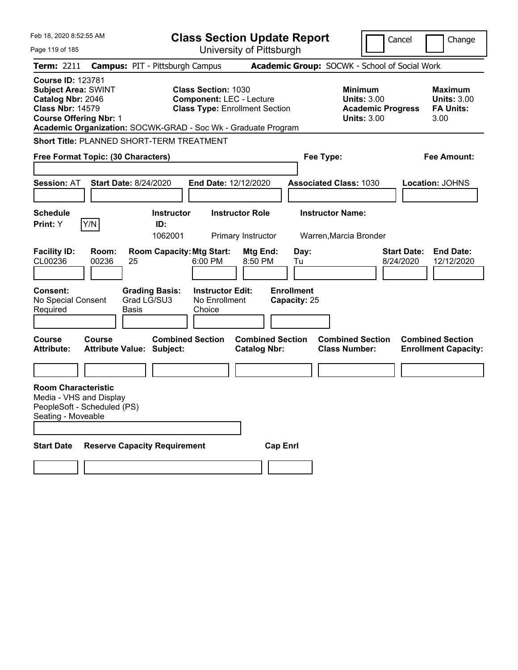| Feb 18, 2020 8:52:55 AM                                                                                                                 |                |                                                               |                                                               | <b>Class Section Update Report</b>             |                                   |                                                                                        | Cancel<br>Change                                                  |
|-----------------------------------------------------------------------------------------------------------------------------------------|----------------|---------------------------------------------------------------|---------------------------------------------------------------|------------------------------------------------|-----------------------------------|----------------------------------------------------------------------------------------|-------------------------------------------------------------------|
| Page 119 of 185                                                                                                                         |                |                                                               |                                                               | University of Pittsburgh                       |                                   |                                                                                        |                                                                   |
| Term: 2211                                                                                                                              |                | <b>Campus: PIT - Pittsburgh Campus</b>                        |                                                               |                                                |                                   | Academic Group: SOCWK - School of Social Work                                          |                                                                   |
| <b>Course ID: 123781</b><br><b>Subject Area: SWINT</b><br>Catalog Nbr: 2046<br><b>Class Nbr: 14579</b><br><b>Course Offering Nbr: 1</b> |                | Academic Organization: SOCWK-GRAD - Soc Wk - Graduate Program | <b>Class Section: 1030</b><br><b>Component: LEC - Lecture</b> | <b>Class Type: Enrollment Section</b>          |                                   | <b>Minimum</b><br><b>Units: 3.00</b><br><b>Academic Progress</b><br><b>Units: 3.00</b> | <b>Maximum</b><br><b>Units: 3.00</b><br><b>FA Units:</b><br>3.00  |
|                                                                                                                                         |                | <b>Short Title: PLANNED SHORT-TERM TREATMENT</b>              |                                                               |                                                |                                   |                                                                                        |                                                                   |
| Free Format Topic: (30 Characters)                                                                                                      |                |                                                               |                                                               |                                                |                                   | Fee Type:                                                                              | <b>Fee Amount:</b>                                                |
| <b>Session: AT</b><br><b>Schedule</b>                                                                                                   |                | <b>Start Date: 8/24/2020</b><br><b>Instructor</b>             | End Date: 12/12/2020                                          | <b>Instructor Role</b>                         |                                   | <b>Associated Class: 1030</b><br><b>Instructor Name:</b>                               | Location: JOHNS                                                   |
| Print: Y                                                                                                                                | Y/N            | ID:                                                           |                                                               |                                                |                                   |                                                                                        |                                                                   |
|                                                                                                                                         |                | 1062001                                                       |                                                               | Primary Instructor                             |                                   | Warren, Marcia Bronder                                                                 |                                                                   |
| <b>Facility ID:</b><br>CL00236                                                                                                          | Room:<br>00236 | <b>Room Capacity: Mtg Start:</b><br>25                        | 6:00 PM                                                       | Mtg End:<br>8:50 PM                            | Day:<br>Tu                        |                                                                                        | <b>Start Date:</b><br><b>End Date:</b><br>12/12/2020<br>8/24/2020 |
| <b>Consent:</b><br>No Special Consent<br>Required                                                                                       |                | <b>Grading Basis:</b><br>Grad LG/SU3<br><b>Basis</b>          | <b>Instructor Edit:</b><br>No Enrollment<br>Choice            |                                                | <b>Enrollment</b><br>Capacity: 25 |                                                                                        |                                                                   |
| <b>Course</b><br><b>Attribute:</b>                                                                                                      | Course         | <b>Combined Section</b><br><b>Attribute Value: Subject:</b>   |                                                               | <b>Combined Section</b><br><b>Catalog Nbr:</b> |                                   | <b>Combined Section</b><br><b>Class Number:</b>                                        | <b>Combined Section</b><br><b>Enrollment Capacity:</b>            |
|                                                                                                                                         |                |                                                               |                                                               |                                                |                                   |                                                                                        |                                                                   |
| <b>Room Characteristic</b><br>Media - VHS and Display<br>PeopleSoft - Scheduled (PS)<br>Seating - Moveable                              |                |                                                               |                                                               |                                                |                                   |                                                                                        |                                                                   |
| <b>Start Date</b>                                                                                                                       |                | <b>Reserve Capacity Requirement</b>                           |                                                               | <b>Cap Enrl</b>                                |                                   |                                                                                        |                                                                   |
|                                                                                                                                         |                |                                                               |                                                               |                                                |                                   |                                                                                        |                                                                   |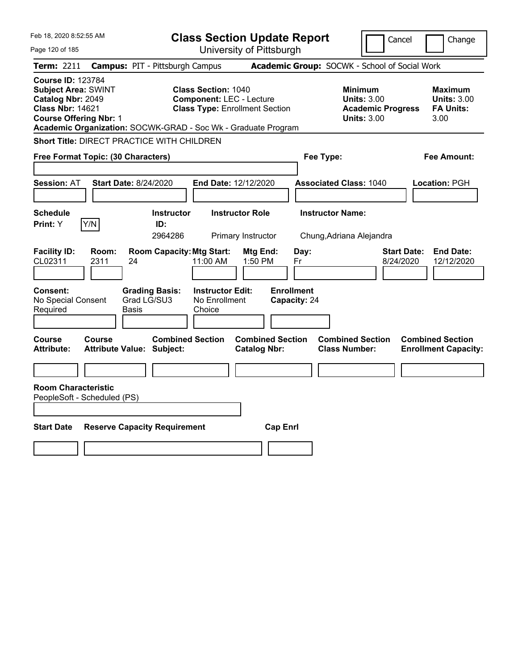| Feb 18, 2020 8:52:55 AM                                                                                                                 |                                                               |                                                               | <b>Class Section Update Report</b>             |                                   |                                                                                 | Cancel<br>Change                                                  |
|-----------------------------------------------------------------------------------------------------------------------------------------|---------------------------------------------------------------|---------------------------------------------------------------|------------------------------------------------|-----------------------------------|---------------------------------------------------------------------------------|-------------------------------------------------------------------|
| Page 120 of 185                                                                                                                         |                                                               |                                                               | University of Pittsburgh                       |                                   |                                                                                 |                                                                   |
| Term: 2211                                                                                                                              | <b>Campus: PIT - Pittsburgh Campus</b>                        |                                                               |                                                |                                   | Academic Group: SOCWK - School of Social Work                                   |                                                                   |
| <b>Course ID: 123784</b><br><b>Subject Area: SWINT</b><br>Catalog Nbr: 2049<br><b>Class Nbr: 14621</b><br><b>Course Offering Nbr: 1</b> | Academic Organization: SOCWK-GRAD - Soc Wk - Graduate Program | <b>Class Section: 1040</b><br><b>Component: LEC - Lecture</b> | <b>Class Type: Enrollment Section</b>          |                                   | Minimum<br><b>Units: 3.00</b><br><b>Academic Progress</b><br><b>Units: 3.00</b> | Maximum<br><b>Units: 3.00</b><br><b>FA Units:</b><br>3.00         |
|                                                                                                                                         | Short Title: DIRECT PRACTICE WITH CHILDREN                    |                                                               |                                                |                                   |                                                                                 |                                                                   |
| Free Format Topic: (30 Characters)                                                                                                      |                                                               |                                                               |                                                | Fee Type:                         |                                                                                 | Fee Amount:                                                       |
| Session: AT                                                                                                                             | <b>Start Date: 8/24/2020</b>                                  | End Date: 12/12/2020                                          |                                                |                                   | <b>Associated Class: 1040</b>                                                   | Location: PGH                                                     |
| <b>Schedule</b><br>Y/N<br>Print: Y                                                                                                      | <b>Instructor</b><br>ID:<br>2964286                           |                                                               | <b>Instructor Role</b><br>Primary Instructor   | <b>Instructor Name:</b>           | Chung, Adriana Alejandra                                                        |                                                                   |
| <b>Facility ID:</b><br>Room:<br>CL02311<br>2311                                                                                         | <b>Room Capacity: Mtg Start:</b><br>24                        | 11:00 AM                                                      | Mtg End:<br>$1:50$ PM                          | Day:<br>Fr                        |                                                                                 | <b>Start Date:</b><br><b>End Date:</b><br>8/24/2020<br>12/12/2020 |
| <b>Consent:</b><br>No Special Consent<br>Required                                                                                       | <b>Grading Basis:</b><br>Grad LG/SU3<br>Basis                 | <b>Instructor Edit:</b><br>No Enrollment<br>Choice            |                                                | <b>Enrollment</b><br>Capacity: 24 |                                                                                 |                                                                   |
| Course<br>Course<br><b>Attribute:</b>                                                                                                   | <b>Attribute Value: Subject:</b>                              | <b>Combined Section</b>                                       | <b>Combined Section</b><br><b>Catalog Nbr:</b> |                                   | <b>Combined Section</b><br><b>Class Number:</b>                                 | <b>Combined Section</b><br><b>Enrollment Capacity:</b>            |
| <b>Room Characteristic</b><br>PeopleSoft - Scheduled (PS)                                                                               |                                                               |                                                               |                                                |                                   |                                                                                 |                                                                   |
| <b>Start Date</b>                                                                                                                       | <b>Reserve Capacity Requirement</b>                           |                                                               | <b>Cap Enrl</b>                                |                                   |                                                                                 |                                                                   |
|                                                                                                                                         |                                                               |                                                               |                                                |                                   |                                                                                 |                                                                   |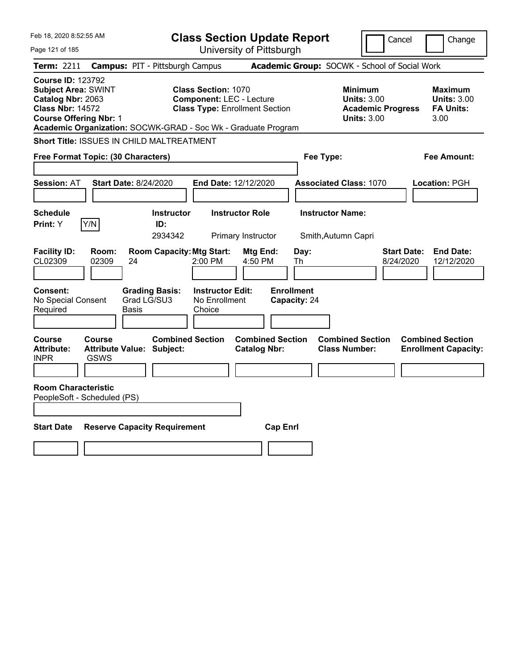| Feb 18, 2020 8:52:55 AM                                                                                                                                                                                  |                                                                                                        | <b>Class Section Update Report</b>             |                                                                                        | Cancel<br>Change                                                  |
|----------------------------------------------------------------------------------------------------------------------------------------------------------------------------------------------------------|--------------------------------------------------------------------------------------------------------|------------------------------------------------|----------------------------------------------------------------------------------------|-------------------------------------------------------------------|
| Page 121 of 185                                                                                                                                                                                          |                                                                                                        | University of Pittsburgh                       |                                                                                        |                                                                   |
| <b>Term: 2211</b>                                                                                                                                                                                        | <b>Campus: PIT - Pittsburgh Campus</b>                                                                 |                                                | Academic Group: SOCWK - School of Social Work                                          |                                                                   |
| <b>Course ID: 123792</b><br><b>Subject Area: SWINT</b><br>Catalog Nbr: 2063<br><b>Class Nbr: 14572</b><br><b>Course Offering Nbr: 1</b><br>Academic Organization: SOCWK-GRAD - Soc Wk - Graduate Program | <b>Class Section: 1070</b><br><b>Component: LEC - Lecture</b><br><b>Class Type: Enrollment Section</b> |                                                | <b>Minimum</b><br><b>Units: 3.00</b><br><b>Academic Progress</b><br><b>Units: 3.00</b> | <b>Maximum</b><br><b>Units: 3.00</b><br><b>FA Units:</b><br>3.00  |
| Short Title: ISSUES IN CHILD MALTREATMENT                                                                                                                                                                |                                                                                                        |                                                |                                                                                        |                                                                   |
| Free Format Topic: (30 Characters)                                                                                                                                                                       |                                                                                                        |                                                | Fee Type:                                                                              | Fee Amount:                                                       |
| <b>Session: AT</b><br>Start Date: 8/24/2020                                                                                                                                                              |                                                                                                        | End Date: 12/12/2020                           | <b>Associated Class: 1070</b>                                                          | <b>Location: PGH</b>                                              |
| <b>Schedule</b><br>Print: Y<br>Y/N                                                                                                                                                                       | <b>Instructor</b><br>ID:<br>2934342                                                                    | <b>Instructor Role</b><br>Primary Instructor   | <b>Instructor Name:</b><br>Smith, Autumn Capri                                         |                                                                   |
| <b>Facility ID:</b><br>Room:<br>CL02309<br>02309<br>24                                                                                                                                                   | <b>Room Capacity: Mtg Start:</b><br>2:00 PM                                                            | Mtg End:<br>Day:<br>4:50 PM<br>Th              |                                                                                        | <b>Start Date:</b><br><b>End Date:</b><br>8/24/2020<br>12/12/2020 |
| Consent:<br>No Special Consent<br>Required<br>Basis                                                                                                                                                      | <b>Grading Basis:</b><br><b>Instructor Edit:</b><br>Grad LG/SU3<br>No Enrollment<br>Choice             | <b>Enrollment</b><br>Capacity: 24              |                                                                                        |                                                                   |
| Course<br><b>Course</b><br><b>Attribute:</b><br>Attribute Value: Subject:<br><b>INPR</b><br>GSWS                                                                                                         | <b>Combined Section</b>                                                                                | <b>Combined Section</b><br><b>Catalog Nbr:</b> | <b>Combined Section</b><br><b>Class Number:</b>                                        | <b>Combined Section</b><br><b>Enrollment Capacity:</b>            |
| <b>Room Characteristic</b><br>PeopleSoft - Scheduled (PS)                                                                                                                                                |                                                                                                        |                                                |                                                                                        |                                                                   |
| <b>Start Date</b>                                                                                                                                                                                        | <b>Reserve Capacity Requirement</b>                                                                    | <b>Cap Enrl</b>                                |                                                                                        |                                                                   |
|                                                                                                                                                                                                          |                                                                                                        |                                                |                                                                                        |                                                                   |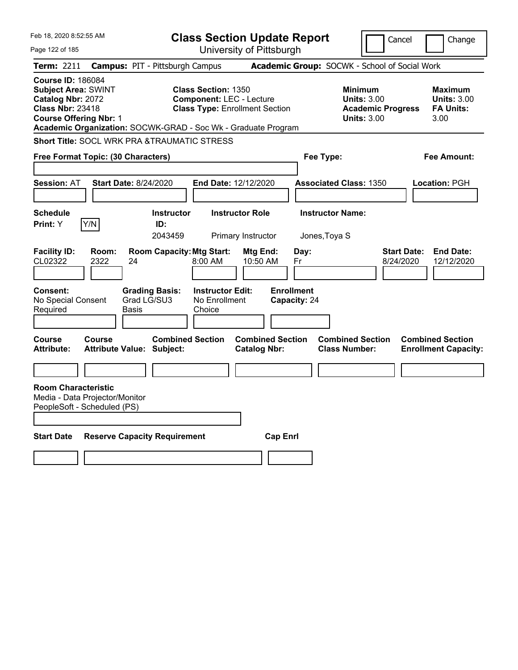| Feb 18, 2020 8:52:55 AM                                                                                                                                                                                  |                                                                                               | <b>Class Section Update Report</b>                                       |                                                 | Cancel                                                                                 | Change                                                           |
|----------------------------------------------------------------------------------------------------------------------------------------------------------------------------------------------------------|-----------------------------------------------------------------------------------------------|--------------------------------------------------------------------------|-------------------------------------------------|----------------------------------------------------------------------------------------|------------------------------------------------------------------|
| Page 122 of 185                                                                                                                                                                                          |                                                                                               | University of Pittsburgh                                                 |                                                 |                                                                                        |                                                                  |
| <b>Term: 2211</b>                                                                                                                                                                                        | <b>Campus: PIT - Pittsburgh Campus</b>                                                        |                                                                          | Academic Group: SOCWK - School of Social Work   |                                                                                        |                                                                  |
| <b>Course ID: 186084</b><br><b>Subject Area: SWINT</b><br>Catalog Nbr: 2072<br><b>Class Nbr: 23418</b><br><b>Course Offering Nbr: 1</b><br>Academic Organization: SOCWK-GRAD - Soc Wk - Graduate Program | <b>Class Section: 1350</b>                                                                    | <b>Component: LEC - Lecture</b><br><b>Class Type: Enrollment Section</b> |                                                 | <b>Minimum</b><br><b>Units: 3.00</b><br><b>Academic Progress</b><br><b>Units: 3.00</b> | <b>Maximum</b><br><b>Units: 3.00</b><br><b>FA Units:</b><br>3.00 |
| <b>Short Title: SOCL WRK PRA &amp;TRAUMATIC STRESS</b>                                                                                                                                                   |                                                                                               |                                                                          |                                                 |                                                                                        |                                                                  |
| Free Format Topic: (30 Characters)                                                                                                                                                                       |                                                                                               |                                                                          | Fee Type:                                       |                                                                                        | Fee Amount:                                                      |
| <b>Session: AT</b><br><b>Start Date: 8/24/2020</b>                                                                                                                                                       |                                                                                               | End Date: 12/12/2020                                                     | <b>Associated Class: 1350</b>                   |                                                                                        | <b>Location: PGH</b>                                             |
| <b>Schedule</b>                                                                                                                                                                                          | <b>Instructor</b>                                                                             | <b>Instructor Role</b>                                                   | <b>Instructor Name:</b>                         |                                                                                        |                                                                  |
| Y/N<br><b>Print:</b> Y                                                                                                                                                                                   | ID:<br>2043459                                                                                | Primary Instructor                                                       | Jones, Toya S                                   |                                                                                        |                                                                  |
| <b>Facility ID:</b><br>Room:<br>CL02322<br>2322<br>24<br><b>Consent:</b><br>No Special Consent<br>Required<br>Basis                                                                                      | <b>Room Capacity: Mtg Start:</b><br>8:00 AM<br><b>Grading Basis:</b><br>Grad LG/SU3<br>Choice | Mtg End:<br>10:50 AM<br><b>Instructor Edit:</b><br>No Enrollment         | Day:<br>Fr<br><b>Enrollment</b><br>Capacity: 24 | Start Date:<br>8/24/2020                                                               | <b>End Date:</b><br>12/12/2020                                   |
| Course<br>Course<br><b>Attribute:</b><br><b>Attribute Value: Subject:</b>                                                                                                                                | <b>Combined Section</b>                                                                       | <b>Combined Section</b><br><b>Catalog Nbr:</b>                           | <b>Class Number:</b>                            | <b>Combined Section</b>                                                                | <b>Combined Section</b><br><b>Enrollment Capacity:</b>           |
|                                                                                                                                                                                                          |                                                                                               |                                                                          |                                                 |                                                                                        |                                                                  |
| <b>Room Characteristic</b><br>Media - Data Projector/Monitor<br>PeopleSoft - Scheduled (PS)<br><b>Start Date</b>                                                                                         | <b>Reserve Capacity Requirement</b>                                                           |                                                                          | <b>Cap Enrl</b>                                 |                                                                                        |                                                                  |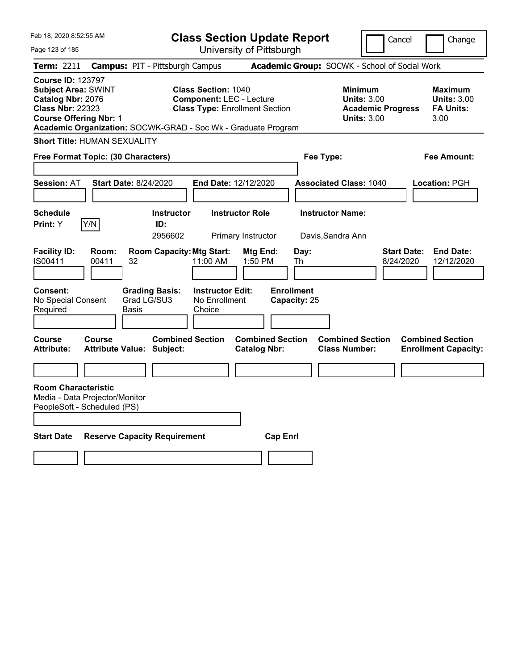| Feb 18, 2020 8:52:55 AM                                                                                                                 |                |                                                               | <b>Class Section Update Report</b>                                                                     |                                                |                                   |                                                                                        | Cancel                          | Change                                                    |
|-----------------------------------------------------------------------------------------------------------------------------------------|----------------|---------------------------------------------------------------|--------------------------------------------------------------------------------------------------------|------------------------------------------------|-----------------------------------|----------------------------------------------------------------------------------------|---------------------------------|-----------------------------------------------------------|
| Page 123 of 185                                                                                                                         |                |                                                               |                                                                                                        | University of Pittsburgh                       |                                   |                                                                                        |                                 |                                                           |
| Term: 2211                                                                                                                              |                | <b>Campus: PIT - Pittsburgh Campus</b>                        |                                                                                                        |                                                |                                   | Academic Group: SOCWK - School of Social Work                                          |                                 |                                                           |
| <b>Course ID: 123797</b><br><b>Subject Area: SWINT</b><br>Catalog Nbr: 2076<br><b>Class Nbr: 22323</b><br><b>Course Offering Nbr: 1</b> |                | Academic Organization: SOCWK-GRAD - Soc Wk - Graduate Program | <b>Class Section: 1040</b><br><b>Component: LEC - Lecture</b><br><b>Class Type: Enrollment Section</b> |                                                |                                   | <b>Minimum</b><br><b>Units: 3.00</b><br><b>Academic Progress</b><br><b>Units: 3.00</b> |                                 | Maximum<br><b>Units: 3.00</b><br><b>FA Units:</b><br>3.00 |
| <b>Short Title: HUMAN SEXUALITY</b>                                                                                                     |                |                                                               |                                                                                                        |                                                |                                   |                                                                                        |                                 |                                                           |
| Free Format Topic: (30 Characters)                                                                                                      |                |                                                               |                                                                                                        |                                                | Fee Type:                         |                                                                                        |                                 | Fee Amount:                                               |
|                                                                                                                                         |                |                                                               |                                                                                                        |                                                |                                   |                                                                                        |                                 |                                                           |
| <b>Session: AT</b>                                                                                                                      |                | Start Date: 8/24/2020                                         | <b>End Date: 12/12/2020</b>                                                                            |                                                |                                   | <b>Associated Class: 1040</b>                                                          |                                 | Location: PGH                                             |
| <b>Schedule</b><br><b>Print:</b> Y                                                                                                      | Y/N            | <b>Instructor</b><br>ID:<br>2956602                           |                                                                                                        | <b>Instructor Role</b><br>Primary Instructor   |                                   | <b>Instructor Name:</b><br>Davis, Sandra Ann                                           |                                 |                                                           |
| <b>Facility ID:</b><br>IS00411                                                                                                          | Room:<br>00411 | <b>Room Capacity: Mtg Start:</b><br>32                        | 11:00 AM                                                                                               | Mtg End:<br>1:50 PM                            | Day:<br>Th                        |                                                                                        | <b>Start Date:</b><br>8/24/2020 | <b>End Date:</b><br>12/12/2020                            |
| <b>Consent:</b><br>No Special Consent<br>Required                                                                                       |                | <b>Grading Basis:</b><br>Grad LG/SU3<br>Basis                 | <b>Instructor Edit:</b><br>No Enrollment<br>Choice                                                     |                                                | <b>Enrollment</b><br>Capacity: 25 |                                                                                        |                                 |                                                           |
| Course<br><b>Attribute:</b>                                                                                                             | Course         | <b>Combined Section</b><br><b>Attribute Value: Subject:</b>   |                                                                                                        | <b>Combined Section</b><br><b>Catalog Nbr:</b> |                                   | <b>Combined Section</b><br><b>Class Number:</b>                                        |                                 | <b>Combined Section</b><br><b>Enrollment Capacity:</b>    |
|                                                                                                                                         |                |                                                               |                                                                                                        |                                                |                                   |                                                                                        |                                 |                                                           |
| <b>Room Characteristic</b><br>Media - Data Projector/Monitor<br>PeopleSoft - Scheduled (PS)                                             |                |                                                               |                                                                                                        |                                                |                                   |                                                                                        |                                 |                                                           |
| <b>Start Date</b>                                                                                                                       |                | <b>Reserve Capacity Requirement</b>                           |                                                                                                        | <b>Cap Enri</b>                                |                                   |                                                                                        |                                 |                                                           |
|                                                                                                                                         |                |                                                               |                                                                                                        |                                                |                                   |                                                                                        |                                 |                                                           |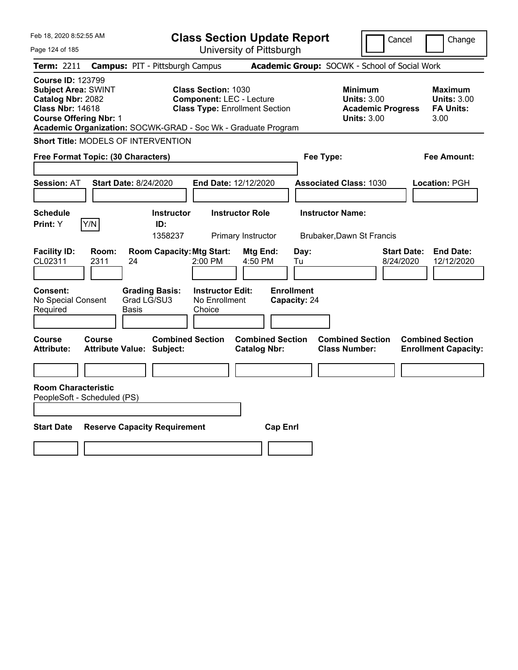| Feb 18, 2020 8:52:55 AM                                                                                                                                                                                  |                                                   |                                             | <b>Class Section Update Report</b>                                                                     |                                |                                   |                         |                                                                                        | Cancel             | Change                                                    |
|----------------------------------------------------------------------------------------------------------------------------------------------------------------------------------------------------------|---------------------------------------------------|---------------------------------------------|--------------------------------------------------------------------------------------------------------|--------------------------------|-----------------------------------|-------------------------|----------------------------------------------------------------------------------------|--------------------|-----------------------------------------------------------|
| Page 124 of 185                                                                                                                                                                                          |                                                   |                                             |                                                                                                        |                                | University of Pittsburgh          |                         |                                                                                        |                    |                                                           |
| Term: 2211                                                                                                                                                                                               | <b>Campus: PIT - Pittsburgh Campus</b>            |                                             |                                                                                                        |                                |                                   |                         | Academic Group: SOCWK - School of Social Work                                          |                    |                                                           |
| <b>Course ID: 123799</b><br><b>Subject Area: SWINT</b><br>Catalog Nbr: 2082<br><b>Class Nbr: 14618</b><br><b>Course Offering Nbr: 1</b><br>Academic Organization: SOCWK-GRAD - Soc Wk - Graduate Program |                                                   |                                             | <b>Class Section: 1030</b><br><b>Component: LEC - Lecture</b><br><b>Class Type: Enrollment Section</b> |                                |                                   |                         | <b>Minimum</b><br><b>Units: 3.00</b><br><b>Academic Progress</b><br><b>Units: 3.00</b> |                    | Maximum<br><b>Units: 3.00</b><br><b>FA Units:</b><br>3.00 |
| Short Title: MODELS OF INTERVENTION                                                                                                                                                                      |                                                   |                                             |                                                                                                        |                                |                                   |                         |                                                                                        |                    |                                                           |
| Free Format Topic: (30 Characters)                                                                                                                                                                       |                                                   |                                             |                                                                                                        |                                |                                   | Fee Type:               |                                                                                        |                    | Fee Amount:                                               |
| <b>Session: AT</b>                                                                                                                                                                                       | <b>Start Date: 8/24/2020</b>                      |                                             | End Date: 12/12/2020                                                                                   |                                |                                   |                         | <b>Associated Class: 1030</b>                                                          |                    | Location: PGH                                             |
| <b>Schedule</b><br>Y/N<br>Print: Y                                                                                                                                                                       |                                                   | <b>Instructor</b><br>ID:                    |                                                                                                        | <b>Instructor Role</b>         |                                   | <b>Instructor Name:</b> |                                                                                        |                    |                                                           |
| <b>Facility ID:</b>                                                                                                                                                                                      | Room:                                             | 1358237<br><b>Room Capacity: Mtg Start:</b> |                                                                                                        | Primary Instructor<br>Mtg End: |                                   | Day:                    | Brubaker, Dawn St Francis                                                              | <b>Start Date:</b> | <b>End Date:</b>                                          |
| CL02311                                                                                                                                                                                                  | 2311<br>24                                        |                                             | 2:00 PM                                                                                                | 4:50 PM                        | Tu                                |                         |                                                                                        | 8/24/2020          | 12/12/2020                                                |
| Consent:<br>No Special Consent<br>Required                                                                                                                                                               | Basis                                             | <b>Grading Basis:</b><br>Grad LG/SU3        | <b>Instructor Edit:</b><br>No Enrollment<br>Choice                                                     |                                | <b>Enrollment</b><br>Capacity: 24 |                         |                                                                                        |                    |                                                           |
| Course<br>Attribute:                                                                                                                                                                                     | <b>Course</b><br><b>Attribute Value: Subject:</b> | <b>Combined Section</b>                     |                                                                                                        | <b>Catalog Nbr:</b>            | <b>Combined Section</b>           |                         | <b>Combined Section</b><br><b>Class Number:</b>                                        |                    | <b>Combined Section</b><br><b>Enrollment Capacity:</b>    |
|                                                                                                                                                                                                          |                                                   |                                             |                                                                                                        |                                |                                   |                         |                                                                                        |                    |                                                           |
| <b>Room Characteristic</b><br>PeopleSoft - Scheduled (PS)                                                                                                                                                |                                                   |                                             |                                                                                                        |                                |                                   |                         |                                                                                        |                    |                                                           |
|                                                                                                                                                                                                          |                                                   |                                             |                                                                                                        |                                |                                   |                         |                                                                                        |                    |                                                           |
| <b>Start Date</b>                                                                                                                                                                                        | <b>Reserve Capacity Requirement</b>               |                                             |                                                                                                        |                                | <b>Cap Enrl</b>                   |                         |                                                                                        |                    |                                                           |
|                                                                                                                                                                                                          |                                                   |                                             |                                                                                                        |                                |                                   |                         |                                                                                        |                    |                                                           |
|                                                                                                                                                                                                          |                                                   |                                             |                                                                                                        |                                |                                   |                         |                                                                                        |                    |                                                           |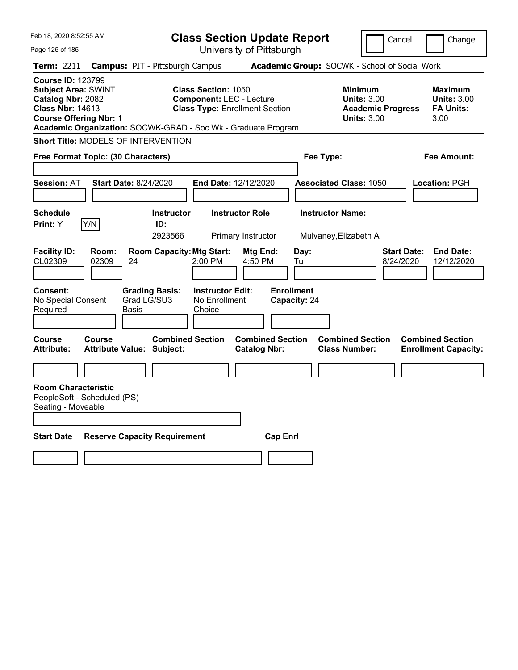| Feb 18, 2020 8:52:55 AM                                                                                                                 |                |                                                               |                                                                                                        |                                                | <b>Class Section Update Report</b> |                                                            | Cancel                          | Change                                                    |
|-----------------------------------------------------------------------------------------------------------------------------------------|----------------|---------------------------------------------------------------|--------------------------------------------------------------------------------------------------------|------------------------------------------------|------------------------------------|------------------------------------------------------------|---------------------------------|-----------------------------------------------------------|
| Page 125 of 185                                                                                                                         |                |                                                               |                                                                                                        | University of Pittsburgh                       |                                    |                                                            |                                 |                                                           |
| Term: 2211                                                                                                                              |                | <b>Campus: PIT - Pittsburgh Campus</b>                        |                                                                                                        |                                                |                                    | Academic Group: SOCWK - School of Social Work              |                                 |                                                           |
| <b>Course ID: 123799</b><br><b>Subject Area: SWINT</b><br>Catalog Nbr: 2082<br><b>Class Nbr: 14613</b><br><b>Course Offering Nbr: 1</b> |                | Academic Organization: SOCWK-GRAD - Soc Wk - Graduate Program | <b>Class Section: 1050</b><br><b>Component: LEC - Lecture</b><br><b>Class Type: Enrollment Section</b> |                                                |                                    | <b>Minimum</b><br><b>Units: 3.00</b><br><b>Units: 3.00</b> | <b>Academic Progress</b>        | Maximum<br><b>Units: 3.00</b><br><b>FA Units:</b><br>3.00 |
|                                                                                                                                         |                | Short Title: MODELS OF INTERVENTION                           |                                                                                                        |                                                |                                    |                                                            |                                 |                                                           |
| Free Format Topic: (30 Characters)                                                                                                      |                |                                                               |                                                                                                        |                                                | Fee Type:                          |                                                            |                                 | Fee Amount:                                               |
|                                                                                                                                         |                |                                                               |                                                                                                        |                                                |                                    |                                                            |                                 |                                                           |
| <b>Session: AT</b>                                                                                                                      |                | <b>Start Date: 8/24/2020</b>                                  | End Date: 12/12/2020                                                                                   |                                                |                                    | <b>Associated Class: 1050</b>                              |                                 | Location: PGH                                             |
| <b>Schedule</b>                                                                                                                         |                | <b>Instructor</b>                                             |                                                                                                        | <b>Instructor Role</b>                         |                                    | <b>Instructor Name:</b>                                    |                                 |                                                           |
| <b>Print:</b> Y                                                                                                                         | Y/N            | ID:                                                           |                                                                                                        |                                                |                                    |                                                            |                                 |                                                           |
|                                                                                                                                         |                | 2923566                                                       |                                                                                                        | Primary Instructor                             |                                    | Mulvaney, Elizabeth A                                      |                                 |                                                           |
| <b>Facility ID:</b><br>CL02309                                                                                                          | Room:<br>02309 | <b>Room Capacity: Mtg Start:</b><br>24                        | 2:00 PM                                                                                                | Mtg End:<br>4:50 PM                            | Day:<br>Tu                         |                                                            | <b>Start Date:</b><br>8/24/2020 | <b>End Date:</b><br>12/12/2020                            |
| Consent:<br>No Special Consent<br>Required                                                                                              |                | <b>Grading Basis:</b><br>Grad LG/SU3<br>Basis                 | <b>Instructor Edit:</b><br>No Enrollment<br>Choice                                                     |                                                | <b>Enrollment</b><br>Capacity: 24  |                                                            |                                 |                                                           |
| Course<br><b>Attribute:</b>                                                                                                             | Course         | <b>Combined Section</b><br><b>Attribute Value: Subject:</b>   |                                                                                                        | <b>Combined Section</b><br><b>Catalog Nbr:</b> |                                    | <b>Combined Section</b><br><b>Class Number:</b>            |                                 | <b>Combined Section</b><br><b>Enrollment Capacity:</b>    |
|                                                                                                                                         |                |                                                               |                                                                                                        |                                                |                                    |                                                            |                                 |                                                           |
| <b>Room Characteristic</b><br>PeopleSoft - Scheduled (PS)<br>Seating - Moveable                                                         |                |                                                               |                                                                                                        |                                                |                                    |                                                            |                                 |                                                           |
| <b>Start Date</b>                                                                                                                       |                | <b>Reserve Capacity Requirement</b>                           |                                                                                                        |                                                | <b>Cap Enri</b>                    |                                                            |                                 |                                                           |
|                                                                                                                                         |                |                                                               |                                                                                                        |                                                |                                    |                                                            |                                 |                                                           |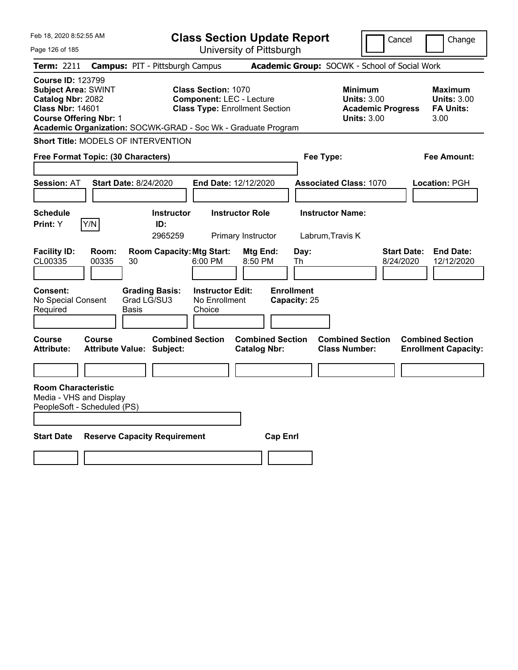| Feb 18, 2020 8:52:55 AM                                                                                                                 |                |                                                               | <b>Class Section Update Report</b>                                                                     |                                                |                                   |                                                 | Cancel                                                                                 |                                                        | Change             |
|-----------------------------------------------------------------------------------------------------------------------------------------|----------------|---------------------------------------------------------------|--------------------------------------------------------------------------------------------------------|------------------------------------------------|-----------------------------------|-------------------------------------------------|----------------------------------------------------------------------------------------|--------------------------------------------------------|--------------------|
| Page 126 of 185                                                                                                                         |                |                                                               |                                                                                                        | University of Pittsburgh                       |                                   |                                                 |                                                                                        |                                                        |                    |
| <b>Term: 2211</b>                                                                                                                       |                | <b>Campus: PIT - Pittsburgh Campus</b>                        |                                                                                                        |                                                |                                   | Academic Group: SOCWK - School of Social Work   |                                                                                        |                                                        |                    |
| <b>Course ID: 123799</b><br><b>Subject Area: SWINT</b><br>Catalog Nbr: 2082<br><b>Class Nbr: 14601</b><br><b>Course Offering Nbr: 1</b> |                | Academic Organization: SOCWK-GRAD - Soc Wk - Graduate Program | <b>Class Section: 1070</b><br><b>Component: LEC - Lecture</b><br><b>Class Type: Enrollment Section</b> |                                                |                                   |                                                 | <b>Minimum</b><br><b>Units: 3.00</b><br><b>Academic Progress</b><br><b>Units: 3.00</b> | Maximum<br><b>FA Units:</b><br>3.00                    | <b>Units: 3.00</b> |
|                                                                                                                                         |                | <b>Short Title: MODELS OF INTERVENTION</b>                    |                                                                                                        |                                                |                                   |                                                 |                                                                                        |                                                        |                    |
| Free Format Topic: (30 Characters)                                                                                                      |                |                                                               |                                                                                                        |                                                |                                   | Fee Type:                                       |                                                                                        | Fee Amount:                                            |                    |
|                                                                                                                                         |                |                                                               |                                                                                                        |                                                |                                   |                                                 |                                                                                        |                                                        |                    |
| <b>Session: AT</b>                                                                                                                      |                | <b>Start Date: 8/24/2020</b>                                  | End Date: 12/12/2020                                                                                   |                                                |                                   | <b>Associated Class: 1070</b>                   |                                                                                        | <b>Location: PGH</b>                                   |                    |
|                                                                                                                                         |                |                                                               |                                                                                                        |                                                |                                   |                                                 |                                                                                        |                                                        |                    |
| <b>Schedule</b>                                                                                                                         |                | <b>Instructor</b>                                             |                                                                                                        | <b>Instructor Role</b>                         |                                   | <b>Instructor Name:</b>                         |                                                                                        |                                                        |                    |
| Print: Y                                                                                                                                | Y/N            | ID:                                                           |                                                                                                        |                                                |                                   |                                                 |                                                                                        |                                                        |                    |
| <b>Facility ID:</b><br>CL00335                                                                                                          | Room:<br>00335 | 2965259<br><b>Room Capacity: Mtg Start:</b><br>30             | 6:00 PM                                                                                                | Primary Instructor<br>Mtg End:<br>8:50 PM      | Day:<br>Th                        | Labrum, Travis K                                | 8/24/2020                                                                              | <b>Start Date:</b><br><b>End Date:</b>                 | 12/12/2020         |
| <b>Consent:</b><br>No Special Consent<br>Required                                                                                       |                | <b>Grading Basis:</b><br>Grad LG/SU3<br>Basis                 | <b>Instructor Edit:</b><br>No Enrollment<br>Choice                                                     |                                                | <b>Enrollment</b><br>Capacity: 25 |                                                 |                                                                                        |                                                        |                    |
| <b>Course</b><br><b>Attribute:</b>                                                                                                      | <b>Course</b>  | <b>Combined Section</b><br><b>Attribute Value: Subject:</b>   |                                                                                                        | <b>Combined Section</b><br><b>Catalog Nbr:</b> |                                   | <b>Combined Section</b><br><b>Class Number:</b> |                                                                                        | <b>Combined Section</b><br><b>Enrollment Capacity:</b> |                    |
|                                                                                                                                         |                |                                                               |                                                                                                        |                                                |                                   |                                                 |                                                                                        |                                                        |                    |
| <b>Room Characteristic</b><br>Media - VHS and Display<br>PeopleSoft - Scheduled (PS)                                                    |                |                                                               |                                                                                                        |                                                |                                   |                                                 |                                                                                        |                                                        |                    |
| <b>Start Date</b>                                                                                                                       |                | <b>Reserve Capacity Requirement</b>                           |                                                                                                        |                                                | <b>Cap Enri</b>                   |                                                 |                                                                                        |                                                        |                    |
|                                                                                                                                         |                |                                                               |                                                                                                        |                                                |                                   |                                                 |                                                                                        |                                                        |                    |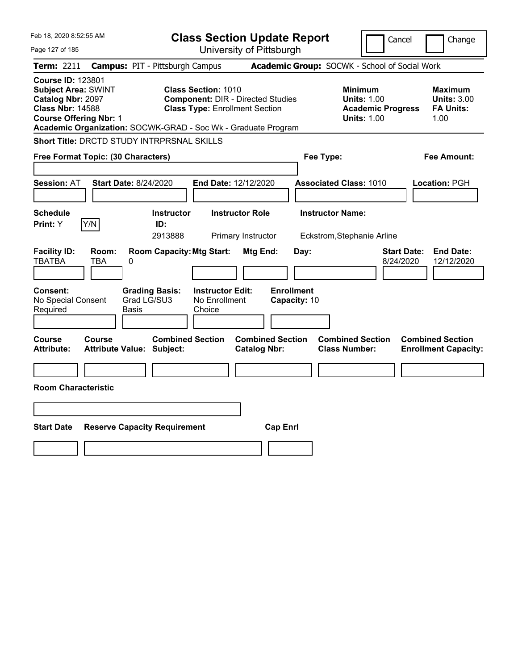| Feb 18, 2020 8:52:55 AM                                                                                                                                                                                  |                                                                                                                 | <b>Class Section Update Report</b>             | Cancel                                                                                 | Change                                                    |
|----------------------------------------------------------------------------------------------------------------------------------------------------------------------------------------------------------|-----------------------------------------------------------------------------------------------------------------|------------------------------------------------|----------------------------------------------------------------------------------------|-----------------------------------------------------------|
| Page 127 of 185                                                                                                                                                                                          |                                                                                                                 | University of Pittsburgh                       |                                                                                        |                                                           |
| Term: 2211                                                                                                                                                                                               | <b>Campus: PIT - Pittsburgh Campus</b>                                                                          |                                                | Academic Group: SOCWK - School of Social Work                                          |                                                           |
| <b>Course ID: 123801</b><br><b>Subject Area: SWINT</b><br>Catalog Nbr: 2097<br><b>Class Nbr: 14588</b><br><b>Course Offering Nbr: 1</b><br>Academic Organization: SOCWK-GRAD - Soc Wk - Graduate Program | <b>Class Section: 1010</b><br><b>Component: DIR - Directed Studies</b><br><b>Class Type: Enrollment Section</b> |                                                | <b>Minimum</b><br><b>Units: 1.00</b><br><b>Academic Progress</b><br><b>Units: 1.00</b> | Maximum<br><b>Units: 3.00</b><br><b>FA Units:</b><br>1.00 |
| <b>Short Title: DRCTD STUDY INTRPRSNAL SKILLS</b>                                                                                                                                                        |                                                                                                                 |                                                |                                                                                        |                                                           |
| Free Format Topic: (30 Characters)                                                                                                                                                                       |                                                                                                                 |                                                | Fee Type:                                                                              | Fee Amount:                                               |
| <b>Start Date: 8/24/2020</b><br><b>Session: AT</b>                                                                                                                                                       | End Date: 12/12/2020                                                                                            |                                                | <b>Associated Class: 1010</b>                                                          | Location: PGH                                             |
| <b>Schedule</b><br>Y/N<br>Print: Y                                                                                                                                                                       | <b>Instructor</b><br>ID:<br>2913888                                                                             | <b>Instructor Role</b><br>Primary Instructor   | <b>Instructor Name:</b><br>Eckstrom, Stephanie Arline                                  |                                                           |
| <b>Facility ID:</b><br>Room:<br><b>TBATBA</b><br>TBA<br>0                                                                                                                                                | <b>Room Capacity: Mtg Start:</b>                                                                                | Mtg End:<br>Day:                               | <b>Start Date:</b><br>8/24/2020                                                        | <b>End Date:</b><br>12/12/2020                            |
| <b>Consent:</b><br><b>Grading Basis:</b><br>Grad LG/SU3<br>No Special Consent<br>Required<br>Basis                                                                                                       | <b>Instructor Edit:</b><br>No Enrollment<br>Choice                                                              | <b>Enrollment</b><br>Capacity: 10              |                                                                                        |                                                           |
| Course<br><b>Course</b><br>Attribute Value: Subject:<br><b>Attribute:</b>                                                                                                                                | <b>Combined Section</b>                                                                                         | <b>Combined Section</b><br><b>Catalog Nbr:</b> | <b>Combined Section</b><br><b>Class Number:</b>                                        | <b>Combined Section</b><br><b>Enrollment Capacity:</b>    |
|                                                                                                                                                                                                          |                                                                                                                 |                                                |                                                                                        |                                                           |
| <b>Room Characteristic</b>                                                                                                                                                                               |                                                                                                                 |                                                |                                                                                        |                                                           |
|                                                                                                                                                                                                          |                                                                                                                 |                                                |                                                                                        |                                                           |
| <b>Start Date</b><br><b>Reserve Capacity Requirement</b>                                                                                                                                                 |                                                                                                                 | <b>Cap Enrl</b>                                |                                                                                        |                                                           |
|                                                                                                                                                                                                          |                                                                                                                 |                                                |                                                                                        |                                                           |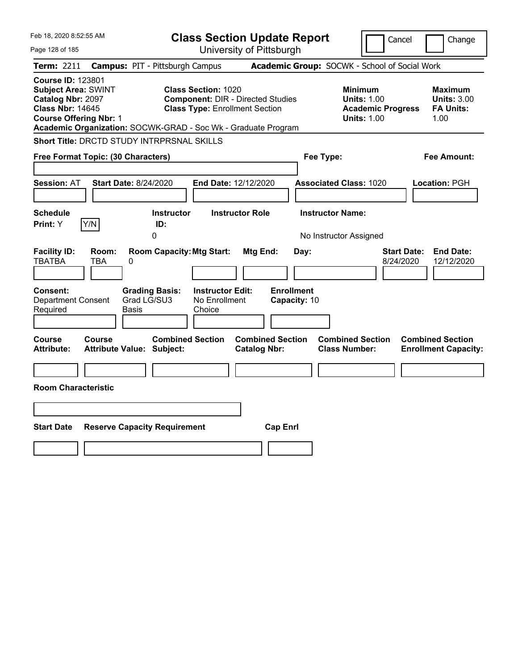| Feb 18, 2020 8:52:55 AM                                                                                                                 |                                                                                                                                                                                  | <b>Class Section Update Report</b>                    | Cancel                                                                                 | Change                                                    |
|-----------------------------------------------------------------------------------------------------------------------------------------|----------------------------------------------------------------------------------------------------------------------------------------------------------------------------------|-------------------------------------------------------|----------------------------------------------------------------------------------------|-----------------------------------------------------------|
| Page 128 of 185                                                                                                                         |                                                                                                                                                                                  | University of Pittsburgh                              |                                                                                        |                                                           |
| Term: 2211                                                                                                                              | <b>Campus: PIT - Pittsburgh Campus</b>                                                                                                                                           |                                                       | Academic Group: SOCWK - School of Social Work                                          |                                                           |
| <b>Course ID: 123801</b><br><b>Subject Area: SWINT</b><br>Catalog Nbr: 2097<br><b>Class Nbr: 14645</b><br><b>Course Offering Nbr: 1</b> | <b>Class Section: 1020</b><br><b>Component: DIR - Directed Studies</b><br><b>Class Type: Enrollment Section</b><br>Academic Organization: SOCWK-GRAD - Soc Wk - Graduate Program |                                                       | <b>Minimum</b><br><b>Units: 1.00</b><br><b>Academic Progress</b><br><b>Units: 1.00</b> | Maximum<br><b>Units: 3.00</b><br><b>FA Units:</b><br>1.00 |
| Short Title: DRCTD STUDY INTRPRSNAL SKILLS                                                                                              |                                                                                                                                                                                  |                                                       |                                                                                        |                                                           |
| Free Format Topic: (30 Characters)                                                                                                      |                                                                                                                                                                                  |                                                       | Fee Type:                                                                              | Fee Amount:                                               |
| <b>Session: AT</b>                                                                                                                      | Start Date: 8/24/2020<br><b>End Date: 12/12/2020</b>                                                                                                                             |                                                       | <b>Associated Class: 1020</b>                                                          | Location: PGH                                             |
| <b>Schedule</b><br>Y/N<br>Print: Y                                                                                                      | <b>Instructor</b><br>ID:<br>0                                                                                                                                                    | <b>Instructor Role</b>                                | <b>Instructor Name:</b><br>No Instructor Assigned                                      |                                                           |
| <b>Facility ID:</b><br>Room:<br><b>TBATBA</b><br>TBA<br><b>Consent:</b><br><b>Department Consent</b><br>Required                        | <b>Room Capacity: Mtg Start:</b><br>0<br><b>Instructor Edit:</b><br><b>Grading Basis:</b><br>Grad LG/SU3<br>No Enrollment<br>Basis<br>Choice                                     | Mtg End:<br>Day:<br><b>Enrollment</b><br>Capacity: 10 | <b>Start Date:</b><br>8/24/2020                                                        | <b>End Date:</b><br>12/12/2020                            |
| Course<br>Course<br><b>Attribute:</b><br><b>Room Characteristic</b>                                                                     | <b>Combined Section</b><br><b>Attribute Value: Subject:</b>                                                                                                                      | <b>Combined Section</b><br><b>Catalog Nbr:</b>        | <b>Combined Section</b><br><b>Class Number:</b>                                        | <b>Combined Section</b><br><b>Enrollment Capacity:</b>    |
| <b>Start Date</b>                                                                                                                       | <b>Reserve Capacity Requirement</b>                                                                                                                                              | <b>Cap Enrl</b>                                       |                                                                                        |                                                           |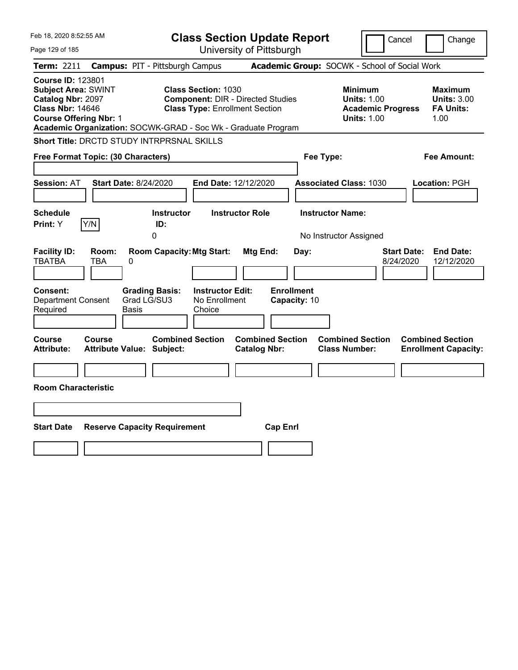| Feb 18, 2020 8:52:55 AM                                                                                                                 |                                                                                                                                                                                  | <b>Class Section Update Report</b>                    | Cancel                                                                                 | Change                                                    |
|-----------------------------------------------------------------------------------------------------------------------------------------|----------------------------------------------------------------------------------------------------------------------------------------------------------------------------------|-------------------------------------------------------|----------------------------------------------------------------------------------------|-----------------------------------------------------------|
| Page 129 of 185                                                                                                                         |                                                                                                                                                                                  | University of Pittsburgh                              |                                                                                        |                                                           |
| Term: 2211                                                                                                                              | <b>Campus: PIT - Pittsburgh Campus</b>                                                                                                                                           |                                                       | Academic Group: SOCWK - School of Social Work                                          |                                                           |
| <b>Course ID: 123801</b><br><b>Subject Area: SWINT</b><br>Catalog Nbr: 2097<br><b>Class Nbr: 14646</b><br><b>Course Offering Nbr: 1</b> | <b>Class Section: 1030</b><br><b>Component: DIR - Directed Studies</b><br><b>Class Type: Enrollment Section</b><br>Academic Organization: SOCWK-GRAD - Soc Wk - Graduate Program |                                                       | <b>Minimum</b><br><b>Units: 1.00</b><br><b>Academic Progress</b><br><b>Units: 1.00</b> | Maximum<br><b>Units: 3.00</b><br><b>FA Units:</b><br>1.00 |
|                                                                                                                                         | Short Title: DRCTD STUDY INTRPRSNAL SKILLS                                                                                                                                       |                                                       |                                                                                        |                                                           |
| Free Format Topic: (30 Characters)                                                                                                      |                                                                                                                                                                                  |                                                       | Fee Type:                                                                              | Fee Amount:                                               |
| <b>Session: AT</b>                                                                                                                      | Start Date: 8/24/2020<br><b>End Date: 12/12/2020</b>                                                                                                                             |                                                       | <b>Associated Class: 1030</b>                                                          | Location: PGH                                             |
| <b>Schedule</b><br>Y/N<br>Print: Y                                                                                                      | <b>Instructor</b><br>ID:<br>0                                                                                                                                                    | <b>Instructor Role</b>                                | <b>Instructor Name:</b><br>No Instructor Assigned                                      |                                                           |
| <b>Facility ID:</b><br>Room:<br><b>TBATBA</b><br>TBA<br><b>Consent:</b><br><b>Department Consent</b><br>Required                        | <b>Room Capacity: Mtg Start:</b><br>0<br><b>Instructor Edit:</b><br><b>Grading Basis:</b><br>Grad LG/SU3<br>No Enrollment<br>Basis<br>Choice                                     | Mtg End:<br>Day:<br><b>Enrollment</b><br>Capacity: 10 | 8/24/2020                                                                              | <b>Start Date:</b><br><b>End Date:</b><br>12/12/2020      |
| Course<br>Course<br><b>Attribute:</b><br><b>Room Characteristic</b>                                                                     | <b>Combined Section</b><br><b>Attribute Value: Subject:</b>                                                                                                                      | <b>Combined Section</b><br><b>Catalog Nbr:</b>        | <b>Combined Section</b><br><b>Class Number:</b>                                        | <b>Combined Section</b><br><b>Enrollment Capacity:</b>    |
| <b>Start Date</b>                                                                                                                       | <b>Reserve Capacity Requirement</b>                                                                                                                                              | <b>Cap Enrl</b>                                       |                                                                                        |                                                           |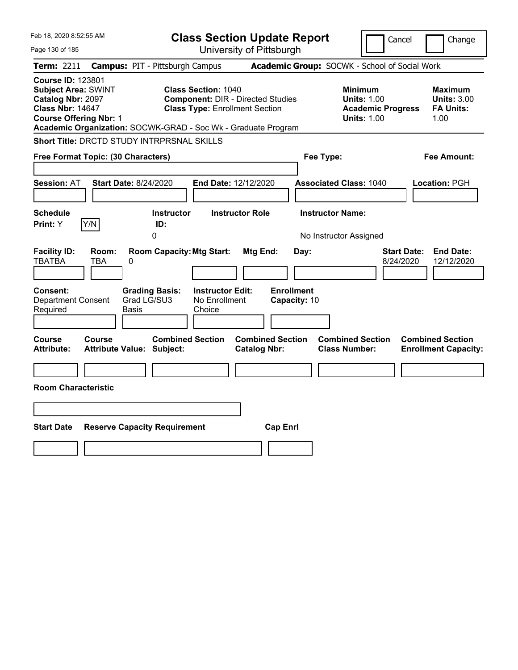| Feb 18, 2020 8:52:55 AM                                                                                                                 |                                                                                                                                              | <b>Class Section Update Report</b>                    | Cancel                                                                                 | Change                                                    |
|-----------------------------------------------------------------------------------------------------------------------------------------|----------------------------------------------------------------------------------------------------------------------------------------------|-------------------------------------------------------|----------------------------------------------------------------------------------------|-----------------------------------------------------------|
| Page 130 of 185                                                                                                                         |                                                                                                                                              | University of Pittsburgh                              |                                                                                        |                                                           |
| Term: 2211                                                                                                                              | <b>Campus: PIT - Pittsburgh Campus</b>                                                                                                       |                                                       | Academic Group: SOCWK - School of Social Work                                          |                                                           |
| <b>Course ID: 123801</b><br><b>Subject Area: SWINT</b><br>Catalog Nbr: 2097<br><b>Class Nbr: 14647</b><br><b>Course Offering Nbr: 1</b> | <b>Class Section: 1040</b><br><b>Class Type: Enrollment Section</b><br>Academic Organization: SOCWK-GRAD - Soc Wk - Graduate Program         | <b>Component: DIR - Directed Studies</b>              | <b>Minimum</b><br><b>Units: 1.00</b><br><b>Academic Progress</b><br><b>Units: 1.00</b> | Maximum<br><b>Units: 3.00</b><br><b>FA Units:</b><br>1.00 |
|                                                                                                                                         | Short Title: DRCTD STUDY INTRPRSNAL SKILLS                                                                                                   |                                                       |                                                                                        |                                                           |
| Free Format Topic: (30 Characters)                                                                                                      |                                                                                                                                              |                                                       | Fee Type:                                                                              | Fee Amount:                                               |
| <b>Session: AT</b>                                                                                                                      | Start Date: 8/24/2020                                                                                                                        | <b>End Date: 12/12/2020</b>                           | <b>Associated Class: 1040</b>                                                          | Location: PGH                                             |
| <b>Schedule</b><br>Y/N<br>Print: Y                                                                                                      | <b>Instructor</b><br>ID:<br>0                                                                                                                | <b>Instructor Role</b>                                | <b>Instructor Name:</b><br>No Instructor Assigned                                      |                                                           |
| <b>Facility ID:</b><br>Room:<br><b>TBATBA</b><br>TBA<br><b>Consent:</b><br><b>Department Consent</b><br>Required                        | <b>Room Capacity: Mtg Start:</b><br>0<br><b>Instructor Edit:</b><br><b>Grading Basis:</b><br>Grad LG/SU3<br>No Enrollment<br>Basis<br>Choice | Mtg End:<br>Day:<br><b>Enrollment</b><br>Capacity: 10 | 8/24/2020                                                                              | <b>Start Date:</b><br><b>End Date:</b><br>12/12/2020      |
| Course<br>Course<br><b>Attribute:</b><br><b>Room Characteristic</b>                                                                     | <b>Combined Section</b><br><b>Attribute Value: Subject:</b>                                                                                  | <b>Combined Section</b><br><b>Catalog Nbr:</b>        | <b>Combined Section</b><br><b>Class Number:</b>                                        | <b>Combined Section</b><br><b>Enrollment Capacity:</b>    |
| <b>Start Date</b>                                                                                                                       | <b>Reserve Capacity Requirement</b>                                                                                                          | <b>Cap Enrl</b>                                       |                                                                                        |                                                           |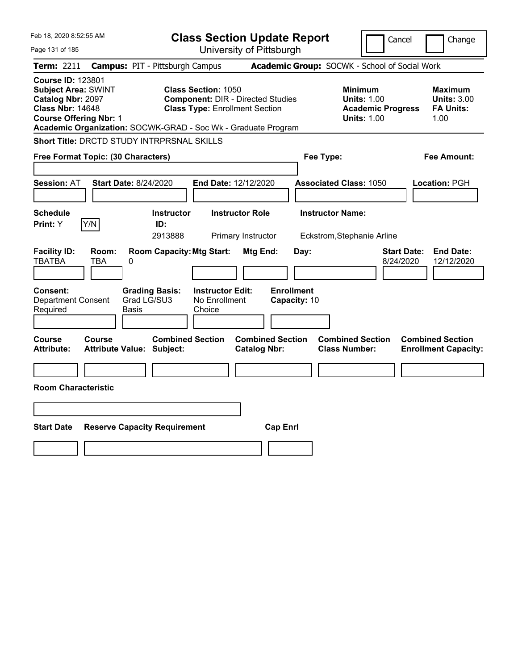| Feb 18, 2020 8:52:55 AM                                                                                                                                                                                  |                                                                                                                 | <b>Class Section Update Report</b>             | Cancel                                                                                 | Change                                                    |
|----------------------------------------------------------------------------------------------------------------------------------------------------------------------------------------------------------|-----------------------------------------------------------------------------------------------------------------|------------------------------------------------|----------------------------------------------------------------------------------------|-----------------------------------------------------------|
| Page 131 of 185                                                                                                                                                                                          |                                                                                                                 | University of Pittsburgh                       |                                                                                        |                                                           |
| Term: 2211                                                                                                                                                                                               | <b>Campus: PIT - Pittsburgh Campus</b>                                                                          |                                                | Academic Group: SOCWK - School of Social Work                                          |                                                           |
| <b>Course ID: 123801</b><br><b>Subject Area: SWINT</b><br>Catalog Nbr: 2097<br><b>Class Nbr: 14648</b><br><b>Course Offering Nbr: 1</b><br>Academic Organization: SOCWK-GRAD - Soc Wk - Graduate Program | <b>Class Section: 1050</b><br><b>Component: DIR - Directed Studies</b><br><b>Class Type: Enrollment Section</b> |                                                | <b>Minimum</b><br><b>Units: 1.00</b><br><b>Academic Progress</b><br><b>Units: 1.00</b> | Maximum<br><b>Units: 3.00</b><br><b>FA Units:</b><br>1.00 |
| <b>Short Title: DRCTD STUDY INTRPRSNAL SKILLS</b>                                                                                                                                                        |                                                                                                                 |                                                |                                                                                        |                                                           |
| Free Format Topic: (30 Characters)                                                                                                                                                                       |                                                                                                                 |                                                | Fee Type:                                                                              | Fee Amount:                                               |
| <b>Start Date: 8/24/2020</b><br><b>Session: AT</b>                                                                                                                                                       | End Date: 12/12/2020                                                                                            |                                                | <b>Associated Class: 1050</b>                                                          | Location: PGH                                             |
| <b>Schedule</b><br>Y/N<br>Print: Y                                                                                                                                                                       | <b>Instructor</b><br>ID:<br>2913888                                                                             | <b>Instructor Role</b><br>Primary Instructor   | <b>Instructor Name:</b><br>Eckstrom, Stephanie Arline                                  |                                                           |
| <b>Facility ID:</b><br>Room:<br><b>TBATBA</b><br>TBA<br>0                                                                                                                                                | <b>Room Capacity: Mtg Start:</b>                                                                                | Mtg End:<br>Day:                               | <b>Start Date:</b><br>8/24/2020                                                        | <b>End Date:</b><br>12/12/2020                            |
| <b>Consent:</b><br><b>Grading Basis:</b><br>Grad LG/SU3<br><b>Department Consent</b><br>Required<br>Basis                                                                                                | <b>Instructor Edit:</b><br>No Enrollment<br>Choice                                                              | <b>Enrollment</b><br>Capacity: 10              |                                                                                        |                                                           |
| Course<br><b>Course</b><br>Attribute Value: Subject:<br><b>Attribute:</b>                                                                                                                                | <b>Combined Section</b>                                                                                         | <b>Combined Section</b><br><b>Catalog Nbr:</b> | <b>Combined Section</b><br><b>Class Number:</b>                                        | <b>Combined Section</b><br><b>Enrollment Capacity:</b>    |
| <b>Room Characteristic</b>                                                                                                                                                                               |                                                                                                                 |                                                |                                                                                        |                                                           |
|                                                                                                                                                                                                          |                                                                                                                 |                                                |                                                                                        |                                                           |
|                                                                                                                                                                                                          |                                                                                                                 |                                                |                                                                                        |                                                           |
| <b>Start Date</b><br><b>Reserve Capacity Requirement</b>                                                                                                                                                 |                                                                                                                 | <b>Cap Enrl</b>                                |                                                                                        |                                                           |
|                                                                                                                                                                                                          |                                                                                                                 |                                                |                                                                                        |                                                           |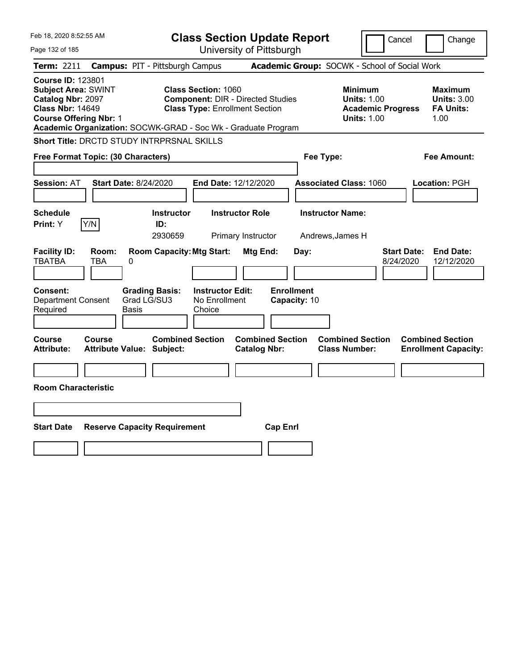| Feb 18, 2020 8:52:55 AM                                                                                                                 |                                                                                                                                                                                  | <b>Class Section Update Report</b>             |                                                                                        | Cancel<br>Change                                                  |
|-----------------------------------------------------------------------------------------------------------------------------------------|----------------------------------------------------------------------------------------------------------------------------------------------------------------------------------|------------------------------------------------|----------------------------------------------------------------------------------------|-------------------------------------------------------------------|
| Page 132 of 185                                                                                                                         |                                                                                                                                                                                  | University of Pittsburgh                       |                                                                                        |                                                                   |
| Term: 2211                                                                                                                              | <b>Campus: PIT - Pittsburgh Campus</b>                                                                                                                                           |                                                | Academic Group: SOCWK - School of Social Work                                          |                                                                   |
| <b>Course ID: 123801</b><br><b>Subject Area: SWINT</b><br>Catalog Nbr: 2097<br><b>Class Nbr: 14649</b><br><b>Course Offering Nbr: 1</b> | <b>Class Section: 1060</b><br><b>Component: DIR - Directed Studies</b><br><b>Class Type: Enrollment Section</b><br>Academic Organization: SOCWK-GRAD - Soc Wk - Graduate Program |                                                | <b>Minimum</b><br><b>Units: 1.00</b><br><b>Academic Progress</b><br><b>Units: 1.00</b> | Maximum<br><b>Units: 3.00</b><br><b>FA Units:</b><br>1.00         |
| Short Title: DRCTD STUDY INTRPRSNAL SKILLS                                                                                              |                                                                                                                                                                                  |                                                |                                                                                        |                                                                   |
| Free Format Topic: (30 Characters)                                                                                                      |                                                                                                                                                                                  |                                                | Fee Type:                                                                              | Fee Amount:                                                       |
| <b>Session: AT</b>                                                                                                                      | Start Date: 8/24/2020<br><b>End Date: 12/12/2020</b>                                                                                                                             |                                                | <b>Associated Class: 1060</b>                                                          | Location: PGH                                                     |
| <b>Schedule</b><br>Y/N<br>Print: Y                                                                                                      | <b>Instructor</b><br>ID:<br>2930659                                                                                                                                              | <b>Instructor Role</b><br>Primary Instructor   | <b>Instructor Name:</b><br>Andrews, James H                                            |                                                                   |
| <b>Facility ID:</b><br>Room:<br><b>TBATBA</b><br>TBA<br>0<br><b>Consent:</b>                                                            | <b>Room Capacity: Mtg Start:</b><br><b>Instructor Edit:</b><br><b>Grading Basis:</b>                                                                                             | Mtg End:<br>Day:<br><b>Enrollment</b>          |                                                                                        | <b>Start Date:</b><br><b>End Date:</b><br>8/24/2020<br>12/12/2020 |
| <b>Department Consent</b><br>Required                                                                                                   | Grad LG/SU3<br>No Enrollment<br>Basis<br>Choice                                                                                                                                  | Capacity: 10                                   |                                                                                        |                                                                   |
| Course<br>Course<br><b>Attribute:</b>                                                                                                   | <b>Combined Section</b><br><b>Attribute Value: Subject:</b>                                                                                                                      | <b>Combined Section</b><br><b>Catalog Nbr:</b> | <b>Combined Section</b><br><b>Class Number:</b>                                        | <b>Combined Section</b><br><b>Enrollment Capacity:</b>            |
| <b>Room Characteristic</b>                                                                                                              |                                                                                                                                                                                  |                                                |                                                                                        |                                                                   |
|                                                                                                                                         |                                                                                                                                                                                  |                                                |                                                                                        |                                                                   |
| <b>Start Date</b>                                                                                                                       | <b>Reserve Capacity Requirement</b>                                                                                                                                              | <b>Cap Enrl</b>                                |                                                                                        |                                                                   |
|                                                                                                                                         |                                                                                                                                                                                  |                                                |                                                                                        |                                                                   |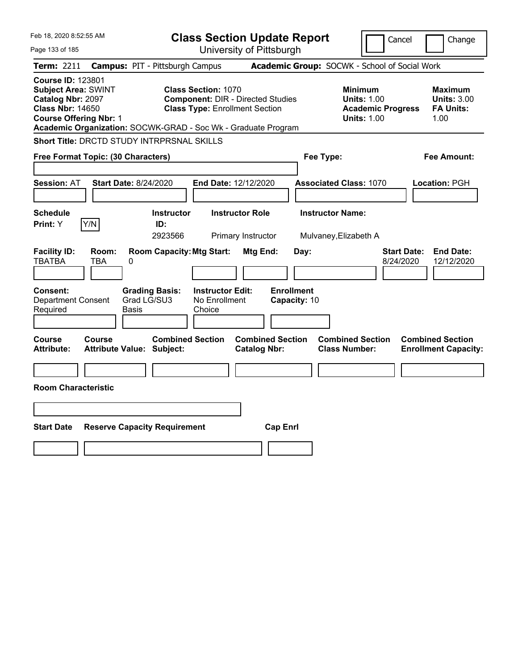| Feb 18, 2020 8:52:55 AM                                                                                                                 |                                                                                                                                                                                  | <b>Class Section Update Report</b>             | Cancel                                                                                 | Change                                                    |
|-----------------------------------------------------------------------------------------------------------------------------------------|----------------------------------------------------------------------------------------------------------------------------------------------------------------------------------|------------------------------------------------|----------------------------------------------------------------------------------------|-----------------------------------------------------------|
| Page 133 of 185                                                                                                                         |                                                                                                                                                                                  | University of Pittsburgh                       |                                                                                        |                                                           |
| Term: 2211                                                                                                                              | <b>Campus: PIT - Pittsburgh Campus</b>                                                                                                                                           |                                                | Academic Group: SOCWK - School of Social Work                                          |                                                           |
| <b>Course ID: 123801</b><br><b>Subject Area: SWINT</b><br>Catalog Nbr: 2097<br><b>Class Nbr: 14650</b><br><b>Course Offering Nbr: 1</b> | <b>Class Section: 1070</b><br><b>Component: DIR - Directed Studies</b><br><b>Class Type: Enrollment Section</b><br>Academic Organization: SOCWK-GRAD - Soc Wk - Graduate Program |                                                | <b>Minimum</b><br><b>Units: 1.00</b><br><b>Academic Progress</b><br><b>Units: 1.00</b> | Maximum<br><b>Units: 3.00</b><br><b>FA Units:</b><br>1.00 |
| Short Title: DRCTD STUDY INTRPRSNAL SKILLS                                                                                              |                                                                                                                                                                                  |                                                |                                                                                        |                                                           |
| Free Format Topic: (30 Characters)                                                                                                      |                                                                                                                                                                                  |                                                | Fee Type:                                                                              | Fee Amount:                                               |
| <b>Session: AT</b>                                                                                                                      | Start Date: 8/24/2020<br>End Date: 12/12/2020                                                                                                                                    |                                                | <b>Associated Class: 1070</b>                                                          | Location: PGH                                             |
| <b>Schedule</b><br>Y/N<br>Print: Y                                                                                                      | <b>Instructor</b><br>ID:<br>2923566                                                                                                                                              | <b>Instructor Role</b><br>Primary Instructor   | <b>Instructor Name:</b><br>Mulvaney, Elizabeth A                                       |                                                           |
| <b>Facility ID:</b><br>Room:<br><b>TBATBA</b><br>TBA<br>0                                                                               | <b>Room Capacity: Mtg Start:</b>                                                                                                                                                 | Mtg End:<br>Day:                               | 8/24/2020                                                                              | <b>Start Date:</b><br><b>End Date:</b><br>12/12/2020      |
| <b>Consent:</b><br><b>Department Consent</b><br>Required                                                                                | <b>Instructor Edit:</b><br><b>Grading Basis:</b><br>Grad LG/SU3<br>No Enrollment<br>Basis<br>Choice                                                                              | <b>Enrollment</b><br>Capacity: 10              |                                                                                        |                                                           |
| Course<br>Course<br><b>Attribute:</b>                                                                                                   | <b>Combined Section</b><br><b>Attribute Value: Subject:</b>                                                                                                                      | <b>Combined Section</b><br><b>Catalog Nbr:</b> | <b>Combined Section</b><br><b>Class Number:</b>                                        | <b>Combined Section</b><br><b>Enrollment Capacity:</b>    |
| <b>Room Characteristic</b>                                                                                                              |                                                                                                                                                                                  |                                                |                                                                                        |                                                           |
|                                                                                                                                         |                                                                                                                                                                                  |                                                |                                                                                        |                                                           |
| <b>Start Date</b>                                                                                                                       | <b>Reserve Capacity Requirement</b>                                                                                                                                              | <b>Cap Enrl</b>                                |                                                                                        |                                                           |
|                                                                                                                                         |                                                                                                                                                                                  |                                                |                                                                                        |                                                           |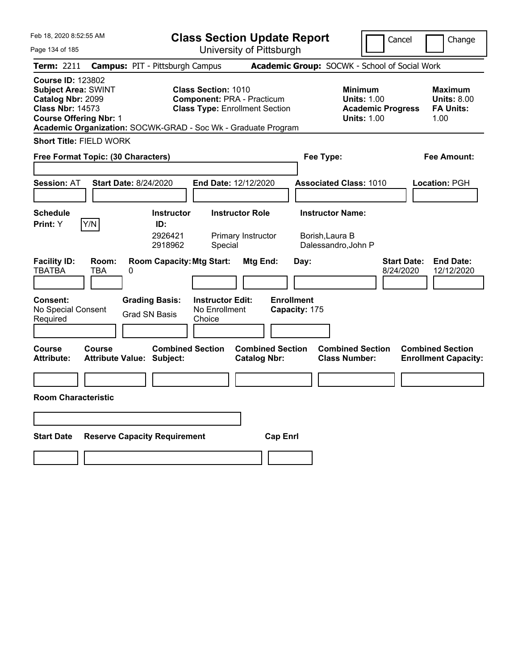| Feb 18, 2020 8:52:55 AM                                                                                                                                                                                  |                                                      |                                                    | <b>Class Section Update Report</b>                                         |                                    |                                                            | Cancel                          | Change                                                    |
|----------------------------------------------------------------------------------------------------------------------------------------------------------------------------------------------------------|------------------------------------------------------|----------------------------------------------------|----------------------------------------------------------------------------|------------------------------------|------------------------------------------------------------|---------------------------------|-----------------------------------------------------------|
| Page 134 of 185                                                                                                                                                                                          |                                                      |                                                    | University of Pittsburgh                                                   |                                    |                                                            |                                 |                                                           |
| Term: 2211                                                                                                                                                                                               | <b>Campus: PIT - Pittsburgh Campus</b>               |                                                    |                                                                            |                                    | Academic Group: SOCWK - School of Social Work              |                                 |                                                           |
| <b>Course ID: 123802</b><br><b>Subject Area: SWINT</b><br>Catalog Nbr: 2099<br><b>Class Nbr: 14573</b><br><b>Course Offering Nbr: 1</b><br>Academic Organization: SOCWK-GRAD - Soc Wk - Graduate Program |                                                      | <b>Class Section: 1010</b>                         | <b>Component: PRA - Practicum</b><br><b>Class Type: Enrollment Section</b> |                                    | <b>Minimum</b><br><b>Units: 1.00</b><br><b>Units: 1.00</b> | <b>Academic Progress</b>        | Maximum<br><b>Units: 8.00</b><br><b>FA Units:</b><br>1.00 |
| <b>Short Title: FIELD WORK</b>                                                                                                                                                                           |                                                      |                                                    |                                                                            |                                    |                                                            |                                 |                                                           |
| Free Format Topic: (30 Characters)                                                                                                                                                                       |                                                      |                                                    |                                                                            | Fee Type:                          |                                                            |                                 | Fee Amount:                                               |
|                                                                                                                                                                                                          |                                                      |                                                    |                                                                            |                                    |                                                            |                                 |                                                           |
| <b>Session: AT</b>                                                                                                                                                                                       | <b>Start Date: 8/24/2020</b>                         | <b>End Date: 12/12/2020</b>                        |                                                                            |                                    | <b>Associated Class: 1010</b>                              |                                 | Location: PGH                                             |
|                                                                                                                                                                                                          |                                                      |                                                    |                                                                            |                                    |                                                            |                                 |                                                           |
| <b>Schedule</b>                                                                                                                                                                                          | <b>Instructor</b>                                    |                                                    | <b>Instructor Role</b>                                                     |                                    | <b>Instructor Name:</b>                                    |                                 |                                                           |
| Y/N<br>Print: Y                                                                                                                                                                                          | ID:<br>2926421<br>2918962                            | Special                                            | Primary Instructor                                                         |                                    | Borish, Laura B<br>Dalessandro, John P                     |                                 |                                                           |
| <b>Facility ID:</b><br>Room:<br><b>TBATBA</b><br><b>TBA</b>                                                                                                                                              | <b>Room Capacity: Mtg Start:</b><br>0                |                                                    | Mtg End:                                                                   | Day:                               |                                                            | <b>Start Date:</b><br>8/24/2020 | <b>End Date:</b><br>12/12/2020                            |
| <b>Consent:</b><br>No Special Consent<br>Required                                                                                                                                                        | <b>Grading Basis:</b><br><b>Grad SN Basis</b>        | <b>Instructor Edit:</b><br>No Enrollment<br>Choice |                                                                            | <b>Enrollment</b><br>Capacity: 175 |                                                            |                                 |                                                           |
| Course<br>Course<br><b>Attribute:</b>                                                                                                                                                                    | <b>Combined Section</b><br>Attribute Value: Subject: |                                                    | <b>Combined Section</b><br><b>Catalog Nbr:</b>                             |                                    | <b>Combined Section</b><br><b>Class Number:</b>            |                                 | <b>Combined Section</b><br><b>Enrollment Capacity:</b>    |
|                                                                                                                                                                                                          |                                                      |                                                    |                                                                            |                                    |                                                            |                                 |                                                           |
| <b>Room Characteristic</b>                                                                                                                                                                               |                                                      |                                                    |                                                                            |                                    |                                                            |                                 |                                                           |
|                                                                                                                                                                                                          |                                                      |                                                    |                                                                            |                                    |                                                            |                                 |                                                           |
| <b>Start Date</b>                                                                                                                                                                                        | <b>Reserve Capacity Requirement</b>                  |                                                    | <b>Cap Enrl</b>                                                            |                                    |                                                            |                                 |                                                           |
|                                                                                                                                                                                                          |                                                      |                                                    |                                                                            |                                    |                                                            |                                 |                                                           |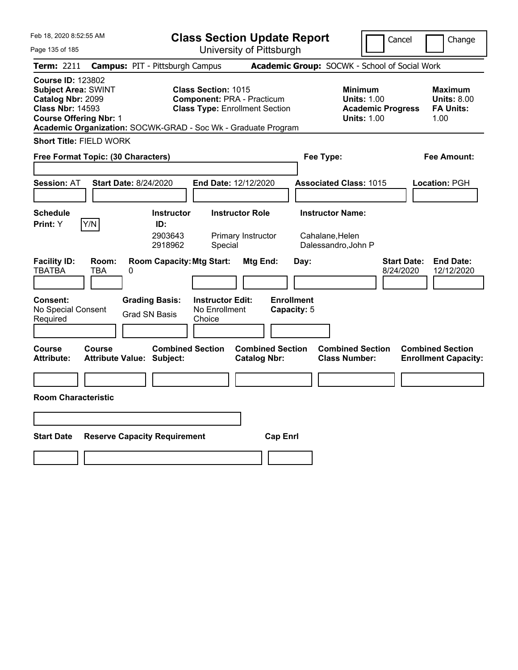| Feb 18, 2020 8:52:55 AM                                                                                                                 |                          |                                                               | <b>Class Section Update Report</b>                                                                |                                                |                                  |                                                 | Cancel                                                               | Change                                                    |
|-----------------------------------------------------------------------------------------------------------------------------------------|--------------------------|---------------------------------------------------------------|---------------------------------------------------------------------------------------------------|------------------------------------------------|----------------------------------|-------------------------------------------------|----------------------------------------------------------------------|-----------------------------------------------------------|
| Page 135 of 185                                                                                                                         |                          |                                                               |                                                                                                   | University of Pittsburgh                       |                                  |                                                 |                                                                      |                                                           |
| <b>Term: 2211</b>                                                                                                                       |                          | <b>Campus: PIT - Pittsburgh Campus</b>                        |                                                                                                   |                                                |                                  | Academic Group: SOCWK - School of Social Work   |                                                                      |                                                           |
| <b>Course ID: 123802</b><br><b>Subject Area: SWINT</b><br>Catalog Nbr: 2099<br><b>Class Nbr: 14593</b><br><b>Course Offering Nbr: 1</b> |                          | Academic Organization: SOCWK-GRAD - Soc Wk - Graduate Program | Class Section: 1015<br><b>Component: PRA - Practicum</b><br><b>Class Type: Enrollment Section</b> |                                                |                                  | <b>Minimum</b>                                  | <b>Units: 1.00</b><br><b>Academic Progress</b><br><b>Units: 1.00</b> | Maximum<br><b>Units: 8.00</b><br><b>FA Units:</b><br>1.00 |
| <b>Short Title: FIELD WORK</b>                                                                                                          |                          |                                                               |                                                                                                   |                                                |                                  |                                                 |                                                                      |                                                           |
| Free Format Topic: (30 Characters)                                                                                                      |                          |                                                               |                                                                                                   |                                                |                                  | Fee Type:                                       |                                                                      | Fee Amount:                                               |
|                                                                                                                                         |                          |                                                               |                                                                                                   |                                                |                                  |                                                 |                                                                      |                                                           |
| <b>Session: AT</b>                                                                                                                      |                          | <b>Start Date: 8/24/2020</b>                                  | <b>End Date: 12/12/2020</b>                                                                       |                                                |                                  | <b>Associated Class: 1015</b>                   |                                                                      | Location: PGH                                             |
|                                                                                                                                         |                          |                                                               |                                                                                                   |                                                |                                  |                                                 |                                                                      |                                                           |
| <b>Schedule</b><br>Print: Y                                                                                                             | Y/N                      | <b>Instructor</b><br>ID:                                      |                                                                                                   | <b>Instructor Role</b>                         |                                  | <b>Instructor Name:</b>                         |                                                                      |                                                           |
|                                                                                                                                         |                          | 2903643<br>2918962                                            | Special                                                                                           | Primary Instructor                             |                                  | Cahalane, Helen<br>Dalessandro, John P          |                                                                      |                                                           |
| <b>Facility ID:</b><br><b>TBATBA</b>                                                                                                    | Room:<br><b>TBA</b><br>0 | <b>Room Capacity: Mtg Start:</b>                              |                                                                                                   | Mtg End:                                       | Day:                             |                                                 | <b>Start Date:</b><br>8/24/2020                                      | <b>End Date:</b><br>12/12/2020                            |
| <b>Consent:</b><br>No Special Consent<br>Required                                                                                       |                          | <b>Grading Basis:</b><br><b>Grad SN Basis</b>                 | <b>Instructor Edit:</b><br>No Enrollment<br>Choice                                                |                                                | <b>Enrollment</b><br>Capacity: 5 |                                                 |                                                                      |                                                           |
| Course<br><b>Attribute:</b>                                                                                                             | <b>Course</b>            | <b>Combined Section</b><br><b>Attribute Value: Subject:</b>   |                                                                                                   | <b>Combined Section</b><br><b>Catalog Nbr:</b> |                                  | <b>Combined Section</b><br><b>Class Number:</b> |                                                                      | <b>Combined Section</b><br><b>Enrollment Capacity:</b>    |
|                                                                                                                                         |                          |                                                               |                                                                                                   |                                                |                                  |                                                 |                                                                      |                                                           |
| <b>Room Characteristic</b>                                                                                                              |                          |                                                               |                                                                                                   |                                                |                                  |                                                 |                                                                      |                                                           |
|                                                                                                                                         |                          |                                                               |                                                                                                   |                                                |                                  |                                                 |                                                                      |                                                           |
| <b>Start Date</b>                                                                                                                       |                          | <b>Reserve Capacity Requirement</b>                           |                                                                                                   |                                                | <b>Cap Enrl</b>                  |                                                 |                                                                      |                                                           |
|                                                                                                                                         |                          |                                                               |                                                                                                   |                                                |                                  |                                                 |                                                                      |                                                           |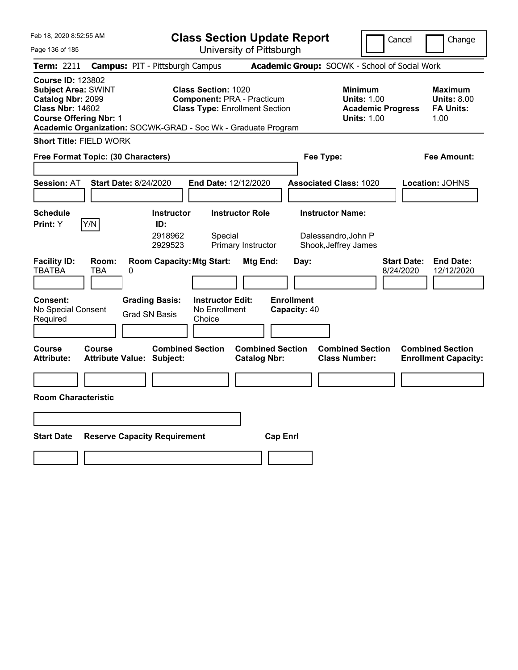| Feb 18, 2020 8:52:55 AM                                                                                                                                                                                                                                                                                                                                |                                                | <b>Class Section Update Report</b>                 |                                                |                                   |                                                                                 | Cancel                          | Change                                                    |  |
|--------------------------------------------------------------------------------------------------------------------------------------------------------------------------------------------------------------------------------------------------------------------------------------------------------------------------------------------------------|------------------------------------------------|----------------------------------------------------|------------------------------------------------|-----------------------------------|---------------------------------------------------------------------------------|---------------------------------|-----------------------------------------------------------|--|
| Page 136 of 185                                                                                                                                                                                                                                                                                                                                        |                                                |                                                    | University of Pittsburgh                       |                                   |                                                                                 |                                 |                                                           |  |
| Term: 2211                                                                                                                                                                                                                                                                                                                                             | <b>Campus: PIT - Pittsburgh Campus</b>         |                                                    |                                                |                                   | Academic Group: SOCWK - School of Social Work                                   |                                 |                                                           |  |
| <b>Course ID: 123802</b><br><b>Subject Area: SWINT</b><br><b>Class Section: 1020</b><br>Catalog Nbr: 2099<br><b>Component: PRA - Practicum</b><br><b>Class Nbr: 14602</b><br><b>Class Type: Enrollment Section</b><br><b>Course Offering Nbr: 1</b><br>Academic Organization: SOCWK-GRAD - Soc Wk - Graduate Program<br><b>Short Title: FIELD WORK</b> |                                                |                                                    |                                                |                                   | Minimum<br><b>Units: 1.00</b><br><b>Academic Progress</b><br><b>Units: 1.00</b> |                                 | Maximum<br><b>Units: 8.00</b><br><b>FA Units:</b><br>1.00 |  |
|                                                                                                                                                                                                                                                                                                                                                        |                                                |                                                    |                                                |                                   |                                                                                 |                                 |                                                           |  |
|                                                                                                                                                                                                                                                                                                                                                        | Free Format Topic: (30 Characters)             |                                                    |                                                | Fee Type:<br>Fee Amount:          |                                                                                 |                                 |                                                           |  |
| <b>Session: AT</b>                                                                                                                                                                                                                                                                                                                                     | <b>Start Date: 8/24/2020</b>                   | End Date: 12/12/2020                               |                                                | <b>Associated Class: 1020</b>     |                                                                                 |                                 | <b>Location: JOHNS</b>                                    |  |
| <b>Schedule</b><br>Y/N<br><b>Print:</b> Y                                                                                                                                                                                                                                                                                                              | <b>Instructor</b><br>ID:<br>2918962<br>2929523 | Special                                            | <b>Instructor Role</b><br>Primary Instructor   | <b>Instructor Name:</b>           | Dalessandro, John P<br>Shook, Jeffrey James                                     |                                 |                                                           |  |
| <b>Facility ID:</b><br><b>TBATBA</b><br><b>TBA</b>                                                                                                                                                                                                                                                                                                     | Room:<br>0                                     | <b>Room Capacity: Mtg Start:</b>                   | Mtg End:                                       | Day:                              |                                                                                 | <b>Start Date:</b><br>8/24/2020 | <b>End Date:</b><br>12/12/2020                            |  |
| <b>Consent:</b><br>No Special Consent<br>Required                                                                                                                                                                                                                                                                                                      | <b>Grading Basis:</b><br><b>Grad SN Basis</b>  | <b>Instructor Edit:</b><br>No Enrollment<br>Choice |                                                | <b>Enrollment</b><br>Capacity: 40 |                                                                                 |                                 |                                                           |  |
| <b>Course</b><br><b>Course</b><br><b>Attribute:</b>                                                                                                                                                                                                                                                                                                    | <b>Attribute Value: Subject:</b>               | <b>Combined Section</b>                            | <b>Combined Section</b><br><b>Catalog Nbr:</b> |                                   | <b>Combined Section</b><br><b>Class Number:</b>                                 |                                 | <b>Combined Section</b><br><b>Enrollment Capacity:</b>    |  |
|                                                                                                                                                                                                                                                                                                                                                        |                                                |                                                    |                                                |                                   |                                                                                 |                                 |                                                           |  |
| <b>Room Characteristic</b>                                                                                                                                                                                                                                                                                                                             |                                                |                                                    |                                                |                                   |                                                                                 |                                 |                                                           |  |
|                                                                                                                                                                                                                                                                                                                                                        |                                                |                                                    |                                                |                                   |                                                                                 |                                 |                                                           |  |
| <b>Start Date</b>                                                                                                                                                                                                                                                                                                                                      | <b>Reserve Capacity Requirement</b>            |                                                    | <b>Cap Enrl</b>                                |                                   |                                                                                 |                                 |                                                           |  |
|                                                                                                                                                                                                                                                                                                                                                        |                                                |                                                    |                                                |                                   |                                                                                 |                                 |                                                           |  |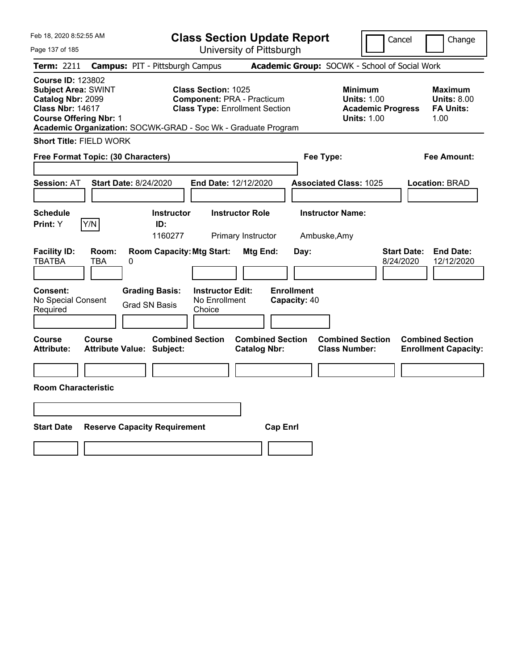| Feb 18, 2020 8:52:55 AM                                                                                                                 |                              |                                                               |                                          |                                                                            | <b>Class Section Update Report</b>        |                                                 |                                                                      | Cancel                          | Change                                                    |
|-----------------------------------------------------------------------------------------------------------------------------------------|------------------------------|---------------------------------------------------------------|------------------------------------------|----------------------------------------------------------------------------|-------------------------------------------|-------------------------------------------------|----------------------------------------------------------------------|---------------------------------|-----------------------------------------------------------|
| Page 137 of 185                                                                                                                         |                              |                                                               |                                          | University of Pittsburgh                                                   |                                           |                                                 |                                                                      |                                 |                                                           |
| Term: 2211                                                                                                                              |                              | <b>Campus: PIT - Pittsburgh Campus</b>                        |                                          |                                                                            |                                           | Academic Group: SOCWK - School of Social Work   |                                                                      |                                 |                                                           |
| <b>Course ID: 123802</b><br><b>Subject Area: SWINT</b><br>Catalog Nbr: 2099<br><b>Class Nbr: 14617</b><br><b>Course Offering Nbr: 1</b> |                              | Academic Organization: SOCWK-GRAD - Soc Wk - Graduate Program | <b>Class Section: 1025</b>               | <b>Component: PRA - Practicum</b><br><b>Class Type: Enrollment Section</b> |                                           | <b>Minimum</b>                                  | <b>Units: 1.00</b><br><b>Academic Progress</b><br><b>Units: 1.00</b> |                                 | Maximum<br><b>Units: 8.00</b><br><b>FA Units:</b><br>1.00 |
| <b>Short Title: FIELD WORK</b>                                                                                                          |                              |                                                               |                                          |                                                                            |                                           |                                                 |                                                                      |                                 |                                                           |
| Free Format Topic: (30 Characters)                                                                                                      |                              |                                                               |                                          |                                                                            |                                           | Fee Type:                                       |                                                                      |                                 | Fee Amount:                                               |
| <b>Session: AT</b>                                                                                                                      | <b>Start Date: 8/24/2020</b> |                                                               |                                          | End Date: 12/12/2020                                                       |                                           | <b>Associated Class: 1025</b>                   |                                                                      |                                 | <b>Location: BRAD</b>                                     |
| <b>Schedule</b><br>Print: Y                                                                                                             | Y/N                          | <b>Instructor</b><br>ID:<br>1160277                           |                                          | <b>Instructor Role</b><br>Primary Instructor                               |                                           | <b>Instructor Name:</b><br>Ambuske, Amy         |                                                                      |                                 |                                                           |
| <b>Facility ID:</b><br><b>TBATBA</b><br>Consent:<br>No Special Consent                                                                  | Room:<br><b>TBA</b><br>0     | <b>Room Capacity: Mtg Start:</b><br><b>Grading Basis:</b>     | <b>Instructor Edit:</b><br>No Enrollment | Mtg End:                                                                   | Day:<br><b>Enrollment</b><br>Capacity: 40 |                                                 |                                                                      | <b>Start Date:</b><br>8/24/2020 | <b>End Date:</b><br>12/12/2020                            |
| Required                                                                                                                                |                              | <b>Grad SN Basis</b>                                          | Choice                                   |                                                                            |                                           |                                                 |                                                                      |                                 |                                                           |
| Course<br>Attribute:                                                                                                                    | Course                       | <b>Combined Section</b><br><b>Attribute Value: Subject:</b>   |                                          | <b>Catalog Nbr:</b>                                                        | <b>Combined Section</b>                   | <b>Combined Section</b><br><b>Class Number:</b> |                                                                      |                                 | <b>Combined Section</b><br><b>Enrollment Capacity:</b>    |
| <b>Room Characteristic</b>                                                                                                              |                              |                                                               |                                          |                                                                            |                                           |                                                 |                                                                      |                                 |                                                           |
|                                                                                                                                         |                              |                                                               |                                          |                                                                            |                                           |                                                 |                                                                      |                                 |                                                           |
| <b>Start Date</b>                                                                                                                       |                              | <b>Reserve Capacity Requirement</b>                           |                                          |                                                                            | <b>Cap Enrl</b>                           |                                                 |                                                                      |                                 |                                                           |
|                                                                                                                                         |                              |                                                               |                                          |                                                                            |                                           |                                                 |                                                                      |                                 |                                                           |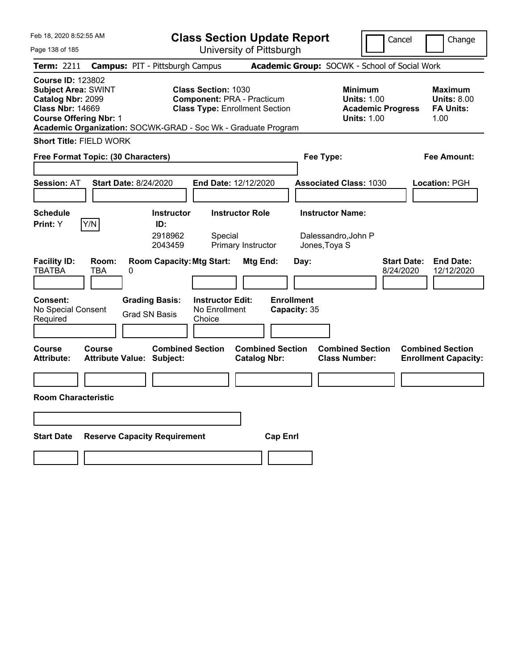| Feb 18, 2020 8:52:55 AM                                                                                                                                                                                  |                                                                |                                                                 | <b>Class Section Update Report</b>             |                                           |                                                                                        | Cancel                          | Change                                                           |
|----------------------------------------------------------------------------------------------------------------------------------------------------------------------------------------------------------|----------------------------------------------------------------|-----------------------------------------------------------------|------------------------------------------------|-------------------------------------------|----------------------------------------------------------------------------------------|---------------------------------|------------------------------------------------------------------|
| Page 138 of 185                                                                                                                                                                                          |                                                                |                                                                 | University of Pittsburgh                       |                                           |                                                                                        |                                 |                                                                  |
| Term: 2211                                                                                                                                                                                               | <b>Campus: PIT - Pittsburgh Campus</b>                         |                                                                 |                                                |                                           | Academic Group: SOCWK - School of Social Work                                          |                                 |                                                                  |
| <b>Course ID: 123802</b><br><b>Subject Area: SWINT</b><br>Catalog Nbr: 2099<br><b>Class Nbr: 14669</b><br><b>Course Offering Nbr: 1</b><br>Academic Organization: SOCWK-GRAD - Soc Wk - Graduate Program |                                                                | <b>Class Section: 1030</b><br><b>Component: PRA - Practicum</b> | <b>Class Type: Enrollment Section</b>          |                                           | <b>Minimum</b><br><b>Units: 1.00</b><br><b>Academic Progress</b><br><b>Units: 1.00</b> |                                 | <b>Maximum</b><br><b>Units: 8.00</b><br><b>FA Units:</b><br>1.00 |
| <b>Short Title: FIELD WORK</b>                                                                                                                                                                           |                                                                |                                                                 |                                                |                                           |                                                                                        |                                 |                                                                  |
| Free Format Topic: (30 Characters)                                                                                                                                                                       |                                                                |                                                                 |                                                | Fee Type:                                 |                                                                                        |                                 | Fee Amount:                                                      |
| <b>Session: AT</b>                                                                                                                                                                                       | <b>Start Date: 8/24/2020</b>                                   | End Date: 12/12/2020                                            |                                                |                                           | <b>Associated Class: 1030</b>                                                          |                                 | <b>Location: PGH</b>                                             |
| <b>Schedule</b><br>Y/N<br>Print: Y                                                                                                                                                                       | <b>Instructor</b><br>ID:<br>2918962<br>2043459                 | <b>Instructor Role</b><br>Special<br>Primary Instructor         |                                                | <b>Instructor Name:</b><br>Jones, Toya S  | Dalessandro, John P                                                                    |                                 |                                                                  |
| <b>Facility ID:</b><br>Room:<br><b>TBATBA</b><br>TBA<br><b>Consent:</b><br>No Special Consent                                                                                                            | <b>Room Capacity: Mtg Start:</b><br>0<br><b>Grading Basis:</b> | <b>Instructor Edit:</b><br>No Enrollment                        | Mtg End:                                       | Day:<br><b>Enrollment</b><br>Capacity: 35 |                                                                                        | <b>Start Date:</b><br>8/24/2020 | <b>End Date:</b><br>12/12/2020                                   |
| Required                                                                                                                                                                                                 | <b>Grad SN Basis</b>                                           | Choice                                                          |                                                |                                           |                                                                                        |                                 |                                                                  |
|                                                                                                                                                                                                          |                                                                |                                                                 |                                                |                                           |                                                                                        |                                 |                                                                  |
| Course<br>Course<br><b>Attribute:</b>                                                                                                                                                                    | <b>Combined Section</b><br><b>Attribute Value: Subject:</b>    |                                                                 | <b>Combined Section</b><br><b>Catalog Nbr:</b> |                                           | <b>Combined Section</b><br><b>Class Number:</b>                                        |                                 | <b>Combined Section</b><br><b>Enrollment Capacity:</b>           |
|                                                                                                                                                                                                          |                                                                |                                                                 |                                                |                                           |                                                                                        |                                 |                                                                  |
| <b>Room Characteristic</b>                                                                                                                                                                               |                                                                |                                                                 |                                                |                                           |                                                                                        |                                 |                                                                  |
|                                                                                                                                                                                                          |                                                                |                                                                 |                                                |                                           |                                                                                        |                                 |                                                                  |
| <b>Start Date</b>                                                                                                                                                                                        | <b>Reserve Capacity Requirement</b>                            |                                                                 | <b>Cap Enrl</b>                                |                                           |                                                                                        |                                 |                                                                  |
|                                                                                                                                                                                                          |                                                                |                                                                 |                                                |                                           |                                                                                        |                                 |                                                                  |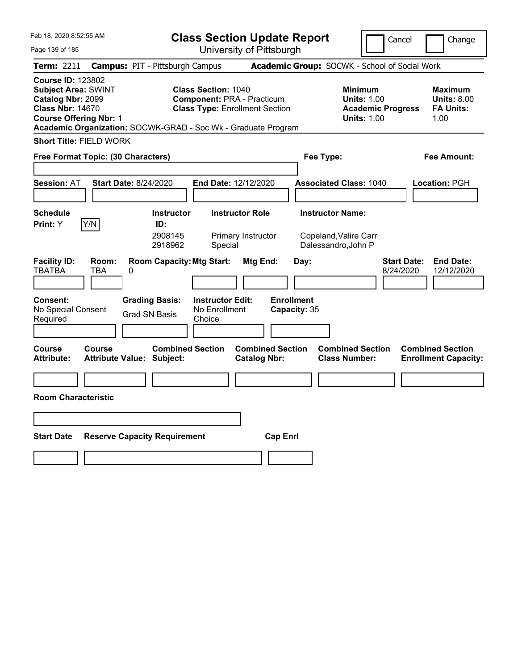| Feb 18, 2020 8:52:55 AM                                                                                                                                                                                  | <b>Class Section Update Report</b>                                                                        |                                                |                                                                                        | Cancel<br>Change                                                  |
|----------------------------------------------------------------------------------------------------------------------------------------------------------------------------------------------------------|-----------------------------------------------------------------------------------------------------------|------------------------------------------------|----------------------------------------------------------------------------------------|-------------------------------------------------------------------|
| Page 139 of 185                                                                                                                                                                                          |                                                                                                           | University of Pittsburgh                       |                                                                                        |                                                                   |
| <b>Campus: PIT - Pittsburgh Campus</b><br>Term: 2211                                                                                                                                                     |                                                                                                           |                                                | Academic Group: SOCWK - School of Social Work                                          |                                                                   |
| <b>Course ID: 123802</b><br><b>Subject Area: SWINT</b><br>Catalog Nbr: 2099<br><b>Class Nbr: 14670</b><br><b>Course Offering Nbr: 1</b><br>Academic Organization: SOCWK-GRAD - Soc Wk - Graduate Program | <b>Class Section: 1040</b><br><b>Component: PRA - Practicum</b><br><b>Class Type: Enrollment Section</b>  |                                                | <b>Minimum</b><br><b>Units: 1.00</b><br><b>Academic Progress</b><br><b>Units: 1.00</b> | <b>Maximum</b><br><b>Units: 8.00</b><br><b>FA Units:</b><br>1.00  |
| <b>Short Title: FIELD WORK</b>                                                                                                                                                                           |                                                                                                           |                                                |                                                                                        |                                                                   |
| Free Format Topic: (30 Characters)                                                                                                                                                                       |                                                                                                           |                                                | Fee Type:                                                                              | Fee Amount:                                                       |
| <b>Start Date: 8/24/2020</b><br><b>Session: AT</b>                                                                                                                                                       | <b>End Date: 12/12/2020</b>                                                                               |                                                | <b>Associated Class: 1040</b>                                                          | Location: PGH                                                     |
| <b>Schedule</b><br>Y/N<br>Print: Y                                                                                                                                                                       | <b>Instructor Role</b><br><b>Instructor</b><br>ID:<br>2908145<br>Primary Instructor<br>2918962<br>Special |                                                | <b>Instructor Name:</b><br>Copeland, Valire Carr<br>Dalessandro, John P                |                                                                   |
| <b>Facility ID:</b><br>Room:<br><b>TBATBA</b><br>TBA<br>0                                                                                                                                                | <b>Room Capacity: Mtg Start:</b>                                                                          | Mtg End:<br>Day:                               |                                                                                        | <b>End Date:</b><br><b>Start Date:</b><br>8/24/2020<br>12/12/2020 |
| <b>Consent:</b><br><b>Grading Basis:</b><br>No Special Consent<br><b>Grad SN Basis</b><br>Required                                                                                                       | <b>Instructor Edit:</b><br>No Enrollment<br>Choice                                                        | <b>Enrollment</b><br>Capacity: 35              |                                                                                        |                                                                   |
| Course<br>Course<br><b>Attribute:</b><br>Attribute Value: Subject:                                                                                                                                       | <b>Combined Section</b>                                                                                   | <b>Combined Section</b><br><b>Catalog Nbr:</b> | <b>Combined Section</b><br><b>Class Number:</b>                                        | <b>Combined Section</b><br><b>Enrollment Capacity:</b>            |
|                                                                                                                                                                                                          |                                                                                                           |                                                |                                                                                        |                                                                   |
| <b>Room Characteristic</b>                                                                                                                                                                               |                                                                                                           |                                                |                                                                                        |                                                                   |
|                                                                                                                                                                                                          |                                                                                                           |                                                |                                                                                        |                                                                   |
| <b>Start Date</b><br><b>Reserve Capacity Requirement</b>                                                                                                                                                 |                                                                                                           | <b>Cap Enrl</b>                                |                                                                                        |                                                                   |
|                                                                                                                                                                                                          |                                                                                                           |                                                |                                                                                        |                                                                   |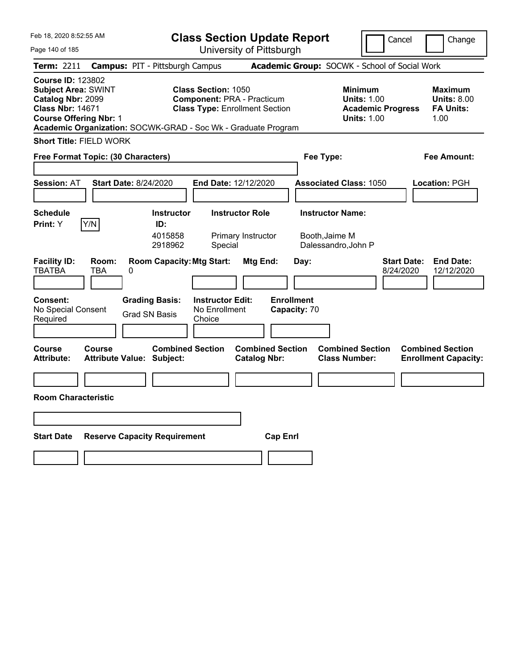| Feb 18, 2020 8:52:55 AM                                                                                                                 |                     |                                                               | <b>Class Section Update Report</b>                                                                       |                                                |                                   |                                                 | Cancel                                                                                 |                    | Change                                                    |
|-----------------------------------------------------------------------------------------------------------------------------------------|---------------------|---------------------------------------------------------------|----------------------------------------------------------------------------------------------------------|------------------------------------------------|-----------------------------------|-------------------------------------------------|----------------------------------------------------------------------------------------|--------------------|-----------------------------------------------------------|
| Page 140 of 185                                                                                                                         |                     |                                                               |                                                                                                          | University of Pittsburgh                       |                                   |                                                 |                                                                                        |                    |                                                           |
| Term: 2211                                                                                                                              |                     | <b>Campus: PIT - Pittsburgh Campus</b>                        |                                                                                                          |                                                |                                   | Academic Group: SOCWK - School of Social Work   |                                                                                        |                    |                                                           |
| <b>Course ID: 123802</b><br><b>Subject Area: SWINT</b><br>Catalog Nbr: 2099<br><b>Class Nbr: 14671</b><br><b>Course Offering Nbr: 1</b> |                     | Academic Organization: SOCWK-GRAD - Soc Wk - Graduate Program | <b>Class Section: 1050</b><br><b>Component: PRA - Practicum</b><br><b>Class Type: Enrollment Section</b> |                                                |                                   |                                                 | <b>Minimum</b><br><b>Units: 1.00</b><br><b>Academic Progress</b><br><b>Units: 1.00</b> |                    | Maximum<br><b>Units: 8.00</b><br><b>FA Units:</b><br>1.00 |
| <b>Short Title: FIELD WORK</b>                                                                                                          |                     |                                                               |                                                                                                          |                                                |                                   |                                                 |                                                                                        |                    |                                                           |
| Free Format Topic: (30 Characters)                                                                                                      |                     |                                                               |                                                                                                          |                                                |                                   | Fee Type:                                       |                                                                                        |                    | Fee Amount:                                               |
|                                                                                                                                         |                     |                                                               |                                                                                                          |                                                |                                   |                                                 |                                                                                        |                    |                                                           |
| <b>Session: AT</b>                                                                                                                      |                     | <b>Start Date: 8/24/2020</b>                                  | <b>End Date: 12/12/2020</b>                                                                              |                                                |                                   | <b>Associated Class: 1050</b>                   |                                                                                        |                    | Location: PGH                                             |
|                                                                                                                                         |                     |                                                               |                                                                                                          |                                                |                                   |                                                 |                                                                                        |                    |                                                           |
| <b>Schedule</b>                                                                                                                         |                     | <b>Instructor</b>                                             |                                                                                                          | <b>Instructor Role</b>                         |                                   | <b>Instructor Name:</b>                         |                                                                                        |                    |                                                           |
| Print: Y                                                                                                                                | Y/N                 | ID:                                                           |                                                                                                          |                                                |                                   |                                                 |                                                                                        |                    |                                                           |
|                                                                                                                                         |                     | 4015858<br>2918962                                            | Special                                                                                                  | Primary Instructor                             |                                   | Booth, Jaime M<br>Dalessandro, John P           |                                                                                        |                    |                                                           |
| <b>Facility ID:</b><br><b>TBATBA</b>                                                                                                    | Room:<br><b>TBA</b> | <b>Room Capacity: Mtg Start:</b><br>0                         |                                                                                                          | Mtg End:                                       | Day:                              |                                                 | 8/24/2020                                                                              | <b>Start Date:</b> | <b>End Date:</b><br>12/12/2020                            |
| <b>Consent:</b><br>No Special Consent                                                                                                   |                     | <b>Grading Basis:</b><br><b>Grad SN Basis</b>                 | <b>Instructor Edit:</b><br>No Enrollment                                                                 |                                                | <b>Enrollment</b><br>Capacity: 70 |                                                 |                                                                                        |                    |                                                           |
| Required                                                                                                                                |                     |                                                               | Choice                                                                                                   |                                                |                                   |                                                 |                                                                                        |                    |                                                           |
|                                                                                                                                         |                     |                                                               |                                                                                                          |                                                |                                   |                                                 |                                                                                        |                    |                                                           |
| Course<br><b>Attribute:</b>                                                                                                             | Course              | <b>Combined Section</b><br>Attribute Value: Subject:          |                                                                                                          | <b>Combined Section</b><br><b>Catalog Nbr:</b> |                                   | <b>Combined Section</b><br><b>Class Number:</b> |                                                                                        |                    | <b>Combined Section</b><br><b>Enrollment Capacity:</b>    |
|                                                                                                                                         |                     |                                                               |                                                                                                          |                                                |                                   |                                                 |                                                                                        |                    |                                                           |
| <b>Room Characteristic</b>                                                                                                              |                     |                                                               |                                                                                                          |                                                |                                   |                                                 |                                                                                        |                    |                                                           |
|                                                                                                                                         |                     |                                                               |                                                                                                          |                                                |                                   |                                                 |                                                                                        |                    |                                                           |
| <b>Start Date</b>                                                                                                                       |                     |                                                               |                                                                                                          |                                                |                                   |                                                 |                                                                                        |                    |                                                           |
|                                                                                                                                         |                     | <b>Reserve Capacity Requirement</b>                           |                                                                                                          |                                                | <b>Cap Enrl</b>                   |                                                 |                                                                                        |                    |                                                           |
|                                                                                                                                         |                     |                                                               |                                                                                                          |                                                |                                   |                                                 |                                                                                        |                    |                                                           |
|                                                                                                                                         |                     |                                                               |                                                                                                          |                                                |                                   |                                                 |                                                                                        |                    |                                                           |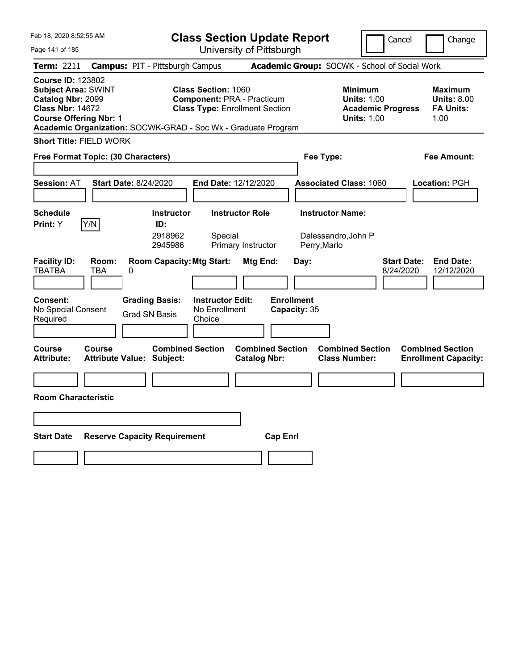| Feb 18, 2020 8:52:55 AM                                                                                                                                                                                  |                                                      |                                                    | <b>Class Section Update Report</b>                                         |                                   |                                                 | Cancel                                                               | Change                                                    |
|----------------------------------------------------------------------------------------------------------------------------------------------------------------------------------------------------------|------------------------------------------------------|----------------------------------------------------|----------------------------------------------------------------------------|-----------------------------------|-------------------------------------------------|----------------------------------------------------------------------|-----------------------------------------------------------|
| Page 141 of 185                                                                                                                                                                                          |                                                      |                                                    | University of Pittsburgh                                                   |                                   |                                                 |                                                                      |                                                           |
| Term: 2211                                                                                                                                                                                               | <b>Campus: PIT - Pittsburgh Campus</b>               |                                                    |                                                                            |                                   | Academic Group: SOCWK - School of Social Work   |                                                                      |                                                           |
| <b>Course ID: 123802</b><br><b>Subject Area: SWINT</b><br>Catalog Nbr: 2099<br><b>Class Nbr: 14672</b><br><b>Course Offering Nbr: 1</b><br>Academic Organization: SOCWK-GRAD - Soc Wk - Graduate Program |                                                      | <b>Class Section: 1060</b>                         | <b>Component: PRA - Practicum</b><br><b>Class Type: Enrollment Section</b> |                                   | <b>Minimum</b>                                  | <b>Units: 1.00</b><br><b>Academic Progress</b><br><b>Units: 1.00</b> | Maximum<br><b>Units: 8.00</b><br><b>FA Units:</b><br>1.00 |
| <b>Short Title: FIELD WORK</b>                                                                                                                                                                           |                                                      |                                                    |                                                                            |                                   |                                                 |                                                                      |                                                           |
| Free Format Topic: (30 Characters)                                                                                                                                                                       |                                                      |                                                    |                                                                            |                                   | Fee Type:                                       |                                                                      | Fee Amount:                                               |
|                                                                                                                                                                                                          |                                                      |                                                    |                                                                            |                                   |                                                 |                                                                      |                                                           |
| <b>Session: AT</b>                                                                                                                                                                                       | <b>Start Date: 8/24/2020</b>                         | <b>End Date: 12/12/2020</b>                        |                                                                            |                                   | <b>Associated Class: 1060</b>                   |                                                                      | Location: PGH                                             |
|                                                                                                                                                                                                          |                                                      |                                                    |                                                                            |                                   |                                                 |                                                                      |                                                           |
| <b>Schedule</b>                                                                                                                                                                                          | <b>Instructor</b>                                    |                                                    | <b>Instructor Role</b>                                                     |                                   | <b>Instructor Name:</b>                         |                                                                      |                                                           |
| Y/N<br>Print: Y                                                                                                                                                                                          | ID:<br>2918962<br>2945986                            | Special                                            | Primary Instructor                                                         |                                   | Dalessandro, John P<br>Perry, Marlo             |                                                                      |                                                           |
| <b>Facility ID:</b><br>Room:<br><b>TBATBA</b><br><b>TBA</b>                                                                                                                                              | <b>Room Capacity: Mtg Start:</b><br>0                |                                                    | Mtg End:                                                                   | Day:                              |                                                 | <b>Start Date:</b><br>8/24/2020                                      | <b>End Date:</b><br>12/12/2020                            |
| <b>Consent:</b><br>No Special Consent<br>Required                                                                                                                                                        | <b>Grading Basis:</b><br><b>Grad SN Basis</b>        | <b>Instructor Edit:</b><br>No Enrollment<br>Choice |                                                                            | <b>Enrollment</b><br>Capacity: 35 |                                                 |                                                                      |                                                           |
| Course<br>Course<br><b>Attribute:</b>                                                                                                                                                                    | <b>Combined Section</b><br>Attribute Value: Subject: |                                                    | <b>Combined Section</b><br><b>Catalog Nbr:</b>                             |                                   | <b>Combined Section</b><br><b>Class Number:</b> |                                                                      | <b>Combined Section</b><br><b>Enrollment Capacity:</b>    |
|                                                                                                                                                                                                          |                                                      |                                                    |                                                                            |                                   |                                                 |                                                                      |                                                           |
| <b>Room Characteristic</b>                                                                                                                                                                               |                                                      |                                                    |                                                                            |                                   |                                                 |                                                                      |                                                           |
|                                                                                                                                                                                                          |                                                      |                                                    |                                                                            |                                   |                                                 |                                                                      |                                                           |
| <b>Start Date</b>                                                                                                                                                                                        | <b>Reserve Capacity Requirement</b>                  |                                                    | <b>Cap Enrl</b>                                                            |                                   |                                                 |                                                                      |                                                           |
|                                                                                                                                                                                                          |                                                      |                                                    |                                                                            |                                   |                                                 |                                                                      |                                                           |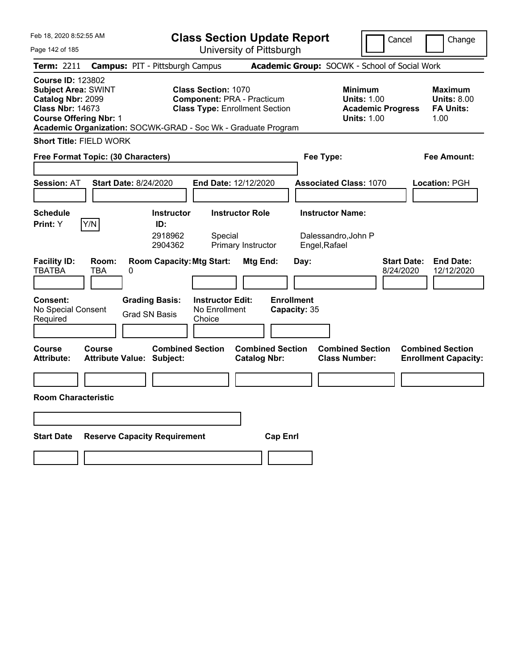| Feb 18, 2020 8:52:55 AM                                                                                                                                                                                  |                                                             |                                                    | <b>Class Section Update Report</b>                                         |                                   |                                                                                 | Cancel                          | Change                                                    |
|----------------------------------------------------------------------------------------------------------------------------------------------------------------------------------------------------------|-------------------------------------------------------------|----------------------------------------------------|----------------------------------------------------------------------------|-----------------------------------|---------------------------------------------------------------------------------|---------------------------------|-----------------------------------------------------------|
| Page 142 of 185                                                                                                                                                                                          |                                                             |                                                    | University of Pittsburgh                                                   |                                   |                                                                                 |                                 |                                                           |
| Term: 2211                                                                                                                                                                                               | <b>Campus: PIT - Pittsburgh Campus</b>                      |                                                    |                                                                            |                                   | Academic Group: SOCWK - School of Social Work                                   |                                 |                                                           |
| <b>Course ID: 123802</b><br><b>Subject Area: SWINT</b><br>Catalog Nbr: 2099<br><b>Class Nbr: 14673</b><br><b>Course Offering Nbr: 1</b><br>Academic Organization: SOCWK-GRAD - Soc Wk - Graduate Program |                                                             | <b>Class Section: 1070</b>                         | <b>Component: PRA - Practicum</b><br><b>Class Type: Enrollment Section</b> |                                   | Minimum<br><b>Units: 1.00</b><br><b>Academic Progress</b><br><b>Units: 1.00</b> |                                 | Maximum<br><b>Units: 8.00</b><br><b>FA Units:</b><br>1.00 |
| <b>Short Title: FIELD WORK</b>                                                                                                                                                                           |                                                             |                                                    |                                                                            |                                   |                                                                                 |                                 |                                                           |
| Free Format Topic: (30 Characters)                                                                                                                                                                       |                                                             |                                                    |                                                                            | Fee Type:                         |                                                                                 |                                 | Fee Amount:                                               |
|                                                                                                                                                                                                          |                                                             |                                                    |                                                                            |                                   |                                                                                 |                                 |                                                           |
| <b>Session: AT</b>                                                                                                                                                                                       | <b>Start Date: 8/24/2020</b>                                | End Date: 12/12/2020                               |                                                                            |                                   | <b>Associated Class: 1070</b>                                                   |                                 | <b>Location: PGH</b>                                      |
|                                                                                                                                                                                                          |                                                             |                                                    |                                                                            |                                   |                                                                                 |                                 |                                                           |
| <b>Schedule</b>                                                                                                                                                                                          | <b>Instructor</b>                                           |                                                    | <b>Instructor Role</b>                                                     |                                   | <b>Instructor Name:</b>                                                         |                                 |                                                           |
| Y/N<br><b>Print:</b> Y                                                                                                                                                                                   | ID:<br>2918962<br>2904362                                   | Special                                            | Primary Instructor                                                         | Engel, Rafael                     | Dalessandro, John P                                                             |                                 |                                                           |
| <b>Facility ID:</b><br>Room:<br><b>TBATBA</b><br><b>TBA</b>                                                                                                                                              | <b>Room Capacity: Mtg Start:</b><br>0                       |                                                    | Mtg End:                                                                   | Day:                              |                                                                                 | <b>Start Date:</b><br>8/24/2020 | <b>End Date:</b><br>12/12/2020                            |
| <b>Consent:</b><br>No Special Consent<br>Required                                                                                                                                                        | <b>Grading Basis:</b><br><b>Grad SN Basis</b>               | <b>Instructor Edit:</b><br>No Enrollment<br>Choice |                                                                            | <b>Enrollment</b><br>Capacity: 35 |                                                                                 |                                 |                                                           |
| <b>Course</b><br><b>Course</b><br><b>Attribute:</b>                                                                                                                                                      | <b>Combined Section</b><br><b>Attribute Value: Subject:</b> |                                                    | <b>Combined Section</b><br><b>Catalog Nbr:</b>                             |                                   | <b>Combined Section</b><br><b>Class Number:</b>                                 |                                 | <b>Combined Section</b><br><b>Enrollment Capacity:</b>    |
|                                                                                                                                                                                                          |                                                             |                                                    |                                                                            |                                   |                                                                                 |                                 |                                                           |
| <b>Room Characteristic</b>                                                                                                                                                                               |                                                             |                                                    |                                                                            |                                   |                                                                                 |                                 |                                                           |
|                                                                                                                                                                                                          |                                                             |                                                    |                                                                            |                                   |                                                                                 |                                 |                                                           |
| <b>Start Date</b>                                                                                                                                                                                        | <b>Reserve Capacity Requirement</b>                         |                                                    | <b>Cap Enrl</b>                                                            |                                   |                                                                                 |                                 |                                                           |
|                                                                                                                                                                                                          |                                                             |                                                    |                                                                            |                                   |                                                                                 |                                 |                                                           |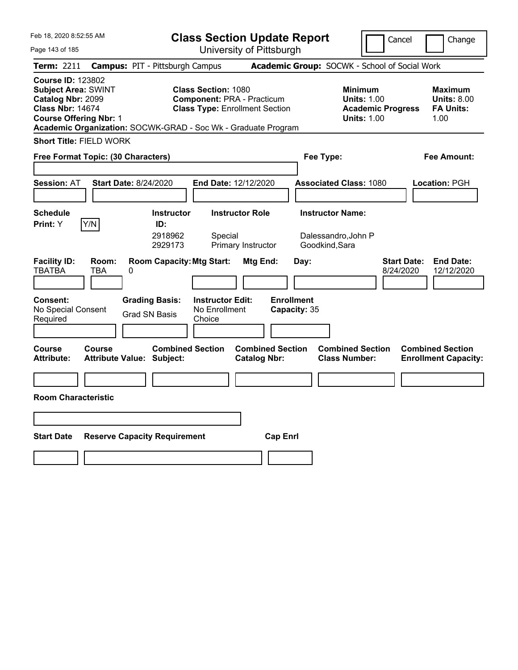| Feb 18, 2020 8:52:55 AM                                                                                                                                                                                  |                                                             | <b>Class Section Update Report</b>                                         |                                                                  | Cancel                                                                                 | Change                                                           |
|----------------------------------------------------------------------------------------------------------------------------------------------------------------------------------------------------------|-------------------------------------------------------------|----------------------------------------------------------------------------|------------------------------------------------------------------|----------------------------------------------------------------------------------------|------------------------------------------------------------------|
| Page 143 of 185                                                                                                                                                                                          |                                                             | University of Pittsburgh                                                   |                                                                  |                                                                                        |                                                                  |
| Term: 2211                                                                                                                                                                                               | <b>Campus: PIT - Pittsburgh Campus</b>                      |                                                                            | Academic Group: SOCWK - School of Social Work                    |                                                                                        |                                                                  |
| <b>Course ID: 123802</b><br><b>Subject Area: SWINT</b><br>Catalog Nbr: 2099<br><b>Class Nbr: 14674</b><br><b>Course Offering Nbr: 1</b><br>Academic Organization: SOCWK-GRAD - Soc Wk - Graduate Program | <b>Class Section: 1080</b>                                  | <b>Component: PRA - Practicum</b><br><b>Class Type: Enrollment Section</b> |                                                                  | <b>Minimum</b><br><b>Units: 1.00</b><br><b>Academic Progress</b><br><b>Units: 1.00</b> | <b>Maximum</b><br><b>Units: 8.00</b><br><b>FA Units:</b><br>1.00 |
| <b>Short Title: FIELD WORK</b>                                                                                                                                                                           |                                                             |                                                                            |                                                                  |                                                                                        |                                                                  |
| Free Format Topic: (30 Characters)                                                                                                                                                                       |                                                             |                                                                            | Fee Type:                                                        |                                                                                        | Fee Amount:                                                      |
| <b>Session: AT</b><br><b>Start Date: 8/24/2020</b>                                                                                                                                                       |                                                             | End Date: 12/12/2020                                                       | <b>Associated Class: 1080</b>                                    |                                                                                        | <b>Location: PGH</b>                                             |
| <b>Schedule</b><br>Y/N<br>Print: Y                                                                                                                                                                       | <b>Instructor</b><br>ID:<br>2918962<br>2929173              | <b>Instructor Role</b><br>Special<br>Primary Instructor                    | <b>Instructor Name:</b><br>Dalessandro, John P<br>Goodkind, Sara |                                                                                        |                                                                  |
| <b>Facility ID:</b><br>Room:<br><b>TBATBA</b><br>TBA<br>0<br><b>Consent:</b>                                                                                                                             | <b>Room Capacity: Mtg Start:</b><br><b>Grading Basis:</b>   | Mtg End:<br><b>Instructor Edit:</b>                                        | Day:<br><b>Enrollment</b>                                        | <b>Start Date:</b><br>8/24/2020                                                        | <b>End Date:</b><br>12/12/2020                                   |
| No Special Consent<br>Required                                                                                                                                                                           | <b>Grad SN Basis</b><br>Choice                              | No Enrollment                                                              | Capacity: 35                                                     |                                                                                        |                                                                  |
| Course<br>Course<br><b>Attribute:</b>                                                                                                                                                                    | <b>Combined Section</b><br><b>Attribute Value: Subject:</b> | <b>Combined Section</b><br><b>Catalog Nbr:</b>                             | <b>Combined Section</b><br><b>Class Number:</b>                  |                                                                                        | <b>Combined Section</b><br><b>Enrollment Capacity:</b>           |
|                                                                                                                                                                                                          |                                                             |                                                                            |                                                                  |                                                                                        |                                                                  |
| <b>Room Characteristic</b>                                                                                                                                                                               |                                                             |                                                                            |                                                                  |                                                                                        |                                                                  |
|                                                                                                                                                                                                          |                                                             |                                                                            |                                                                  |                                                                                        |                                                                  |
| <b>Start Date</b>                                                                                                                                                                                        | <b>Reserve Capacity Requirement</b>                         | <b>Cap Enrl</b>                                                            |                                                                  |                                                                                        |                                                                  |
|                                                                                                                                                                                                          |                                                             |                                                                            |                                                                  |                                                                                        |                                                                  |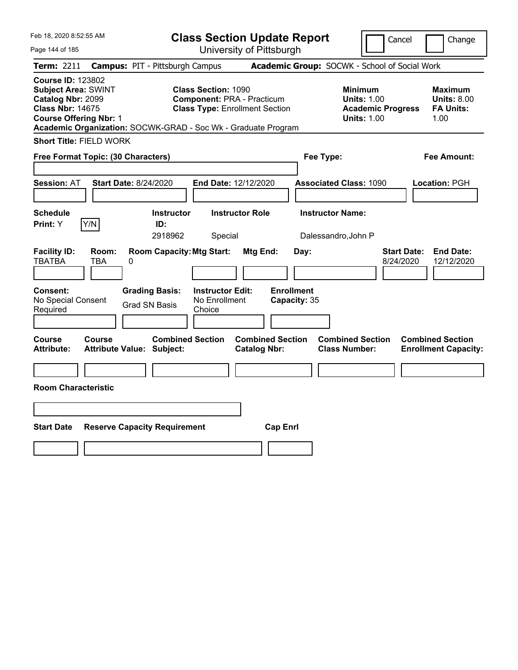| Feb 18, 2020 8:52:55 AM                                                                                                                 |                   |                                                               |                                                                                                          |                        | <b>Class Section Update Report</b> |                                                 | Cancel                                                                          |                         | Change                                            |
|-----------------------------------------------------------------------------------------------------------------------------------------|-------------------|---------------------------------------------------------------|----------------------------------------------------------------------------------------------------------|------------------------|------------------------------------|-------------------------------------------------|---------------------------------------------------------------------------------|-------------------------|---------------------------------------------------|
| Page 144 of 185                                                                                                                         |                   |                                                               | University of Pittsburgh                                                                                 |                        |                                    |                                                 |                                                                                 |                         |                                                   |
| <b>Term: 2211</b>                                                                                                                       |                   | <b>Campus: PIT - Pittsburgh Campus</b>                        |                                                                                                          |                        |                                    | Academic Group: SOCWK - School of Social Work   |                                                                                 |                         |                                                   |
| <b>Course ID: 123802</b><br><b>Subject Area: SWINT</b><br>Catalog Nbr: 2099<br><b>Class Nbr: 14675</b><br><b>Course Offering Nbr: 1</b> |                   | Academic Organization: SOCWK-GRAD - Soc Wk - Graduate Program | <b>Class Section: 1090</b><br><b>Component: PRA - Practicum</b><br><b>Class Type: Enrollment Section</b> |                        |                                    |                                                 | Minimum<br><b>Units: 1.00</b><br><b>Academic Progress</b><br><b>Units: 1.00</b> | 1.00                    | Maximum<br><b>Units: 8.00</b><br><b>FA Units:</b> |
| <b>Short Title: FIELD WORK</b>                                                                                                          |                   |                                                               |                                                                                                          |                        |                                    |                                                 |                                                                                 |                         |                                                   |
| Free Format Topic: (30 Characters)                                                                                                      |                   |                                                               |                                                                                                          |                        |                                    | Fee Type:                                       |                                                                                 |                         | Fee Amount:                                       |
| <b>Session: AT</b>                                                                                                                      |                   | <b>Start Date: 8/24/2020</b>                                  | <b>End Date: 12/12/2020</b>                                                                              |                        |                                    | <b>Associated Class: 1090</b>                   |                                                                                 | <b>Location: PGH</b>    |                                                   |
| Schedule<br>Print: Y                                                                                                                    | Y/N               | <b>Instructor</b><br>ID:<br>2918962                           | Special                                                                                                  | <b>Instructor Role</b> |                                    | <b>Instructor Name:</b><br>Dalessandro, John P  |                                                                                 |                         |                                                   |
| <b>Facility ID:</b><br><b>TBATBA</b><br>Consent:                                                                                        | Room:<br>TBA<br>0 | <b>Room Capacity: Mtg Start:</b><br><b>Grading Basis:</b>     | <b>Instructor Edit:</b>                                                                                  | <b>Mtg End:</b>        | Day:<br><b>Enrollment</b>          |                                                 | 8/24/2020                                                                       | <b>Start Date:</b>      | <b>End Date:</b><br>12/12/2020                    |
| No Special Consent<br>Required                                                                                                          |                   | <b>Grad SN Basis</b>                                          | No Enrollment<br>Choice                                                                                  |                        | Capacity: 35                       |                                                 |                                                                                 |                         |                                                   |
| <b>Course</b><br><b>Attribute:</b>                                                                                                      | <b>Course</b>     | <b>Combined Section</b><br><b>Attribute Value: Subject:</b>   |                                                                                                          | <b>Catalog Nbr:</b>    | <b>Combined Section</b>            | <b>Combined Section</b><br><b>Class Number:</b> |                                                                                 | <b>Combined Section</b> | <b>Enrollment Capacity:</b>                       |
|                                                                                                                                         |                   |                                                               |                                                                                                          |                        |                                    |                                                 |                                                                                 |                         |                                                   |
| <b>Room Characteristic</b>                                                                                                              |                   |                                                               |                                                                                                          |                        |                                    |                                                 |                                                                                 |                         |                                                   |
|                                                                                                                                         |                   |                                                               |                                                                                                          |                        |                                    |                                                 |                                                                                 |                         |                                                   |
| <b>Start Date</b>                                                                                                                       |                   | <b>Reserve Capacity Requirement</b>                           |                                                                                                          |                        | <b>Cap Enrl</b>                    |                                                 |                                                                                 |                         |                                                   |
|                                                                                                                                         |                   |                                                               |                                                                                                          |                        |                                    |                                                 |                                                                                 |                         |                                                   |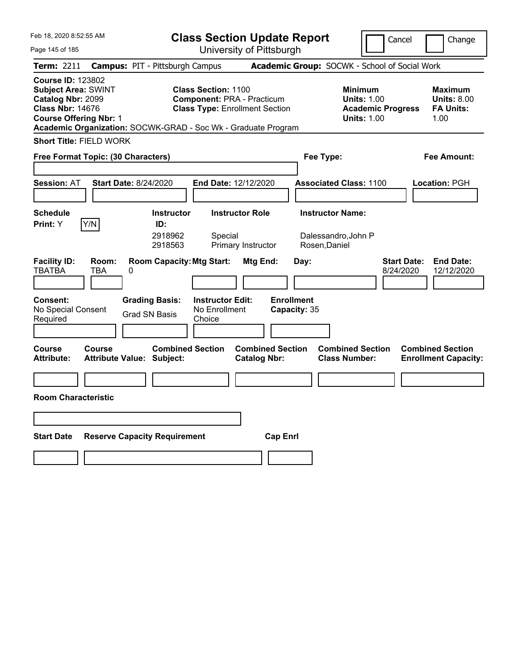| Feb 18, 2020 8:52:55 AM                                                                                                                                                                                  |                                                   |                                                                                   | <b>Class Section Update Report</b>                                                                |                                                |                                   |      |                                                                 |                                                            | Cancel                          | Change                                                    |
|----------------------------------------------------------------------------------------------------------------------------------------------------------------------------------------------------------|---------------------------------------------------|-----------------------------------------------------------------------------------|---------------------------------------------------------------------------------------------------|------------------------------------------------|-----------------------------------|------|-----------------------------------------------------------------|------------------------------------------------------------|---------------------------------|-----------------------------------------------------------|
| Page 145 of 185                                                                                                                                                                                          |                                                   |                                                                                   | University of Pittsburgh                                                                          |                                                |                                   |      |                                                                 |                                                            |                                 |                                                           |
| <b>Term: 2211</b>                                                                                                                                                                                        | <b>Campus: PIT - Pittsburgh Campus</b>            |                                                                                   |                                                                                                   |                                                |                                   |      | Academic Group: SOCWK - School of Social Work                   |                                                            |                                 |                                                           |
| <b>Course ID: 123802</b><br><b>Subject Area: SWINT</b><br>Catalog Nbr: 2099<br><b>Class Nbr: 14676</b><br><b>Course Offering Nbr: 1</b><br>Academic Organization: SOCWK-GRAD - Soc Wk - Graduate Program |                                                   |                                                                                   | Class Section: 1100<br><b>Component: PRA - Practicum</b><br><b>Class Type: Enrollment Section</b> |                                                |                                   |      |                                                                 | <b>Minimum</b><br><b>Units: 1.00</b><br><b>Units: 1.00</b> | <b>Academic Progress</b>        | Maximum<br><b>Units: 8.00</b><br><b>FA Units:</b><br>1.00 |
| <b>Short Title: FIELD WORK</b>                                                                                                                                                                           |                                                   |                                                                                   |                                                                                                   |                                                |                                   |      |                                                                 |                                                            |                                 |                                                           |
| Free Format Topic: (30 Characters)                                                                                                                                                                       |                                                   |                                                                                   |                                                                                                   |                                                |                                   |      | Fee Type:                                                       |                                                            |                                 | Fee Amount:                                               |
| <b>Session: AT</b>                                                                                                                                                                                       | <b>Start Date: 8/24/2020</b>                      |                                                                                   | <b>End Date: 12/12/2020</b>                                                                       |                                                |                                   |      | <b>Associated Class: 1100</b>                                   |                                                            |                                 | Location: PGH                                             |
| <b>Schedule</b><br>Y/N<br>Print: Y                                                                                                                                                                       |                                                   | <b>Instructor</b><br>ID:<br>2918962<br>2918563                                    | Special                                                                                           | <b>Instructor Role</b><br>Primary Instructor   |                                   |      | <b>Instructor Name:</b><br>Dalessandro, John P<br>Rosen, Daniel |                                                            |                                 |                                                           |
| <b>Facility ID:</b><br><b>TBATBA</b><br><b>Consent:</b><br>No Special Consent<br>Required                                                                                                                | Room:<br><b>TBA</b><br>0                          | <b>Room Capacity: Mtg Start:</b><br><b>Grading Basis:</b><br><b>Grad SN Basis</b> | <b>Instructor Edit:</b><br>No Enrollment<br>Choice                                                | Mtg End:                                       | <b>Enrollment</b><br>Capacity: 35 | Day: |                                                                 |                                                            | <b>Start Date:</b><br>8/24/2020 | <b>End Date:</b><br>12/12/2020                            |
| Course<br><b>Attribute:</b>                                                                                                                                                                              | <b>Course</b><br><b>Attribute Value: Subject:</b> | <b>Combined Section</b>                                                           |                                                                                                   | <b>Combined Section</b><br><b>Catalog Nbr:</b> |                                   |      | <b>Combined Section</b><br><b>Class Number:</b>                 |                                                            |                                 | <b>Combined Section</b><br><b>Enrollment Capacity:</b>    |
| <b>Room Characteristic</b>                                                                                                                                                                               |                                                   |                                                                                   |                                                                                                   |                                                |                                   |      |                                                                 |                                                            |                                 |                                                           |
| <b>Start Date</b>                                                                                                                                                                                        | <b>Reserve Capacity Requirement</b>               |                                                                                   |                                                                                                   |                                                | <b>Cap Enrl</b>                   |      |                                                                 |                                                            |                                 |                                                           |
|                                                                                                                                                                                                          |                                                   |                                                                                   |                                                                                                   |                                                |                                   |      |                                                                 |                                                            |                                 |                                                           |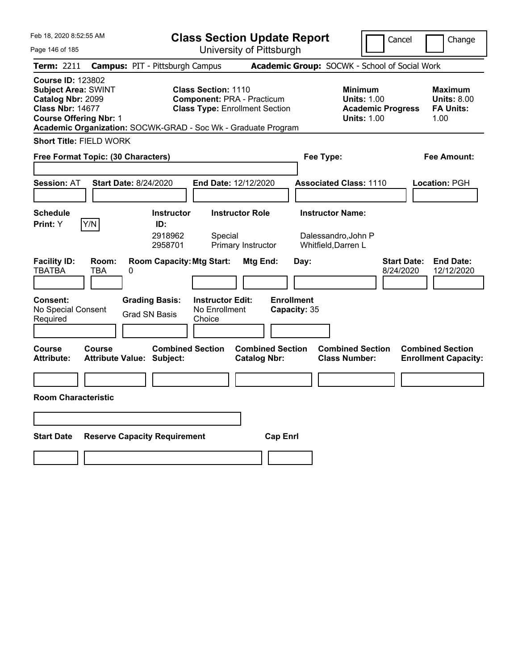| Feb 18, 2020 8:52:55 AM                                                                                                                                                                                  |                                                             |                                                    | <b>Class Section Update Report</b>                                         |                                   |                                                            | Cancel                          | Change                                                    |
|----------------------------------------------------------------------------------------------------------------------------------------------------------------------------------------------------------|-------------------------------------------------------------|----------------------------------------------------|----------------------------------------------------------------------------|-----------------------------------|------------------------------------------------------------|---------------------------------|-----------------------------------------------------------|
| Page 146 of 185                                                                                                                                                                                          |                                                             |                                                    | University of Pittsburgh                                                   |                                   |                                                            |                                 |                                                           |
| Term: 2211                                                                                                                                                                                               | <b>Campus: PIT - Pittsburgh Campus</b>                      |                                                    |                                                                            |                                   | Academic Group: SOCWK - School of Social Work              |                                 |                                                           |
| <b>Course ID: 123802</b><br><b>Subject Area: SWINT</b><br>Catalog Nbr: 2099<br><b>Class Nbr: 14677</b><br><b>Course Offering Nbr: 1</b><br>Academic Organization: SOCWK-GRAD - Soc Wk - Graduate Program |                                                             | <b>Class Section: 1110</b>                         | <b>Component: PRA - Practicum</b><br><b>Class Type: Enrollment Section</b> |                                   | <b>Minimum</b><br><b>Units: 1.00</b><br><b>Units: 1.00</b> | <b>Academic Progress</b>        | Maximum<br><b>Units: 8.00</b><br><b>FA Units:</b><br>1.00 |
| <b>Short Title: FIELD WORK</b>                                                                                                                                                                           |                                                             |                                                    |                                                                            |                                   |                                                            |                                 |                                                           |
| Free Format Topic: (30 Characters)                                                                                                                                                                       |                                                             |                                                    |                                                                            |                                   | Fee Type:                                                  |                                 | Fee Amount:                                               |
|                                                                                                                                                                                                          |                                                             |                                                    |                                                                            |                                   |                                                            |                                 |                                                           |
| <b>Session: AT</b>                                                                                                                                                                                       | <b>Start Date: 8/24/2020</b>                                | <b>End Date: 12/12/2020</b>                        |                                                                            |                                   | <b>Associated Class: 1110</b>                              |                                 | Location: PGH                                             |
|                                                                                                                                                                                                          |                                                             |                                                    |                                                                            |                                   |                                                            |                                 |                                                           |
| <b>Schedule</b>                                                                                                                                                                                          | <b>Instructor</b>                                           |                                                    | <b>Instructor Role</b>                                                     |                                   | <b>Instructor Name:</b>                                    |                                 |                                                           |
| Y/N<br>Print: Y                                                                                                                                                                                          | ID:<br>2918962<br>2958701                                   | Special                                            | Primary Instructor                                                         |                                   | Dalessandro, John P<br>Whitfield, Darren L                 |                                 |                                                           |
| <b>Facility ID:</b><br>Room:<br><b>TBATBA</b><br><b>TBA</b>                                                                                                                                              | <b>Room Capacity: Mtg Start:</b><br>0                       |                                                    | Mtg End:                                                                   | Day:                              |                                                            | <b>Start Date:</b><br>8/24/2020 | <b>End Date:</b><br>12/12/2020                            |
| <b>Consent:</b><br>No Special Consent<br>Required                                                                                                                                                        | <b>Grading Basis:</b><br><b>Grad SN Basis</b>               | <b>Instructor Edit:</b><br>No Enrollment<br>Choice |                                                                            | <b>Enrollment</b><br>Capacity: 35 |                                                            |                                 |                                                           |
| Course<br>Course<br><b>Attribute:</b>                                                                                                                                                                    | <b>Combined Section</b><br><b>Attribute Value: Subject:</b> |                                                    | <b>Combined Section</b><br><b>Catalog Nbr:</b>                             |                                   | <b>Combined Section</b><br><b>Class Number:</b>            |                                 | <b>Combined Section</b><br><b>Enrollment Capacity:</b>    |
|                                                                                                                                                                                                          |                                                             |                                                    |                                                                            |                                   |                                                            |                                 |                                                           |
| <b>Room Characteristic</b>                                                                                                                                                                               |                                                             |                                                    |                                                                            |                                   |                                                            |                                 |                                                           |
|                                                                                                                                                                                                          |                                                             |                                                    |                                                                            |                                   |                                                            |                                 |                                                           |
| <b>Start Date</b>                                                                                                                                                                                        | <b>Reserve Capacity Requirement</b>                         |                                                    | <b>Cap Enrl</b>                                                            |                                   |                                                            |                                 |                                                           |
|                                                                                                                                                                                                          |                                                             |                                                    |                                                                            |                                   |                                                            |                                 |                                                           |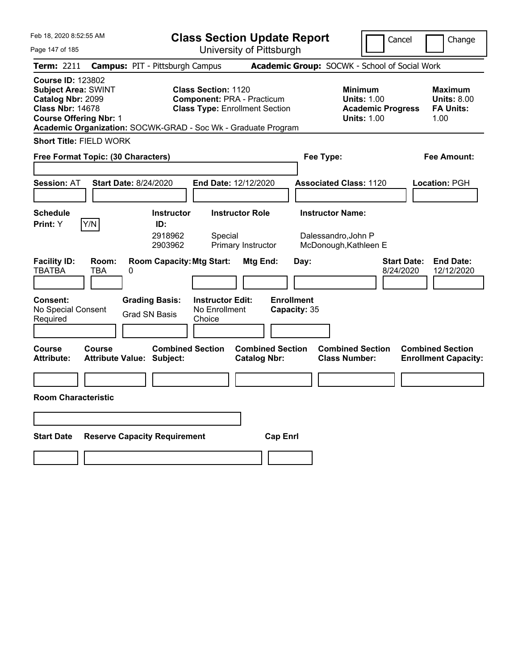| Feb 18, 2020 8:52:55 AM                                                                                                                                                                                  |                                                   |                                               | <b>Class Section Update Report</b>                                                                |                                                |                                   |                                                 | Cancel                                                                                 | Change                                                    |
|----------------------------------------------------------------------------------------------------------------------------------------------------------------------------------------------------------|---------------------------------------------------|-----------------------------------------------|---------------------------------------------------------------------------------------------------|------------------------------------------------|-----------------------------------|-------------------------------------------------|----------------------------------------------------------------------------------------|-----------------------------------------------------------|
| Page 147 of 185                                                                                                                                                                                          |                                                   |                                               |                                                                                                   | University of Pittsburgh                       |                                   |                                                 |                                                                                        |                                                           |
| <b>Term: 2211</b>                                                                                                                                                                                        | <b>Campus: PIT - Pittsburgh Campus</b>            |                                               |                                                                                                   |                                                |                                   | Academic Group: SOCWK - School of Social Work   |                                                                                        |                                                           |
| <b>Course ID: 123802</b><br><b>Subject Area: SWINT</b><br>Catalog Nbr: 2099<br><b>Class Nbr: 14678</b><br><b>Course Offering Nbr: 1</b><br>Academic Organization: SOCWK-GRAD - Soc Wk - Graduate Program |                                                   |                                               | Class Section: 1120<br><b>Component: PRA - Practicum</b><br><b>Class Type: Enrollment Section</b> |                                                |                                   |                                                 | <b>Minimum</b><br><b>Units: 1.00</b><br><b>Academic Progress</b><br><b>Units: 1.00</b> | Maximum<br><b>Units: 8.00</b><br><b>FA Units:</b><br>1.00 |
| <b>Short Title: FIELD WORK</b>                                                                                                                                                                           |                                                   |                                               |                                                                                                   |                                                |                                   |                                                 |                                                                                        |                                                           |
| Free Format Topic: (30 Characters)                                                                                                                                                                       |                                                   |                                               |                                                                                                   |                                                |                                   | Fee Type:                                       |                                                                                        | Fee Amount:                                               |
|                                                                                                                                                                                                          |                                                   |                                               |                                                                                                   |                                                |                                   |                                                 |                                                                                        |                                                           |
| <b>Session: AT</b>                                                                                                                                                                                       | <b>Start Date: 8/24/2020</b>                      |                                               | <b>End Date: 12/12/2020</b>                                                                       |                                                |                                   | <b>Associated Class: 1120</b>                   |                                                                                        | Location: PGH                                             |
|                                                                                                                                                                                                          |                                                   |                                               |                                                                                                   |                                                |                                   |                                                 |                                                                                        |                                                           |
| <b>Schedule</b>                                                                                                                                                                                          |                                                   | <b>Instructor</b>                             |                                                                                                   | <b>Instructor Role</b>                         |                                   | <b>Instructor Name:</b>                         |                                                                                        |                                                           |
| Y/N<br>Print: Y                                                                                                                                                                                          |                                                   | ID:<br>2918962<br>2903962                     | Special                                                                                           | Primary Instructor                             |                                   | Dalessandro, John P<br>McDonough, Kathleen E    |                                                                                        |                                                           |
| <b>Facility ID:</b><br><b>TBATBA</b>                                                                                                                                                                     | Room:<br><b>TBA</b><br>0                          | <b>Room Capacity: Mtg Start:</b>              |                                                                                                   | Mtg End:                                       | Day:                              |                                                 | 8/24/2020                                                                              | <b>End Date:</b><br><b>Start Date:</b><br>12/12/2020      |
| <b>Consent:</b><br>No Special Consent<br>Required                                                                                                                                                        |                                                   | <b>Grading Basis:</b><br><b>Grad SN Basis</b> | <b>Instructor Edit:</b><br>No Enrollment<br>Choice                                                |                                                | <b>Enrollment</b><br>Capacity: 35 |                                                 |                                                                                        |                                                           |
| Course<br><b>Attribute:</b>                                                                                                                                                                              | <b>Course</b><br><b>Attribute Value: Subject:</b> | <b>Combined Section</b>                       |                                                                                                   | <b>Combined Section</b><br><b>Catalog Nbr:</b> |                                   | <b>Combined Section</b><br><b>Class Number:</b> |                                                                                        | <b>Combined Section</b><br><b>Enrollment Capacity:</b>    |
|                                                                                                                                                                                                          |                                                   |                                               |                                                                                                   |                                                |                                   |                                                 |                                                                                        |                                                           |
| <b>Room Characteristic</b>                                                                                                                                                                               |                                                   |                                               |                                                                                                   |                                                |                                   |                                                 |                                                                                        |                                                           |
|                                                                                                                                                                                                          |                                                   |                                               |                                                                                                   |                                                |                                   |                                                 |                                                                                        |                                                           |
| <b>Start Date</b>                                                                                                                                                                                        | <b>Reserve Capacity Requirement</b>               |                                               |                                                                                                   |                                                | <b>Cap Enrl</b>                   |                                                 |                                                                                        |                                                           |
|                                                                                                                                                                                                          |                                                   |                                               |                                                                                                   |                                                |                                   |                                                 |                                                                                        |                                                           |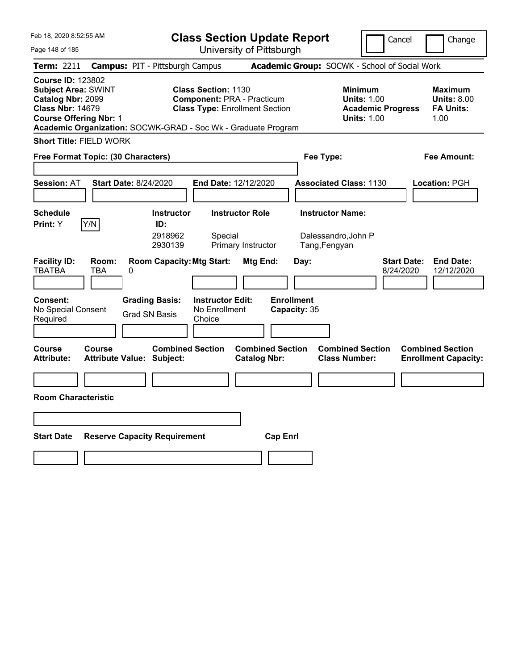| Feb 18, 2020 8:52:55 AM                                                                                                                 |                     |                                                               | <b>Class Section Update Report</b>                                                                |                                                |                                   |                                               |                                                                                        | Cancel                          | Change                                                    |
|-----------------------------------------------------------------------------------------------------------------------------------------|---------------------|---------------------------------------------------------------|---------------------------------------------------------------------------------------------------|------------------------------------------------|-----------------------------------|-----------------------------------------------|----------------------------------------------------------------------------------------|---------------------------------|-----------------------------------------------------------|
| Page 148 of 185                                                                                                                         |                     |                                                               |                                                                                                   | University of Pittsburgh                       |                                   |                                               |                                                                                        |                                 |                                                           |
| <b>Term: 2211</b>                                                                                                                       |                     | <b>Campus: PIT - Pittsburgh Campus</b>                        |                                                                                                   |                                                |                                   | Academic Group: SOCWK - School of Social Work |                                                                                        |                                 |                                                           |
| <b>Course ID: 123802</b><br><b>Subject Area: SWINT</b><br>Catalog Nbr: 2099<br><b>Class Nbr: 14679</b><br><b>Course Offering Nbr: 1</b> |                     | Academic Organization: SOCWK-GRAD - Soc Wk - Graduate Program | Class Section: 1130<br><b>Component: PRA - Practicum</b><br><b>Class Type: Enrollment Section</b> |                                                |                                   |                                               | <b>Minimum</b><br><b>Units: 1.00</b><br><b>Academic Progress</b><br><b>Units: 1.00</b> |                                 | Maximum<br><b>Units: 8.00</b><br><b>FA Units:</b><br>1.00 |
| <b>Short Title: FIELD WORK</b>                                                                                                          |                     |                                                               |                                                                                                   |                                                |                                   |                                               |                                                                                        |                                 |                                                           |
| Free Format Topic: (30 Characters)                                                                                                      |                     |                                                               |                                                                                                   |                                                |                                   | Fee Type:                                     |                                                                                        |                                 | Fee Amount:                                               |
|                                                                                                                                         |                     |                                                               |                                                                                                   |                                                |                                   |                                               |                                                                                        |                                 |                                                           |
| <b>Session: AT</b>                                                                                                                      |                     | <b>Start Date: 8/24/2020</b>                                  | <b>End Date: 12/12/2020</b>                                                                       |                                                |                                   | <b>Associated Class: 1130</b>                 |                                                                                        |                                 | Location: PGH                                             |
|                                                                                                                                         |                     |                                                               |                                                                                                   |                                                |                                   |                                               |                                                                                        |                                 |                                                           |
| <b>Schedule</b>                                                                                                                         |                     | <b>Instructor</b>                                             |                                                                                                   | <b>Instructor Role</b>                         |                                   | <b>Instructor Name:</b>                       |                                                                                        |                                 |                                                           |
| Print: Y                                                                                                                                | Y/N                 | ID:<br>2918962<br>2930139                                     | Special                                                                                           | Primary Instructor                             |                                   | Dalessandro, John P<br>Tang, Fengyan          |                                                                                        |                                 |                                                           |
| <b>Facility ID:</b><br><b>TBATBA</b>                                                                                                    | Room:<br><b>TBA</b> | <b>Room Capacity: Mtg Start:</b><br>0                         |                                                                                                   | <b>Mtg End:</b>                                | Day:                              |                                               |                                                                                        | <b>Start Date:</b><br>8/24/2020 | <b>End Date:</b><br>12/12/2020                            |
| <b>Consent:</b><br>No Special Consent<br>Required                                                                                       |                     | <b>Grading Basis:</b><br><b>Grad SN Basis</b>                 | <b>Instructor Edit:</b><br>No Enrollment<br>Choice                                                |                                                | <b>Enrollment</b><br>Capacity: 35 |                                               |                                                                                        |                                 |                                                           |
| Course<br><b>Attribute:</b>                                                                                                             | <b>Course</b>       | <b>Combined Section</b><br><b>Attribute Value: Subject:</b>   |                                                                                                   | <b>Combined Section</b><br><b>Catalog Nbr:</b> |                                   |                                               | <b>Combined Section</b><br><b>Class Number:</b>                                        |                                 | <b>Combined Section</b><br><b>Enrollment Capacity:</b>    |
|                                                                                                                                         |                     |                                                               |                                                                                                   |                                                |                                   |                                               |                                                                                        |                                 |                                                           |
| <b>Room Characteristic</b>                                                                                                              |                     |                                                               |                                                                                                   |                                                |                                   |                                               |                                                                                        |                                 |                                                           |
|                                                                                                                                         |                     |                                                               |                                                                                                   |                                                |                                   |                                               |                                                                                        |                                 |                                                           |
| <b>Start Date</b>                                                                                                                       |                     | <b>Reserve Capacity Requirement</b>                           |                                                                                                   |                                                | <b>Cap Enrl</b>                   |                                               |                                                                                        |                                 |                                                           |
|                                                                                                                                         |                     |                                                               |                                                                                                   |                                                |                                   |                                               |                                                                                        |                                 |                                                           |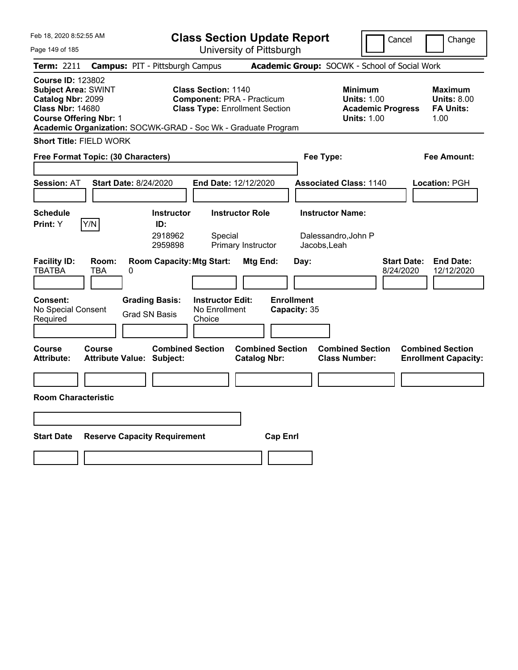| Feb 18, 2020 8:52:55 AM                                                                                                                                                                                  |                              |                                                             | <b>Class Section Update Report</b>                                                                       |                                                |                                   |      |                                                 |                                                                                        | Cancel                          |               | Change                                                 |
|----------------------------------------------------------------------------------------------------------------------------------------------------------------------------------------------------------|------------------------------|-------------------------------------------------------------|----------------------------------------------------------------------------------------------------------|------------------------------------------------|-----------------------------------|------|-------------------------------------------------|----------------------------------------------------------------------------------------|---------------------------------|---------------|--------------------------------------------------------|
| Page 149 of 185                                                                                                                                                                                          |                              |                                                             | University of Pittsburgh                                                                                 |                                                |                                   |      |                                                 |                                                                                        |                                 |               |                                                        |
| <b>Term: 2211</b>                                                                                                                                                                                        |                              | <b>Campus: PIT - Pittsburgh Campus</b>                      |                                                                                                          |                                                |                                   |      | Academic Group: SOCWK - School of Social Work   |                                                                                        |                                 |               |                                                        |
| <b>Course ID: 123802</b><br><b>Subject Area: SWINT</b><br>Catalog Nbr: 2099<br><b>Class Nbr: 14680</b><br><b>Course Offering Nbr: 1</b><br>Academic Organization: SOCWK-GRAD - Soc Wk - Graduate Program |                              |                                                             | <b>Class Section: 1140</b><br><b>Component: PRA - Practicum</b><br><b>Class Type: Enrollment Section</b> |                                                |                                   |      |                                                 | <b>Minimum</b><br><b>Units: 1.00</b><br><b>Academic Progress</b><br><b>Units: 1.00</b> |                                 | 1.00          | Maximum<br><b>Units: 8.00</b><br><b>FA Units:</b>      |
| <b>Short Title: FIELD WORK</b>                                                                                                                                                                           |                              |                                                             |                                                                                                          |                                                |                                   |      |                                                 |                                                                                        |                                 |               |                                                        |
| Free Format Topic: (30 Characters)                                                                                                                                                                       |                              |                                                             |                                                                                                          |                                                |                                   |      | Fee Type:                                       |                                                                                        |                                 |               | Fee Amount:                                            |
|                                                                                                                                                                                                          |                              |                                                             |                                                                                                          |                                                |                                   |      |                                                 |                                                                                        |                                 |               |                                                        |
| <b>Session: AT</b>                                                                                                                                                                                       | <b>Start Date: 8/24/2020</b> |                                                             | <b>End Date: 12/12/2020</b>                                                                              |                                                |                                   |      | <b>Associated Class: 1140</b>                   |                                                                                        |                                 | Location: PGH |                                                        |
|                                                                                                                                                                                                          |                              |                                                             |                                                                                                          |                                                |                                   |      |                                                 |                                                                                        |                                 |               |                                                        |
| <b>Schedule</b>                                                                                                                                                                                          |                              | <b>Instructor</b>                                           |                                                                                                          | <b>Instructor Role</b>                         |                                   |      | <b>Instructor Name:</b>                         |                                                                                        |                                 |               |                                                        |
| Print: Y                                                                                                                                                                                                 | Y/N                          | ID:<br>2918962<br>2959898                                   | Special                                                                                                  | Primary Instructor                             |                                   |      | Dalessandro, John P<br>Jacobs, Leah             |                                                                                        |                                 |               |                                                        |
| <b>Facility ID:</b><br><b>TBATBA</b>                                                                                                                                                                     | Room:<br><b>TBA</b><br>0     | <b>Room Capacity: Mtg Start:</b>                            |                                                                                                          | Mtg End:                                       |                                   | Day: |                                                 |                                                                                        | <b>Start Date:</b><br>8/24/2020 |               | <b>End Date:</b><br>12/12/2020                         |
| <b>Consent:</b><br>No Special Consent<br>Required                                                                                                                                                        |                              | <b>Grading Basis:</b><br><b>Grad SN Basis</b>               | <b>Instructor Edit:</b><br>No Enrollment<br>Choice                                                       |                                                | <b>Enrollment</b><br>Capacity: 35 |      |                                                 |                                                                                        |                                 |               |                                                        |
| Course<br><b>Attribute:</b>                                                                                                                                                                              | <b>Course</b>                | <b>Combined Section</b><br><b>Attribute Value: Subject:</b> |                                                                                                          | <b>Combined Section</b><br><b>Catalog Nbr:</b> |                                   |      | <b>Combined Section</b><br><b>Class Number:</b> |                                                                                        |                                 |               | <b>Combined Section</b><br><b>Enrollment Capacity:</b> |
|                                                                                                                                                                                                          |                              |                                                             |                                                                                                          |                                                |                                   |      |                                                 |                                                                                        |                                 |               |                                                        |
| <b>Room Characteristic</b>                                                                                                                                                                               |                              |                                                             |                                                                                                          |                                                |                                   |      |                                                 |                                                                                        |                                 |               |                                                        |
|                                                                                                                                                                                                          |                              |                                                             |                                                                                                          |                                                |                                   |      |                                                 |                                                                                        |                                 |               |                                                        |
| <b>Start Date</b>                                                                                                                                                                                        |                              | <b>Reserve Capacity Requirement</b>                         |                                                                                                          |                                                | <b>Cap Enrl</b>                   |      |                                                 |                                                                                        |                                 |               |                                                        |
|                                                                                                                                                                                                          |                              |                                                             |                                                                                                          |                                                |                                   |      |                                                 |                                                                                        |                                 |               |                                                        |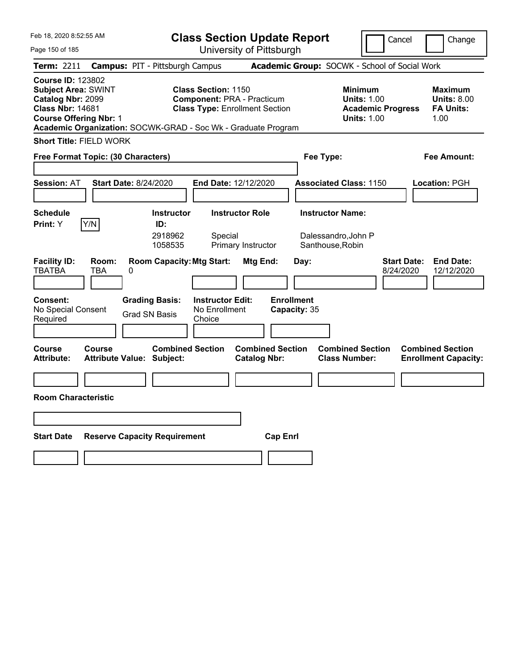| Feb 18, 2020 8:52:55 AM                                                                                                                                                                                  |                                                                |                                          | <b>Class Section Update Report</b>                                         |                                             |                                                                                        | Cancel                          | Change                                                           |
|----------------------------------------------------------------------------------------------------------------------------------------------------------------------------------------------------------|----------------------------------------------------------------|------------------------------------------|----------------------------------------------------------------------------|---------------------------------------------|----------------------------------------------------------------------------------------|---------------------------------|------------------------------------------------------------------|
| Page 150 of 185                                                                                                                                                                                          |                                                                |                                          | University of Pittsburgh                                                   |                                             |                                                                                        |                                 |                                                                  |
| Term: 2211                                                                                                                                                                                               | <b>Campus: PIT - Pittsburgh Campus</b>                         |                                          |                                                                            |                                             | Academic Group: SOCWK - School of Social Work                                          |                                 |                                                                  |
| <b>Course ID: 123802</b><br><b>Subject Area: SWINT</b><br>Catalog Nbr: 2099<br><b>Class Nbr: 14681</b><br><b>Course Offering Nbr: 1</b><br>Academic Organization: SOCWK-GRAD - Soc Wk - Graduate Program |                                                                | <b>Class Section: 1150</b>               | <b>Component: PRA - Practicum</b><br><b>Class Type: Enrollment Section</b> |                                             | <b>Minimum</b><br><b>Units: 1.00</b><br><b>Academic Progress</b><br><b>Units: 1.00</b> |                                 | <b>Maximum</b><br><b>Units: 8.00</b><br><b>FA Units:</b><br>1.00 |
| <b>Short Title: FIELD WORK</b>                                                                                                                                                                           |                                                                |                                          |                                                                            |                                             |                                                                                        |                                 |                                                                  |
| Free Format Topic: (30 Characters)                                                                                                                                                                       |                                                                |                                          |                                                                            | Fee Type:                                   |                                                                                        |                                 | Fee Amount:                                                      |
| <b>Session: AT</b>                                                                                                                                                                                       | <b>Start Date: 8/24/2020</b>                                   | End Date: 12/12/2020                     |                                                                            |                                             | <b>Associated Class: 1150</b>                                                          |                                 | <b>Location: PGH</b>                                             |
| <b>Schedule</b><br>Y/N<br>Print: Y                                                                                                                                                                       | <b>Instructor</b><br>ID:<br>2918962<br>1058535                 | Special                                  | <b>Instructor Role</b><br>Primary Instructor                               | <b>Instructor Name:</b><br>Santhouse, Robin | Dalessandro, John P                                                                    |                                 |                                                                  |
| <b>Facility ID:</b><br>Room:<br><b>TBATBA</b><br>TBA<br><b>Consent:</b><br>No Special Consent                                                                                                            | <b>Room Capacity: Mtg Start:</b><br>0<br><b>Grading Basis:</b> | <b>Instructor Edit:</b><br>No Enrollment | Mtg End:                                                                   | Day:<br><b>Enrollment</b><br>Capacity: 35   |                                                                                        | <b>Start Date:</b><br>8/24/2020 | <b>End Date:</b><br>12/12/2020                                   |
| Required                                                                                                                                                                                                 | <b>Grad SN Basis</b>                                           | Choice                                   |                                                                            |                                             |                                                                                        |                                 |                                                                  |
|                                                                                                                                                                                                          |                                                                |                                          |                                                                            |                                             |                                                                                        |                                 |                                                                  |
| <b>Course</b><br>Course<br><b>Attribute:</b>                                                                                                                                                             | <b>Combined Section</b><br><b>Attribute Value: Subject:</b>    |                                          | <b>Combined Section</b><br><b>Catalog Nbr:</b>                             |                                             | <b>Combined Section</b><br><b>Class Number:</b>                                        |                                 | <b>Combined Section</b><br><b>Enrollment Capacity:</b>           |
|                                                                                                                                                                                                          |                                                                |                                          |                                                                            |                                             |                                                                                        |                                 |                                                                  |
| <b>Room Characteristic</b>                                                                                                                                                                               |                                                                |                                          |                                                                            |                                             |                                                                                        |                                 |                                                                  |
|                                                                                                                                                                                                          |                                                                |                                          |                                                                            |                                             |                                                                                        |                                 |                                                                  |
| <b>Start Date</b>                                                                                                                                                                                        | <b>Reserve Capacity Requirement</b>                            |                                          | <b>Cap Enrl</b>                                                            |                                             |                                                                                        |                                 |                                                                  |
|                                                                                                                                                                                                          |                                                                |                                          |                                                                            |                                             |                                                                                        |                                 |                                                                  |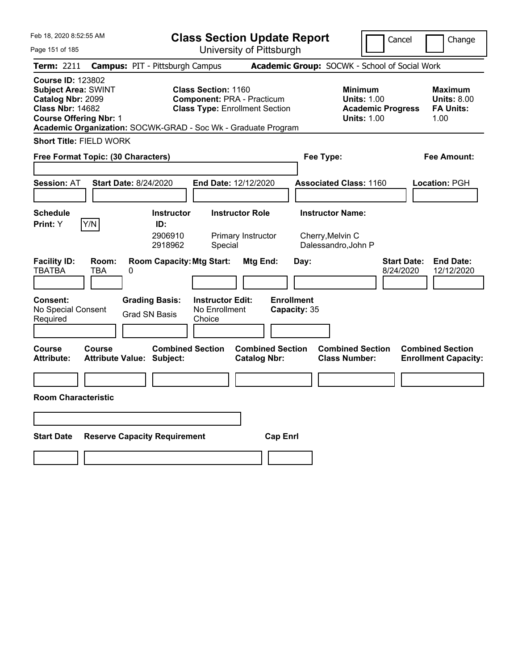| Feb 18, 2020 8:52:55 AM                                                                                                                                                                                  |                                                             |                                                    | <b>Class Section Update Report</b>                                         |                                   |                                                            | Cancel                          | Change                                                    |
|----------------------------------------------------------------------------------------------------------------------------------------------------------------------------------------------------------|-------------------------------------------------------------|----------------------------------------------------|----------------------------------------------------------------------------|-----------------------------------|------------------------------------------------------------|---------------------------------|-----------------------------------------------------------|
| Page 151 of 185                                                                                                                                                                                          |                                                             |                                                    | University of Pittsburgh                                                   |                                   |                                                            |                                 |                                                           |
| Term: 2211                                                                                                                                                                                               | <b>Campus: PIT - Pittsburgh Campus</b>                      |                                                    |                                                                            |                                   | Academic Group: SOCWK - School of Social Work              |                                 |                                                           |
| <b>Course ID: 123802</b><br><b>Subject Area: SWINT</b><br>Catalog Nbr: 2099<br><b>Class Nbr: 14682</b><br><b>Course Offering Nbr: 1</b><br>Academic Organization: SOCWK-GRAD - Soc Wk - Graduate Program |                                                             | <b>Class Section: 1160</b>                         | <b>Component: PRA - Practicum</b><br><b>Class Type: Enrollment Section</b> |                                   | <b>Minimum</b><br><b>Units: 1.00</b><br><b>Units: 1.00</b> | <b>Academic Progress</b>        | Maximum<br><b>Units: 8.00</b><br><b>FA Units:</b><br>1.00 |
| <b>Short Title: FIELD WORK</b>                                                                                                                                                                           |                                                             |                                                    |                                                                            |                                   |                                                            |                                 |                                                           |
| Free Format Topic: (30 Characters)                                                                                                                                                                       |                                                             |                                                    |                                                                            |                                   | Fee Type:                                                  |                                 | Fee Amount:                                               |
|                                                                                                                                                                                                          |                                                             |                                                    |                                                                            |                                   |                                                            |                                 |                                                           |
| <b>Session: AT</b>                                                                                                                                                                                       | <b>Start Date: 8/24/2020</b>                                | <b>End Date: 12/12/2020</b>                        |                                                                            |                                   | <b>Associated Class: 1160</b>                              |                                 | Location: PGH                                             |
|                                                                                                                                                                                                          |                                                             |                                                    |                                                                            |                                   |                                                            |                                 |                                                           |
| <b>Schedule</b>                                                                                                                                                                                          | <b>Instructor</b>                                           |                                                    | <b>Instructor Role</b>                                                     |                                   | <b>Instructor Name:</b>                                    |                                 |                                                           |
| Y/N<br>Print: Y                                                                                                                                                                                          | ID:<br>2906910<br>2918962                                   | Special                                            | Primary Instructor                                                         |                                   | Cherry, Melvin C<br>Dalessandro, John P                    |                                 |                                                           |
| <b>Facility ID:</b><br>Room:<br><b>TBATBA</b><br><b>TBA</b><br>0                                                                                                                                         | <b>Room Capacity: Mtg Start:</b>                            |                                                    | Mtg End:                                                                   | Day:                              |                                                            | <b>Start Date:</b><br>8/24/2020 | <b>End Date:</b><br>12/12/2020                            |
| <b>Consent:</b><br>No Special Consent<br>Required                                                                                                                                                        | <b>Grading Basis:</b><br><b>Grad SN Basis</b>               | <b>Instructor Edit:</b><br>No Enrollment<br>Choice |                                                                            | <b>Enrollment</b><br>Capacity: 35 |                                                            |                                 |                                                           |
| Course<br>Course<br><b>Attribute:</b>                                                                                                                                                                    | <b>Combined Section</b><br><b>Attribute Value: Subject:</b> |                                                    | <b>Combined Section</b><br><b>Catalog Nbr:</b>                             |                                   | <b>Combined Section</b><br><b>Class Number:</b>            |                                 | <b>Combined Section</b><br><b>Enrollment Capacity:</b>    |
|                                                                                                                                                                                                          |                                                             |                                                    |                                                                            |                                   |                                                            |                                 |                                                           |
| <b>Room Characteristic</b>                                                                                                                                                                               |                                                             |                                                    |                                                                            |                                   |                                                            |                                 |                                                           |
|                                                                                                                                                                                                          |                                                             |                                                    |                                                                            |                                   |                                                            |                                 |                                                           |
| <b>Start Date</b>                                                                                                                                                                                        | <b>Reserve Capacity Requirement</b>                         |                                                    | <b>Cap Enrl</b>                                                            |                                   |                                                            |                                 |                                                           |
|                                                                                                                                                                                                          |                                                             |                                                    |                                                                            |                                   |                                                            |                                 |                                                           |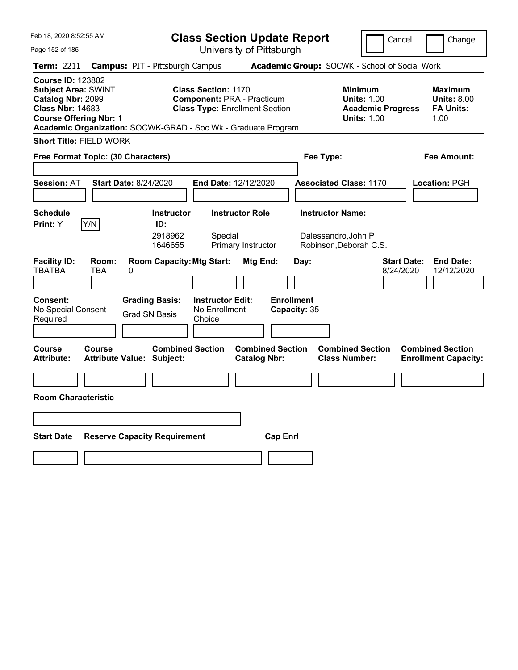| Feb 18, 2020 8:52:55 AM                                                                                                                 |                          |                                                               | <b>Class Section Update Report</b>                                                                       |                                                |                                   |                                                |                                                                                        | Cancel                          | Change                                                           |
|-----------------------------------------------------------------------------------------------------------------------------------------|--------------------------|---------------------------------------------------------------|----------------------------------------------------------------------------------------------------------|------------------------------------------------|-----------------------------------|------------------------------------------------|----------------------------------------------------------------------------------------|---------------------------------|------------------------------------------------------------------|
| Page 152 of 185                                                                                                                         |                          |                                                               | University of Pittsburgh                                                                                 |                                                |                                   |                                                |                                                                                        |                                 |                                                                  |
| <b>Term: 2211</b>                                                                                                                       |                          | <b>Campus: PIT - Pittsburgh Campus</b>                        |                                                                                                          |                                                |                                   |                                                | Academic Group: SOCWK - School of Social Work                                          |                                 |                                                                  |
| <b>Course ID: 123802</b><br><b>Subject Area: SWINT</b><br>Catalog Nbr: 2099<br><b>Class Nbr: 14683</b><br><b>Course Offering Nbr: 1</b> |                          | Academic Organization: SOCWK-GRAD - Soc Wk - Graduate Program | <b>Class Section: 1170</b><br><b>Component: PRA - Practicum</b><br><b>Class Type: Enrollment Section</b> |                                                |                                   |                                                | <b>Minimum</b><br><b>Units: 1.00</b><br><b>Academic Progress</b><br><b>Units: 1.00</b> |                                 | <b>Maximum</b><br><b>Units: 8.00</b><br><b>FA Units:</b><br>1.00 |
| <b>Short Title: FIELD WORK</b>                                                                                                          |                          |                                                               |                                                                                                          |                                                |                                   |                                                |                                                                                        |                                 |                                                                  |
| Free Format Topic: (30 Characters)                                                                                                      |                          |                                                               |                                                                                                          |                                                |                                   | Fee Type:                                      |                                                                                        |                                 | Fee Amount:                                                      |
|                                                                                                                                         |                          |                                                               |                                                                                                          |                                                |                                   |                                                |                                                                                        |                                 |                                                                  |
| <b>Session: AT</b>                                                                                                                      |                          | <b>Start Date: 8/24/2020</b>                                  | End Date: 12/12/2020                                                                                     |                                                |                                   |                                                | <b>Associated Class: 1170</b>                                                          |                                 | <b>Location: PGH</b>                                             |
|                                                                                                                                         |                          |                                                               |                                                                                                          |                                                |                                   |                                                |                                                                                        |                                 |                                                                  |
| <b>Schedule</b><br>Y/N<br>Print: Y                                                                                                      |                          | <b>Instructor</b><br>ID:<br>2918962<br>1646655                | Special                                                                                                  | <b>Instructor Role</b><br>Primary Instructor   |                                   | <b>Instructor Name:</b><br>Dalessandro, John P | Robinson, Deborah C.S.                                                                 |                                 |                                                                  |
| <b>Facility ID:</b><br><b>TBATBA</b>                                                                                                    | Room:<br><b>TBA</b><br>0 | <b>Room Capacity: Mtg Start:</b>                              |                                                                                                          | Mtg End:                                       |                                   | Day:                                           |                                                                                        | <b>Start Date:</b><br>8/24/2020 | <b>End Date:</b><br>12/12/2020                                   |
| <b>Consent:</b><br>No Special Consent<br>Required                                                                                       |                          | <b>Grading Basis:</b><br><b>Grad SN Basis</b>                 | <b>Instructor Edit:</b><br>No Enrollment<br>Choice                                                       |                                                | <b>Enrollment</b><br>Capacity: 35 |                                                |                                                                                        |                                 |                                                                  |
| <b>Course</b><br><b>Attribute:</b>                                                                                                      | <b>Course</b>            | <b>Combined Section</b><br><b>Attribute Value: Subject:</b>   |                                                                                                          | <b>Combined Section</b><br><b>Catalog Nbr:</b> |                                   |                                                | <b>Combined Section</b><br><b>Class Number:</b>                                        |                                 | <b>Combined Section</b><br><b>Enrollment Capacity:</b>           |
|                                                                                                                                         |                          |                                                               |                                                                                                          |                                                |                                   |                                                |                                                                                        |                                 |                                                                  |
| <b>Room Characteristic</b>                                                                                                              |                          |                                                               |                                                                                                          |                                                |                                   |                                                |                                                                                        |                                 |                                                                  |
|                                                                                                                                         |                          |                                                               |                                                                                                          |                                                |                                   |                                                |                                                                                        |                                 |                                                                  |
| <b>Start Date</b>                                                                                                                       |                          | <b>Reserve Capacity Requirement</b>                           |                                                                                                          |                                                | <b>Cap Enri</b>                   |                                                |                                                                                        |                                 |                                                                  |
|                                                                                                                                         |                          |                                                               |                                                                                                          |                                                |                                   |                                                |                                                                                        |                                 |                                                                  |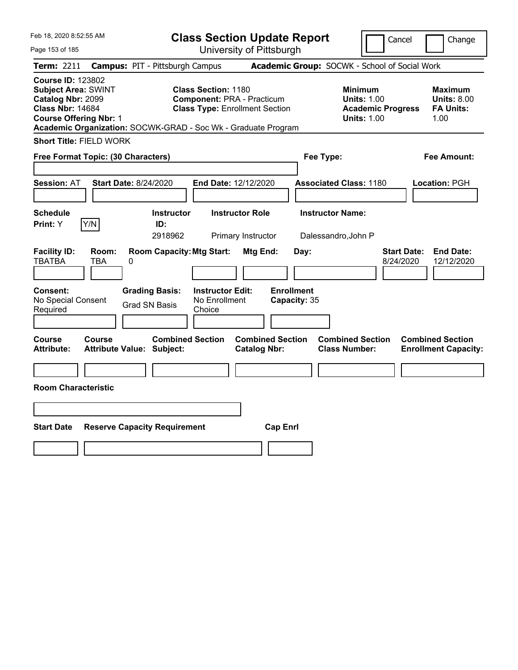| Feb 18, 2020 8:52:55 AM                                                                                                                                                                                  |                                                             | <b>Class Section Update Report</b>                                                                       |                                                |                                                                                        | Change<br>Cancel                                                  |
|----------------------------------------------------------------------------------------------------------------------------------------------------------------------------------------------------------|-------------------------------------------------------------|----------------------------------------------------------------------------------------------------------|------------------------------------------------|----------------------------------------------------------------------------------------|-------------------------------------------------------------------|
| Page 153 of 185                                                                                                                                                                                          |                                                             | University of Pittsburgh                                                                                 |                                                |                                                                                        |                                                                   |
| Term: 2211                                                                                                                                                                                               | <b>Campus: PIT - Pittsburgh Campus</b>                      |                                                                                                          |                                                | Academic Group: SOCWK - School of Social Work                                          |                                                                   |
| <b>Course ID: 123802</b><br><b>Subject Area: SWINT</b><br>Catalog Nbr: 2099<br><b>Class Nbr: 14684</b><br><b>Course Offering Nbr: 1</b><br>Academic Organization: SOCWK-GRAD - Soc Wk - Graduate Program |                                                             | <b>Class Section: 1180</b><br><b>Component: PRA - Practicum</b><br><b>Class Type: Enrollment Section</b> |                                                | <b>Minimum</b><br><b>Units: 1.00</b><br><b>Academic Progress</b><br><b>Units: 1.00</b> | Maximum<br><b>Units: 8.00</b><br><b>FA Units:</b><br>1.00         |
| <b>Short Title: FIELD WORK</b>                                                                                                                                                                           |                                                             |                                                                                                          |                                                |                                                                                        |                                                                   |
| Free Format Topic: (30 Characters)                                                                                                                                                                       |                                                             |                                                                                                          |                                                | Fee Type:                                                                              | Fee Amount:                                                       |
| <b>Session: AT</b>                                                                                                                                                                                       | <b>Start Date: 8/24/2020</b>                                | End Date: 12/12/2020                                                                                     |                                                | <b>Associated Class: 1180</b>                                                          | Location: PGH                                                     |
| <b>Schedule</b><br>Y/N<br>Print: Y                                                                                                                                                                       | <b>Instructor</b><br>ID:<br>2918962                         | <b>Instructor Role</b><br>Primary Instructor                                                             |                                                | <b>Instructor Name:</b><br>Dalessandro, John P                                         |                                                                   |
| <b>Facility ID:</b><br>Room:<br><b>TBATBA</b><br>TBA                                                                                                                                                     | <b>Room Capacity: Mtg Start:</b><br>0                       |                                                                                                          | Mtg End:<br>Day:                               |                                                                                        | <b>End Date:</b><br><b>Start Date:</b><br>8/24/2020<br>12/12/2020 |
| Consent:<br>No Special Consent<br>Required                                                                                                                                                               | <b>Grading Basis:</b><br><b>Grad SN Basis</b>               | <b>Instructor Edit:</b><br>No Enrollment<br>Choice                                                       | <b>Enrollment</b><br>Capacity: 35              |                                                                                        |                                                                   |
| Course<br>Course<br><b>Attribute:</b>                                                                                                                                                                    | <b>Combined Section</b><br><b>Attribute Value: Subject:</b> |                                                                                                          | <b>Combined Section</b><br><b>Catalog Nbr:</b> | <b>Combined Section</b><br><b>Class Number:</b>                                        | <b>Combined Section</b><br><b>Enrollment Capacity:</b>            |
|                                                                                                                                                                                                          |                                                             |                                                                                                          |                                                |                                                                                        |                                                                   |
| <b>Room Characteristic</b>                                                                                                                                                                               |                                                             |                                                                                                          |                                                |                                                                                        |                                                                   |
|                                                                                                                                                                                                          |                                                             |                                                                                                          |                                                |                                                                                        |                                                                   |
| <b>Start Date</b>                                                                                                                                                                                        | <b>Reserve Capacity Requirement</b>                         |                                                                                                          | <b>Cap Enrl</b>                                |                                                                                        |                                                                   |
|                                                                                                                                                                                                          |                                                             |                                                                                                          |                                                |                                                                                        |                                                                   |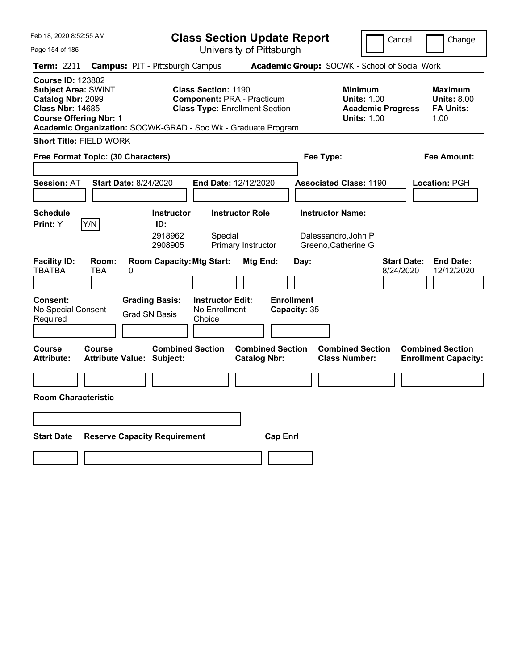| Feb 18, 2020 8:52:55 AM                                                                                                                 |                          |                                                               | <b>Class Section Update Report</b>                                                                |                                                |                                   |                                                 | Cancel                                                                                 | Change                                                    |  |
|-----------------------------------------------------------------------------------------------------------------------------------------|--------------------------|---------------------------------------------------------------|---------------------------------------------------------------------------------------------------|------------------------------------------------|-----------------------------------|-------------------------------------------------|----------------------------------------------------------------------------------------|-----------------------------------------------------------|--|
| Page 154 of 185                                                                                                                         |                          |                                                               |                                                                                                   | University of Pittsburgh                       |                                   |                                                 |                                                                                        |                                                           |  |
| <b>Term: 2211</b>                                                                                                                       |                          | <b>Campus: PIT - Pittsburgh Campus</b>                        |                                                                                                   |                                                |                                   | Academic Group: SOCWK - School of Social Work   |                                                                                        |                                                           |  |
| <b>Course ID: 123802</b><br><b>Subject Area: SWINT</b><br>Catalog Nbr: 2099<br><b>Class Nbr: 14685</b><br><b>Course Offering Nbr: 1</b> |                          | Academic Organization: SOCWK-GRAD - Soc Wk - Graduate Program | Class Section: 1190<br><b>Component: PRA - Practicum</b><br><b>Class Type: Enrollment Section</b> |                                                |                                   |                                                 | <b>Minimum</b><br><b>Units: 1.00</b><br><b>Academic Progress</b><br><b>Units: 1.00</b> | Maximum<br><b>Units: 8.00</b><br><b>FA Units:</b><br>1.00 |  |
| <b>Short Title: FIELD WORK</b>                                                                                                          |                          |                                                               |                                                                                                   |                                                |                                   |                                                 |                                                                                        |                                                           |  |
| Free Format Topic: (30 Characters)                                                                                                      |                          |                                                               |                                                                                                   |                                                |                                   | Fee Type:                                       |                                                                                        | Fee Amount:                                               |  |
|                                                                                                                                         |                          |                                                               |                                                                                                   |                                                |                                   |                                                 |                                                                                        |                                                           |  |
| <b>Session: AT</b>                                                                                                                      |                          | <b>Start Date: 8/24/2020</b>                                  | <b>End Date: 12/12/2020</b>                                                                       |                                                |                                   | <b>Associated Class: 1190</b>                   |                                                                                        | Location: PGH                                             |  |
|                                                                                                                                         |                          |                                                               |                                                                                                   |                                                |                                   |                                                 |                                                                                        |                                                           |  |
| <b>Schedule</b>                                                                                                                         |                          | <b>Instructor</b>                                             |                                                                                                   | <b>Instructor Role</b>                         |                                   | <b>Instructor Name:</b>                         |                                                                                        |                                                           |  |
| Print: Y                                                                                                                                | Y/N                      | ID:<br>2918962<br>2908905                                     | Special                                                                                           | Primary Instructor                             |                                   | Dalessandro, John P<br>Greeno, Catherine G      |                                                                                        |                                                           |  |
| <b>Facility ID:</b><br><b>TBATBA</b>                                                                                                    | Room:<br><b>TBA</b><br>0 | <b>Room Capacity: Mtg Start:</b>                              |                                                                                                   | Mtg End:                                       | Day:                              |                                                 | 8/24/2020                                                                              | <b>End Date:</b><br><b>Start Date:</b><br>12/12/2020      |  |
| <b>Consent:</b><br>No Special Consent<br>Required                                                                                       |                          | <b>Grading Basis:</b><br><b>Grad SN Basis</b>                 | <b>Instructor Edit:</b><br>No Enrollment<br>Choice                                                |                                                | <b>Enrollment</b><br>Capacity: 35 |                                                 |                                                                                        |                                                           |  |
| Course<br><b>Attribute:</b>                                                                                                             | <b>Course</b>            | <b>Combined Section</b><br><b>Attribute Value: Subject:</b>   |                                                                                                   | <b>Combined Section</b><br><b>Catalog Nbr:</b> |                                   | <b>Combined Section</b><br><b>Class Number:</b> |                                                                                        | <b>Combined Section</b><br><b>Enrollment Capacity:</b>    |  |
|                                                                                                                                         |                          |                                                               |                                                                                                   |                                                |                                   |                                                 |                                                                                        |                                                           |  |
| <b>Room Characteristic</b>                                                                                                              |                          |                                                               |                                                                                                   |                                                |                                   |                                                 |                                                                                        |                                                           |  |
|                                                                                                                                         |                          |                                                               |                                                                                                   |                                                |                                   |                                                 |                                                                                        |                                                           |  |
| <b>Start Date</b>                                                                                                                       |                          | <b>Reserve Capacity Requirement</b>                           |                                                                                                   |                                                | <b>Cap Enrl</b>                   |                                                 |                                                                                        |                                                           |  |
|                                                                                                                                         |                          |                                                               |                                                                                                   |                                                |                                   |                                                 |                                                                                        |                                                           |  |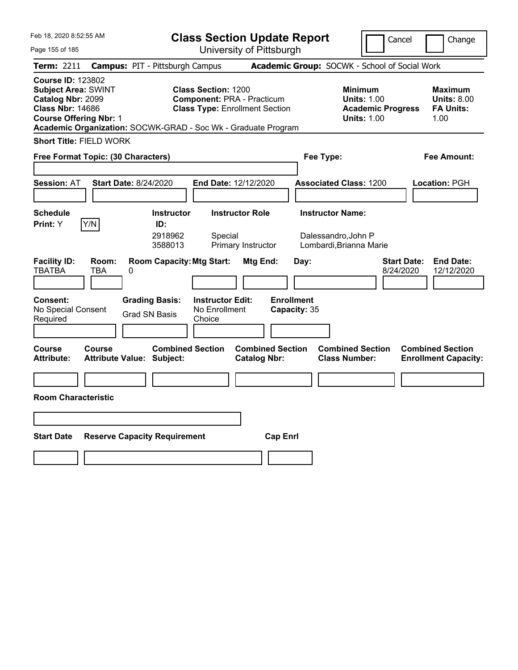| Feb 18, 2020 8:52:55 AM                                                                                                                                                                                  |                                                             | <b>Class Section Update Report</b>                                         |                                                                           | Cancel                                                                                 | Change                                                    |
|----------------------------------------------------------------------------------------------------------------------------------------------------------------------------------------------------------|-------------------------------------------------------------|----------------------------------------------------------------------------|---------------------------------------------------------------------------|----------------------------------------------------------------------------------------|-----------------------------------------------------------|
| Page 155 of 185                                                                                                                                                                                          |                                                             | University of Pittsburgh                                                   |                                                                           |                                                                                        |                                                           |
| Term: 2211                                                                                                                                                                                               | <b>Campus: PIT - Pittsburgh Campus</b>                      |                                                                            | Academic Group: SOCWK - School of Social Work                             |                                                                                        |                                                           |
| <b>Course ID: 123802</b><br><b>Subject Area: SWINT</b><br>Catalog Nbr: 2099<br><b>Class Nbr: 14686</b><br><b>Course Offering Nbr: 1</b><br>Academic Organization: SOCWK-GRAD - Soc Wk - Graduate Program | <b>Class Section: 1200</b>                                  | <b>Component: PRA - Practicum</b><br><b>Class Type: Enrollment Section</b> |                                                                           | <b>Minimum</b><br><b>Units: 1.00</b><br><b>Academic Progress</b><br><b>Units: 1.00</b> | Maximum<br><b>Units: 8.00</b><br><b>FA Units:</b><br>1.00 |
| <b>Short Title: FIELD WORK</b>                                                                                                                                                                           |                                                             |                                                                            |                                                                           |                                                                                        |                                                           |
| Free Format Topic: (30 Characters)                                                                                                                                                                       |                                                             |                                                                            | Fee Type:                                                                 |                                                                                        | Fee Amount:                                               |
| <b>Start Date: 8/24/2020</b><br><b>Session: AT</b>                                                                                                                                                       |                                                             | End Date: 12/12/2020                                                       | <b>Associated Class: 1200</b>                                             |                                                                                        | Location: PGH                                             |
| <b>Schedule</b><br>Y/N<br>Print: Y                                                                                                                                                                       | <b>Instructor</b><br>ID:<br>2918962<br>3588013              | <b>Instructor Role</b><br>Special<br>Primary Instructor                    | <b>Instructor Name:</b><br>Dalessandro, John P<br>Lombardi, Brianna Marie |                                                                                        |                                                           |
| <b>Facility ID:</b><br>Room:<br><b>TBATBA</b><br>TBA<br>0                                                                                                                                                | <b>Room Capacity: Mtg Start:</b>                            | Mtg End:                                                                   | Day:                                                                      | <b>Start Date:</b><br>8/24/2020                                                        | <b>End Date:</b><br>12/12/2020                            |
| <b>Consent:</b><br>No Special Consent<br>Required                                                                                                                                                        | <b>Grading Basis:</b><br><b>Grad SN Basis</b><br>Choice     | <b>Instructor Edit:</b><br>No Enrollment                                   | <b>Enrollment</b><br>Capacity: 35                                         |                                                                                        |                                                           |
| Course<br><b>Course</b><br>Attribute:                                                                                                                                                                    | <b>Combined Section</b><br><b>Attribute Value: Subject:</b> | <b>Combined Section</b><br><b>Catalog Nbr:</b>                             | <b>Combined Section</b><br><b>Class Number:</b>                           |                                                                                        | <b>Combined Section</b><br><b>Enrollment Capacity:</b>    |
|                                                                                                                                                                                                          |                                                             |                                                                            |                                                                           |                                                                                        |                                                           |
| <b>Room Characteristic</b>                                                                                                                                                                               |                                                             |                                                                            |                                                                           |                                                                                        |                                                           |
|                                                                                                                                                                                                          |                                                             |                                                                            |                                                                           |                                                                                        |                                                           |
| <b>Start Date</b>                                                                                                                                                                                        | <b>Reserve Capacity Requirement</b>                         | <b>Cap Enrl</b>                                                            |                                                                           |                                                                                        |                                                           |
|                                                                                                                                                                                                          |                                                             |                                                                            |                                                                           |                                                                                        |                                                           |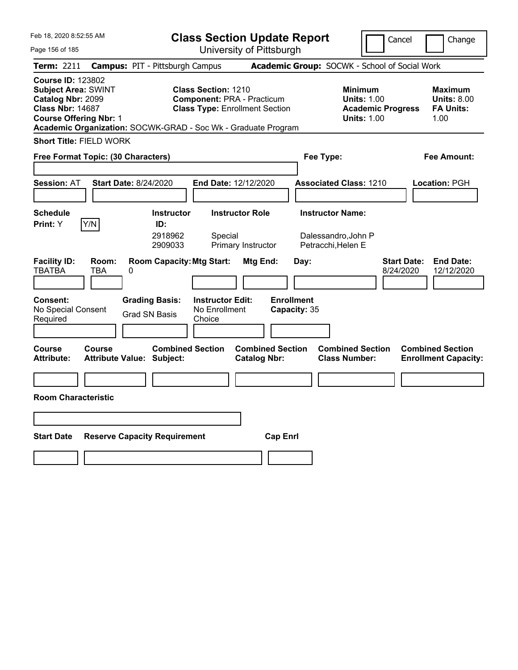|                         |                                                                                                                                                                                                                                                                                                                                                                                      |                                                                                                                                                                                                                                                                                                                                      | Cancel<br>Change                                                                                                                                                                                                                                             |
|-------------------------|--------------------------------------------------------------------------------------------------------------------------------------------------------------------------------------------------------------------------------------------------------------------------------------------------------------------------------------------------------------------------------------|--------------------------------------------------------------------------------------------------------------------------------------------------------------------------------------------------------------------------------------------------------------------------------------------------------------------------------------|--------------------------------------------------------------------------------------------------------------------------------------------------------------------------------------------------------------------------------------------------------------|
|                         |                                                                                                                                                                                                                                                                                                                                                                                      |                                                                                                                                                                                                                                                                                                                                      |                                                                                                                                                                                                                                                              |
|                         |                                                                                                                                                                                                                                                                                                                                                                                      |                                                                                                                                                                                                                                                                                                                                      |                                                                                                                                                                                                                                                              |
| Class Section: 1210     |                                                                                                                                                                                                                                                                                                                                                                                      | <b>Minimum</b><br><b>Units: 1.00</b><br><b>Academic Progress</b><br><b>Units: 1.00</b>                                                                                                                                                                                                                                               | Maximum<br><b>Units: 8.00</b><br><b>FA Units:</b><br>1.00                                                                                                                                                                                                    |
|                         |                                                                                                                                                                                                                                                                                                                                                                                      |                                                                                                                                                                                                                                                                                                                                      |                                                                                                                                                                                                                                                              |
|                         |                                                                                                                                                                                                                                                                                                                                                                                      |                                                                                                                                                                                                                                                                                                                                      | Fee Amount:                                                                                                                                                                                                                                                  |
|                         |                                                                                                                                                                                                                                                                                                                                                                                      |                                                                                                                                                                                                                                                                                                                                      | Location: PGH                                                                                                                                                                                                                                                |
| Special                 |                                                                                                                                                                                                                                                                                                                                                                                      |                                                                                                                                                                                                                                                                                                                                      |                                                                                                                                                                                                                                                              |
| No Enrollment<br>Choice | Day:<br><b>Enrollment</b>                                                                                                                                                                                                                                                                                                                                                            |                                                                                                                                                                                                                                                                                                                                      | <b>End Date:</b><br><b>Start Date:</b><br>8/24/2020<br>12/12/2020                                                                                                                                                                                            |
|                         |                                                                                                                                                                                                                                                                                                                                                                                      |                                                                                                                                                                                                                                                                                                                                      | <b>Combined Section</b><br><b>Enrollment Capacity:</b>                                                                                                                                                                                                       |
|                         |                                                                                                                                                                                                                                                                                                                                                                                      |                                                                                                                                                                                                                                                                                                                                      |                                                                                                                                                                                                                                                              |
|                         |                                                                                                                                                                                                                                                                                                                                                                                      |                                                                                                                                                                                                                                                                                                                                      |                                                                                                                                                                                                                                                              |
|                         | <b>Cap Enrl</b>                                                                                                                                                                                                                                                                                                                                                                      |                                                                                                                                                                                                                                                                                                                                      |                                                                                                                                                                                                                                                              |
|                         | <b>Campus: PIT - Pittsburgh Campus</b><br>Free Format Topic: (30 Characters)<br><b>Start Date: 8/24/2020</b><br><b>Instructor</b><br>ID:<br>2918962<br>2909033<br><b>Room Capacity: Mtg Start:</b><br><b>Grading Basis:</b><br><b>Instructor Edit:</b><br><b>Grad SN Basis</b><br><b>Combined Section</b><br><b>Attribute Value: Subject:</b><br><b>Reserve Capacity Requirement</b> | University of Pittsburgh<br><b>Component: PRA - Practicum</b><br><b>Class Type: Enrollment Section</b><br>Academic Organization: SOCWK-GRAD - Soc Wk - Graduate Program<br><b>End Date: 12/12/2020</b><br><b>Instructor Role</b><br>Primary Instructor<br>Mtg End:<br>Capacity: 35<br><b>Combined Section</b><br><b>Catalog Nbr:</b> | <b>Class Section Update Report</b><br>Academic Group: SOCWK - School of Social Work<br>Fee Type:<br><b>Associated Class: 1210</b><br><b>Instructor Name:</b><br>Dalessandro, John P<br>Petracchi, Helen E<br><b>Combined Section</b><br><b>Class Number:</b> |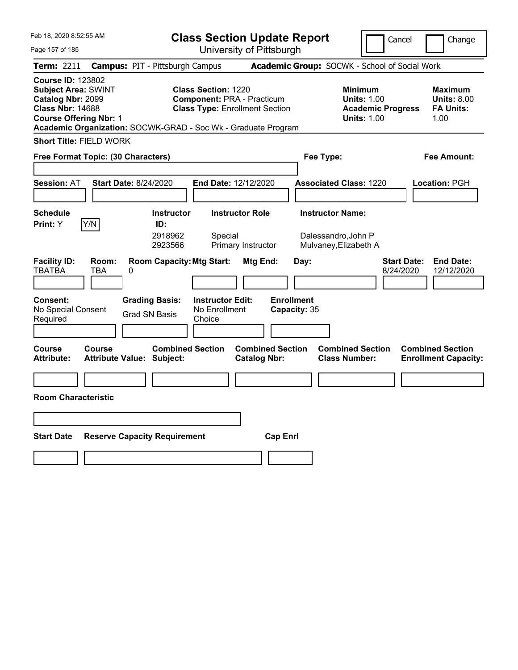| Feb 18, 2020 8:52:55 AM                                                                                                                                                                                  |                                                   |                                               | <b>Class Section Update Report</b>                                                                |                                                |                                   |      |                                                 |                                                                      | Cancel                          | Change                                                    |
|----------------------------------------------------------------------------------------------------------------------------------------------------------------------------------------------------------|---------------------------------------------------|-----------------------------------------------|---------------------------------------------------------------------------------------------------|------------------------------------------------|-----------------------------------|------|-------------------------------------------------|----------------------------------------------------------------------|---------------------------------|-----------------------------------------------------------|
| Page 157 of 185                                                                                                                                                                                          |                                                   |                                               | University of Pittsburgh                                                                          |                                                |                                   |      |                                                 |                                                                      |                                 |                                                           |
| <b>Term: 2211</b>                                                                                                                                                                                        |                                                   | <b>Campus: PIT - Pittsburgh Campus</b>        |                                                                                                   |                                                |                                   |      | Academic Group: SOCWK - School of Social Work   |                                                                      |                                 |                                                           |
| <b>Course ID: 123802</b><br><b>Subject Area: SWINT</b><br>Catalog Nbr: 2099<br><b>Class Nbr: 14688</b><br><b>Course Offering Nbr: 1</b><br>Academic Organization: SOCWK-GRAD - Soc Wk - Graduate Program |                                                   |                                               | Class Section: 1220<br><b>Component: PRA - Practicum</b><br><b>Class Type: Enrollment Section</b> |                                                |                                   |      | <b>Minimum</b>                                  | <b>Units: 1.00</b><br><b>Academic Progress</b><br><b>Units: 1.00</b> |                                 | Maximum<br><b>Units: 8.00</b><br><b>FA Units:</b><br>1.00 |
| <b>Short Title: FIELD WORK</b>                                                                                                                                                                           |                                                   |                                               |                                                                                                   |                                                |                                   |      |                                                 |                                                                      |                                 |                                                           |
| Free Format Topic: (30 Characters)                                                                                                                                                                       |                                                   |                                               |                                                                                                   |                                                |                                   |      | Fee Type:                                       |                                                                      |                                 | Fee Amount:                                               |
|                                                                                                                                                                                                          |                                                   |                                               |                                                                                                   |                                                |                                   |      |                                                 |                                                                      |                                 |                                                           |
| <b>Session: AT</b>                                                                                                                                                                                       | <b>Start Date: 8/24/2020</b>                      |                                               | <b>End Date: 12/12/2020</b>                                                                       |                                                |                                   |      | <b>Associated Class: 1220</b>                   |                                                                      |                                 | Location: PGH                                             |
|                                                                                                                                                                                                          |                                                   |                                               |                                                                                                   |                                                |                                   |      |                                                 |                                                                      |                                 |                                                           |
| <b>Schedule</b>                                                                                                                                                                                          |                                                   | <b>Instructor</b>                             |                                                                                                   | <b>Instructor Role</b>                         |                                   |      | <b>Instructor Name:</b>                         |                                                                      |                                 |                                                           |
| Y/N<br>Print: Y                                                                                                                                                                                          |                                                   | ID:<br>2918962<br>2923566                     | Special                                                                                           | Primary Instructor                             |                                   |      | Dalessandro, John P<br>Mulvaney, Elizabeth A    |                                                                      |                                 |                                                           |
| <b>Facility ID:</b><br><b>TBATBA</b>                                                                                                                                                                     | Room:<br><b>TBA</b><br>0                          | <b>Room Capacity: Mtg Start:</b>              |                                                                                                   | Mtg End:                                       |                                   | Day: |                                                 |                                                                      | <b>Start Date:</b><br>8/24/2020 | <b>End Date:</b><br>12/12/2020                            |
| <b>Consent:</b><br>No Special Consent<br>Required                                                                                                                                                        |                                                   | <b>Grading Basis:</b><br><b>Grad SN Basis</b> | <b>Instructor Edit:</b><br>No Enrollment<br>Choice                                                |                                                | <b>Enrollment</b><br>Capacity: 35 |      |                                                 |                                                                      |                                 |                                                           |
| Course<br><b>Attribute:</b>                                                                                                                                                                              | <b>Course</b><br><b>Attribute Value: Subject:</b> | <b>Combined Section</b>                       |                                                                                                   | <b>Combined Section</b><br><b>Catalog Nbr:</b> |                                   |      | <b>Combined Section</b><br><b>Class Number:</b> |                                                                      |                                 | <b>Combined Section</b><br><b>Enrollment Capacity:</b>    |
|                                                                                                                                                                                                          |                                                   |                                               |                                                                                                   |                                                |                                   |      |                                                 |                                                                      |                                 |                                                           |
| <b>Room Characteristic</b>                                                                                                                                                                               |                                                   |                                               |                                                                                                   |                                                |                                   |      |                                                 |                                                                      |                                 |                                                           |
|                                                                                                                                                                                                          |                                                   |                                               |                                                                                                   |                                                |                                   |      |                                                 |                                                                      |                                 |                                                           |
| <b>Start Date</b>                                                                                                                                                                                        |                                                   | <b>Reserve Capacity Requirement</b>           |                                                                                                   |                                                | <b>Cap Enrl</b>                   |      |                                                 |                                                                      |                                 |                                                           |
|                                                                                                                                                                                                          |                                                   |                                               |                                                                                                   |                                                |                                   |      |                                                 |                                                                      |                                 |                                                           |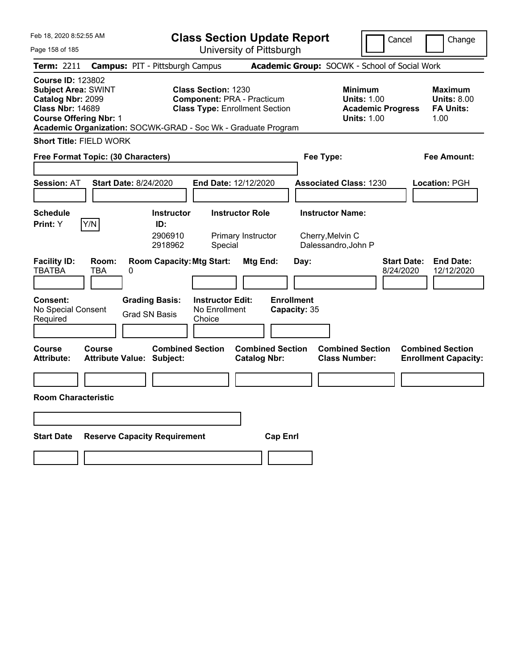| Feb 18, 2020 8:52:55 AM                                                                                                                                                                                  |                                                             |                                                    | <b>Class Section Update Report</b>                                         |                                   |                                                            | Cancel                          | Change                                                    |
|----------------------------------------------------------------------------------------------------------------------------------------------------------------------------------------------------------|-------------------------------------------------------------|----------------------------------------------------|----------------------------------------------------------------------------|-----------------------------------|------------------------------------------------------------|---------------------------------|-----------------------------------------------------------|
| Page 158 of 185                                                                                                                                                                                          |                                                             |                                                    | University of Pittsburgh                                                   |                                   |                                                            |                                 |                                                           |
| Term: 2211                                                                                                                                                                                               | <b>Campus: PIT - Pittsburgh Campus</b>                      |                                                    |                                                                            |                                   | Academic Group: SOCWK - School of Social Work              |                                 |                                                           |
| <b>Course ID: 123802</b><br><b>Subject Area: SWINT</b><br>Catalog Nbr: 2099<br><b>Class Nbr: 14689</b><br><b>Course Offering Nbr: 1</b><br>Academic Organization: SOCWK-GRAD - Soc Wk - Graduate Program |                                                             | <b>Class Section: 1230</b>                         | <b>Component: PRA - Practicum</b><br><b>Class Type: Enrollment Section</b> |                                   | <b>Minimum</b><br><b>Units: 1.00</b><br><b>Units: 1.00</b> | <b>Academic Progress</b>        | Maximum<br><b>Units: 8.00</b><br><b>FA Units:</b><br>1.00 |
| <b>Short Title: FIELD WORK</b>                                                                                                                                                                           |                                                             |                                                    |                                                                            |                                   |                                                            |                                 |                                                           |
| Free Format Topic: (30 Characters)                                                                                                                                                                       |                                                             |                                                    |                                                                            |                                   | Fee Type:                                                  |                                 | Fee Amount:                                               |
|                                                                                                                                                                                                          |                                                             |                                                    |                                                                            |                                   |                                                            |                                 |                                                           |
| <b>Session: AT</b>                                                                                                                                                                                       | <b>Start Date: 8/24/2020</b>                                | <b>End Date: 12/12/2020</b>                        |                                                                            |                                   | <b>Associated Class: 1230</b>                              |                                 | Location: PGH                                             |
|                                                                                                                                                                                                          |                                                             |                                                    |                                                                            |                                   |                                                            |                                 |                                                           |
| <b>Schedule</b>                                                                                                                                                                                          | <b>Instructor</b>                                           |                                                    | <b>Instructor Role</b>                                                     |                                   | <b>Instructor Name:</b>                                    |                                 |                                                           |
| Y/N<br>Print: Y                                                                                                                                                                                          | ID:<br>2906910<br>2918962                                   | Special                                            | Primary Instructor                                                         |                                   | Cherry, Melvin C<br>Dalessandro, John P                    |                                 |                                                           |
| <b>Facility ID:</b><br>Room:<br><b>TBATBA</b><br><b>TBA</b>                                                                                                                                              | <b>Room Capacity: Mtg Start:</b><br>0                       |                                                    | Mtg End:                                                                   | Day:                              |                                                            | <b>Start Date:</b><br>8/24/2020 | <b>End Date:</b><br>12/12/2020                            |
| <b>Consent:</b><br>No Special Consent<br>Required                                                                                                                                                        | <b>Grading Basis:</b><br><b>Grad SN Basis</b>               | <b>Instructor Edit:</b><br>No Enrollment<br>Choice |                                                                            | <b>Enrollment</b><br>Capacity: 35 |                                                            |                                 |                                                           |
| Course<br>Course<br><b>Attribute:</b>                                                                                                                                                                    | <b>Combined Section</b><br><b>Attribute Value: Subject:</b> |                                                    | <b>Combined Section</b><br><b>Catalog Nbr:</b>                             |                                   | <b>Combined Section</b><br><b>Class Number:</b>            |                                 | <b>Combined Section</b><br><b>Enrollment Capacity:</b>    |
|                                                                                                                                                                                                          |                                                             |                                                    |                                                                            |                                   |                                                            |                                 |                                                           |
| <b>Room Characteristic</b>                                                                                                                                                                               |                                                             |                                                    |                                                                            |                                   |                                                            |                                 |                                                           |
|                                                                                                                                                                                                          |                                                             |                                                    |                                                                            |                                   |                                                            |                                 |                                                           |
| <b>Start Date</b>                                                                                                                                                                                        | <b>Reserve Capacity Requirement</b>                         |                                                    | <b>Cap Enrl</b>                                                            |                                   |                                                            |                                 |                                                           |
|                                                                                                                                                                                                          |                                                             |                                                    |                                                                            |                                   |                                                            |                                 |                                                           |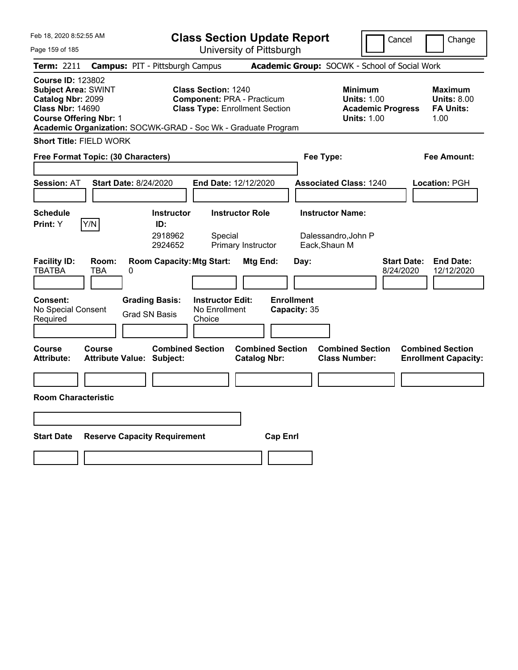| Feb 18, 2020 8:52:55 AM                                                                                                                                                                                  |                                                             |                                   | <b>Class Section Update Report</b>                                         |                           |                                                                                        | Cancel                          | Change                                                           |
|----------------------------------------------------------------------------------------------------------------------------------------------------------------------------------------------------------|-------------------------------------------------------------|-----------------------------------|----------------------------------------------------------------------------|---------------------------|----------------------------------------------------------------------------------------|---------------------------------|------------------------------------------------------------------|
| Page 159 of 185                                                                                                                                                                                          |                                                             |                                   | University of Pittsburgh                                                   |                           |                                                                                        |                                 |                                                                  |
| Term: 2211                                                                                                                                                                                               | <b>Campus: PIT - Pittsburgh Campus</b>                      |                                   |                                                                            |                           | Academic Group: SOCWK - School of Social Work                                          |                                 |                                                                  |
| <b>Course ID: 123802</b><br><b>Subject Area: SWINT</b><br>Catalog Nbr: 2099<br><b>Class Nbr: 14690</b><br><b>Course Offering Nbr: 1</b><br>Academic Organization: SOCWK-GRAD - Soc Wk - Graduate Program |                                                             | <b>Class Section: 1240</b>        | <b>Component: PRA - Practicum</b><br><b>Class Type: Enrollment Section</b> |                           | <b>Minimum</b><br><b>Units: 1.00</b><br><b>Academic Progress</b><br><b>Units: 1.00</b> |                                 | <b>Maximum</b><br><b>Units: 8.00</b><br><b>FA Units:</b><br>1.00 |
| <b>Short Title: FIELD WORK</b>                                                                                                                                                                           |                                                             |                                   |                                                                            |                           |                                                                                        |                                 |                                                                  |
| Free Format Topic: (30 Characters)                                                                                                                                                                       |                                                             |                                   |                                                                            | Fee Type:                 |                                                                                        |                                 | Fee Amount:                                                      |
| <b>Session: AT</b>                                                                                                                                                                                       | <b>Start Date: 8/24/2020</b>                                | End Date: 12/12/2020              |                                                                            |                           | <b>Associated Class: 1240</b>                                                          |                                 | Location: PGH                                                    |
| <b>Schedule</b><br>Y/N<br>Print: Y                                                                                                                                                                       | <b>Instructor</b><br>ID:<br>2918962<br>2924652              | <b>Instructor Role</b><br>Special | Primary Instructor                                                         | Eack, Shaun M             | <b>Instructor Name:</b><br>Dalessandro, John P                                         |                                 |                                                                  |
| <b>Facility ID:</b><br>Room:<br><b>TBATBA</b><br>TBA<br>0<br><b>Consent:</b>                                                                                                                             | <b>Room Capacity: Mtg Start:</b><br><b>Grading Basis:</b>   | <b>Instructor Edit:</b>           | Mtg End:                                                                   | Day:<br><b>Enrollment</b> |                                                                                        | <b>Start Date:</b><br>8/24/2020 | <b>End Date:</b><br>12/12/2020                                   |
| No Special Consent<br>Required                                                                                                                                                                           | <b>Grad SN Basis</b>                                        | No Enrollment<br>Choice           |                                                                            | Capacity: 35              |                                                                                        |                                 |                                                                  |
| <b>Course</b><br>Course<br><b>Attribute:</b>                                                                                                                                                             | <b>Combined Section</b><br><b>Attribute Value: Subject:</b> |                                   | <b>Combined Section</b><br><b>Catalog Nbr:</b>                             |                           | <b>Combined Section</b><br><b>Class Number:</b>                                        |                                 | <b>Combined Section</b><br><b>Enrollment Capacity:</b>           |
|                                                                                                                                                                                                          |                                                             |                                   |                                                                            |                           |                                                                                        |                                 |                                                                  |
| <b>Room Characteristic</b>                                                                                                                                                                               |                                                             |                                   |                                                                            |                           |                                                                                        |                                 |                                                                  |
|                                                                                                                                                                                                          |                                                             |                                   |                                                                            |                           |                                                                                        |                                 |                                                                  |
| <b>Start Date</b>                                                                                                                                                                                        | <b>Reserve Capacity Requirement</b>                         |                                   | <b>Cap Enrl</b>                                                            |                           |                                                                                        |                                 |                                                                  |
|                                                                                                                                                                                                          |                                                             |                                   |                                                                            |                           |                                                                                        |                                 |                                                                  |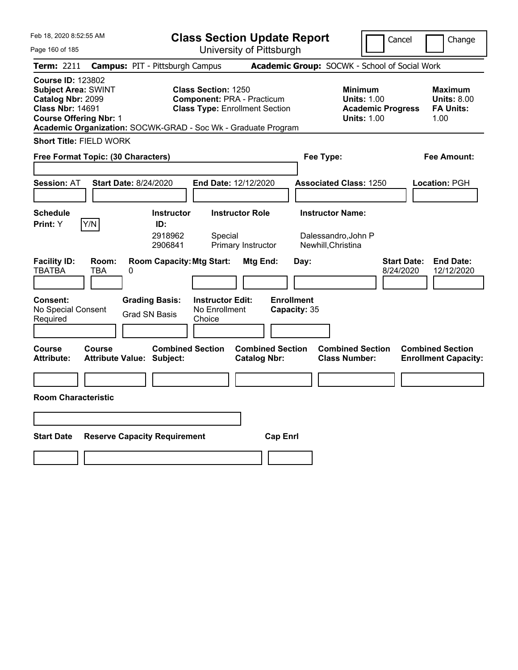| Feb 18, 2020 8:52:55 AM                                                                                                                                                                                  |                                                             |                                                    | <b>Class Section Update Report</b>                                         |                                   |                                                                                        | Cancel                          | Change                                                    |
|----------------------------------------------------------------------------------------------------------------------------------------------------------------------------------------------------------|-------------------------------------------------------------|----------------------------------------------------|----------------------------------------------------------------------------|-----------------------------------|----------------------------------------------------------------------------------------|---------------------------------|-----------------------------------------------------------|
| Page 160 of 185                                                                                                                                                                                          |                                                             |                                                    | University of Pittsburgh                                                   |                                   |                                                                                        |                                 |                                                           |
| Term: 2211                                                                                                                                                                                               | <b>Campus: PIT - Pittsburgh Campus</b>                      |                                                    |                                                                            |                                   | Academic Group: SOCWK - School of Social Work                                          |                                 |                                                           |
| <b>Course ID: 123802</b><br><b>Subject Area: SWINT</b><br>Catalog Nbr: 2099<br><b>Class Nbr: 14691</b><br><b>Course Offering Nbr: 1</b><br>Academic Organization: SOCWK-GRAD - Soc Wk - Graduate Program |                                                             | <b>Class Section: 1250</b>                         | <b>Component: PRA - Practicum</b><br><b>Class Type: Enrollment Section</b> |                                   | <b>Minimum</b><br><b>Units: 1.00</b><br><b>Academic Progress</b><br><b>Units: 1.00</b> |                                 | Maximum<br><b>Units: 8.00</b><br><b>FA Units:</b><br>1.00 |
| <b>Short Title: FIELD WORK</b>                                                                                                                                                                           |                                                             |                                                    |                                                                            |                                   |                                                                                        |                                 |                                                           |
| Free Format Topic: (30 Characters)                                                                                                                                                                       |                                                             |                                                    |                                                                            | Fee Type:                         |                                                                                        |                                 | Fee Amount:                                               |
|                                                                                                                                                                                                          |                                                             |                                                    |                                                                            |                                   |                                                                                        |                                 |                                                           |
| <b>Session: AT</b>                                                                                                                                                                                       | <b>Start Date: 8/24/2020</b>                                | <b>End Date: 12/12/2020</b>                        |                                                                            |                                   | <b>Associated Class: 1250</b>                                                          |                                 | Location: PGH                                             |
|                                                                                                                                                                                                          |                                                             |                                                    |                                                                            |                                   |                                                                                        |                                 |                                                           |
| <b>Schedule</b>                                                                                                                                                                                          | <b>Instructor</b>                                           |                                                    | <b>Instructor Role</b>                                                     |                                   | <b>Instructor Name:</b>                                                                |                                 |                                                           |
| Y/N<br>Print: Y                                                                                                                                                                                          | ID:<br>2918962<br>2906841                                   | Special                                            | Primary Instructor                                                         | Newhill, Christina                | Dalessandro, John P                                                                    |                                 |                                                           |
| <b>Facility ID:</b><br>Room:<br><b>TBATBA</b><br><b>TBA</b>                                                                                                                                              | <b>Room Capacity: Mtg Start:</b><br>0                       |                                                    | Mtg End:                                                                   | Day:                              |                                                                                        | <b>Start Date:</b><br>8/24/2020 | <b>End Date:</b><br>12/12/2020                            |
| <b>Consent:</b><br>No Special Consent<br>Required                                                                                                                                                        | <b>Grading Basis:</b><br><b>Grad SN Basis</b>               | <b>Instructor Edit:</b><br>No Enrollment<br>Choice |                                                                            | <b>Enrollment</b><br>Capacity: 35 |                                                                                        |                                 |                                                           |
| Course<br>Course<br><b>Attribute:</b>                                                                                                                                                                    | <b>Combined Section</b><br><b>Attribute Value: Subject:</b> |                                                    | <b>Combined Section</b><br><b>Catalog Nbr:</b>                             |                                   | <b>Combined Section</b><br><b>Class Number:</b>                                        |                                 | <b>Combined Section</b><br><b>Enrollment Capacity:</b>    |
|                                                                                                                                                                                                          |                                                             |                                                    |                                                                            |                                   |                                                                                        |                                 |                                                           |
| <b>Room Characteristic</b>                                                                                                                                                                               |                                                             |                                                    |                                                                            |                                   |                                                                                        |                                 |                                                           |
|                                                                                                                                                                                                          |                                                             |                                                    |                                                                            |                                   |                                                                                        |                                 |                                                           |
| <b>Start Date</b>                                                                                                                                                                                        | <b>Reserve Capacity Requirement</b>                         |                                                    | <b>Cap Enrl</b>                                                            |                                   |                                                                                        |                                 |                                                           |
|                                                                                                                                                                                                          |                                                             |                                                    |                                                                            |                                   |                                                                                        |                                 |                                                           |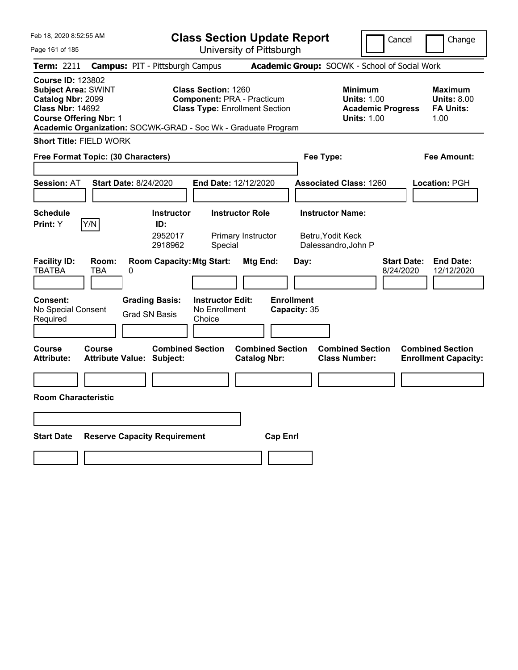| Feb 18, 2020 8:52:55 AM                                                                                                                                                                                  |                                                             |                                                    | <b>Class Section Update Report</b>                                         |                                   |                                                            | Cancel                          | Change                                                    |
|----------------------------------------------------------------------------------------------------------------------------------------------------------------------------------------------------------|-------------------------------------------------------------|----------------------------------------------------|----------------------------------------------------------------------------|-----------------------------------|------------------------------------------------------------|---------------------------------|-----------------------------------------------------------|
| Page 161 of 185                                                                                                                                                                                          |                                                             |                                                    | University of Pittsburgh                                                   |                                   |                                                            |                                 |                                                           |
| Term: 2211                                                                                                                                                                                               | <b>Campus: PIT - Pittsburgh Campus</b>                      |                                                    |                                                                            |                                   | Academic Group: SOCWK - School of Social Work              |                                 |                                                           |
| <b>Course ID: 123802</b><br><b>Subject Area: SWINT</b><br>Catalog Nbr: 2099<br><b>Class Nbr: 14692</b><br><b>Course Offering Nbr: 1</b><br>Academic Organization: SOCWK-GRAD - Soc Wk - Graduate Program |                                                             | <b>Class Section: 1260</b>                         | <b>Component: PRA - Practicum</b><br><b>Class Type: Enrollment Section</b> |                                   | <b>Minimum</b><br><b>Units: 1.00</b><br><b>Units: 1.00</b> | <b>Academic Progress</b>        | Maximum<br><b>Units: 8.00</b><br><b>FA Units:</b><br>1.00 |
| <b>Short Title: FIELD WORK</b>                                                                                                                                                                           |                                                             |                                                    |                                                                            |                                   |                                                            |                                 |                                                           |
| Free Format Topic: (30 Characters)                                                                                                                                                                       |                                                             |                                                    |                                                                            |                                   | Fee Type:                                                  |                                 | Fee Amount:                                               |
|                                                                                                                                                                                                          |                                                             |                                                    |                                                                            |                                   |                                                            |                                 |                                                           |
| <b>Session: AT</b>                                                                                                                                                                                       | <b>Start Date: 8/24/2020</b>                                | <b>End Date: 12/12/2020</b>                        |                                                                            |                                   | <b>Associated Class: 1260</b>                              |                                 | Location: PGH                                             |
|                                                                                                                                                                                                          |                                                             |                                                    |                                                                            |                                   |                                                            |                                 |                                                           |
| <b>Schedule</b><br>Y/N<br>Print: Y                                                                                                                                                                       | <b>Instructor</b><br>ID:                                    |                                                    | <b>Instructor Role</b>                                                     |                                   | <b>Instructor Name:</b>                                    |                                 |                                                           |
|                                                                                                                                                                                                          | 2952017<br>2918962                                          | Special                                            | Primary Instructor                                                         |                                   | Betru, Yodit Keck<br>Dalessandro, John P                   |                                 |                                                           |
| <b>Facility ID:</b><br>Room:<br><b>TBATBA</b><br><b>TBA</b><br>0                                                                                                                                         | <b>Room Capacity: Mtg Start:</b>                            |                                                    | Mtg End:                                                                   | Day:                              |                                                            | <b>Start Date:</b><br>8/24/2020 | <b>End Date:</b><br>12/12/2020                            |
| <b>Consent:</b><br>No Special Consent<br>Required                                                                                                                                                        | <b>Grading Basis:</b><br><b>Grad SN Basis</b>               | <b>Instructor Edit:</b><br>No Enrollment<br>Choice |                                                                            | <b>Enrollment</b><br>Capacity: 35 |                                                            |                                 |                                                           |
| Course<br>Course<br><b>Attribute:</b>                                                                                                                                                                    | <b>Combined Section</b><br><b>Attribute Value: Subject:</b> |                                                    | <b>Combined Section</b><br><b>Catalog Nbr:</b>                             |                                   | <b>Combined Section</b><br><b>Class Number:</b>            |                                 | <b>Combined Section</b><br><b>Enrollment Capacity:</b>    |
|                                                                                                                                                                                                          |                                                             |                                                    |                                                                            |                                   |                                                            |                                 |                                                           |
| <b>Room Characteristic</b>                                                                                                                                                                               |                                                             |                                                    |                                                                            |                                   |                                                            |                                 |                                                           |
|                                                                                                                                                                                                          |                                                             |                                                    |                                                                            |                                   |                                                            |                                 |                                                           |
| <b>Start Date</b>                                                                                                                                                                                        | <b>Reserve Capacity Requirement</b>                         |                                                    | <b>Cap Enrl</b>                                                            |                                   |                                                            |                                 |                                                           |
|                                                                                                                                                                                                          |                                                             |                                                    |                                                                            |                                   |                                                            |                                 |                                                           |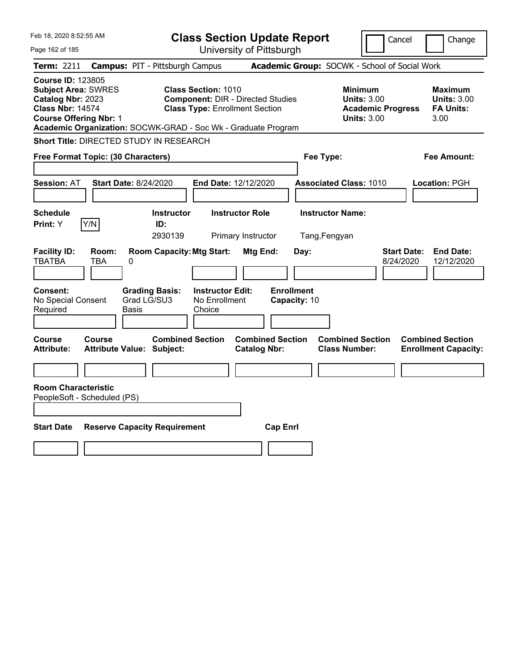| Feb 18, 2020 8:52:55 AM                                                                                                                                                                                  |                                                                                                                 | <b>Class Section Update Report</b>             |                                                                                        | Cancel<br>Change                                                  |
|----------------------------------------------------------------------------------------------------------------------------------------------------------------------------------------------------------|-----------------------------------------------------------------------------------------------------------------|------------------------------------------------|----------------------------------------------------------------------------------------|-------------------------------------------------------------------|
| Page 162 of 185                                                                                                                                                                                          |                                                                                                                 | University of Pittsburgh                       |                                                                                        |                                                                   |
| <b>Term: 2211</b>                                                                                                                                                                                        | <b>Campus: PIT - Pittsburgh Campus</b>                                                                          |                                                | Academic Group: SOCWK - School of Social Work                                          |                                                                   |
| <b>Course ID: 123805</b><br><b>Subject Area: SWRES</b><br>Catalog Nbr: 2023<br><b>Class Nbr: 14574</b><br><b>Course Offering Nbr: 1</b><br>Academic Organization: SOCWK-GRAD - Soc Wk - Graduate Program | <b>Class Section: 1010</b><br><b>Component: DIR - Directed Studies</b><br><b>Class Type: Enrollment Section</b> |                                                | <b>Minimum</b><br><b>Units: 3.00</b><br><b>Academic Progress</b><br><b>Units: 3.00</b> | <b>Maximum</b><br><b>Units: 3.00</b><br><b>FA Units:</b><br>3.00  |
| Short Title: DIRECTED STUDY IN RESEARCH                                                                                                                                                                  |                                                                                                                 |                                                |                                                                                        |                                                                   |
| Free Format Topic: (30 Characters)                                                                                                                                                                       |                                                                                                                 |                                                | Fee Type:                                                                              | Fee Amount:                                                       |
| <b>Start Date: 8/24/2020</b><br><b>Session: AT</b>                                                                                                                                                       |                                                                                                                 | <b>End Date: 12/12/2020</b>                    | <b>Associated Class: 1010</b>                                                          | Location: PGH                                                     |
| <b>Schedule</b><br>Y/N<br>Print: Y                                                                                                                                                                       | <b>Instructor</b><br>ID:<br>2930139                                                                             | <b>Instructor Role</b><br>Primary Instructor   | <b>Instructor Name:</b><br>Tang, Fengyan                                               |                                                                   |
| <b>Facility ID:</b><br>Room:<br><b>TBATBA</b><br>TBA<br>0                                                                                                                                                | <b>Room Capacity: Mtg Start:</b>                                                                                | Mtg End:<br>Day:                               |                                                                                        | <b>End Date:</b><br><b>Start Date:</b><br>12/12/2020<br>8/24/2020 |
| Consent:<br>No Special Consent<br>Required<br>Basis                                                                                                                                                      | <b>Instructor Edit:</b><br><b>Grading Basis:</b><br>Grad LG/SU3<br>No Enrollment<br>Choice                      | <b>Enrollment</b><br>Capacity: 10              |                                                                                        |                                                                   |
| Course<br>Course<br><b>Attribute:</b><br><b>Attribute Value: Subject:</b>                                                                                                                                | <b>Combined Section</b>                                                                                         | <b>Combined Section</b><br><b>Catalog Nbr:</b> | <b>Combined Section</b><br><b>Class Number:</b>                                        | <b>Combined Section</b><br><b>Enrollment Capacity:</b>            |
| <b>Room Characteristic</b><br>PeopleSoft - Scheduled (PS)                                                                                                                                                |                                                                                                                 |                                                |                                                                                        |                                                                   |
| <b>Start Date</b><br><b>Reserve Capacity Requirement</b>                                                                                                                                                 |                                                                                                                 | <b>Cap Enrl</b>                                |                                                                                        |                                                                   |
|                                                                                                                                                                                                          |                                                                                                                 |                                                |                                                                                        |                                                                   |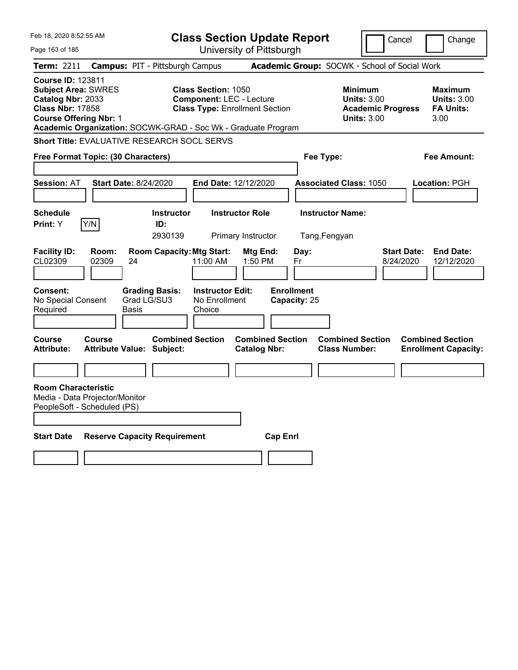| Feb 18, 2020 8:52:55 AM                                                                                                                 |                                                               | <b>Class Section Update Report</b>                                                                     |                                                |                                          | Cancel                                                                                 | Change                                                           |
|-----------------------------------------------------------------------------------------------------------------------------------------|---------------------------------------------------------------|--------------------------------------------------------------------------------------------------------|------------------------------------------------|------------------------------------------|----------------------------------------------------------------------------------------|------------------------------------------------------------------|
| Page 163 of 185                                                                                                                         |                                                               | University of Pittsburgh                                                                               |                                                |                                          |                                                                                        |                                                                  |
| <b>Term: 2211</b>                                                                                                                       | <b>Campus: PIT - Pittsburgh Campus</b>                        |                                                                                                        |                                                |                                          | Academic Group: SOCWK - School of Social Work                                          |                                                                  |
| <b>Course ID: 123811</b><br><b>Subject Area: SWRES</b><br>Catalog Nbr: 2033<br><b>Class Nbr: 17858</b><br><b>Course Offering Nbr: 1</b> | Academic Organization: SOCWK-GRAD - Soc Wk - Graduate Program | <b>Class Section: 1050</b><br><b>Component: LEC - Lecture</b><br><b>Class Type: Enrollment Section</b> |                                                |                                          | <b>Minimum</b><br><b>Units: 3.00</b><br><b>Academic Progress</b><br><b>Units: 3.00</b> | <b>Maximum</b><br><b>Units: 3.00</b><br><b>FA Units:</b><br>3.00 |
|                                                                                                                                         | Short Title: EVALUATIVE RESEARCH SOCL SERVS                   |                                                                                                        |                                                |                                          |                                                                                        |                                                                  |
| Free Format Topic: (30 Characters)                                                                                                      |                                                               |                                                                                                        |                                                | Fee Type:                                |                                                                                        | Fee Amount:                                                      |
|                                                                                                                                         |                                                               |                                                                                                        |                                                |                                          |                                                                                        |                                                                  |
| <b>Session: AT</b>                                                                                                                      | <b>Start Date: 8/24/2020</b>                                  | End Date: 12/12/2020                                                                                   |                                                | <b>Associated Class: 1050</b>            |                                                                                        | Location: PGH                                                    |
| <b>Schedule</b><br>Y/N<br>Print: Y                                                                                                      | <b>Instructor</b><br>ID:<br>2930139                           | <b>Instructor Role</b><br>Primary Instructor                                                           |                                                | <b>Instructor Name:</b><br>Tang, Fengyan |                                                                                        |                                                                  |
| <b>Facility ID:</b><br>CL02309<br>02309                                                                                                 | Room:<br><b>Room Capacity: Mtg Start:</b><br>24               | 11:00 AM                                                                                               | Mtg End:<br>1:50 PM                            | Day:<br>Fr                               | 8/24/2020                                                                              | <b>Start Date:</b><br><b>End Date:</b><br>12/12/2020             |
| <b>Consent:</b><br>No Special Consent<br>Required                                                                                       | <b>Grading Basis:</b><br>Grad LG/SU3<br>Basis                 | <b>Instructor Edit:</b><br>No Enrollment<br>Choice                                                     |                                                | <b>Enrollment</b><br>Capacity: 25        |                                                                                        |                                                                  |
| <b>Course</b><br>Course<br><b>Attribute:</b>                                                                                            | <b>Attribute Value: Subject:</b>                              | <b>Combined Section</b>                                                                                | <b>Combined Section</b><br><b>Catalog Nbr:</b> |                                          | <b>Combined Section</b><br><b>Class Number:</b>                                        | <b>Combined Section</b><br><b>Enrollment Capacity:</b>           |
|                                                                                                                                         |                                                               |                                                                                                        |                                                |                                          |                                                                                        |                                                                  |
| <b>Room Characteristic</b><br>Media - Data Projector/Monitor<br>PeopleSoft - Scheduled (PS)                                             |                                                               |                                                                                                        |                                                |                                          |                                                                                        |                                                                  |
| <b>Start Date</b>                                                                                                                       | <b>Reserve Capacity Requirement</b>                           |                                                                                                        | <b>Cap Enrl</b>                                |                                          |                                                                                        |                                                                  |
|                                                                                                                                         |                                                               |                                                                                                        |                                                |                                          |                                                                                        |                                                                  |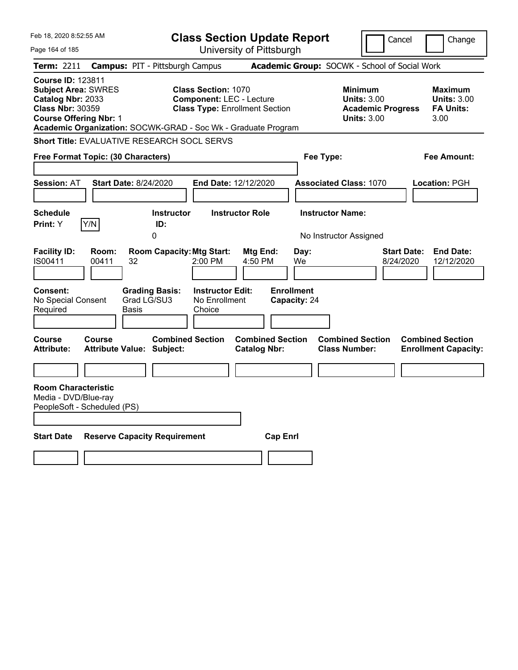| Feb 18, 2020 8:52:55 AM                                                                                                                                                                                  |                                                             | <b>Class Section Update Report</b>                                                                     |                                                |                                   |                                                                                        | Cancel<br>Change                                                  |
|----------------------------------------------------------------------------------------------------------------------------------------------------------------------------------------------------------|-------------------------------------------------------------|--------------------------------------------------------------------------------------------------------|------------------------------------------------|-----------------------------------|----------------------------------------------------------------------------------------|-------------------------------------------------------------------|
| Page 164 of 185                                                                                                                                                                                          |                                                             | University of Pittsburgh                                                                               |                                                |                                   |                                                                                        |                                                                   |
| <b>Term: 2211</b>                                                                                                                                                                                        | <b>Campus: PIT - Pittsburgh Campus</b>                      |                                                                                                        |                                                |                                   | Academic Group: SOCWK - School of Social Work                                          |                                                                   |
| <b>Course ID: 123811</b><br><b>Subject Area: SWRES</b><br>Catalog Nbr: 2033<br><b>Class Nbr: 30359</b><br><b>Course Offering Nbr: 1</b><br>Academic Organization: SOCWK-GRAD - Soc Wk - Graduate Program |                                                             | <b>Class Section: 1070</b><br><b>Component: LEC - Lecture</b><br><b>Class Type: Enrollment Section</b> |                                                |                                   | <b>Minimum</b><br><b>Units: 3.00</b><br><b>Academic Progress</b><br><b>Units: 3.00</b> | <b>Maximum</b><br><b>Units: 3.00</b><br><b>FA Units:</b><br>3.00  |
| <b>Short Title: EVALUATIVE RESEARCH SOCL SERVS</b>                                                                                                                                                       |                                                             |                                                                                                        |                                                |                                   |                                                                                        |                                                                   |
| Free Format Topic: (30 Characters)                                                                                                                                                                       |                                                             |                                                                                                        |                                                | Fee Type:                         |                                                                                        | Fee Amount:                                                       |
|                                                                                                                                                                                                          |                                                             |                                                                                                        |                                                |                                   |                                                                                        |                                                                   |
| <b>Session: AT</b>                                                                                                                                                                                       | <b>Start Date: 8/24/2020</b>                                | End Date: 12/12/2020                                                                                   |                                                |                                   | <b>Associated Class: 1070</b>                                                          | <b>Location: PGH</b>                                              |
| <b>Schedule</b>                                                                                                                                                                                          | <b>Instructor</b>                                           | <b>Instructor Role</b>                                                                                 |                                                | <b>Instructor Name:</b>           |                                                                                        |                                                                   |
| Y/N<br><b>Print:</b> Y                                                                                                                                                                                   | ID:                                                         |                                                                                                        |                                                |                                   |                                                                                        |                                                                   |
|                                                                                                                                                                                                          | 0                                                           |                                                                                                        |                                                |                                   | No Instructor Assigned                                                                 |                                                                   |
| <b>Facility ID:</b><br>Room:<br>IS00411<br>00411                                                                                                                                                         | <b>Room Capacity: Mtg Start:</b><br>32                      | 2:00 PM                                                                                                | Mtg End:<br>4:50 PM                            | Day:<br>We.                       |                                                                                        | <b>Start Date:</b><br><b>End Date:</b><br>8/24/2020<br>12/12/2020 |
| Consent:<br>No Special Consent<br>Required                                                                                                                                                               | <b>Grading Basis:</b><br>Grad LG/SU3<br>Basis               | <b>Instructor Edit:</b><br>No Enrollment<br>Choice                                                     |                                                | <b>Enrollment</b><br>Capacity: 24 |                                                                                        |                                                                   |
| <b>Course</b><br><b>Course</b><br><b>Attribute:</b>                                                                                                                                                      | <b>Combined Section</b><br><b>Attribute Value: Subject:</b> |                                                                                                        | <b>Combined Section</b><br><b>Catalog Nbr:</b> |                                   | <b>Combined Section</b><br><b>Class Number:</b>                                        | <b>Combined Section</b><br><b>Enrollment Capacity:</b>            |
|                                                                                                                                                                                                          |                                                             |                                                                                                        |                                                |                                   |                                                                                        |                                                                   |
| <b>Room Characteristic</b><br>Media - DVD/Blue-ray<br>PeopleSoft - Scheduled (PS)                                                                                                                        |                                                             |                                                                                                        |                                                |                                   |                                                                                        |                                                                   |
| <b>Start Date</b>                                                                                                                                                                                        | <b>Reserve Capacity Requirement</b>                         |                                                                                                        | <b>Cap Enrl</b>                                |                                   |                                                                                        |                                                                   |
|                                                                                                                                                                                                          |                                                             |                                                                                                        |                                                |                                   |                                                                                        |                                                                   |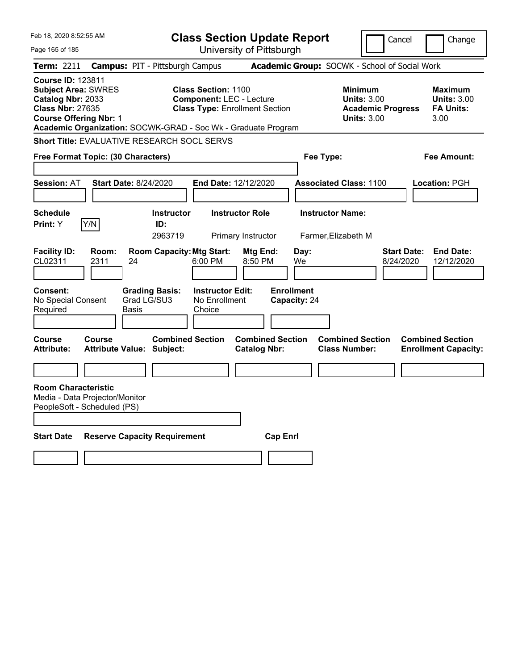| Feb 18, 2020 8:52:55 AM                                                                                                                 |               |                                                               |                                                               | <b>Class Section Update Report</b>             |                                   |                                                                                        | Cancel                          | Change                                                           |
|-----------------------------------------------------------------------------------------------------------------------------------------|---------------|---------------------------------------------------------------|---------------------------------------------------------------|------------------------------------------------|-----------------------------------|----------------------------------------------------------------------------------------|---------------------------------|------------------------------------------------------------------|
| Page 165 of 185                                                                                                                         |               |                                                               |                                                               | University of Pittsburgh                       |                                   |                                                                                        |                                 |                                                                  |
| <b>Term: 2211</b>                                                                                                                       |               | <b>Campus: PIT - Pittsburgh Campus</b>                        |                                                               |                                                |                                   | Academic Group: SOCWK - School of Social Work                                          |                                 |                                                                  |
| <b>Course ID: 123811</b><br><b>Subject Area: SWRES</b><br>Catalog Nbr: 2033<br><b>Class Nbr: 27635</b><br><b>Course Offering Nbr: 1</b> |               | Academic Organization: SOCWK-GRAD - Soc Wk - Graduate Program | <b>Class Section: 1100</b><br><b>Component: LEC - Lecture</b> | <b>Class Type: Enrollment Section</b>          |                                   | <b>Minimum</b><br><b>Units: 3.00</b><br><b>Academic Progress</b><br><b>Units: 3.00</b> |                                 | <b>Maximum</b><br><b>Units: 3.00</b><br><b>FA Units:</b><br>3.00 |
|                                                                                                                                         |               | Short Title: EVALUATIVE RESEARCH SOCL SERVS                   |                                                               |                                                |                                   |                                                                                        |                                 |                                                                  |
| Free Format Topic: (30 Characters)                                                                                                      |               |                                                               |                                                               |                                                | Fee Type:                         |                                                                                        |                                 | Fee Amount:                                                      |
| <b>Session: AT</b>                                                                                                                      |               | <b>Start Date: 8/24/2020</b>                                  | End Date: 12/12/2020                                          |                                                |                                   | <b>Associated Class: 1100</b>                                                          |                                 | Location: PGH                                                    |
| <b>Schedule</b><br>Print: Y                                                                                                             | Y/N           | <b>Instructor</b><br>ID:<br>2963719                           |                                                               | <b>Instructor Role</b><br>Primary Instructor   |                                   | <b>Instructor Name:</b><br>Farmer, Elizabeth M                                         |                                 |                                                                  |
| <b>Facility ID:</b><br>CL02311                                                                                                          | Room:<br>2311 | <b>Room Capacity: Mtg Start:</b><br>24                        | 6:00 PM                                                       | Mtg End:<br>8:50 PM                            | Day:<br>We                        |                                                                                        | <b>Start Date:</b><br>8/24/2020 | <b>End Date:</b><br>12/12/2020                                   |
| <b>Consent:</b><br>No Special Consent<br>Required                                                                                       |               | <b>Grading Basis:</b><br>Grad LG/SU3<br>Basis                 | <b>Instructor Edit:</b><br>No Enrollment<br>Choice            |                                                | <b>Enrollment</b><br>Capacity: 24 |                                                                                        |                                 |                                                                  |
| <b>Course</b><br><b>Attribute:</b>                                                                                                      | Course        | <b>Combined Section</b><br><b>Attribute Value: Subject:</b>   |                                                               | <b>Combined Section</b><br><b>Catalog Nbr:</b> |                                   | <b>Combined Section</b><br><b>Class Number:</b>                                        |                                 | <b>Combined Section</b><br><b>Enrollment Capacity:</b>           |
|                                                                                                                                         |               |                                                               |                                                               |                                                |                                   |                                                                                        |                                 |                                                                  |
| <b>Room Characteristic</b><br>Media - Data Projector/Monitor<br>PeopleSoft - Scheduled (PS)                                             |               |                                                               |                                                               |                                                |                                   |                                                                                        |                                 |                                                                  |
| <b>Start Date</b>                                                                                                                       |               | <b>Reserve Capacity Requirement</b>                           |                                                               | <b>Cap Enrl</b>                                |                                   |                                                                                        |                                 |                                                                  |
|                                                                                                                                         |               |                                                               |                                                               |                                                |                                   |                                                                                        |                                 |                                                                  |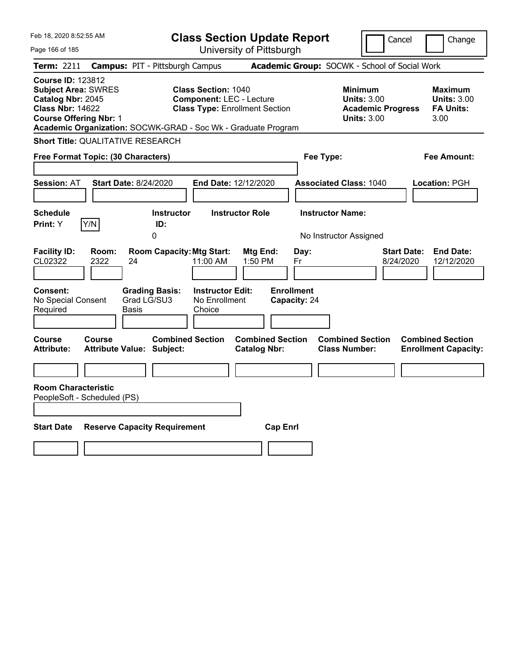| Feb 18, 2020 8:52:55 AM                                                                                                                 |                                                                                                                                                           | <b>Class Section Update Report</b>                                     |                                                                                 | Cancel<br>Change                                                  |
|-----------------------------------------------------------------------------------------------------------------------------------------|-----------------------------------------------------------------------------------------------------------------------------------------------------------|------------------------------------------------------------------------|---------------------------------------------------------------------------------|-------------------------------------------------------------------|
| Page 166 of 185                                                                                                                         |                                                                                                                                                           | University of Pittsburgh                                               |                                                                                 |                                                                   |
| Term: 2211                                                                                                                              | <b>Campus: PIT - Pittsburgh Campus</b>                                                                                                                    |                                                                        | Academic Group: SOCWK - School of Social Work                                   |                                                                   |
| <b>Course ID: 123812</b><br><b>Subject Area: SWRES</b><br>Catalog Nbr: 2045<br><b>Class Nbr: 14622</b><br><b>Course Offering Nbr: 1</b> | <b>Class Section: 1040</b><br><b>Component: LEC - Lecture</b><br>Academic Organization: SOCWK-GRAD - Soc Wk - Graduate Program                            | <b>Class Type: Enrollment Section</b>                                  | Minimum<br><b>Units: 3.00</b><br><b>Academic Progress</b><br><b>Units: 3.00</b> | Maximum<br><b>Units: 3.00</b><br><b>FA Units:</b><br>3.00         |
| <b>Short Title: QUALITATIVE RESEARCH</b>                                                                                                |                                                                                                                                                           |                                                                        |                                                                                 |                                                                   |
| Free Format Topic: (30 Characters)                                                                                                      |                                                                                                                                                           |                                                                        | Fee Type:                                                                       | Fee Amount:                                                       |
| <b>Session: AT</b>                                                                                                                      | <b>Start Date: 8/24/2020</b>                                                                                                                              | End Date: 12/12/2020                                                   | <b>Associated Class: 1040</b>                                                   | Location: PGH                                                     |
| <b>Schedule</b>                                                                                                                         | <b>Instructor</b>                                                                                                                                         | <b>Instructor Role</b>                                                 | <b>Instructor Name:</b>                                                         |                                                                   |
| Y/N<br>Print: Y                                                                                                                         | ID:<br>0                                                                                                                                                  |                                                                        | No Instructor Assigned                                                          |                                                                   |
| <b>Facility ID:</b><br>Room:<br>CL02322<br>2322<br>Consent:<br>No Special Consent<br>Required                                           | <b>Room Capacity: Mtg Start:</b><br>24<br>11:00 AM<br><b>Grading Basis:</b><br><b>Instructor Edit:</b><br>Grad LG/SU3<br>No Enrollment<br>Basis<br>Choice | Mtg End:<br>Day:<br>1:50 PM<br>Fr<br><b>Enrollment</b><br>Capacity: 24 |                                                                                 | <b>Start Date:</b><br><b>End Date:</b><br>8/24/2020<br>12/12/2020 |
| <b>Course</b><br>Course<br><b>Attribute:</b><br><b>Room Characteristic</b>                                                              | <b>Combined Section</b><br><b>Attribute Value: Subject:</b>                                                                                               | <b>Combined Section</b><br><b>Catalog Nbr:</b>                         | <b>Combined Section</b><br><b>Class Number:</b>                                 | <b>Combined Section</b><br><b>Enrollment Capacity:</b>            |
| PeopleSoft - Scheduled (PS)                                                                                                             |                                                                                                                                                           |                                                                        |                                                                                 |                                                                   |
| <b>Start Date</b>                                                                                                                       | <b>Reserve Capacity Requirement</b>                                                                                                                       | <b>Cap Enrl</b>                                                        |                                                                                 |                                                                   |
|                                                                                                                                         |                                                                                                                                                           |                                                                        |                                                                                 |                                                                   |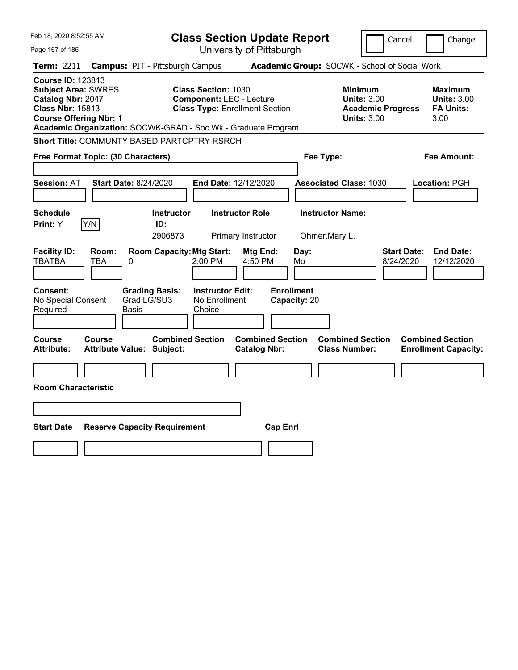| Feb 18, 2020 8:52:55 AM                                                                                                                 |                                                                                                      | <b>Class Section Update Report</b>                                       |                                                                                 | Cancel<br>Change                                                  |
|-----------------------------------------------------------------------------------------------------------------------------------------|------------------------------------------------------------------------------------------------------|--------------------------------------------------------------------------|---------------------------------------------------------------------------------|-------------------------------------------------------------------|
| Page 167 of 185                                                                                                                         |                                                                                                      | University of Pittsburgh                                                 |                                                                                 |                                                                   |
| <b>Term: 2211</b>                                                                                                                       | <b>Campus: PIT - Pittsburgh Campus</b>                                                               |                                                                          | Academic Group: SOCWK - School of Social Work                                   |                                                                   |
| <b>Course ID: 123813</b><br><b>Subject Area: SWRES</b><br>Catalog Nbr: 2047<br><b>Class Nbr: 15813</b><br><b>Course Offering Nbr: 1</b> | <b>Class Section: 1030</b><br>Academic Organization: SOCWK-GRAD - Soc Wk - Graduate Program          | <b>Component: LEC - Lecture</b><br><b>Class Type: Enrollment Section</b> | Minimum<br><b>Units: 3.00</b><br><b>Academic Progress</b><br><b>Units: 3.00</b> | Maximum<br><b>Units: 3.00</b><br><b>FA Units:</b><br>3.00         |
|                                                                                                                                         | Short Title: COMMUNTY BASED PARTCPTRY RSRCH                                                          |                                                                          |                                                                                 |                                                                   |
| Free Format Topic: (30 Characters)                                                                                                      |                                                                                                      |                                                                          | Fee Type:                                                                       | Fee Amount:                                                       |
| <b>Session: AT</b>                                                                                                                      | <b>Start Date: 8/24/2020</b>                                                                         | End Date: 12/12/2020                                                     | <b>Associated Class: 1030</b>                                                   | <b>Location: PGH</b>                                              |
| <b>Schedule</b><br>Y/N<br>Print: Y                                                                                                      | <b>Instructor</b><br>ID:<br>2906873                                                                  | <b>Instructor Role</b><br>Primary Instructor                             | <b>Instructor Name:</b><br>Ohmer, Mary L.                                       |                                                                   |
| <b>Facility ID:</b><br>Room:<br><b>TBATBA</b><br>TBA<br>Consent:                                                                        | <b>Room Capacity: Mtg Start:</b><br>0<br>2:00 PM<br><b>Grading Basis:</b><br><b>Instructor Edit:</b> | Mtg End:<br>Day:<br>4:50 PM<br>Mo<br><b>Enrollment</b>                   |                                                                                 | <b>Start Date:</b><br><b>End Date:</b><br>8/24/2020<br>12/12/2020 |
| No Special Consent<br>Required                                                                                                          | Grad LG/SU3<br>No Enrollment<br>Choice<br>Basis                                                      | Capacity: 20                                                             |                                                                                 |                                                                   |
| <b>Course</b><br>Course<br><b>Attribute:</b>                                                                                            | <b>Combined Section</b><br><b>Attribute Value: Subject:</b>                                          | <b>Combined Section</b><br><b>Catalog Nbr:</b>                           | <b>Combined Section</b><br><b>Class Number:</b>                                 | <b>Combined Section</b><br><b>Enrollment Capacity:</b>            |
| <b>Room Characteristic</b>                                                                                                              |                                                                                                      |                                                                          |                                                                                 |                                                                   |
|                                                                                                                                         |                                                                                                      |                                                                          |                                                                                 |                                                                   |
| <b>Start Date</b>                                                                                                                       | <b>Reserve Capacity Requirement</b>                                                                  | <b>Cap Enrl</b>                                                          |                                                                                 |                                                                   |
|                                                                                                                                         |                                                                                                      |                                                                          |                                                                                 |                                                                   |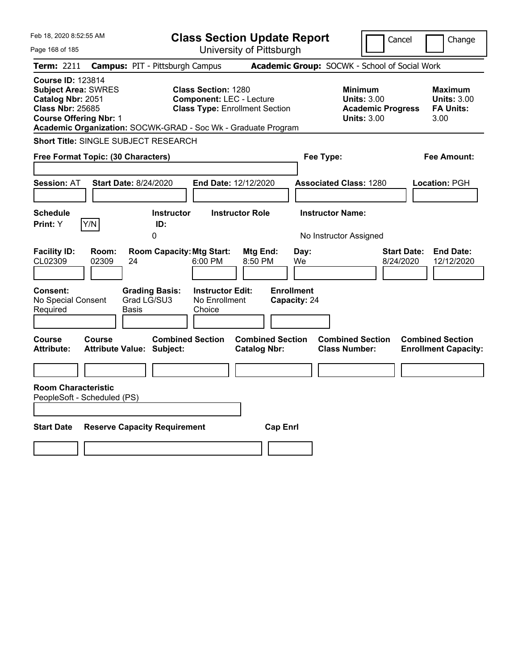| Feb 18, 2020 8:52:55 AM                                                                                                                 |                                                                                                                                | <b>Class Section Update Report</b>             | Cancel                                                                                 | Change                                                            |
|-----------------------------------------------------------------------------------------------------------------------------------------|--------------------------------------------------------------------------------------------------------------------------------|------------------------------------------------|----------------------------------------------------------------------------------------|-------------------------------------------------------------------|
| Page 168 of 185                                                                                                                         |                                                                                                                                | University of Pittsburgh                       |                                                                                        |                                                                   |
| Term: 2211                                                                                                                              | <b>Campus: PIT - Pittsburgh Campus</b>                                                                                         |                                                | Academic Group: SOCWK - School of Social Work                                          |                                                                   |
| <b>Course ID: 123814</b><br><b>Subject Area: SWRES</b><br>Catalog Nbr: 2051<br><b>Class Nbr: 25685</b><br><b>Course Offering Nbr: 1</b> | <b>Class Section: 1280</b><br><b>Component: LEC - Lecture</b><br>Academic Organization: SOCWK-GRAD - Soc Wk - Graduate Program | <b>Class Type: Enrollment Section</b>          | <b>Minimum</b><br><b>Units: 3.00</b><br><b>Academic Progress</b><br><b>Units: 3.00</b> | Maximum<br><b>Units: 3.00</b><br><b>FA Units:</b><br>3.00         |
| <b>Short Title: SINGLE SUBJECT RESEARCH</b>                                                                                             |                                                                                                                                |                                                |                                                                                        |                                                                   |
| Free Format Topic: (30 Characters)                                                                                                      |                                                                                                                                |                                                | Fee Type:                                                                              | Fee Amount:                                                       |
| <b>Session: AT</b>                                                                                                                      | <b>Start Date: 8/24/2020</b>                                                                                                   | End Date: 12/12/2020                           | <b>Associated Class: 1280</b>                                                          | Location: PGH                                                     |
| <b>Schedule</b><br>Y/N<br>Print: Y                                                                                                      | <b>Instructor</b><br>ID:<br>0                                                                                                  | <b>Instructor Role</b>                         | <b>Instructor Name:</b><br>No Instructor Assigned                                      |                                                                   |
| <b>Facility ID:</b><br>Room:<br>CL02309<br>02309                                                                                        | <b>Room Capacity: Mtg Start:</b><br>24<br>6:00 PM                                                                              | Mtg End:<br>Day:<br>8:50 PM<br>We              |                                                                                        | <b>End Date:</b><br><b>Start Date:</b><br>8/24/2020<br>12/12/2020 |
| Consent:<br>No Special Consent<br>Required                                                                                              | <b>Grading Basis:</b><br><b>Instructor Edit:</b><br>Grad LG/SU3<br>No Enrollment<br>Basis<br>Choice                            | <b>Enrollment</b><br>Capacity: 24              |                                                                                        |                                                                   |
| <b>Course</b><br><b>Course</b><br><b>Attribute:</b>                                                                                     | <b>Combined Section</b><br><b>Attribute Value: Subject:</b>                                                                    | <b>Combined Section</b><br><b>Catalog Nbr:</b> | <b>Combined Section</b><br><b>Class Number:</b>                                        | <b>Combined Section</b><br><b>Enrollment Capacity:</b>            |
| <b>Room Characteristic</b><br>PeopleSoft - Scheduled (PS)                                                                               |                                                                                                                                |                                                |                                                                                        |                                                                   |
| <b>Start Date</b>                                                                                                                       | <b>Reserve Capacity Requirement</b>                                                                                            | <b>Cap Enrl</b>                                |                                                                                        |                                                                   |
|                                                                                                                                         |                                                                                                                                |                                                |                                                                                        |                                                                   |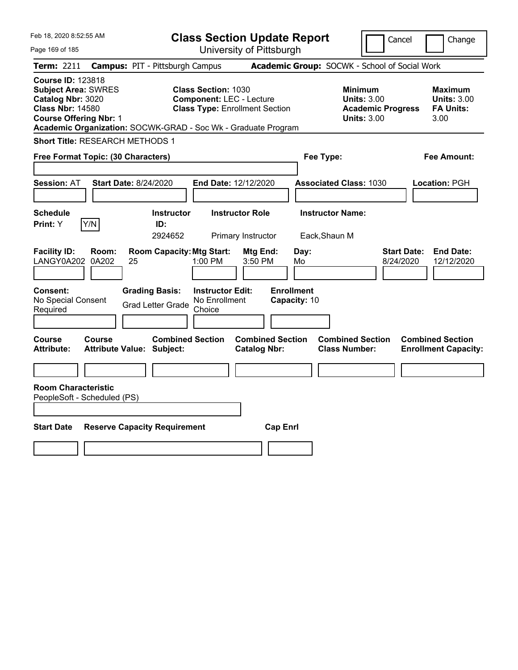| Feb 18, 2020 8:52:55 AM                                                                                                                                                                                  |                                                   |                                                   | <b>Class Section Update Report</b>                                                                     |                                              |                                   |            |                                                 |                                                                      | Cancel                          | Change                                                    |
|----------------------------------------------------------------------------------------------------------------------------------------------------------------------------------------------------------|---------------------------------------------------|---------------------------------------------------|--------------------------------------------------------------------------------------------------------|----------------------------------------------|-----------------------------------|------------|-------------------------------------------------|----------------------------------------------------------------------|---------------------------------|-----------------------------------------------------------|
| Page 169 of 185                                                                                                                                                                                          |                                                   |                                                   | University of Pittsburgh                                                                               |                                              |                                   |            |                                                 |                                                                      |                                 |                                                           |
| Term: 2211                                                                                                                                                                                               | <b>Campus: PIT - Pittsburgh Campus</b>            |                                                   |                                                                                                        |                                              |                                   |            | Academic Group: SOCWK - School of Social Work   |                                                                      |                                 |                                                           |
| <b>Course ID: 123818</b><br><b>Subject Area: SWRES</b><br>Catalog Nbr: 3020<br><b>Class Nbr: 14580</b><br><b>Course Offering Nbr: 1</b><br>Academic Organization: SOCWK-GRAD - Soc Wk - Graduate Program |                                                   |                                                   | <b>Class Section: 1030</b><br><b>Component: LEC - Lecture</b><br><b>Class Type: Enrollment Section</b> |                                              |                                   |            | Minimum                                         | <b>Units: 3.00</b><br><b>Academic Progress</b><br><b>Units: 3.00</b> |                                 | Maximum<br><b>Units: 3.00</b><br><b>FA Units:</b><br>3.00 |
| <b>Short Title: RESEARCH METHODS 1</b>                                                                                                                                                                   |                                                   |                                                   |                                                                                                        |                                              |                                   |            |                                                 |                                                                      |                                 |                                                           |
| Free Format Topic: (30 Characters)                                                                                                                                                                       |                                                   |                                                   |                                                                                                        |                                              |                                   |            | Fee Type:                                       |                                                                      |                                 | Fee Amount:                                               |
| <b>Session: AT</b>                                                                                                                                                                                       | <b>Start Date: 8/24/2020</b>                      |                                                   | End Date: 12/12/2020                                                                                   |                                              |                                   |            | <b>Associated Class: 1030</b>                   |                                                                      |                                 | Location: PGH                                             |
| <b>Schedule</b><br>Y/N<br>Print: Y                                                                                                                                                                       |                                                   | <b>Instructor</b><br>ID:<br>2924652               |                                                                                                        | <b>Instructor Role</b><br>Primary Instructor |                                   |            | <b>Instructor Name:</b><br>Eack, Shaun M        |                                                                      |                                 |                                                           |
| <b>Facility ID:</b><br>LANGY0A202 0A202                                                                                                                                                                  | Room:<br>25                                       | <b>Room Capacity: Mtg Start:</b>                  | 1:00 PM                                                                                                | Mtg End:<br>3:50 PM                          |                                   | Day:<br>Mo |                                                 |                                                                      | <b>Start Date:</b><br>8/24/2020 | <b>End Date:</b><br>12/12/2020                            |
| Consent:<br>No Special Consent<br>Required                                                                                                                                                               |                                                   | <b>Grading Basis:</b><br><b>Grad Letter Grade</b> | <b>Instructor Edit:</b><br>No Enrollment<br>Choice                                                     |                                              | <b>Enrollment</b><br>Capacity: 10 |            |                                                 |                                                                      |                                 |                                                           |
| Course<br><b>Attribute:</b>                                                                                                                                                                              | <b>Course</b><br><b>Attribute Value: Subject:</b> | <b>Combined Section</b>                           |                                                                                                        | <b>Catalog Nbr:</b>                          | <b>Combined Section</b>           |            | <b>Combined Section</b><br><b>Class Number:</b> |                                                                      |                                 | <b>Combined Section</b><br><b>Enrollment Capacity:</b>    |
| <b>Room Characteristic</b><br>PeopleSoft - Scheduled (PS)                                                                                                                                                |                                                   |                                                   |                                                                                                        |                                              |                                   |            |                                                 |                                                                      |                                 |                                                           |
| <b>Start Date</b>                                                                                                                                                                                        | <b>Reserve Capacity Requirement</b>               |                                                   |                                                                                                        |                                              | <b>Cap Enrl</b>                   |            |                                                 |                                                                      |                                 |                                                           |
|                                                                                                                                                                                                          |                                                   |                                                   |                                                                                                        |                                              |                                   |            |                                                 |                                                                      |                                 |                                                           |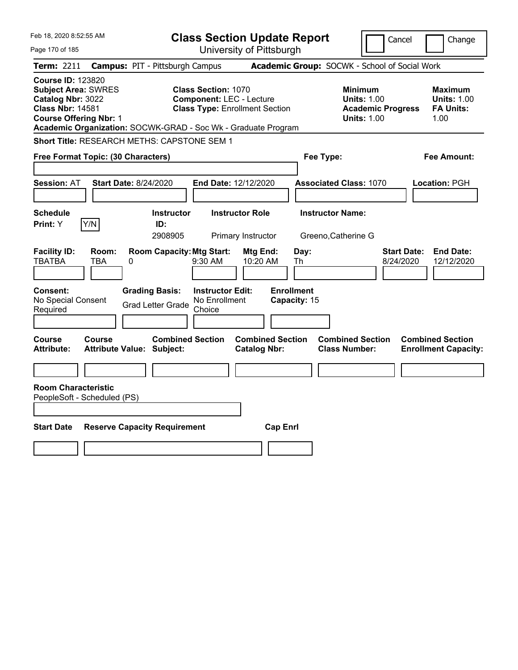| Feb 18, 2020 8:52:55 AM                                                                                                                 |                              |                                                               |                                                    | <b>Class Section Update Report</b>                                       |                                   |                                                 | Cancel                                                               |                                 | Change                                                           |
|-----------------------------------------------------------------------------------------------------------------------------------------|------------------------------|---------------------------------------------------------------|----------------------------------------------------|--------------------------------------------------------------------------|-----------------------------------|-------------------------------------------------|----------------------------------------------------------------------|---------------------------------|------------------------------------------------------------------|
| Page 170 of 185                                                                                                                         |                              |                                                               |                                                    | University of Pittsburgh                                                 |                                   |                                                 |                                                                      |                                 |                                                                  |
| <b>Term: 2211</b>                                                                                                                       |                              | <b>Campus: PIT - Pittsburgh Campus</b>                        |                                                    |                                                                          |                                   | Academic Group: SOCWK - School of Social Work   |                                                                      |                                 |                                                                  |
| <b>Course ID: 123820</b><br><b>Subject Area: SWRES</b><br>Catalog Nbr: 3022<br><b>Class Nbr: 14581</b><br><b>Course Offering Nbr: 1</b> |                              | Academic Organization: SOCWK-GRAD - Soc Wk - Graduate Program | <b>Class Section: 1070</b>                         | <b>Component: LEC - Lecture</b><br><b>Class Type: Enrollment Section</b> |                                   | <b>Minimum</b>                                  | <b>Units: 1.00</b><br><b>Academic Progress</b><br><b>Units: 1.00</b> |                                 | <b>Maximum</b><br><b>Units: 1.00</b><br><b>FA Units:</b><br>1.00 |
|                                                                                                                                         |                              | <b>Short Title: RESEARCH METHS: CAPSTONE SEM 1</b>            |                                                    |                                                                          |                                   |                                                 |                                                                      |                                 |                                                                  |
| Free Format Topic: (30 Characters)                                                                                                      |                              |                                                               |                                                    |                                                                          |                                   | Fee Type:                                       |                                                                      |                                 | Fee Amount:                                                      |
| <b>Session: AT</b>                                                                                                                      | <b>Start Date: 8/24/2020</b> |                                                               |                                                    | End Date: 12/12/2020                                                     |                                   | <b>Associated Class: 1070</b>                   |                                                                      |                                 | Location: PGH                                                    |
| <b>Schedule</b>                                                                                                                         |                              | <b>Instructor</b>                                             |                                                    | <b>Instructor Role</b>                                                   |                                   | <b>Instructor Name:</b>                         |                                                                      |                                 |                                                                  |
| Print: Y                                                                                                                                | Y/N                          | ID:<br>2908905                                                |                                                    | Primary Instructor                                                       |                                   | Greeno, Catherine G                             |                                                                      |                                 |                                                                  |
| <b>Facility ID:</b><br><b>TBATBA</b>                                                                                                    | Room:<br><b>TBA</b><br>0     | <b>Room Capacity: Mtg Start:</b>                              | $9:30$ AM                                          | Mtg End:<br>10:20 AM                                                     | Day:<br>Th                        |                                                 |                                                                      | <b>Start Date:</b><br>8/24/2020 | <b>End Date:</b><br>12/12/2020                                   |
| Consent:<br>No Special Consent<br>Required                                                                                              |                              | <b>Grading Basis:</b><br><b>Grad Letter Grade</b>             | <b>Instructor Edit:</b><br>No Enrollment<br>Choice |                                                                          | <b>Enrollment</b><br>Capacity: 15 |                                                 |                                                                      |                                 |                                                                  |
| Course<br><b>Attribute:</b>                                                                                                             | Course                       | <b>Combined Section</b><br><b>Attribute Value: Subject:</b>   |                                                    | <b>Combined Section</b><br><b>Catalog Nbr:</b>                           |                                   | <b>Combined Section</b><br><b>Class Number:</b> |                                                                      |                                 | <b>Combined Section</b><br><b>Enrollment Capacity:</b>           |
|                                                                                                                                         |                              |                                                               |                                                    |                                                                          |                                   |                                                 |                                                                      |                                 |                                                                  |
| <b>Room Characteristic</b><br>PeopleSoft - Scheduled (PS)                                                                               |                              |                                                               |                                                    |                                                                          |                                   |                                                 |                                                                      |                                 |                                                                  |
|                                                                                                                                         |                              |                                                               |                                                    |                                                                          |                                   |                                                 |                                                                      |                                 |                                                                  |
| <b>Start Date</b>                                                                                                                       |                              | <b>Reserve Capacity Requirement</b>                           |                                                    | <b>Cap Enrl</b>                                                          |                                   |                                                 |                                                                      |                                 |                                                                  |
|                                                                                                                                         |                              |                                                               |                                                    |                                                                          |                                   |                                                 |                                                                      |                                 |                                                                  |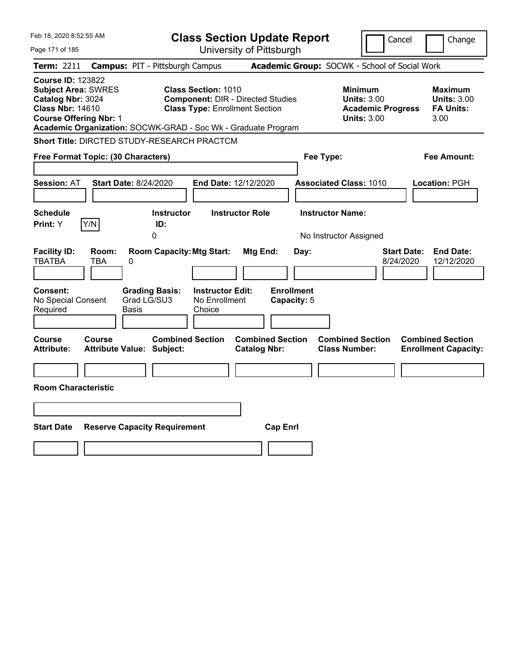| Feb 18, 2020 8:52:55 AM                                                                                                                 |                                                                                                                                                                                  | <b>Class Section Update Report</b>                   | Cancel                                                                                 | Change                                                    |
|-----------------------------------------------------------------------------------------------------------------------------------------|----------------------------------------------------------------------------------------------------------------------------------------------------------------------------------|------------------------------------------------------|----------------------------------------------------------------------------------------|-----------------------------------------------------------|
| Page 171 of 185                                                                                                                         |                                                                                                                                                                                  | University of Pittsburgh                             |                                                                                        |                                                           |
| Term: 2211                                                                                                                              | <b>Campus: PIT - Pittsburgh Campus</b>                                                                                                                                           |                                                      | Academic Group: SOCWK - School of Social Work                                          |                                                           |
| <b>Course ID: 123822</b><br><b>Subject Area: SWRES</b><br>Catalog Nbr: 3024<br><b>Class Nbr: 14610</b><br><b>Course Offering Nbr: 1</b> | <b>Class Section: 1010</b><br><b>Component: DIR - Directed Studies</b><br><b>Class Type: Enrollment Section</b><br>Academic Organization: SOCWK-GRAD - Soc Wk - Graduate Program |                                                      | <b>Minimum</b><br><b>Units: 3.00</b><br><b>Academic Progress</b><br><b>Units: 3.00</b> | Maximum<br><b>Units: 3.00</b><br><b>FA Units:</b><br>3.00 |
|                                                                                                                                         | Short Title: DIRCTED STUDY-RESEARCH PRACTCM                                                                                                                                      |                                                      |                                                                                        |                                                           |
| Free Format Topic: (30 Characters)                                                                                                      |                                                                                                                                                                                  |                                                      | Fee Type:                                                                              | Fee Amount:                                               |
| <b>Session: AT</b>                                                                                                                      | Start Date: 8/24/2020<br>End Date: 12/12/2020                                                                                                                                    |                                                      | <b>Associated Class: 1010</b>                                                          | Location: PGH                                             |
| <b>Schedule</b><br>Y/N<br>Print: Y                                                                                                      | <b>Instructor</b><br>ID:<br>0                                                                                                                                                    | <b>Instructor Role</b>                               | <b>Instructor Name:</b><br>No Instructor Assigned                                      |                                                           |
| <b>Facility ID:</b><br>Room:<br><b>TBATBA</b><br>TBA<br><b>Consent:</b><br>No Special Consent                                           | <b>Room Capacity: Mtg Start:</b><br>0<br><b>Instructor Edit:</b><br><b>Grading Basis:</b><br>Grad LG/SU3<br>No Enrollment                                                        | Mtg End:<br>Day:<br><b>Enrollment</b><br>Capacity: 5 | <b>Start Date:</b><br>8/24/2020                                                        | <b>End Date:</b><br>12/12/2020                            |
| Required                                                                                                                                | Basis<br>Choice                                                                                                                                                                  |                                                      |                                                                                        |                                                           |
| Course<br>Course<br><b>Attribute:</b>                                                                                                   | <b>Combined Section</b><br><b>Attribute Value: Subject:</b>                                                                                                                      | <b>Combined Section</b><br><b>Catalog Nbr:</b>       | <b>Combined Section</b><br><b>Class Number:</b>                                        | <b>Combined Section</b><br><b>Enrollment Capacity:</b>    |
| <b>Room Characteristic</b>                                                                                                              |                                                                                                                                                                                  |                                                      |                                                                                        |                                                           |
|                                                                                                                                         |                                                                                                                                                                                  |                                                      |                                                                                        |                                                           |
| <b>Start Date</b>                                                                                                                       | <b>Reserve Capacity Requirement</b>                                                                                                                                              | <b>Cap Enrl</b>                                      |                                                                                        |                                                           |
|                                                                                                                                         |                                                                                                                                                                                  |                                                      |                                                                                        |                                                           |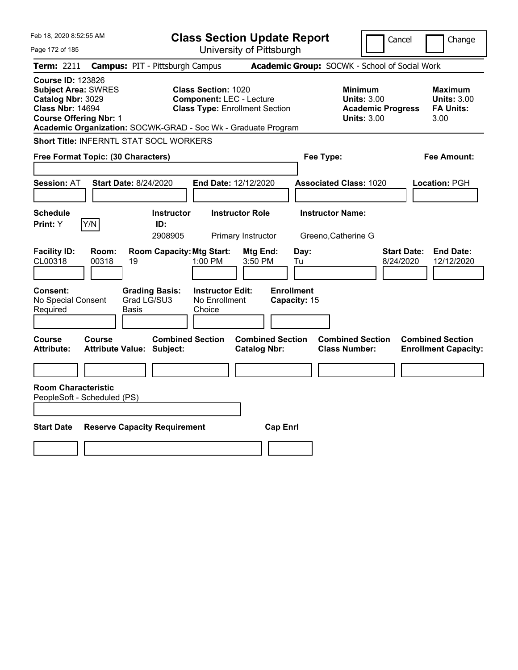| Feb 18, 2020 8:52:55 AM                                                                                                                                                                                  |                                            |                                     | <b>Class Section Update Report</b>                                                                     |                                              |                                   |                                                |                                                                                        | Cancel                          | Change                                                    |
|----------------------------------------------------------------------------------------------------------------------------------------------------------------------------------------------------------|--------------------------------------------|-------------------------------------|--------------------------------------------------------------------------------------------------------|----------------------------------------------|-----------------------------------|------------------------------------------------|----------------------------------------------------------------------------------------|---------------------------------|-----------------------------------------------------------|
| Page 172 of 185                                                                                                                                                                                          |                                            |                                     |                                                                                                        | University of Pittsburgh                     |                                   |                                                |                                                                                        |                                 |                                                           |
| Term: 2211                                                                                                                                                                                               | <b>Campus: PIT - Pittsburgh Campus</b>     |                                     |                                                                                                        |                                              |                                   |                                                | Academic Group: SOCWK - School of Social Work                                          |                                 |                                                           |
| <b>Course ID: 123826</b><br><b>Subject Area: SWRES</b><br>Catalog Nbr: 3029<br><b>Class Nbr: 14694</b><br><b>Course Offering Nbr: 1</b><br>Academic Organization: SOCWK-GRAD - Soc Wk - Graduate Program |                                            |                                     | <b>Class Section: 1020</b><br><b>Component: LEC - Lecture</b><br><b>Class Type: Enrollment Section</b> |                                              |                                   |                                                | <b>Minimum</b><br><b>Units: 3.00</b><br><b>Academic Progress</b><br><b>Units: 3.00</b> |                                 | Maximum<br><b>Units: 3.00</b><br><b>FA Units:</b><br>3.00 |
| Short Title: INFERNTL STAT SOCL WORKERS                                                                                                                                                                  |                                            |                                     |                                                                                                        |                                              |                                   |                                                |                                                                                        |                                 |                                                           |
| <b>Free Format Topic: (30 Characters)</b>                                                                                                                                                                |                                            |                                     |                                                                                                        |                                              |                                   | Fee Type:                                      |                                                                                        |                                 | Fee Amount:                                               |
| <b>Session: AT</b>                                                                                                                                                                                       | <b>Start Date: 8/24/2020</b>               |                                     | End Date: 12/12/2020                                                                                   |                                              |                                   | <b>Associated Class: 1020</b>                  |                                                                                        |                                 | Location: PGH                                             |
| Schedule<br>Y/N<br>Print: Y                                                                                                                                                                              |                                            | <b>Instructor</b><br>ID:<br>2908905 |                                                                                                        | <b>Instructor Role</b><br>Primary Instructor |                                   | <b>Instructor Name:</b><br>Greeno, Catherine G |                                                                                        |                                 |                                                           |
| <b>Facility ID:</b><br>CL00318                                                                                                                                                                           | Room:<br>00318<br>19                       | <b>Room Capacity: Mtg Start:</b>    | $1:00$ PM                                                                                              | Mtg End:<br>3:50 PM                          | Day:<br>Tu                        |                                                |                                                                                        | <b>Start Date:</b><br>8/24/2020 | <b>End Date:</b><br>12/12/2020                            |
| <b>Consent:</b><br>No Special Consent<br>Required                                                                                                                                                        | Grad LG/SU3<br>Basis                       | <b>Grading Basis:</b>               | <b>Instructor Edit:</b><br>No Enrollment<br>Choice                                                     |                                              | <b>Enrollment</b><br>Capacity: 15 |                                                |                                                                                        |                                 |                                                           |
| Course<br><b>Attribute:</b>                                                                                                                                                                              | Course<br><b>Attribute Value: Subject:</b> | <b>Combined Section</b>             |                                                                                                        | <b>Catalog Nbr:</b>                          | <b>Combined Section</b>           | <b>Class Number:</b>                           | <b>Combined Section</b>                                                                |                                 | <b>Combined Section</b><br><b>Enrollment Capacity:</b>    |
|                                                                                                                                                                                                          |                                            |                                     |                                                                                                        |                                              |                                   |                                                |                                                                                        |                                 |                                                           |
| <b>Room Characteristic</b><br>PeopleSoft - Scheduled (PS)                                                                                                                                                |                                            |                                     |                                                                                                        |                                              |                                   |                                                |                                                                                        |                                 |                                                           |
|                                                                                                                                                                                                          |                                            |                                     |                                                                                                        |                                              |                                   |                                                |                                                                                        |                                 |                                                           |
| <b>Start Date</b>                                                                                                                                                                                        | <b>Reserve Capacity Requirement</b>        |                                     |                                                                                                        |                                              | <b>Cap Enrl</b>                   |                                                |                                                                                        |                                 |                                                           |
|                                                                                                                                                                                                          |                                            |                                     |                                                                                                        |                                              |                                   |                                                |                                                                                        |                                 |                                                           |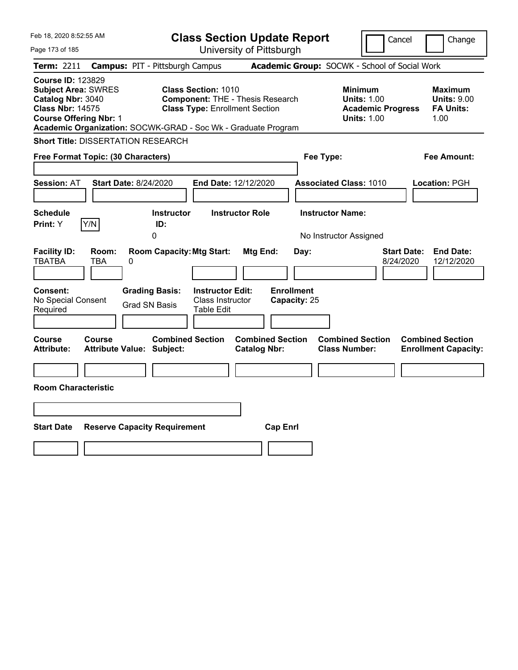| Feb 18, 2020 8:52:55 AM                                                                                                                                                                                  |                                                                                                                | <b>Class Section Update Report</b>             | Cancel                                                                                 | Change                                                    |
|----------------------------------------------------------------------------------------------------------------------------------------------------------------------------------------------------------|----------------------------------------------------------------------------------------------------------------|------------------------------------------------|----------------------------------------------------------------------------------------|-----------------------------------------------------------|
| Page 173 of 185                                                                                                                                                                                          |                                                                                                                | University of Pittsburgh                       |                                                                                        |                                                           |
| <b>Term: 2211</b>                                                                                                                                                                                        | <b>Campus: PIT - Pittsburgh Campus</b>                                                                         |                                                | Academic Group: SOCWK - School of Social Work                                          |                                                           |
| <b>Course ID: 123829</b><br><b>Subject Area: SWRES</b><br>Catalog Nbr: 3040<br><b>Class Nbr: 14575</b><br><b>Course Offering Nbr: 1</b><br>Academic Organization: SOCWK-GRAD - Soc Wk - Graduate Program | <b>Class Section: 1010</b><br><b>Component: THE - Thesis Research</b><br><b>Class Type: Enrollment Section</b> |                                                | <b>Minimum</b><br><b>Units: 1.00</b><br><b>Academic Progress</b><br><b>Units: 1.00</b> | Maximum<br><b>Units: 9.00</b><br><b>FA Units:</b><br>1.00 |
| <b>Short Title: DISSERTATION RESEARCH</b>                                                                                                                                                                |                                                                                                                |                                                |                                                                                        |                                                           |
| Free Format Topic: (30 Characters)                                                                                                                                                                       |                                                                                                                |                                                | Fee Type:                                                                              | Fee Amount:                                               |
| <b>Session: AT</b><br><b>Start Date: 8/24/2020</b>                                                                                                                                                       | End Date: 12/12/2020                                                                                           |                                                | <b>Associated Class: 1010</b>                                                          | Location: PGH                                             |
| <b>Schedule</b><br>Y/N<br>Print: Y                                                                                                                                                                       | <b>Instructor</b><br>ID:<br>0                                                                                  | <b>Instructor Role</b>                         | <b>Instructor Name:</b><br>No Instructor Assigned                                      |                                                           |
| <b>Facility ID:</b><br>Room:<br><b>TBATBA</b><br>TBA<br>0                                                                                                                                                | <b>Room Capacity: Mtg Start:</b>                                                                               | Mtg End:<br>Day:                               | <b>Start Date:</b><br>8/24/2020                                                        | <b>End Date:</b><br>12/12/2020                            |
| Consent:<br>No Special Consent<br>Required                                                                                                                                                               | <b>Grading Basis:</b><br><b>Instructor Edit:</b><br>Class Instructor<br><b>Grad SN Basis</b><br>Table Edit     | <b>Enrollment</b><br>Capacity: 25              |                                                                                        |                                                           |
| <b>Course</b><br><b>Course</b><br><b>Attribute:</b><br><b>Attribute Value: Subject:</b>                                                                                                                  | <b>Combined Section</b>                                                                                        | <b>Combined Section</b><br><b>Catalog Nbr:</b> | <b>Combined Section</b><br><b>Class Number:</b>                                        | <b>Combined Section</b><br><b>Enrollment Capacity:</b>    |
|                                                                                                                                                                                                          |                                                                                                                |                                                |                                                                                        |                                                           |
| <b>Room Characteristic</b>                                                                                                                                                                               |                                                                                                                |                                                |                                                                                        |                                                           |
|                                                                                                                                                                                                          |                                                                                                                |                                                |                                                                                        |                                                           |
| <b>Start Date</b><br><b>Reserve Capacity Requirement</b>                                                                                                                                                 |                                                                                                                | <b>Cap Enrl</b>                                |                                                                                        |                                                           |
|                                                                                                                                                                                                          |                                                                                                                |                                                |                                                                                        |                                                           |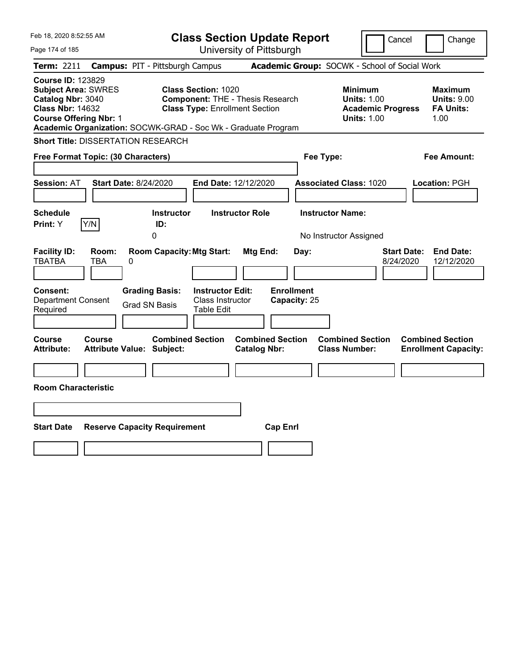| Feb 18, 2020 8:52:55 AM                                                                                                                 |                                                                                                                                                                                 | <b>Class Section Update Report</b>             | Cancel                                                                                 | Change                                                           |
|-----------------------------------------------------------------------------------------------------------------------------------------|---------------------------------------------------------------------------------------------------------------------------------------------------------------------------------|------------------------------------------------|----------------------------------------------------------------------------------------|------------------------------------------------------------------|
| Page 174 of 185                                                                                                                         |                                                                                                                                                                                 | University of Pittsburgh                       |                                                                                        |                                                                  |
| Term: 2211                                                                                                                              | <b>Campus: PIT - Pittsburgh Campus</b>                                                                                                                                          |                                                | Academic Group: SOCWK - School of Social Work                                          |                                                                  |
| <b>Course ID: 123829</b><br><b>Subject Area: SWRES</b><br>Catalog Nbr: 3040<br><b>Class Nbr: 14632</b><br><b>Course Offering Nbr: 1</b> | <b>Class Section: 1020</b><br><b>Component: THE - Thesis Research</b><br><b>Class Type: Enrollment Section</b><br>Academic Organization: SOCWK-GRAD - Soc Wk - Graduate Program |                                                | <b>Minimum</b><br><b>Units: 1.00</b><br><b>Academic Progress</b><br><b>Units: 1.00</b> | <b>Maximum</b><br><b>Units: 9.00</b><br><b>FA Units:</b><br>1.00 |
| <b>Short Title: DISSERTATION RESEARCH</b>                                                                                               |                                                                                                                                                                                 |                                                |                                                                                        |                                                                  |
| Free Format Topic: (30 Characters)                                                                                                      |                                                                                                                                                                                 |                                                | Fee Type:                                                                              | Fee Amount:                                                      |
| <b>Session: AT</b>                                                                                                                      | <b>Start Date: 8/24/2020</b>                                                                                                                                                    | End Date: 12/12/2020                           | <b>Associated Class: 1020</b>                                                          | Location: PGH                                                    |
| <b>Schedule</b><br>Y/N<br>Print: Y                                                                                                      | <b>Instructor</b><br>ID:<br>0                                                                                                                                                   | <b>Instructor Role</b>                         | <b>Instructor Name:</b><br>No Instructor Assigned                                      |                                                                  |
| <b>Facility ID:</b><br>Room:<br><b>TBATBA</b><br><b>TBA</b><br>0                                                                        | <b>Room Capacity: Mtg Start:</b>                                                                                                                                                | Mtg End:<br>Day:                               | <b>Start Date:</b><br>8/24/2020                                                        | <b>End Date:</b><br>12/12/2020                                   |
| <b>Consent:</b><br><b>Department Consent</b><br>Required                                                                                | <b>Instructor Edit:</b><br><b>Grading Basis:</b><br>Class Instructor<br><b>Grad SN Basis</b><br>Table Edit                                                                      | <b>Enrollment</b><br>Capacity: 25              |                                                                                        |                                                                  |
| Course<br>Course<br><b>Attribute:</b>                                                                                                   | <b>Combined Section</b><br><b>Attribute Value: Subject:</b>                                                                                                                     | <b>Combined Section</b><br><b>Catalog Nbr:</b> | <b>Combined Section</b><br><b>Class Number:</b>                                        | <b>Combined Section</b><br><b>Enrollment Capacity:</b>           |
|                                                                                                                                         |                                                                                                                                                                                 |                                                |                                                                                        |                                                                  |
| <b>Room Characteristic</b>                                                                                                              |                                                                                                                                                                                 |                                                |                                                                                        |                                                                  |
|                                                                                                                                         |                                                                                                                                                                                 |                                                |                                                                                        |                                                                  |
| <b>Start Date</b>                                                                                                                       | <b>Reserve Capacity Requirement</b>                                                                                                                                             | <b>Cap Enrl</b>                                |                                                                                        |                                                                  |
|                                                                                                                                         |                                                                                                                                                                                 |                                                |                                                                                        |                                                                  |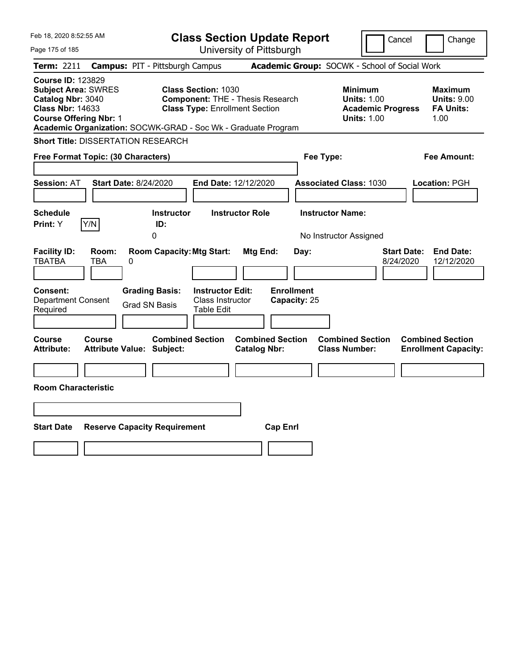| Feb 18, 2020 8:52:55 AM                                                                                                                                                                                  |                                                                                                                                                | <b>Class Section Update Report</b>                    | Cancel                                                                                 | Change                                                    |
|----------------------------------------------------------------------------------------------------------------------------------------------------------------------------------------------------------|------------------------------------------------------------------------------------------------------------------------------------------------|-------------------------------------------------------|----------------------------------------------------------------------------------------|-----------------------------------------------------------|
| Page 175 of 185                                                                                                                                                                                          |                                                                                                                                                | University of Pittsburgh                              |                                                                                        |                                                           |
| Term: 2211                                                                                                                                                                                               | <b>Campus: PIT - Pittsburgh Campus</b>                                                                                                         |                                                       | Academic Group: SOCWK - School of Social Work                                          |                                                           |
| <b>Course ID: 123829</b><br><b>Subject Area: SWRES</b><br>Catalog Nbr: 3040<br><b>Class Nbr: 14633</b><br><b>Course Offering Nbr: 1</b><br>Academic Organization: SOCWK-GRAD - Soc Wk - Graduate Program | <b>Class Section: 1030</b><br><b>Component: THE - Thesis Research</b><br><b>Class Type: Enrollment Section</b>                                 |                                                       | <b>Minimum</b><br><b>Units: 1.00</b><br><b>Academic Progress</b><br><b>Units: 1.00</b> | Maximum<br><b>Units: 9.00</b><br><b>FA Units:</b><br>1.00 |
| <b>Short Title: DISSERTATION RESEARCH</b>                                                                                                                                                                |                                                                                                                                                |                                                       |                                                                                        |                                                           |
| Free Format Topic: (30 Characters)                                                                                                                                                                       |                                                                                                                                                | Fee Type:                                             |                                                                                        | Fee Amount:                                               |
| <b>Start Date: 8/24/2020</b><br><b>Session: AT</b><br><b>Schedule</b><br>Y/N<br>Print: Y                                                                                                                 | End Date: 12/12/2020<br><b>Instructor</b><br>ID:<br>0                                                                                          | <b>Instructor Role</b>                                | <b>Associated Class: 1030</b><br><b>Instructor Name:</b><br>No Instructor Assigned     | Location: PGH                                             |
| <b>Facility ID:</b><br>Room:<br><b>TBATBA</b><br>TBA<br>0<br><b>Consent:</b><br><b>Department Consent</b><br>Required                                                                                    | <b>Room Capacity: Mtg Start:</b><br><b>Grading Basis:</b><br><b>Instructor Edit:</b><br>Class Instructor<br><b>Grad SN Basis</b><br>Table Edit | Mtg End:<br>Day:<br><b>Enrollment</b><br>Capacity: 25 | <b>Start Date:</b><br>8/24/2020                                                        | <b>End Date:</b><br>12/12/2020                            |
| Course<br><b>Course</b><br>Attribute Value: Subject:<br><b>Attribute:</b>                                                                                                                                | <b>Combined Section</b>                                                                                                                        | <b>Combined Section</b><br><b>Catalog Nbr:</b>        | <b>Combined Section</b><br><b>Class Number:</b>                                        | <b>Combined Section</b><br><b>Enrollment Capacity:</b>    |
| <b>Room Characteristic</b>                                                                                                                                                                               |                                                                                                                                                |                                                       |                                                                                        |                                                           |
| <b>Start Date</b><br><b>Reserve Capacity Requirement</b>                                                                                                                                                 |                                                                                                                                                | <b>Cap Enrl</b>                                       |                                                                                        |                                                           |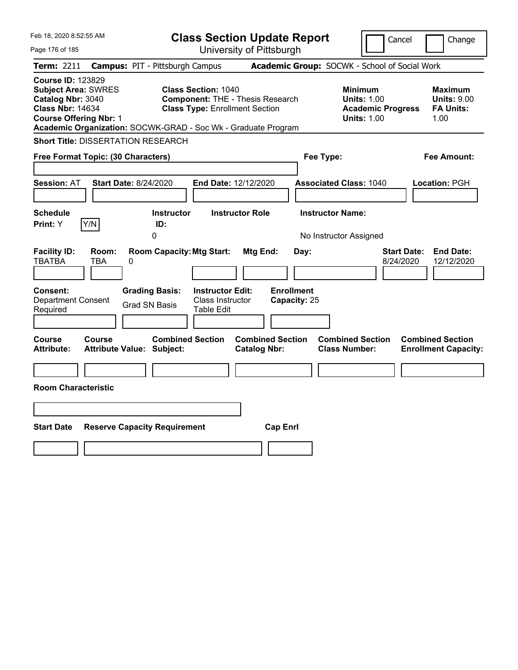| Feb 18, 2020 8:52:55 AM                                                                                                                                                                                  |                                                                                                                        | <b>Class Section Update Report</b>                    | Cancel                                                                                 | Change                                                    |
|----------------------------------------------------------------------------------------------------------------------------------------------------------------------------------------------------------|------------------------------------------------------------------------------------------------------------------------|-------------------------------------------------------|----------------------------------------------------------------------------------------|-----------------------------------------------------------|
| Page 176 of 185                                                                                                                                                                                          |                                                                                                                        | University of Pittsburgh                              |                                                                                        |                                                           |
| Term: 2211                                                                                                                                                                                               | <b>Campus: PIT - Pittsburgh Campus</b>                                                                                 |                                                       | Academic Group: SOCWK - School of Social Work                                          |                                                           |
| <b>Course ID: 123829</b><br><b>Subject Area: SWRES</b><br>Catalog Nbr: 3040<br><b>Class Nbr: 14634</b><br><b>Course Offering Nbr: 1</b><br>Academic Organization: SOCWK-GRAD - Soc Wk - Graduate Program | <b>Class Section: 1040</b><br><b>Component: THE - Thesis Research</b><br><b>Class Type: Enrollment Section</b>         |                                                       | <b>Minimum</b><br><b>Units: 1.00</b><br><b>Academic Progress</b><br><b>Units: 1.00</b> | Maximum<br><b>Units: 9.00</b><br><b>FA Units:</b><br>1.00 |
| <b>Short Title: DISSERTATION RESEARCH</b>                                                                                                                                                                |                                                                                                                        |                                                       |                                                                                        |                                                           |
| Free Format Topic: (30 Characters)                                                                                                                                                                       |                                                                                                                        |                                                       | Fee Type:                                                                              | Fee Amount:                                               |
| <b>Start Date: 8/24/2020</b><br><b>Session: AT</b><br><b>Schedule</b>                                                                                                                                    | End Date: 12/12/2020<br><b>Instructor</b>                                                                              | <b>Instructor Role</b>                                | <b>Associated Class: 1040</b><br><b>Instructor Name:</b>                               | Location: PGH                                             |
| Y/N<br>Print: Y                                                                                                                                                                                          | ID:<br>0                                                                                                               |                                                       | No Instructor Assigned                                                                 |                                                           |
| <b>Facility ID:</b><br>Room:<br><b>TBATBA</b><br>TBA<br>0<br><b>Consent:</b><br><b>Department Consent</b><br><b>Grad SN Basis</b><br>Required                                                            | <b>Room Capacity: Mtg Start:</b><br><b>Grading Basis:</b><br><b>Instructor Edit:</b><br>Class Instructor<br>Table Edit | Mtg End:<br>Day:<br><b>Enrollment</b><br>Capacity: 25 | <b>Start Date:</b><br>8/24/2020                                                        | <b>End Date:</b><br>12/12/2020                            |
| Course<br><b>Course</b><br><b>Attribute:</b><br>Attribute Value: Subject:                                                                                                                                | <b>Combined Section</b>                                                                                                | <b>Combined Section</b><br><b>Catalog Nbr:</b>        | <b>Combined Section</b><br><b>Class Number:</b>                                        | <b>Combined Section</b><br><b>Enrollment Capacity:</b>    |
| <b>Room Characteristic</b>                                                                                                                                                                               |                                                                                                                        |                                                       |                                                                                        |                                                           |
|                                                                                                                                                                                                          |                                                                                                                        |                                                       |                                                                                        |                                                           |
|                                                                                                                                                                                                          |                                                                                                                        |                                                       |                                                                                        |                                                           |
| <b>Start Date</b><br><b>Reserve Capacity Requirement</b>                                                                                                                                                 |                                                                                                                        | <b>Cap Enrl</b>                                       |                                                                                        |                                                           |
|                                                                                                                                                                                                          |                                                                                                                        |                                                       |                                                                                        |                                                           |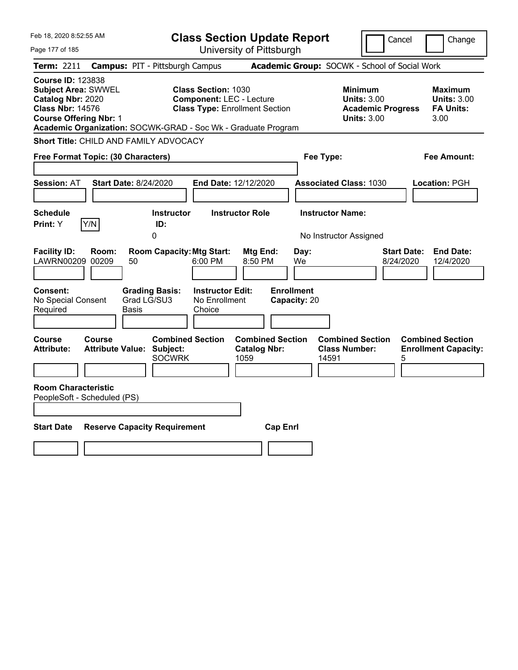| Feb 18, 2020 8:52:55 AM                                                                                                                                                                                  | <b>Class Section Update Report</b>                                                                     | Cancel                                                                                                                                                     | Change |
|----------------------------------------------------------------------------------------------------------------------------------------------------------------------------------------------------------|--------------------------------------------------------------------------------------------------------|------------------------------------------------------------------------------------------------------------------------------------------------------------|--------|
| Page 177 of 185                                                                                                                                                                                          | University of Pittsburgh                                                                               |                                                                                                                                                            |        |
| <b>Campus: PIT - Pittsburgh Campus</b><br><b>Term: 2211</b>                                                                                                                                              |                                                                                                        | Academic Group: SOCWK - School of Social Work                                                                                                              |        |
| <b>Course ID: 123838</b><br><b>Subject Area: SWWEL</b><br>Catalog Nbr: 2020<br><b>Class Nbr: 14576</b><br><b>Course Offering Nbr: 1</b><br>Academic Organization: SOCWK-GRAD - Soc Wk - Graduate Program | <b>Class Section: 1030</b><br><b>Component: LEC - Lecture</b><br><b>Class Type: Enrollment Section</b> | <b>Minimum</b><br><b>Maximum</b><br><b>Units: 3.00</b><br><b>Units: 3.00</b><br><b>FA Units:</b><br><b>Academic Progress</b><br><b>Units: 3.00</b><br>3.00 |        |
| Short Title: CHILD AND FAMILY ADVOCACY                                                                                                                                                                   |                                                                                                        |                                                                                                                                                            |        |
| Free Format Topic: (30 Characters)                                                                                                                                                                       |                                                                                                        | Fee Type:<br>Fee Amount:                                                                                                                                   |        |
| Start Date: 8/24/2020<br><b>Session: AT</b>                                                                                                                                                              | <b>End Date: 12/12/2020</b>                                                                            | <b>Associated Class: 1030</b><br>Location: PGH                                                                                                             |        |
| <b>Schedule</b><br>Y/N<br>Print: Y<br>ID:<br>0                                                                                                                                                           | <b>Instructor</b><br><b>Instructor Role</b>                                                            | <b>Instructor Name:</b><br>No Instructor Assigned                                                                                                          |        |
| <b>Facility ID:</b><br>Room:<br>LAWRN00209 00209<br>50                                                                                                                                                   | <b>Room Capacity: Mtg Start:</b><br>Mtg End:<br>6:00 PM<br>8:50 PM                                     | <b>End Date:</b><br>Day:<br><b>Start Date:</b><br>We<br>8/24/2020<br>12/4/2020                                                                             |        |
| Consent:<br><b>Grading Basis:</b><br>Grad LG/SU3<br>No Special Consent<br>Required<br>Basis                                                                                                              | <b>Enrollment</b><br><b>Instructor Edit:</b><br>No Enrollment<br>Capacity: 20<br>Choice                |                                                                                                                                                            |        |
| <b>Course</b><br>Course<br><b>Attribute Value: Subject:</b><br>Attribute:                                                                                                                                | <b>Combined Section</b><br><b>Combined Section</b><br><b>Catalog Nbr:</b><br><b>SOCWRK</b><br>1059     | <b>Combined Section</b><br><b>Combined Section</b><br><b>Class Number:</b><br><b>Enrollment Capacity:</b><br>14591<br>5                                    |        |
| <b>Room Characteristic</b><br>PeopleSoft - Scheduled (PS)                                                                                                                                                |                                                                                                        |                                                                                                                                                            |        |
| <b>Start Date</b><br><b>Reserve Capacity Requirement</b>                                                                                                                                                 | <b>Cap Enrl</b>                                                                                        |                                                                                                                                                            |        |
|                                                                                                                                                                                                          |                                                                                                        |                                                                                                                                                            |        |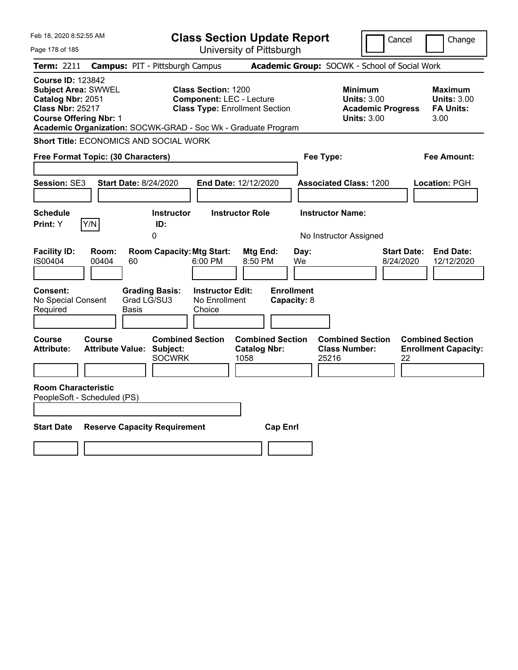| Feb 18, 2020 8:52:55 AM                                                                                                                                                                                  |                                                                                                        | <b>Class Section Update Report</b>                     |                                                                                        | Cancel<br>Change                                                  |
|----------------------------------------------------------------------------------------------------------------------------------------------------------------------------------------------------------|--------------------------------------------------------------------------------------------------------|--------------------------------------------------------|----------------------------------------------------------------------------------------|-------------------------------------------------------------------|
| Page 178 of 185                                                                                                                                                                                          |                                                                                                        | University of Pittsburgh                               |                                                                                        |                                                                   |
| <b>Campus: PIT - Pittsburgh Campus</b><br><b>Term: 2211</b>                                                                                                                                              |                                                                                                        |                                                        | Academic Group: SOCWK - School of Social Work                                          |                                                                   |
| <b>Course ID: 123842</b><br><b>Subject Area: SWWEL</b><br>Catalog Nbr: 2051<br><b>Class Nbr: 25217</b><br><b>Course Offering Nbr: 1</b><br>Academic Organization: SOCWK-GRAD - Soc Wk - Graduate Program | <b>Class Section: 1200</b><br><b>Component: LEC - Lecture</b><br><b>Class Type: Enrollment Section</b> |                                                        | <b>Minimum</b><br><b>Units: 3.00</b><br><b>Academic Progress</b><br><b>Units: 3.00</b> | <b>Maximum</b><br><b>Units: 3.00</b><br><b>FA Units:</b><br>3.00  |
| Short Title: ECONOMICS AND SOCIAL WORK                                                                                                                                                                   |                                                                                                        |                                                        |                                                                                        |                                                                   |
| Free Format Topic: (30 Characters)                                                                                                                                                                       |                                                                                                        |                                                        | Fee Type:                                                                              | Fee Amount:                                                       |
| Session: SE3<br><b>Start Date: 8/24/2020</b>                                                                                                                                                             |                                                                                                        | End Date: 12/12/2020                                   | <b>Associated Class: 1200</b>                                                          | Location: PGH                                                     |
| <b>Schedule</b><br>Y/N<br>Print: Y<br>ID:<br>0                                                                                                                                                           | <b>Instructor</b>                                                                                      | <b>Instructor Role</b>                                 | <b>Instructor Name:</b><br>No Instructor Assigned                                      |                                                                   |
| <b>Facility ID:</b><br>Room:<br>IS00404<br>00404<br>60                                                                                                                                                   | <b>Room Capacity: Mtg Start:</b><br>6:00 PM                                                            | Mtg End:<br>Day:<br>8:50 PM<br>We                      |                                                                                        | <b>Start Date:</b><br><b>End Date:</b><br>8/24/2020<br>12/12/2020 |
| <b>Consent:</b><br><b>Grading Basis:</b><br>Grad LG/SU3<br>No Special Consent<br>Required<br>Basis                                                                                                       | <b>Instructor Edit:</b><br>No Enrollment<br>Choice                                                     | <b>Enrollment</b><br>Capacity: 8                       |                                                                                        |                                                                   |
| Course<br><b>Course</b><br><b>Attribute Value: Subject:</b><br><b>Attribute:</b>                                                                                                                         | <b>Combined Section</b><br><b>SOCWRK</b>                                                               | <b>Combined Section</b><br><b>Catalog Nbr:</b><br>1058 | <b>Combined Section</b><br><b>Class Number:</b><br>25216                               | <b>Combined Section</b><br><b>Enrollment Capacity:</b><br>22      |
| <b>Room Characteristic</b><br>PeopleSoft - Scheduled (PS)                                                                                                                                                |                                                                                                        |                                                        |                                                                                        |                                                                   |
| <b>Start Date</b><br><b>Reserve Capacity Requirement</b>                                                                                                                                                 |                                                                                                        | <b>Cap Enrl</b>                                        |                                                                                        |                                                                   |
|                                                                                                                                                                                                          |                                                                                                        |                                                        |                                                                                        |                                                                   |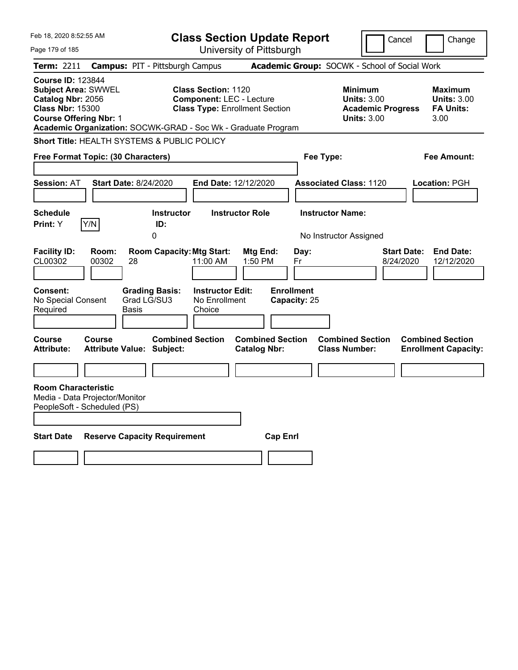| Feb 18, 2020 8:52:55 AM                                                                                                                 |                              |                                                               |                                                               | <b>Class Section Update Report</b>             |                                   |                                                 | Cancel                                                               | Change                                                           |
|-----------------------------------------------------------------------------------------------------------------------------------------|------------------------------|---------------------------------------------------------------|---------------------------------------------------------------|------------------------------------------------|-----------------------------------|-------------------------------------------------|----------------------------------------------------------------------|------------------------------------------------------------------|
| Page 179 of 185                                                                                                                         |                              |                                                               |                                                               | University of Pittsburgh                       |                                   |                                                 |                                                                      |                                                                  |
| Term: 2211                                                                                                                              |                              | <b>Campus: PIT - Pittsburgh Campus</b>                        |                                                               |                                                |                                   | Academic Group: SOCWK - School of Social Work   |                                                                      |                                                                  |
| <b>Course ID: 123844</b><br><b>Subject Area: SWWEL</b><br>Catalog Nbr: 2056<br><b>Class Nbr: 15300</b><br><b>Course Offering Nbr: 1</b> |                              | Academic Organization: SOCWK-GRAD - Soc Wk - Graduate Program | <b>Class Section: 1120</b><br><b>Component: LEC - Lecture</b> | <b>Class Type: Enrollment Section</b>          |                                   | <b>Minimum</b>                                  | <b>Units: 3.00</b><br><b>Academic Progress</b><br><b>Units: 3.00</b> | <b>Maximum</b><br><b>Units: 3.00</b><br><b>FA Units:</b><br>3.00 |
|                                                                                                                                         |                              | Short Title: HEALTH SYSTEMS & PUBLIC POLICY                   |                                                               |                                                |                                   |                                                 |                                                                      |                                                                  |
| Free Format Topic: (30 Characters)                                                                                                      |                              |                                                               |                                                               |                                                |                                   | Fee Type:                                       |                                                                      | Fee Amount:                                                      |
|                                                                                                                                         |                              |                                                               |                                                               |                                                |                                   |                                                 |                                                                      |                                                                  |
| <b>Session: AT</b>                                                                                                                      | <b>Start Date: 8/24/2020</b> |                                                               | End Date: 12/12/2020                                          |                                                |                                   | <b>Associated Class: 1120</b>                   |                                                                      | Location: PGH                                                    |
| <b>Schedule</b>                                                                                                                         |                              | <b>Instructor</b>                                             |                                                               | <b>Instructor Role</b>                         |                                   | <b>Instructor Name:</b>                         |                                                                      |                                                                  |
| Print: Y                                                                                                                                | Y/N                          | ID:                                                           |                                                               |                                                |                                   |                                                 |                                                                      |                                                                  |
|                                                                                                                                         |                              | 0                                                             |                                                               |                                                |                                   | No Instructor Assigned                          |                                                                      |                                                                  |
| <b>Facility ID:</b><br>CL00302                                                                                                          | Room:<br>00302<br>28         | <b>Room Capacity: Mtg Start:</b>                              | 11:00 AM                                                      | <b>Mtg End:</b><br>1:50 PM                     | Day:<br>Fr                        |                                                 | 8/24/2020                                                            | <b>Start Date:</b><br><b>End Date:</b><br>12/12/2020             |
| <b>Consent:</b><br>No Special Consent<br>Required                                                                                       | Basis                        | <b>Grading Basis:</b><br>Grad LG/SU3                          | <b>Instructor Edit:</b><br>No Enrollment<br>Choice            |                                                | <b>Enrollment</b><br>Capacity: 25 |                                                 |                                                                      |                                                                  |
| <b>Course</b><br><b>Attribute:</b>                                                                                                      | <b>Course</b>                | <b>Combined Section</b><br><b>Attribute Value: Subject:</b>   |                                                               | <b>Combined Section</b><br><b>Catalog Nbr:</b> |                                   | <b>Combined Section</b><br><b>Class Number:</b> |                                                                      | <b>Combined Section</b><br><b>Enrollment Capacity:</b>           |
|                                                                                                                                         |                              |                                                               |                                                               |                                                |                                   |                                                 |                                                                      |                                                                  |
| <b>Room Characteristic</b><br>Media - Data Projector/Monitor<br>PeopleSoft - Scheduled (PS)                                             |                              |                                                               |                                                               |                                                |                                   |                                                 |                                                                      |                                                                  |
| <b>Start Date</b>                                                                                                                       |                              | <b>Reserve Capacity Requirement</b>                           |                                                               | <b>Cap Enrl</b>                                |                                   |                                                 |                                                                      |                                                                  |
|                                                                                                                                         |                              |                                                               |                                                               |                                                |                                   |                                                 |                                                                      |                                                                  |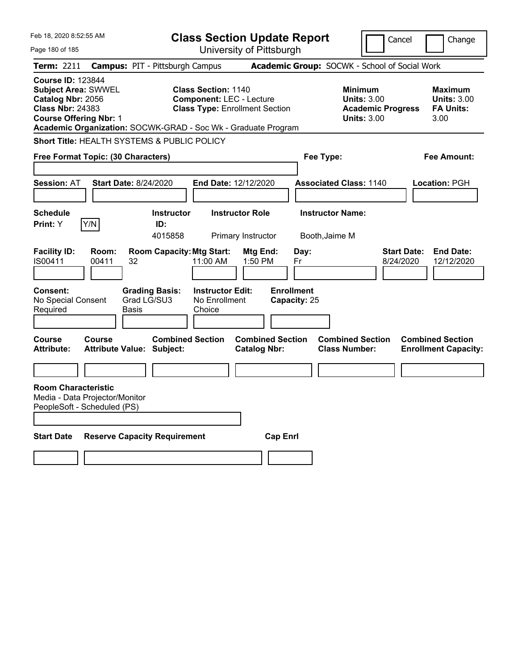| Feb 18, 2020 8:52:55 AM                                                                                                                 |                                                               | <b>Class Section Update Report</b>                                                                     |                                                |                                           |                                                                                        | Cancel<br>Change                                                 |
|-----------------------------------------------------------------------------------------------------------------------------------------|---------------------------------------------------------------|--------------------------------------------------------------------------------------------------------|------------------------------------------------|-------------------------------------------|----------------------------------------------------------------------------------------|------------------------------------------------------------------|
| Page 180 of 185                                                                                                                         |                                                               | University of Pittsburgh                                                                               |                                                |                                           |                                                                                        |                                                                  |
| <b>Term: 2211</b>                                                                                                                       | <b>Campus: PIT - Pittsburgh Campus</b>                        |                                                                                                        |                                                |                                           | Academic Group: SOCWK - School of Social Work                                          |                                                                  |
| <b>Course ID: 123844</b><br><b>Subject Area: SWWEL</b><br>Catalog Nbr: 2056<br><b>Class Nbr: 24383</b><br><b>Course Offering Nbr: 1</b> | Academic Organization: SOCWK-GRAD - Soc Wk - Graduate Program | <b>Class Section: 1140</b><br><b>Component: LEC - Lecture</b><br><b>Class Type: Enrollment Section</b> |                                                |                                           | <b>Minimum</b><br><b>Units: 3.00</b><br><b>Academic Progress</b><br><b>Units: 3.00</b> | <b>Maximum</b><br><b>Units: 3.00</b><br><b>FA Units:</b><br>3.00 |
|                                                                                                                                         | <b>Short Title: HEALTH SYSTEMS &amp; PUBLIC POLICY</b>        |                                                                                                        |                                                |                                           |                                                                                        |                                                                  |
| Free Format Topic: (30 Characters)                                                                                                      |                                                               |                                                                                                        |                                                | Fee Type:                                 |                                                                                        | Fee Amount:                                                      |
|                                                                                                                                         |                                                               |                                                                                                        |                                                |                                           |                                                                                        |                                                                  |
| <b>Session: AT</b>                                                                                                                      | <b>Start Date: 8/24/2020</b>                                  | End Date: 12/12/2020                                                                                   |                                                |                                           | <b>Associated Class: 1140</b>                                                          | Location: PGH                                                    |
| <b>Schedule</b><br>Y/N<br><b>Print:</b> Y                                                                                               | <b>Instructor</b><br>ID:<br>4015858                           | <b>Instructor Role</b><br>Primary Instructor                                                           |                                                | <b>Instructor Name:</b><br>Booth, Jaime M |                                                                                        |                                                                  |
| <b>Facility ID:</b><br>Room:<br>IS00411<br>00411                                                                                        | <b>Room Capacity: Mtg Start:</b><br>32                        | 11:00 AM                                                                                               | Mtg End:<br>1:50 PM                            | Day:<br>Fr                                |                                                                                        | <b>End Date:</b><br>Start Date:<br>8/24/2020<br>12/12/2020       |
| <b>Consent:</b><br>No Special Consent<br>Required                                                                                       | <b>Grading Basis:</b><br>Grad LG/SU3<br>Basis                 | <b>Instructor Edit:</b><br>No Enrollment<br>Choice                                                     |                                                | <b>Enrollment</b><br>Capacity: 25         |                                                                                        |                                                                  |
| <b>Course</b><br><b>Course</b><br><b>Attribute:</b>                                                                                     | <b>Attribute Value: Subject:</b>                              | <b>Combined Section</b>                                                                                | <b>Combined Section</b><br><b>Catalog Nbr:</b> |                                           | <b>Combined Section</b><br><b>Class Number:</b>                                        | <b>Combined Section</b><br><b>Enrollment Capacity:</b>           |
|                                                                                                                                         |                                                               |                                                                                                        |                                                |                                           |                                                                                        |                                                                  |
| <b>Room Characteristic</b><br>Media - Data Projector/Monitor<br>PeopleSoft - Scheduled (PS)                                             |                                                               |                                                                                                        |                                                |                                           |                                                                                        |                                                                  |
| <b>Start Date</b>                                                                                                                       | <b>Reserve Capacity Requirement</b>                           |                                                                                                        | <b>Cap Enrl</b>                                |                                           |                                                                                        |                                                                  |
|                                                                                                                                         |                                                               |                                                                                                        |                                                |                                           |                                                                                        |                                                                  |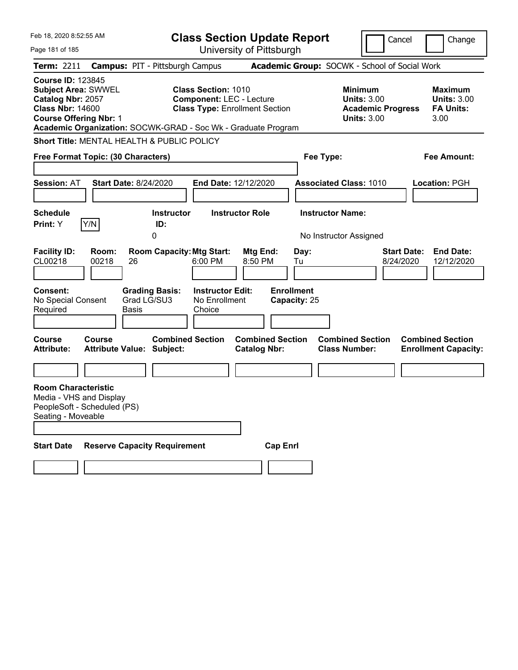| Feb 18, 2020 8:52:55 AM                                                                                                                 |                |                                                                                                |                                                               | <b>Class Section Update Report</b>                                       |                                                 |                                                                                        | Cancel<br>Change                                                  |
|-----------------------------------------------------------------------------------------------------------------------------------------|----------------|------------------------------------------------------------------------------------------------|---------------------------------------------------------------|--------------------------------------------------------------------------|-------------------------------------------------|----------------------------------------------------------------------------------------|-------------------------------------------------------------------|
| Page 181 of 185                                                                                                                         |                |                                                                                                |                                                               | University of Pittsburgh                                                 |                                                 |                                                                                        |                                                                   |
| Term: 2211                                                                                                                              |                | <b>Campus: PIT - Pittsburgh Campus</b>                                                         |                                                               |                                                                          |                                                 | Academic Group: SOCWK - School of Social Work                                          |                                                                   |
| <b>Course ID: 123845</b><br><b>Subject Area: SWWEL</b><br>Catalog Nbr: 2057<br><b>Class Nbr: 14600</b><br><b>Course Offering Nbr: 1</b> |                | Academic Organization: SOCWK-GRAD - Soc Wk - Graduate Program                                  | <b>Class Section: 1010</b>                                    | <b>Component: LEC - Lecture</b><br><b>Class Type: Enrollment Section</b> |                                                 | <b>Minimum</b><br><b>Units: 3.00</b><br><b>Academic Progress</b><br><b>Units: 3.00</b> | <b>Maximum</b><br><b>Units: 3.00</b><br><b>FA Units:</b><br>3.00  |
|                                                                                                                                         |                | <b>Short Title: MENTAL HEALTH &amp; PUBLIC POLICY</b>                                          |                                                               |                                                                          |                                                 |                                                                                        |                                                                   |
| Free Format Topic: (30 Characters)                                                                                                      |                |                                                                                                |                                                               |                                                                          | Fee Type:                                       |                                                                                        | <b>Fee Amount:</b>                                                |
| <b>Session: AT</b><br><b>Schedule</b>                                                                                                   |                | <b>Start Date: 8/24/2020</b><br><b>Instructor</b>                                              |                                                               | End Date: 12/12/2020<br><b>Instructor Role</b>                           | <b>Instructor Name:</b>                         | <b>Associated Class: 1010</b>                                                          | Location: PGH                                                     |
| Print: Y                                                                                                                                | Y/N            | ID:                                                                                            |                                                               |                                                                          |                                                 |                                                                                        |                                                                   |
|                                                                                                                                         |                | 0                                                                                              |                                                               |                                                                          |                                                 | No Instructor Assigned                                                                 |                                                                   |
| <b>Facility ID:</b><br>CL00218<br><b>Consent:</b><br>No Special Consent<br>Required                                                     | Room:<br>00218 | <b>Room Capacity: Mtg Start:</b><br>26<br><b>Grading Basis:</b><br>Grad LG/SU3<br><b>Basis</b> | 6:00 PM<br><b>Instructor Edit:</b><br>No Enrollment<br>Choice | Mtg End:<br>8:50 PM                                                      | Day:<br>Tu<br><b>Enrollment</b><br>Capacity: 25 |                                                                                        | <b>Start Date:</b><br><b>End Date:</b><br>8/24/2020<br>12/12/2020 |
| Course<br><b>Attribute:</b>                                                                                                             | Course         | <b>Combined Section</b><br><b>Attribute Value: Subject:</b>                                    |                                                               | <b>Combined Section</b><br><b>Catalog Nbr:</b>                           |                                                 | <b>Combined Section</b><br><b>Class Number:</b>                                        | <b>Combined Section</b><br><b>Enrollment Capacity:</b>            |
|                                                                                                                                         |                |                                                                                                |                                                               |                                                                          |                                                 |                                                                                        |                                                                   |
| <b>Room Characteristic</b><br>Media - VHS and Display<br>PeopleSoft - Scheduled (PS)<br>Seating - Moveable<br><b>Start Date</b>         |                | <b>Reserve Capacity Requirement</b>                                                            |                                                               | <b>Cap Enrl</b>                                                          |                                                 |                                                                                        |                                                                   |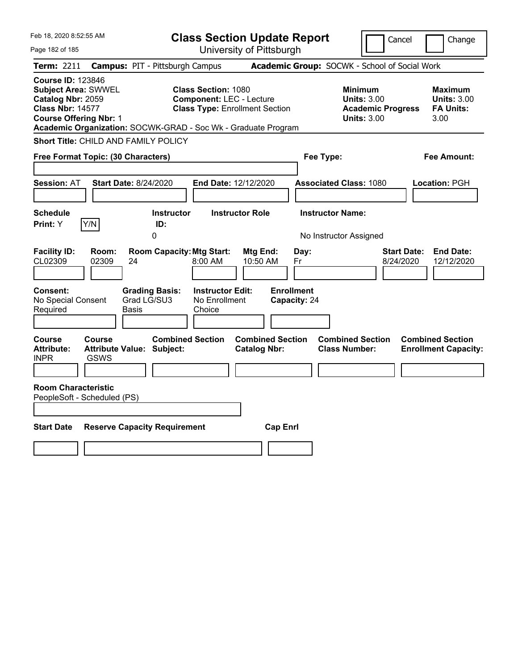| Feb 18, 2020 8:52:55 AM                                                                                                                                                                                  |                                                                                                        | <b>Class Section Update Report</b>             |                                                                                        | Cancel<br>Change                                                  |
|----------------------------------------------------------------------------------------------------------------------------------------------------------------------------------------------------------|--------------------------------------------------------------------------------------------------------|------------------------------------------------|----------------------------------------------------------------------------------------|-------------------------------------------------------------------|
| Page 182 of 185                                                                                                                                                                                          |                                                                                                        | University of Pittsburgh                       |                                                                                        |                                                                   |
| <b>Term: 2211</b>                                                                                                                                                                                        | <b>Campus: PIT - Pittsburgh Campus</b>                                                                 |                                                | Academic Group: SOCWK - School of Social Work                                          |                                                                   |
| <b>Course ID: 123846</b><br><b>Subject Area: SWWEL</b><br>Catalog Nbr: 2059<br><b>Class Nbr: 14577</b><br><b>Course Offering Nbr: 1</b><br>Academic Organization: SOCWK-GRAD - Soc Wk - Graduate Program | <b>Class Section: 1080</b><br><b>Component: LEC - Lecture</b><br><b>Class Type: Enrollment Section</b> |                                                | <b>Minimum</b><br><b>Units: 3.00</b><br><b>Academic Progress</b><br><b>Units: 3.00</b> | <b>Maximum</b><br><b>Units: 3.00</b><br><b>FA Units:</b><br>3.00  |
| Short Title: CHILD AND FAMILY POLICY                                                                                                                                                                     |                                                                                                        |                                                |                                                                                        |                                                                   |
| Free Format Topic: (30 Characters)                                                                                                                                                                       |                                                                                                        |                                                | Fee Type:                                                                              | Fee Amount:                                                       |
| <b>Session: AT</b><br>Start Date: 8/24/2020                                                                                                                                                              | End Date: 12/12/2020                                                                                   |                                                | <b>Associated Class: 1080</b>                                                          | <b>Location: PGH</b>                                              |
| <b>Schedule</b><br>Print: Y<br>Y/N                                                                                                                                                                       | <b>Instructor</b><br>ID:<br>0                                                                          | <b>Instructor Role</b>                         | <b>Instructor Name:</b><br>No Instructor Assigned                                      |                                                                   |
| <b>Facility ID:</b><br>Room:<br>CL02309<br>02309<br>24                                                                                                                                                   | <b>Room Capacity: Mtg Start:</b><br>8:00 AM                                                            | Mtg End:<br>Day:<br>10:50 AM<br>Fr             |                                                                                        | <b>Start Date:</b><br><b>End Date:</b><br>8/24/2020<br>12/12/2020 |
| Consent:<br>Grad LG/SU3<br>No Special Consent<br>Required<br>Basis                                                                                                                                       | <b>Grading Basis:</b><br><b>Instructor Edit:</b><br>No Enrollment<br>Choice                            | <b>Enrollment</b><br>Capacity: 24              |                                                                                        |                                                                   |
| Course<br><b>Course</b><br><b>Attribute:</b><br>Attribute Value: Subject:<br><b>INPR</b><br>GSWS                                                                                                         | <b>Combined Section</b>                                                                                | <b>Combined Section</b><br><b>Catalog Nbr:</b> | <b>Combined Section</b><br><b>Class Number:</b>                                        | <b>Combined Section</b><br><b>Enrollment Capacity:</b>            |
| <b>Room Characteristic</b><br>PeopleSoft - Scheduled (PS)                                                                                                                                                |                                                                                                        |                                                |                                                                                        |                                                                   |
| <b>Start Date</b><br><b>Reserve Capacity Requirement</b>                                                                                                                                                 |                                                                                                        | <b>Cap Enrl</b>                                |                                                                                        |                                                                   |
|                                                                                                                                                                                                          |                                                                                                        |                                                |                                                                                        |                                                                   |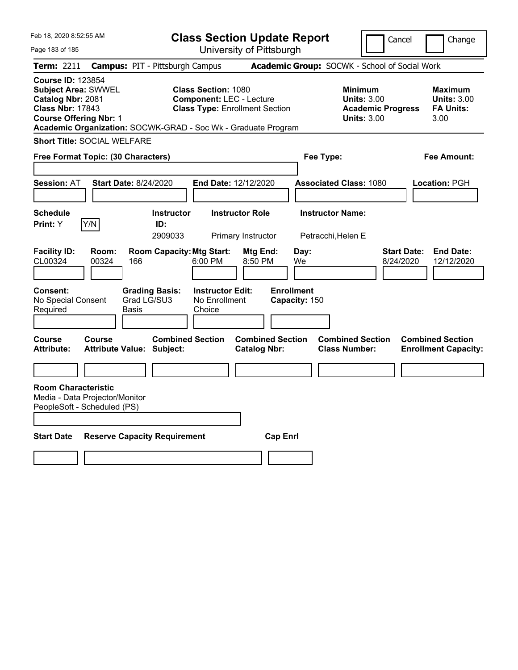| Feb 18, 2020 8:52:55 AM                                                                                                                 |                |                                                               |                                                               | <b>Class Section Update Report</b>             |                                    |                                                                                        | Cancel                          | Change                                                    |
|-----------------------------------------------------------------------------------------------------------------------------------------|----------------|---------------------------------------------------------------|---------------------------------------------------------------|------------------------------------------------|------------------------------------|----------------------------------------------------------------------------------------|---------------------------------|-----------------------------------------------------------|
| Page 183 of 185                                                                                                                         |                |                                                               |                                                               | University of Pittsburgh                       |                                    |                                                                                        |                                 |                                                           |
| Term: 2211                                                                                                                              |                | <b>Campus: PIT - Pittsburgh Campus</b>                        |                                                               |                                                |                                    | Academic Group: SOCWK - School of Social Work                                          |                                 |                                                           |
| <b>Course ID: 123854</b><br><b>Subject Area: SWWEL</b><br>Catalog Nbr: 2081<br><b>Class Nbr: 17843</b><br><b>Course Offering Nbr: 1</b> |                | Academic Organization: SOCWK-GRAD - Soc Wk - Graduate Program | <b>Class Section: 1080</b><br><b>Component: LEC - Lecture</b> | <b>Class Type: Enrollment Section</b>          |                                    | <b>Minimum</b><br><b>Units: 3.00</b><br><b>Academic Progress</b><br><b>Units: 3.00</b> |                                 | Maximum<br><b>Units: 3.00</b><br><b>FA Units:</b><br>3.00 |
| <b>Short Title: SOCIAL WELFARE</b>                                                                                                      |                |                                                               |                                                               |                                                |                                    |                                                                                        |                                 |                                                           |
| Free Format Topic: (30 Characters)                                                                                                      |                |                                                               |                                                               |                                                |                                    | Fee Type:                                                                              |                                 | Fee Amount:                                               |
|                                                                                                                                         |                |                                                               |                                                               |                                                |                                    |                                                                                        |                                 |                                                           |
| <b>Session: AT</b>                                                                                                                      |                | <b>Start Date: 8/24/2020</b>                                  | <b>End Date: 12/12/2020</b>                                   |                                                |                                    | <b>Associated Class: 1080</b>                                                          |                                 | Location: PGH                                             |
| <b>Schedule</b><br><b>Print:</b> Y                                                                                                      | Y/N            | <b>Instructor</b><br>ID:<br>2909033                           |                                                               | <b>Instructor Role</b><br>Primary Instructor   |                                    | <b>Instructor Name:</b><br>Petracchi, Helen E                                          |                                 |                                                           |
| <b>Facility ID:</b><br>CL00324                                                                                                          | Room:<br>00324 | <b>Room Capacity: Mtg Start:</b><br>166                       | 6:00 PM                                                       | Mtg End:<br>8:50 PM                            | Day:<br>We                         |                                                                                        | <b>Start Date:</b><br>8/24/2020 | <b>End Date:</b><br>12/12/2020                            |
| <b>Consent:</b><br>No Special Consent<br>Required                                                                                       |                | <b>Grading Basis:</b><br>Grad LG/SU3<br>Basis                 | <b>Instructor Edit:</b><br>No Enrollment<br>Choice            |                                                | <b>Enrollment</b><br>Capacity: 150 |                                                                                        |                                 |                                                           |
| Course<br><b>Attribute:</b>                                                                                                             | <b>Course</b>  | <b>Combined Section</b><br><b>Attribute Value: Subject:</b>   |                                                               | <b>Combined Section</b><br><b>Catalog Nbr:</b> |                                    | <b>Combined Section</b><br><b>Class Number:</b>                                        |                                 | <b>Combined Section</b><br><b>Enrollment Capacity:</b>    |
|                                                                                                                                         |                |                                                               |                                                               |                                                |                                    |                                                                                        |                                 |                                                           |
| <b>Room Characteristic</b><br>Media - Data Projector/Monitor<br>PeopleSoft - Scheduled (PS)                                             |                |                                                               |                                                               |                                                |                                    |                                                                                        |                                 |                                                           |
| <b>Start Date</b>                                                                                                                       |                | <b>Reserve Capacity Requirement</b>                           |                                                               |                                                | <b>Cap Enri</b>                    |                                                                                        |                                 |                                                           |
|                                                                                                                                         |                |                                                               |                                                               |                                                |                                    |                                                                                        |                                 |                                                           |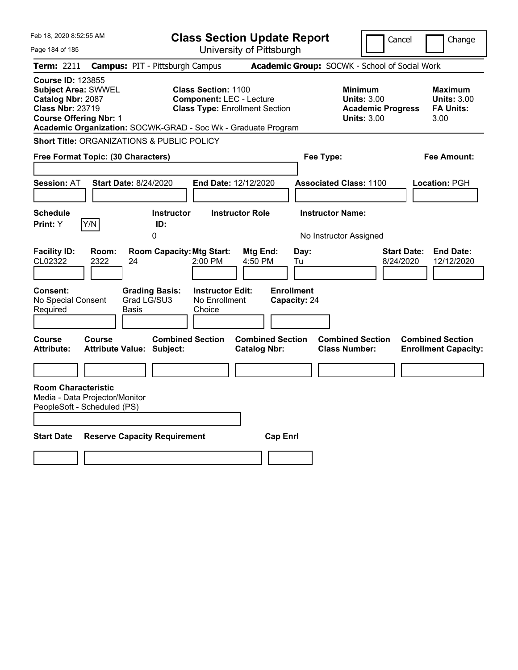| Feb 18, 2020 8:52:55 AM                                                                                                                                                                                  |                                                                                         | <b>Class Section Update Report</b>                                                                     |                                                |                                                 |                                                                                        | Cancel                   | Change                                                           |
|----------------------------------------------------------------------------------------------------------------------------------------------------------------------------------------------------------|-----------------------------------------------------------------------------------------|--------------------------------------------------------------------------------------------------------|------------------------------------------------|-------------------------------------------------|----------------------------------------------------------------------------------------|--------------------------|------------------------------------------------------------------|
| Page 184 of 185                                                                                                                                                                                          |                                                                                         | University of Pittsburgh                                                                               |                                                |                                                 |                                                                                        |                          |                                                                  |
| <b>Term: 2211</b>                                                                                                                                                                                        | <b>Campus: PIT - Pittsburgh Campus</b>                                                  |                                                                                                        |                                                |                                                 | Academic Group: SOCWK - School of Social Work                                          |                          |                                                                  |
| <b>Course ID: 123855</b><br><b>Subject Area: SWWEL</b><br>Catalog Nbr: 2087<br><b>Class Nbr: 23719</b><br><b>Course Offering Nbr: 1</b><br>Academic Organization: SOCWK-GRAD - Soc Wk - Graduate Program |                                                                                         | <b>Class Section: 1100</b><br><b>Component: LEC - Lecture</b><br><b>Class Type: Enrollment Section</b> |                                                |                                                 | <b>Minimum</b><br><b>Units: 3.00</b><br><b>Academic Progress</b><br><b>Units: 3.00</b> |                          | <b>Maximum</b><br><b>Units: 3.00</b><br><b>FA Units:</b><br>3.00 |
| <b>Short Title: ORGANIZATIONS &amp; PUBLIC POLICY</b>                                                                                                                                                    |                                                                                         |                                                                                                        |                                                |                                                 |                                                                                        |                          |                                                                  |
| Free Format Topic: (30 Characters)                                                                                                                                                                       |                                                                                         |                                                                                                        |                                                | Fee Type:                                       |                                                                                        |                          | Fee Amount:                                                      |
| <b>Session: AT</b>                                                                                                                                                                                       | <b>Start Date: 8/24/2020</b>                                                            | End Date: 12/12/2020                                                                                   |                                                |                                                 | <b>Associated Class: 1100</b>                                                          |                          | <b>Location: PGH</b>                                             |
| <b>Schedule</b>                                                                                                                                                                                          | <b>Instructor</b>                                                                       | <b>Instructor Role</b>                                                                                 |                                                | <b>Instructor Name:</b>                         |                                                                                        |                          |                                                                  |
| Y/N<br><b>Print:</b> Y                                                                                                                                                                                   | ID:<br>0                                                                                |                                                                                                        |                                                |                                                 |                                                                                        |                          |                                                                  |
| <b>Facility ID:</b><br>Room:<br>CL02322<br>2322<br><b>Consent:</b><br>No Special Consent<br>Required                                                                                                     | <b>Room Capacity: Mtg Start:</b><br>24<br><b>Grading Basis:</b><br>Grad LG/SU3<br>Basis | 2:00 PM<br><b>Instructor Edit:</b><br>No Enrollment<br>Choice                                          | Mtg End:<br>4:50 PM                            | Day:<br>Tu<br><b>Enrollment</b><br>Capacity: 24 | No Instructor Assigned                                                                 | Start Date:<br>8/24/2020 | <b>End Date:</b><br>12/12/2020                                   |
| Course<br>Course<br><b>Attribute:</b>                                                                                                                                                                    | <b>Combined Section</b><br><b>Attribute Value: Subject:</b>                             |                                                                                                        | <b>Combined Section</b><br><b>Catalog Nbr:</b> |                                                 | <b>Combined Section</b><br><b>Class Number:</b>                                        |                          | <b>Combined Section</b><br><b>Enrollment Capacity:</b>           |
|                                                                                                                                                                                                          |                                                                                         |                                                                                                        |                                                |                                                 |                                                                                        |                          |                                                                  |
| <b>Room Characteristic</b><br>Media - Data Projector/Monitor<br>PeopleSoft - Scheduled (PS)<br><b>Start Date</b>                                                                                         | <b>Reserve Capacity Requirement</b>                                                     |                                                                                                        | <b>Cap Enrl</b>                                |                                                 |                                                                                        |                          |                                                                  |